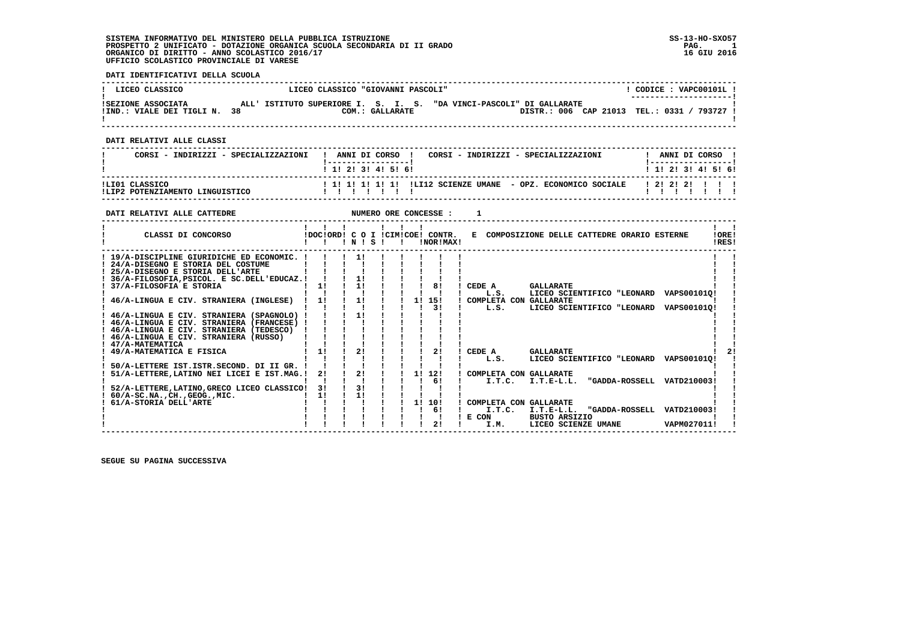#### **DATI IDENTIFICATIVI DELLA SCUOLA**

| LICEO CLASSICO                                  | LICEO CLASSICO "GIOVANNI PASCOLI"                                                                                     | CODICE: VAPC00101L                               |
|-------------------------------------------------|-----------------------------------------------------------------------------------------------------------------------|--------------------------------------------------|
| ISEZIONE ASSOCIATA<br>!IND.: VIALE DEI TIGLI N. | ALL' ISTITUTO SUPERIORE I. S. I. S. "DA VINCI-PASCOLI" DI GALLARATE<br>DISTR.: 006 CAP 21013<br>38<br>COM.: GALLARATE | --------------------- <br>TEL.: 0331 /<br>793727 |

 **------------------------------------------------------------------------------------------------------------------------------------**

 **DATI RELATIVI ALLE CLASSI**

| CORSI - INDIRIZZI - SPECIALIZZAZIONI              | CORSI - INDIRIZZI - SPECIALIZZAZIONI<br>ANNI DI CORSO !                        | ANNI DI CORSO ! |  |
|---------------------------------------------------|--------------------------------------------------------------------------------|-----------------|--|
|                                                   | 1 1 1 2 1 3 1 4 1 5 1 6 1                                                      | 1 1 2 3 4 5 6   |  |
| ILIO1 CLASSICO<br>ILIP2 POTENZIAMENTO LINGUISTICO | ! 1! 1! 1! 1! 1! !LI12 SCIENZE UMANE - OPZ. ECONOMICO SOCIALE   2! 2! 2! ! ! ! |                 |  |

**DATI RELATIVI ALLE CATTEDRE NUMERO ORE CONCESSE : 1 ------------------------------------------------------------------------------------------------------------------------------------** $\mathbf{r}$  and  $\mathbf{r}$  **! ! ! ! ! ! ! ! !LORE! ! CLASSI DI CONCORSO !DOC!ORD! C O I !CIM!COE! CONTR. E COMPOSIZIONE DELLE CATTEDRE ORARIO ESTERNE !ORE! ! ! ! ! N ! S ! ! !NOR!MAX! !RES!**IRES!  **------------------------------------------------------------------------------------------------------------------------------------** $\mathbf{I}$   $\mathbf{I}$  **! 19/A-DISCIPLINE GIURIDICHE ED ECONOMIC. ! ! ! 1! ! ! ! ! ! ! ! ! 24/A-DISEGNO E STORIA DEL COSTUME ! ! ! ! ! ! ! ! ! ! ! ! 25/A-DISEGNO E STORIA DELL'ARTE ! ! ! ! ! ! ! ! ! ! ! ! 36/A-FILOSOFIA,PSICOL. E SC.DELL'EDUCAZ.! ! ! 1! ! ! ! ! ! ! !** $\mathbf{I}$  and  $\mathbf{I}$  **! 37/A-FILOSOFIA E STORIA ! 1! ! 1! ! ! ! 8! ! CEDE A GALLARATE ! ! ! ! ! ! ! ! ! ! ! ! L.S. LICEO SCIENTIFICO "LEONARD VAPS00101Q! ! ! 46/A-LINGUA E CIV. STRANIERA (INGLESE) ! 1! ! 1! ! ! 1! 15! ! COMPLETA CON GALLARATE ! !**- 1  **! ! ! ! ! ! ! ! 3! ! L.S. LICEO SCIENTIFICO "LEONARD VAPS00101Q! ! ! 46/A-LINGUA E CIV. STRANIERA (SPAGNOLO) ! ! ! 1! ! ! ! ! ! ! ! ! 46/A-LINGUA E CIV. STRANIERA (FRANCESE) ! ! ! ! ! ! ! ! ! ! ! ! 46/A-LINGUA E CIV. STRANIERA (TEDESCO) ! ! ! ! ! ! ! ! ! ! !** $\blacksquare$  **! 46/A-LINGUA E CIV. STRANIERA (RUSSO) ! ! ! ! ! ! ! ! ! ! ! ! 47/A-MATEMATICA ! ! ! ! ! ! ! ! ! ! ! ! 49/A-MATEMATICA E FISICA ! 1! ! 2! ! ! ! 2! ! CEDE A GALLARATE ! 2! ! ! ! ! ! ! ! ! ! ! L.S. LICEO SCIENTIFICO "LEONARD VAPS00101Q! ! ! 50/A-LETTERE IST.ISTR.SECOND. DI II GR. ! ! ! ! ! ! ! ! ! ! ! ! 51/A-LETTERE,LATINO NEI LICEI E IST.MAG.! 2! ! 2! ! ! 1! 12! ! COMPLETA CON GALLARATE ! ! ! ! ! ! ! ! ! ! 6! ! I.T.C. I.T.E-L.L. "GADDA-ROSSELL VATD210003! ! ! 52/A-LETTERE,LATINO,GRECO LICEO CLASSICO! 3! ! 3! ! ! ! ! ! ! ! ! 60/A-SC.NA.,CH.,GEOG.,MIC. ! 1! ! 1! ! ! ! ! ! ! ! ! 61/A-STORIA DELL'ARTE ! ! ! ! ! ! 1! 10! ! COMPLETA CON GALLARATE ! ! ! ! ! ! ! ! ! ! 6! ! I.T.C. I.T.E-L.L. "GADDA-ROSSELL VATD210003! !** $2!$  $\blacksquare$  $\overline{1}$   $\overline{1}$   $\overline{1}$   $\overline{1}$   $\overline{1}$   $\overline{6}$   $\overline{1}$   $\overline{1}$ .T.C.  $\overline{1}$ .T.E-L.L. "GADDA-ROSSELL VATD2100031 1  $\mathbf{I}$  **! ! ! ! ! ! ! ! ! ! E CON BUSTO ARSIZIO ! ! ! ! ! ! ! ! ! ! 2! ! I.M. LICEO SCIENZE UMANE VAPM027011! !**VAPM027011! !  **------------------------------------------------------------------------------------------------------------------------------------**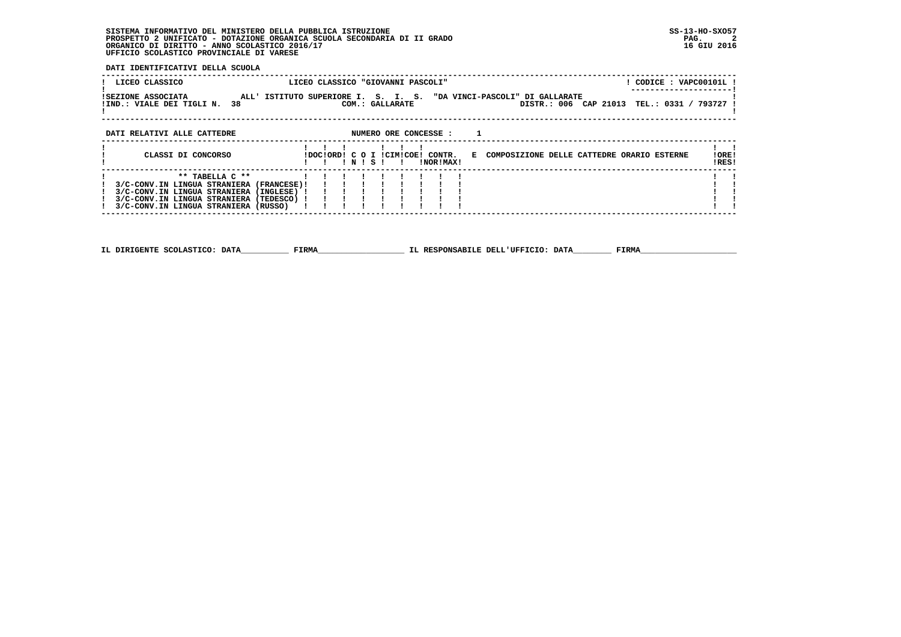**DATI IDENTIFICATIVI DELLA SCUOLA**

| LICEO CLASSICO                                                                                                                                                                              |                                                                     | LICEO CLASSICO "GIOVANNI PASCOLI" |       |                 |                       |                                              |  |  | ! CODICE : VAPC00101L !                     |  |
|---------------------------------------------------------------------------------------------------------------------------------------------------------------------------------------------|---------------------------------------------------------------------|-----------------------------------|-------|-----------------|-----------------------|----------------------------------------------|--|--|---------------------------------------------|--|
| <b>ISEZIONE ASSOCIATA</b><br>IND.: VIALE DEI TIGLI N. 38                                                                                                                                    | ALL' ISTITUTO SUPERIORE I. S. I. S. "DA VINCI-PASCOLI" DI GALLARATE |                                   |       | COM.: GALLARATE |                       |                                              |  |  | DISTR.: 006 CAP 21013 TEL.: 0331 / 793727 ! |  |
| DATI RELATIVI ALLE CATTEDRE                                                                                                                                                                 |                                                                     |                                   |       |                 | NUMERO ORE CONCESSE : |                                              |  |  |                                             |  |
| CLASSI DI CONCORSO                                                                                                                                                                          |                                                                     | IDOCIORDI C O I ICIMICOEI CONTR.  | INISI |                 | INORIMAXI             | E COMPOSIZIONE DELLE CATTEDRE ORARIO ESTERNE |  |  | !ORE!<br>!RES!                              |  |
| ** TABELLA C **<br>3/C-CONV.IN LINGUA STRANIERA (FRANCESE)!<br>3/C-CONV.IN LINGUA STRANIERA (INGLESE) !<br>3/C-CONV.IN LINGUA STRANIERA (TEDESCO) !<br>3/C-CONV.IN LINGUA STRANIERA (RUSSO) |                                                                     |                                   |       |                 |                       |                                              |  |  |                                             |  |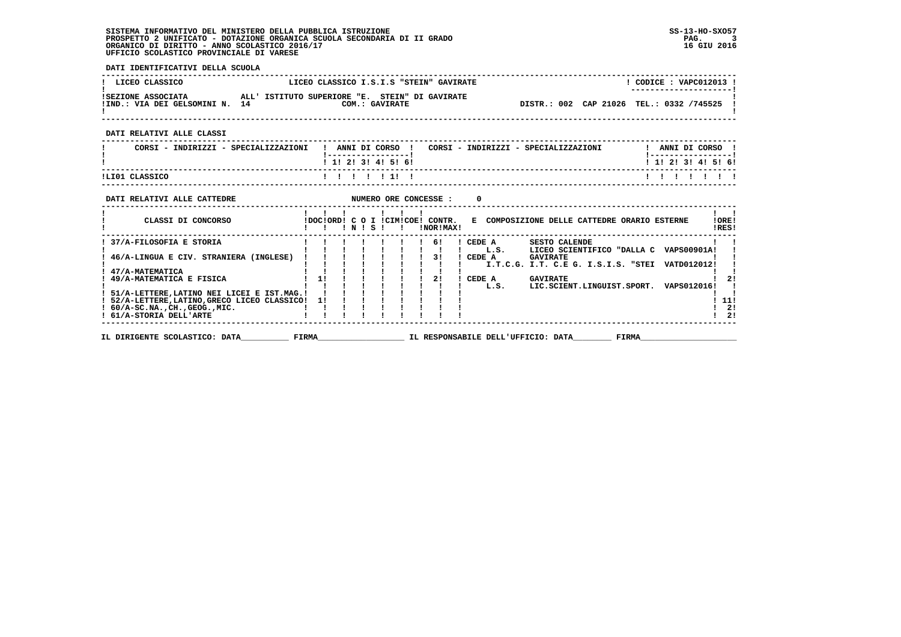**DATI IDENTIFICATIVI DELLA SCUOLA**

| LICEO CLASSICO                                       | LICEO CLASSICO I.S.I.S "STEIN" GAVIRATE                          |                                          | CODICE: VAPC012013 !<br>--------------------- |  |
|------------------------------------------------------|------------------------------------------------------------------|------------------------------------------|-----------------------------------------------|--|
| ISEZIONE ASSOCIATA<br>!IND.: VIA DEI GELSOMINI N. 14 | ALL' ISTITUTO SUPERIORE "E. STEIN" DI GAVIRATE<br>COM.: GAVIRATE | DISTR.: 002 CAP 21026 TEL.: 0332 /745525 |                                               |  |
| DATI RELATIVI ALLE CLASSI                            |                                                                  |                                          |                                               |  |
| CORSI - INDIRIZZI - SPECIALIZZAZIONI                 | ANNI DI CORSO                                                    | CORST - INDIRIZZI - SPECIALIZZAZIONI     | ANNT DI CORSO                                 |  |

 **! CORSI - INDIRIZZI - SPECIALIZZAZIONI ! ANNI DI CORSO ! CORSI - INDIRIZZI - SPECIALIZZAZIONI ! ANNI DI CORSO ! ! !-----------------! !-----------------!**1 1 2 3 4 5 6  **! ! 1! 2! 3! 4! 5! 6! ! 1! 2! 3! 4! 5! 6! ------------------------------------------------------------------------------------------------------------------------------------** $\begin{array}{cccccccccccccc} & & & 1 & & 1 & & 1 & & 1 & & 1 & & 1 & & 1 & & 1 \end{array}$  **!LI01 CLASSICO ! ! ! ! ! 1! ! ! ! ! ! ! ! ! ------------------------------------------------------------------------------------------------------------------------------------**

| DATI RELATIVI ALLE CATTEDRE                                                                |       |                 |   |   |  |  | NUMERO ORE CONCESSE :         | 0      |      |                                               |       |                    |                |
|--------------------------------------------------------------------------------------------|-------|-----------------|---|---|--|--|-------------------------------|--------|------|-----------------------------------------------|-------|--------------------|----------------|
| CLASSI DI CONCORSO                                                                         |       | IDOCIORDI C O I | N | s |  |  | ICIMICOE! CONTR.<br>INORIMAXI | к.     |      | COMPOSIZIONE DELLE CATTEDRE ORARIO ESTERNE    |       |                    | !ORE!<br>IRES! |
| 37/A-FILOSOFIA E STORIA                                                                    |       |                 |   |   |  |  | 61                            | CEDE A |      | <b>SESTO CALENDE</b>                          |       |                    |                |
| ! 46/A-LINGUA E CIV. STRANIERA (INGLESE)                                                   |       |                 |   |   |  |  | 31                            | CEDE A | L.S. | LICEO SCIENTIFICO "DALLA C<br><b>GAVIRATE</b> |       | <b>VAPS00901A!</b> |                |
| 47/A-MATEMATICA                                                                            |       |                 |   |   |  |  |                               |        |      | I.T.C.G. I.T. C.E G. I.S.I.S. "STEI           |       | VATD012012!        |                |
| 49/A-MATEMATICA E FISICA                                                                   |       |                 |   |   |  |  | 21                            | CEDE A | L.S. | <b>GAVIRATE</b><br>LIC.SCIENT.LINGUIST.SPORT. |       | VAPS012016!        |                |
| 51/A-LETTERE.LATINO NEI LICEI E IST.MAG.!<br>! 52/A-LETTERE, LATINO, GRECO LICEO CLASSICO! |       |                 |   |   |  |  |                               |        |      |                                               |       |                    | 11!            |
| $! 60/A-SC.NA.$ , $CH.$ , $GEOG.$ , $MIC.$                                                 |       |                 |   |   |  |  |                               |        |      |                                               |       |                    | 2!             |
| ! 61/A-STORIA DELL'ARTE                                                                    |       |                 |   |   |  |  |                               |        |      |                                               |       |                    | 21             |
| IL DIRIGENTE SCOLASTICO: DATA                                                              | FIRMA |                 |   |   |  |  |                               |        |      | IL RESPONSABILE DELL'UFFICIO: DATA            | FIRMA |                    |                |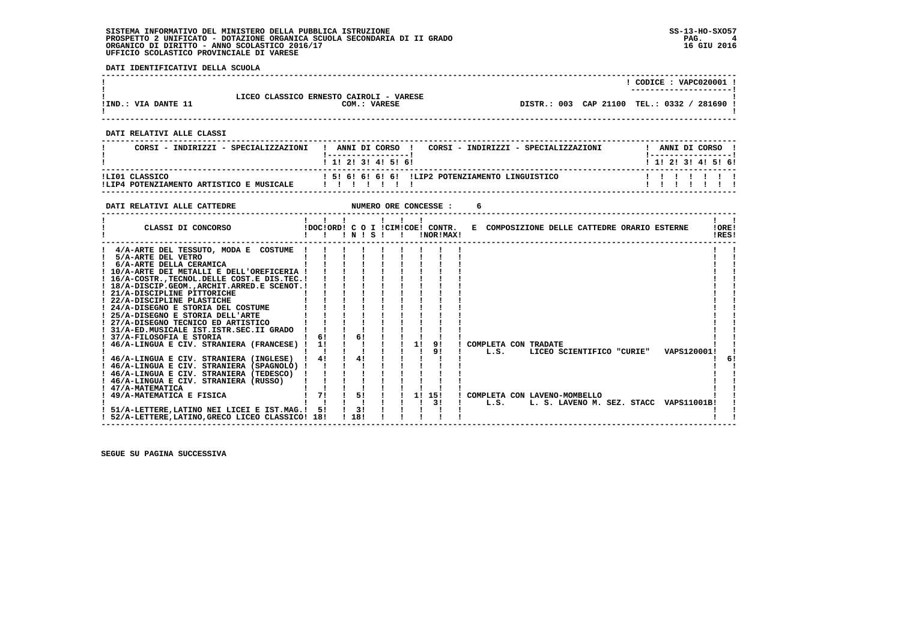**DATI IDENTIFICATIVI DELLA SCUOLA**

|                     |                                         | CODICE: VAPC020001 !                                |
|---------------------|-----------------------------------------|-----------------------------------------------------|
|                     |                                         | -----------------------                             |
|                     | LICEO CLASSICO ERNESTO CAIROLI - VARESE |                                                     |
| !IND.: VIA DANTE 11 | COM.: VARESE                            | DISTR.: 003 CAP 21100<br>TEL.: 0332 /<br>1 281690 ك |
|                     |                                         |                                                     |

 **------------------------------------------------------------------------------------------------------------------------------------**

 **------------------------------------------------------------------------------------------------------------------------------------**

 **DATI RELATIVI ALLE CLASSI**

| CORSI - INDIRIZZI - SPECIALIZZAZIONI                       | ANNI DI CORSO<br>CORSI - INDIRIZZI - SPECIALIZZAZIONI<br>1 1 2 3 3 4 5 5 6 |  |  | ANNI DI CORSO | 1 1 1 2 1 3 1 4 1 5 1 6 1 |  |
|------------------------------------------------------------|----------------------------------------------------------------------------|--|--|---------------|---------------------------|--|
| ILIO1 CLASSICO<br>ILIP4 POTENZIAMENTO ARTISTICO E MUSICALE | 1 51 61 61 61 61 ILIP2 POTENZIAMENTO LINGUISTICO                           |  |  |               | ,,,,,,,,,                 |  |

 **------------------------------------------------------------------------------------------------------------------------------------**

| DATI RELATIVI ALLE CATTEDRE                                                                                                                                                                                                                                                                                                                                                                                                                                    |                            |                              |              |    | NUMERO ORE CONCESSE :                         |                                      |                                                           |  |                                                       |                |    |
|----------------------------------------------------------------------------------------------------------------------------------------------------------------------------------------------------------------------------------------------------------------------------------------------------------------------------------------------------------------------------------------------------------------------------------------------------------------|----------------------------|------------------------------|--------------|----|-----------------------------------------------|--------------------------------------|-----------------------------------------------------------|--|-------------------------------------------------------|----------------|----|
| CLASSI DI CONCORSO                                                                                                                                                                                                                                                                                                                                                                                                                                             |                            | INISI                        | $\mathbf{I}$ |    | !DOC!ORD! C O I !CIM!COE! CONTR.<br>!NOR!MAX! |                                      | E COMPOSIZIONE DELLE CATTEDRE ORARIO ESTERNE              |  |                                                       | !ORE!<br>IRES! |    |
| 4/A-ARTE DEL TESSUTO, MODA E COSTUME<br>5/A-ARTE DEL VETRO<br>6/A-ARTE DELLA CERAMICA<br>! 10/A-ARTE DEI METALLI E DELL'OREFICERIA !<br>! 16/A-COSTRTECNOL.DELLE COST.E DIS.TEC.!<br>! 18/A-DISCIP.GEOM., ARCHIT. ARRED.E SCENOT.!<br>21/A-DISCIPLINE PITTORICHE<br>! 22/A-DISCIPLINE PLASTICHE<br>! 24/A-DISEGNO E STORIA DEL COSTUME<br>! 25/A-DISEGNO E STORIA DELL'ARTE<br>! 27/A-DISEGNO TECNICO ED ARTISTICO<br>! 31/A-ED.MUSICALE IST.ISTR.SEC.II GRADO |                            |                              |              |    |                                               |                                      |                                                           |  |                                                       |                |    |
| ! 37/A-FILOSOFIA E STORIA<br>! 46/A-LINGUA E CIV. STRANIERA (FRANCESE)<br>! 46/A-LINGUA E CIV. STRANIERA (INGLESE)<br>! 46/A-LINGUA E CIV. STRANIERA (SPAGNOLO) !<br>! 46/A-LINGUA E CIV. STRANIERA (TEDESCO)<br>! 46/A-LINGUA E CIV. STRANIERA (RUSSO)<br>! 47/A-MATEMATICA<br>49/A-MATEMATICA E FISICA<br>51/A-LETTERE.LATINO NEI LICEI E IST.MAG.!<br>! 52/A-LETTERE, LATINO, GRECO LICEO CLASSICO! 18!                                                     | 61<br>11<br>4!<br>71<br>51 | 61<br>41<br>51<br>3!<br>1181 |              | 11 | 91<br>91<br>1! 15!<br>3!                      | COMPLETA CON TRADATE<br>L.S.<br>L.S. | LICEO SCIENTIFICO "CURIE"<br>COMPLETA CON LAVENO-MOMBELLO |  | VAPS120001!<br>L. S. LAVENO M. SEZ. STACC VAPS11001B! |                | 6! |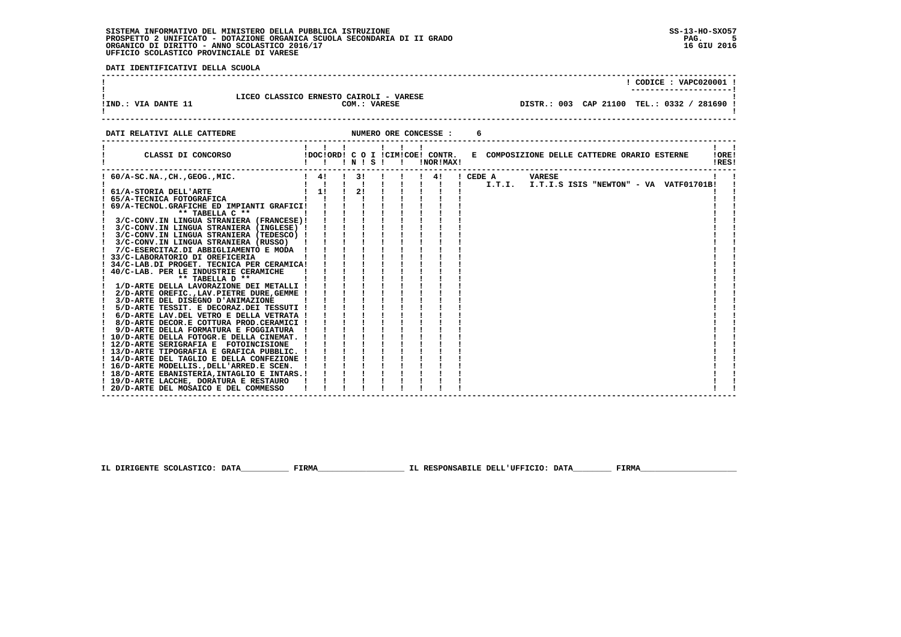j

 **DATI IDENTIFICATIVI DELLA SCUOLA**

|                                                                   |                                                                                                                                                                                                                                                                                                                                                                                                                                                                                                                                                                                                                |                                                                       |  |   | $!$ CODICE : VAPC020001 !                                                     |                |
|-------------------------------------------------------------------|----------------------------------------------------------------------------------------------------------------------------------------------------------------------------------------------------------------------------------------------------------------------------------------------------------------------------------------------------------------------------------------------------------------------------------------------------------------------------------------------------------------------------------------------------------------------------------------------------------------|-----------------------------------------------------------------------|--|---|-------------------------------------------------------------------------------|----------------|
| LICEO CLASSICO ERNESTO CAIROLI - VARESE<br>! IND.: VIA DANTE 11   |                                                                                                                                                                                                                                                                                                                                                                                                                                                                                                                                                                                                                | COM.: VARESE                                                          |  |   | DISTR.: 003 CAP 21100 TEL.: 0332 / 281690 !                                   |                |
| NUMERO ORE CONCESSE :<br>DATI RELATIVI ALLE CATTEDRE              |                                                                                                                                                                                                                                                                                                                                                                                                                                                                                                                                                                                                                |                                                                       |  | 6 |                                                                               |                |
| CLASSI DI CONCORSO                                                | $1 \quad 1 \quad 1 \quad 1 \quad 1$                                                                                                                                                                                                                                                                                                                                                                                                                                                                                                                                                                            |                                                                       |  |   | !DOC!ORD! C O I !CIM!COE! CONTR. E COMPOSIZIONE DELLE CATTEDRE ORARIO ESTERNE | IOREI<br>IRES! |
| $1.60/A-SC.NA.$ , CH., GEOG., MIC.                                |                                                                                                                                                                                                                                                                                                                                                                                                                                                                                                                                                                                                                |                                                                       |  |   |                                                                               |                |
|                                                                   |                                                                                                                                                                                                                                                                                                                                                                                                                                                                                                                                                                                                                |                                                                       |  |   |                                                                               |                |
| 61/A-STORIA DELL'ARTE                                             | $1 \quad 1! \quad 1 \quad 2! \quad 1 \quad 1$                                                                                                                                                                                                                                                                                                                                                                                                                                                                                                                                                                  |                                                                       |  |   |                                                                               |                |
| 65/A-TECNICA FOTOGRAFICA                                          |                                                                                                                                                                                                                                                                                                                                                                                                                                                                                                                                                                                                                |                                                                       |  |   |                                                                               |                |
| ! 69/A-TECNOL.GRAFICHE ED IMPIANTI GRAFICI!<br>$**$ TABELLA $C**$ |                                                                                                                                                                                                                                                                                                                                                                                                                                                                                                                                                                                                                |                                                                       |  |   |                                                                               |                |
| 3/C-CONV.IN LINGUA STRANIERA (FRANCESE)!                          |                                                                                                                                                                                                                                                                                                                                                                                                                                                                                                                                                                                                                |                                                                       |  |   |                                                                               |                |
| ! 3/C-CONV.IN LINGUA STRANIERA (INGLESE) !                        |                                                                                                                                                                                                                                                                                                                                                                                                                                                                                                                                                                                                                |                                                                       |  |   |                                                                               |                |
| ! 3/C-CONV.IN LINGUA STRANIERA (TEDESCO) !                        |                                                                                                                                                                                                                                                                                                                                                                                                                                                                                                                                                                                                                | $\frac{1}{2}$ $\frac{1}{2}$ $\frac{1}{2}$ $\frac{1}{2}$ $\frac{1}{2}$ |  |   |                                                                               |                |
| 3/C-CONV.IN LINGUA STRANIERA (RUSSO)                              | $\begin{tabular}{ c c c c c c c c c } \hline $\checkmark$ & $\checkmark$ & $\checkmark$ & $\checkmark$ & $\checkmark$ \\ \hline A & $\checkmark$ & $\checkmark$ & $\checkmark$ & $\checkmark$ & $\checkmark$ & $\checkmark$ \\ \hline $A$ & $\checkmark$ & $\checkmark$ & $\checkmark$ & $\checkmark$ & $\checkmark$ & $\checkmark$ \\ \hline $A$ & $\checkmark$ & $\checkmark$ & $\checkmark$ & $\checkmark$ & $\checkmark$ & $\checkmark$ & $\checkmark$ \\ \hline $A$ & $\checkmark$ & $\checkmark$ & $\checkmark$ & $\checkmark$ & $\checkmark$ & $\checkmark$ & $\checkmark$ \\ \hline $A$ & $\checkmark$ |                                                                       |  |   |                                                                               |                |
| ! 7/C-ESERCITAZ.DI ABBIGLIAMENTO E MODA !                         |                                                                                                                                                                                                                                                                                                                                                                                                                                                                                                                                                                                                                |                                                                       |  |   |                                                                               |                |
| ! 33/C-LABORATORIO DI OREFICERIA                                  |                                                                                                                                                                                                                                                                                                                                                                                                                                                                                                                                                                                                                |                                                                       |  |   |                                                                               |                |
| 34/C-LAB.DI PROGET. TECNICA PER CERAMICA!                         |                                                                                                                                                                                                                                                                                                                                                                                                                                                                                                                                                                                                                |                                                                       |  |   |                                                                               |                |
| 40/C-LAB. PER LE INDUSTRIE CERAMICHE                              |                                                                                                                                                                                                                                                                                                                                                                                                                                                                                                                                                                                                                |                                                                       |  |   |                                                                               |                |
| ** TABELLA D **                                                   |                                                                                                                                                                                                                                                                                                                                                                                                                                                                                                                                                                                                                |                                                                       |  |   |                                                                               |                |
| 1/D-ARTE DELLA LAVORAZIONE DEI METALLI !                          |                                                                                                                                                                                                                                                                                                                                                                                                                                                                                                                                                                                                                |                                                                       |  |   |                                                                               |                |
| 2/D-ARTE OREFIC., LAV. PIETRE DURE, GEMME !                       |                                                                                                                                                                                                                                                                                                                                                                                                                                                                                                                                                                                                                |                                                                       |  |   |                                                                               |                |
| ! 3/D-ARTE DEL DISEGNO D'ANIMAZIONE                               |                                                                                                                                                                                                                                                                                                                                                                                                                                                                                                                                                                                                                |                                                                       |  |   |                                                                               |                |
| 5/D-ARTE TESSIT. E DECORAZ.DEI TESSUTI !                          |                                                                                                                                                                                                                                                                                                                                                                                                                                                                                                                                                                                                                |                                                                       |  |   |                                                                               |                |
| 6/D-ARTE LAV.DEL VETRO E DELLA VETRATA !                          |                                                                                                                                                                                                                                                                                                                                                                                                                                                                                                                                                                                                                |                                                                       |  |   |                                                                               |                |
| ! 8/D-ARTE DECOR.E COTTURA PROD.CERAMICI !                        |                                                                                                                                                                                                                                                                                                                                                                                                                                                                                                                                                                                                                |                                                                       |  |   |                                                                               |                |
| ! 9/D-ARTE DELLA FORMATURA E FOGGIATURA                           | $\mathbf{I}$                                                                                                                                                                                                                                                                                                                                                                                                                                                                                                                                                                                                   |                                                                       |  |   |                                                                               |                |
| ! 10/D-ARTE DELLA FOTOGR.E DELLA CINEMAT. !                       |                                                                                                                                                                                                                                                                                                                                                                                                                                                                                                                                                                                                                |                                                                       |  |   |                                                                               |                |
| ! 12/D-ARTE SERIGRAFIA E FOTOINCISIONE                            |                                                                                                                                                                                                                                                                                                                                                                                                                                                                                                                                                                                                                |                                                                       |  |   |                                                                               |                |
| ! 13/D-ARTE TIPOGRAFIA E GRAFICA PUBBLIC. !                       |                                                                                                                                                                                                                                                                                                                                                                                                                                                                                                                                                                                                                |                                                                       |  |   |                                                                               |                |
| ! 14/D-ARTE DEL TAGLIO E DELLA CONFEZIONE !                       |                                                                                                                                                                                                                                                                                                                                                                                                                                                                                                                                                                                                                |                                                                       |  |   |                                                                               |                |
| ! 16/D-ARTE MODELLIS., DELL'ARRED.E SCEN.                         |                                                                                                                                                                                                                                                                                                                                                                                                                                                                                                                                                                                                                |                                                                       |  |   |                                                                               |                |
| ! 18/D-ARTE EBANISTERIA, INTAGLIO E INTARS.!                      |                                                                                                                                                                                                                                                                                                                                                                                                                                                                                                                                                                                                                |                                                                       |  |   |                                                                               |                |
| ! 19/D-ARTE LACCHE, DORATURA E RESTAURO                           |                                                                                                                                                                                                                                                                                                                                                                                                                                                                                                                                                                                                                |                                                                       |  |   |                                                                               |                |
| 20/D-ARTE DEL MOSAICO E DEL COMMESSO                              |                                                                                                                                                                                                                                                                                                                                                                                                                                                                                                                                                                                                                |                                                                       |  |   |                                                                               |                |

 **------------------------------------------------------------------------------------------------------------------------------------**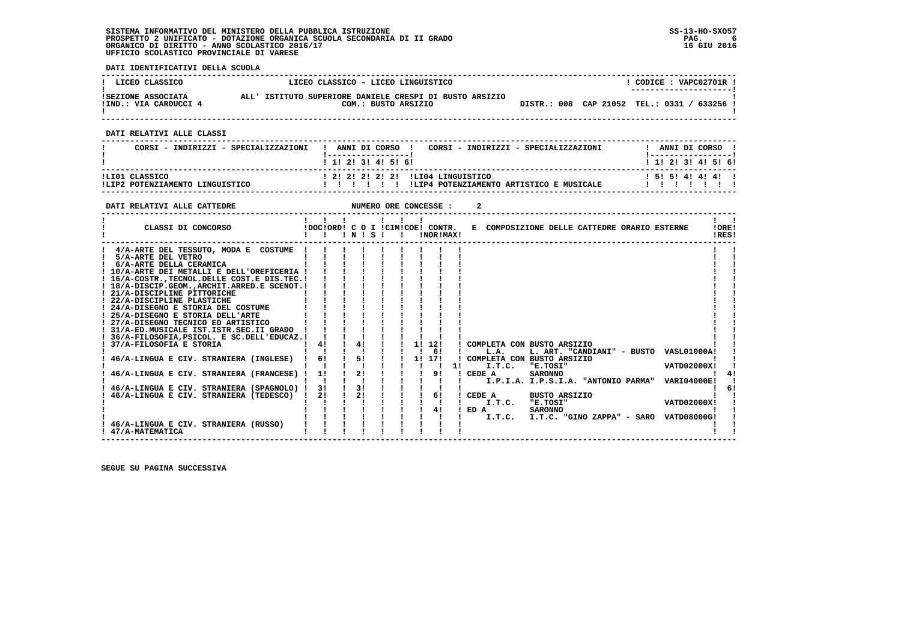**DATI IDENTIFICATIVI DELLA SCUOLA**

| ! LICEO CLASSICO                            | LICEO CLASSICO - LICEO LINGUISTICO                                             |  | CODICE: VAPC02701R !<br>---------------------- |
|---------------------------------------------|--------------------------------------------------------------------------------|--|------------------------------------------------|
| ISEZIONE ASSOCIATA<br>!IND.: VIA CARDUCCI 4 | ALL' ISTITUTO SUPERIORE DANIELE CRESPI DI BUSTO ARSIZIO<br>COM.: BUSTO ARSIZIO |  | DISTR.: 008 CAP 21052 TEL.: 0331 / 633256 !    |

 **------------------------------------------------------------------------------------------------------------------------------------**

 **DATI RELATIVI ALLE CLASSI**

| CORSI - INDIRIZZI - SPECIALIZZAZIONI              | ANNI DI CORSO<br>CORSI - INDIRIZZI - SPECIALIZZAZIONI                          | ANNI DI CORSO         |
|---------------------------------------------------|--------------------------------------------------------------------------------|-----------------------|
|                                                   | 1 1 1 2 1 3 1 4 1 5 1 6 1                                                      | ! 1! 2! 3! 4! 5! 6!   |
| ILI01 CLASSICO<br>!LIP2 POTENZIAMENTO LINGUISTICO | 1 21 21 21 21 21 1LI04 LINGUISTICO<br>ILIP4 POTENZIAMENTO ARTISTICO E MUSICALE | 1 5 1 5 1 4 1 4 1 4 1 |

| DATI RELATIVI ALLE CATTEDRE                                                                                                                                                                                                                                                                                                                                                                                                                                                                                                                                                                                                                                                                                       |                             |                            |  |    | NUMERO ORE CONCESSE :                         |    |                                                                                                                      |                                                                                                                                                                   |  |                                                  |                |
|-------------------------------------------------------------------------------------------------------------------------------------------------------------------------------------------------------------------------------------------------------------------------------------------------------------------------------------------------------------------------------------------------------------------------------------------------------------------------------------------------------------------------------------------------------------------------------------------------------------------------------------------------------------------------------------------------------------------|-----------------------------|----------------------------|--|----|-----------------------------------------------|----|----------------------------------------------------------------------------------------------------------------------|-------------------------------------------------------------------------------------------------------------------------------------------------------------------|--|--------------------------------------------------|----------------|
| CLASSI DI CONCORSO                                                                                                                                                                                                                                                                                                                                                                                                                                                                                                                                                                                                                                                                                                |                             | INISI                      |  |    | IDOCIORD! C O I ICIMICOE! CONTR.<br>!NOR!MAX! |    | E COMPOSIZIONE DELLE CATTEDRE ORARIO ESTERNE                                                                         |                                                                                                                                                                   |  |                                                  | !ORE!<br>IRES! |
| 4/A-ARTE DEL TESSUTO, MODA E COSTUME<br>5/A-ARTE DEL VETRO<br>6/A-ARTE DELLA CERAMICA<br>! 10/A-ARTE DEI METALLI E DELL'OREFICERIA !<br>! 16/A-COSTRTECNOL.DELLE COST.E DIS.TEC.!<br>18/A-DISCIP.GEOMARCHIT.ARRED.E SCENOT.!<br>! 21/A-DISCIPLINE PITTORICHE<br>! 22/A-DISCIPLINE PLASTICHE<br>24/A-DISEGNO E STORIA DEL COSTUME<br>25/A-DISEGNO E STORIA DELL'ARTE<br>! 27/A-DISEGNO TECNICO ED ARTISTICO<br>! 31/A-ED.MUSICALE IST.ISTR.SEC.II GRADO<br>36/A-FILOSOFIA, PSICOL. E SC. DELL'EDUCAZ. !<br>37/A-FILOSOFIA E STORIA<br>46/A-LINGUA E CIV. STRANIERA (INGLESE)<br>46/A-LINGUA E CIV. STRANIERA (FRANCESE) !<br>46/A-LINGUA E CIV. STRANIERA (SPAGNOLO) !<br>46/A-LINGUA E CIV. STRANIERA (TEDESCO) ! | 41<br>61<br>11<br>3 I<br>21 | 4!<br>51<br>21<br>31<br>21 |  | 1! | 12!<br>61<br>1! 17!<br>91<br>61<br>41         | 11 | ! COMPLETA CON BUSTO ARSIZIO<br>L.A.<br>COMPLETA CON BUSTO ARSIZIO<br>I.T.C.<br>! CEDE A<br>CEDE A<br>I.T.C.<br>ED A | L. ART. "CANDIANI" - BUSTO VASL01000A!<br>"E.TOSI"<br><b>SARONNO</b><br>I.P.I.A. I.P.S.I.A. "ANTONIO PARMA"<br><b>BUSTO ARSIZIO</b><br>"E.TOSI"<br><b>SARONNO</b> |  | VATD02000X!<br><b>VARI04000E!</b><br>VATD02000X! | 41<br>-61      |
| 46/A-LINGUA E CIV. STRANIERA (RUSSO)<br>! 47/A-MATEMATICA                                                                                                                                                                                                                                                                                                                                                                                                                                                                                                                                                                                                                                                         |                             |                            |  |    |                                               |    | I.T.C.                                                                                                               | I.T.C. "GINO ZAPPA" - SARO VATD08000G!                                                                                                                            |  |                                                  |                |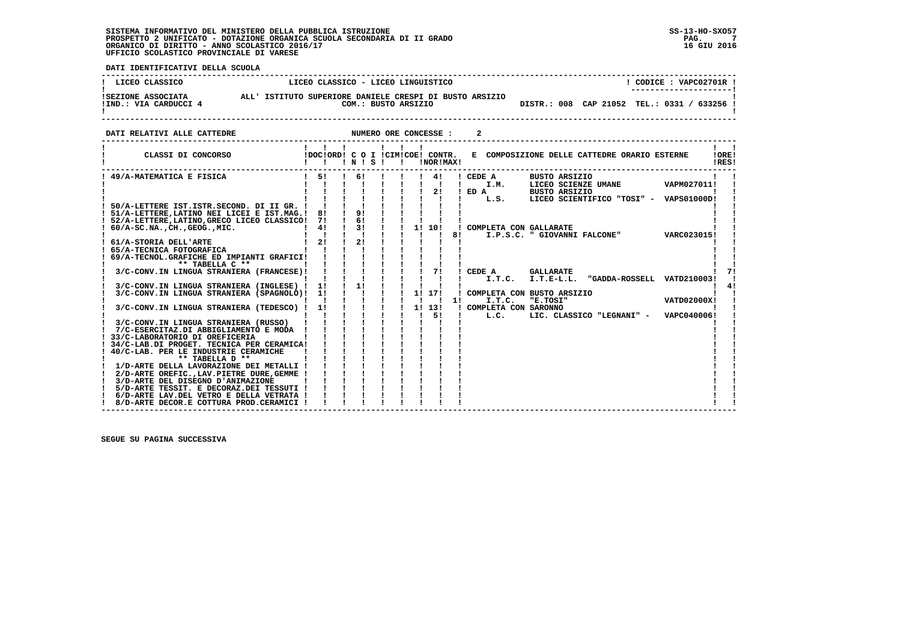**DATI IDENTIFICATIVI DELLA SCUOLA**

| LICEO CLASSICO                              | LICEO CLASSICO - LICEO LINGUISTICO                                             | CODICE: VAPC02701R !<br>---------------------- |
|---------------------------------------------|--------------------------------------------------------------------------------|------------------------------------------------|
| ISEZIONE ASSOCIATA<br>!IND.: VIA CARDUCCI 4 | ALL' ISTITUTO SUPERIORE DANIELE CRESPI DI BUSTO ARSIZIO<br>COM.: BUSTO ARSIZIO | DISTR.: 008 CAP 21052 TEL.: 0331 / 633256 !    |

**DATI RELATIVI ALLE CATTEDRE CONCESSE : 2** 

| CLASSI DI CONCORSO                               |              | $\mathbf{1}$ $\mathbf{1}$ $\mathbf{1}$<br>!DOC!ORD! C O I !CIM!COE! CONTR. | INISI         | $\mathbf{1}$ $\mathbf{1}$ $\mathbf{1}$ |  | !NOR!MAX!      |    |                          | E COMPOSIZIONE DELLE CATTEDRE ORARIO ESTERNE      |             | !ORE!<br>IRES! |
|--------------------------------------------------|--------------|----------------------------------------------------------------------------|---------------|----------------------------------------|--|----------------|----|--------------------------|---------------------------------------------------|-------------|----------------|
| 49/A-MATEMATICA E FISICA                         | $1 \quad 51$ |                                                                            | 61            |                                        |  | 41             |    | ! CEDE A                 | <b>BUSTO ARSIZIO</b>                              |             |                |
|                                                  |              |                                                                            |               |                                        |  | $\blacksquare$ |    | I.M.                     | LICEO SCIENZE UMANE                               | VAPM027011! |                |
|                                                  |              |                                                                            |               |                                        |  | 21             |    | $I$ ED $A$               | BUSTO ARSIZIO                                     |             |                |
|                                                  |              |                                                                            |               |                                        |  |                |    | L.S.                     | LICEO SCIENTIFICO "TOSI" - VAPS01000D!            |             |                |
| 50/A-LETTERE IST.ISTR.SECOND. DI II GR. !        |              |                                                                            |               |                                        |  |                |    |                          |                                                   |             |                |
| ! 51/A-LETTERE, LATINO NEI LICEI E IST.MAG.!     | 8!           |                                                                            | 9!            |                                        |  |                |    |                          |                                                   |             |                |
| ! 52/A-LETTERE, LATINO, GRECO LICEO CLASSICO! 7! |              | $\blacksquare$                                                             | 6!            |                                        |  |                |    |                          |                                                   |             |                |
| $60/A-SC.NA.$ , $CH.$ , $GEOG.$ , $MIC.$         | 41           |                                                                            | $\frac{1}{3}$ |                                        |  | 1! 10!         |    | ! COMPLETA CON GALLARATE |                                                   |             |                |
|                                                  |              |                                                                            |               |                                        |  |                | 8! |                          | I.P.S.C. " GIOVANNI FALCONE"                      | VARC023015! |                |
| 61/A-STORIA DELL'ARTE                            | 21           |                                                                            | 2!            |                                        |  |                |    |                          |                                                   |             |                |
| 65/A-TECNICA FOTOGRAFICA                         |              |                                                                            |               |                                        |  |                |    |                          |                                                   |             |                |
| 69/A-TECNOL.GRAFICHE ED IMPIANTI GRAFICI!        |              |                                                                            |               |                                        |  |                |    |                          |                                                   |             |                |
| ** TABELLA C **                                  |              |                                                                            |               |                                        |  | 71             |    |                          | <b>GALLARATE</b>                                  |             |                |
| 3/C-CONV.IN LINGUA STRANIERA (FRANCESE)!         |              |                                                                            |               |                                        |  |                |    | CEDE A                   | $I.T.C. I.T.E-L.L.$<br>"GADDA-ROSSELL VATD210003! |             |                |
| 3/C-CONV.IN LINGUA STRANIERA (INGLESE) !         | 11           |                                                                            | 1!            |                                        |  |                |    |                          |                                                   |             |                |
| 3/C-CONV.IN LINGUA STRANIERA (SPAGNOLO)!         | 11           |                                                                            |               |                                        |  | 1! 17!         |    |                          | COMPLETA CON BUSTO ARSIZIO                        |             |                |
|                                                  |              |                                                                            |               |                                        |  |                | 11 | I.T.C.                   | "E.TOSI"                                          | VATD02000X! |                |
| 3/C-CONV.IN LINGUA STRANIERA (TEDESCO) !         | 11           |                                                                            |               |                                        |  | 11 131         |    | COMPLETA CON SARONNO     |                                                   |             |                |
|                                                  |              |                                                                            |               |                                        |  | 51<br>Ι.       |    | L.C.                     | LIC. CLASSICO "LEGNANI" - VAPC040006!             |             |                |
| 3/C-CONV.IN LINGUA STRANIERA (RUSSO)             |              |                                                                            |               |                                        |  |                |    |                          |                                                   |             |                |
| 7/C-ESERCITAZ.DI ABBIGLIAMENTO E MODA            |              |                                                                            |               |                                        |  |                |    |                          |                                                   |             |                |
| 33/C-LABORATORIO DI OREFICERIA                   |              |                                                                            |               |                                        |  |                |    |                          |                                                   |             |                |
| 34/C-LAB.DI PROGET. TECNICA PER CERAMICA!        |              |                                                                            |               |                                        |  |                |    |                          |                                                   |             |                |
| 40/C-LAB. PER LE INDUSTRIE CERAMICHE             |              |                                                                            |               |                                        |  |                |    |                          |                                                   |             |                |
| ** TABELLA D **                                  |              |                                                                            |               |                                        |  |                |    |                          |                                                   |             |                |
| 1/D-ARTE DELLA LAVORAZIONE DEI METALLI !         |              |                                                                            |               |                                        |  |                |    |                          |                                                   |             |                |
| 2/D-ARTE OREFIC., LAV. PIETRE DURE, GEMME !      |              |                                                                            |               |                                        |  |                |    |                          |                                                   |             |                |
| 3/D-ARTE DEL DISEGNO D'ANIMAZIONE                |              |                                                                            |               |                                        |  |                |    |                          |                                                   |             |                |
| 5/D-ARTE TESSIT. E DECORAZ.DEI TESSUTI !         |              |                                                                            |               |                                        |  |                |    |                          |                                                   |             |                |
| 6/D-ARTE LAV.DEL VETRO E DELLA VETRATA !         |              |                                                                            |               |                                        |  |                |    |                          |                                                   |             |                |
| 8/D-ARTE DECOR.E COTTURA PROD.CERAMICI !         |              |                                                                            |               |                                        |  |                |    |                          |                                                   |             |                |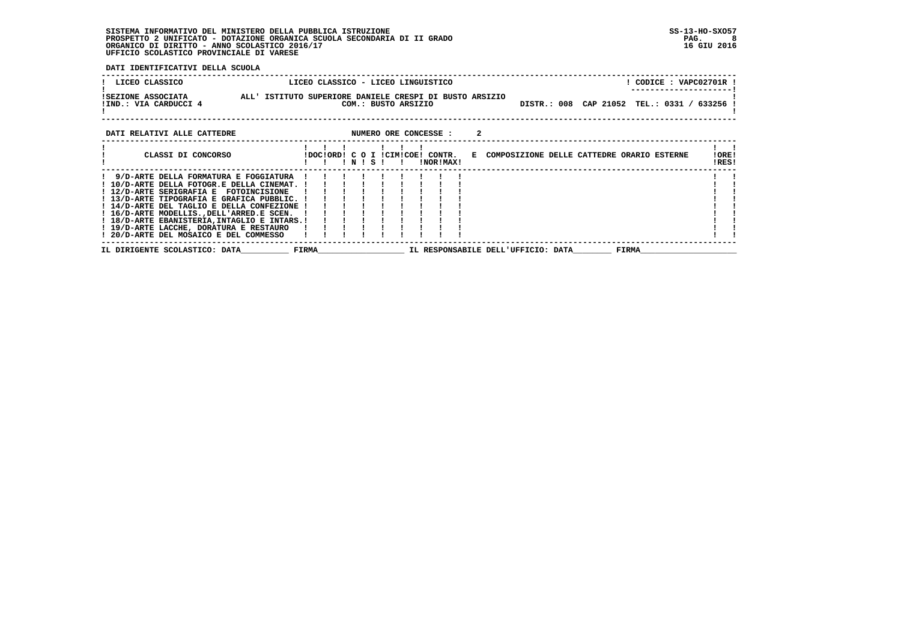**DATI IDENTIFICATIVI DELLA SCUOLA**

| LICEO CLASSICO                                                                                                                                                                                                                                                                                                                                                                                                 |                     | LICEO CLASSICO - LICEO LINGUISTICO |                                    | ! CODICE : VAPC02701R !                                                       |                |
|----------------------------------------------------------------------------------------------------------------------------------------------------------------------------------------------------------------------------------------------------------------------------------------------------------------------------------------------------------------------------------------------------------------|---------------------|------------------------------------|------------------------------------|-------------------------------------------------------------------------------|----------------|
| ALL' ISTITUTO SUPERIORE DANIELE CRESPI DI BUSTO ARSIZIO<br>ISEZIONE ASSOCIATA<br>!IND.: VIA CARDUCCI 4                                                                                                                                                                                                                                                                                                         | COM.: BUSTO ARSIZIO |                                    |                                    | DISTR.: 008 CAP 21052 TEL.: 0331 / 633256 !                                   |                |
| DATI RELATIVI ALLE CATTEDRE                                                                                                                                                                                                                                                                                                                                                                                    |                     | NUMERO ORE CONCESSE :              |                                    |                                                                               |                |
| CLASSI DI CONCORSO                                                                                                                                                                                                                                                                                                                                                                                             | INISI               | !NOR!MAX!                          |                                    | !DOC!ORD! C O I !CIM!COE! CONTR. E COMPOSIZIONE DELLE CATTEDRE ORARIO ESTERNE | !ORE!<br>!RES! |
| 9/D-ARTE DELLA FORMATURA E FOGGIATURA<br>! 10/D-ARTE DELLA FOTOGR.E DELLA CINEMAT. !<br>! 12/D-ARTE SERIGRAFIA E FOTOINCISIONE<br>! 13/D-ARTE TIPOGRAFIA E GRAFICA PUBBLIC. !<br>! 14/D-ARTE DEL TAGLIO E DELLA CONFEZIONE !<br>! 16/D-ARTE MODELLIS., DELL'ARRED.E SCEN.<br>! 18/D-ARTE EBANISTERIA, INTAGLIO E INTARS.!<br>! 19/D-ARTE LACCHE, DORATURA E RESTAURO<br>! 20/D-ARTE DEL MOSAICO E DEL COMMESSO |                     |                                    |                                    |                                                                               |                |
| <b>Example 18 FIRMA</b><br>IL DIRIGENTE SCOLASTICO: DATA                                                                                                                                                                                                                                                                                                                                                       |                     |                                    | IL RESPONSABILE DELL'UFFICIO: DATA | FIRMA                                                                         |                |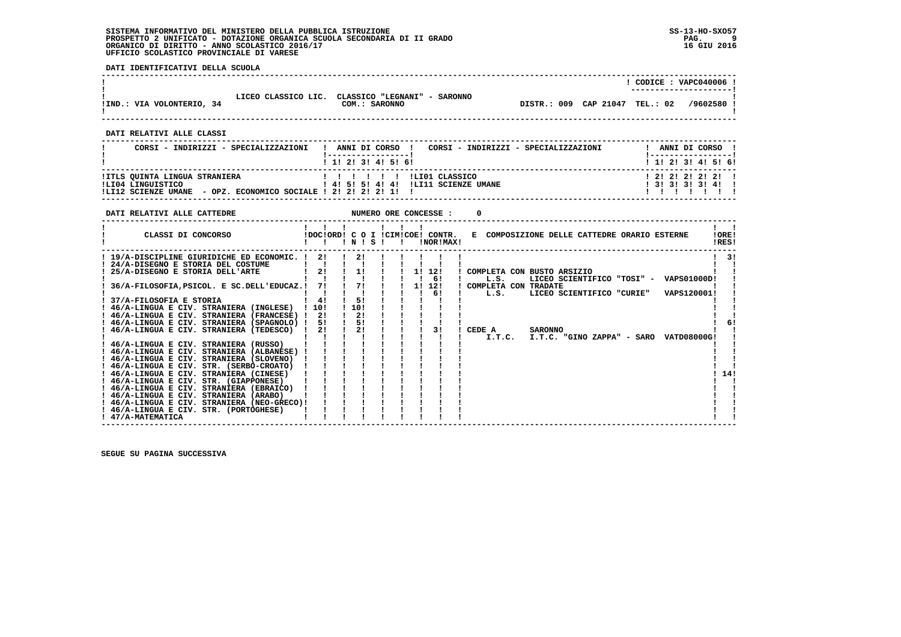**DATI IDENTIFICATIVI DELLA SCUOLA**

|                           |                     |                                               |                                |  | CODICE: VAPC040006 !    |
|---------------------------|---------------------|-----------------------------------------------|--------------------------------|--|-------------------------|
|                           |                     |                                               |                                |  | ----------------------- |
| !IND.: VIA VOLONTERIO, 34 | LICEO CLASSICO LIC. | CLASSICO "LEGNANI" - SARONNO<br>COM.: SARONNO | DISTR.: 009 CAP 21047 TEL.: 02 |  | /9602580:               |

 **------------------------------------------------------------------------------------------------------------------------------------**

 **------------------------------------------------------------------------------------------------------------------------------------**

 **DATI RELATIVI ALLE CLASSI**

| CORSI - INDIRIZZI - SPECIALIZZAZIONI                                                                                  | CORSI - INDIRIZZI - SPECIALIZZAZIONI<br>ANNI DI CORSO !                                                                                                                                                                                                                                                                                                                                                                                                                                                                            | ANNI DI CORSO !                             |
|-----------------------------------------------------------------------------------------------------------------------|------------------------------------------------------------------------------------------------------------------------------------------------------------------------------------------------------------------------------------------------------------------------------------------------------------------------------------------------------------------------------------------------------------------------------------------------------------------------------------------------------------------------------------|---------------------------------------------|
|                                                                                                                       | 1 1 1 2 1 3 1 4 1 5 1 6 1                                                                                                                                                                                                                                                                                                                                                                                                                                                                                                          | 1 1 2 3 3 4 5 6 1                           |
| !ITLS QUINTA LINGUA STRANIERA<br>ILI04 LINGUISTICO<br>!LI12 SCIENZE UMANE - OPZ. ECONOMICO SOCIALE ! 2! 2! 2! 2! 1! ! | $\blacksquare$ $\blacksquare$ $\blacksquare$ $\blacksquare$ $\blacksquare$ $\blacksquare$ $\blacksquare$ $\blacksquare$ $\blacksquare$ $\blacksquare$ $\blacksquare$ $\blacksquare$ $\blacksquare$ $\blacksquare$ $\blacksquare$ $\blacksquare$ $\blacksquare$ $\blacksquare$ $\blacksquare$ $\blacksquare$ $\blacksquare$ $\blacksquare$ $\blacksquare$ $\blacksquare$ $\blacksquare$ $\blacksquare$ $\blacksquare$ $\blacksquare$ $\blacksquare$ $\blacksquare$ $\blacksquare$ $\blacks$<br>! 4! 5! 5! 4! 4! !LI11 SCIENZE UMANE | 1 2 1 2 1 2 1 2 1 1<br>$1$ 31 31 31 31 41 1 |

| DATI RELATIVI ALLE CATTEDRE                                                                                                                                                                                                                                                                                                                                   |                              |                              |  | NUMERO ORE CONCESSE :                         |                                                                        |                |  |                                                                                 |                |     |
|---------------------------------------------------------------------------------------------------------------------------------------------------------------------------------------------------------------------------------------------------------------------------------------------------------------------------------------------------------------|------------------------------|------------------------------|--|-----------------------------------------------|------------------------------------------------------------------------|----------------|--|---------------------------------------------------------------------------------|----------------|-----|
| CLASSI DI CONCORSO                                                                                                                                                                                                                                                                                                                                            |                              | INISI                        |  | !DOC!ORD! C O I !CIM!COE! CONTR.<br>INORIMAX! |                                                                        |                |  | E COMPOSIZIONE DELLE CATTEDRE ORARIO ESTERNE                                    | IORE!<br>IRES! |     |
| ! 19/A-DISCIPLINE GIURIDICHE ED ECONOMIC. !<br>24/A-DISEGNO E STORIA DEL COSTUME<br>25/A-DISEGNO E STORIA DELL'ARTE<br>36/A-FILOSOFIA, PSICOL. E SC.DELL'EDUCAZ.!<br>37/A-FILOSOFIA E STORIA<br>46/A-LINGUA E CIV. STRANIERA (INGLESE)                                                                                                                        | 21<br>2!<br>71<br>41<br>1101 | 21<br>1!<br>71<br>51<br>110! |  | 1! 12!<br>61<br>1! 12!<br>61                  | ! COMPLETA CON BUSTO ARSIZIO<br>L.S.<br>! COMPLETA CON TRADATE<br>L.S. |                |  | LICEO SCIENTIFICO "TOSI" - VAPS01000D!<br>LICEO SCIENTIFICO "CURIE" VAPS120001! |                | 3!  |
| ! 46/A-LINGUA E CIV. STRANIERA (FRANCESE) !<br>! 46/A-LINGUA E CIV. STRANIERA (SPAGNOLO) !<br>! 46/A-LINGUA E CIV. STRANIERA (TEDESCO) !<br>! 46/A-LINGUA E CIV. STRANIERA (RUSSO)                                                                                                                                                                            | 21<br>51<br>2!               | -21<br>5!<br>2!              |  | 3 I                                           | CEDE A<br>I.T.C.                                                       | <b>SARONNO</b> |  | I.T.C. "GINO ZAPPA" - SARO VATD08000G!                                          |                |     |
| ! 46/A-LINGUA E CIV. STRANIERA (ALBANESE) !<br>! 46/A-LINGUA E CIV. STRANIERA (SLOVENO)<br>! 46/A-LINGUA E CIV. STR. (SERBO-CROATO)<br>! 46/A-LINGUA E CIV. STRANIERA (CINESE)<br>! 46/A-LINGUA E CIV. STR. (GIAPPONESE)<br>! 46/A-LINGUA E CIV. STRANIERA (EBRAICO)<br>! 46/A-LINGUA E CIV. STRANIERA (ARABO)<br>! 46/A-LINGUA E CIV. STRANIERA (NEO-GRECO)! |                              |                              |  |                                               |                                                                        |                |  |                                                                                 |                | 14! |
| ! 46/A-LINGUA E CIV. STR. (PORTOGHESE)<br>! 47/A-MATEMATICA                                                                                                                                                                                                                                                                                                   |                              |                              |  |                                               |                                                                        |                |  |                                                                                 |                |     |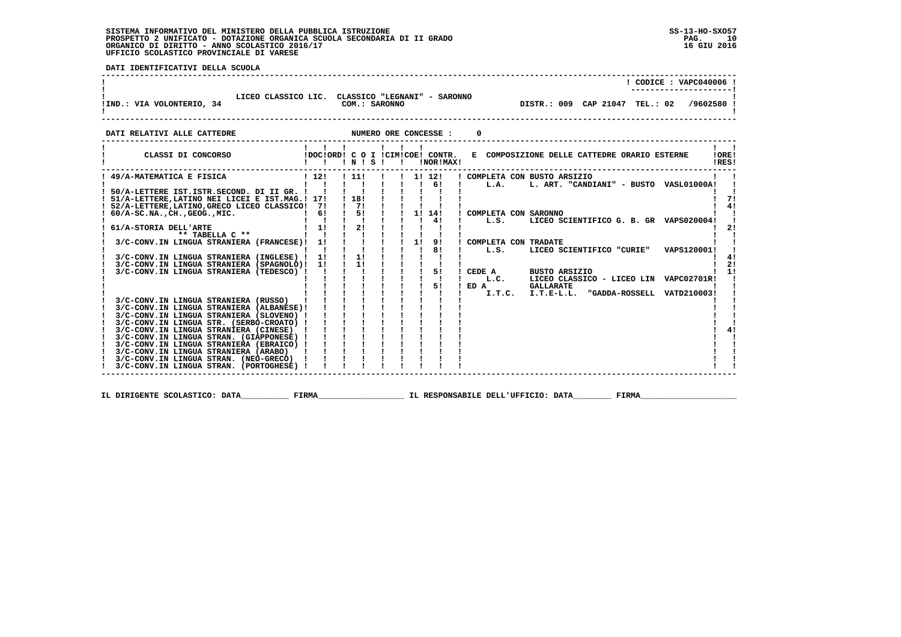**DATI IDENTIFICATIVI DELLA SCUOLA**

|                                                                                                                                              |                                                                       |               |  |  | $!$ CODICE : VAPC040006 !                                                                                                                                       |                               |
|----------------------------------------------------------------------------------------------------------------------------------------------|-----------------------------------------------------------------------|---------------|--|--|-----------------------------------------------------------------------------------------------------------------------------------------------------------------|-------------------------------|
| LICEO CLASSICO LIC. CLASSICO "LEGNANI" - SARONNO<br>!IND.: VIA VOLONTERIO, 34                                                                |                                                                       | COM.: SARONNO |  |  | DISTR.: 009 CAP 21047 TEL.: 02 /9602580 !                                                                                                                       |                               |
|                                                                                                                                              |                                                                       |               |  |  |                                                                                                                                                                 |                               |
| ! CLASSI DI CONCORSO (DOCIORDI CO I ICIMICOEI CONTR.                                                                                         | $\begin{array}{cccccccccccccc} 1 & 1 & 1 & 1 & 1 & 1 & 1 \end{array}$ |               |  |  | E COMPOSIZIONE DELLE CATTEDRE ORARIO ESTERNE                                                                                                                    | $1 \quad 1$<br>!ORE!<br>!RES! |
| ! 49/A-MATEMATICA E FISICA                                                                                                                   |                                                                       |               |  |  | ! 12! ! 11! ! ! 1! 12! ! COMPLETA CON BUSTO ARSIZIO<br>$1 \quad 1 \quad 1 \quad 1 \quad 1 \quad 61 \quad 1 \quad L.A.$ L. ART. "CANDIANI" - BUSTO VASL01000A! ! |                               |
|                                                                                                                                              |                                                                       |               |  |  |                                                                                                                                                                 | l 71<br>41                    |
|                                                                                                                                              |                                                                       |               |  |  | I L.S. LICEO SCIENTIFICO G. B. GR VAPS020004!                                                                                                                   | 21                            |
|                                                                                                                                              |                                                                       |               |  |  | ! L.S. LICEO SCIENTIFICO "CURIE" VAPS120001!                                                                                                                    |                               |
|                                                                                                                                              |                                                                       |               |  |  |                                                                                                                                                                 | $1 \quad 41$<br>! 2!          |
|                                                                                                                                              |                                                                       |               |  |  | ! CEDE A BUSTO ARSIZIO<br>! L.C. LICEO CLASSICO - LICEO LIN VAPC02701R!<br>! ED A GALLARATE                                                                     | $\overline{11}$               |
| 3/C-CONV.IN LINGUA STRANIERA (ALBANESE)!                                                                                                     |                                                                       | i i i i i i   |  |  | I.T.C. I.T.E-L.L. "GADDA-ROSSELL VATD210003!                                                                                                                    |                               |
| 3/C-CONV.IN LINGUA STRANIERA (SLOVENO) !<br>3/C-CONV.IN LINGUA STR. (SERBO-CROATO) !<br>3/C-CONV.IN LINGUA STRANIERA (CINESE) !              |                                                                       |               |  |  |                                                                                                                                                                 |                               |
| 3/C-CONV.IN LINGUA STRAN. (GIAPPONESE) !<br>3/C-CONV.IN LINGUA STRANIERA (EBRAICO) !                                                         |                                                                       |               |  |  |                                                                                                                                                                 |                               |
| 3/C-CONV.IN LINGUA STRANIERA (ARABO) ! ! ! ! !<br>3/C-CONV. IN LINGUA STRAN. (NEO-GRECO) ! ! ! !<br>3/C-CONV.IN LINGUA STRAN. (PORTOGHESE) ! |                                                                       |               |  |  |                                                                                                                                                                 |                               |

  **------------------------------------------------------------------------------------------------------------------------------------**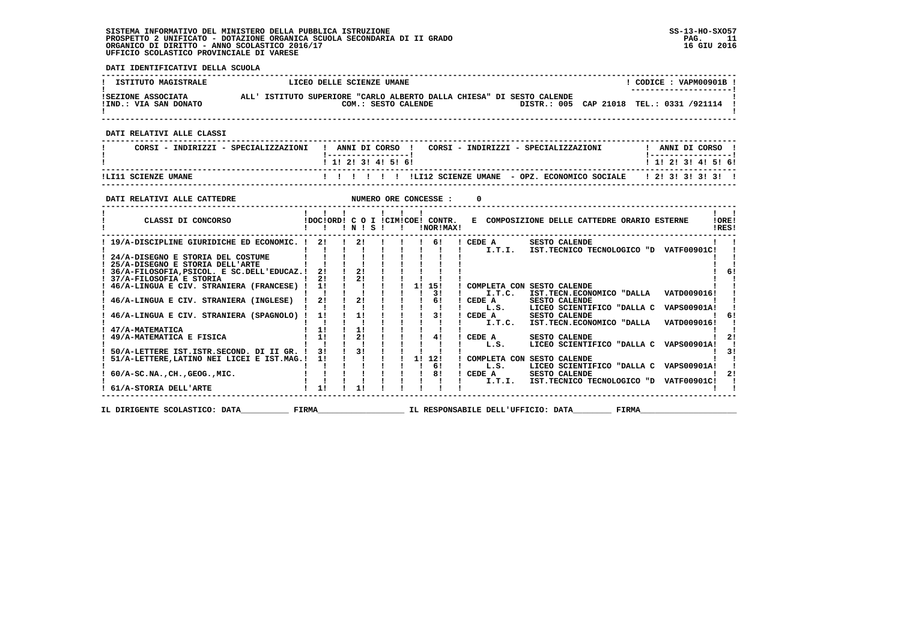**DATI IDENTIFICATIVI DELLA SCUOLA**

| LICEO DELLE SCIENZE UMANE |               |                                                                                                                                                                                                                                                                                                                                                                                                                                                                                                  | $!$ CODICE : VAPM00901B $!$                                                                                                                                                                                                                                                                                                                                                                                                                                                                                                                                                                                                                                                                                                                                                                                                                                                                                                                                                                                                                                                                                                                                                                         |
|---------------------------|---------------|--------------------------------------------------------------------------------------------------------------------------------------------------------------------------------------------------------------------------------------------------------------------------------------------------------------------------------------------------------------------------------------------------------------------------------------------------------------------------------------------------|-----------------------------------------------------------------------------------------------------------------------------------------------------------------------------------------------------------------------------------------------------------------------------------------------------------------------------------------------------------------------------------------------------------------------------------------------------------------------------------------------------------------------------------------------------------------------------------------------------------------------------------------------------------------------------------------------------------------------------------------------------------------------------------------------------------------------------------------------------------------------------------------------------------------------------------------------------------------------------------------------------------------------------------------------------------------------------------------------------------------------------------------------------------------------------------------------------|
|                           |               |                                                                                                                                                                                                                                                                                                                                                                                                                                                                                                  |                                                                                                                                                                                                                                                                                                                                                                                                                                                                                                                                                                                                                                                                                                                                                                                                                                                                                                                                                                                                                                                                                                                                                                                                     |
|                           |               |                                                                                                                                                                                                                                                                                                                                                                                                                                                                                                  |                                                                                                                                                                                                                                                                                                                                                                                                                                                                                                                                                                                                                                                                                                                                                                                                                                                                                                                                                                                                                                                                                                                                                                                                     |
|                           |               |                                                                                                                                                                                                                                                                                                                                                                                                                                                                                                  |                                                                                                                                                                                                                                                                                                                                                                                                                                                                                                                                                                                                                                                                                                                                                                                                                                                                                                                                                                                                                                                                                                                                                                                                     |
|                           |               |                                                                                                                                                                                                                                                                                                                                                                                                                                                                                                  | 1 1 2 3 3 4 5 6                                                                                                                                                                                                                                                                                                                                                                                                                                                                                                                                                                                                                                                                                                                                                                                                                                                                                                                                                                                                                                                                                                                                                                                     |
|                           |               |                                                                                                                                                                                                                                                                                                                                                                                                                                                                                                  |                                                                                                                                                                                                                                                                                                                                                                                                                                                                                                                                                                                                                                                                                                                                                                                                                                                                                                                                                                                                                                                                                                                                                                                                     |
|                           |               | $^{\circ}$                                                                                                                                                                                                                                                                                                                                                                                                                                                                                       |                                                                                                                                                                                                                                                                                                                                                                                                                                                                                                                                                                                                                                                                                                                                                                                                                                                                                                                                                                                                                                                                                                                                                                                                     |
|                           |               |                                                                                                                                                                                                                                                                                                                                                                                                                                                                                                  | $\mathbf{I}$ and $\mathbf{I}$<br>IOREI<br>!RES!                                                                                                                                                                                                                                                                                                                                                                                                                                                                                                                                                                                                                                                                                                                                                                                                                                                                                                                                                                                                                                                                                                                                                     |
|                           |               |                                                                                                                                                                                                                                                                                                                                                                                                                                                                                                  | 6!                                                                                                                                                                                                                                                                                                                                                                                                                                                                                                                                                                                                                                                                                                                                                                                                                                                                                                                                                                                                                                                                                                                                                                                                  |
|                           |               |                                                                                                                                                                                                                                                                                                                                                                                                                                                                                                  |                                                                                                                                                                                                                                                                                                                                                                                                                                                                                                                                                                                                                                                                                                                                                                                                                                                                                                                                                                                                                                                                                                                                                                                                     |
|                           |               |                                                                                                                                                                                                                                                                                                                                                                                                                                                                                                  |                                                                                                                                                                                                                                                                                                                                                                                                                                                                                                                                                                                                                                                                                                                                                                                                                                                                                                                                                                                                                                                                                                                                                                                                     |
|                           |               |                                                                                                                                                                                                                                                                                                                                                                                                                                                                                                  | $1 \quad 21$                                                                                                                                                                                                                                                                                                                                                                                                                                                                                                                                                                                                                                                                                                                                                                                                                                                                                                                                                                                                                                                                                                                                                                                        |
|                           |               |                                                                                                                                                                                                                                                                                                                                                                                                                                                                                                  | $\frac{1}{3}$                                                                                                                                                                                                                                                                                                                                                                                                                                                                                                                                                                                                                                                                                                                                                                                                                                                                                                                                                                                                                                                                                                                                                                                       |
|                           |               |                                                                                                                                                                                                                                                                                                                                                                                                                                                                                                  |                                                                                                                                                                                                                                                                                                                                                                                                                                                                                                                                                                                                                                                                                                                                                                                                                                                                                                                                                                                                                                                                                                                                                                                                     |
|                           | $\frac{1}{1}$ | <u>  __________________</u>  <br>! 1! 2! 3! 4! 5! 6!<br>1 1 1 1 1 1 1<br>$1 \t24/A-DISEGNO$ E STORIA DEL COSTUME $1 \t1 \t1 \t1 \t1$<br>$\frac{1}{2}$ , $\frac{1}{2}$ , $\frac{1}{2}$ , $\frac{1}{2}$ , $\frac{1}{2}$ , $\frac{1}{2}$ , $\frac{1}{2}$ , $\frac{1}{2}$<br>! 36/A-FILOSOFIA, PSICOL. E SC. DELL'EDUCAZ. ! 2! ! 2! ! ! ! ! !<br>$12!$ 1 21 1 21 1 1 1 1<br>1 1 1 1 1 1 1 31<br>$\frac{1}{2}$ 1 1 $\frac{1}{2}$ 1 $\frac{1}{2}$ 1 $\frac{1}{2}$ 1 $\frac{1}{2}$<br>1 1 1 1 1 1 1 6 1 | ISEZIONE ASSOCIATA ALL'ISTITUTO SUPERIORE "CARLO ALBERTO DALLA CHIESA" DI SESTO CALENDE<br>COM.: SESTO CALENDE DISTR.: 005 CAP 21018 TEL.: 0331 /921114 !<br>CORSI - INDIRIZZI - SPECIALIZZAZIONI   ANNI DI CORSO   CORSI - INDIRIZZI - SPECIALIZZAZIONI     ANNI DI CORSO  <br>$\blacksquare$ $\blacksquare$ $\blacksquare$ $\blacksquare$ $\blacksquare$ $\blacksquare$ $\blacksquare$ $\blacksquare$ $\blacksquare$ $\blacksquare$ $\blacksquare$ $\blacksquare$ $\blacksquare$ $\blacksquare$ $\blacksquare$ $\blacksquare$ $\blacksquare$ $\blacksquare$ $\blacksquare$ $\blacksquare$ $\blacksquare$ $\blacksquare$ $\blacksquare$ $\blacksquare$ $\blacksquare$ $\blacksquare$ $\blacksquare$ $\blacksquare$ $\blacksquare$ $\blacksquare$ $\blacksquare$ $\blacks$<br>IDOCIORDI C O I ICIMICOEI CONTR. E COMPOSIZIONE DELLE CATTEDRE ORARIO ESTERNE<br>! 19/A-DISCIPLINE GIURIDICHE ED ECONOMIC. ! 2! ! 2! ! ! ! 6! ! CEDE A SESTO CALENDE<br>1 46/A-LINGUA E CIV. STRANIERA (FRANCESE) 1 11 1 1 1 1 1 1 1 151 1 COMPLETA CON SESTO CALENDE<br>! I.T.C. IST.TECN.ECONOMICO "DALLA VATD009016!<br>LICEO SCIENTIFICO "DALLA C VAPS00901A!!<br>! L.S. LICEO SCIENTIFICO "DALLA C VAPS00901A! ! |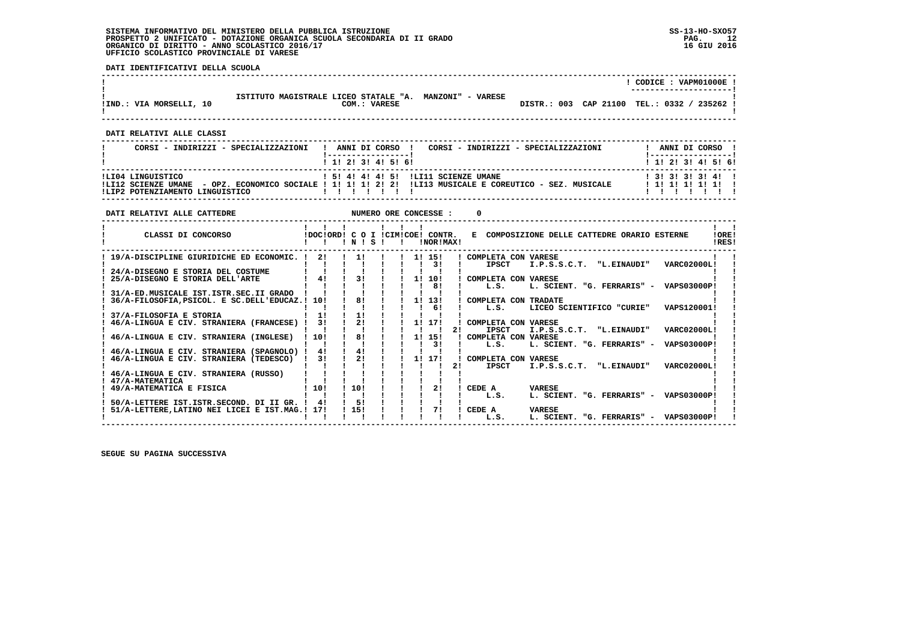**DATI IDENTIFICATIVI DELLA SCUOLA**

|                         |                                                         |  | CODICE: VAPM01000E!                         |
|-------------------------|---------------------------------------------------------|--|---------------------------------------------|
|                         |                                                         |  | ----------------------                      |
|                         | ISTITUTO MAGISTRALE LICEO STATALE "A. MANZONI" - VARESE |  |                                             |
| IIND.: VIA MORSELLI, 10 | COM.: VARESE                                            |  | DISTR.: 003 CAP 21100 TEL.: 0332 / 235262 ! |
|                         |                                                         |  |                                             |
|                         |                                                         |  |                                             |

 **------------------------------------------------------------------------------------------------------------------------------------**

 **DATI RELATIVI ALLE CLASSI**

| CORSI - INDIRIZZI - SPECIALIZZAZIONI                 | CORSI - INDIRIZZI - SPECIALIZZAZIONI<br>ANNI DI CORSO !<br>$\mathbf{I}$                                                                          | ANNI DI CORSO !                              |
|------------------------------------------------------|--------------------------------------------------------------------------------------------------------------------------------------------------|----------------------------------------------|
|                                                      | 1 1 2 3 3 4 5 5 6 1                                                                                                                              | 1 1 2 3 3 4 5 5 6 1                          |
| ILI04 LINGUISTICO<br>!LIP2 POTENZIAMENTO LINGUISTICO | 1 51 41 41 41 51 ILI11 SCIENZE UMANE<br>ILI12 SCIENZE UMANE - OPZ. ECONOMICO SOCIALE ! 1! 1! 1! 2! 2! !LI13 MUSICALE E COREUTICO - SEZ. MUSICALE | $1$ 31 31 31 31 41 1<br>$1$ 1! 1! 1! 1! 1! 1 |

| DATI RELATIVI ALLE CATTEDRE                                                         |          |          |          |              |    | NUMERO ORE CONCESSE :                         |    |                                                                                  |  |
|-------------------------------------------------------------------------------------|----------|----------|----------|--------------|----|-----------------------------------------------|----|----------------------------------------------------------------------------------|--|
| CLASSI DI CONCORSO                                                                  |          | INISI    |          | $\mathbf{I}$ |    | IDOCIORD! C O I ICIMICOE! CONTR.<br>INORIMAXI |    | E COMPOSIZIONE DELLE CATTEDRE ORARIO ESTERNE<br>!ORE!<br>IRES!                   |  |
| 19/A-DISCIPLINE GIURIDICHE ED ECONOMIC. !                                           | 21       |          | $1!$ $1$ |              |    | 11 151<br>3 I                                 |    | ! COMPLETA CON VARESE<br>I.P.S.S.C.T. "L.EINAUDI"<br>VARC02000L!<br><b>IPSCT</b> |  |
| 24/A-DISEGNO E STORIA DEL COSTUME                                                   |          |          |          |              |    |                                               |    |                                                                                  |  |
| 25/A-DISEGNO E STORIA DELL'ARTE                                                     | 41       | 31       |          |              | 11 | 10!<br>81                                     |    | ! COMPLETA CON VARESE<br>L. SCIENT. "G. FERRARIS" - VAPS03000P!<br>L.S.          |  |
| 31/A-ED.MUSICALE IST.ISTR.SEC.II GRADO                                              |          | 81       |          |              |    |                                               |    |                                                                                  |  |
| 36/A-FILOSOFIA, PSICOL. E SC. DELL'EDUCAZ.! 10!                                     |          |          |          |              |    | 1! 13!<br>61                                  |    | ! COMPLETA CON TRADATE<br>LICEO SCIENTIFICO "CURIE"<br>VAPS120001!<br>L.S.       |  |
| 37/A-FILOSOFIA E STORIA<br>46/A-LINGUA E CIV. STRANIERA (FRANCESE) !                | 11<br>31 | 11<br>21 |          |              |    | 11 171                                        |    | COMPLETA CON VARESE                                                              |  |
|                                                                                     |          |          |          |              |    |                                               | 21 | I.P.S.S.C.T. "L.EINAUDI"<br><b>IPSCT</b><br><b>VARC02000L!</b>                   |  |
| 46/A-LINGUA E CIV. STRANIERA (INGLESE)                                              | 10!      | 81       |          |              | 1! | 151<br>31                                     |    | COMPLETA CON VARESE<br>L. SCIENT. "G. FERRARIS" -<br>VAPS03000P!<br>L.S.         |  |
| 46/A-LINGUA E CIV. STRANIERA (SPAGNOLO) !<br>46/A-LINGUA E CIV. STRANIERA (TEDESCO) | 41<br>31 | 41<br>21 |          |              |    | 11 171                                        |    | COMPLETA CON VARESE                                                              |  |
|                                                                                     |          |          |          |              |    |                                               | 21 | "L.EINAUDI"<br>VARC02000L!<br><b>IPSCT</b><br>I.P.S.S.C.T.                       |  |
| 46/A-LINGUA E CIV. STRANIERA (RUSSO)<br>47/A-MATEMATICA                             |          |          |          |              |    |                                               |    |                                                                                  |  |
| 49/A-MATEMATICA E FISICA                                                            | ! 10!    | 110!     |          |              |    | 21                                            |    | CEDE A<br><b>VARESE</b>                                                          |  |
| 50/A-LETTERE IST.ISTR.SECOND. DI II GR. !                                           | 41       | 51       |          |              |    |                                               |    | L. SCIENT. "G. FERRARIS" - VAPS03000P!<br>L.S.                                   |  |
| 51/A-LETTERE, LATINO NEI LICEI E IST.MAG.! 17!                                      |          | 115!     |          |              |    | 71                                            |    | CEDE A<br><b>VARESE</b><br>L. SCIENT. "G. FERRARIS" - VAPS03000P!<br>L.S.        |  |
|                                                                                     |          |          |          |              |    |                                               |    |                                                                                  |  |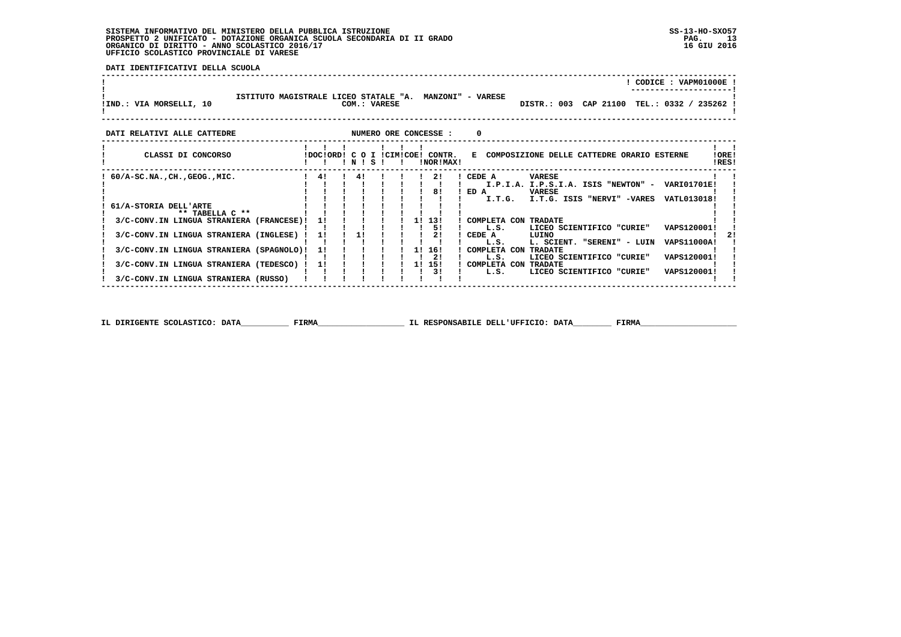**DATI IDENTIFICATIVI DELLA SCUOLA**

|                                                                  |    |              |                                                 | CODICE: VAPM01000E                                                                                                                                            |
|------------------------------------------------------------------|----|--------------|-------------------------------------------------|---------------------------------------------------------------------------------------------------------------------------------------------------------------|
| ISTITUTO MAGISTRALE LICEO STATALE "A.<br>IIND.: VIA MORSELLI, 10 |    | COM.: VARESE |                                                 | <b>MANZONI" - VARESE</b><br>DISTR.: 003 CAP 21100<br>TEL.: 0332 / 235262 !                                                                                    |
| DATI RELATIVI ALLE CATTEDRE                                      |    |              | NUMERO ORE CONCESSE :                           |                                                                                                                                                               |
| CLASSI DI CONCORSO                                               |    | INIS         | IDOCIORD! C O I ICIMICOE! CONTR.<br>INOR ! MAX! | E COMPOSIZIONE DELLE CATTEDRE ORARIO ESTERNE<br>!ORE!<br>!RES!                                                                                                |
| $60/A-SC.NA.$ , $CH.$ , $GEOG.$ , $MIC.$                         | 4! |              | -21<br>81                                       | CEDE A<br><b>VARESE</b><br>I.P.I.A. I.P.S.I.A. ISIS "NEWTON" -<br>VARI01701E!<br>ED A<br><b>VARESE</b><br>I.T.G.<br>I.T.G. ISIS "NERVI" -VARES<br>VATL013018! |
| 61/A-STORIA DELL'ARTE<br>** TABELLA C **                         |    |              |                                                 |                                                                                                                                                               |
| 3/C-CONV.IN LINGUA STRANIERA (FRANCESE)!                         | 11 |              | 1! 13!<br>-51                                   | COMPLETA CON TRADATE<br>LICEO SCIENTIFICO "CURIE"<br>VAPS120001!<br>L.S.                                                                                      |
| 3/C-CONV.IN LINGUA STRANIERA (INGLESE)                           | 11 | 1!           |                                                 | CEDE A<br>LUINO<br>VAPS11000A!<br>L. SCIENT. "SERENI" - LUIN<br>L.S.                                                                                          |
| 3/C-CONV.IN LINGUA STRANIERA (SPAGNOLO)!                         | 11 |              | 1! 16!<br>-21                                   | COMPLETA CON TRADATE<br>VAPS120001!<br>L.S.<br>LICEO SCIENTIFICO "CURIE"                                                                                      |
| 3/C-CONV.IN LINGUA STRANIERA (TEDESCO)                           | 11 |              | 1! 15!<br>31                                    | ! COMPLETA CON TRADATE<br>VAPS120001!<br>LICEO SCIENTIFICO "CURIE"<br>L.S.                                                                                    |
| 3/C-CONV.IN LINGUA STRANIERA (RUSSO)                             |    |              |                                                 |                                                                                                                                                               |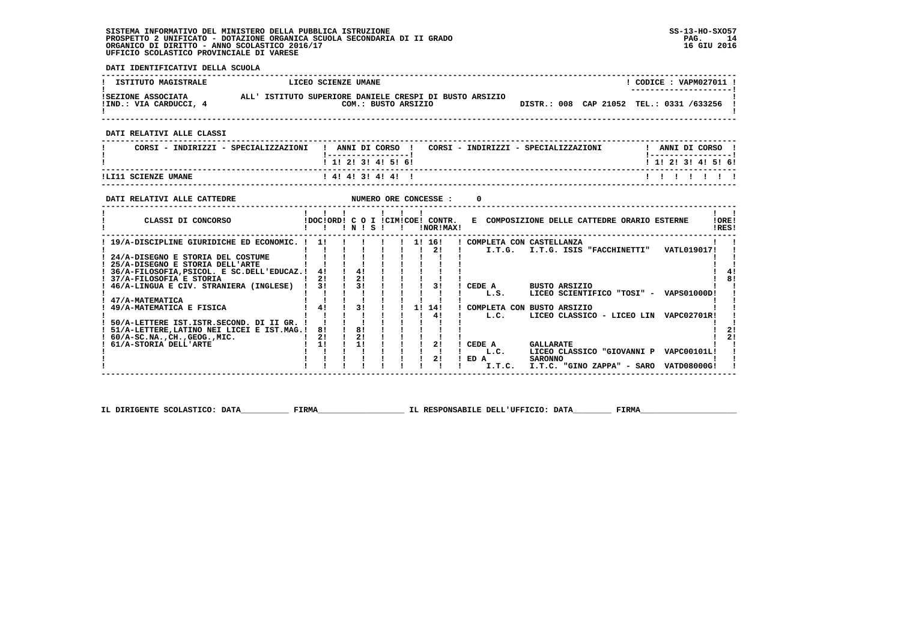**DATI IDENTIFICATIVI DELLA SCUOLA**

| <b>ISTITUTO MAGISTRALE</b>                                                                                                                                                                                                                                                                                                                                                  | LICEO SCIENZE UMANE                         |                                             |                                             |                                           |                                                                                                                                                                  | ! CODICE : VAPM027011 !                           |          |
|-----------------------------------------------------------------------------------------------------------------------------------------------------------------------------------------------------------------------------------------------------------------------------------------------------------------------------------------------------------------------------|---------------------------------------------|---------------------------------------------|---------------------------------------------|-------------------------------------------|------------------------------------------------------------------------------------------------------------------------------------------------------------------|---------------------------------------------------|----------|
| ISEZIONE ASSOCIATA ALL'ISTITUTO SUPERIORE DANIELE CRESPI DI BUSTO ARSIZIO IND.: VIA CARDUCCI, 4 COM.: BUSTO ARSIZIO                                                                                                                                                                                                                                                         |                                             |                                             |                                             |                                           | DISTR.: 008 CAP 21052 TEL.: 0331 /633256 !                                                                                                                       |                                                   |          |
| DATI RELATIVI ALLE CLASSI                                                                                                                                                                                                                                                                                                                                                   |                                             |                                             |                                             |                                           |                                                                                                                                                                  |                                                   |          |
| CORSI - INDIRIZZI - SPECIALIZZAZIONI   ANNI DI CORSO   CORSI - INDIRIZZI - SPECIALIZZAZIONI     ANNI DI CORSO                                                                                                                                                                                                                                                               |                                             | !------------------!<br>! 1! 2! 3! 4! 5! 6! |                                             |                                           |                                                                                                                                                                  | !------------------!<br>1 1 2 2 1 3 1 4 1 5 1 6 1 |          |
|                                                                                                                                                                                                                                                                                                                                                                             |                                             | ! 4! 4! 3! 4! 4! !                          |                                             |                                           |                                                                                                                                                                  | 1 1 1 1 1 1 1                                     |          |
| DATI RELATIVI ALLE CATTEDRE                                                                                                                                                                                                                                                                                                                                                 |                                             |                                             |                                             | 0                                         |                                                                                                                                                                  |                                                   |          |
| CLASSI DI CONCORSO CON PROCIORDI COLICIMICOE CONTR. E COMPOSIZIONE DELLE CATTEDRE ORARIO ESTERNE                                                                                                                                                                                                                                                                            | $1 \quad 1 \quad 1 \quad 1 \quad 1 \quad 1$ |                                             |                                             |                                           |                                                                                                                                                                  | $\mathbf{I}$ and $\mathbf{I}$<br>! ORE!<br>!RES!  |          |
| ! 19/A-DISCIPLINE GIURIDICHE ED ECONOMIC. ! 1! ! ! ! ! ! 1! 16! ! COMPLETA CON CASTELLANZA<br>24/A-DISEGNO E STORIA DEL COSTUME<br>25/A-DISEGNO E STORIA DELL'ARTE<br>! 36/A-FILOSOFIA, PSICOL. E SC. DELL'EDUCAZ. ! 4! ! 4!<br>$\frac{1}{2!}$<br>! 37/A-FILOSOFIA E STORIA<br>! 46/A-LINGUA E CIV. STRANIERA (INGLESE) ! 3!<br>47/A-MATEMATICA<br>49/A-MATEMATICA E FISICA | $\mathbf{I}$<br>$\frac{1}{4!}$              | 21<br>31<br>3!                              | 1 1 1 1 1 2 1 1<br>$\frac{1}{3!}$<br>1! 14! | L.S.                                      | I.T.G. I.T.G. ISIS "FACCHINETTI" VATL019017!<br>! CEDE A BUSTO ARSIZIO<br>LICEO SCIENTIFICO "TOSI" - VAPS01000D!<br>! COMPLETA CON BUSTO ARSIZIO                 |                                                   | 41<br>81 |
| 50/A-LETTERE IST. ISTR. SECOND. DI II GR. !!<br>! 51/A-LETTERE.LATINO NEI LICEI E IST.MAG.! 8!<br>60/A-SC.NA.,CH.,GEOG.,MIC.<br>61/A-STORIA DELL'ARTE                                                                                                                                                                                                                       | $\frac{1}{1}$ 8!<br>21<br>11                | 21<br>11                                    | 41<br>2!<br>21                              | L.C.<br>ICEDE A<br>L.C.<br>ED A<br>I.T.C. | LICEO CLASSICO - LICEO LIN VAPC02701R!<br><b>GALLARATE</b><br>LICEO CLASSICO "GIOVANNI P VAPC00101L!<br><b>SARONNO</b><br>I.T.C. "GINO ZAPPA" - SARO VATD08000G! |                                                   | 21<br>2! |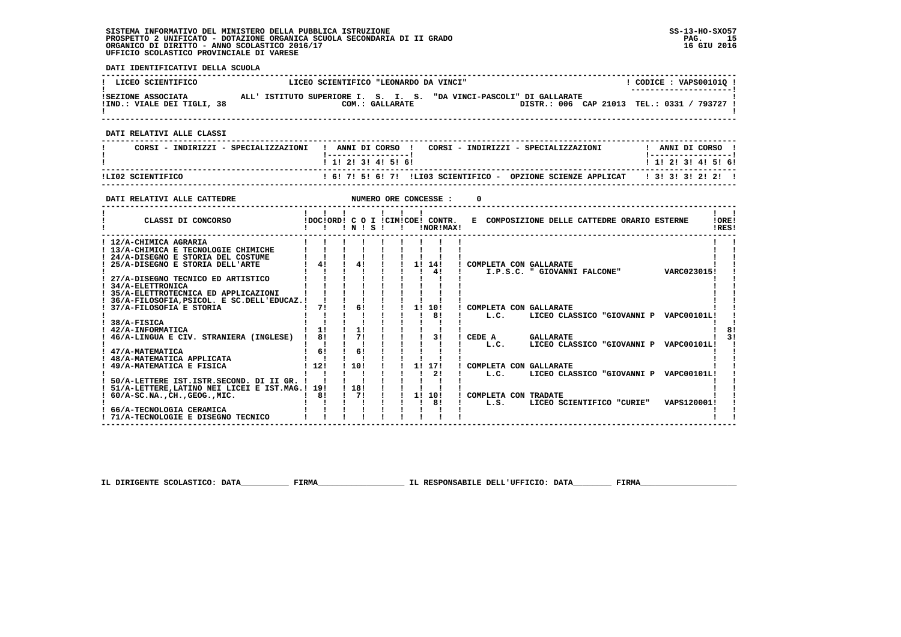**DATI IDENTIFICATIVI DELLA SCUOLA ------------------------------------------------------------------------------------------------------------------------------------** $1$  CODICE : VAPS001010 I **EXECUENTIFICO E LICEO SCIENTIFICO "LEONARDO DA VINCI"** \_\_\_\_\_\_\_\_\_\_\_\_\_\_\_\_\_\_\_\_\_\_\_\_  **! ---------------------! !SEZIONE ASSOCIATA ALL' ISTITUTO SUPERIORE I. S. I. S. "DA VINCI-PASCOLI" DI GALLARATE ! !IND.: VIALE DEI TIGLI, 38 COM.: GALLARATE DISTR.: 006 CAP 21013 TEL.: 0331 / 793727 ! ! !**DISTR.: 006 CAP 21013 TEL.: 0331 / 793727 1 - 1  **------------------------------------------------------------------------------------------------------------------------------------ DATI RELATIVI ALLE CLASSI ------------------------------------------------------------------------------------------------------------------------------------**! ANNI DI CORSO !  **! CORSI - INDIRIZZI - SPECIALIZZAZIONI ! ANNI DI CORSO ! CORSI - INDIRIZZI - SPECIALIZZAZIONI ! ANNI DI CORSO !**\_\_\_\_\_\_\_\_\_\_\_\_\_\_\_\_\_\_\_\_\_\_  **! !-----------------! !-----------------!**1 1 2 2 1 3 1 4 1 5 1 6 1  **! ! 1! 2! 3! 4! 5! 6! ! 1! 2! 3! 4! 5! 6! ------------------------------------------------------------------------------------------------------------------------------------ !LI02 SCIENTIFICO ! 6! 7! 5! 6! 7! !LI03 SCIENTIFICO - OPZIONE SCIENZE APPLICAT ! 3! 3! 3! 2! 2! ! ------------------------------------------------------------------------------------------------------------------------------------DATI RELATIVI ALLE CATTEDRE NUMERO ORE CONCESSE : 0 ------------------------------------------------------------------------------------------------------------------------------------** $\mathbf{I}$   $\mathbf{I}$  **! ! ! ! ! ! ! ! !LORE! ! CLASSI DI CONCORSO !DOC!ORD! C O I !CIM!COE! CONTR. E COMPOSIZIONE DELLE CATTEDRE ORARIO ESTERNE !ORE! ! ! ! ! N ! S ! ! !NOR!MAX! !RES!**IRES!  **------------------------------------------------------------------------------------------------------------------------------------ ! 12/A-CHIMICA AGRARIA ! ! ! ! ! ! ! ! ! ! ! ! 13/A-CHIMICA E TECNOLOGIE CHIMICHE ! ! ! ! ! ! ! ! ! ! ! ! 24/A-DISEGNO E STORIA DEL COSTUME ! ! ! ! ! ! ! ! ! ! ! ! 25/A-DISEGNO E STORIA DELL'ARTE ! 4! ! 4! ! ! 1! 14! ! COMPLETA CON GALLARATE ! ! ! ! ! ! ! ! ! ! 4! ! I.P.S.C. " GIOVANNI FALCONE" VARC023015! ! ! 27/A-DISEGNO TECNICO ED ARTISTICO ! ! ! ! ! ! ! ! ! ! !** $\blacksquare$  $\mathbf{I}$  and  $\mathbf{I}$  $\blacksquare$  $\blacksquare$  **! 34/A-ELETTRONICA ! ! ! ! ! ! ! ! ! ! ! ! 35/A-ELETTROTECNICA ED APPLICAZIONI ! ! ! ! ! ! ! ! ! ! ! ! 36/A-FILOSOFIA,PSICOL. E SC.DELL'EDUCAZ.! ! ! ! ! ! ! ! ! ! !** $\blacksquare$  37/A-FILOSOFIA E STORIA  $\blacksquare$   $\blacksquare$   $\blacksquare$   $\blacksquare$   $\blacksquare$   $\blacksquare$   $\blacksquare$   $\blacksquare$   $\blacksquare$   $\blacksquare$   $\blacksquare$   $\blacksquare$   $\blacksquare$   $\blacksquare$   $\blacksquare$   $\blacksquare$   $\blacksquare$   $\blacksquare$   $\blacksquare$   $\blacksquare$   $\blacksquare$   $\blacksquare$   $\blacksquare$   $\blacksquare$   $\blacksquare$   $\blacksquare$   $\blacksquare$   **! ! ! ! ! ! ! ! 8! ! L.C. LICEO CLASSICO "GIOVANNI P VAPC00101L! ! ! 38/A-FISICA ! ! ! ! ! ! ! ! ! ! !** $\frac{1}{1}$  **! 42/A-INFORMATICA ! 1! ! 1! ! ! ! ! ! ! 8!** $\frac{1}{3}$  **! 46/A-LINGUA E CIV. STRANIERA (INGLESE) ! 8! ! 7! ! ! ! 3! ! CEDE A GALLARATE ! 3! ! ! ! ! ! ! ! ! ! ! L.C. LICEO CLASSICO "GIOVANNI P VAPC00101L! ! ! 47/A-MATEMATICA ! 6! ! 6! ! ! ! ! ! ! ! ! 48/A-MATEMATICA APPLICATA ! ! ! ! ! ! ! ! ! ! ! ! 49/A-MATEMATICA E FISICA ! 12! ! 10! ! ! 1! 17! ! COMPLETA CON GALLARATE ! ! ! ! ! ! ! ! ! ! 2! ! L.C. LICEO CLASSICO "GIOVANNI P VAPC00101L! ! ! 50/A-LETTERE IST.ISTR.SECOND. DI II GR. ! ! ! ! ! ! ! ! ! ! ! ! 51/A-LETTERE,LATINO NEI LICEI E IST.MAG.! 19! ! 18! ! ! ! ! ! ! ! ! 60/A-SC.NA.,CH.,GEOG.,MIC. ! 8! ! 7! ! ! 1! 10! ! COMPLETA CON TRADATE ! ! ! ! ! ! ! ! ! ! 8! ! L.S. LICEO SCIENTIFICO "CURIE" VAPS120001! ! ! 66/A-TECNOLOGIA CERAMICA ! ! ! ! ! ! ! ! ! ! !**- 1  $\overline{\phantom{a}}$  $\mathbf{I}$  and  $\mathbf{I}$  **! 71/A-TECNOLOGIE E DISEGNO TECNICO ! ! ! ! ! ! ! ! ! ! !**

 **IL DIRIGENTE SCOLASTICO: DATA\_\_\_\_\_\_\_\_\_\_ FIRMA\_\_\_\_\_\_\_\_\_\_\_\_\_\_\_\_\_\_ IL RESPONSABILE DELL'UFFICIO: DATA\_\_\_\_\_\_\_\_ FIRMA\_\_\_\_\_\_\_\_\_\_\_\_\_\_\_\_\_\_\_\_**

 **------------------------------------------------------------------------------------------------------------------------------------**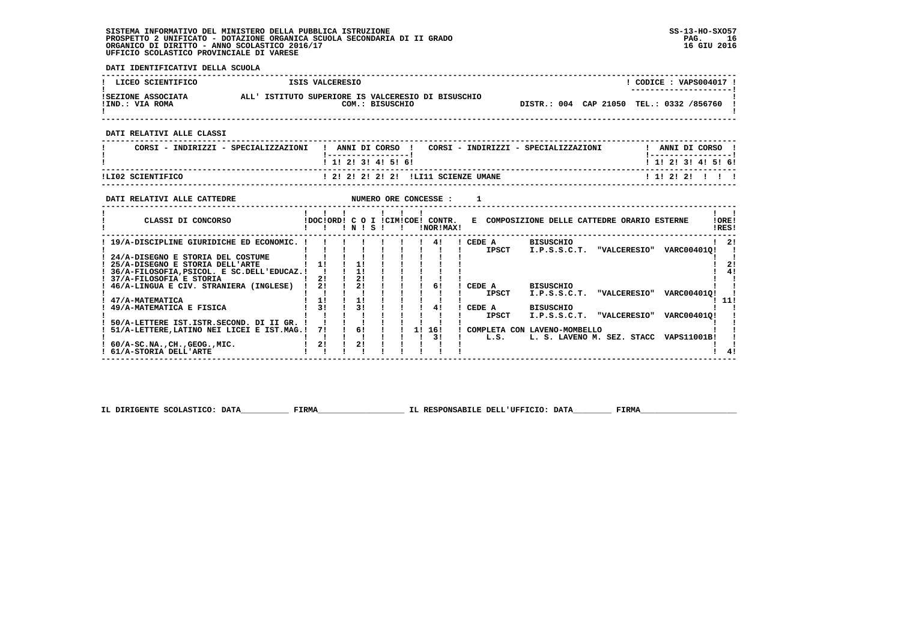**DATI IDENTIFICATIVI DELLA SCUOLA**

| LICEO SCIENTIFICO                                                                                                                                                                                    | ISIS VALCERESIO                                                                         |                                                                                           |                                                                                     | ! CODICE : VAPS004017 !                          |
|------------------------------------------------------------------------------------------------------------------------------------------------------------------------------------------------------|-----------------------------------------------------------------------------------------|-------------------------------------------------------------------------------------------|-------------------------------------------------------------------------------------|--------------------------------------------------|
| ISEZIONE ASSOCIATA ALL' ISTITUTO SUPERIORE IS VALCERESIO DI BISUSCHIO<br>!IND.: VIA ROMA                                                                                                             |                                                                                         | COM.: BISUSCHIO                                                                           | DISTR.: 004 CAP 21050 TEL.: 0332 /856760 !                                          |                                                  |
| DATI RELATIVI ALLE CLASSI                                                                                                                                                                            |                                                                                         |                                                                                           |                                                                                     |                                                  |
| CORSI - INDIRIZZI - SPECIALIZZAZIONI                                                                                                                                                                 |                                                                                         |                                                                                           | ! ANNI DI CORSO ! CORSI - INDIRIZZI - SPECIALIZZAZIONI " ! ANNI DI CORSO !          |                                                  |
|                                                                                                                                                                                                      | ! 1! 2! 3! 4! 5! 6!                                                                     |                                                                                           |                                                                                     | 1 1! 2! 3! 4! 5! 6!                              |
| ILI02 SCIENTIFICO<br>-<br>--------------------------------                                                                                                                                           |                                                                                         |                                                                                           |                                                                                     | 1 1 2 2 2 1 1 1                                  |
| DATI RELATIVI ALLE CATTEDRE                                                                                                                                                                          |                                                                                         | NUMERO ORE CONCESSE :                                                                     | $\mathbf{1}$                                                                        |                                                  |
| CLASSI DI CONCORSO                                                                                                                                                                                   | 1 1 1 1 1 1 1<br>!!!N!S!!                                                               | !DOC!ORD! C O I !CIM!COE! CONTR.<br><b>INOR ! MAX!</b>                                    | E COMPOSIZIONE DELLE CATTEDRE ORARIO ESTERNE                                        | $1 \quad 1$<br>!ORE!<br>IRES!                    |
| ! 19/A-DISCIPLINE GIURIDICHE ED ECONOMIC. !<br>! 24/A-DISEGNO E STORIA DEL COSTUME<br>! 25/A-DISEGNO E STORIA DELL'ARTE<br>! 36/A-FILOSOFIA, PSICOL. E SC. DELL'EDUCAZ.!!<br>37/A-FILOSOFIA E STORIA | $\frac{1}{1}$<br>$\frac{1}{2}$<br>$\frac{1}{1}$<br>21<br><b>Contract Contract</b><br>2! | $1 \quad 41$                                                                              | ! CEDE A BISUSCHIO<br>IPSCT I.P.S.S.C.T. "VALCERESIO" VARC004010!                   | $1 \quad 21$<br>$\blacksquare$<br>-1<br>2!<br>41 |
| ! 46/A-LINGUA E CIV. STRANIERA (INGLESE) !<br>! 47/A-MATEMATICA                                                                                                                                      | 21<br>21<br>11<br>$1 \quad 11$                                                          | 61                                                                                        | ICEDE A<br>BISUSCHIO<br><b>IPSCT</b><br>I.P.S.S.C.T. "VALCERESIO" VARC004010!       | 111                                              |
| ! 49/A-MATEMATICA E FISICA                                                                                                                                                                           | $1 \quad 31$<br>31                                                                      | 41                                                                                        | CEDE A<br><b>BISUSCHIO</b><br><b>IPSCT</b><br>I.P.S.S.C.T. "VALCERESIO" VARC004010! |                                                  |
| 50/A-LETTERE IST.ISTR.SECOND. DI II GR. !<br>51/A-LETTERE, LATINO NEI LICEI E IST.MAG.!                                                                                                              | $\mathbf{1}$ $\mathbf{1}$ $\mathbf{1}$<br>71                                            | $\begin{array}{ccccccccccccccccc}\n & & 1 & & 6 & & 1 & & 1\n\end{array}$<br>1! 16!<br>3! | ! COMPLETA CON LAVENO-MOMBELLO<br>L. S. LAVENO M. SEZ. STACC VAPS11001B!<br>L.S.    |                                                  |
| $60/A$ -SC.NA., CH., GEOG., MIC.<br>! 61/A-STORIA DELL'ARTE                                                                                                                                          | 21<br>2!                                                                                |                                                                                           |                                                                                     |                                                  |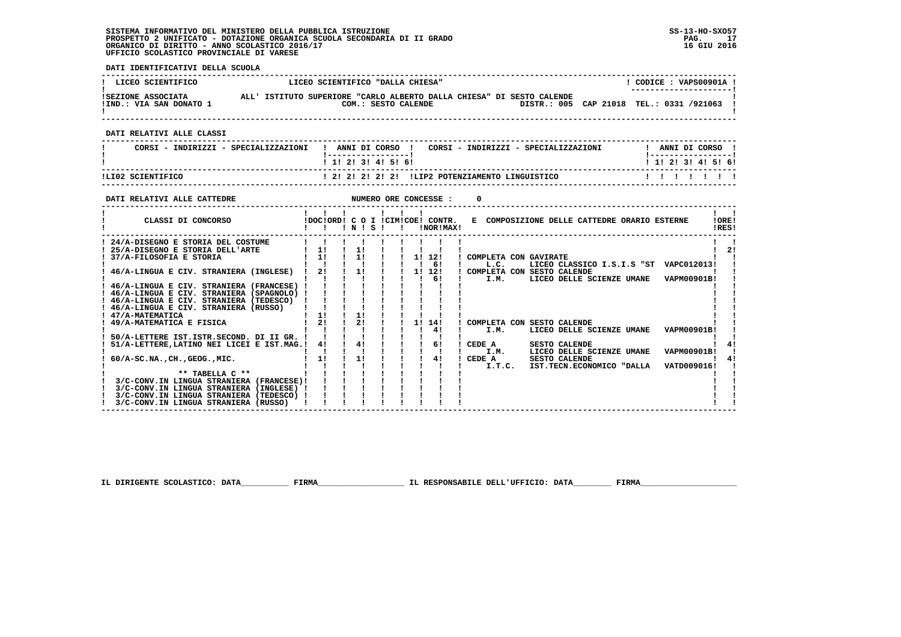**DATI IDENTIFICATIVI DELLA SCUOLA**

| LICEO SCIENTIFICO                                                                                                                                                                              | LICEO SCIENTIFICO "DALLA CHIESA"                                                                                                                                                                                                              | ! CODICE : VAPS00901A !                     |
|------------------------------------------------------------------------------------------------------------------------------------------------------------------------------------------------|-----------------------------------------------------------------------------------------------------------------------------------------------------------------------------------------------------------------------------------------------|---------------------------------------------|
|                                                                                                                                                                                                | SEZIONE ASSOCIATA ALL'ISTITUTO SUPERIORE "CARLO ALBERTO DALLA CHIESA" DI SESTO CALENDE !IND.: VIA SAN DONATO 1<br>IND.: VIA SAN DONATO 1 COM.: SESTO CALENDE DISTR.: 005 C.<br>COM.: SESTO CALENDE DISTR.: 005 CAP 21018 TEL.: 0331 /921063 ! |                                             |
| DATI RELATIVI ALLE CLASSI                                                                                                                                                                      |                                                                                                                                                                                                                                               |                                             |
|                                                                                                                                                                                                | CORSI - INDIRIZZI - SPECIALIZZAZIONI   ANNI DI CORSO   CORSI - INDIRIZZI - SPECIALIZZAZIONI   ANNI DI CORSO                                                                                                                                   |                                             |
| ------------------------------                                                                                                                                                                 | _____________________<br>1 1 2 2 1 3 1 4 1 5 1 6 1                                                                                                                                                                                            | <u>  -----------------</u>                  |
| !LI02 SCIENTIFICO                                                                                                                                                                              |                                                                                                                                                                                                                                               |                                             |
| DATI RELATIVI ALLE CATTEDRE                                                                                                                                                                    |                                                                                                                                                                                                                                               |                                             |
|                                                                                                                                                                                                | CLASSI DI CONCORSO             IDOC!ORD! C O I !CIM!COE! CONTR. E COMPOSIZIONE DELLE CATTEDRE ORARIO ESTERNE                                                                                                                                  | $\mathbf{I}$ $\mathbf{I}$<br>10RE1<br>!RES! |
| ! 24/A-DISEGNO E STORIA DEL COSTUME                    <br>$1.46/A$ -LINGUA E CIV. STRANIERA (RUSSO) $1.11$ $1.1$ $1.1$ $1.1$ $1.1$<br>! 49/A-MATEMATICA E FISICA                              | LICEO CLASSICO I.S.I.S "ST VAPC012013! !<br>! 46/A-LINGUA E CIV. STRANIERA (INGLESE) ! 21 ! 11 ! ! 11 12! ! COMPLETA CON SESTO CALENDE<br>$121 \t121 \t121 \t1111141$<br>! COMPLETA CON SESTO CALENDE                                         | $\mathbf{I}$ $\mathbf{I}$<br>$1 \quad 21$   |
| 3/C-CONV.IN LINGUA STRANIERA (FRANCESE)! ! ! ! ! ! ! ! ! !<br>3/C-CONV.IN LINGUA STRANIERA (INGLESE) !<br>3/C-CONV.IN LINGUA STRANIERA (TEDESCO) !<br>3/C-CONV.IN LINGUA STRANIERA (RUSSO) ! ! | 1 1 1 1 1 1 1 41<br>LICEO DELLE SCIENZE UMANE    VAPM00901B!<br><b>Contract Contract Street</b><br>I.M.<br>I.M. LICEO DELLE SCIENZE UMANE VAPM00901B! !<br>$\begin{array}{cccccccccccccc} &1&1&1&1&1&1&1&1 \end{array}$                       | $1 \quad 41$<br>$1 \quad 41$                |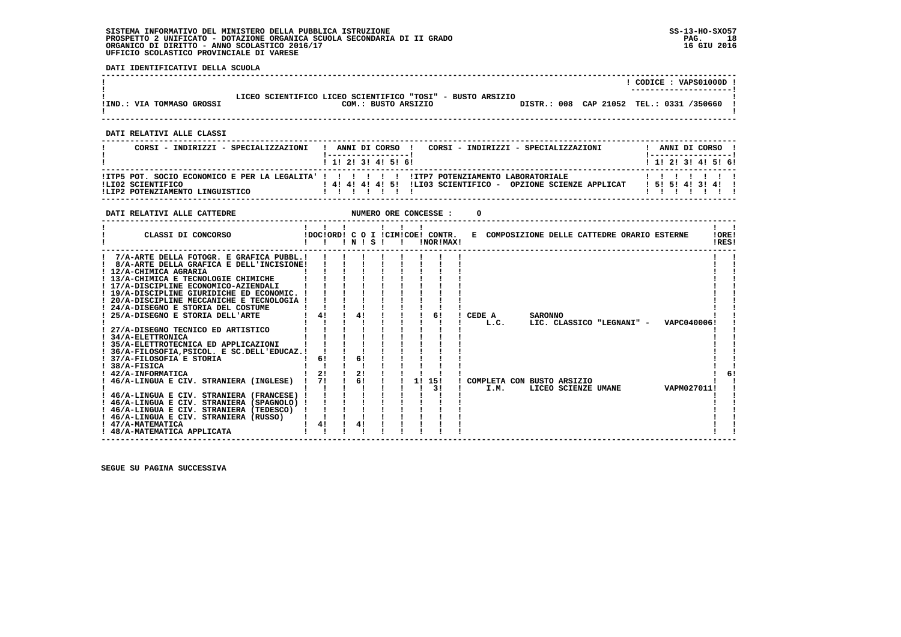**DATI IDENTIFICATIVI DELLA SCUOLA**

|                           |                                                                                   |             | CODICE: VAPS01000D !         |
|---------------------------|-----------------------------------------------------------------------------------|-------------|------------------------------|
| !IND.: VIA TOMMASO GROSSI | LICEO SCIENTIFICO LICEO SCIENTIFICO "TOSI" - BUSTO ARSIZIO<br>COM.: BUSTO ARSIZIO | DISTR.: 008 | CAP 21052 TEL.: 0331 /350660 |

 **------------------------------------------------------------------------------------------------------------------------------------**

 **------------------------------------------------------------------------------------------------------------------------------------**

 **DATI RELATIVI ALLE CLASSI**

| CORSI - INDIRIZZI - SPECIALIZZAZIONI                 | ANNI DI CORSO !<br>CORSI - INDIRIZZI - SPECIALIZZAZIONI                                                            | ANNI DI CORSO !       |
|------------------------------------------------------|--------------------------------------------------------------------------------------------------------------------|-----------------------|
|                                                      | 1 1 2 3 3 4 5 6 1<br>!ITP5 POT. SOCIO ECONOMICO E PER LA LEGALITA' !!!!!!!!!!!!!!!!!P7 POTENZIAMENTO LABORATORIALE | 1 1 2 3 3 4 5 6 1     |
| ILI02 SCIENTIFICO<br>ILIP2 POTENZIAMENTO LINGUISTICO | 1 41 41 41 51 ILIO3 SCIENTIFICO - OPZIONE SCIENZE APPLICAT                                                         | 1 5 1 5 1 4 1 3 1 4 1 |

| CLASSI DI CONCORSO                                                                                                                                                                                                                                                                                                                                                                                                                                                                                                                                                                                                                                                                                                                                                                                                                                                           | $\blacksquare$             | $'$ N $'$ S $'$            |  | !DOC!ORD! C O I !CIM!COE! CONTR.<br>!NOR!MAX! |        | E COMPOSIZIONE DELLE CATTEDRE ORARIO ESTERNE                   |                                                              |             | !ORE!<br>!RES! |
|------------------------------------------------------------------------------------------------------------------------------------------------------------------------------------------------------------------------------------------------------------------------------------------------------------------------------------------------------------------------------------------------------------------------------------------------------------------------------------------------------------------------------------------------------------------------------------------------------------------------------------------------------------------------------------------------------------------------------------------------------------------------------------------------------------------------------------------------------------------------------|----------------------------|----------------------------|--|-----------------------------------------------|--------|----------------------------------------------------------------|--------------------------------------------------------------|-------------|----------------|
| 7/A-ARTE DELLA FOTOGR. E GRAFICA PUBBL.!<br>8/A-ARTE DELLA GRAFICA E DELL'INCISIONE!<br>! 12/A-CHIMICA AGRARIA<br>! 13/A-CHIMICA E TECNOLOGIE CHIMICHE<br>! 17/A-DISCIPLINE ECONOMICO-AZIENDALI<br>! 19/A-DISCIPLINE GIURIDICHE ED ECONOMIC. !<br>! 20/A-DISCIPLINE MECCANICHE E TECNOLOGIA !<br>24/A-DISEGNO E STORIA DEL COSTUME<br>25/A-DISEGNO E STORIA DELL'ARTE<br>27/A-DISEGNO TECNICO ED ARTISTICO<br>! 34/A-ELETTRONICA<br>! 35/A-ELETTROTECNICA ED APPLICAZIONI<br>36/A-FILOSOFIA.PSICOL. E SC.DELL'EDUCAZ.!<br>! 37/A-FILOSOFIA E STORIA<br>$!$ 38/A-FISICA<br>! 42/A-INFORMATICA<br>46/A-LINGUA E CIV. STRANIERA (INGLESE)<br>! 46/A-LINGUA E CIV. STRANIERA (FRANCESE)<br>! 46/A-LINGUA E CIV. STRANIERA (SPAGNOLO) !<br>! 46/A-LINGUA E CIV. STRANIERA (TEDESCO)<br>! 46/A-LINGUA E CIV. STRANIERA (RUSSO)<br>! 47/A-MATEMATICA<br>! 48/A-MATEMATICA APPLICATA | 4!<br>61<br>21<br>71<br>4! | 41<br>61<br>21<br>6!<br>4! |  | 61<br>1! 15!<br>3!                            | CEDE A | <b>SARONNO</b><br>L.C.<br>! COMPLETA CON BUSTO ARSIZIO<br>I.M. | LIC. CLASSICO "LEGNANI" - VAPC040006!<br>LICEO SCIENZE UMANE | VAPM027011! |                |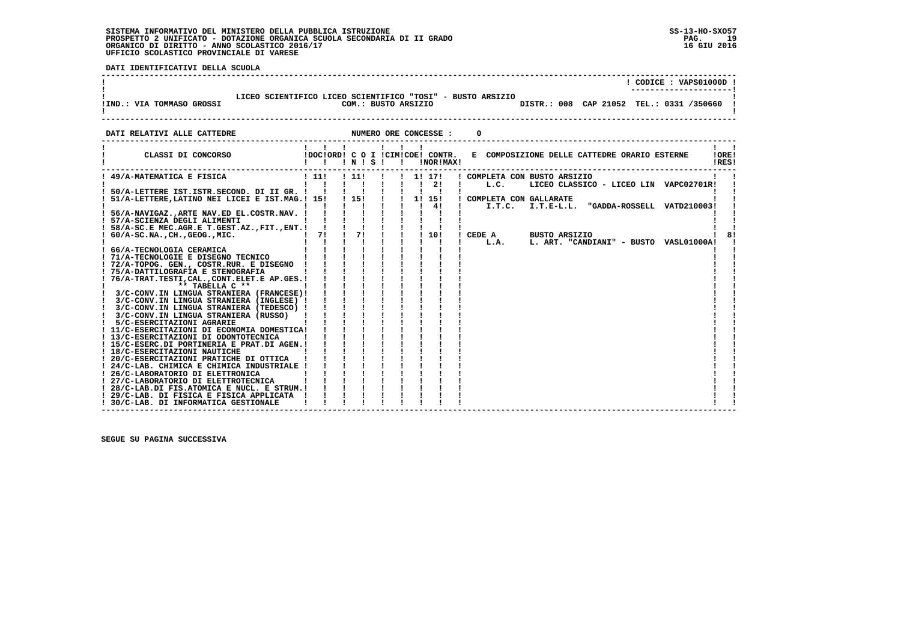.<br>ا

**DATI IDENTIFICATIVI DELLA SCUOLA** 

|                                                                                                                                                               |                                                         |                       |           | ! CODICE : VAPS01000D !                                                                                                          |
|---------------------------------------------------------------------------------------------------------------------------------------------------------------|---------------------------------------------------------|-----------------------|-----------|----------------------------------------------------------------------------------------------------------------------------------|
| !IND.: VIA TOMMASO GROSSI                                                                                                                                     |                                                         |                       |           | LICEO SCIENTIFICO LICEO SCIENTIFICO "TOSI" - BUSTO ARSIZIO<br>COM.: BUSTO ARSIZIO 600 DISTR.: 008 CAP 21052 TEL.: 0331 /350660 ! |
| DATI RELATIVI ALLE CATTEDRE                                                                                                                                   |                                                         | NUMERO ORE CONCESSE : |           |                                                                                                                                  |
| CLASSI DI CONCORSO (DOCIORDI C O I ICIMICOEI CONTR.                                                                                                           | 1 1 1 1 1 1 1<br>!!!N!S!!                               |                       | INORIMAXI | E COMPOSIZIONE DELLE CATTEDRE ORARIO ESTERNE<br>IOREI<br>IRES!                                                                   |
| ! 49/A-MATEMATICA E FISICA                                                                                                                                    | 1 1 1 1 1 1                                             | ! 11! ! ! 1! 17!      |           | ! COMPLETA CON BUSTO ARSIZIO<br>LICEO CLASSICO - LICEO LIN VAPC02701R!                                                           |
| ! 56/A-NAVIGAZ., ARTE NAV.ED EL.COSTR.NAV. !                                                                                                                  |                                                         |                       |           |                                                                                                                                  |
| ! 57/A-SCIENZA DEGLI ALIMENTI                                                                                                                                 | i Tri i Tri I                                           |                       |           | ! CEDE A BUSTO ARSIZIO<br>81                                                                                                     |
| 66/A-TECNOLOGIA CERAMICA<br>! 71/A-TECNOLOGIE E DISEGNO TECNICO        <br>! 72/A-TOPOG. GEN., COSTR.RUR. E DISEGNO ! ! !                                     |                                                         |                       |           | ! L.A. L. ART. "CANDIANI" - BUSTO VASL01000A!                                                                                    |
| ! 75/A-DATTILOGRAFIA E STENOGRAFIA<br>! 76/A-TRAT.TESTI, CAL., CONT. ELET. E AP. GES. !<br>$**$ TABELLA $C**$                                                 |                                                         |                       |           |                                                                                                                                  |
| ! 3/C-CONV.IN LINGUA STRANIERA (FRANCESE)!<br>! 3/C-CONV.IN LINGUA STRANIERA (INGLESE) !<br>! 3/C-CONV.IN LINGUA STRANIERA (TEDESCO) !                        |                                                         |                       |           |                                                                                                                                  |
| ! 3/C-CONV.IN LINGUA STRANIERA (RUSSO)<br>! 5/C-ESERCITAZIONI AGRARIE<br>! 11/C-ESERCITAZIONI DI ECONOMIA DOMESTICA!<br>! 13/C-ESERCITAZIONI DI ODONTOTECNICA | $\frac{1}{2}$ $\frac{1}{2}$ $\frac{1}{2}$ $\frac{1}{2}$ |                       |           |                                                                                                                                  |
| ! 15/C-ESERC.DI PORTINERIA E PRAT.DI AGEN.!<br>! 18/C-ESERCITAZIONI NAUTICHE<br>! 20/C-ESERCITAZIONI PRATICHE DI OTTICA !                                     |                                                         |                       |           |                                                                                                                                  |
| ! 24/C-LAB. CHIMICA E CHIMICA INDUSTRIALE !<br>! 26/C-LABORATORIO DI ELETTRONICA<br>! 27/C-LABORATORIO DI ELETTROTECNICA                                      |                                                         |                       |           |                                                                                                                                  |
| ! 28/C-LAB.DI FIS.ATOMICA E NUCL. E STRUM.!<br>! 29/C-LAB. DI FISICA E FISICA APPLICATA !<br>! 30/C-LAB. DI INFORMATICA GESTIONALE                            |                                                         |                       |           |                                                                                                                                  |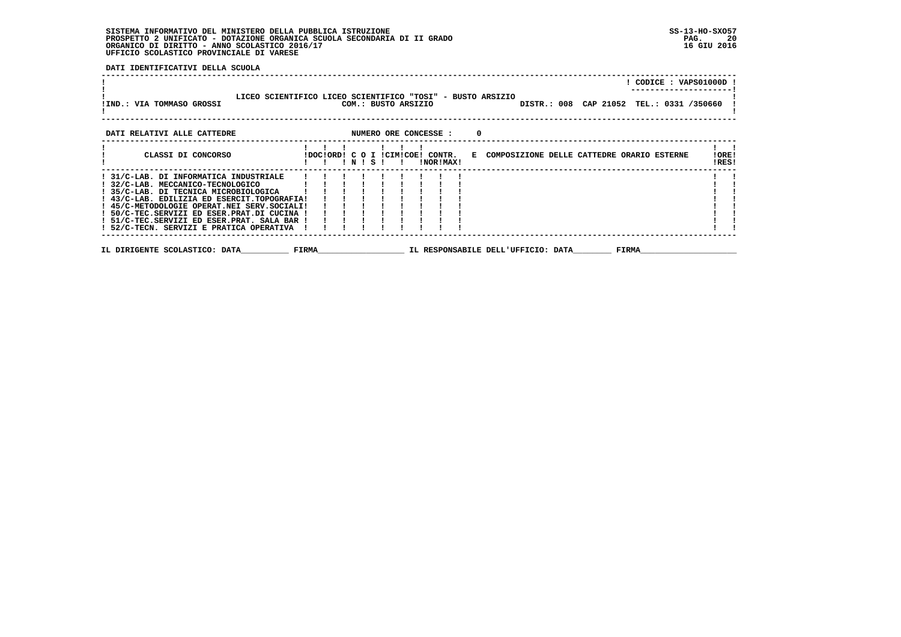**DATI IDENTIFICATIVI DELLA SCUOLA**

|                                                                                                                                                                                                                                                                                                                                                              |  |         |  |                     |           |                                    |  |       |                                                                               | ! CODICE : VAPS01000D                    |                |
|--------------------------------------------------------------------------------------------------------------------------------------------------------------------------------------------------------------------------------------------------------------------------------------------------------------------------------------------------------------|--|---------|--|---------------------|-----------|------------------------------------|--|-------|-------------------------------------------------------------------------------|------------------------------------------|----------------|
| LICEO SCIENTIFICO LICEO SCIENTIFICO "TOSI" - BUSTO ARSIZIO<br>!IND.: VIA TOMMASO GROSSI                                                                                                                                                                                                                                                                      |  |         |  | COM.: BUSTO ARSIZIO |           |                                    |  |       |                                                                               | DISTR.: 008 CAP 21052 TEL.: 0331 /350660 |                |
| DATI RELATIVI ALLE CATTEDRE<br>NUMERO ORE CONCESSE :                                                                                                                                                                                                                                                                                                         |  |         |  |                     |           | 0                                  |  |       |                                                                               |                                          |                |
| CLASSI DI CONCORSO                                                                                                                                                                                                                                                                                                                                           |  | ! N ! S |  |                     | !NOR!MAX! |                                    |  |       | !DOC!ORD! C O I !CIM!COE! CONTR. E COMPOSIZIONE DELLE CATTEDRE ORARIO ESTERNE |                                          | !ORE!<br>!RES! |
| ! 31/C-LAB. DI INFORMATICA INDUSTRIALE<br>! 32/C-LAB. MECCANICO-TECNOLOGICO<br>! 35/C-LAB. DI TECNICA MICROBIOLOGICA<br>! 43/C-LAB. EDILIZIA ED ESERCIT.TOPOGRAFIA!<br>! 45/C-METODOLOGIE OPERAT.NEI SERV.SOCIALI!<br>! 50/C-TEC.SERVIZI ED ESER.PRAT.DI CUCINA !<br>! 51/C-TEC.SERVIZI ED ESER.PRAT. SALA BAR !<br>! 52/C-TECN. SERVIZI E PRATICA OPERATIVA |  |         |  |                     |           |                                    |  |       |                                                                               |                                          |                |
| IL DIRIGENTE SCOLASTICO: DATA<br><b>Example 18 FIRMA</b>                                                                                                                                                                                                                                                                                                     |  |         |  |                     |           | IL RESPONSABILE DELL'UFFICIO: DATA |  | FIRMA |                                                                               |                                          |                |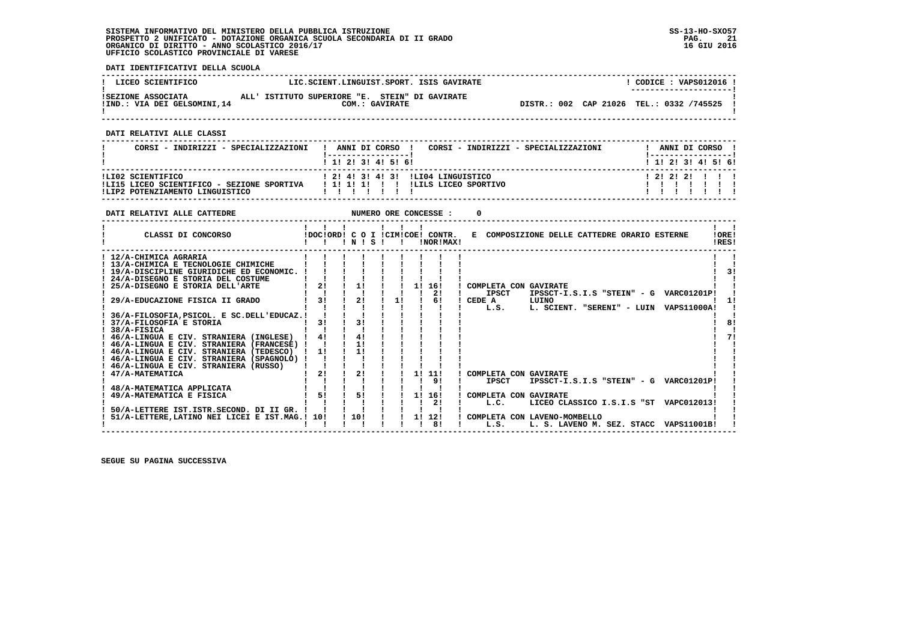**DATI IDENTIFICATIVI DELLA SCUOLA**

| ! LICEO SCIENTIFICO          | LIC.SCIENT.LINGUIST.SPORT. ISIS GAVIRATE       | CODICE: VAPS012016 !                     |
|------------------------------|------------------------------------------------|------------------------------------------|
| ISEZIONE ASSOCIATA           | ALL' ISTITUTO SUPERIORE "E. STEIN" DI GAVIRATE | ---------------------                    |
| !IND.: VIA DEI GELSOMINI, 14 | COM.: GAVIRATE                                 | DISTR.: 002 CAP 21026 TEL.: 0332 /745525 |

 **------------------------------------------------------------------------------------------------------------------------------------**

 **DATI RELATIVI ALLE CLASSI**

| CORSI - INDIRIZZI - SPECIALIZZAZIONI                                                                                                       | ANNI DI CORSO !<br>CORSI - INDIRIZZI - SPECIALIZZAZIONI |  |  | ANNI DI CORSO !           |  |
|--------------------------------------------------------------------------------------------------------------------------------------------|---------------------------------------------------------|--|--|---------------------------|--|
|                                                                                                                                            | 1 1 1 2 1 3 1 4 1 5 1 6 1                               |  |  | 1 1 1 2 1 3 1 4 1 5 1 6 1 |  |
| ILI02 SCIENTIFICO<br>ILI15 LICEO SCIENTIFICO - SEZIONE SPORTIVA     I 1! 1! 1! I I ILILS LICEO SPORTIVO<br>!LIP2 POTENZIAMENTO LINGUISTICO | 1 21 41 31 41 31 1LI04 LINGUISTICO                      |  |  | 1 2 1 2 1 2 1 1 1         |  |

| DATI RELATIVI ALLE CATTEDRE                     |    |                |    |    | NUMERO ORE CONCESSE :                         |                                              |       |  |                                        |                |
|-------------------------------------------------|----|----------------|----|----|-----------------------------------------------|----------------------------------------------|-------|--|----------------------------------------|----------------|
| CLASSI DI CONCORSO                              |    | 1 N 1 S 1      |    |    | !DOC!ORD! C O I !CIM!COE! CONTR.<br>!NOR!MAX! | E COMPOSIZIONE DELLE CATTEDRE ORARIO ESTERNE |       |  |                                        | !ORE!<br>!RES! |
| ! 12/A-CHIMICA AGRARIA                          |    |                |    |    |                                               |                                              |       |  |                                        |                |
| ! 13/A-CHIMICA E TECNOLOGIE CHIMICHE            |    |                |    |    |                                               |                                              |       |  |                                        |                |
| ! 19/A-DISCIPLINE GIURIDICHE ED ECONOMIC. !     |    |                |    |    |                                               |                                              |       |  |                                        | 31             |
| ! 24/A-DISEGNO E STORIA DEL COSTUME             |    |                |    |    |                                               |                                              |       |  |                                        |                |
| 25/A-DISEGNO E STORIA DELL'ARTE                 | 21 | 1!             |    | 11 | 16!                                           | COMPLETA CON GAVIRATE                        |       |  |                                        |                |
|                                                 |    |                |    |    | 21                                            | <b>IPSCT</b>                                 |       |  | IPSSCT-I.S.I.S "STEIN" - G VARC01201P! |                |
| 29/A-EDUCAZIONE FISICA II GRADO                 | 31 | 21             | 11 |    | 61                                            | CEDE A                                       | LUINO |  |                                        |                |
|                                                 |    |                |    |    |                                               | L.S.                                         |       |  | L. SCIENT. "SERENI" - LUIN VAPS11000A! |                |
| 36/A-FILOSOFIA, PSICOL. E SC.DELL'EDUCAZ.!      |    |                |    |    |                                               |                                              |       |  |                                        |                |
| 37/A-FILOSOFIA E STORIA                         | 31 | 3 <sub>1</sub> |    |    |                                               |                                              |       |  |                                        |                |
| $1.38/A-FISICA$                                 |    |                |    |    |                                               |                                              |       |  |                                        |                |
| ! 46/A-LINGUA E CIV. STRANIERA (INGLESE)        | 41 | 41             |    |    |                                               |                                              |       |  |                                        |                |
| ! 46/A-LINGUA E CIV. STRANIERA (FRANCESE) !     |    | 11             |    |    |                                               |                                              |       |  |                                        |                |
| ! 46/A-LINGUA E CIV. STRANIERA (TEDESCO)        | 11 | 11             |    |    |                                               |                                              |       |  |                                        |                |
| ! 46/A-LINGUA E CIV. STRANIERA (SPAGNOLO) !     |    |                |    |    |                                               |                                              |       |  |                                        |                |
| ! 46/A-LINGUA E CIV. STRANIERA (RUSSO)          |    |                |    |    |                                               |                                              |       |  |                                        |                |
| ! 47/A-MATEMATICA                               | 21 | 21             |    |    | 1! 11!                                        | ! COMPLETA CON GAVIRATE                      |       |  |                                        |                |
|                                                 |    |                |    |    | 91                                            | <b>IPSCT</b>                                 |       |  | IPSSCT-I.S.I.S "STEIN" - G VARC01201P! |                |
| 48/A-MATEMATICA APPLICATA                       |    |                |    |    |                                               |                                              |       |  |                                        |                |
| 49/A-MATEMATICA E FISICA                        | 51 | 51             |    | 1! | 16!                                           | COMPLETA CON GAVIRATE                        |       |  |                                        |                |
|                                                 |    |                |    |    | 2!                                            | L.C.                                         |       |  | LICEO CLASSICO I.S.I.S "ST VAPC012013! |                |
| 50/A-LETTERE IST.ISTR.SECOND. DI II GR. !       |    |                |    |    |                                               |                                              |       |  |                                        |                |
| 51/A-LETTERE, LATINO NEI LICEI E IST. MAG.! 10! |    | ! 10!          |    |    | 1! 12!                                        | ! COMPLETA CON LAVENO-MOMBELLO               |       |  |                                        |                |
|                                                 |    |                |    |    | 81                                            | L.S.                                         |       |  | L. S. LAVENO M. SEZ. STACC VAPS11001B! |                |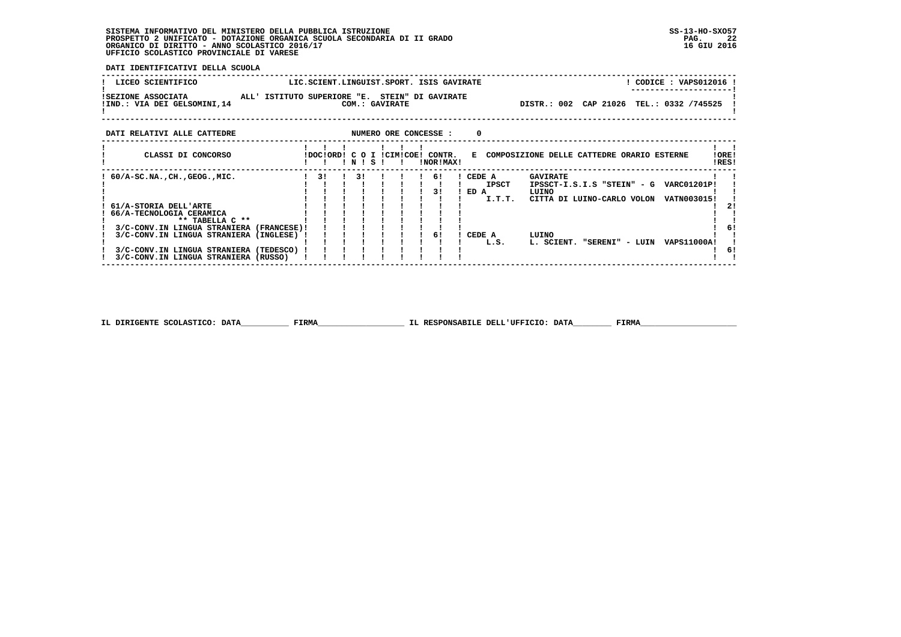**DATI IDENTIFICATIVI DELLA SCUOLA**

| ! LICEO SCIENTIFICO                               | LIC.SCIENT.LINGUIST.SPORT. ISIS GAVIRATE                         | CODICE: VAPS012016 !<br>---------------------- |
|---------------------------------------------------|------------------------------------------------------------------|------------------------------------------------|
| ISEZIONE ASSOCIATA<br>!IND.: VIA DEI GELSOMINI,14 | ALL' ISTITUTO SUPERIORE "E. STEIN" DI GAVIRATE<br>COM.: GAVIRATE | DISTR.: 002 CAP 21026 TEL.: 0332 /745525       |

| DATI RELATIVI ALLE CATTEDRE                                                                                                                                              |                          |                 |           |  |           | NUMERO ORE CONCESSE : | 0                        |                                |                                                                                                                                                                                    |                |
|--------------------------------------------------------------------------------------------------------------------------------------------------------------------------|--------------------------|-----------------|-----------|--|-----------|-----------------------|--------------------------|--------------------------------|------------------------------------------------------------------------------------------------------------------------------------------------------------------------------------|----------------|
| CLASSI DI CONCORSO                                                                                                                                                       |                          | IDOCIORDI C O I | ! N ! S ! |  | ICIMICOE! | CONTR.<br>!NOR!MAX!   | к.                       |                                | COMPOSIZIONE DELLE CATTEDRE ORARIO ESTERNE                                                                                                                                         | !ORE!<br>!RES! |
| $60/A$ -SC.NA., CH., GEOG., MIC.<br>61/A-STORIA DELL'ARTE<br>66/A-TECNOLOGIA CERAMICA<br>** TABELLA C **<br>3/C-CONV.IN LINGUA STRANIERA<br>3/C-CONV.IN LINGUA STRANIERA | (FRANCESE)!<br>(INGLESE) | 31              | 31        |  |           | 6!<br>31<br>61        | CEDE A<br>ED A<br>CEDE A | <b>IPSCT</b><br>I.T.T.<br>L.S. | <b>GAVIRATE</b><br>IPSSCT-I.S.I.S "STEIN" - G<br><b>VARC01201P!</b><br>LUINO<br>CITTA DI LUINO-CARLO VOLON<br>VATN003015!<br>LUINO<br>L. SCIENT.<br>"SERENI" - LUIN<br>VAPS11000A! | 21<br>6!       |
| 3/C-CONV.IN LINGUA STRANIERA<br>3/C-CONV.IN LINGUA STRANIERA (RUSSO)                                                                                                     | (TEDESCO)                |                 |           |  |           |                       |                          |                                |                                                                                                                                                                                    | 6!             |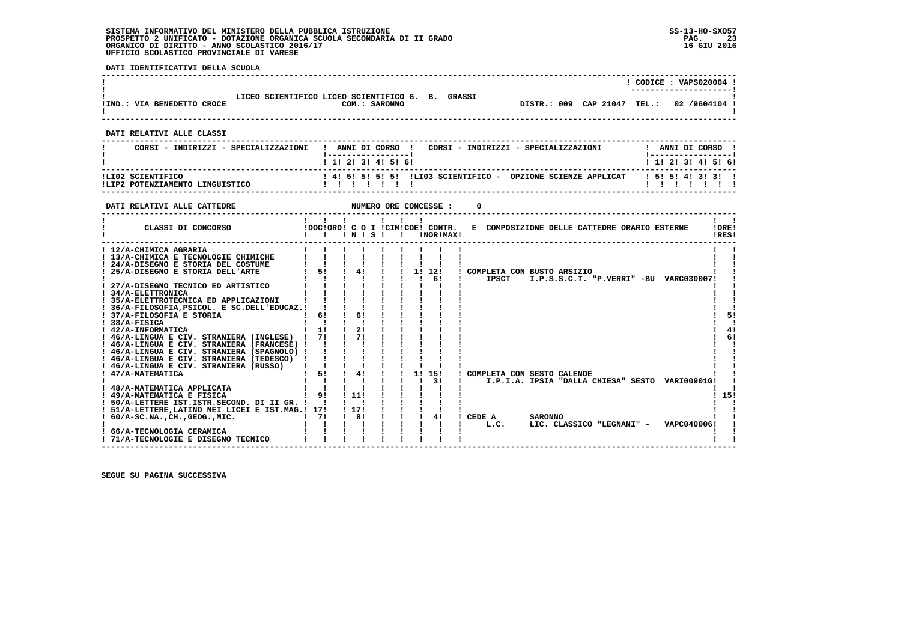**DATI IDENTIFICATIVI DELLA SCUOLA**

 $\mathbf{I}$ 

  **------------------------------------------------------------------------------------------------------------------------------------ ! ! CODICE : VAPS020004 ! ! ---------------------!**:<br>!<br>!IND.: VIA BENEDETTO CROCE **DESCLASSITION: SARONNO** !  **!IND.: VIA BENEDETTO CROCE COM.: SARONNO DISTR.: 009 CAP 21047 TEL.: 02 /9604104 ! ! ! ------------------------------------------------------------------------------------------------------------------------------------ DATI RELATIVI ALLE CLASSI ------------------------------------------------------------------------------------------------------------------------------------ ! CORSI - INDIRIZZI - SPECIALIZZAZIONI ! ANNI DI CORSO ! CORSI - INDIRIZZI - SPECIALIZZAZIONI ! ANNI DI CORSO ! ! !-----------------! !-----------------!**

|                                                      | $1$ 1! 2! 3! 4! 5! 6!                                                                    | ! 1! 2! 3! 4! 5! 6! |
|------------------------------------------------------|------------------------------------------------------------------------------------------|---------------------|
| ILI02 SCIENTIFICO<br>ILIP2 POTENZIAMENTO LINGUISTICO | : 4! 5! 5! 5! 5! ILIO3 SCIENTIFICO - OPZIONE SCIENZE APPLICAT    ! 5! 5! 4! 3! 3! !<br>. |                     |

| DATI RELATIVI ALLE CATTEDRE                                                                                                                                                                                                                                                                                                                                                                                                                                                                           |                      |                         | NUMERO ORE CONCESSE : |                                               |                                                                                                                                                                   |
|-------------------------------------------------------------------------------------------------------------------------------------------------------------------------------------------------------------------------------------------------------------------------------------------------------------------------------------------------------------------------------------------------------------------------------------------------------------------------------------------------------|----------------------|-------------------------|-----------------------|-----------------------------------------------|-------------------------------------------------------------------------------------------------------------------------------------------------------------------|
| CLASSI DI CONCORSO                                                                                                                                                                                                                                                                                                                                                                                                                                                                                    |                      | $'$ N $'$ S $'$         |                       | !DOC!ORD! C O I !CIM!COE! CONTR.<br>!NOR!MAX! | !ORE!<br>E COMPOSIZIONE DELLE CATTEDRE ORARIO ESTERNE<br>!RES!                                                                                                    |
| ! 12/A-CHIMICA AGRARIA<br>! 13/A-CHIMICA E TECNOLOGIE CHIMICHE<br>! 24/A-DISEGNO E STORIA DEL COSTUME<br>25/A-DISEGNO E STORIA DELL'ARTE<br>27/A-DISEGNO TECNICO ED ARTISTICO<br>! 34/A-ELETTRONICA<br>! 35/A-ELETTROTECNICA ED APPLICAZIONI<br>36/A-FILOSOFIA, PSICOL. E SC. DELL'EDUCAZ.!<br>37/A-FILOSOFIA E STORIA<br>38/A-FISICA<br>! 42/A-INFORMATICA<br>! 46/A-LINGUA E CIV. STRANIERA (INGLESE)<br>! 46/A-LINGUA E CIV. STRANIERA (FRANCESE) !<br>! 46/A-LINGUA E CIV. STRANIERA (SPAGNOLO) ! | 5!<br>61<br>11<br>71 | 4!<br>61<br>21<br>71    |                       | 1! 12!<br>61                                  | COMPLETA CON BUSTO ARSIZIO<br><b>IPSCT</b><br>I.P.S.S.C.T. "P.VERRI" -BU VARC030007!<br>51<br>41<br>61                                                            |
| ! 46/A-LINGUA E CIV. STRANIERA (TEDESCO)<br>! 46/A-LINGUA E CIV. STRANIERA (RUSSO)<br>47/A-MATEMATICA<br>48/A-MATEMATICA APPLICATA<br>! 49/A-MATEMATICA E FISICA<br>! 50/A-LETTERE IST.ISTR.SECOND. DI II GR. !<br>51/A-LETTERE, LATINO NEI LICEI E IST.MAG.! 17!<br>$60/A-SC.NA.$ , $CH.$ , $GEOG.$ , $MIC.$<br>66/A-TECNOLOGIA CERAMICA<br>71/A-TECNOLOGIE E DISEGNO TECNICO                                                                                                                        | 5!<br>9!<br>71       | 4!<br>111<br>1171<br>81 |                       | 1! 15!<br>31<br>41                            | COMPLETA CON SESTO CALENDE<br>I.P.I.A. IPSIA "DALLA CHIESA" SESTO VARI00901G!<br>15!<br>CEDE A<br><b>SARONNO</b><br>LIC. CLASSICO "LEGNANI" - VAPC040006!<br>L.C. |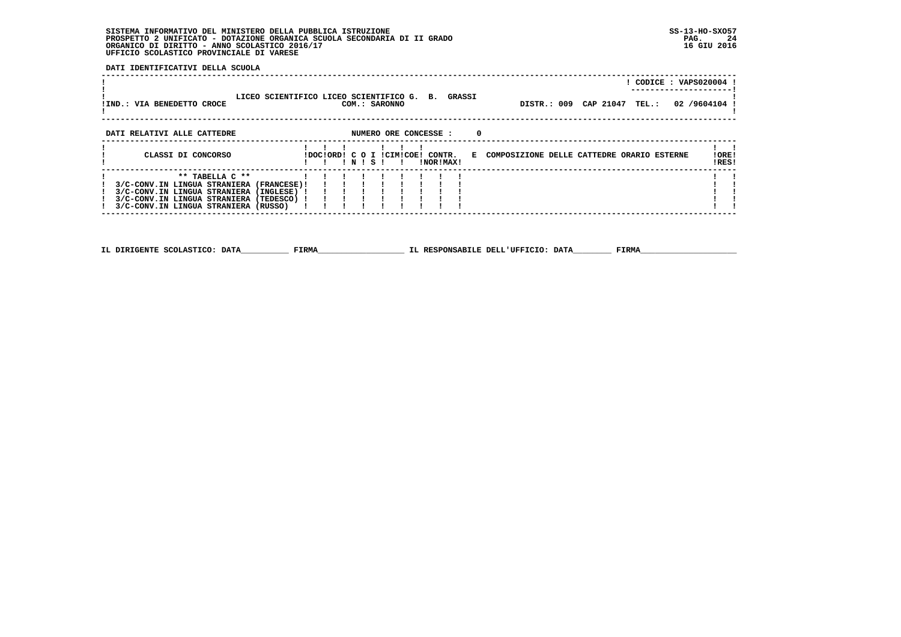**DATI IDENTIFICATIVI DELLA SCUOLA**

| !IND.: VIA BENEDETTO CROCE                                                                                                                                                                      | LICEO SCIENTIFICO LICEO SCIENTIFICO G. B. GRASSI | COM.: SARONNO                             |                       |           |                                              | DISTR.: 009 CAP 21047 TEL.: | CODICE: VAPS020004 !<br>02 /9604104 |                |
|-------------------------------------------------------------------------------------------------------------------------------------------------------------------------------------------------|--------------------------------------------------|-------------------------------------------|-----------------------|-----------|----------------------------------------------|-----------------------------|-------------------------------------|----------------|
| DATI RELATIVI ALLE CATTEDRE                                                                                                                                                                     |                                                  |                                           | NUMERO ORE CONCESSE : |           | $\Omega$                                     |                             |                                     |                |
| CLASSI DI CONCORSO                                                                                                                                                                              |                                                  | !DOC!ORD! C O I !CIM!COE! CONTR.<br>INISI |                       | !NOR!MAX! | E COMPOSIZIONE DELLE CATTEDRE ORARIO ESTERNE |                             |                                     | !ORE!<br>!RES! |
| $***$ TABELLA $C**$<br>3/C-CONV.IN LINGUA STRANIERA (FRANCESE)!<br>3/C-CONV.IN LINGUA STRANIERA (INGLESE) !<br>3/C-CONV.IN LINGUA STRANIERA (TEDESCO) !<br>3/C-CONV.IN LINGUA STRANIERA (RUSSO) |                                                  |                                           |                       |           |                                              |                             |                                     |                |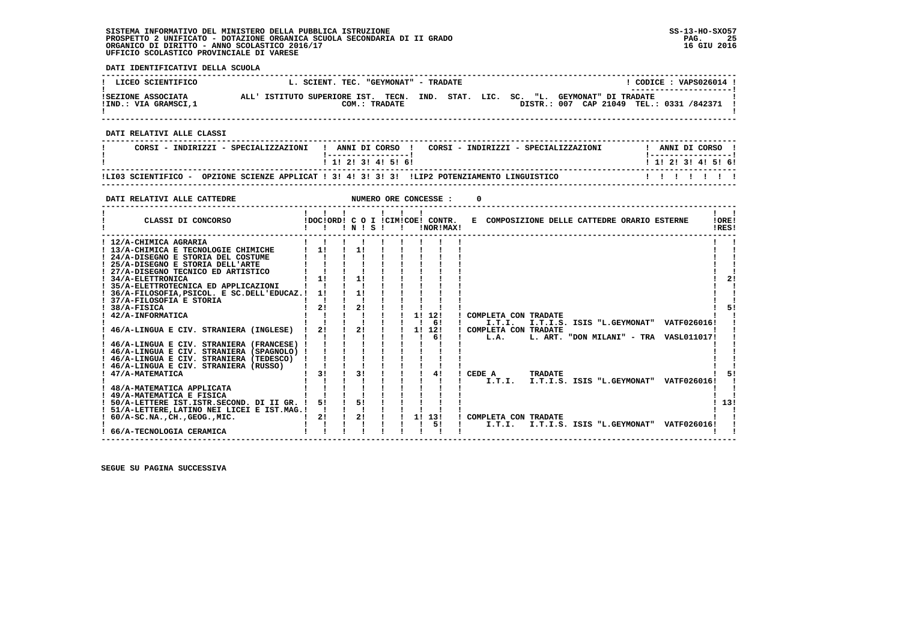**DATI IDENTIFICATIVI DELLA SCUOLA ------------------------------------------------------------------------------------------------------------------------------------** $1$  CODICE  $\cdot$  VAPS026014  $\cdot$ 1 LICEO SCIENTIFICO L. SCIENT. TEC. "GEYMONAT" - TRADATE 1<br>1 CODICE : VAPS026014 L. SCIENT. TEC. "GEYMONAT" DI TRADATE 1 \_\_\_\_\_\_\_\_\_\_\_\_\_\_\_\_\_\_\_\_\_\_\_\_ DISTR.: 007 CAP 21049 TEL.: 0331 /842371 1 - 1  **! ! ------------------------------------------------------------------------------------------------------------------------------------ DATI RELATIVI ALLE CLASSI ------------------------------------------------------------------------------------------------------------------------------------**! ANNI DI CORSO !  **! CORSI - INDIRIZZI - SPECIALIZZAZIONI ! ANNI DI CORSO ! CORSI - INDIRIZZI - SPECIALIZZAZIONI ! ANNI DI CORSO !**\_\_\_\_\_\_\_\_\_\_\_\_\_\_\_\_\_\_\_\_\_\_  **! !-----------------! !-----------------!**1 1 2 2 1 3 1 4 1 5 1 6 1  **! ! 1! 2! 3! 4! 5! 6! ! 1! 2! 3! 4! 5! 6! ------------------------------------------------------------------------------------------------------------------------------------ !LI03 SCIENTIFICO - OPZIONE SCIENZE APPLICAT ! 3! 4! 3! 3! 3! !LIP2 POTENZIAMENTO LINGUISTICO ! ! ! ! ! ! ! ------------------------------------------------------------------------------------------------------------------------------------DATI RELATIVI ALLE CATTEDRE NUMERO ORE CONCESSE : 0 ------------------------------------------------------------------------------------------------------------------------------------** $\mathbf{I}$   $\mathbf{I}$  **! ! ! ! ! ! ! ! ! ! CLASSI DI CONCORSO !DOC!ORD! C O I !CIM!COE! CONTR. E COMPOSIZIONE DELLE CATTEDRE ORARIO ESTERNE !ORE! ! ! ! ! N ! S ! ! !NOR!MAX! !RES!LORE! IDFSI ------------------------------------------------------------------------------------------------------------------------------------**1 12/A-CHIMICA AGRARIA<br>
1 13/A-CHIMICA AGRARIA<br>
1 24/A-DISEGNO E STORIA DEL COSTUME<br>
1 25/A-DISEGNO E STORIA DEL COSTUME<br>
1 27/A-DISEGNO E STORIA DELL'ARTE<br>
1 21/4 - ELETTRONICA<br>
1 34/A-ELETTRONICA<br>
1 34/A-ELETTRONICA<br>
1 2  $\blacksquare$  $\blacksquare$ - 1  $1 \quad 21$  $\mathbf{I}$   $\mathbf{I}$  **! 35/A-ELETTROTECNICA ED APPLICAZIONI ! ! ! ! ! ! ! ! ! ! ! ! 36/A-FILOSOFIA,PSICOL. E SC.DELL'EDUCAZ.! 1! ! 1! ! ! ! ! ! ! ! ! 37/A-FILOSOFIA E STORIA ! ! ! ! ! ! ! ! ! ! !** $\blacksquare$  $\blacksquare$  $1 - 51$  **! 38/A-FISICA ! 2! ! 2! ! ! ! ! ! ! 5! ! 42/A-INFORMATICA ! ! ! ! ! ! 1! 12! ! COMPLETA CON TRADATE ! ! ! ! ! ! ! ! ! ! 6! ! I.T.I. I.T.I.S. ISIS "L.GEYMONAT" VATF026016! ! ! 46/A-LINGUA E CIV. STRANIERA (INGLESE) ! 2! ! 2! ! ! 1! 12! ! COMPLETA CON TRADATE ! ! ! ! ! ! ! ! ! ! 6! ! L.A. L. ART. "DON MILANI" - TRA VASL011017! ! ! 46/A-LINGUA E CIV. STRANIERA (FRANCESE) ! ! ! ! ! ! ! ! ! ! ! ! 46/A-LINGUA E CIV. STRANIERA (SPAGNOLO) ! ! ! ! ! ! ! ! ! ! !**- 1  **! 46/A-LINGUA E CIV. STRANIERA (TEDESCO) ! ! ! ! ! ! ! ! ! ! ! ! 46/A-LINGUA E CIV. STRANIERA (RUSSO) ! ! ! ! ! ! ! ! ! ! ! ! 47/A-MATEMATICA ! 3! ! 3! ! ! ! 4! ! CEDE A TRADATE ! 5! ! ! ! ! ! ! ! ! ! ! I.T.I. I.T.I.S. ISIS "L.GEYMONAT" VATF026016! !** $\blacksquare$ - 51 - 1  **! 48/A-MATEMATICA APPLICATA ! ! ! ! ! ! ! ! ! ! ! ! 49/A-MATEMATICA E FISICA ! ! ! ! ! ! ! ! ! ! ! ! 50/A-LETTERE IST.ISTR.SECOND. DI II GR. ! 5! ! 5! ! ! ! ! ! ! 13!**- 1  $1.121$  $1 \quad 1$  **! 51/A-LETTERE,LATINO NEI LICEI E IST.MAG.! ! ! ! ! ! ! ! ! ! !**- 1  **! 60/A-SC.NA.,CH.,GEOG.,MIC. ! 2! ! 2! ! ! 1! 13! ! COMPLETA CON TRADATE ! ! ! ! ! ! ! ! ! ! 5! ! I.T.I. I.T.I.S. ISIS "L.GEYMONAT" VATF026016! ! ! 66/A-TECNOLOGIA CERAMICA ! ! ! ! ! ! ! ! ! ! !** $\mathbf{I}$  $\cdots$   $\cdots$   $\vdots$ 

 **------------------------------------------------------------------------------------------------------------------------------------**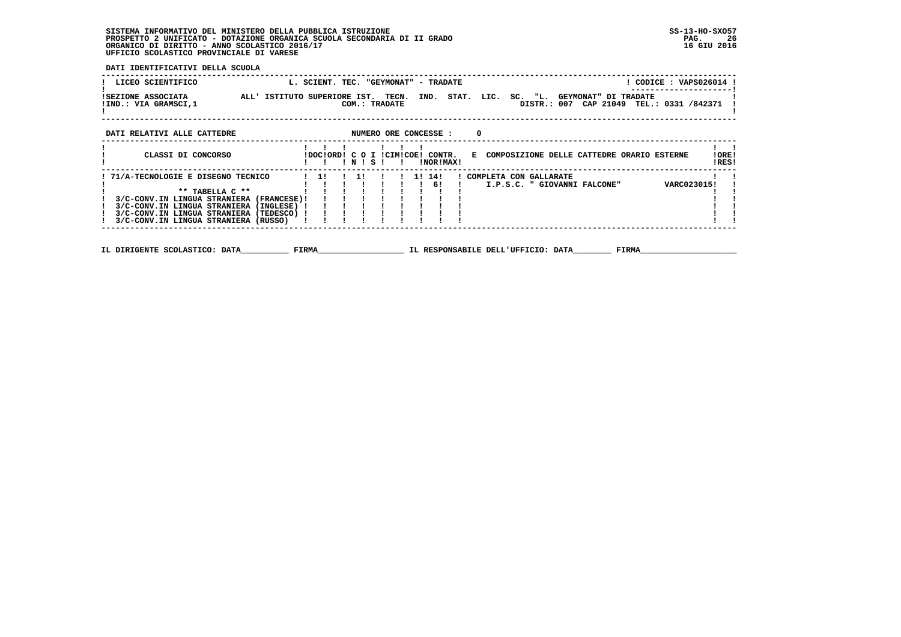**DATI IDENTIFICATIVI DELLA SCUOLA**

| LICEO SCIENTIFICO                                                                                                                                                                                                              |                              | L. SCIENT. TEC. "GEYMONAT" - TRADATE |              |                        |                       |           |          |                                                          |             |  | ! CODICE : VAPS026014 !      |                |  |
|--------------------------------------------------------------------------------------------------------------------------------------------------------------------------------------------------------------------------------|------------------------------|--------------------------------------|--------------|------------------------|-----------------------|-----------|----------|----------------------------------------------------------|-------------|--|------------------------------|----------------|--|
| ISEZIONE ASSOCIATA<br>!IND.: VIA GRAMSCI,1                                                                                                                                                                                     | ALL' ISTITUTO SUPERIORE IST. |                                      |              | TECN.<br>COM.: TRADATE | IND.                  |           |          | STAT. LIC. SC. "L. GEYMONAT" DI TRADATE                  | DISTR.: 007 |  | CAP 21049 TEL.: 0331 /842371 |                |  |
| DATI RELATIVI ALLE CATTEDRE                                                                                                                                                                                                    |                              |                                      |              |                        | NUMERO ORE CONCESSE : |           | $\Omega$ |                                                          |             |  |                              |                |  |
| CLASSI DI CONCORSO                                                                                                                                                                                                             |                              | !DOC!ORD! C O I !CIM!COE! CONTR.     | ! N ! S !    |                        |                       | INORIMAXI |          | E COMPOSIZIONE DELLE CATTEDRE ORARIO ESTERNE             |             |  |                              | !ORE!<br>!RES! |  |
| 71/A-TECNOLOGIE E DISEGNO TECNICO<br>** TABELLA C **<br>3/C-CONV.IN LINGUA STRANIERA (FRANCESE)!<br>3/C-CONV.IN LINGUA STRANIERA (INGLESE)<br>3/C-CONV.IN LINGUA STRANIERA (TEDESCO) !<br>3/C-CONV.IN LINGUA STRANIERA (RUSSO) |                              | $\frac{1}{1}$                        | $1 \quad 11$ |                        | 11 141                | - 61      |          | ! COMPLETA CON GALLARATE<br>I.P.S.C. " GIOVANNI FALCONE" |             |  | VARC023015!                  |                |  |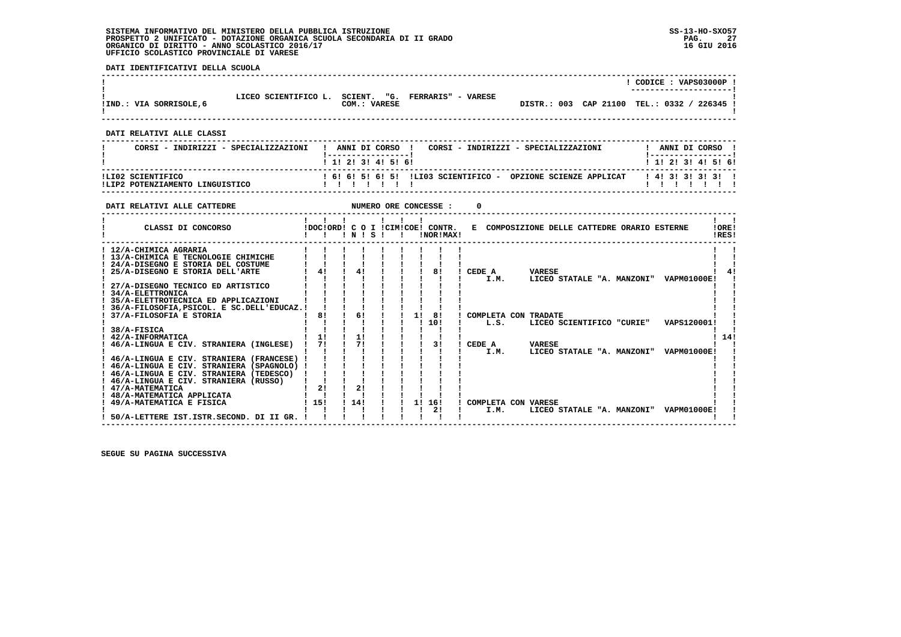**DATI IDENTIFICATIVI DELLA SCUOLA**

| !IND.: VIA SORRISOLE, 6   | LICEO SCIENTIFICO L. | "G. FERRARIS" - VARESE<br>SCIENT.<br>COM.: VARESE | DISTR.: 003 CAP 21100 TEL.: 0332 / 226345 ! | CODICE: VAPS03000P! |
|---------------------------|----------------------|---------------------------------------------------|---------------------------------------------|---------------------|
| DATI RELATIVI ALLE CLASSI |                      |                                                   |                                             |                     |

| CORSI - INDIRIZZI - SPECIALIZZAZIONI                 | ANNI DI CORSO<br>CORSI - INDIRIZZI - SPECIALIZZAZIONI                 | ANNI DI CORSO             |
|------------------------------------------------------|-----------------------------------------------------------------------|---------------------------|
|                                                      | 1 1 1 2 1 3 1 4 1 5 1 6 1                                             | 1 1 1 2 1 3 1 4 1 5 1 6 1 |
| ILI02 SCIENTIFICO<br>ILIP2 POTENZIAMENTO LINGUISTICO | ! 6! 6! 5! 6! 5! ILIO3 SCIENTIFICO -<br>OPZIONE SCIENZE APPLICAT<br>. | 141313131311              |

 **------------------------------------------------------------------------------------------------------------------------------------**

| CLASSI DI CONCORSO<br>IDOCIORDI C O I ICIMICOE! CONTR.<br>E COMPOSIZIONE DELLE CATTEDRE ORARIO ESTERNE                                                                                                                                                   | !ORE!<br>IRES!     |
|----------------------------------------------------------------------------------------------------------------------------------------------------------------------------------------------------------------------------------------------------------|--------------------|
| INISI<br>!NOR!MAX!                                                                                                                                                                                                                                       |                    |
| ! 12/A-CHIMICA AGRARIA<br>! 13/A-CHIMICA E TECNOLOGIE CHIMICHE<br>! 24/A-DISEGNO E STORIA DEL COSTUME<br>41<br>41<br>81<br>CEDE A<br><b>VARESE</b><br>25/A-DISEGNO E STORIA DELL'ARTE<br>I.M.<br>LICEO STATALE "A. MANZONI" VAPM01000E!                  |                    |
| 27/A-DISEGNO TECNICO ED ARTISTICO<br>! 34/A-ELETTRONICA<br>35/A-ELETTROTECNICA ED APPLICAZIONI<br>36/A-FILOSOFIA, PSICOL. E SC.DELL'EDUCAZ.!                                                                                                             |                    |
| 11<br>61<br>81<br>81<br>37/A-FILOSOFIA E STORIA<br>COMPLETA CON TRADATE<br>10!<br>L.S.<br>LICEO SCIENTIFICO "CURIE"<br>38/A-FISICA<br>11<br>11<br>42/A-INFORMATICA                                                                                       | VAPS120001!<br>14! |
| 71<br>71<br>31<br>CEDE A<br>46/A-LINGUA E CIV. STRANIERA (INGLESE)<br><b>VARESE</b><br>LICEO STATALE "A. MANZONI"<br>I.M.<br>! 46/A-LINGUA E CIV. STRANIERA (FRANCESE) !                                                                                 | VAPM01000E!        |
| ! 46/A-LINGUA E CIV. STRANIERA (SPAGNOLO) !<br>! 46/A-LINGUA E CIV. STRANIERA (TEDESCO)<br>46/A-LINGUA E CIV. STRANIERA (RUSSO)                                                                                                                          |                    |
| 21<br>! 47/A-MATEMATICA<br>2!<br>! 48/A-MATEMATICA APPLICATA<br>114!<br>115!<br>16!<br>! COMPLETA CON VARESE<br>49/A-MATEMATICA E FISICA<br><b>11</b><br>21<br>LICEO STATALE "A. MANZONI" VAPM01000E!<br>I.M.<br>50/A-LETTERE IST.ISTR.SECOND. DI II GR. |                    |

 **------------------------------------------------------------------------------------------------------------------------------------**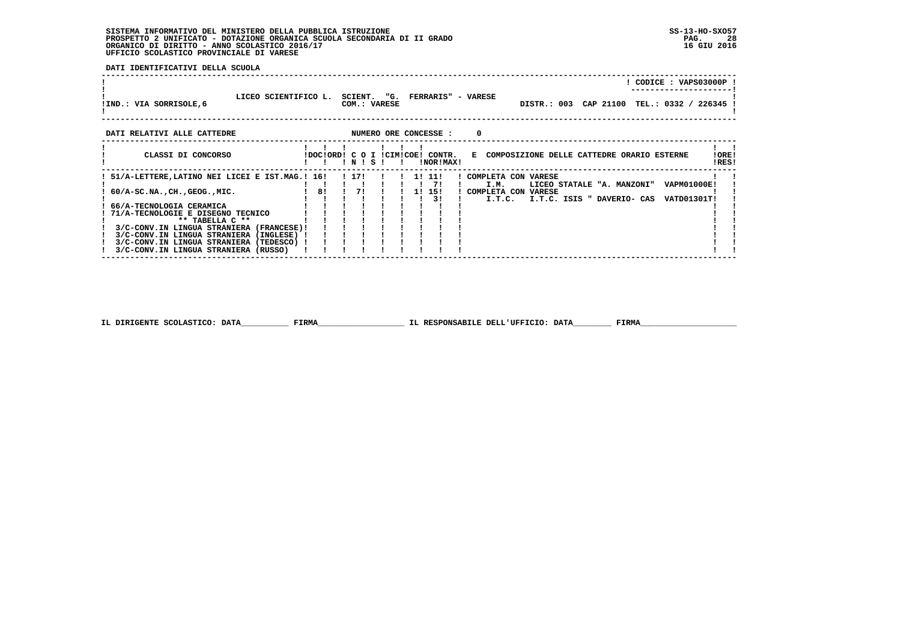**DATI IDENTIFICATIVI DELLA SCUOLA**

 **------------------------------------------------------------------------------------------------------------------------------------**

|                                                 |                              |    |       |                              |    |                                  | ! CODICE : VAPS03000P !                                    |
|-------------------------------------------------|------------------------------|----|-------|------------------------------|----|----------------------------------|------------------------------------------------------------|
|                                                 | LICEO SCIENTIFICO L. SCIENT. |    |       |                              |    | "G. FERRARIS" - VARESE           |                                                            |
| !IND.: VIA SORRISOLE,6                          |                              |    |       | COM.: VARESE                 |    |                                  | DISTR.: 003 CAP 21100 TEL.: 0332 / 226345                  |
|                                                 |                              |    |       |                              |    |                                  |                                                            |
| DATI RELATIVI ALLE CATTEDRE                     |                              |    |       |                              |    | NUMERO ORE CONCESSE :            | 0                                                          |
|                                                 |                              |    |       |                              |    |                                  |                                                            |
| CLASSI DI CONCORSO                              |                              |    |       |                              |    | !DOC!ORD! C O I !CIM!COE! CONTR. | E COMPOSIZIONE DELLE CATTEDRE ORARIO ESTERNE<br>!ORE!      |
|                                                 |                              |    | INISI |                              | Ι. | !NOR!MAX!                        | !RES!                                                      |
| ! 51/A-LETTERE,LATINO NEI LICEI E IST.MAG.! 16! |                              |    |       | 1 17!!!!!!!!!!               |    |                                  | ! COMPLETA CON VARESE                                      |
|                                                 |                              |    |       | . 71                         |    |                                  | LICEO STATALE "A. MANZONI"<br>VAPM01000E!<br>I.M.          |
| $60/A-SC.NA.$ , CH., GEOG., MIC.                |                              | 81 |       | $1 \quad 7! \quad 1 \quad 1$ |    | 1! 15!<br>3 I                    | ! COMPLETA CON VARESE                                      |
| 66/A-TECNOLOGIA CERAMICA                        |                              |    |       |                              |    |                                  | I.T.C. ISIS " DAVERIO- CAS<br>I.T.C.<br><b>VATD01301T!</b> |
| 71/A-TECNOLOGIE E DISEGNO TECNICO               |                              |    |       |                              |    |                                  |                                                            |
| $**$ TABELLA $C**$                              |                              |    |       |                              |    |                                  |                                                            |
| 3/C-CONV.IN LINGUA STRANIERA (FRANCESE)!        |                              |    |       |                              |    |                                  |                                                            |
| 3/C-CONV.IN LINGUA STRANIERA (INGLESE) !        |                              |    |       |                              |    |                                  |                                                            |
| 3/C-CONV.IN LINGUA STRANIERA (TEDESCO) !        |                              |    |       |                              |    |                                  |                                                            |
| 3/C-CONV.IN LINGUA STRANIERA (RUSSO)            |                              |    |       |                              |    |                                  |                                                            |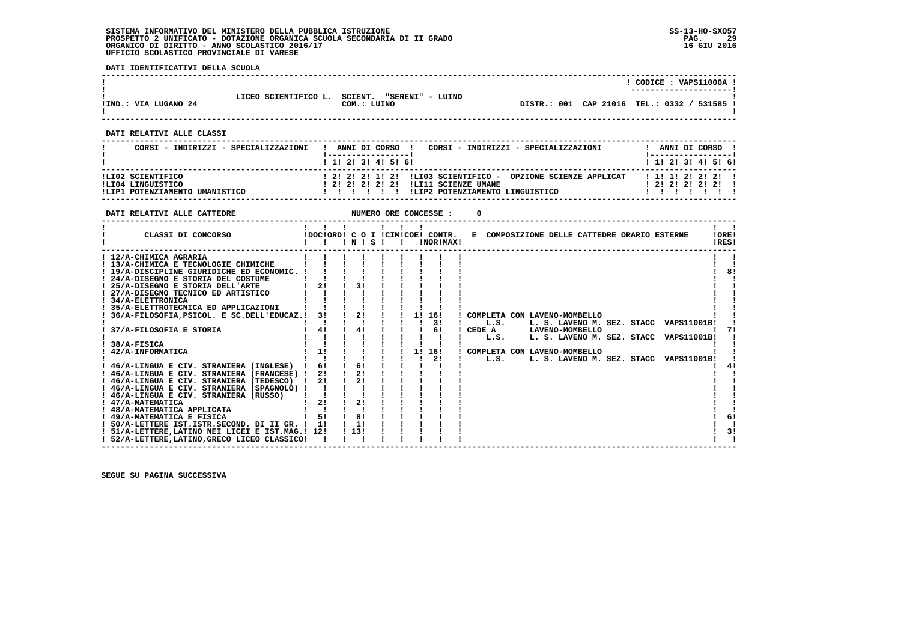**DATI IDENTIFICATIVI DELLA SCUOLA**

|                      |                      |                             |                                             | CODICE : VAPS11000A    |  |
|----------------------|----------------------|-----------------------------|---------------------------------------------|------------------------|--|
|                      | LICEO SCIENTIFICO L. | SCIENT.<br>"SERENI" - LUINO |                                             | ---------------------- |  |
| !IND.: VIA LUGANO 24 |                      | COM.: LUINO                 | DISTR.: 001 CAP 21016 TEL.: 0332 / 531585 ! |                        |  |

 **------------------------------------------------------------------------------------------------------------------------------------**

 **------------------------------------------------------------------------------------------------------------------------------------**

 **DATI RELATIVI ALLE CLASSI**

| CORSI - INDIRIZZI - SPECIALIZZAZIONI   | CORSI - INDIRIZZI - SPECIALIZZAZIONI<br>ANNI DI CORSO !                                               | ANNI DI CORSO                              |
|----------------------------------------|-------------------------------------------------------------------------------------------------------|--------------------------------------------|
|                                        | ! 1! 2! 3! 4! 5! 6!                                                                                   | ! 1! 2! 3! 4! 5! 6!                        |
| ILI02 SCIENTIFICO<br>ILI04 LINGUISTICO | ! 2! 2! 2! 1! 2! !LIO3 SCIENTIFICO - OPZIONE SCIENZE APPLICAT<br>1 21 21 21 21 21 ILI11 SCIENZE UMANE | 1 1 1 1 2 2 2 2 1<br>1 2 1 2 1 2 1 2 1 2 1 |
| !LIP1 POTENZIAMENTO UMANISTICO         | ILIP2 POTENZIAMENTO LINGUISTICO                                                                       |                                            |

| DATI RELATIVI ALLE CATTEDRE                                                                                                                                                                                                                                                                                                                                                                                                                                                                                                                                                                                                                              |                                                                                              |                                        |                                                        | NUMERO ORE CONCESSE :              |                                                                                                                                                                                                                                                |                |
|----------------------------------------------------------------------------------------------------------------------------------------------------------------------------------------------------------------------------------------------------------------------------------------------------------------------------------------------------------------------------------------------------------------------------------------------------------------------------------------------------------------------------------------------------------------------------------------------------------------------------------------------------------|----------------------------------------------------------------------------------------------|----------------------------------------|--------------------------------------------------------|------------------------------------|------------------------------------------------------------------------------------------------------------------------------------------------------------------------------------------------------------------------------------------------|----------------|
| CLASSI DI CONCORSO                                                                                                                                                                                                                                                                                                                                                                                                                                                                                                                                                                                                                                       | $\mathbf{1}$ $\mathbf{1}$ $\mathbf{1}$<br>!DOC!ORD! C O I !CIM!COE! CONTR.<br>$\blacksquare$ | INISI                                  | $\mathbf{1}$ $\mathbf{1}$ $\mathbf{1}$<br>$\mathbf{I}$ | <b>INOR ! MAX!</b>                 | E COMPOSIZIONE DELLE CATTEDRE ORARIO ESTERNE                                                                                                                                                                                                   | !ORE!<br>IRES! |
| ! 12/A-CHIMICA AGRARIA<br>! 13/A-CHIMICA E TECNOLOGIE CHIMICHE<br>! 19/A-DISCIPLINE GIURIDICHE ED ECONOMIC.<br>24/A-DISEGNO E STORIA DEL COSTUME<br>! 25/A-DISEGNO E STORIA DELL'ARTE<br>! 27/A-DISEGNO TECNICO ED ARTISTICO<br>! 34/A-ELETTRONICA<br>35/A-ELETTROTECNICA ED APPLICAZIONI<br>36/A-FILOSOFIA, PSICOL. E SC.DELL'EDUCAZ.!<br>37/A-FILOSOFIA E STORIA<br>38/A-FISICA<br>42/A-INFORMATICA<br>! 46/A-LINGUA E CIV. STRANIERA (INGLESE)<br>! 46/A-LINGUA E CIV. STRANIERA (FRANCESE) !<br>! 46/A-LINGUA E CIV. STRANIERA (TEDESCO)<br>46/A-LINGUA E CIV. STRANIERA (SPAGNOLO) !<br>! 46/A-LINGUA E CIV. STRANIERA (RUSSO)<br>! 47/A-MATEMATICA | 2!<br>31<br>4!<br>1!<br>6!<br>21<br>2!<br>2!                                                 | 3!<br>2!<br>41<br>6!<br>21<br>2!<br>2! |                                                        | 1! 16!<br>3!<br>61<br>1! 16!<br>2! | ! COMPLETA CON LAVENO-MOMBELLO<br>L.S.<br>L. S. LAVENO M. SEZ. STACC VAPS11001B!<br>CEDE A LAVENO-MOMBELLO<br>L. S. LAVENO M. SEZ. STACC VAPS11001B!<br>L.S.<br>COMPLETA CON LAVENO-MOMBELLO<br>L.S.<br>L. S. LAVENO M. SEZ. STACC VAPS11001B! | 81             |
| ! 48/A-MATEMATICA APPLICATA<br>! 49/A-MATEMATICA E FISICA<br>! 50/A-LETTERE IST.ISTR.SECOND. DI II GR. !<br>! 51/A-LETTERE, LATINO NEI LICEI E IST. MAG. ! 12!<br>! 52/A-LETTERE, LATINO, GRECO LICEO CLASSICO!                                                                                                                                                                                                                                                                                                                                                                                                                                          | 51<br>11                                                                                     | 81<br>1!<br>1131                       |                                                        |                                    |                                                                                                                                                                                                                                                | 6!<br>3!       |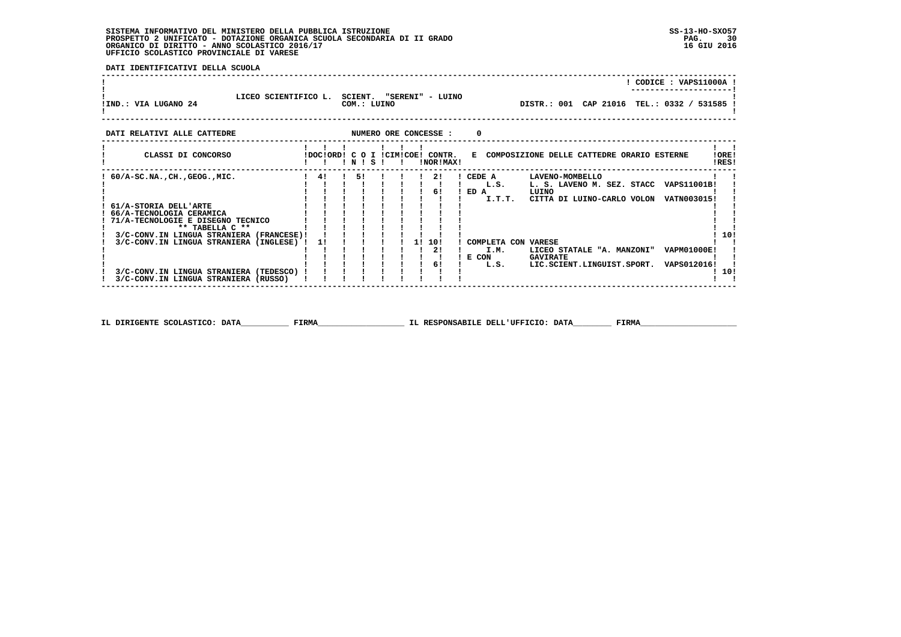**DATI IDENTIFICATIVI DELLA SCUOLA**

|                      |                      |                                            |                                             | CODICE: VAPS11000A!<br>---------------------- |  |
|----------------------|----------------------|--------------------------------------------|---------------------------------------------|-----------------------------------------------|--|
| !IND.: VIA LUGANO 24 | LICEO SCIENTIFICO L. | SCIENT.<br>"SERENI" - LUINO<br>COM.: LUINO | DISTR.: 001 CAP 21016 TEL.: 0332 / 531585 ! |                                               |  |

| DATI RELATIVI ALLE CATTEDRE                                                                               |                           |           | NUMERO ORE CONCESSE : | 0                                                                                                                  |
|-----------------------------------------------------------------------------------------------------------|---------------------------|-----------|-----------------------|--------------------------------------------------------------------------------------------------------------------|
| CLASSI DI CONCORSO                                                                                        | IDOCIORDI C O I ICIMICOE! | ! N ! S ! | CONTR.<br>INORIMAX!   | E COMPOSIZIONE DELLE CATTEDRE ORARIO ESTERNE<br>!ORE!<br>!RES!                                                     |
| $60/A-SC.NA.$ , $CH.$ , $GEOG.$ , $MIC.$                                                                  | 4!                        | 51        | 21<br>6!              | CEDE A<br>LAVENO-MOMBELLO<br>L. S. LAVENO M. SEZ. STACC<br>VAPS11001B!<br>L.S.<br>ED A<br>LUINO                    |
| 61/A-STORIA DELL'ARTE<br>66/A-TECNOLOGIA CERAMICA<br>71/A-TECNOLOGIE E DISEGNO TECNICO<br>** TABELLA C ** |                           |           |                       | I.T.T.<br>CITTA DI LUINO-CARLO VOLON<br>VATN003015!                                                                |
| 3/C-CONV.IN LINGUA STRANIERA (FRANCESE)!<br>3/C-CONV.IN LINGUA STRANIERA (INGLESE)                        | 11                        |           | 10!<br>11<br>21       | 10!<br>COMPLETA CON VARESE<br><b>VAPM01000E!</b><br>I.M.<br>LICEO STATALE "A. MANZONI"<br>E CON<br><b>GAVIRATE</b> |
| 3/C-CONV.IN LINGUA STRANIERA<br>(TEDESCO)<br>3/C-CONV.IN LINGUA STRANIERA<br>(RUSSO)                      |                           |           | 6!                    | VAPS012016!<br>LIC.SCIENT.LINGUIST.SPORT.<br>L.S.<br>10!                                                           |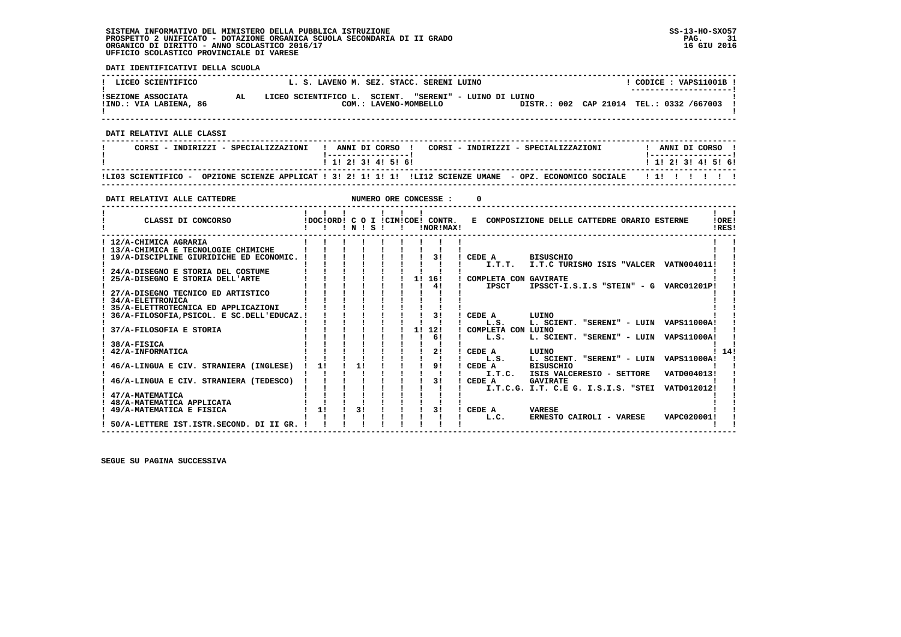**DATI IDENTIFICATIVI DELLA SCUOLA**

| LICEO SCIENTIFICO                                                                                                     |                                                                                                                    |                     | L. S. LAVENO M. SEZ. STACC. SERENI LUINO                                         |                                                              |                                                                                                        | $!$ CODICE : VAPS11001B $!$                     |
|-----------------------------------------------------------------------------------------------------------------------|--------------------------------------------------------------------------------------------------------------------|---------------------|----------------------------------------------------------------------------------|--------------------------------------------------------------|--------------------------------------------------------------------------------------------------------|-------------------------------------------------|
| <b>AL</b><br><b>!SEZIONE ASSOCIATA</b><br>!IND.: VIA LABIENA, 86                                                      |                                                                                                                    |                     |                                                                                  | LICEO SCIENTIFICO L. SCIENT. "SERENI" - LUINO DI LUINO       | COM.: LAVENO-MOMBELLO DISTR.: 002 CAP 21014 TEL.: 0332 /667003 !                                       |                                                 |
| DATI RELATIVI ALLE CLASSI                                                                                             |                                                                                                                    |                     | -------------------------------                                                  |                                                              |                                                                                                        |                                                 |
| CORSI - INDIRIZZI - SPECIALIZZAZIONI                                                                                  |                                                                                                                    |                     |                                                                                  | ! ANNI DI CORSO  !   CORSI – INDIRIZZI – SPECIALIZZAZIONI    |                                                                                                        | ! ANNI DI CORSO !                               |
|                                                                                                                       |                                                                                                                    | 1 1! 2! 3! 4! 5! 6! |                                                                                  |                                                              |                                                                                                        | 1 1 2 2 1 3 1 4 1 5 1 6 1                       |
| !LI03 SCIENTIFICO - OPZIONE SCIENZE APPLICAT ! 3! 2! 1! 1! 1! !LI12 SCIENZE UMANE - OPZ. ECONOMICO SOCIALE   !!!!!!!! |                                                                                                                    |                     |                                                                                  |                                                              |                                                                                                        |                                                 |
|                                                                                                                       |                                                                                                                    |                     |                                                                                  |                                                              |                                                                                                        |                                                 |
| DATI RELATIVI ALLE CATTEDRE                                                                                           |                                                                                                                    |                     | NUMERO ORE CONCESSE :                                                            | 0                                                            |                                                                                                        |                                                 |
| CLASSI DI CONCORSO                                                                                                    | !!!N!S!!                                                                                                           |                     | $1 \quad 1 \quad 1 \quad 1 \quad 1 \quad 1$<br>!DOC!ORD! C O I !CIM!COE! CONTR.  | !NOR!MAX!                                                    | E COMPOSIZIONE DELLE CATTEDRE ORARIO ESTERNE                                                           | $\mathbf{I}$ and $\mathbf{I}$<br>!ORE!<br>!RES! |
| ! 12/A-CHIMICA AGRARIA<br>! 13/A-CHIMICA E TECNOLOGIE CHIMICHE<br>! 19/A-DISCIPLINE GIURIDICHE ED ECONOMIC. ! ! !     |                                                                                                                    |                     | $\frac{1}{1}$ $\frac{1}{31}$                                                     | ! CEDE A BISUSCHIO                                           |                                                                                                        |                                                 |
| ! 24/A-DISEGNO E STORIA DEL COSTUME<br>25/A-DISEGNO E STORIA DELL'ARTE                                                | $\begin{array}{cccccccccc} 1 & 1 & 1 & 1 & 1 & 1 \\ 1 & 1 & 1 & 1 & 1 & 1 \\ 1 & 1 & 1 & 1 & 1 & 1 \\ \end{array}$ |                     | $\mathbf{1}$ $\mathbf{1}$<br>1111111<br>$\blacksquare$<br>$1 \quad 11 \quad 161$ | $\mathbf{I}$<br>! COMPLETA CON GAVIRATE                      | I.T.T. I.T.C TURISMO ISIS "VALCER VATN004011!                                                          |                                                 |
| 27/A-DISEGNO TECNICO ED ARTISTICO<br><b>34/A-ELETTRONICA</b><br>! 35/A-ELETTROTECNICA ED APPLICAZIONI                 |                                                                                                                    |                     | $\mathbf{I}$                                                                     | 41<br><b>IPSCT</b><br>$\mathbf{I}$                           | IPSSCT-I.S.I.S "STEIN" - G VARC01201P!                                                                 |                                                 |
| 36/A-FILOSOFIA, PSICOL. E SC.DELL'EDUCAZ.!<br>37/A-FILOSOFIA E STORIA                                                 |                                                                                                                    |                     | 1! 12!                                                                           | 31<br>CEDE A<br>$\blacksquare$<br>L.S.<br>COMPLETA CON LUINO | LUINO<br>L. SCIENT. "SERENI" - LUIN VAPS11000A!                                                        |                                                 |
| 38/A-FISICA<br>42/A-INFORMATICA                                                                                       |                                                                                                                    |                     | $1 \quad 61$<br>$1 \quad 21$                                                     | $\mathbf{I}$<br>L.S.<br>$\blacksquare$<br>! CEDE A           | L. SCIENT. "SERENI" - LUIN VAPS11000A!<br>LUINO                                                        | 1141                                            |
| 46/A-LINGUA E CIV. STRANIERA (INGLESE) ! 1! ! 1!                                                                      |                                                                                                                    |                     | $\mathbf{1}$ $\mathbf{1}$<br>$1 \t 1 \t 91$                                      | L.S.<br><b>The Company</b><br>! CEDE A                       | L. SCIENT. "SERENI" - LUIN VAPS11000A!<br><b>BISUSCHIO</b>                                             |                                                 |
| 46/A-LINGUA E CIV. STRANIERA (TEDESCO) ! !                                                                            | $\mathbf{I}$                                                                                                       |                     | $\mathbf{I}$ $\mathbf{I}$<br>$\frac{1}{3}$<br>$1 \quad 1 \quad 1$                | $\mathbf{I}$<br>! CEDE A                                     | I.T.C. ISIS VALCERESIO - SETTORE<br><b>GAVIRATE</b><br>I.T.C.G. I.T. C.E G. I.S.I.S. "STEI VATD012012! | VATD004013!                                     |
| 47/A-MATEMATICA<br>48/A-MATEMATICA APPLICATA<br>! 49/A-MATEMATICA E FISICA                                            | $\mathbf{I}$ $\mathbf{I}$<br>$\frac{1}{2}$                                                                         | 31                  | $1 \quad 31$                                                                     | $\mathbf{I}$<br>! CEDE A                                     | <b>VARESE</b>                                                                                          |                                                 |
| ! 50/A-LETTERE IST.ISTR.SECOND. DI II GR. !                                                                           |                                                                                                                    |                     |                                                                                  | L.C.                                                         | ERNESTO CAIROLI - VARESE                                                                               | VAPC020001!                                     |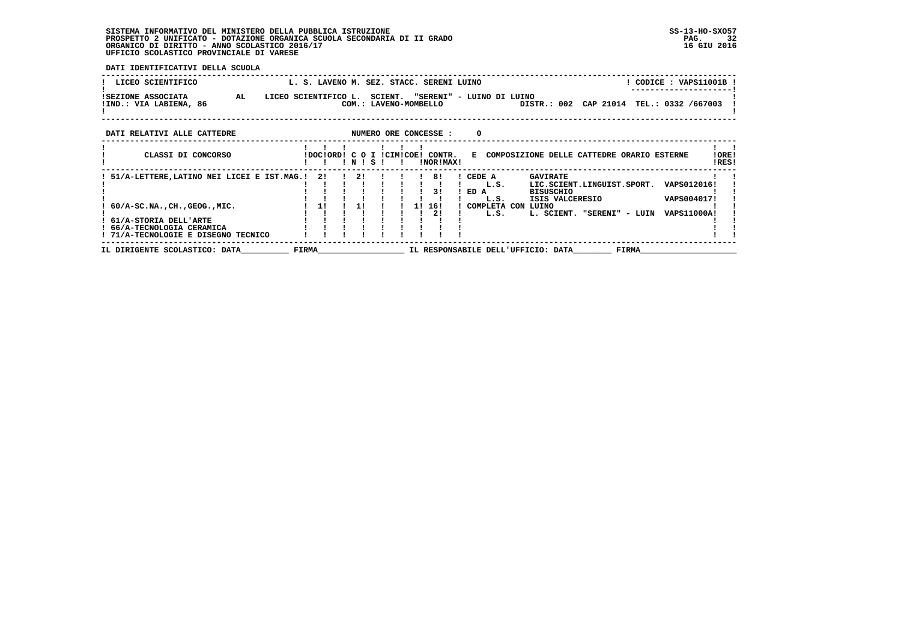**DATI IDENTIFICATIVI DELLA SCUOLA**

| LICEO SCIENTIFICO                                                                          | L. S. LAVENO M. SEZ. STACC. SERENI LUINO |    |                                   |  |                                  |                |                |                                              |                                                                                      |                            |              | ! CODICE : VAPS11001B !                   |                |
|--------------------------------------------------------------------------------------------|------------------------------------------|----|-----------------------------------|--|----------------------------------|----------------|----------------|----------------------------------------------|--------------------------------------------------------------------------------------|----------------------------|--------------|-------------------------------------------|----------------|
| AL<br><b>!SEZIONE ASSOCIATA</b><br>!IND.: VIA LABIENA, 86                                  | LICEO SCIENTIFICO L.                     |    |                                   |  | COM.: LAVENO-MOMBELLO            |                |                | SCIENT. "SERENI" - LUINO DI LUINO            |                                                                                      |                            |              | DISTR.: 002 CAP 21014 TEL.: 0332 /667003  |                |
| NUMERO ORE CONCESSE :<br>DATI RELATIVI ALLE CATTEDRE<br>0                                  |                                          |    |                                   |  |                                  |                |                |                                              |                                                                                      |                            |              |                                           |                |
| CLASSI DI CONCORSO                                                                         |                                          |    | INISI                             |  | IDOCIORDI C O I ICIMICOEI CONTR. | !NOR!MAX!      |                |                                              | E COMPOSIZIONE DELLE CATTEDRE ORARIO ESTERNE                                         |                            |              |                                           | !ORE!<br>!RES! |
| 51/A-LETTERE, LATINO NEI LICEI E IST.MAG.! 2!<br>$60/A-SC.NA.$ , CH., GEOG., MIC.          |                                          | 1! | $\frac{1}{2}$ $\frac{1}{2}$<br>11 |  | 1! 16!                           | 81<br>31<br>21 | CEDE A<br>ED A | L.S.<br>L.S.<br>! COMPLETA CON LUINO<br>L.S. | <b>GAVIRATE</b><br>LIC.SCIENT.LINGUIST.SPORT.<br><b>BISUSCHIO</b><br>ISIS VALCERESIO | L. SCIENT. "SERENI" - LUIN |              | VAPS012016!<br>VAPS004017!<br>VAPS11000A! |                |
| ! 61/A-STORIA DELL'ARTE<br>66/A-TECNOLOGIA CERAMICA<br>! 71/A-TECNOLOGIE E DISEGNO TECNICO |                                          |    |                                   |  |                                  |                |                |                                              |                                                                                      |                            |              |                                           |                |
| IL DIRIGENTE SCOLASTICO: DATA                                                              | <b>FIRMA</b>                             |    |                                   |  |                                  |                |                |                                              | IL RESPONSABILE DELL'UFFICIO: DATA                                                   |                            | <b>FIRMA</b> |                                           |                |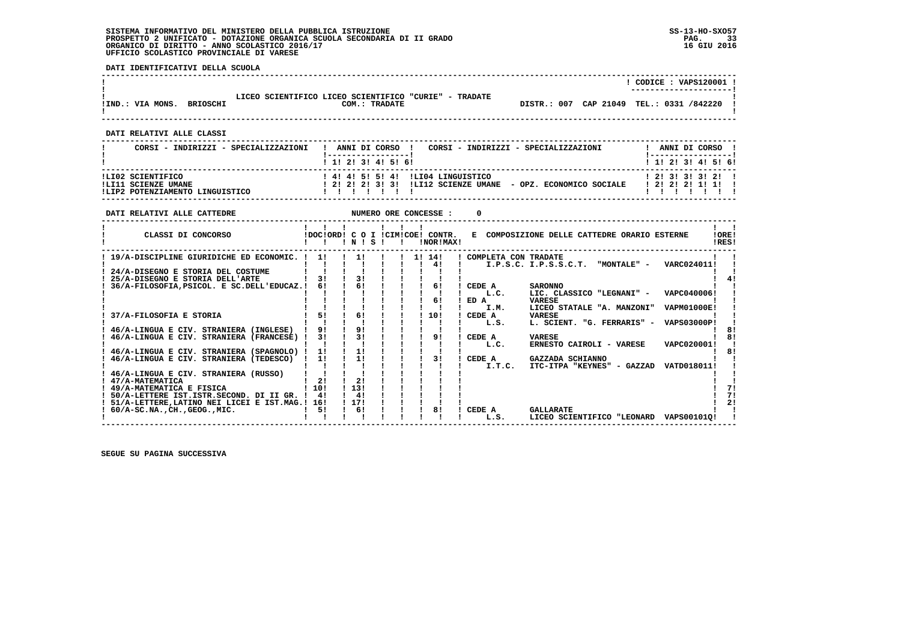**DATI IDENTIFICATIVI DELLA SCUOLA**

|                                     |                                                                        | CODICE: VAPS120001 !                     |
|-------------------------------------|------------------------------------------------------------------------|------------------------------------------|
| !IND.: VIA MONS.<br><b>BRIOSCHI</b> | LICEO SCIENTIFICO LICEO SCIENTIFICO "CURIE" - TRADATE<br>COM.: TRADATE | DISTR.: 007 CAP 21049 TEL.: 0331 /842220 |
|                                     |                                                                        |                                          |

 **------------------------------------------------------------------------------------------------------------------------------------**

 **DATI RELATIVI ALLE CLASSI**

| CORSI - INDIRIZZI - SPECIALIZZAZIONI                                        | CORSI - INDIRIZZI - SPECIALIZZAZIONI<br>ANNI DI CORSO !                                             | ANNI DI CORSO !                                   |
|-----------------------------------------------------------------------------|-----------------------------------------------------------------------------------------------------|---------------------------------------------------|
|                                                                             | 1 1 2 3 3 4 5 5 6                                                                                   | 1 1 2 2 1 3 1 4 1 5 1 6 1                         |
| ILI02 SCIENTIFICO<br>!LI11 SCIENZE UMANE<br>!LIP2 POTENZIAMENTO LINGUISTICO | ! 4! 4! 5! 5! 4! !LI04 LINGUISTICO<br>! 2! 2! 2! 3! 3! !LI12 SCIENZE UMANE - OPZ. ECONOMICO SOCIALE | 1, 21, 31, 31, 31, 21, 1<br>1 2 1 2 1 2 1 1 1 1 1 |

| DATI RELATIVI ALLE CATTEDRE                                                                  |                |            |  | NUMERO ORE CONCESSE :                         |                      |                                                |                    |                |
|----------------------------------------------------------------------------------------------|----------------|------------|--|-----------------------------------------------|----------------------|------------------------------------------------|--------------------|----------------|
| CLASSI DI CONCORSO                                                                           |                | INISI      |  | IDOCIORD! C O I ICIMICOE! CONTR.<br>INORIMAXI |                      | E COMPOSIZIONE DELLE CATTEDRE ORARIO ESTERNE   |                    | !ORE!<br>IRES! |
| 19/A-DISCIPLINE GIURIDICHE ED ECONOMIC. !                                                    | 11             | 11         |  | 1! 14!<br>41                                  | COMPLETA CON TRADATE | "MONTALE" -<br>I.P.S.C. I.P.S.S.C.T.           | VARC024011!        |                |
| 24/A-DISEGNO E STORIA DEL COSTUME<br>25/A-DISEGNO E STORIA DELL'ARTE                         | 31             | 31         |  |                                               |                      |                                                |                    |                |
| 36/A-FILOSOFIA, PSICOL. E SC.DELL'EDUCAZ.!                                                   | 61             | 61         |  | 61                                            | CEDE A<br>L.C.       | <b>SARONNO</b><br>LIC. CLASSICO "LEGNANI" -    | VAPC040006!        |                |
|                                                                                              | 51             | 6!         |  | 61                                            | ED A<br>I.M.         | <b>VARESE</b><br>LICEO STATALE "A. MANZONI"    | <b>VAPM01000E!</b> |                |
| 37/A-FILOSOFIA E STORIA                                                                      | 9 <sub>1</sub> | 91         |  | 10!                                           | CEDE A<br>L.S.       | <b>VARESE</b><br>L. SCIENT. "G. FERRARIS" -    | <b>VAPS03000P!</b> |                |
| 46/A-LINGUA E CIV. STRANIERA (INGLESE)<br>46/A-LINGUA E CIV. STRANIERA (FRANCESE)            | 31             | 31         |  | 91                                            | CEDE A               | <b>VARESE</b><br>ERNESTO CAIROLI - VARESE      | VAPC020001!        |                |
| 46/A-LINGUA E CIV. STRANIERA (SPAGNOLO) !<br>46/A-LINGUA E CIV. STRANIERA (TEDESCO)          | 1!<br>11       | 11<br>11   |  | 31                                            | L.C.<br>CEDE A       | GAZZADA SCHIANNO                               |                    | ឧ!             |
| 46/A-LINGUA E CIV. STRANIERA (RUSSO)                                                         |                |            |  |                                               | I.T.C.               | ITC-ITPA "KEYNES" - GAZZAD                     | VATD018011!        |                |
| 47/A-MATEMATICA<br>! 49/A-MATEMATICA E FISICA                                                | 21<br>10!      | 21<br>13!  |  |                                               |                      |                                                |                    |                |
| 50/A-LETTERE IST.ISTR.SECOND. DI II GR. !<br>51/A-LETTERE, LATINO NEI LICEI E IST. MAG.! 16! | 4!             | 41<br>117! |  |                                               |                      |                                                |                    | 71<br>21       |
| ! 60/A-SC.NA., CH., GEOG., MIC.                                                              | 51             | 6!         |  | 81                                            | CEDE A<br>L.S.       | <b>GALLARATE</b><br>LICEO SCIENTIFICO "LEONARD | VAPS001010!        |                |
|                                                                                              |                |            |  |                                               |                      |                                                |                    |                |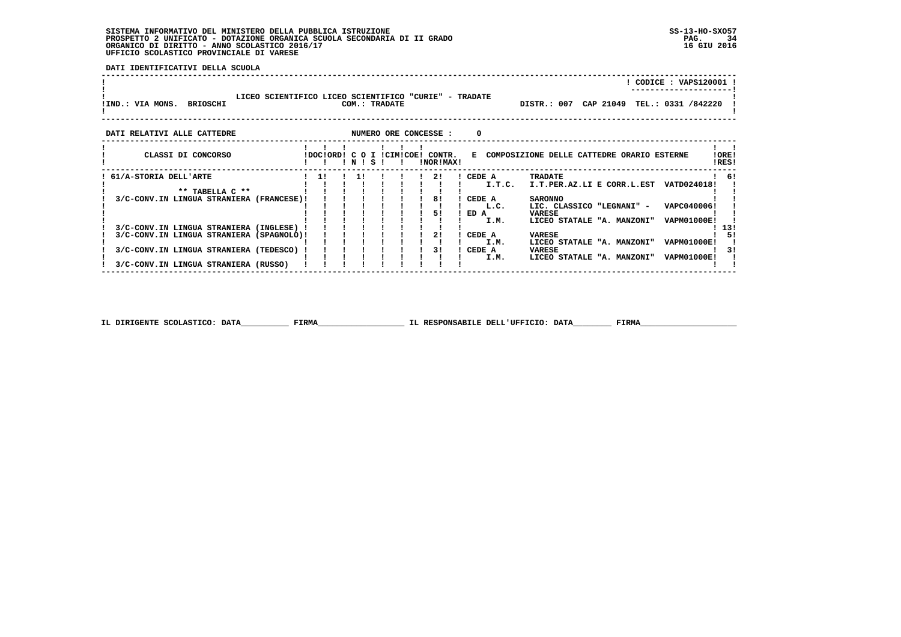**DATI IDENTIFICATIVI DELLA SCUOLA**

| !IND.: VIA MONS. BRIOSCHI                                                          | LICEO SCIENTIFICO LICEO SCIENTIFICO "CURIE" - TRADATE |           |  |       | COM.: TRADATE |  |  |                                     |                  |        | DISTR.: 007                                           |  | CODICE: VAPS120001<br>CAP 21049 TEL.: 0331 /842220 |                |
|------------------------------------------------------------------------------------|-------------------------------------------------------|-----------|--|-------|---------------|--|--|-------------------------------------|------------------|--------|-------------------------------------------------------|--|----------------------------------------------------|----------------|
| NUMERO ORE CONCESSE :<br>0<br>DATI RELATIVI ALLE CATTEDRE                          |                                                       |           |  |       |               |  |  |                                     |                  |        |                                                       |  |                                                    |                |
| CLASSI DI CONCORSO                                                                 |                                                       | !DOC!ORD! |  | INISI |               |  |  | C O I !CIM!COE! CONTR.<br>!NOR!MAX! |                  |        | E COMPOSIZIONE DELLE CATTEDRE ORARIO ESTERNE          |  |                                                    | !ORE!<br>!RES! |
| 61/A-STORIA DELL'ARTE<br>** TABELLA C **                                           |                                                       | 11        |  | 11    |               |  |  | 21                                  | CEDE A           | I.T.C. | TRADATE<br>I.T.PER.AZ.LI E CORR.L.EST                 |  | VATD024018!                                        | ! 6!           |
| 3/C-CONV.IN LINGUA STRANIERA (FRANCESE)!                                           |                                                       |           |  |       |               |  |  | 81                                  | CEDE A           | L.C.   | <b>SARONNO</b><br>LIC. CLASSICO "LEGNANI" -           |  | VAPC040006!                                        |                |
| 3/C-CONV.IN LINGUA STRANIERA (INGLESE)                                             |                                                       |           |  |       |               |  |  | 51                                  | ED A             | I.M.   | VARESE<br>LICEO STATALE "A. MANZONI"                  |  | VAPM01000E!                                        | - 13!          |
| 3/C-CONV.IN LINGUA STRANIERA (SPAGNOLO)!<br>3/C-CONV.IN LINGUA STRANIERA (TEDESCO) |                                                       |           |  |       |               |  |  | 2!<br>31                            | CEDE A<br>CEDE A | I.M.   | <b>VARESE</b><br>LICEO STATALE "A. MANZONI"<br>VARESE |  | <b>VAPM01000E!</b>                                 | 51<br>31       |
| 3/C-CONV.IN LINGUA STRANIERA (RUSSO)                                               |                                                       |           |  |       |               |  |  |                                     |                  | I.M.   | LICEO STATALE "A. MANZONI"                            |  | <b>VAPM01000E!</b>                                 |                |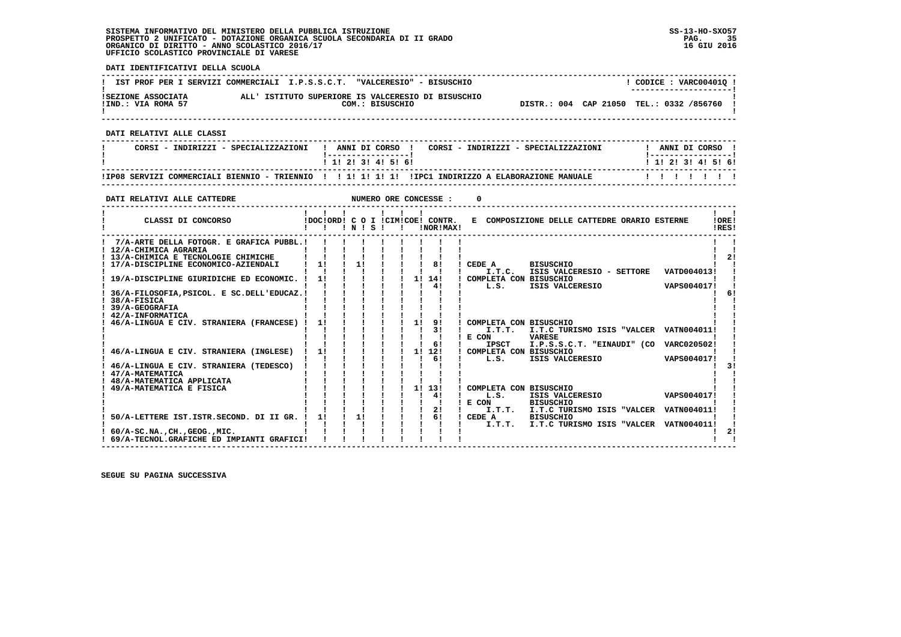**DATI IDENTIFICATIVI DELLA SCUOLA ------------------------------------------------------------------------------------------------------------------------------------**L CODICE : VARC004010 L **! IST PROF PER I SERVIZI COMMERCIALI I.P.S.S.C.T. "VALCERESIO" - BISUSCHIO ! ---------------------! !SEZIONE ASSOCIATA ALL' ISTITUTO SUPERIORE IS VALCERESIO DI BISUSCHIO ! !IND.: VIA ROMA 57 COM.: BISUSCHIO DISTR.: 004 CAP 21050 TEL.: 0332 /856760 !** $\mathbf{I}$  **! ! ------------------------------------------------------------------------------------------------------------------------------------ DATI RELATIVI ALLE CLASSI ------------------------------------------------------------------------------------------------------------------------------------**! ANNI DI CORSO !  **! CORSI - INDIRIZZI - SPECIALIZZAZIONI ! ANNI DI CORSO ! CORSI - INDIRIZZI - SPECIALIZZAZIONI ! ANNI DI CORSO !**\_\_\_\_\_\_\_\_\_\_\_\_\_\_\_\_\_\_\_\_\_\_  **! !-----------------! !-----------------!**1 1 1 2 1 3 1 4 1 5 1 6 1  **! ! 1! 2! 3! 4! 5! 6! ! 1! 2! 3! 4! 5! 6! ------------------------------------------------------------------------------------------------------------------------------------ !IP08 SERVIZI COMMERCIALI BIENNIO - TRIENNIO ! ! 1! 1! 1! 1! !IPC1 INDIRIZZO A ELABORAZIONE MANUALE ! ! ! ! ! ! ! ------------------------------------------------------------------------------------------------------------------------------------DATI RELATIVI ALLE CATTEDRE NUMERO ORE CONCESSE : 0 ------------------------------------------------------------------------------------------------------------------------------------** $\mathbf{I}$   $\mathbf{I}$  **! ! ! ! ! ! ! ! !LORE!** CLASSI DI CONCORSO **8** | DOC!ORD! C O I !CIM!COE! CONTR. E COMPOSIZIONE DELLE CATTEDRE ORARIO ESTERNE IRES! **2** CLASSI DI CONCORSO **:**  $P(X|X|X) = P(X|X|X)P(X|X)P(X|X)P(X|X)P(X|X|X)P(X|X|X)P(X|X|X)P(X|X|X)P(X|X|X)P(X|X|X)P(X|X|X)P(X|X|X)P(X|X|X)P(X|X|X)P(X|X|X)P(X|X|X)P(X|X|X)P(X|X|X)P(X|X|X)P(X|X|X)P(X|X|X)P(X|X|X)P(X|X|X)P(X|X|X)P(X|X|X)P(X|X|X)P(X|X|X)P(X|$  **------------------------------------------------------------------------------------------------------------------------------------** $\blacksquare$  **! 7/A-ARTE DELLA FOTOGR. E GRAFICA PUBBL.! ! ! ! ! ! ! ! ! ! !** $\overline{\phantom{a}}$  **! 12/A-CHIMICA AGRARIA ! ! ! ! ! ! ! ! ! ! !** $\frac{1}{2}$  **! 13/A-CHIMICA E TECNOLOGIE CHIMICHE ! ! ! ! ! ! ! ! ! ! 2! ! 17/A-DISCIPLINE ECONOMICO-AZIENDALI ! 1! ! 1! ! ! ! 8! ! CEDE A BISUSCHIO ! ! ! ! ! ! ! ! ! ! ! ! I.T.C. ISIS VALCERESIO - SETTORE VATD004013! ! ! 19/A-DISCIPLINE GIURIDICHE ED ECONOMIC. ! 1! ! ! ! ! 1! 14! ! COMPLETA CON BISUSCHIO ! !** $\mathbf{I}$  and  $\mathbf{I}$  $\blacksquare$  $\blacksquare$ VAPS004017! !  **! ! ! ! ! ! ! ! 4! ! L.S. ISIS VALCERESIO VAPS004017! !** $\sqrt{1}$  **! 36/A-FILOSOFIA,PSICOL. E SC.DELL'EDUCAZ.! ! ! ! ! ! ! ! ! ! 6! ! 38/A-FISICA ! ! ! ! ! ! ! ! ! ! !** $\mathbf{I}$  **! 39/A-GEOGRAFIA ! ! ! ! ! ! ! ! ! ! ! ! 42/A-INFORMATICA ! ! ! ! ! ! ! ! ! ! ! ! 46/A-LINGUA E CIV. STRANIERA (FRANCESE) ! 1! ! ! ! ! 1! 9! ! COMPLETA CON BISUSCHIO ! ! ! ! ! ! ! ! ! ! 3! ! I.T.T. I.T.C TURISMO ISIS "VALCER VATN004011! ! ! ! ! ! ! ! ! ! ! ! E CON VARESE ! ! ! ! ! ! ! ! ! ! 6! ! IPSCT I.P.S.S.C.T. "EINAUDI" (CO VARC020502! ! ! 46/A-LINGUA E CIV. STRANIERA (INGLESE) ! 1! ! ! ! ! 1! 12! ! COMPLETA CON BISUSCHIO ! ! ! ! ! ! ! ! ! ! 6! ! L.S. ISIS VALCERESIO VAPS004017! !** $\overline{\mathbf{3}}$  **! 46/A-LINGUA E CIV. STRANIERA (TEDESCO) ! ! ! ! ! ! ! ! ! ! 3! ! 47/A-MATEMATICA ! ! ! ! ! ! ! ! ! ! ! ! 48/A-MATEMATICA APPLICATA ! ! ! ! ! ! ! ! ! ! ! ! 49/A-MATEMATICA E FISICA ! ! ! ! ! ! 1! 13! ! COMPLETA CON BISUSCHIO ! !1 !** ! ! ! **! 4! ! L.S. ISIS VALCERESIO**<br> **1 !** ! ! ! ! ! ! | R CON BISISCHIO **1 ! ! ! 1 4! ! L.S. ISIS VALCER**<br>**1 ! ! ! ! E** CON BISUSCHIO  **! ! ! ! ! ! ! ! 2! ! I.T.T. I.T.C TURISMO ISIS "VALCER VATN004011! ! ! 50/A-LETTERE IST.ISTR.SECOND. DI II GR. ! 1! ! 1! ! ! ! 6! ! CEDE A BISUSCHIO ! ! ! ! ! ! ! ! ! ! ! ! I.T.T. I.T.C TURISMO ISIS "VALCER VATN004011! !**- 1  $\frac{1}{2}$  **! 60/A-SC.NA.,CH.,GEOG.,MIC. ! ! ! ! ! ! ! ! ! ! 2!** $\frac{1}{2}$   $\frac{1}{2}$  **! 69/A-TECNOL.GRAFICHE ED IMPIANTI GRAFICI! ! ! ! ! ! ! ! ! ! !**

 **------------------------------------------------------------------------------------------------------------------------------------**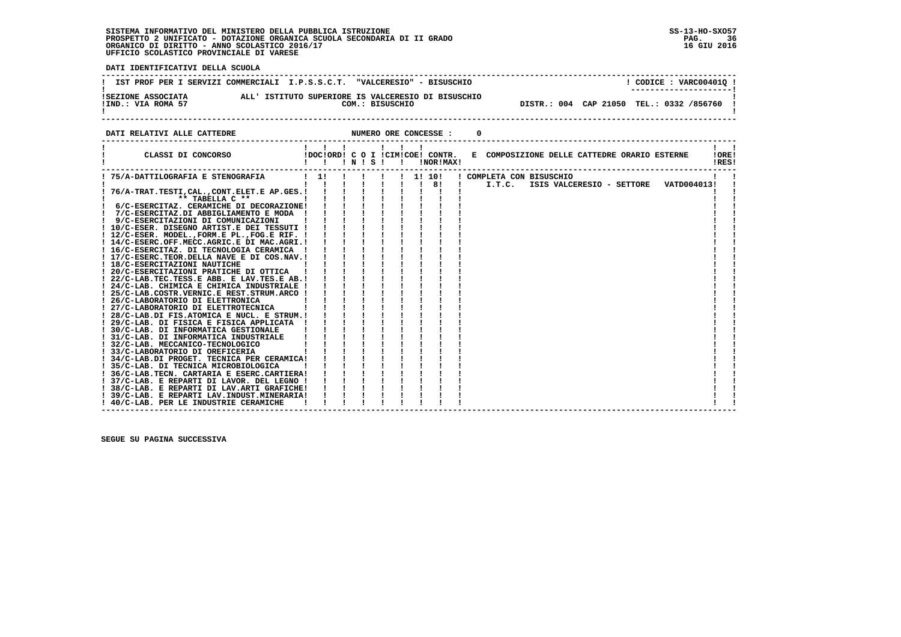֖֖֖֖֧֢ׅ֪֪֪֪֦֛֚֚֚֚֚֚֚֚֚֚֚֚֚֚֚֚֚֚֚֚֚֡֝֝֓֓֓֝֬֝֓֝֓֓֓

 **DATI IDENTIFICATIVI DELLA SCUOLA**

|                                          | IST PROF PER I SERVIZI COMMERCIALI I.P.S.S.C.T. "VALCERESIO" - BISUSCHIO | CODICE: VARC004010!<br>--------------------- |
|------------------------------------------|--------------------------------------------------------------------------|----------------------------------------------|
| ISEZIONE ASSOCIATA<br>IIND.: VIA ROMA 57 | ALL' ISTITUTO SUPERIORE IS VALCERESIO DI BISUSCHIO<br>COM.: BISUSCHIO    | DISTR.: 004 CAP 21050 TEL.: 0332 /856760 !   |

**DATI RELATIVI ALLE CATTEDRE CONCESSE : 0** 

| CLASSI DI CONCORSO                                                                    |    | $'$ N $'$ S $'$ |  | Ι. |    | IDOCIORD! C O I ICIMICOE! CONTR.<br>!NOR!MAX! | E COMPOSIZIONE DELLE CATTEDRE ORARIO ESTERNE<br>IORE <sub>1</sub><br>!RES!     |  |
|---------------------------------------------------------------------------------------|----|-----------------|--|----|----|-----------------------------------------------|--------------------------------------------------------------------------------|--|
| ! 75/A-DATTILOGRAFIA E STENOGRAFIA                                                    | 11 |                 |  |    | 11 | 10!<br>8!                                     | ! COMPLETA CON BISUSCHIO<br>I.T.C.<br>ISIS VALCERESIO - SETTORE<br>VATD004013! |  |
| 76/A-TRAT.TESTI, CAL., CONT.ELET.E AP.GES. !                                          |    |                 |  |    |    |                                               |                                                                                |  |
| ** TABELLA C **                                                                       |    |                 |  |    |    |                                               |                                                                                |  |
| 6/C-ESERCITAZ. CERAMICHE DI DECORAZIONE!                                              |    |                 |  |    |    |                                               |                                                                                |  |
| 7/C-ESERCITAZ.DI ABBIGLIAMENTO E MODA !                                               |    |                 |  |    |    |                                               |                                                                                |  |
| 9/C-ESERCITAZIONI DI COMUNICAZIONI<br>! 10/C-ESER. DISEGNO ARTIST.E DEI TESSUTI !     |    |                 |  |    |    |                                               |                                                                                |  |
| ! 12/C-ESER. MODEL., FORM.E PL., FOG.E RIF. !                                         |    |                 |  |    |    |                                               |                                                                                |  |
| ! 14/C-ESERC.OFF.MECC.AGRIC.E DI MAC.AGRI.!                                           |    |                 |  |    |    |                                               |                                                                                |  |
| ! 16/C-ESERCITAZ. DI TECNOLOGIA CERAMICA                                              |    |                 |  |    |    |                                               |                                                                                |  |
| ! 17/C-ESERC. TEOR. DELLA NAVE E DI COS. NAV. !                                       |    |                 |  |    |    |                                               |                                                                                |  |
| ! 18/C-ESERCITAZIONI NAUTICHE                                                         |    |                 |  |    |    |                                               |                                                                                |  |
| ! 20/C-ESERCITAZIONI PRATICHE DI OTTICA                                               |    |                 |  |    |    |                                               |                                                                                |  |
| ! 22/C-LAB.TEC.TESS.E ABB. E LAV.TES.E AB.!                                           |    |                 |  |    |    |                                               |                                                                                |  |
| ! 24/C-LAB. CHIMICA E CHIMICA INDUSTRIALE !                                           |    |                 |  |    |    |                                               |                                                                                |  |
| 25/C-LAB.COSTR.VERNIC.E REST.STRUM.ARCO !                                             |    |                 |  |    |    |                                               |                                                                                |  |
| ! 26/C-LABORATORIO DI ELETTRONICA                                                     |    |                 |  |    |    |                                               |                                                                                |  |
| 27/C-LABORATORIO DI ELETTROTECNICA                                                    |    |                 |  |    |    |                                               |                                                                                |  |
| ! 28/C-LAB.DI FIS.ATOMICA E NUCL. E STRUM.!                                           |    |                 |  |    |    |                                               |                                                                                |  |
| ! 29/C-LAB. DI FISICA E FISICA APPLICATA                                              |    |                 |  |    |    |                                               |                                                                                |  |
| 30/C-LAB. DI INFORMATICA GESTIONALE                                                   |    |                 |  |    |    |                                               |                                                                                |  |
| ! 31/C-LAB. DI INFORMATICA INDUSTRIALE                                                |    |                 |  |    |    |                                               |                                                                                |  |
| ! 32/C-LAB. MECCANICO-TECNOLOGICO                                                     |    |                 |  |    |    |                                               |                                                                                |  |
| ! 33/C-LABORATORIO DI OREFICERIA                                                      |    |                 |  |    |    |                                               |                                                                                |  |
| ! 34/C-LAB.DI PROGET. TECNICA PER CERAMICA!                                           |    |                 |  |    |    |                                               |                                                                                |  |
| ! 35/C-LAB. DI TECNICA MICROBIOLOGICA                                                 |    |                 |  |    |    |                                               |                                                                                |  |
| ! 36/C-LAB.TECN. CARTARIA E ESERC.CARTIERA!                                           |    |                 |  |    |    |                                               |                                                                                |  |
| ! 37/C-LAB. E REPARTI DI LAVOR. DEL LEGNO !                                           |    |                 |  |    |    |                                               |                                                                                |  |
| ! 38/C-LAB. E REPARTI DI LAV.ARTI GRAFICHE!                                           |    |                 |  |    |    |                                               |                                                                                |  |
| 39/C-LAB. E REPARTI LAV. INDUST. MINERARIA!<br>! 40/C-LAB. PER LE INDUSTRIE CERAMICHE |    |                 |  |    |    |                                               |                                                                                |  |
|                                                                                       |    |                 |  |    |    |                                               |                                                                                |  |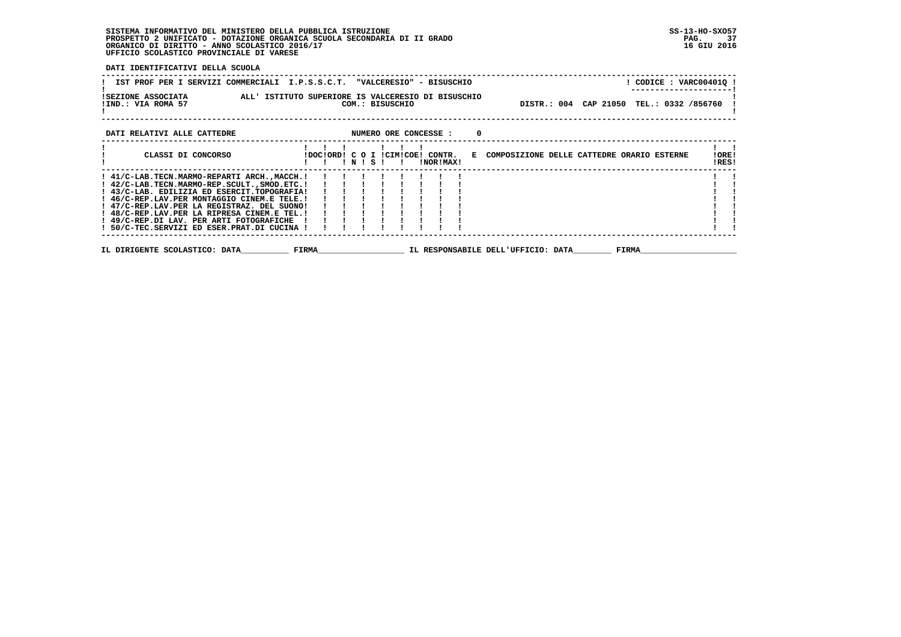**DATI IDENTIFICATIVI DELLA SCUOLA**

| IST PROF PER I SERVIZI COMMERCIALI I.P.S.S.C.T. "VALCERESIO" - BISUSCHIO                                                                                                                | $!$ CODICE : VARC00401Q $!$                                                                                  |
|-----------------------------------------------------------------------------------------------------------------------------------------------------------------------------------------|--------------------------------------------------------------------------------------------------------------|
| !SEZIONE ASSOCIATA                ALL' ISTITUTO SUPERIORE IS VALCERESIO DI BISUSCHIO<br>!IND.: VIA ROMA 57<br>COM.: BISUSCHIO                                                           | DISTR.: 004 CAP 21050 TEL.: 0332 /856760                                                                     |
| DATI RELATIVI ALLE CATTEDRE <b>ALL ASSESS ASSESSE</b> : 0                                                                                                                               |                                                                                                              |
| 1 1 1 1 1 1 1<br>CLASSI DI CONCORSO<br>!!!N!S!!                                                                                                                                         | !DOC!ORD! C O I !CIM!COE! CONTR. E COMPOSIZIONE DELLE CATTEDRE ORARIO ESTERNE<br>!ORE!<br>!RES!<br>!NOR!MAX! |
| ! 47/C-REP.LAV.PER LA REGISTRAZ. DEL SUONO!<br>! 48/C-REP.LAV.PER LA RIPRESA CINEM.E TEL.!<br>! 49/C-REP.DI LAV. PER ARTI FOTOGRAFICHE !<br>! 50/C-TEC.SERVIZI ED ESER.PRAT.DI CUCINA ! |                                                                                                              |
| IL DIRIGENTE SCOLASTICO: DATA FIRMA FIRMA TIL RESPONSABILE DELL'UFFICIO: DATA                                                                                                           | <b>FIRMA</b>                                                                                                 |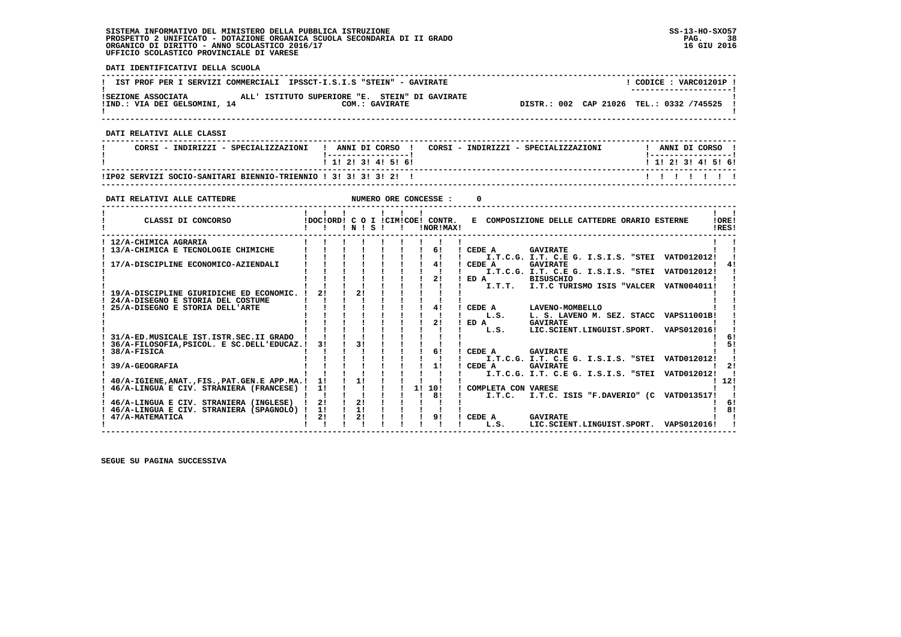**DATI IDENTIFICATIVI DELLA SCUOLA ------------------------------------------------------------------------------------------------------------------------------------** $\overline{1}$  CODICE : VARC01201P  $\overline{1}$ **! IST PROF PER I SERVIZI COMMERCIALI IPSSCT-I.S.I.S "STEIN" - GAVIRATE ! ---------------------! !SEZIONE ASSOCIATA ALL' ISTITUTO SUPERIORE "E. STEIN" DI GAVIRATE ! !IND.: VIA DEI GELSOMINI, 14 COM.: GAVIRATE DISTR.: 002 CAP 21026 TEL.: 0332 /745525 !** $\mathbf{I}$  **! ! ------------------------------------------------------------------------------------------------------------------------------------ DATI RELATIVI ALLE CLASSI ------------------------------------------------------------------------------------------------------------------------------------**I ANNI DI CORSO I  **! CORSI - INDIRIZZI - SPECIALIZZAZIONI ! ANNI DI CORSO ! CORSI - INDIRIZZI - SPECIALIZZAZIONI ! ANNI DI CORSO !**\_\_\_\_\_\_\_\_\_\_\_\_\_\_\_\_\_\_\_\_\_  **! !-----------------! !-----------------!**1 1 1 2 1 3 1 4 1 5 1 6 1  **! ! 1! 2! 3! 4! 5! 6! ! 1! 2! 3! 4! 5! 6! ------------------------------------------------------------------------------------------------------------------------------------ !IP02 SERVIZI SOCIO-SANITARI BIENNIO-TRIENNIO ! 3! 3! 3! 3! 2! ! ! ! ! ! ! ! ! ------------------------------------------------------------------------------------------------------------------------------------DATI RELATIVI ALLE CATTEDRE NUMERO ORE CONCESSE : 0 ------------------------------------------------------------------------------------------------------------------------------------** $\mathbf{I}$   $\mathbf{I}$  **! ! ! ! ! ! ! ! !LORE!** CLASSI DI CONCORSO **8** | DOC!ORD! C O I !CIM!COE! CONTR. E COMPOSIZIONE DELLE CATTEDRE ORARIO ESTERNE IRES! **2** CLASSI DI CONCORSO **:**  $P(X|X|X) = P(X|X|X) = P(X|X|X) = P(X|X|X) = P(X|X|X) = P(X|X|X) = P(X|X|X) = P(X|X|X) = P(X|X|X) = P(X|X|X) = P(X|X|X) = P(X|X|X) = P(X|X|X) = P(X|X|X) = P(X|X|X) = P(X|X|X) = P(X|X|X) = P(X|X|X) = P(X|X|X) = P(X|X|X) = P(X|X|X) = P(X|X|X) = P(X|X|X) = P(X|X|X) = P(X$  **------------------------------------------------------------------------------------------------------------------------------------ ! 12/A-CHIMICA AGRARIA ! ! ! ! ! ! ! ! ! ! ! ! 13/A-CHIMICA E TECNOLOGIE CHIMICHE ! ! ! ! ! ! ! 6! ! CEDE A GAVIRATE ! ! ! ! ! ! ! ! ! ! ! ! I.T.C.G. I.T. C.E G. I.S.I.S. "STEI VATD012012! ! ! 17/A-DISCIPLINE ECONOMICO-AZIENDALI ! ! ! ! ! ! ! 4! ! CEDE A GAVIRATE ! 4! ! ! ! ! ! ! ! ! ! ! I.T.C.G. I.T. C.E G. I.S.I.S. "STEI VATD012012! ! ! ! ! ! ! ! ! ! 2! ! ED A BISUSCHIO ! ! ! ! ! ! ! ! ! ! ! ! I.T.T. I.T.C TURISMO ISIS "VALCER VATN004011! ! ! 19/A-DISCIPLINE GIURIDICHE ED ECONOMIC. ! 2! ! 2! ! ! ! ! ! ! ! ! 24/A-DISEGNO E STORIA DEL COSTUME ! ! ! ! ! ! ! ! ! ! ! ! 25/A-DISEGNO E STORIA DELL'ARTE ! ! ! ! ! ! ! 4! ! CEDE A LAVENO-MOMBELLO ! !** $\frac{1}{4}$  $\blacksquare$  **! ! ! ! ! ! ! ! ! ! L.S. L. S. LAVENO M. SEZ. STACC VAPS11001B! ! ! ! ! ! ! ! ! ! 2! ! ED A GAVIRATE ! !** $\mathbf{I}$  **! ! ! ! ! ! ! ! ! ! L.S. LIC.SCIENT.LINGUIST.SPORT. VAPS012016! !** $1<sub>61</sub>$  **! 31/A-ED.MUSICALE IST.ISTR.SEC.II GRADO ! ! ! ! ! ! ! ! ! ! 6! ! 36/A-FILOSOFIA,PSICOL. E SC.DELL'EDUCAZ.! 3! ! 3! ! ! ! ! ! ! 5! ! 38/A-FISICA ! ! ! ! ! ! ! 6! ! CEDE A GAVIRATE ! ! ! ! ! ! ! ! ! ! ! ! I.T.C.G. I.T. C.E G. I.S.I.S. "STEI VATD012012! !** $1 - 51$  $\blacksquare$  $2!$ 1 2 !<br>| 1 2 ! 1 2 EDE A GAVIRATE ! ! ! ! I.T.C.G. I.T. C.E G. I.S.I.S. "STEI VATD012012! ! ! ! ! ! ! ! ! ! ! ! ! ! !<br>! 40/A-IGIENE,ANAT.,FIS.,PAT.GEN.E APP.MA.! !! !! !! !! !! ! ! ! ! ! ! ! ! ! ! 40/A-IGIENE,ANAT.,FIS.,PA  $\blacksquare$  $1, 121$  $\sim$  1  **! 46/A-LINGUA E CIV. STRANIERA (FRANCESE) ! 1! ! ! ! ! 1! 10! ! COMPLETA CON VARESE ! ! ! ! ! ! ! ! ! ! 8! ! I.T.C. I.T.C. ISIS "F.DAVERIO" (C VATD013517! ! ! 46/A-LINGUA E CIV. STRANIERA (INGLESE) ! 2! ! 2! ! ! ! ! ! ! 6!** $\blacksquare$  $\overline{1}$  61  **! 46/A-LINGUA E CIV. STRANIERA (SPAGNOLO) ! 1! ! 1! ! ! ! ! ! ! 8! ! 47/A-MATEMATICA ! 2! ! 2! ! ! ! 9! ! CEDE A GAVIRATE ! ! ! ! ! ! ! ! ! ! ! ! L.S. LIC.SCIENT.LINGUIST.SPORT. VAPS012016! !**

 **------------------------------------------------------------------------------------------------------------------------------------**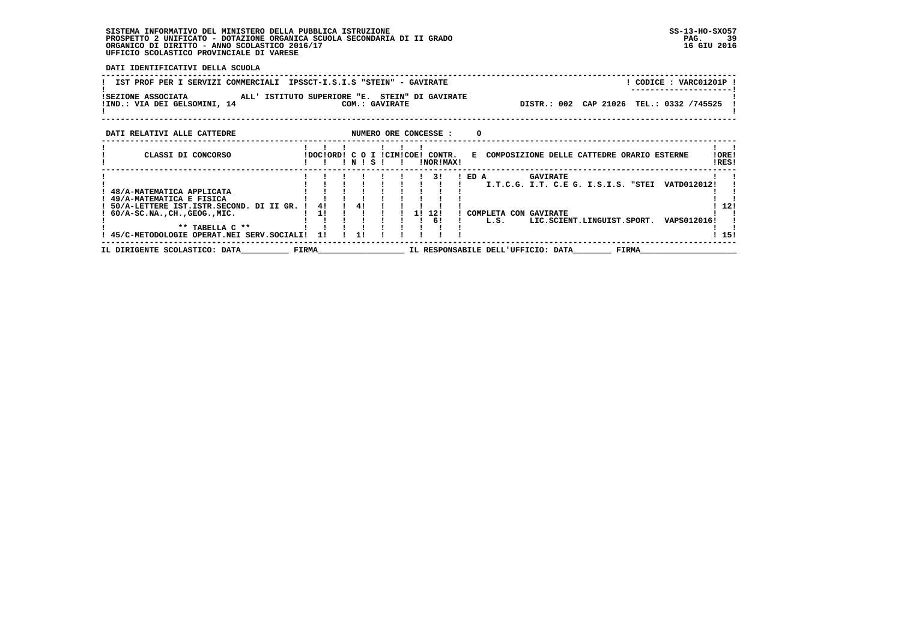**DATI IDENTIFICATIVI DELLA SCUOLA ------------------------------------------------------------------------------------------------------------------------------------**! CODICE: VARC01201P ! **! IST PROF PER I SERVIZI COMMERCIALI IPSSCT-I.S.I.S "STEIN" - GAVIRATE ! ---------------------! !SEZIONE ASSOCIATA ALL' ISTITUTO SUPERIORE "E. STEIN" DI GAVIRATE ! !IND.: VIA DEI GELSOMINI, 14 COM.: GAVIRATE DISTR.: 002 CAP 21026 TEL.: 0332 /745525 !** $\blacksquare$  **! ! ------------------------------------------------------------------------------------------------------------------------------------DATI RELATIVI ALLE CATTEDRE NUMERO ORE CONCESSE : 0 ------------------------------------------------------------------------------------------------------------------------------------ ! ! ! ! ! ! ! ! ! ! CLASSI DI CONCORSO !DOC!ORD! C O I !CIM!COE! CONTR. E COMPOSIZIONE DELLE CATTEDRE ORARIO ESTERNE !ORE! ! ! ! ! N ! S ! ! !NOR!MAX! !RES! ------------------------------------------------------------------------------------------------------------------------------------ ! ! ! ! ! ! ! ! 3! ! ED A GAVIRATE ! ! ! ! ! ! ! ! ! ! ! ! I.T.C.G. I.T. C.E G. I.S.I.S. "STEI VATD012012! ! ! 48/A-MATEMATICA APPLICATA ! ! ! ! ! ! ! ! ! ! ! ! 49/A-MATEMATICA E FISICA ! ! ! ! ! ! ! ! ! ! ! ! 50/A-LETTERE IST.ISTR.SECOND. DI II GR. ! 4! ! 4! ! ! ! ! ! ! 12! ! 60/A-SC.NA.,CH.,GEOG.,MIC. ! 1! ! ! ! ! 1! 12! ! COMPLETA CON GAVIRATE ! ! ! ! ! ! ! ! ! ! 6! ! L.S. LIC.SCIENT.LINGUIST.SPORT. VAPS012016! ! ! \*\* TABELLA C \*\* ! ! ! ! ! ! ! ! ! ! !**1 151  **! 45/C-METODOLOGIE OPERAT.NEI SERV.SOCIALI! 1! ! 1! ! ! ! ! ! ! 15! ------------------------------------------------------------------------------------------------------------------------------------ IL DIRIGENTE SCOLASTICO: DATA\_\_\_\_\_\_\_\_\_\_ FIRMA\_\_\_\_\_\_\_\_\_\_\_\_\_\_\_\_\_\_ IL RESPONSABILE DELL'UFFICIO: DATA\_\_\_\_\_\_\_\_ FIRMA\_\_\_\_\_\_\_\_\_\_\_\_\_\_\_\_\_\_\_\_**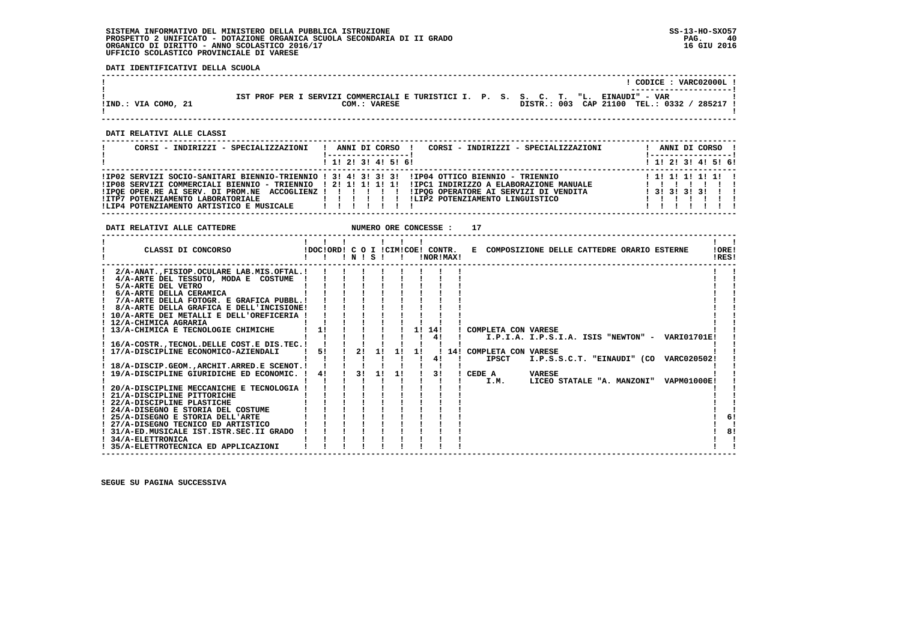**DATI IDENTIFICATIVI DELLA SCUOLA**

|                     |              |                                                                                     |  |             |                        | CODICE: VARC02000L!    |  |
|---------------------|--------------|-------------------------------------------------------------------------------------|--|-------------|------------------------|------------------------|--|
|                     |              |                                                                                     |  |             |                        | ---------------------- |  |
| !IND.: VIA COMO, 21 | COM.: VARESE | IST PROF PER I SERVIZI COMMERCIALI E TURISTICI I. P. S. S. C. T. "L. EINAUDI" - VAR |  | DISTR.: 003 | CAP 21100 TEL.: 0332 / | 285217                 |  |
|                     |              |                                                                                     |  |             |                        |                        |  |

 **------------------------------------------------------------------------------------------------------------------------------------**

 **------------------------------------------------------------------------------------------------------------------------------------**

 **DATI RELATIVI ALLE CLASSI**

| CORSI - INDIRIZZI - SPECIALIZZAZIONI                                                                                                                                                                                                                                                                                                              | CORSI - INDIRIZZI - SPECIALIZZAZIONI<br>ANNI DI CORSO ! | ANNI DI CORSO !<br><u> !----------------- !</u>       |
|---------------------------------------------------------------------------------------------------------------------------------------------------------------------------------------------------------------------------------------------------------------------------------------------------------------------------------------------------|---------------------------------------------------------|-------------------------------------------------------|
|                                                                                                                                                                                                                                                                                                                                                   | $1$ , 1! 2! 3! 4! 5! 6!                                 | ! 1! 2! 3! 4! 5! 6!                                   |
| IP02 SERVIZI SOCIO-SANITARI BIENNIO-TRIENNIO ! 3! 4! 3! 3! 3! IIP04 OTTICO BIENNIO - TRIENNIO<br>IPO8 SERVIZI COMMERCIALI BIENNIO - TRIENNIO   2! 1! 1! 1! 1! IIPC1 INDIRIZZO A ELABORAZIONE MANUALE!<br>IPOE OPER.RE AI SERV. DI PROM.NE ACCOGLIENZ ! ! ! ! ! ! IPOG OPERATORE AI SERVIZI DI VENDITA<br>!LIP4 POTENZIAMENTO ARTISTICO E MUSICALE | ILIP2 POTENZIAMENTO LINGUISTICO                         | 1 1 1 1 1 1 1 1 1 1<br>$1$ 31 31 31 31 1 1<br>1111111 |

 **DATI RELATIVI ALLE CATTEDRE NUMERO ORE CONCESSE : 17**

|                                   | CLASSI DI CONCORSO                          | !DOC!ORD! C O I !CIM!COE! CONTR. |    | INISI |    |    | !NOR!MAX! | E COMPOSIZIONE DELLE CATTEDRE ORARIO ESTERNE |                                                 |                                        |  | IORE!<br>!RES! |    |
|-----------------------------------|---------------------------------------------|----------------------------------|----|-------|----|----|-----------|----------------------------------------------|-------------------------------------------------|----------------------------------------|--|----------------|----|
|                                   | 2/A-ANATFISIOP.OCULARE LAB.MIS.OFTAL.!      |                                  |    |       |    |    |           |                                              |                                                 |                                        |  |                |    |
|                                   | 4/A-ARTE DEL TESSUTO, MODA E COSTUME        |                                  |    |       |    |    |           |                                              |                                                 |                                        |  |                |    |
| 5/A-ARTE DEL VETRO                |                                             |                                  |    |       |    |    |           |                                              |                                                 |                                        |  |                |    |
| 6/A-ARTE DELLA CERAMICA           |                                             |                                  |    |       |    |    |           |                                              |                                                 |                                        |  |                |    |
|                                   | 7/A-ARTE DELLA FOTOGR. E GRAFICA PUBBL.!    |                                  |    |       |    |    |           |                                              |                                                 |                                        |  |                |    |
|                                   | 8/A-ARTE DELLA GRAFICA E DELL'INCISIONE!    |                                  |    |       |    |    |           |                                              |                                                 |                                        |  |                |    |
|                                   | ! 10/A-ARTE DEI METALLI E DELL'OREFICERIA   |                                  |    |       |    |    |           |                                              |                                                 |                                        |  |                |    |
| ! 12/A-CHIMICA AGRARIA            |                                             |                                  |    |       |    |    |           |                                              |                                                 |                                        |  |                |    |
|                                   | 13/A-CHIMICA E TECNOLOGIE CHIMICHE          | 11                               |    |       |    |    | 1! 14!    | ! COMPLETA CON VARESE                        |                                                 |                                        |  |                |    |
|                                   |                                             |                                  |    |       |    |    | 4!        |                                              | I.P.I.A. I.P.S.I.A. ISIS "NEWTON" - VARI01701E! |                                        |  |                |    |
|                                   | ! 16/A-COSTRTECNOL.DELLE COST.E DIS.TEC.!   |                                  |    |       |    |    |           |                                              |                                                 |                                        |  |                |    |
|                                   | ! 17/A-DISCIPLINE ECONOMICO-AZIENDALI       | 51                               | 2! | 11    | 11 | 11 |           | ! 14! COMPLETA CON VARESE                    |                                                 |                                        |  |                |    |
|                                   |                                             |                                  |    |       |    |    | 41        | <b>IPSCT</b>                                 |                                                 | I.P.S.S.C.T. "EINAUDI" (CO VARC020502! |  |                |    |
|                                   | 18/A-DISCIP.GEOM., ARCHIT. ARRED.E SCENOT.! |                                  |    |       |    |    |           |                                              |                                                 |                                        |  |                |    |
|                                   | 19/A-DISCIPLINE GIURIDICHE ED ECONOMIC. !   | 41                               | 31 | 11    | 1! |    | 31        | ! CEDE A                                     | <b>VARESE</b>                                   |                                        |  |                |    |
|                                   |                                             |                                  |    |       |    |    |           | I.M.                                         |                                                 | LICEO STATALE "A. MANZONI" VAPM01000E! |  |                |    |
|                                   | 20/A-DISCIPLINE MECCANICHE E TECNOLOGIA     |                                  |    |       |    |    |           |                                              |                                                 |                                        |  |                |    |
| 21/A-DISCIPLINE PITTORICHE        |                                             |                                  |    |       |    |    |           |                                              |                                                 |                                        |  |                |    |
| ! 22/A-DISCIPLINE PLASTICHE       |                                             |                                  |    |       |    |    |           |                                              |                                                 |                                        |  |                |    |
|                                   | ! 24/A-DISEGNO E STORIA DEL COSTUME         |                                  |    |       |    |    |           |                                              |                                                 |                                        |  |                |    |
| ! 25/A-DISEGNO E STORIA DELL'ARTE |                                             |                                  |    |       |    |    |           |                                              |                                                 |                                        |  |                | 6! |
|                                   | ! 27/A-DISEGNO TECNICO ED ARTISTICO         |                                  |    |       |    |    |           |                                              |                                                 |                                        |  |                |    |
|                                   | ! 31/A-ED.MUSICALE IST.ISTR.SEC.II GRADO    |                                  |    |       |    |    |           |                                              |                                                 |                                        |  |                | 8! |
| ! 34/A-ELETTRONICA                |                                             |                                  |    |       |    |    |           |                                              |                                                 |                                        |  |                |    |
|                                   | ! 35/A-ELETTROTECNICA ED APPLICAZIONI       |                                  |    |       |    |    |           |                                              |                                                 |                                        |  |                |    |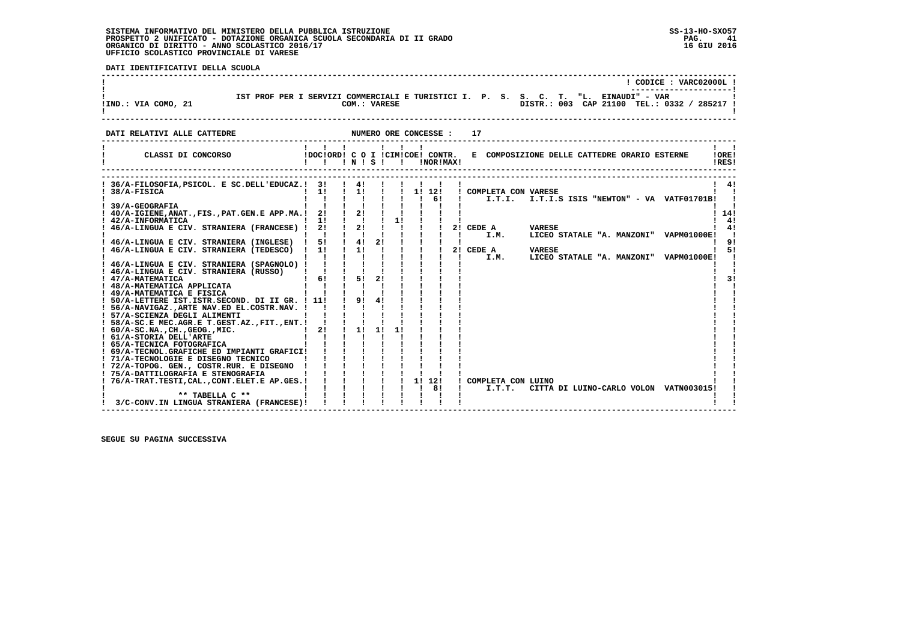**DATI IDENTIFICATIVI DELLA SCUOLA**

|                                                                                                                                                                                                                                                                   |                                                    |                                        |                                        |                       | ! CODICE : VARC02000L !                                                                                                                                                                                                                                                                                                                                                                                                                                 |
|-------------------------------------------------------------------------------------------------------------------------------------------------------------------------------------------------------------------------------------------------------------------|----------------------------------------------------|----------------------------------------|----------------------------------------|-----------------------|---------------------------------------------------------------------------------------------------------------------------------------------------------------------------------------------------------------------------------------------------------------------------------------------------------------------------------------------------------------------------------------------------------------------------------------------------------|
| !IND.: VIA COMO, 21                                                                                                                                                                                                                                               |                                                    |                                        |                                        |                       | IST PROF PER I SERVIZI COMMERCIALI E TURISTICI I. P. S. S. C. T. "L. EINAUDI" - VAR COM.: VARESE<br>COM.: VARESE DISTR.: 003 CAP 21100 TEL.: 03<br>DISTR.: 003 CAP 21100 TEL.: 0332 / 285217 !                                                                                                                                                                                                                                                          |
| DATI RELATIVI ALLE CATTEDRE                                                                                                                                                                                                                                       |                                                    |                                        |                                        | NUMERO ORE CONCESSE : | 17                                                                                                                                                                                                                                                                                                                                                                                                                                                      |
| CLASSI DI CONCORSO                                                                                                                                                                                                                                                | $\mathbf{1}$ $\mathbf{1}$ $\mathbf{1}$<br>!!!N!S!! |                                        | $\mathbf{1}$ $\mathbf{1}$ $\mathbf{1}$ | !NOR!MAX!             | !DOC!ORD! C O I !CIM!COE! CONTR. E COMPOSIZIONE DELLE CATTEDRE ORARIO ESTERNE<br>!ORE!<br>!RES!                                                                                                                                                                                                                                                                                                                                                         |
|                                                                                                                                                                                                                                                                   |                                                    |                                        |                                        |                       | ! 4!<br>! COMPLETA CON VARESE                                                                                                                                                                                                                                                                                                                                                                                                                           |
| ! 46/A-LINGUA E CIV. STRANIERA (FRANCESE) ! 2! ! 2! !<br>46/A-LINGUA E CIV. STRANIERA (INGLESE) ! 5! ! 4! 2!                                                                                                                                                      |                                                    |                                        |                                        |                       | 114!<br>4!<br>$\begin{array}{ccccccccc}\n1 & 1 & 1 & 21 & \text{CEDE A} \\ \end{array}$ VARESE<br>41<br>$\begin{array}{cccccccccccc}\n1 & 1 & 1 & 1 & 1 & 1.1.1 & 1.1.1 & 1.1.1 & 1.1.1 & 1.1 & 1.1 & 1.1 & 1.1 & 1.1 & 1.1 & 1.1 & 1.1 & 1.1 & 1.1 & 1.1 & 1.1 & 1.1 & 1.1 & 1.1 & 1.1 & 1.1 & 1.1 & 1.1 & 1.1 & 1.1 & 1.1 & 1.1 & 1.1 & 1.1 & 1.1 & 1.1 & 1.1 & 1.1 & 1.1 & 1.1 & 1.1 & 1.1 & 1.$<br>LICEO STATALE "A. MANZONI" VAPM01000E!<br>$\sim$ |
| ! 46/A-LINGUA E CIV. STRANIERA (TEDESCO) ! 1! ! 1! !<br>! 46/A-LINGUA E CIV. STRANIERA (SPAGNOLO) ! ! ! ! !                                                                                                                                                       | $1 \quad 1 \quad 1 \quad 1 \quad 1$                |                                        |                                        |                       | -91<br>$\begin{array}{cccc} 1 & 1 & 1 & 21 \end{array}$ CEDE A<br>$1 \quad 51$<br>VARESE<br>$1 \quad 1 \quad 1 \quad 1$<br>I.M.<br>LICEO STATALE "A. MANZONI" VAPM01000E!                                                                                                                                                                                                                                                                               |
| ! 47/A-MATEMATICA<br>! 48/A-MATEMATICA APPLICATA<br>$\mathbf{r} = \mathbf{r} \times \mathbf{r}$ , $\mathbf{r} = \mathbf{r} \times \mathbf{r}$ , $\mathbf{r} = \mathbf{r} \times \mathbf{r}$<br>! 49/A-MATEMATICA E FISICA                                         | $1 \t61 \t151 \t21$<br>$1 \quad 1 \quad 1 \quad 1$ |                                        |                                        |                       | 3!                                                                                                                                                                                                                                                                                                                                                                                                                                                      |
| ! 50/A-LETTERE IST. ISTR. SECOND. DI II GR. ! 11! ! 9! 4!<br>! 56/A-NAVIGAZ., ARTE NAV. ED EL. COSTR. NAV. ! ! ! ! ! !<br>! 57/A-SCIENZA DEGLI ALIMENTI<br>! 58/A-SC.E MEC.AGR.E T.GEST.AZ., FIT., ENT. ! ! ! ! !<br>! 60/A-SC.NA., CH., GEOG., MIC. ! 2! ! 1! 1! |                                                    | $\mathbf{1}$ $\mathbf{1}$ $\mathbf{1}$ |                                        |                       |                                                                                                                                                                                                                                                                                                                                                                                                                                                         |
| ! 61/A-STORIA DELL'ARTE<br>! 65/A-TECNICA FOTOGRAFICA<br>! 69/A-TECNOL.GRAFICHE ED IMPIANTI GRAFICI!                                                                                                                                                              | $\mathbf{1}$ $\mathbf{1}$ $\mathbf{1}$             |                                        |                                        |                       |                                                                                                                                                                                                                                                                                                                                                                                                                                                         |
| $\frac{1}{71/A}$ -TECNOLOGIE E DISEGNO TECNICO<br>$\frac{1}{75/A}$ -TOPOG. GEN., COSTR.RUR. E DISEGNO ! ! ! ! ! ! !<br>$\frac{1}{75/A}$ -DATTILOGRAFIA E GENERALE E DISEGNO ! ! ! ! ! ! !                                                                         |                                                    |                                        |                                        |                       | ! COMPLETA CON LUINO                                                                                                                                                                                                                                                                                                                                                                                                                                    |
| 3/C-CONV.IN LINGUA STRANIERA (FRANCESE)!                                                                                                                                                                                                                          |                                                    |                                        |                                        |                       | I.T.T. CITTA DI LUINO-CARLO VOLON VATN003015!<br>and the state                                                                                                                                                                                                                                                                                                                                                                                          |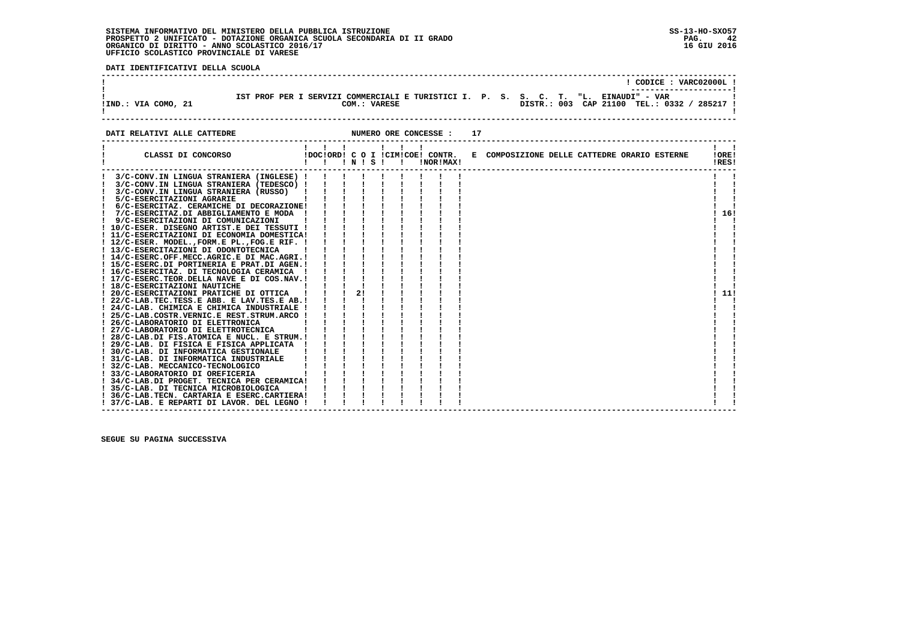**DATI IDENTIFICATIVI DELLA SCUOLA**

| !IND.: VIA COMO, 21 |  |  | COM.: VARESE | IST PROF PER I SERVIZI COMMERCIALI E TURISTICI I. P. S. S. C. T. "L. EINAUDI" - VAR |  |  | DISTR.: 003 CAP 21100 TEL.: 0332 / 285217 ! |  | CODICE: VARC02000L! |  |
|---------------------|--|--|--------------|-------------------------------------------------------------------------------------|--|--|---------------------------------------------|--|---------------------|--|
|                     |  |  |              |                                                                                     |  |  |                                             |  |                     |  |

**DATI RELATIVI ALLE CATTEDRE 12** NUMERO ORE CONCESSE : 17

| CLASSI DI CONCORSO                            |  | $'$ N $'$ S $'$ |  | $\mathbf{I}$ | IDOCIORD! C O I ICIMICOE! CONTR.<br>!NOR!MAX! | E COMPOSIZIONE DELLE CATTEDRE ORARIO ESTERNE | !ORE!<br>!RES! |
|-----------------------------------------------|--|-----------------|--|--------------|-----------------------------------------------|----------------------------------------------|----------------|
| 3/C-CONV.IN LINGUA STRANIERA (INGLESE) !      |  |                 |  |              |                                               |                                              |                |
| 3/C-CONV.IN LINGUA STRANIERA (TEDESCO) !      |  |                 |  |              |                                               |                                              |                |
| 3/C-CONV.IN LINGUA STRANIERA (RUSSO)          |  |                 |  |              |                                               |                                              |                |
| 5/C-ESERCITAZIONI AGRARIE                     |  |                 |  |              |                                               |                                              |                |
| 6/C-ESERCITAZ. CERAMICHE DI DECORAZIONE!      |  |                 |  |              |                                               |                                              |                |
| 7/C-ESERCITAZ.DI ABBIGLIAMENTO E MODA !       |  |                 |  |              |                                               |                                              | 16!            |
| 9/C-ESERCITAZIONI DI COMUNICAZIONI            |  |                 |  |              |                                               |                                              |                |
| ! 10/C-ESER. DISEGNO ARTIST.E DEI TESSUTI !   |  |                 |  |              |                                               |                                              |                |
| ! 11/C-ESERCITAZIONI DI ECONOMIA DOMESTICA!   |  |                 |  |              |                                               |                                              |                |
| ! 12/C-ESER. MODEL., FORM.E PL., FOG.E RIF. ! |  |                 |  |              |                                               |                                              |                |
| ! 13/C-ESERCITAZIONI DI ODONTOTECNICA         |  |                 |  |              |                                               |                                              |                |
| ! 14/C-ESERC.OFF.MECC.AGRIC.E DI MAC.AGRI.!   |  |                 |  |              |                                               |                                              |                |
| ! 15/C-ESERC.DI PORTINERIA E PRAT.DI AGEN.!   |  |                 |  |              |                                               |                                              |                |
| ! 16/C-ESERCITAZ. DI TECNOLOGIA CERAMICA      |  |                 |  |              |                                               |                                              |                |
| ! 17/C-ESERC.TEOR.DELLA NAVE E DI COS.NAV.!   |  |                 |  |              |                                               |                                              |                |
| ! 18/C-ESERCITAZIONI NAUTICHE                 |  |                 |  |              |                                               |                                              |                |
| 20/C-ESERCITAZIONI PRATICHE DI OTTICA         |  | 21              |  |              |                                               |                                              | 11!            |
| ! 22/C-LAB.TEC.TESS.E ABB. E LAV.TES.E AB.!   |  |                 |  |              |                                               |                                              |                |
| ! 24/C-LAB. CHIMICA E CHIMICA INDUSTRIALE !   |  |                 |  |              |                                               |                                              |                |
| ! 25/C-LAB.COSTR.VERNIC.E REST.STRUM.ARCO !   |  |                 |  |              |                                               |                                              |                |
| ! 26/C-LABORATORIO DI ELETTRONICA             |  |                 |  |              |                                               |                                              |                |
| 27/C-LABORATORIO DI ELETTROTECNICA            |  |                 |  |              |                                               |                                              |                |
| ! 28/C-LAB.DI FIS.ATOMICA E NUCL. E STRUM.!   |  |                 |  |              |                                               |                                              |                |
| ! 29/C-LAB. DI FISICA E FISICA APPLICATA      |  |                 |  |              |                                               |                                              |                |
| 30/C-LAB. DI INFORMATICA GESTIONALE           |  |                 |  |              |                                               |                                              |                |
| ! 31/C-LAB. DI INFORMATICA INDUSTRIALE        |  |                 |  |              |                                               |                                              |                |
| 32/C-LAB. MECCANICO-TECNOLOGICO               |  |                 |  |              |                                               |                                              |                |
| ! 33/C-LABORATORIO DI OREFICERIA              |  |                 |  |              |                                               |                                              |                |
| ! 34/C-LAB.DI PROGET. TECNICA PER CERAMICA!   |  |                 |  |              |                                               |                                              |                |
| ! 35/C-LAB. DI TECNICA MICROBIOLOGICA         |  |                 |  |              |                                               |                                              |                |
| ! 36/C-LAB.TECN. CARTARIA E ESERC.CARTIERA!   |  |                 |  |              |                                               |                                              |                |
| ! 37/C-LAB. E REPARTI DI LAVOR. DEL LEGNO !   |  |                 |  |              |                                               |                                              |                |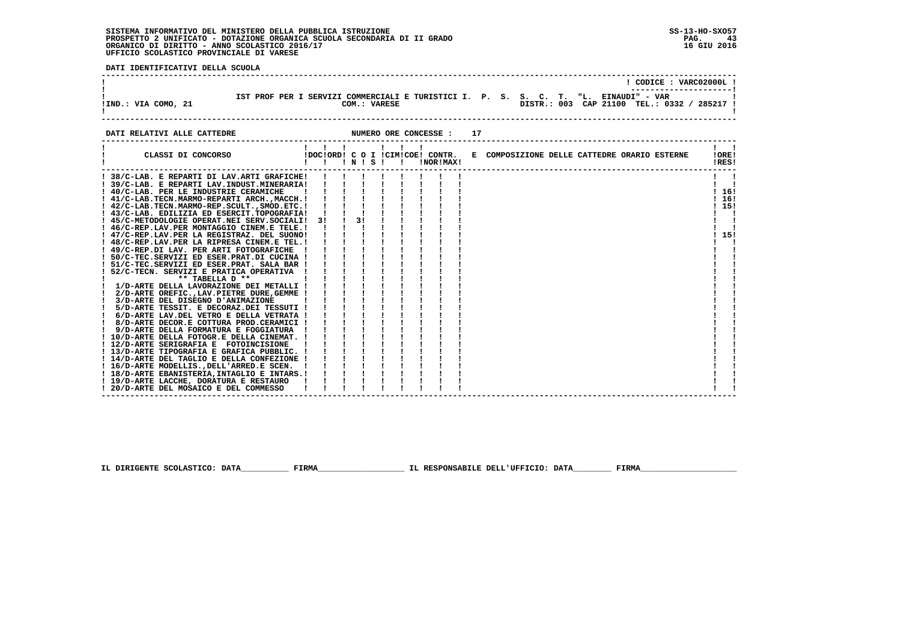**DATI IDENTIFICATIVI DELLA SCUOLA**

| !IND.: VIA COMO, 21 |  |  | COM.: VARESE | IST PROF PER I SERVIZI COMMERCIALI E TURISTICI I. P. S. S. C. T. "L. EINAUDI" - VAR |  |  | DISTR.: 003 CAP 21100 TEL.: 0332 / 285217 ! |  | CODICE: VARC02000L! |  |
|---------------------|--|--|--------------|-------------------------------------------------------------------------------------|--|--|---------------------------------------------|--|---------------------|--|
|                     |  |  |              |                                                                                     |  |  |                                             |  |                     |  |

**DATI RELATIVI ALLE CATTEDRE CONCESSE : 17** 

| 38/C-LAB. E REPARTI DI LAV.ARTI GRAFICHE!<br>39/C-LAB. E REPARTI LAV. INDUST. MINERARIA!<br>! 40/C-LAB. PER LE INDUSTRIE CERAMICHE<br>16!<br>16!<br>! 41/C-LAB.TECN.MARMO-REPARTI ARCH.,MACCH. !<br>15!<br>! 42/C-LAB.TECN.MARMO-REP.SCULT., SMOD.ETC.!<br>! 43/C-LAB. EDILIZIA ED ESERCIT.TOPOGRAFIA!<br>3!<br>! 45/C-METODOLOGIE OPERAT.NEI SERV.SOCIALI! 3!<br>! 46/C-REP.LAV.PER MONTAGGIO CINEM.E TELE.!<br>15!<br>! 47/C-REP.LAV.PER LA REGISTRAZ. DEL SUONO!<br>! 48/C-REP.LAV.PER LA RIPRESA CINEM.E TEL.!<br>49/C-REP.DI LAV. PER ARTI FOTOGRAFICHE<br>50/C-TEC.SERVIZI ED ESER.PRAT.DI CUCINA !<br>51/C-TEC.SERVIZI ED ESER.PRAT. SALA BAR !<br>52/C-TECN. SERVIZI E PRATICA OPERATIVA<br>** TABELLA D **<br>! 1/D-ARTE DELLA LAVORAZIONE DEI METALLI !<br>2/D-ARTE OREFIC., LAV. PIETRE DURE, GEMME !<br>3/D-ARTE DEL DISEGNO D'ANIMAZIONE<br>5/D-ARTE TESSIT. E DECORAZ.DEI TESSUTI !<br>6/D-ARTE LAV.DEL VETRO E DELLA VETRATA !<br>8/D-ARTE DECOR.E COTTURA PROD.CERAMICI !<br>9/D-ARTE DELLA FORMATURA E FOGGIATURA<br>10/D-ARTE DELLA FOTOGR.E DELLA CINEMAT. !<br>! 12/D-ARTE SERIGRAFIA E FOTOINCISIONE<br>! 13/D-ARTE TIPOGRAFIA E GRAFICA PUBBLIC. !<br>! 14/D-ARTE DEL TAGLIO E DELLA CONFEZIONE !<br>! 16/D-ARTE MODELLISDELL'ARRED.E SCEN.<br>! 18/D-ARTE EBANISTERIA, INTAGLIO E INTARS.!<br>! 19/D-ARTE LACCHE, DORATURA E RESTAURO<br>! 20/D-ARTE DEL MOSAICO E DEL COMMESSO | CLASSI DI CONCORSO | $\mathbf{1}$ $\mathbf{1}$ | $\mathbf{1}$ $\mathbf{1}$ $\mathbf{1}$ |  | $\mathbf{I}$ $\mathbf{I}$<br>! N ! S ! ! | !NOR!MAX! | !DOC!ORD! C O I !CIM!COE! CONTR. E COMPOSIZIONE DELLE CATTEDRE ORARIO ESTERNE | 10RE1<br>!RES! |
|--------------------------------------------------------------------------------------------------------------------------------------------------------------------------------------------------------------------------------------------------------------------------------------------------------------------------------------------------------------------------------------------------------------------------------------------------------------------------------------------------------------------------------------------------------------------------------------------------------------------------------------------------------------------------------------------------------------------------------------------------------------------------------------------------------------------------------------------------------------------------------------------------------------------------------------------------------------------------------------------------------------------------------------------------------------------------------------------------------------------------------------------------------------------------------------------------------------------------------------------------------------------------------------------------------------------------------------------------------------------------------------------------------|--------------------|---------------------------|----------------------------------------|--|------------------------------------------|-----------|-------------------------------------------------------------------------------|----------------|
|                                                                                                                                                                                                                                                                                                                                                                                                                                                                                                                                                                                                                                                                                                                                                                                                                                                                                                                                                                                                                                                                                                                                                                                                                                                                                                                                                                                                        |                    |                           |                                        |  |                                          |           |                                                                               |                |
|                                                                                                                                                                                                                                                                                                                                                                                                                                                                                                                                                                                                                                                                                                                                                                                                                                                                                                                                                                                                                                                                                                                                                                                                                                                                                                                                                                                                        |                    |                           |                                        |  |                                          |           |                                                                               |                |
|                                                                                                                                                                                                                                                                                                                                                                                                                                                                                                                                                                                                                                                                                                                                                                                                                                                                                                                                                                                                                                                                                                                                                                                                                                                                                                                                                                                                        |                    |                           |                                        |  |                                          |           |                                                                               |                |
|                                                                                                                                                                                                                                                                                                                                                                                                                                                                                                                                                                                                                                                                                                                                                                                                                                                                                                                                                                                                                                                                                                                                                                                                                                                                                                                                                                                                        |                    |                           |                                        |  |                                          |           |                                                                               |                |
|                                                                                                                                                                                                                                                                                                                                                                                                                                                                                                                                                                                                                                                                                                                                                                                                                                                                                                                                                                                                                                                                                                                                                                                                                                                                                                                                                                                                        |                    |                           |                                        |  |                                          |           |                                                                               |                |
|                                                                                                                                                                                                                                                                                                                                                                                                                                                                                                                                                                                                                                                                                                                                                                                                                                                                                                                                                                                                                                                                                                                                                                                                                                                                                                                                                                                                        |                    |                           |                                        |  |                                          |           |                                                                               |                |
|                                                                                                                                                                                                                                                                                                                                                                                                                                                                                                                                                                                                                                                                                                                                                                                                                                                                                                                                                                                                                                                                                                                                                                                                                                                                                                                                                                                                        |                    |                           |                                        |  |                                          |           |                                                                               |                |
|                                                                                                                                                                                                                                                                                                                                                                                                                                                                                                                                                                                                                                                                                                                                                                                                                                                                                                                                                                                                                                                                                                                                                                                                                                                                                                                                                                                                        |                    |                           |                                        |  |                                          |           |                                                                               |                |
|                                                                                                                                                                                                                                                                                                                                                                                                                                                                                                                                                                                                                                                                                                                                                                                                                                                                                                                                                                                                                                                                                                                                                                                                                                                                                                                                                                                                        |                    |                           |                                        |  |                                          |           |                                                                               |                |
|                                                                                                                                                                                                                                                                                                                                                                                                                                                                                                                                                                                                                                                                                                                                                                                                                                                                                                                                                                                                                                                                                                                                                                                                                                                                                                                                                                                                        |                    |                           |                                        |  |                                          |           |                                                                               |                |
|                                                                                                                                                                                                                                                                                                                                                                                                                                                                                                                                                                                                                                                                                                                                                                                                                                                                                                                                                                                                                                                                                                                                                                                                                                                                                                                                                                                                        |                    |                           |                                        |  |                                          |           |                                                                               |                |
|                                                                                                                                                                                                                                                                                                                                                                                                                                                                                                                                                                                                                                                                                                                                                                                                                                                                                                                                                                                                                                                                                                                                                                                                                                                                                                                                                                                                        |                    |                           |                                        |  |                                          |           |                                                                               |                |
|                                                                                                                                                                                                                                                                                                                                                                                                                                                                                                                                                                                                                                                                                                                                                                                                                                                                                                                                                                                                                                                                                                                                                                                                                                                                                                                                                                                                        |                    |                           |                                        |  |                                          |           |                                                                               |                |
|                                                                                                                                                                                                                                                                                                                                                                                                                                                                                                                                                                                                                                                                                                                                                                                                                                                                                                                                                                                                                                                                                                                                                                                                                                                                                                                                                                                                        |                    |                           |                                        |  |                                          |           |                                                                               |                |
|                                                                                                                                                                                                                                                                                                                                                                                                                                                                                                                                                                                                                                                                                                                                                                                                                                                                                                                                                                                                                                                                                                                                                                                                                                                                                                                                                                                                        |                    |                           |                                        |  |                                          |           |                                                                               |                |
|                                                                                                                                                                                                                                                                                                                                                                                                                                                                                                                                                                                                                                                                                                                                                                                                                                                                                                                                                                                                                                                                                                                                                                                                                                                                                                                                                                                                        |                    |                           |                                        |  |                                          |           |                                                                               |                |
|                                                                                                                                                                                                                                                                                                                                                                                                                                                                                                                                                                                                                                                                                                                                                                                                                                                                                                                                                                                                                                                                                                                                                                                                                                                                                                                                                                                                        |                    |                           |                                        |  |                                          |           |                                                                               |                |
|                                                                                                                                                                                                                                                                                                                                                                                                                                                                                                                                                                                                                                                                                                                                                                                                                                                                                                                                                                                                                                                                                                                                                                                                                                                                                                                                                                                                        |                    |                           |                                        |  |                                          |           |                                                                               |                |
|                                                                                                                                                                                                                                                                                                                                                                                                                                                                                                                                                                                                                                                                                                                                                                                                                                                                                                                                                                                                                                                                                                                                                                                                                                                                                                                                                                                                        |                    |                           |                                        |  |                                          |           |                                                                               |                |
|                                                                                                                                                                                                                                                                                                                                                                                                                                                                                                                                                                                                                                                                                                                                                                                                                                                                                                                                                                                                                                                                                                                                                                                                                                                                                                                                                                                                        |                    |                           |                                        |  |                                          |           |                                                                               |                |
|                                                                                                                                                                                                                                                                                                                                                                                                                                                                                                                                                                                                                                                                                                                                                                                                                                                                                                                                                                                                                                                                                                                                                                                                                                                                                                                                                                                                        |                    |                           |                                        |  |                                          |           |                                                                               |                |
|                                                                                                                                                                                                                                                                                                                                                                                                                                                                                                                                                                                                                                                                                                                                                                                                                                                                                                                                                                                                                                                                                                                                                                                                                                                                                                                                                                                                        |                    |                           |                                        |  |                                          |           |                                                                               |                |
|                                                                                                                                                                                                                                                                                                                                                                                                                                                                                                                                                                                                                                                                                                                                                                                                                                                                                                                                                                                                                                                                                                                                                                                                                                                                                                                                                                                                        |                    |                           |                                        |  |                                          |           |                                                                               |                |
|                                                                                                                                                                                                                                                                                                                                                                                                                                                                                                                                                                                                                                                                                                                                                                                                                                                                                                                                                                                                                                                                                                                                                                                                                                                                                                                                                                                                        |                    |                           |                                        |  |                                          |           |                                                                               |                |
|                                                                                                                                                                                                                                                                                                                                                                                                                                                                                                                                                                                                                                                                                                                                                                                                                                                                                                                                                                                                                                                                                                                                                                                                                                                                                                                                                                                                        |                    |                           |                                        |  |                                          |           |                                                                               |                |
|                                                                                                                                                                                                                                                                                                                                                                                                                                                                                                                                                                                                                                                                                                                                                                                                                                                                                                                                                                                                                                                                                                                                                                                                                                                                                                                                                                                                        |                    |                           |                                        |  |                                          |           |                                                                               |                |
|                                                                                                                                                                                                                                                                                                                                                                                                                                                                                                                                                                                                                                                                                                                                                                                                                                                                                                                                                                                                                                                                                                                                                                                                                                                                                                                                                                                                        |                    |                           |                                        |  |                                          |           |                                                                               |                |
|                                                                                                                                                                                                                                                                                                                                                                                                                                                                                                                                                                                                                                                                                                                                                                                                                                                                                                                                                                                                                                                                                                                                                                                                                                                                                                                                                                                                        |                    |                           |                                        |  |                                          |           |                                                                               |                |
|                                                                                                                                                                                                                                                                                                                                                                                                                                                                                                                                                                                                                                                                                                                                                                                                                                                                                                                                                                                                                                                                                                                                                                                                                                                                                                                                                                                                        |                    |                           |                                        |  |                                          |           |                                                                               |                |
|                                                                                                                                                                                                                                                                                                                                                                                                                                                                                                                                                                                                                                                                                                                                                                                                                                                                                                                                                                                                                                                                                                                                                                                                                                                                                                                                                                                                        |                    |                           |                                        |  |                                          |           |                                                                               |                |

 **IL DIRIGENTE SCOLASTICO: DATA\_\_\_\_\_\_\_\_\_\_ FIRMA\_\_\_\_\_\_\_\_\_\_\_\_\_\_\_\_\_\_ IL RESPONSABILE DELL'UFFICIO: DATA\_\_\_\_\_\_\_\_ FIRMA\_\_\_\_\_\_\_\_\_\_\_\_\_\_\_\_\_\_\_\_**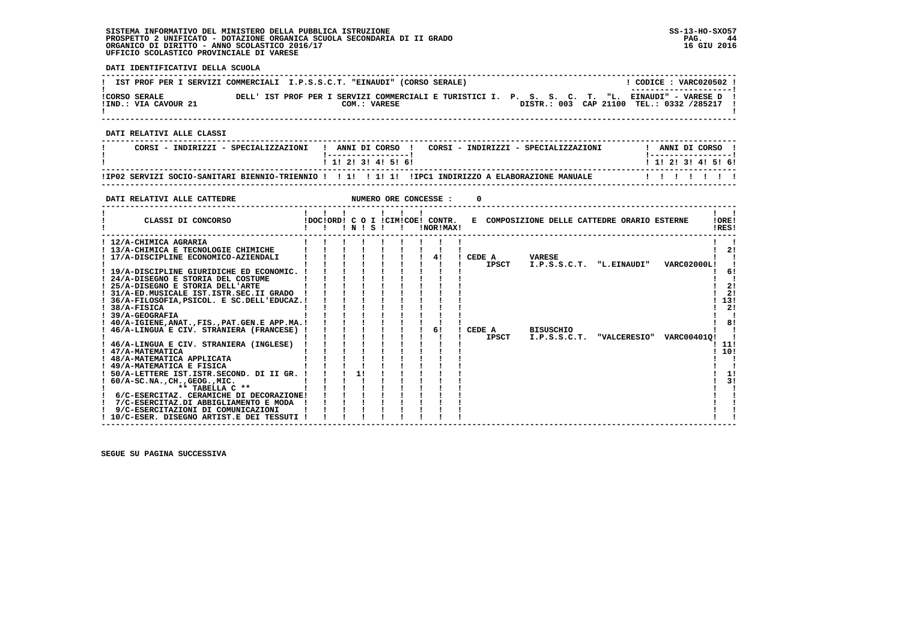| IST PROF PER I SERVIZI COMMERCIALI I.P.S.S.C.T. "EINAUDI" (CORSO SERALE)                                                                 |                                                                  |                                        |  |                           |                                             |                           |              |                                              | ! CODICE : VARC020502 !                                              |                                           |
|------------------------------------------------------------------------------------------------------------------------------------------|------------------------------------------------------------------|----------------------------------------|--|---------------------------|---------------------------------------------|---------------------------|--------------|----------------------------------------------|----------------------------------------------------------------------|-------------------------------------------|
| !CORSO SERALE THE DELL' IST PROF PER I SERVIZI COMMERCIALI E TURISTICI I. P. S. S. C. T. "L. EINAUDI" - VARESE D<br>!IND.: VIA CAVOUR 21 |                                                                  |                                        |  | COM.: VARESE              |                                             |                           |              |                                              | --------------------- <br>DISTR.: 003 CAP 21100 TEL.: 0332 /285217 ! |                                           |
| DATI RELATIVI ALLE CLASSI                                                                                                                |                                                                  |                                        |  |                           |                                             |                           |              |                                              |                                                                      |                                           |
| CORSI - INDIRIZZI - SPECIALIZZAZIONI   ANNI DI CORSO   CORSI - INDIRIZZI - SPECIALIZZAZIONI                                              |                                                                  |                                        |  |                           |                                             |                           |              |                                              | ! ANNI DI CORSO !                                                    |                                           |
|                                                                                                                                          |                                                                  |                                        |  | 1 1 2 2 1 3 1 4 1 5 1 6 1 |                                             |                           |              |                                              | <u>  -----------------</u>  <br>1 1 1 2 1 3 1 4 1 5 1 6 1            |                                           |
|                                                                                                                                          |                                                                  |                                        |  |                           |                                             |                           |              |                                              |                                                                      |                                           |
|                                                                                                                                          |                                                                  |                                        |  |                           |                                             |                           |              |                                              |                                                                      |                                           |
|                                                                                                                                          |                                                                  |                                        |  |                           |                                             |                           |              |                                              |                                                                      |                                           |
| DATI RELATIVI ALLE CATTEDRE                                                                                                              |                                                                  |                                        |  |                           |                                             | NUMERO ORE CONCESSE :     | <sup>0</sup> |                                              |                                                                      |                                           |
|                                                                                                                                          | $1$ $1$ $1$ $1$ $1$ $1$                                          |                                        |  |                           |                                             |                           |              |                                              |                                                                      | $\mathbf{1}$ $\mathbf{1}$                 |
| IDOCIORD! C O I ICIMICOE! CONTR.<br>CLASSI DI CONCORSO                                                                                   |                                                                  |                                        |  |                           |                                             |                           |              | E COMPOSIZIONE DELLE CATTEDRE ORARIO ESTERNE |                                                                      | IOREI<br>!RES!                            |
|                                                                                                                                          |                                                                  |                                        |  |                           |                                             |                           |              |                                              |                                                                      |                                           |
| ! 12/A-CHIMICA AGRARIA<br>! 13/A-CHIMICA E TECNOLOGIE CHIMICHE                                                                           |                                                                  |                                        |  |                           |                                             |                           |              |                                              |                                                                      | $\mathbf{1}$ $\mathbf{1}$<br>$1 \quad 21$ |
| ! 17/A-DISCIPLINE ECONOMICO-AZIENDALI                                                                                                    |                                                                  |                                        |  |                           |                                             |                           |              | !!!!! CEDE A VARESE                          |                                                                      | $\mathbf{I}$ $\mathbf{I}$                 |
|                                                                                                                                          |                                                                  |                                        |  |                           |                                             |                           |              |                                              |                                                                      | - 1                                       |
| ! 19/A-DISCIPLINE GIURIDICHE ED ECONOMIC. ! ! ! ! ! ! ! !                                                                                |                                                                  |                                        |  |                           |                                             |                           |              |                                              |                                                                      |                                           |
| ! 24/A-DISEGNO E STORIA DEL COSTUME                                                                                                      |                                                                  |                                        |  |                           |                                             |                           |              |                                              |                                                                      | $\sim$                                    |
| ! 25/A-DISEGNO E STORIA DELL'ARTE                                                                                                        |                                                                  |                                        |  |                           | $1 \quad 1 \quad 1 \quad 1 \quad 1 \quad 1$ |                           |              |                                              |                                                                      |                                           |
| ! 31/A-ED.MUSICALE IST.ISTR.SEC.II GRADO !                                                                                               |                                                                  |                                        |  |                           |                                             |                           |              |                                              |                                                                      | ! 2!                                      |
| ! 36/A-FILOSOFIA, PSICOL. E SC.DELL'EDUCAZ.!                                                                                             |                                                                  |                                        |  |                           |                                             |                           |              |                                              |                                                                      | 1131<br>$1 \quad 21$                      |
| $1.38/A-FISICA$<br>! 39/A-GEOGRAFIA                                                                                                      |                                                                  |                                        |  |                           |                                             |                           |              |                                              |                                                                      |                                           |
| ! 40/A-IGIENE, ANAT., FIS., PAT. GEN. E APP. MA.! ! !                                                                                    |                                                                  |                                        |  |                           |                                             |                           |              |                                              |                                                                      | ! 8!                                      |
| ! 46/A-LINGUA E CIV. STRANIERA (FRANCESE) !                                                                                              |                                                                  |                                        |  |                           |                                             | $\frac{1}{1}$ 61          |              | ! CEDE A BISUSCHIO                           |                                                                      |                                           |
|                                                                                                                                          |                                                                  |                                        |  |                           |                                             | $\mathbf{I}$ $\mathbf{I}$ | IPSCT        |                                              | I.P.S.S.C.T. "VALCERESIO" VARC004010!                                |                                           |
| ! 46/A-LINGUA E CIV. STRANIERA (INGLESE) ! ! ! ! ! ! ! !                                                                                 |                                                                  |                                        |  |                           |                                             |                           |              |                                              |                                                                      | ! 11!                                     |
| ! 47/A-MATEMATICA                                                                                                                        |                                                                  |                                        |  |                           |                                             |                           |              |                                              |                                                                      | 110!                                      |
| ! 48/A-MATEMATICA APPLICATA                                                                                                              | $\mathbf{1}$ $\mathbf{1}$ $\mathbf{1}$ $\mathbf{1}$ $\mathbf{1}$ |                                        |  |                           |                                             |                           |              |                                              |                                                                      |                                           |
| ! 49/A-MATEMATICA E FISICA                                                                                                               | $1 \quad 1 \quad 1 \quad 1$                                      |                                        |  |                           |                                             |                           |              |                                              |                                                                      |                                           |
| ! 50/A-LETTERE IST. ISTR. SECOND. DI II GR. ! ! ! 1!                                                                                     |                                                                  |                                        |  |                           |                                             |                           |              |                                              |                                                                      | $\overline{11}$                           |
| ! 60/A-SC.NA., CH., GEOG., MIC.<br><b>Line Community</b><br>** TABELLA C **                                                              |                                                                  |                                        |  |                           |                                             |                           |              |                                              |                                                                      |                                           |
| 6/C-ESERCITAZ. CERAMICHE DI DECORAZIONE!                                                                                                 |                                                                  |                                        |  |                           |                                             |                           |              |                                              |                                                                      |                                           |
| 7/C-ESERCITAZ.DI ABBIGLIAMENTO E MODA !                                                                                                  |                                                                  | $\mathbf{I}$ $\mathbf{I}$ $\mathbf{I}$ |  |                           |                                             |                           |              |                                              |                                                                      |                                           |
| 9/C-ESERCITAZIONI DI COMUNICAZIONI                                                                                                       |                                                                  |                                        |  |                           |                                             |                           |              |                                              |                                                                      |                                           |
| ! 10/C-ESER. DISEGNO ARTIST.E DEI TESSUTI !                                                                                              |                                                                  |                                        |  |                           |                                             |                           |              |                                              |                                                                      |                                           |

 **------------------------------------------------------------------------------------------------------------------------------------**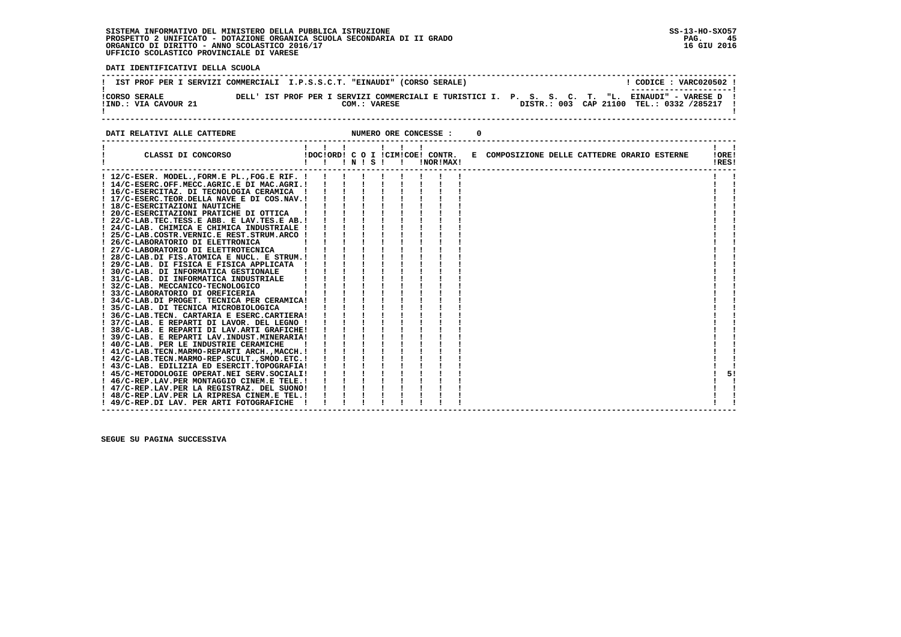**DATI IDENTIFICATIVI DELLA SCUOLA**

|                                              | IST PROF PER I SERVIZI COMMERCIALI I.P.S.S.C.T. "EINAUDI" (CORSO SERALE) | CODICE: VARC020502 !<br>----------------------                                                                                                 |
|----------------------------------------------|--------------------------------------------------------------------------|------------------------------------------------------------------------------------------------------------------------------------------------|
| <b>!CORSO SERALE</b><br>!IND.: VIA CAVOUR 21 | COM.: VARESE                                                             | DELL' IST PROF PER I SERVIZI COMMERCIALI E TURISTICI I. P. S. S. C. T. "L. EINAUDI" - VARESE D !<br>DISTR.: 003 CAP 21100 TEL.: 0332 /285217 ! |

**DATI RELATIVI ALLE CATTEDRE CONCESSE : 0** 

| ! 12/C-ESER. MODEL., FORM. E PL., FOG. E RIF. !<br>! 14/C-ESERC.OFF.MECC.AGRIC.E DI MAC.AGRI.!<br>! 16/C-ESERCITAZ. DI TECNOLOGIA CERAMICA<br>! 17/C-ESERC.TEOR.DELLA NAVE E DI COS.NAV.!<br>! 18/C-ESERCITAZIONI NAUTICHE<br>! 20/C-ESERCITAZIONI PRATICHE DI OTTICA<br>! 22/C-LAB.TEC.TESS.E ABB. E LAV.TES.E AB.!<br>! 24/C-LAB. CHIMICA E CHIMICA INDUSTRIALE !<br>! 25/C-LAB.COSTR.VERNIC.E REST.STRUM.ARCO !<br>! 26/C-LABORATORIO DI ELETTRONICA<br>27/C-LABORATORIO DI ELETTROTECNICA<br>! 28/C-LAB.DI FIS.ATOMICA E NUCL. E STRUM.!<br>! 29/C-LAB. DI FISICA E FISICA APPLICATA<br>30/C-LAB. DI INFORMATICA GESTIONALE<br>31/C-LAB. DI INFORMATICA INDUSTRIALE<br>! 32/C-LAB. MECCANICO-TECNOLOGICO<br>33/C-LABORATORIO DI OREFICERIA<br>! 34/C-LAB.DI PROGET. TECNICA PER CERAMICA!<br>! 35/C-LAB. DI TECNICA MICROBIOLOGICA<br>! 36/C-LAB.TECN. CARTARIA E ESERC.CARTIERA!<br>! 37/C-LAB. E REPARTI DI LAVOR. DEL LEGNO !<br>38/C-LAB. E REPARTI DI LAV.ARTI GRAFICHE!<br>! 39/C-LAB. E REPARTI LAV.INDUST.MINERARIA!<br>! 40/C-LAB. PER LE INDUSTRIE CERAMICHE<br>! 41/C-LAB.TECN.MARMO-REPARTI ARCH.,MACCH.!<br>! 42/C-LAB.TECN.MARMO-REP.SCULT., SMOD.ETC.!<br>! 43/C-LAB. EDILIZIA ED ESERCIT.TOPOGRAFIA!<br>51<br>! 45/C-METODOLOGIE OPERAT.NEI SERV.SOCIALI!<br>! 46/C-REP.LAV.PER MONTAGGIO CINEM.E TELE.!<br>! 47/C-REP.LAV.PER LA REGISTRAZ. DEL SUONO!<br>! 48/C-REP.LAV.PER LA RIPRESA CINEM.E TEL.!<br>! 49/C-REP.DI LAV. PER ARTI FOTOGRAFICHE | CLASSI DI CONCORSO | $\mathbf{I}$ $\mathbf{I}$ | $'$ N $'$ S $'$ |  | !DOC!ORD! C O I !CIM!COE! CONTR.<br>!NOR!MAX! | E COMPOSIZIONE DELLE CATTEDRE ORARIO ESTERNE | !ORE!<br>!RES! |
|------------------------------------------------------------------------------------------------------------------------------------------------------------------------------------------------------------------------------------------------------------------------------------------------------------------------------------------------------------------------------------------------------------------------------------------------------------------------------------------------------------------------------------------------------------------------------------------------------------------------------------------------------------------------------------------------------------------------------------------------------------------------------------------------------------------------------------------------------------------------------------------------------------------------------------------------------------------------------------------------------------------------------------------------------------------------------------------------------------------------------------------------------------------------------------------------------------------------------------------------------------------------------------------------------------------------------------------------------------------------------------------------------------------------------------------------------------------------|--------------------|---------------------------|-----------------|--|-----------------------------------------------|----------------------------------------------|----------------|
|                                                                                                                                                                                                                                                                                                                                                                                                                                                                                                                                                                                                                                                                                                                                                                                                                                                                                                                                                                                                                                                                                                                                                                                                                                                                                                                                                                                                                                                                        |                    |                           |                 |  |                                               |                                              |                |
|                                                                                                                                                                                                                                                                                                                                                                                                                                                                                                                                                                                                                                                                                                                                                                                                                                                                                                                                                                                                                                                                                                                                                                                                                                                                                                                                                                                                                                                                        |                    |                           |                 |  |                                               |                                              |                |
|                                                                                                                                                                                                                                                                                                                                                                                                                                                                                                                                                                                                                                                                                                                                                                                                                                                                                                                                                                                                                                                                                                                                                                                                                                                                                                                                                                                                                                                                        |                    |                           |                 |  |                                               |                                              |                |
|                                                                                                                                                                                                                                                                                                                                                                                                                                                                                                                                                                                                                                                                                                                                                                                                                                                                                                                                                                                                                                                                                                                                                                                                                                                                                                                                                                                                                                                                        |                    |                           |                 |  |                                               |                                              |                |
|                                                                                                                                                                                                                                                                                                                                                                                                                                                                                                                                                                                                                                                                                                                                                                                                                                                                                                                                                                                                                                                                                                                                                                                                                                                                                                                                                                                                                                                                        |                    |                           |                 |  |                                               |                                              |                |
|                                                                                                                                                                                                                                                                                                                                                                                                                                                                                                                                                                                                                                                                                                                                                                                                                                                                                                                                                                                                                                                                                                                                                                                                                                                                                                                                                                                                                                                                        |                    |                           |                 |  |                                               |                                              |                |
|                                                                                                                                                                                                                                                                                                                                                                                                                                                                                                                                                                                                                                                                                                                                                                                                                                                                                                                                                                                                                                                                                                                                                                                                                                                                                                                                                                                                                                                                        |                    |                           |                 |  |                                               |                                              |                |
|                                                                                                                                                                                                                                                                                                                                                                                                                                                                                                                                                                                                                                                                                                                                                                                                                                                                                                                                                                                                                                                                                                                                                                                                                                                                                                                                                                                                                                                                        |                    |                           |                 |  |                                               |                                              |                |
|                                                                                                                                                                                                                                                                                                                                                                                                                                                                                                                                                                                                                                                                                                                                                                                                                                                                                                                                                                                                                                                                                                                                                                                                                                                                                                                                                                                                                                                                        |                    |                           |                 |  |                                               |                                              |                |
|                                                                                                                                                                                                                                                                                                                                                                                                                                                                                                                                                                                                                                                                                                                                                                                                                                                                                                                                                                                                                                                                                                                                                                                                                                                                                                                                                                                                                                                                        |                    |                           |                 |  |                                               |                                              |                |
|                                                                                                                                                                                                                                                                                                                                                                                                                                                                                                                                                                                                                                                                                                                                                                                                                                                                                                                                                                                                                                                                                                                                                                                                                                                                                                                                                                                                                                                                        |                    |                           |                 |  |                                               |                                              |                |
|                                                                                                                                                                                                                                                                                                                                                                                                                                                                                                                                                                                                                                                                                                                                                                                                                                                                                                                                                                                                                                                                                                                                                                                                                                                                                                                                                                                                                                                                        |                    |                           |                 |  |                                               |                                              |                |
|                                                                                                                                                                                                                                                                                                                                                                                                                                                                                                                                                                                                                                                                                                                                                                                                                                                                                                                                                                                                                                                                                                                                                                                                                                                                                                                                                                                                                                                                        |                    |                           |                 |  |                                               |                                              |                |
|                                                                                                                                                                                                                                                                                                                                                                                                                                                                                                                                                                                                                                                                                                                                                                                                                                                                                                                                                                                                                                                                                                                                                                                                                                                                                                                                                                                                                                                                        |                    |                           |                 |  |                                               |                                              |                |
|                                                                                                                                                                                                                                                                                                                                                                                                                                                                                                                                                                                                                                                                                                                                                                                                                                                                                                                                                                                                                                                                                                                                                                                                                                                                                                                                                                                                                                                                        |                    |                           |                 |  |                                               |                                              |                |
|                                                                                                                                                                                                                                                                                                                                                                                                                                                                                                                                                                                                                                                                                                                                                                                                                                                                                                                                                                                                                                                                                                                                                                                                                                                                                                                                                                                                                                                                        |                    |                           |                 |  |                                               |                                              |                |
|                                                                                                                                                                                                                                                                                                                                                                                                                                                                                                                                                                                                                                                                                                                                                                                                                                                                                                                                                                                                                                                                                                                                                                                                                                                                                                                                                                                                                                                                        |                    |                           |                 |  |                                               |                                              |                |
|                                                                                                                                                                                                                                                                                                                                                                                                                                                                                                                                                                                                                                                                                                                                                                                                                                                                                                                                                                                                                                                                                                                                                                                                                                                                                                                                                                                                                                                                        |                    |                           |                 |  |                                               |                                              |                |
|                                                                                                                                                                                                                                                                                                                                                                                                                                                                                                                                                                                                                                                                                                                                                                                                                                                                                                                                                                                                                                                                                                                                                                                                                                                                                                                                                                                                                                                                        |                    |                           |                 |  |                                               |                                              |                |
|                                                                                                                                                                                                                                                                                                                                                                                                                                                                                                                                                                                                                                                                                                                                                                                                                                                                                                                                                                                                                                                                                                                                                                                                                                                                                                                                                                                                                                                                        |                    |                           |                 |  |                                               |                                              |                |
|                                                                                                                                                                                                                                                                                                                                                                                                                                                                                                                                                                                                                                                                                                                                                                                                                                                                                                                                                                                                                                                                                                                                                                                                                                                                                                                                                                                                                                                                        |                    |                           |                 |  |                                               |                                              |                |
|                                                                                                                                                                                                                                                                                                                                                                                                                                                                                                                                                                                                                                                                                                                                                                                                                                                                                                                                                                                                                                                                                                                                                                                                                                                                                                                                                                                                                                                                        |                    |                           |                 |  |                                               |                                              |                |
|                                                                                                                                                                                                                                                                                                                                                                                                                                                                                                                                                                                                                                                                                                                                                                                                                                                                                                                                                                                                                                                                                                                                                                                                                                                                                                                                                                                                                                                                        |                    |                           |                 |  |                                               |                                              |                |
|                                                                                                                                                                                                                                                                                                                                                                                                                                                                                                                                                                                                                                                                                                                                                                                                                                                                                                                                                                                                                                                                                                                                                                                                                                                                                                                                                                                                                                                                        |                    |                           |                 |  |                                               |                                              |                |
|                                                                                                                                                                                                                                                                                                                                                                                                                                                                                                                                                                                                                                                                                                                                                                                                                                                                                                                                                                                                                                                                                                                                                                                                                                                                                                                                                                                                                                                                        |                    |                           |                 |  |                                               |                                              |                |
|                                                                                                                                                                                                                                                                                                                                                                                                                                                                                                                                                                                                                                                                                                                                                                                                                                                                                                                                                                                                                                                                                                                                                                                                                                                                                                                                                                                                                                                                        |                    |                           |                 |  |                                               |                                              |                |
|                                                                                                                                                                                                                                                                                                                                                                                                                                                                                                                                                                                                                                                                                                                                                                                                                                                                                                                                                                                                                                                                                                                                                                                                                                                                                                                                                                                                                                                                        |                    |                           |                 |  |                                               |                                              |                |
|                                                                                                                                                                                                                                                                                                                                                                                                                                                                                                                                                                                                                                                                                                                                                                                                                                                                                                                                                                                                                                                                                                                                                                                                                                                                                                                                                                                                                                                                        |                    |                           |                 |  |                                               |                                              |                |
|                                                                                                                                                                                                                                                                                                                                                                                                                                                                                                                                                                                                                                                                                                                                                                                                                                                                                                                                                                                                                                                                                                                                                                                                                                                                                                                                                                                                                                                                        |                    |                           |                 |  |                                               |                                              |                |
|                                                                                                                                                                                                                                                                                                                                                                                                                                                                                                                                                                                                                                                                                                                                                                                                                                                                                                                                                                                                                                                                                                                                                                                                                                                                                                                                                                                                                                                                        |                    |                           |                 |  |                                               |                                              |                |
|                                                                                                                                                                                                                                                                                                                                                                                                                                                                                                                                                                                                                                                                                                                                                                                                                                                                                                                                                                                                                                                                                                                                                                                                                                                                                                                                                                                                                                                                        |                    |                           |                 |  |                                               |                                              |                |
|                                                                                                                                                                                                                                                                                                                                                                                                                                                                                                                                                                                                                                                                                                                                                                                                                                                                                                                                                                                                                                                                                                                                                                                                                                                                                                                                                                                                                                                                        |                    |                           |                 |  |                                               |                                              |                |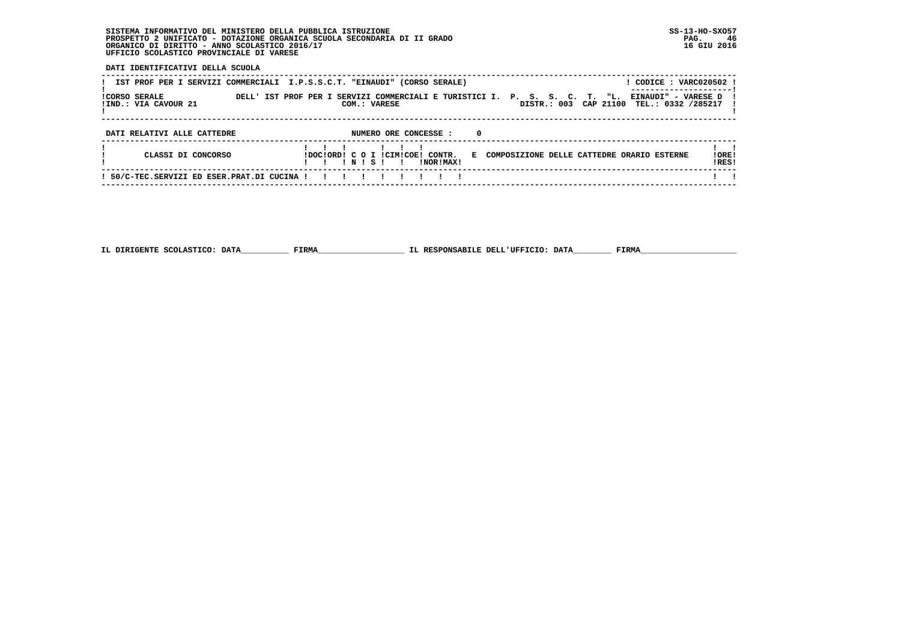**DATI IDENTIFICATIVI DELLA SCUOLA**

| IST PROF PER I SERVIZI COMMERCIALI I.P.S.S.C.T. "EINAUDI" (CORSO SERALE) | CODICE: VARC020502 !                                                                                                                                                |                 |
|--------------------------------------------------------------------------|---------------------------------------------------------------------------------------------------------------------------------------------------------------------|-----------------|
| <b>ICORSO SERALE</b><br>!IND.: VIA CAVOUR 21                             | DELL' IST PROF PER I SERVIZI COMMERCIALI E TURISTICI I. P. S. S. C. T. "L.<br>EINAUDI" - VARESE D<br>DISTR.: 003<br>CAP 21100<br>TEL.: 0332 /285217<br>COM.: VARESE |                 |
|                                                                          |                                                                                                                                                                     |                 |
| DATI RELATIVI ALLE CATTEDRE                                              | NUMERO ORE CONCESSE :<br>0                                                                                                                                          |                 |
| CLASSI DI CONCORSO                                                       | IDOCIORDI C O I ICIMICOEI CONTR.<br>E COMPOSIZIONE DELLE CATTEDRE ORARIO ESTERNE<br>INISI<br>INORIMAXI                                                              | ! ORE!<br>IRES! |
| 50/C-TEC.SERVIZI ED ESER.PRAT.DI CUCINA !                                |                                                                                                                                                                     |                 |

 **------------------------------------------------------------------------------------------------------------------------------------**

 **IL DIRIGENTE SCOLASTICO: DATA\_\_\_\_\_\_\_\_\_\_ FIRMA\_\_\_\_\_\_\_\_\_\_\_\_\_\_\_\_\_\_ IL RESPONSABILE DELL'UFFICIO: DATA\_\_\_\_\_\_\_\_ FIRMA\_\_\_\_\_\_\_\_\_\_\_\_\_\_\_\_\_\_\_\_**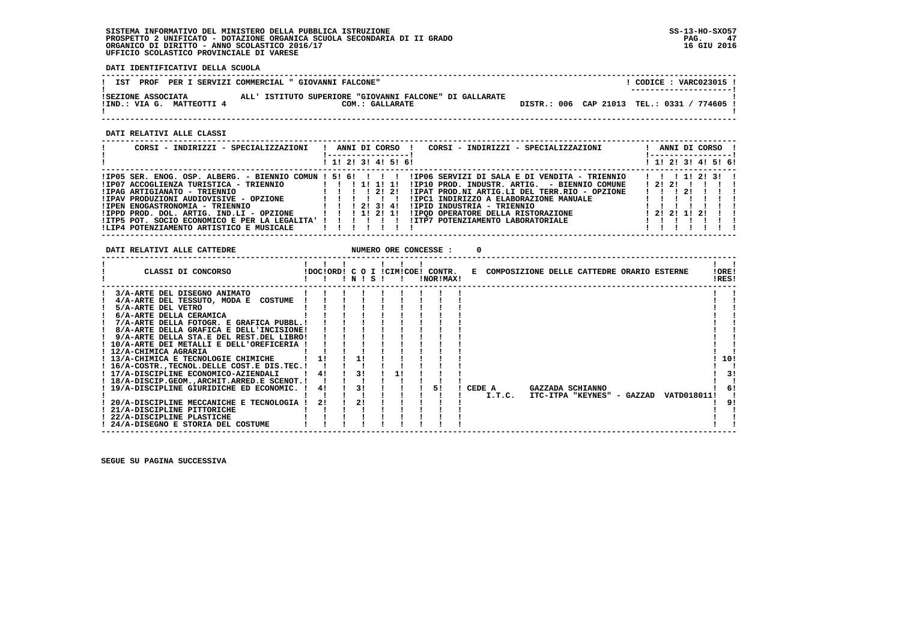**DATI IDENTIFICATIVI DELLA SCUOLA**

| PROF<br>IST                                     | PER I SERVIZI COMMERCIAL " GIOVANNI FALCONE"                               |  | CODICE: VARC023015 !<br>---------------------- |
|-------------------------------------------------|----------------------------------------------------------------------------|--|------------------------------------------------|
| ISEZIONE ASSOCIATA<br>IIND.: VIA G. MATTEOTTI 4 | ALL' ISTITUTO SUPERIORE "GIOVANNI FALCONE" DI GALLARATE<br>COM.: GALLARATE |  | DISTR.: 006 CAP 21013 TEL.: 0331 / 774605 !    |

 **------------------------------------------------------------------------------------------------------------------------------------**

 **DATI RELATIVI ALLE CLASSI**

| CORSI - INDIRIZZI - SPECIALIZZAZIONI                                                                                                                                                                                                                                                                                                                                             |                                 |  |  | ANNI DI CORSO !                    | CORSI - INDIRIZZI - SPECIALIZZAZIONI                                                                                                                                                                                                                                                              |  | ANNI DI CORSO !                                                   |  |  |
|----------------------------------------------------------------------------------------------------------------------------------------------------------------------------------------------------------------------------------------------------------------------------------------------------------------------------------------------------------------------------------|---------------------------------|--|--|------------------------------------|---------------------------------------------------------------------------------------------------------------------------------------------------------------------------------------------------------------------------------------------------------------------------------------------------|--|-------------------------------------------------------------------|--|--|
|                                                                                                                                                                                                                                                                                                                                                                                  |                                 |  |  | ! 1! 2! 3! 4! 5! 6!                |                                                                                                                                                                                                                                                                                                   |  | ! 1! 2! 3! 4! 5! 6!                                               |  |  |
| $lIP05$ SER. ENOG. OSP. ALBERG. - BIENNIO COMUN ! 5! 6!!!!!<br>!IP07 ACCOGLIENZA TURISTICA - TRIENNIO<br>!IPAG ARTIGIANATO - TRIENNIO<br>!IPAV PRODUZIONI AUDIOVISIVE - OPZIONE<br><b>!IPEN ENOGASTRONOMIA - TRIENNIO</b><br>!IPPD PROD. DOL. ARTIG. IND.LI - OPZIONE<br>!ITP5 POT. SOCIO ECONOMICO E PER LA LEGALITA' ! ! ! ! ! ! !<br>!LIP4 POTENZIAMENTO ARTISTICO E MUSICALE | 1 1 1 2 1 3 1 4 1<br>!!!!!!!!!! |  |  | 1 1 1 1 1 1 1 1<br>1 1 1 1 2 1 2 1 | !IP06 SERVIZI DI SALA E DI VENDITA - TRIENNIO<br>!IP10 PROD. INDUSTR. ARTIG. - BIENNIO COMUNE<br>!IPAT PROD.NI ARTIG.LI DEL TERR.RIO - OPZIONE<br>!IPC1 INDIRIZZO A ELABORAZIONE MANUALE<br>!IPID INDUSTRIA - TRIENNIO<br>!IPOD OPERATORE DELLA RISTORAZIONE<br>!ITP7 POTENZIAMENTO LABORATORIALE |  | 1 1 1 1 2 3 1<br>1212111111<br>$\frac{1}{2}$<br>1 2 1 2 1 1 2 1 1 |  |  |

| DATI RELATIVI ALLE CATTEDRE                      |    |    |       |              | NUMERO ORE CONCESSE : |        |  |                                                                               |             |                |     |
|--------------------------------------------------|----|----|-------|--------------|-----------------------|--------|--|-------------------------------------------------------------------------------|-------------|----------------|-----|
| CLASSI DI CONCORSO                               |    |    | INISI | $\mathbf{I}$ | !NOR!MAX!             |        |  | IDOCIORDI C O I ICIMICOEI CONTR. E COMPOSIZIONE DELLE CATTEDRE ORARIO ESTERNE |             | !ORE!<br>!RES! |     |
| 3/A-ARTE DEL DISEGNO ANIMATO                     |    |    |       |              |                       |        |  |                                                                               |             |                |     |
| 4/A-ARTE DEL TESSUTO, MODA E COSTUME             |    |    |       |              |                       |        |  |                                                                               |             |                |     |
| 5/A-ARTE DEL VETRO                               |    |    |       |              |                       |        |  |                                                                               |             |                |     |
| 6/A-ARTE DELLA CERAMICA                          |    |    |       |              |                       |        |  |                                                                               |             |                |     |
| 7/A-ARTE DELLA FOTOGR. E GRAFICA PUBBL.!         |    |    |       |              |                       |        |  |                                                                               |             |                |     |
| 8/A-ARTE DELLA GRAFICA E DELL'INCISIONE!         |    |    |       |              |                       |        |  |                                                                               |             |                |     |
| 9/A-ARTE DELLA STA.E DEL REST.DEL LIBRO!         |    |    |       |              |                       |        |  |                                                                               |             |                |     |
| ! 10/A-ARTE DEI METALLI E DELL'OREFICERIA !      |    |    |       |              |                       |        |  |                                                                               |             |                |     |
| ! 12/A-CHIMICA AGRARIA                           |    |    |       |              |                       |        |  |                                                                               |             |                |     |
| ! 13/A-CHIMICA E TECNOLOGIE CHIMICHE             |    |    |       |              |                       |        |  |                                                                               |             |                | 10! |
| ! 16/A-COSTR., TECNOL. DELLE COST. E DIS. TEC. ! |    |    |       |              |                       |        |  |                                                                               |             |                |     |
| ! 17/A-DISCIPLINE ECONOMICO-AZIENDALI            | 4! | 31 |       |              |                       |        |  |                                                                               |             |                | 31  |
| ! 18/A-DISCIP.GEOM., ARCHIT. ARRED.E SCENOT.!    |    |    |       |              |                       |        |  |                                                                               |             |                |     |
| ! 19/A-DISCIPLINE GIURIDICHE ED ECONOMIC.        | 41 | 3! |       |              | 51                    | CEDE A |  | GAZZADA SCHIANNO                                                              |             |                | 6!  |
|                                                  |    |    |       |              |                       | I.T.C. |  | ITC-ITPA "KEYNES" - GAZZAD                                                    | VATD018011! |                |     |
| 20/A-DISCIPLINE MECCANICHE E TECNOLOGIA !        | 21 | 2! |       |              |                       |        |  |                                                                               |             |                | 91  |
| ! 21/A-DISCIPLINE PITTORICHE                     |    |    |       |              |                       |        |  |                                                                               |             |                |     |
| ! 22/A-DISCIPLINE PLASTICHE                      |    |    |       |              |                       |        |  |                                                                               |             |                |     |
| ! 24/A-DISEGNO E STORIA DEL COSTUME              |    |    |       |              |                       |        |  |                                                                               |             |                |     |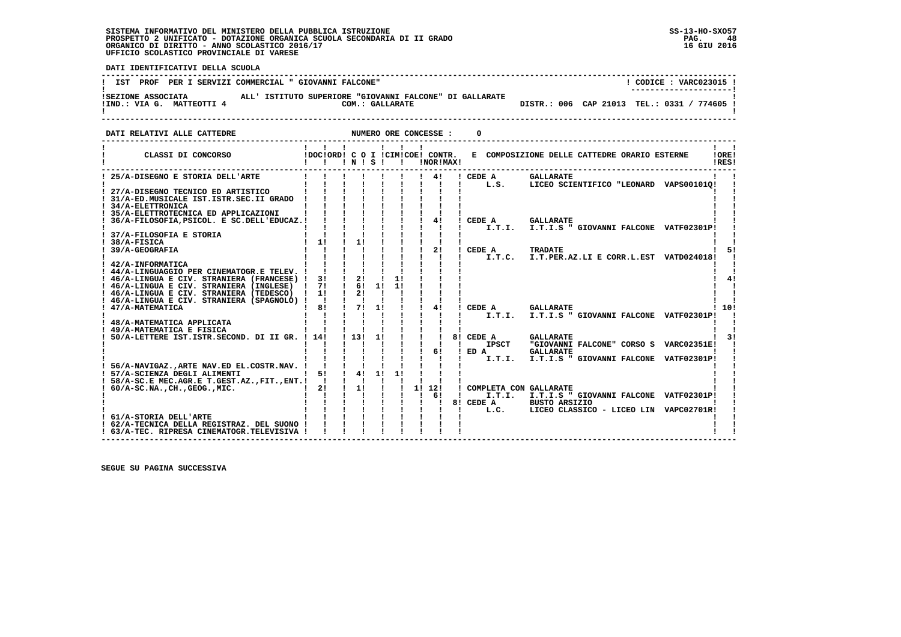֖֧֢ׅ֧֪֧֪֧֪֧֪֧֖֚֚֚֚֚֚֚֚֚֚֚֚֚֚֚֚֚֚֚֚֚֚֚֡֝֝֝֓֓֓֝֬֝֓֝֬֓֓֝֬֝֓֝֬֝֓

 **DATI IDENTIFICATIVI DELLA SCUOLA**

|                           | IST PROF PER I SERVIZI COMMERCIAL " GIOVANNI FALCONE"   | CODICE: VARC023015 !                        |
|---------------------------|---------------------------------------------------------|---------------------------------------------|
| ISEZIONE ASSOCIATA        | ALL' ISTITUTO SUPERIORE "GIOVANNI FALCONE" DI GALLARATE | ---------------------                       |
| !IND.: VIA G. MATTEOTTI 4 | COM.: GALLARATE                                         | DISTR.: 006 CAP 21013 TEL.: 0331 / 774605 ! |

 **DATI RELATIVI ALLE CATTEDRE NUMERO ORE CONCESSE : 0**

| CLASSI DI CONCORSO                                                                   |          | 1 N 1 S 1 |    |    | IDOCIORD! C O I ICIMICOE! CONTR.<br>!NOR!MAX! |                                  | E COMPOSIZIONE DELLE CATTEDRE ORARIO ESTERNE               |                    | !ORE!<br>IRES! |
|--------------------------------------------------------------------------------------|----------|-----------|----|----|-----------------------------------------------|----------------------------------|------------------------------------------------------------|--------------------|----------------|
| 25/A-DISEGNO E STORIA DELL'ARTE                                                      |          |           |    |    | 41                                            | ! CEDE A                         | <b>GALLARATE</b>                                           |                    |                |
|                                                                                      |          |           |    |    |                                               | L.S.                             | LICEO SCIENTIFICO "LEONARD VAPS001010!                     |                    |                |
| 27/A-DISEGNO TECNICO ED ARTISTICO<br>31/A-ED.MUSICALE IST.ISTR.SEC.II GRADO          |          |           |    |    |                                               |                                  |                                                            |                    |                |
| 34/A-ELETTRONICA                                                                     |          |           |    |    |                                               |                                  |                                                            |                    |                |
| ! 35/A-ELETTROTECNICA ED APPLICAZIONI                                                |          |           |    |    |                                               |                                  |                                                            |                    |                |
| 36/A-FILOSOFIA, PSICOL. E SC.DELL'EDUCAZ. !                                          |          |           |    |    | 4!                                            | CEDE A                           | <b>GALLARATE</b>                                           |                    |                |
|                                                                                      |          |           |    |    |                                               | I.T.I.                           | I.T.I.S " GIOVANNI FALCONE VATF02301P!                     |                    |                |
| 37/A-FILOSOFIA E STORIA                                                              | 11       | 11        |    |    |                                               |                                  |                                                            |                    |                |
| 38/A-FISICA<br>39/A-GEOGRAFIA                                                        |          |           |    |    | 2!                                            | CEDE A                           | <b>TRADATE</b>                                             |                    |                |
|                                                                                      |          |           |    |    |                                               |                                  | I.T.C. I.T.PER.AZ.LI E CORR.L.EST VATD024018!              |                    |                |
| ! 42/A-INFORMATICA                                                                   |          |           |    |    |                                               |                                  |                                                            |                    |                |
| ! 44/A-LINGUAGGIO PER CINEMATOGR.E TELEV.                                            |          |           |    |    |                                               |                                  |                                                            |                    |                |
| ! 46/A-LINGUA E CIV. STRANIERA (FRANCESE) !                                          | 3!       | 2!        |    | 1! |                                               |                                  |                                                            |                    |                |
| ! 46/A-LINGUA E CIV. STRANIERA (INGLESE)<br>! 46/A-LINGUA E CIV. STRANIERA (TEDESCO) | 71<br>11 | 61<br>21  | 11 | 11 |                                               |                                  |                                                            |                    |                |
| ! 46/A-LINGUA E CIV. STRANIERA (SPAGNOLO) !                                          | - 1      |           |    |    |                                               |                                  |                                                            |                    |                |
| ! 47/A-MATEMATICA                                                                    | 81       | 71        | 11 |    | 41                                            | CEDE A                           | <b>GALLARATE</b>                                           |                    | 10!            |
|                                                                                      |          |           |    |    |                                               | I.T.I.                           | I.T.I.S " GIOVANNI FALCONE VATF02301P!                     |                    |                |
| 48/A-MATEMATICA APPLICATA                                                            |          |           |    |    |                                               |                                  |                                                            |                    |                |
| 49/A-MATEMATICA E FISICA                                                             |          |           |    |    |                                               |                                  |                                                            |                    |                |
| 50/A-LETTERE IST. ISTR. SECOND. DI II GR. ! 14!                                      |          | 1131      | 11 |    |                                               | 8! CEDE A<br><b>IPSCT</b>        | <b>GALLARATE</b><br>"GIOVANNI FALCONE" CORSO S VARC02351E! |                    |                |
|                                                                                      |          |           |    |    | 61                                            | ED A                             | <b>GALLARATE</b>                                           |                    |                |
|                                                                                      |          |           |    |    |                                               | I.T.I.                           | I.T.I.S " GIOVANNI FALCONE                                 | <b>VATF02301P!</b> |                |
| 56/A-NAVIGAZ., ARTE NAV.ED EL.COSTR.NAV.                                             |          |           |    |    |                                               |                                  |                                                            |                    |                |
| ! 57/A-SCIENZA DEGLI ALIMENTI                                                        | 5!       | 4!        | 1! | 11 |                                               |                                  |                                                            |                    |                |
| 58/A-SC.E MEC.AGR.E T.GEST.AZ., FIT., ENT. !                                         |          |           |    |    |                                               |                                  |                                                            |                    |                |
| $! 60/A-SC.NA.$ , $CH.$ , $GEOG.$ , $MIC.$                                           | 21       | 11        |    |    | 1! 12!<br>61                                  | COMPLETA CON GALLARATE<br>I.T.I. | I.T.I.S " GIOVANNI FALCONE VATF02301P!                     |                    |                |
|                                                                                      |          |           |    |    |                                               | 8! CEDE A                        | <b>BUSTO ARSIZIO</b>                                       |                    |                |
|                                                                                      |          |           |    |    |                                               | L.C.                             | LICEO CLASSICO - LICEO LIN VAPC02701R!                     |                    |                |
| ! 61/A-STORIA DELL'ARTE                                                              |          |           |    |    |                                               |                                  |                                                            |                    |                |
| ! 62/A-TECNICA DELLA REGISTRAZ. DEL SUONO                                            |          |           |    |    |                                               |                                  |                                                            |                    |                |
| ! 63/A-TEC. RIPRESA CINEMATOGR.TELEVISIVA !                                          |          |           |    |    |                                               |                                  |                                                            |                    |                |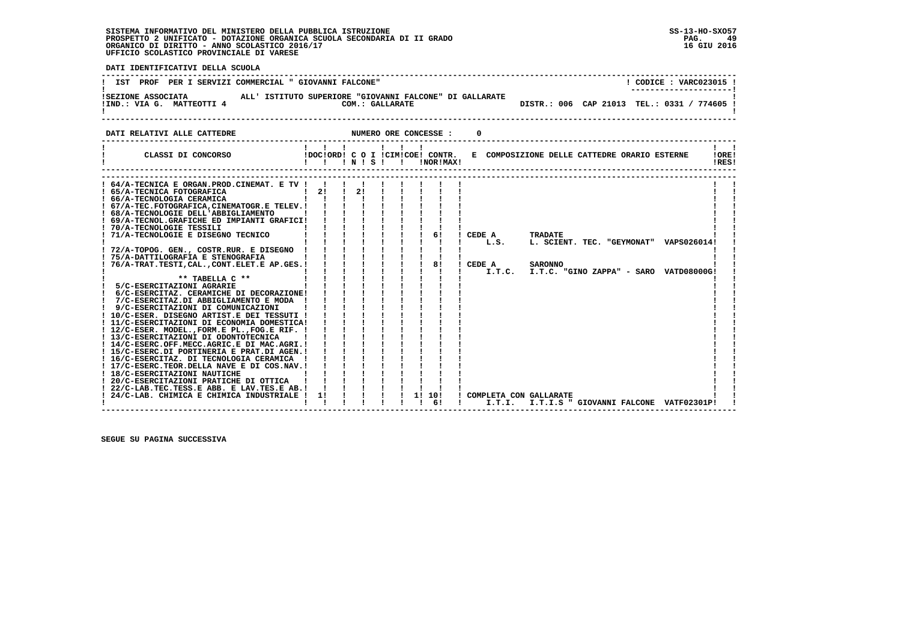PAG. 49 16 GIU 2016

 $\mathbf{I}$ 

 $\sim 1$   $\sim 1$ **IORE!** IRES!

 **DATI IDENTIFICATIVI DELLA SCUOLA ------------------------------------------------------------------------------------------------------------------------------------**! CODICE : VARC023015 ! **! IST PROF PER I SERVIZI COMMERCIAL " GIOVANNI FALCONE"** \_\_\_\_\_\_\_\_\_\_\_\_\_\_\_\_\_\_\_\_\_\_\_  **! ---------------------! !SEZIONE ASSOCIATA ALL' ISTITUTO SUPERIORE "GIOVANNI FALCONE" DI GALLARATE ! !IND.: VIA G. MATTEOTTI 4 COM.: GALLARATE DISTR.: 006 CAP 21013 TEL.: 0331 / 774605 ! ! ! ------------------------------------------------------------------------------------------------------------------------------------DATI RELATIVI ALLE CATTEDRE NUMERO ORE CONCESSE : 0 ------------------------------------------------------------------------------------------------------------------------------------ ! ! ! ! ! ! ! ! ! ! CLASSI DI CONCORSO !DOC!ORD! C O I !CIM!COE! CONTR. E COMPOSIZIONE DELLE CATTEDRE ORARIO ESTERNE !ORE! ! ! ! ! N ! S ! ! !NOR!MAX! !RES!**

| ! 64/A-TECNICA E ORGAN.PROD.CINEMAT. E TV !   |    |    |  |           |     |                          |                                                   |  |
|-----------------------------------------------|----|----|--|-----------|-----|--------------------------|---------------------------------------------------|--|
| ! 65/A-TECNICA FOTOGRAFICA                    | 21 | 2! |  |           |     |                          |                                                   |  |
| ! 66/A-TECNOLOGIA CERAMICA                    |    |    |  |           |     |                          |                                                   |  |
| ! 67/A-TEC.FOTOGRAFICA.CINEMATOGR.E TELEV.!   |    |    |  |           |     |                          |                                                   |  |
| ! 68/A-TECNOLOGIE DELL'ABBIGLIAMENTO          |    |    |  |           |     |                          |                                                   |  |
| ! 69/A-TECNOL.GRAFICHE ED IMPIANTI GRAFICI!   |    |    |  |           |     |                          |                                                   |  |
| ! 70/A-TECNOLOGIE TESSILI                     |    |    |  |           |     |                          |                                                   |  |
| 71/A-TECNOLOGIE E DISEGNO TECNICO             |    |    |  |           | 6 ! | CEDE A                   | <b>TRADATE</b>                                    |  |
|                                               |    |    |  |           |     | L.S.                     | L. SCIENT. TEC. "GEYMONAT" VAPS026014!            |  |
| ! 72/A-TOPOG. GEN., COSTR.RUR. E DISEGNO      |    |    |  |           |     |                          |                                                   |  |
| ! 75/A-DATTILOGRAFIA E STENOGRAFIA            |    |    |  |           |     |                          |                                                   |  |
| 76/A-TRAT.TESTI,CAL.,CONT.ELET.E AP.GES.!     |    |    |  |           | 81  | CEDE A                   | <b>SARONNO</b>                                    |  |
|                                               |    |    |  |           |     |                          | $I.T.C.$ $I.T.C.$ "GINO ZAPPA" - SARO VATD08000G! |  |
| $**$ TABELLA $C**$                            |    |    |  |           |     |                          |                                                   |  |
| 5/C-ESERCITAZIONI AGRARIE                     |    |    |  |           |     |                          |                                                   |  |
| 6/C-ESERCITAZ. CERAMICHE DI DECORAZIONE!      |    |    |  |           |     |                          |                                                   |  |
| 7/C-ESERCITAZ.DI ABBIGLIAMENTO E MODA         |    |    |  |           |     |                          |                                                   |  |
| 9/C-ESERCITAZIONI DI COMUNICAZIONI            |    |    |  |           |     |                          |                                                   |  |
| ! 10/C-ESER. DISEGNO ARTIST.E DEI TESSUTI !   |    |    |  |           |     |                          |                                                   |  |
| ! 11/C-ESERCITAZIONI DI ECONOMIA DOMESTICA!   |    |    |  |           |     |                          |                                                   |  |
| ! 12/C-ESER. MODEL., FORM.E PL., FOG.E RIF. ! |    |    |  |           |     |                          |                                                   |  |
| ! 13/C-ESERCITAZIONI DI ODONTOTECNICA         |    |    |  |           |     |                          |                                                   |  |
| ! 14/C-ESERC.OFF.MECC.AGRIC.E DI MAC.AGRI.!   |    |    |  |           |     |                          |                                                   |  |
| ! 15/C-ESERC.DI PORTINERIA E PRAT.DI AGEN.!   |    |    |  |           |     |                          |                                                   |  |
| ! 16/C-ESERCITAZ. DI TECNOLOGIA CERAMICA      |    |    |  |           |     |                          |                                                   |  |
| ! 17/C-ESERC.TEOR.DELLA NAVE E DI COS.NAV.!   |    |    |  |           |     |                          |                                                   |  |
| ! 18/C-ESERCITAZIONI NAUTICHE                 |    |    |  |           |     |                          |                                                   |  |
| ! 20/C-ESERCITAZIONI PRATICHE DI OTTICA       |    |    |  |           |     |                          |                                                   |  |
| ! 22/C-LAB.TEC.TESS.E ABB. E LAV.TES.E AB.!   |    |    |  |           |     |                          |                                                   |  |
| ! 24/C-LAB. CHIMICA E CHIMICA INDUSTRIALE !   | 11 |    |  | 1!<br>10! |     | ! COMPLETA CON GALLARATE |                                                   |  |
|                                               |    |    |  |           | 61  | I.T.I.                   | I.T.I.S " GIOVANNI FALCONE VATF02301P!            |  |
|                                               |    |    |  |           |     |                          |                                                   |  |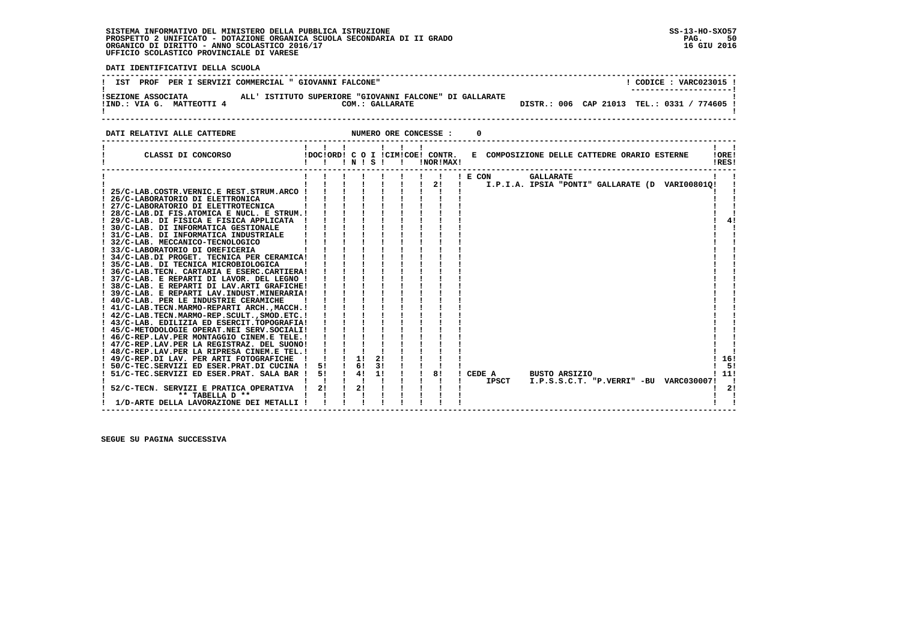**DATI IDENTIFICATIVI DELLA SCUOLA**

| PROF<br>PER I SERVIZI COMMERCIAL " GIOVANNI FALCONE"<br>IST                                                                   | CODICE: VARC023015 !                                                  |
|-------------------------------------------------------------------------------------------------------------------------------|-----------------------------------------------------------------------|
| ALL' ISTITUTO SUPERIORE "GIOVANNI FALCONE" DI GALLARATE<br>ISEZIONE ASSOCIATA<br>IIND.: VIA G. MATTEOTTI 4<br>COM.: GALLARATE | ----------------------<br>DISTR.: 006 CAP 21013 TEL.: 0331 / 774605 ! |

  **------------------------------------------------------------------------------------------------------------------------------------ ! ! ! ! ! ! ! ! ! ! CLASSI DI CONCORSO !DOC!ORD! C O I !CIM!COE! CONTR. E COMPOSIZIONE DELLE CATTEDRE ORARIO ESTERNE !ORE! ! ! ! ! N ! S ! ! !NOR!MAX! !RES! ------------------------------------------------------------------------------------------------------------------------------------ ! ! ! ! ! ! ! ! ! ! E CON GALLARATE ! !**

**DATI RELATIVI ALLE CATTEDRE NUMERO ORE CONCESSE : 0** 

|                                              |    |    |    |  |    | E CON        | <b>GALLARATE</b>                                |     |
|----------------------------------------------|----|----|----|--|----|--------------|-------------------------------------------------|-----|
|                                              |    |    |    |  | 2! |              | I.P.I.A. IPSIA "PONTI" GALLARATE (D VARI00801Q! |     |
| 25/C-LAB.COSTR.VERNIC.E REST.STRUM.ARCO      |    |    |    |  |    |              |                                                 |     |
| 26/C-LABORATORIO DI ELETTRONICA              |    |    |    |  |    |              |                                                 |     |
| ! 27/C-LABORATORIO DI ELETTROTECNICA         |    |    |    |  |    |              |                                                 |     |
| ! 28/C-LAB.DI FIS.ATOMICA E NUCL. E STRUM.!  |    |    |    |  |    |              |                                                 |     |
| 29/C-LAB. DI FISICA E FISICA APPLICATA       |    |    |    |  |    |              |                                                 |     |
| ! 30/C-LAB, DI INFORMATICA GESTIONALE        |    |    |    |  |    |              |                                                 |     |
| ! 31/C-LAB. DI INFORMATICA INDUSTRIALE       |    |    |    |  |    |              |                                                 |     |
| ! 32/C-LAB. MECCANICO-TECNOLOGICO            |    |    |    |  |    |              |                                                 |     |
| 33/C-LABORATORIO DI OREFICERIA               |    |    |    |  |    |              |                                                 |     |
| ! 34/C-LAB.DI PROGET. TECNICA PER CERAMICA!  |    |    |    |  |    |              |                                                 |     |
| ! 35/C-LAB. DI TECNICA MICROBIOLOGICA        |    |    |    |  |    |              |                                                 |     |
| ! 36/C-LAB.TECN. CARTARIA E ESERC.CARTIERA!  |    |    |    |  |    |              |                                                 |     |
| ! 37/C-LAB. E REPARTI DI LAVOR. DEL LEGNO !  |    |    |    |  |    |              |                                                 |     |
| ! 38/C-LAB. E REPARTI DI LAV.ARTI GRAFICHE!  |    |    |    |  |    |              |                                                 |     |
| ! 39/C-LAB. E REPARTI LAV.INDUST.MINERARIA!  |    |    |    |  |    |              |                                                 |     |
| ! 40/C-LAB. PER LE INDUSTRIE CERAMICHE       |    |    |    |  |    |              |                                                 |     |
| ! 41/C-LAB.TECN.MARMO-REPARTI ARCH.,MACCH.!  |    |    |    |  |    |              |                                                 |     |
| ! 42/C-LAB.TECN.MARMO-REP.SCULT., SMOD.ETC.! |    |    |    |  |    |              |                                                 |     |
| ! 43/C-LAB. EDILIZIA ED ESERCIT.TOPOGRAFIA!  |    |    |    |  |    |              |                                                 |     |
| ! 45/C-METODOLOGIE OPERAT.NEI SERV.SOCIALI!  |    |    |    |  |    |              |                                                 |     |
| ! 46/C-REP.LAV.PER MONTAGGIO CINEM.E TELE.!  |    |    |    |  |    |              |                                                 |     |
| ! 47/C-REP.LAV.PER LA REGISTRAZ. DEL SUONO!  |    |    |    |  |    |              |                                                 |     |
| ! 48/C-REP.LAV.PER LA RIPRESA CINEM.E TEL.!  |    |    |    |  |    |              |                                                 |     |
| 49/C-REP.DI LAV. PER ARTI FOTOGRAFICHE       |    | 11 | 2! |  |    |              |                                                 | 16! |
| 50/C-TEC.SERVIZI ED ESER.PRAT.DI CUCINA !    | 51 | 6! | 3! |  |    |              |                                                 | -51 |
| 51/C-TEC.SERVIZI ED ESER.PRAT. SALA BAR !    | 5! | 4! | 11 |  | 8! | CEDE A       | <b>BUSTO ARSIZIO</b>                            | 11! |
|                                              |    |    |    |  |    | <b>IPSCT</b> | I.P.S.S.C.T. "P.VERRI" -BU VARC030007!          |     |
| 52/C-TECN. SERVIZI E PRATICA OPERATIVA       | 2! | 2! |    |  |    |              |                                                 | 2!  |
| ** TABELLA D **                              |    |    |    |  |    |              |                                                 |     |
| 1/D-ARTE DELLA LAVORAZIONE DEI METALLI       |    |    |    |  |    |              |                                                 |     |
|                                              |    |    |    |  |    |              |                                                 |     |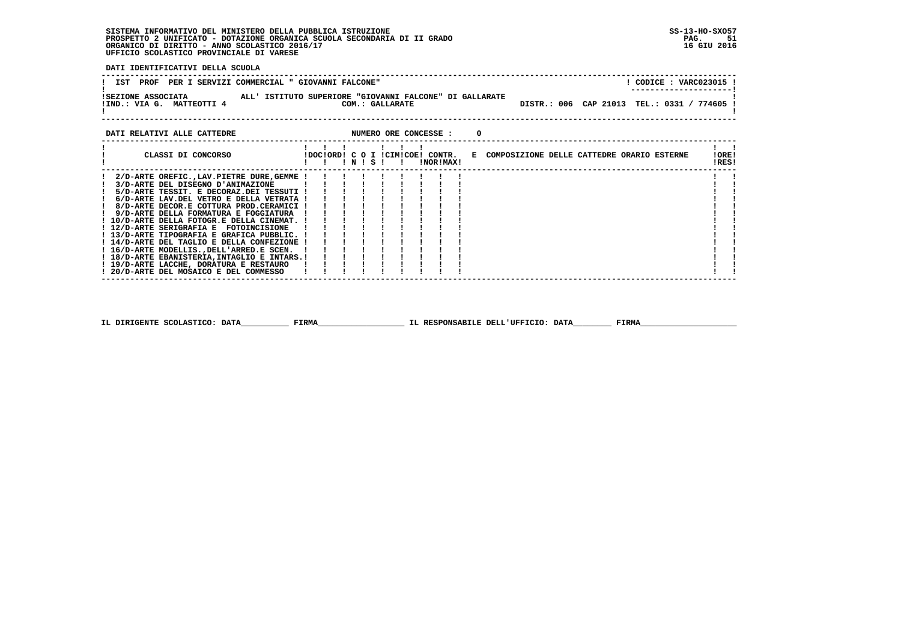**DATI IDENTIFICATIVI DELLA SCUOLA**

| ALL' ISTITUTO SUPERIORE "GIOVANNI FALCONE" DI GALLARATE<br>ISEZIONE ASSOCIATA<br>DISTR.: 006 CAP 21013 TEL.: 0331 /<br>/ 774605 !<br>!IND.: VIA G. MATTEOTTI 4<br>COM.: GALLARATE | <b>PROF</b><br>IST<br>PER I SERVIZI COMMERCIAL " GIOVANNI FALCONE" | CODICE: VARC023015 !<br>---------------------- |
|-----------------------------------------------------------------------------------------------------------------------------------------------------------------------------------|--------------------------------------------------------------------|------------------------------------------------|
|                                                                                                                                                                                   |                                                                    |                                                |

| DATI RELATIVI ALLE CATTEDRE                  |  |  |         |  | NUMERO ORE CONCESSE :                         |  |                                              |  |  |                |  |
|----------------------------------------------|--|--|---------|--|-----------------------------------------------|--|----------------------------------------------|--|--|----------------|--|
| CLASSI DI CONCORSO                           |  |  | INISI I |  | !DOC!ORD! C O I !CIM!COE! CONTR.<br>!NOR!MAX! |  | E COMPOSIZIONE DELLE CATTEDRE ORARIO ESTERNE |  |  | !ORE!<br>!RES! |  |
| 2/D-ARTE OREFIC., LAV. PIETRE DURE, GEMME !  |  |  |         |  |                                               |  |                                              |  |  |                |  |
| 3/D-ARTE DEL DISEGNO D'ANIMAZIONE            |  |  |         |  |                                               |  |                                              |  |  |                |  |
| 5/D-ARTE TESSIT. E DECORAZ.DEI TESSUTI !     |  |  |         |  |                                               |  |                                              |  |  |                |  |
| 6/D-ARTE LAV.DEL VETRO E DELLA VETRATA !     |  |  |         |  |                                               |  |                                              |  |  |                |  |
| 8/D-ARTE DECOR.E COTTURA PROD.CERAMICI !     |  |  |         |  |                                               |  |                                              |  |  |                |  |
| 9/D-ARTE DELLA FORMATURA E FOGGIATURA        |  |  |         |  |                                               |  |                                              |  |  |                |  |
| ! 10/D-ARTE DELLA FOTOGR.E DELLA CINEMAT. !  |  |  |         |  |                                               |  |                                              |  |  |                |  |
| ! 12/D-ARTE SERIGRAFIA E FOTOINCISIONE       |  |  |         |  |                                               |  |                                              |  |  |                |  |
| ! 13/D-ARTE TIPOGRAFIA E GRAFICA PUBBLIC. !  |  |  |         |  |                                               |  |                                              |  |  |                |  |
| ! 14/D-ARTE DEL TAGLIO E DELLA CONFEZIONE !  |  |  |         |  |                                               |  |                                              |  |  |                |  |
| ! 16/D-ARTE MODELLISDELL'ARRED.E SCEN.       |  |  |         |  |                                               |  |                                              |  |  |                |  |
| ! 18/D-ARTE EBANISTERIA, INTAGLIO E INTARS.! |  |  |         |  |                                               |  |                                              |  |  |                |  |
| ! 19/D-ARTE LACCHE, DORATURA E RESTAURO      |  |  |         |  |                                               |  |                                              |  |  |                |  |
| ! 20/D-ARTE DEL MOSAICO E DEL COMMESSO       |  |  |         |  |                                               |  |                                              |  |  |                |  |
|                                              |  |  |         |  |                                               |  |                                              |  |  |                |  |

 **IL DIRIGENTE SCOLASTICO: DATA\_\_\_\_\_\_\_\_\_\_ FIRMA\_\_\_\_\_\_\_\_\_\_\_\_\_\_\_\_\_\_ IL RESPONSABILE DELL'UFFICIO: DATA\_\_\_\_\_\_\_\_ FIRMA\_\_\_\_\_\_\_\_\_\_\_\_\_\_\_\_\_\_\_\_**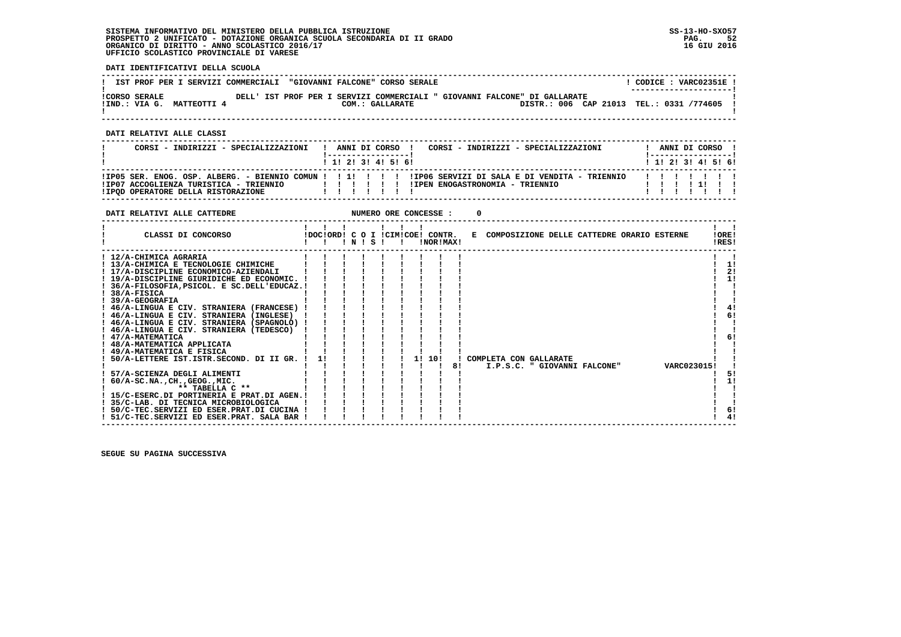**DATI IDENTIFICATIVI DELLA SCUOLA**

|                                                   |  | IST PROF PER I SERVIZI COMMERCIALI "GIOVANNI FALCONE" CORSO SERALE |                 |                                                                                                                         | CODICE: VARC02351E!<br>--------------------- |
|---------------------------------------------------|--|--------------------------------------------------------------------|-----------------|-------------------------------------------------------------------------------------------------------------------------|----------------------------------------------|
| <b>!CORSO SERALE</b><br>!IND.: VIA G. MATTEOTTI 4 |  |                                                                    | COM.: GALLARATE | DELL' IST PROF PER I SERVIZI COMMERCIALI " GIOVANNI FALCONE" DI GALLARATE<br>DISTR.: 006 CAP 21013 TEL.: 0331 /774605 ! |                                              |

 **------------------------------------------------------------------------------------------------------------------------------------**

 **DATI RELATIVI ALLE CLASSI**

| CORSI - INDIRIZZI - SPECIALIZZAZIONI                                         |  |  | ANNI DI CORSO !<br>1 1 1 2 1 3 1 4 1 5 1 6 1 | CORSI - INDIRIZZI - SPECIALIZZAZIONI                                                                                                        |  | ANNI DI CORSO !<br>1 1 1 2 1 3 1 4 1 5 1 6 1 |  |
|------------------------------------------------------------------------------|--|--|----------------------------------------------|---------------------------------------------------------------------------------------------------------------------------------------------|--|----------------------------------------------|--|
| !IP07 ACCOGLIENZA TURISTICA - TRIENNIO<br>IIPOD OPERATORE DELLA RISTORAZIONE |  |  |                                              | IIP05 SER. ENOG. OSP. ALBERG. - BIENNIO COMUN ! ! !!!!!!!! IIP06 SERVIZI DI SALA E DI VENDITA - TRIENNIO<br>!IPEN ENOGASTRONOMIA - TRIENNIO |  | .                                            |  |

| DATI RELATIVI ALLE CATTEDRE                                                                                                                                                                                                                                                                                                                                                                                                                                                                                                                                                                                                                                                                                 |    |       |  |    | NUMERO ORE CONCESSE :                         |    |                                                        |  |             |                |                                              |
|-------------------------------------------------------------------------------------------------------------------------------------------------------------------------------------------------------------------------------------------------------------------------------------------------------------------------------------------------------------------------------------------------------------------------------------------------------------------------------------------------------------------------------------------------------------------------------------------------------------------------------------------------------------------------------------------------------------|----|-------|--|----|-----------------------------------------------|----|--------------------------------------------------------|--|-------------|----------------|----------------------------------------------|
| CLASSI DI CONCORSO                                                                                                                                                                                                                                                                                                                                                                                                                                                                                                                                                                                                                                                                                          |    | INISI |  |    | IDOCIORD! C O I ICIMICOE! CONTR.<br>!NOR!MAX! |    | E COMPOSIZIONE DELLE CATTEDRE ORARIO ESTERNE           |  |             | 10RE!<br>!RES! |                                              |
| ! 12/A-CHIMICA AGRARIA<br>! 13/A-CHIMICA E TECNOLOGIE CHIMICHE<br>! 17/A-DISCIPLINE ECONOMICO-AZIENDALI<br>! 19/A-DISCIPLINE GIURIDICHE ED ECONOMIC. !<br>! 36/A-FILOSOFIA, PSICOL. E SC.DELL'EDUCAZ.!<br>$! 38/A-FISICA$<br>39/A-GEOGRAFIA<br>! 46/A-LINGUA E CIV. STRANIERA (FRANCESE)<br>! 46/A-LINGUA E CIV. STRANIERA (INGLESE)<br>! 46/A-LINGUA E CIV. STRANIERA (SPAGNOLO) !<br>! 46/A-LINGUA E CIV. STRANIERA (TEDESCO)<br>! 47/A-MATEMATICA<br>! 48/A-MATEMATICA APPLICATA<br>! 49/A-MATEMATICA E FISICA<br>50/A-LETTERE IST.ISTR.SECOND. DI II GR. !<br>57/A-SCIENZA DEGLI ALIMENTI<br>$60/A-SC.NA.$ , $CH.$ , $GEOG.$ , $MIC.$<br>** TABELLA C **<br>! 15/C-ESERC.DI PORTINERIA E PRAT.DI AGEN.! | 11 |       |  | 11 | 10!                                           | 81 | COMPLETA CON GALLARATE<br>I.P.S.C. " GIOVANNI FALCONE" |  | VARC0230151 |                | 11<br>2!<br>1!<br>4!<br>6!<br>6!<br>51<br>1! |
| ! 35/C-LAB. DI TECNICA MICROBIOLOGICA<br>! 50/C-TEC.SERVIZI ED ESER.PRAT.DI CUCINA !<br>! 51/C-TEC.SERVIZI ED ESER.PRAT. SALA BAR !                                                                                                                                                                                                                                                                                                                                                                                                                                                                                                                                                                         |    |       |  |    |                                               |    |                                                        |  |             |                | 6!<br>4!                                     |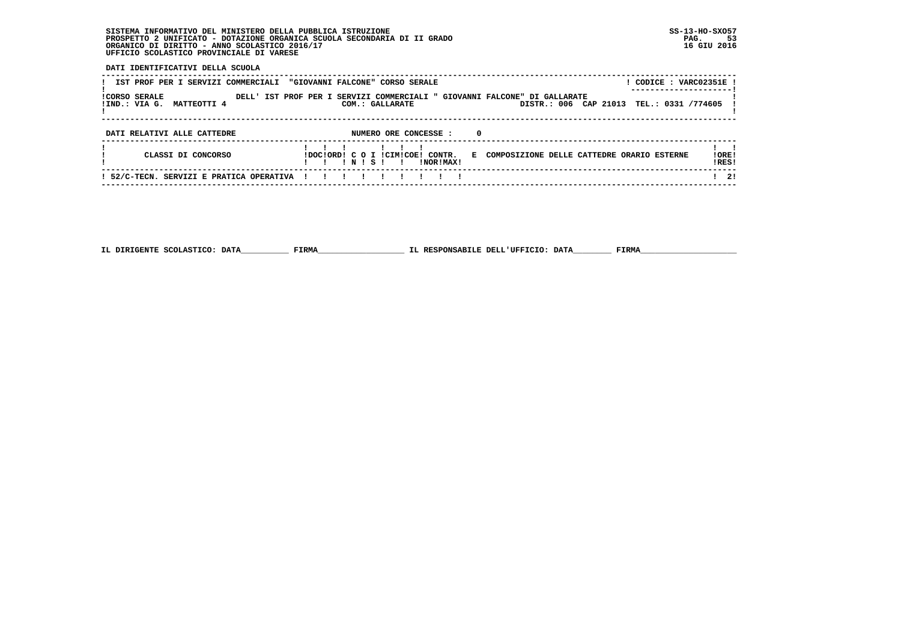**DATI IDENTIFICATIVI DELLA SCUOLA**

| IST PROF PER I SERVIZI COMMERCIALI                   | CODICE: VARC02351E<br>"GIOVANNI FALCONE" CORSO SERALE                                                                                       |                 |
|------------------------------------------------------|---------------------------------------------------------------------------------------------------------------------------------------------|-----------------|
| <b>ICORSO SERALE</b><br>!IND.: VIA G.<br>MATTEOTTI 4 | DELL' IST PROF PER I SERVIZI COMMERCIALI " GIOVANNI FALCONE" DI GALLARATE<br>DISTR.: 006 CAP 21013<br>TEL.: 0331 /774605<br>COM.: GALLARATE |                 |
| DATI RELATIVI ALLE CATTEDRE                          | NUMERO ORE CONCESSE :<br>0                                                                                                                  |                 |
| CLASSI DI CONCORSO                                   | !DOC!ORD! C O I !CIM!COE! CONTR.<br>E COMPOSIZIONE DELLE CATTEDRE ORARIO ESTERNE<br>INISI<br><b>INORIMAXI</b><br>$\blacksquare$             | ! ORE!<br>IRES! |
| ! 52/C-TECN. SERVIZI E PRATICA OPERATIVA             |                                                                                                                                             | 2!              |

 **------------------------------------------------------------------------------------------------------------------------------------**

 **IL DIRIGENTE SCOLASTICO: DATA\_\_\_\_\_\_\_\_\_\_ FIRMA\_\_\_\_\_\_\_\_\_\_\_\_\_\_\_\_\_\_ IL RESPONSABILE DELL'UFFICIO: DATA\_\_\_\_\_\_\_\_ FIRMA\_\_\_\_\_\_\_\_\_\_\_\_\_\_\_\_\_\_\_\_**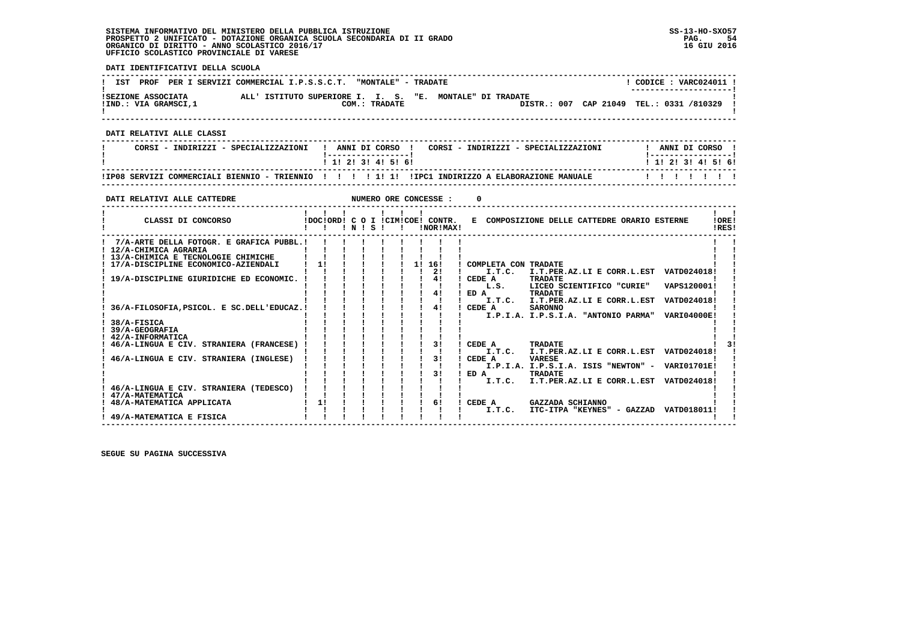**DATI IDENTIFICATIVI DELLA SCUOLA ------------------------------------------------------------------------------------------------------------------------------------** $1$  CODICE  $\cdot$  VARC024011 I **! IST PROF PER I SERVIZI COMMERCIAL I.P.S.S.C.T. "MONTALE" - TRADATE ! ---------------------! !SEZIONE ASSOCIATA ALL' ISTITUTO SUPERIORE I. I. S. "E. MONTALE" DI TRADATE ! !IND.: VIA GRAMSCI,1 COM.: TRADATE DISTR.: 007 CAP 21049 TEL.: 0331 /810329 !** $\mathbf{I}$  **! ! ------------------------------------------------------------------------------------------------------------------------------------ DATI RELATIVI ALLE CLASSI ------------------------------------------------------------------------------------------------------------------------------------**I ANNI DI CORSO I  **! CORSI - INDIRIZZI - SPECIALIZZAZIONI ! ANNI DI CORSO ! CORSI - INDIRIZZI - SPECIALIZZAZIONI ! ANNI DI CORSO ! ! !-----------------! !-----------------!**1 1 1 2 1 3 1 4 1 5 1 6 1  **! ! 1! 2! 3! 4! 5! 6! ! 1! 2! 3! 4! 5! 6! ------------------------------------------------------------------------------------------------------------------------------------ !IP08 SERVIZI COMMERCIALI BIENNIO - TRIENNIO ! ! ! ! 1! 1! !IPC1 INDIRIZZO A ELABORAZIONE MANUALE ! ! ! ! ! ! ! ------------------------------------------------------------------------------------------------------------------------------------DATI RELATIVI ALLE CATTEDRE NUMERO ORE CONCESSE : 0 ------------------------------------------------------------------------------------------------------------------------------------** $\mathbf{I}$   $\mathbf{I}$  **! ! ! ! ! ! ! ! !IORE!** CLASSI DI CONCORSO **8** | DOC!ORD! C O I !CIM!COE! CONTR. E COMPOSIZIONE DELLE CATTEDRE ORARIO ESTERNE **IDFSI ! ! ! ! N ! S ! ! !NOR!MAX! !RES! ------------------------------------------------------------------------------------------------------------------------------------** $\blacksquare$  **! 7/A-ARTE DELLA FOTOGR. E GRAFICA PUBBL.! ! ! ! ! ! ! ! ! ! ! ! 12/A-CHIMICA AGRARIA ! ! ! ! ! ! ! ! ! ! ! ! 13/A-CHIMICA E TECNOLOGIE CHIMICHE ! ! ! ! ! ! ! ! ! ! ! ! 17/A-DISCIPLINE ECONOMICO-AZIENDALI ! 1! ! ! ! ! 1! 16! ! COMPLETA CON TRADATE ! ! ! ! ! ! ! ! ! ! 2! ! I.T.C. I.T.PER.AZ.LI E CORR.L.EST VATD024018! ! ! 19/A-DISCIPLINE GIURIDICHE ED ECONOMIC. ! ! ! ! ! ! ! 4! ! CEDE A TRADATE ! ! ! ! ! ! ! ! ! ! ! ! L.S. LICEO SCIENTIFICO "CURIE" VAPS120001! ! ! ! ! ! ! ! ! ! 4! ! ED A TRADATE ! ! ! ! ! ! ! ! ! ! ! ! I.T.C. I.T.PER.AZ.LI E CORR.L.EST VATD024018! ! ! 36/A-FILOSOFIA,PSICOL. E SC.DELL'EDUCAZ.! ! ! ! ! ! ! 4! ! CEDE A SARONNO ! ! ! ! ! ! ! ! ! ! ! ! I.P.I.A. I.P.S.I.A. "ANTONIO PARMA" VARI04000E! ! ! 38/A-FISICA ! ! ! ! ! ! ! ! ! ! ! ! 39/A-GEOGRAFIA ! ! ! ! ! ! ! ! ! ! ! ! 42/A-INFORMATICA ! ! ! ! ! ! ! ! ! ! !** $\frac{1}{3}$  **! 46/A-LINGUA E CIV. STRANIERA (FRANCESE) ! ! ! ! ! ! ! 3! ! CEDE A TRADATE ! 3! ! ! ! ! ! ! ! ! ! ! I.T.C. I.T.PER.AZ.LI E CORR.L.EST VATD024018! ! ! 46/A-LINGUA E CIV. STRANIERA (INGLESE) ! ! ! ! ! ! ! 3! ! CEDE A VARESE ! ! ! ! ! ! ! ! ! ! ! ! I.P.I.A. I.P.S.I.A. ISIS "NEWTON" - VARI01701E! ! ! ! ! ! ! ! ! ! 3! ! ED A TRADATE ! ! ! ! ! ! ! ! ! ! ! ! I.T.C. I.T.PER.AZ.LI E CORR.L.EST VATD024018! ! ! 46/A-LINGUA E CIV. STRANIERA (TEDESCO) ! ! ! ! ! ! ! ! ! ! ! ! 47/A-MATEMATICA ! ! ! ! ! ! ! ! ! ! ! ! 48/A-MATEMATICA APPLICATA ! 1! ! ! ! ! ! 6! ! CEDE A GAZZADA SCHIANNO ! ! ! ! ! ! ! ! ! ! ! ! I.T.C. ITC-ITPA "KEYNES" - GAZZAD VATD018011! !Contract Contract Contract ! 49/A-MATEMATICA E FISICA ! ! ! ! ! ! ! ! ! ! !**

 **------------------------------------------------------------------------------------------------------------------------------------**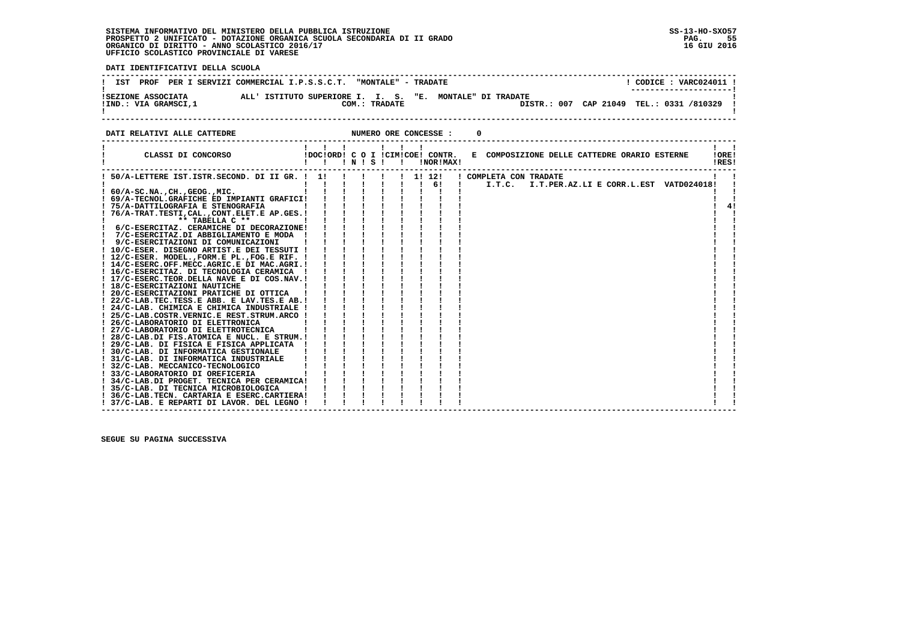PAG. 55 16 GIU 2016

 **DATI IDENTIFICATIVI DELLA SCUOLA ------------------------------------------------------------------------------------------------------------------------------------**! CODICE : VARC024011 ! **! IST PROF PER I SERVIZI COMMERCIAL I.P.S.S.C.T. "MONTALE" - TRADATE** \_\_\_\_\_\_\_\_\_\_\_\_\_\_\_\_\_\_\_\_\_\_\_\_  **! ---------------------! !SEZIONE ASSOCIATA ALL' ISTITUTO SUPERIORE I. I. S. "E. MONTALE" DI TRADATE ! !IND.: VIA GRAMSCI,1 COM.: TRADATE DISTR.: 007 CAP 21049 TEL.: 0331 /810329 ! ! !**DISTR.: 007 CAP 21049 TEL.: 0331 /810329 1  $\blacksquare$   **------------------------------------------------------------------------------------------------------------------------------------DATI RELATIVI ALLE CATTEDRE NUMERO ORE CONCESSE : 0 ------------------------------------------------------------------------------------------------------------------------------------ ! ! ! ! ! ! ! ! ! ! CLASSI DI CONCORSO !DOC!ORD! C O I !CIM!COE! CONTR. E COMPOSIZIONE DELLE CATTEDRE ORARIO ESTERNE !ORE! ! ! ! ! N ! S ! ! !NOR!MAX! !RES! ------------------------------------------------------------------------------------------------------------------------------------Contract Contract Contract ! 50/A-LETTERE IST.ISTR.SECOND. DI II GR. ! 1! ! ! ! ! 1! 12! ! COMPLETA CON TRADATE ! ! ! ! ! ! ! ! ! ! 6! ! I.T.C. I.T.PER.AZ.LI E CORR.L.EST VATD024018! ! ! 60/A-SC.NA.,CH.,GEOG.,MIC. ! ! ! ! ! ! ! ! ! ! ! ! 69/A-TECNOL.GRAFICHE ED IMPIANTI GRAFICI! ! ! ! ! ! ! ! ! ! ! ! 75/A-DATTILOGRAFIA E STENOGRAFIA ! ! ! ! ! ! ! ! ! ! 4! ! 76/A-TRAT.TESTI,CAL.,CONT.ELET.E AP.GES.! ! ! ! ! ! ! ! ! ! ! ! \*\* TABELLA C \*\* ! ! ! ! ! ! ! ! ! ! ! ! 6/C-ESERCITAZ. CERAMICHE DI DECORAZIONE! ! ! ! ! ! ! ! ! ! !**

| ! 75/A-DATTILOGRAFIA E STENOGRAFIA            |  |  |  |  |  |
|-----------------------------------------------|--|--|--|--|--|
| ! 76/A-TRAT.TESTI, CAL., CONT.ELET.E AP.GES.! |  |  |  |  |  |
| $**$ TABELLA $C**$                            |  |  |  |  |  |
| ! 6/C-ESERCITAZ. CERAMICHE DI DECORAZIONE!    |  |  |  |  |  |
| ! 7/C-ESERCITAZ.DI ABBIGLIAMENTO E MODA       |  |  |  |  |  |
| ! 9/C-ESERCITAZIONI DI COMUNICAZIONI          |  |  |  |  |  |
| ! 10/C-ESER. DISEGNO ARTIST.E DEI TESSUTI !   |  |  |  |  |  |
| ! 12/C-ESER. MODEL., FORM.E PL., FOG.E RIF. ! |  |  |  |  |  |
| ! 14/C-ESERC.OFF.MECC.AGRIC.E DI MAC.AGRI.!   |  |  |  |  |  |
| ! 16/C-ESERCITAZ. DI TECNOLOGIA CERAMICA !    |  |  |  |  |  |
| ! 17/C-ESERC.TEOR.DELLA NAVE E DI COS.NAV.!   |  |  |  |  |  |
| ! 18/C-ESERCITAZIONI NAUTICHE                 |  |  |  |  |  |
| ! 20/C-ESERCITAZIONI PRATICHE DI OTTICA       |  |  |  |  |  |
| ! 22/C-LAB.TEC.TESS.E ABB. E LAV.TES.E AB.!   |  |  |  |  |  |
| ! 24/C-LAB. CHIMICA E CHIMICA INDUSTRIALE !   |  |  |  |  |  |
| ! 25/C-LAB.COSTR.VERNIC.E REST.STRUM.ARCO !   |  |  |  |  |  |
| ! 26/C-LABORATORIO DI ELETTRONICA             |  |  |  |  |  |
| ! 27/C-LABORATORIO DI ELETTROTECNICA          |  |  |  |  |  |
| ! 28/C-LAB.DI FIS.ATOMICA E NUCL. E STRUM.!   |  |  |  |  |  |
| ! 29/C-LAB. DI FISICA E FISICA APPLICATA      |  |  |  |  |  |
| ! 30/C-LAB. DI INFORMATICA GESTIONALE         |  |  |  |  |  |
| ! 31/C-LAB. DI INFORMATICA INDUSTRIALE        |  |  |  |  |  |
| ! 32/C-LAB. MECCANICO-TECNOLOGICO             |  |  |  |  |  |
| ! 33/C-LABORATORIO DI OREFICERIA              |  |  |  |  |  |
| ! 34/C-LAB.DI PROGET. TECNICA PER CERAMICA!   |  |  |  |  |  |
| ! 35/C-LAB. DI TECNICA MICROBIOLOGICA         |  |  |  |  |  |
| ! 36/C-LAB.TECN. CARTARIA E ESERC.CARTIERA!   |  |  |  |  |  |
| ! 37/C-LAB. E REPARTI DI LAVOR. DEL LEGNO !   |  |  |  |  |  |
|                                               |  |  |  |  |  |

 **------------------------------------------------------------------------------------------------------------------------------------**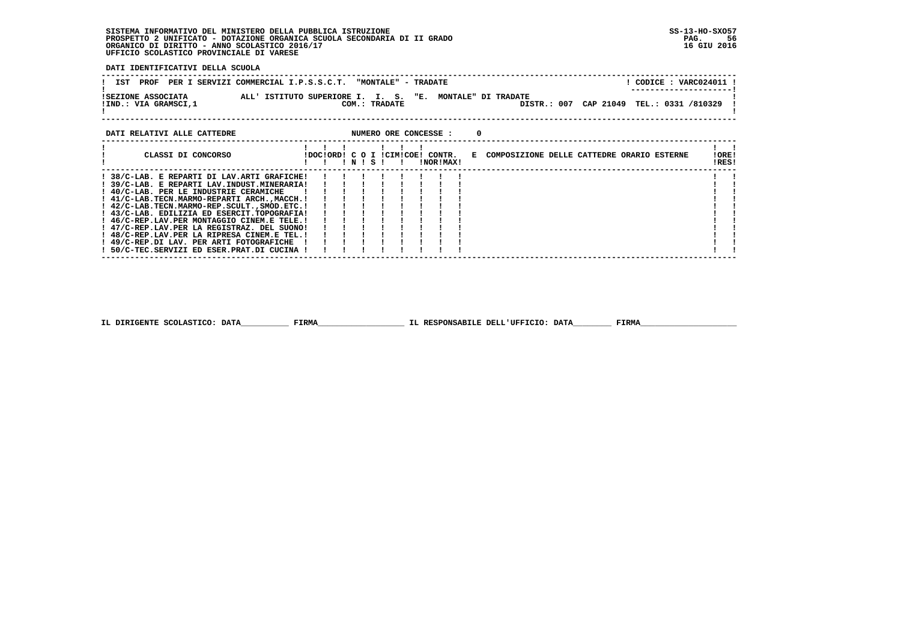**DATI IDENTIFICATIVI DELLA SCUOLA**

|                                            | IST PROF PER I SERVIZI COMMERCIAL I.P.S.S.C.T. "MONTALE" - TRADATE        | CODICE: VARC024011 !<br>---------------------- |
|--------------------------------------------|---------------------------------------------------------------------------|------------------------------------------------|
| ISEZIONE ASSOCIATA<br>!IND.: VIA GRAMSCI,1 | ALL' ISTITUTO SUPERIORE I. I. S. "E. MONTALE" DI TRADATE<br>COM.: TRADATE | DISTR.: 007 CAP 21049 TEL.: 0331 /810329 !     |
|                                            |                                                                           |                                                |

#### **DATI RELATIVI ALLE CATTEDRE NUMERO ORE CONCESSE : 0 ------------------------------------------------------------------------------------------------------------------------------------ ! ! ! ! ! ! ! ! ! ! CLASSI DI CONCORSO !DOC!ORD! C O I !CIM!COE! CONTR. E COMPOSIZIONE DELLE CATTEDRE ORARIO ESTERNE !ORE! ! ! ! ! N ! S ! ! !NOR!MAX! !RES! ------------------------------------------------------------------------------------------------------------------------------------Contract Contract Contract ! 38/C-LAB. E REPARTI DI LAV.ARTI GRAFICHE! ! ! ! ! ! ! ! ! ! !** $\mathbf{I}$  **! 39/C-LAB. E REPARTI LAV.INDUST.MINERARIA! ! ! ! ! ! ! ! ! ! ! ! 40/C-LAB. PER LE INDUSTRIE CERAMICHE ! ! ! ! ! ! ! ! ! ! ! ! 41/C-LAB.TECN.MARMO-REPARTI ARCH.,MACCH.! ! ! ! ! ! ! ! ! ! ! ! 42/C-LAB.TECN.MARMO-REP.SCULT.,SMOD.ETC.! ! ! ! ! ! ! ! ! ! ! ! 43/C-LAB. EDILIZIA ED ESERCIT.TOPOGRAFIA! ! ! ! ! ! ! ! ! ! ! ! 46/C-REP.LAV.PER MONTAGGIO CINEM.E TELE.! ! ! ! ! ! ! ! ! ! ! ! 47/C-REP.LAV.PER LA REGISTRAZ. DEL SUONO! ! ! ! ! ! ! ! ! ! !** $\mathbf{I}$  $\mathbf{I}$  $\mathbf{1}$   $\mathbf{1}$  $\mathbf{r}$  $\mathbf{I}$  $\mathbf{i}$   $\mathbf{i}$  $\mathbf{1}$   $\mathbf{1}$  **! 48/C-REP.LAV.PER LA RIPRESA CINEM.E TEL.! ! ! ! ! ! ! ! ! ! !** $\blacksquare$  **! 49/C-REP.DI LAV. PER ARTI FOTOGRAFICHE ! ! ! ! ! ! ! ! ! ! ! ! 50/C-TEC.SERVIZI ED ESER.PRAT.DI CUCINA ! ! ! ! ! ! ! ! ! ! !** $\blacksquare$  **------------------------------------------------------------------------------------------------------------------------------------**

**IL DIRIGENTE SCOLASTICO: DATA**<br>FIRMA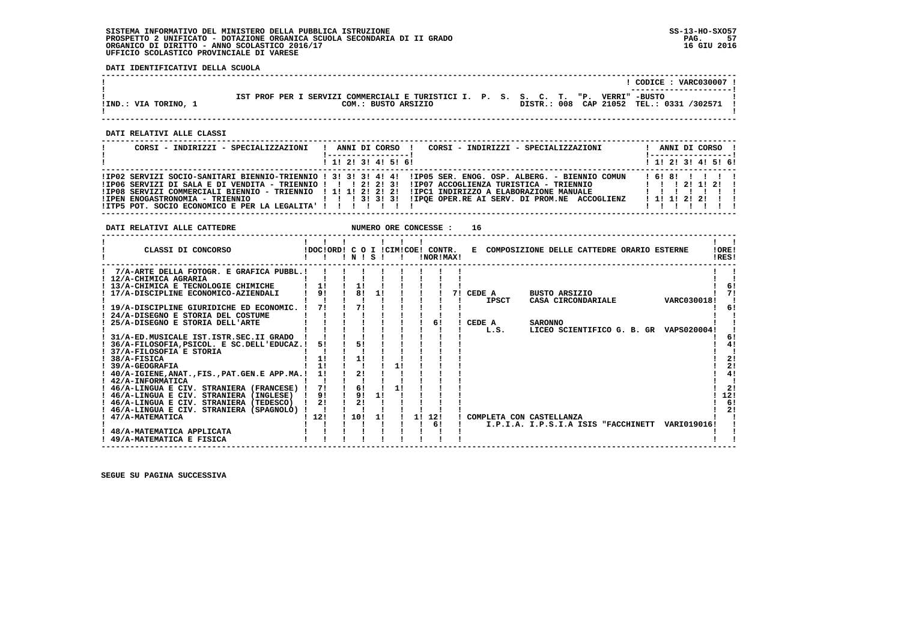**DATI IDENTIFICATIVI DELLA SCUOLA**

|                      |                                                                                                           |             |  | CODICE: VARC030007 !<br>---------------------- |  |
|----------------------|-----------------------------------------------------------------------------------------------------------|-------------|--|------------------------------------------------|--|
| !IND.: VIA TORINO, 1 | IST PROF PER I SERVIZI COMMERCIALI E TURISTICI I. P. S. S. C. T. "P. VERRI" -BUSTO<br>COM.: BUSTO ARSIZIO | DISTR.: 008 |  | CAP 21052 TEL.: 0331 /302571                   |  |

 **------------------------------------------------------------------------------------------------------------------------------------**

 **------------------------------------------------------------------------------------------------------------------------------------**

 **DATI RELATIVI ALLE CLASSI**

| CORSI - INDIRIZZI - SPECIALIZZAZIONI                          | CORSI - INDIRIZZI - SPECIALIZZAZIONI<br>ANNI DI CORSO !                                                                                                                                                                                                                                                                                |  |  | ANNI DI CORSO !                 |  |
|---------------------------------------------------------------|----------------------------------------------------------------------------------------------------------------------------------------------------------------------------------------------------------------------------------------------------------------------------------------------------------------------------------------|--|--|---------------------------------|--|
|                                                               | $1$ , 1, 2, 3, 4, 5, 6,                                                                                                                                                                                                                                                                                                                |  |  | $1$ , 1! 2! 3! 4! 5! 6!         |  |
| !ITP5 POT. SOCIO ECONOMICO E PER LA LEGALITA' ! ! ! ! ! ! ! ! | !IP02 SERVIZI SOCIO-SANITARI BIENNIO-TRIENNIO ! 3! 3! 3! 4! 4! !IP05 SER. ENOG. OSP. ALBERG. - BIENNIO COMUN<br>!IPO6 SERVIZI DI SALA E DI VENDITA - TRIENNIO !!! 2! 2! 3!!IPO7 ACCOGLIENZA TURISTICA - TRIENNIO   !!!!!!!!!!!<br>IIP08 SERVIZI COMMERCIALI BIENNIO - TRIENNIO   1! 1! 2! 2! 2! IIPC1 INDIRIZZO A ELABORAZIONE MANUALE |  |  | 161811111<br>1 1 1 2 2 2 1<br>. |  |

 **DATI RELATIVI ALLE CATTEDRE NUMERO ORE CONCESSE : 16**

| CLASSI DI CONCORSO                             |     | INIS |     |    | !DOC!ORD! C O I !CIM!COE! CONTR.<br>!NOR!MAX! |    |                          | E COMPOSIZIONE DELLE CATTEDRE ORARIO ESTERNE |             | 10RE!<br>IRES! |
|------------------------------------------------|-----|------|-----|----|-----------------------------------------------|----|--------------------------|----------------------------------------------|-------------|----------------|
| 7/A-ARTE DELLA FOTOGR. E GRAFICA PUBBL.!       |     |      |     |    |                                               |    |                          |                                              |             |                |
| ! 12/A-CHIMICA AGRARIA                         |     |      |     |    |                                               |    |                          |                                              |             |                |
| 13/A-CHIMICA E TECNOLOGIE CHIMICHE             |     |      |     |    |                                               |    |                          |                                              |             | 6!             |
| 17/A-DISCIPLINE ECONOMICO-AZIENDALI            | 91  | 81   | 11  |    |                                               | 71 | CEDE A                   | BUSTO ARSIZIO                                |             |                |
|                                                |     |      |     |    |                                               |    | <b>IPSCT</b>             | CASA CIRCONDARIALE                           | VARC030018! |                |
| ! 19/A-DISCIPLINE GIURIDICHE ED ECONOMIC.      | 71  |      |     |    |                                               |    |                          |                                              |             | 6!             |
| 24/A-DISEGNO E STORIA DEL COSTUME              |     |      |     |    |                                               |    |                          |                                              |             |                |
| 25/A-DISEGNO E STORIA DELL'ARTE                |     |      |     |    | 6!                                            |    | CEDE A                   | <b>SARONNO</b>                               |             |                |
|                                                |     |      |     |    |                                               |    | L.S.                     | LICEO SCIENTIFICO G. B. GR VAPS020004!       |             |                |
| 31/A-ED.MUSICALE IST.ISTR.SEC.II GRADO         |     |      |     |    |                                               |    |                          |                                              |             | 6!             |
| 36/A-FILOSOFIA, PSICOL. E SC.DELL'EDUCAZ.!     | 51  |      |     |    |                                               |    |                          |                                              |             | 4!             |
| 37/A-FILOSOFIA E STORIA                        |     |      |     |    |                                               |    |                          |                                              |             |                |
| 38/A-FISICA                                    |     |      |     |    |                                               |    |                          |                                              |             | 2!             |
| 39/A-GEOGRAFIA                                 |     |      |     |    |                                               |    |                          |                                              |             | 2!             |
| 40/A-IGIENE, ANAT., FIS., PAT. GEN. E APP.MA.! |     | 21   |     |    |                                               |    |                          |                                              |             | 4!             |
| ! 42/A-INFORMATICA                             |     |      |     |    |                                               |    |                          |                                              |             |                |
| ! 46/A-LINGUA E CIV. STRANIERA (FRANCESE)      | 71  | 6!   |     |    |                                               |    |                          |                                              |             | 21             |
| 46/A-LINGUA E CIV. STRANIERA (INGLESE)         | 91  | 91   | 1!  |    |                                               |    |                          |                                              |             | 12!            |
| ! 46/A-LINGUA E CIV. STRANIERA (TEDESCO)       | 2!  | 21   |     |    |                                               |    |                          |                                              |             | 6!             |
| 46/A-LINGUA E CIV. STRANIERA (SPAGNOLO)        |     |      |     |    |                                               |    |                          |                                              |             | 21             |
| 47/A-MATEMATICA                                | 12! | 10!  | -11 | 11 | 12!                                           |    | COMPLETA CON CASTELLANZA |                                              |             |                |
|                                                |     |      |     |    | 61                                            |    |                          | I.P.I.A. I.P.S.I.A ISIS "FACCHINETT          | VARI019016! |                |
| 48/A-MATEMATICA APPLICATA                      |     |      |     |    |                                               |    |                          |                                              |             |                |
| 49/A-MATEMATICA E FISICA                       |     |      |     |    |                                               |    |                          |                                              |             |                |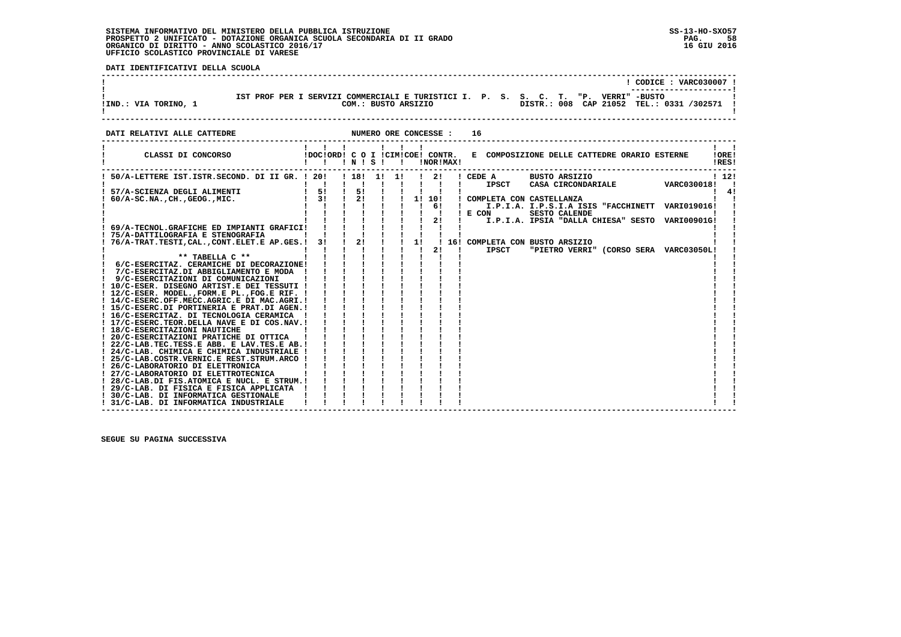**DATI IDENTIFICATIVI DELLA SCUOLA**

| !IND.: VIA TORINO, 1        | IST PROF PER I SERVIZI COMMERCIALI E TURISTICI I. P. S. S. C. T. "P. VERRI" -BUSTO<br>COM.: BUSTO ARSIZIO |  | $CODE: VARC030007$ !<br>DISTR.: 008 CAP 21052 TEL.: 0331 /302571 ! |  |
|-----------------------------|-----------------------------------------------------------------------------------------------------------|--|--------------------------------------------------------------------|--|
| DATI RELATIVI ALLE CATTEDRE | NUMERO ORE CONCESSE :                                                                                     |  |                                                                    |  |

| CLASSI DI CONCORSO                                                            | !DOC!ORD! C O I !CIM!COE! CONTR. |    | ! N ! S ! | $\mathbf{I}$ |    | !NOR!MAX!     | E COMPOSIZIONE DELLE CATTEDRE ORARIO ESTERNE                                   | !ORE!<br>!RES! |
|-------------------------------------------------------------------------------|----------------------------------|----|-----------|--------------|----|---------------|--------------------------------------------------------------------------------|----------------|
| 50/A-LETTERE IST.ISTR.SECOND. DI II GR. ! 20!                                 |                                  |    | . 181 11  | -11          |    | $\frac{1}{2}$ | ! CEDE A<br><b>BUSTO ARSIZIO</b><br>IPSCT<br>CASA CIRCONDARIALE<br>VARC030018! | 112!           |
| 57/A-SCIENZA DEGLI ALIMENTI                                                   | 51                               | 51 |           |              |    |               |                                                                                | 41             |
| $60/A-SC.NA.$ , $CH.$ , $GEOG.$ , $MIC.$                                      | 31                               | 2! |           |              |    | 1! 10!        | ! COMPLETA CON CASTELLANZA                                                     |                |
|                                                                               |                                  |    |           |              |    | 61            | I.P.I.A. I.P.S.I.A ISIS "FACCHINETT VARI019016!                                |                |
|                                                                               |                                  |    |           |              |    |               | ! E COM<br><b>SESTO CALENDE</b>                                                |                |
|                                                                               |                                  |    |           |              |    | 2!            | I.P.I.A. IPSIA "DALLA CHIESA" SESTO VARI00901G!                                |                |
| 69/A-TECNOL.GRAFICHE ED IMPIANTI GRAFICI!                                     |                                  |    |           |              |    |               |                                                                                |                |
| ! 75/A-DATTILOGRAFIA E STENOGRAFIA                                            |                                  |    |           |              |    |               |                                                                                |                |
| 76/A-TRAT.TESTI, CAL., CONT.ELET.E AP.GES.!                                   | 31                               | 2! |           |              | 1! |               | 16! COMPLETA CON BUSTO ARSIZIO                                                 |                |
|                                                                               |                                  |    |           |              |    | 21            | <b>IPSCT</b><br>"PIETRO VERRI" (CORSO SERA VARC03050L!                         |                |
| ** TABELLA C **                                                               |                                  |    |           |              |    |               |                                                                                |                |
| 6/C-ESERCITAZ. CERAMICHE DI DECORAZIONE!                                      |                                  |    |           |              |    |               |                                                                                |                |
| 7/C-ESERCITAZ.DI ABBIGLIAMENTO E MODA !                                       |                                  |    |           |              |    |               |                                                                                |                |
| 9/C-ESERCITAZIONI DI COMUNICAZIONI                                            |                                  |    |           |              |    |               |                                                                                |                |
| ! 10/C-ESER. DISEGNO ARTIST.E DEI TESSUTI !                                   |                                  |    |           |              |    |               |                                                                                |                |
| ! 12/C-ESER. MODEL., FORM.E PL., FOG.E RIF. !                                 |                                  |    |           |              |    |               |                                                                                |                |
| ! 14/C-ESERC.OFF.MECC.AGRIC.E DI MAC.AGRI.!                                   |                                  |    |           |              |    |               |                                                                                |                |
| ! 15/C-ESERC.DI PORTINERIA E PRAT.DI AGEN.!                                   |                                  |    |           |              |    |               |                                                                                |                |
| ! 16/C-ESERCITAZ. DI TECNOLOGIA CERAMICA !                                    |                                  |    |           |              |    |               |                                                                                |                |
| ! 17/C-ESERC.TEOR.DELLA NAVE E DI COS.NAV.!                                   |                                  |    |           |              |    |               |                                                                                |                |
| ! 18/C-ESERCITAZIONI NAUTICHE                                                 |                                  |    |           |              |    |               |                                                                                |                |
| ! 20/C-ESERCITAZIONI PRATICHE DI OTTICA                                       |                                  |    |           |              |    |               |                                                                                |                |
| ! 22/C-LAB.TEC.TESS.E ABB. E LAV.TES.E AB.!                                   |                                  |    |           |              |    |               |                                                                                |                |
| ! 24/C-LAB. CHIMICA E CHIMICA INDUSTRIALE !                                   |                                  |    |           |              |    |               |                                                                                |                |
| ! 25/C-LAB.COSTR.VERNIC.E REST.STRUM.ARCO !                                   |                                  |    |           |              |    |               |                                                                                |                |
| ! 26/C-LABORATORIO DI ELETTRONICA                                             |                                  |    |           |              |    |               |                                                                                |                |
| ! 27/C-LABORATORIO DI ELETTROTECNICA                                          |                                  |    |           |              |    |               |                                                                                |                |
| ! 28/C-LAB.DI FIS.ATOMICA E NUCL. E STRUM.!                                   |                                  |    |           |              |    |               |                                                                                |                |
| 29/C-LAB. DI FISICA E FISICA APPLICATA                                        |                                  |    |           |              |    |               |                                                                                |                |
| 30/C-LAB. DI INFORMATICA GESTIONALE<br>! 31/C-LAB. DI INFORMATICA INDUSTRIALE |                                  |    |           |              |    |               |                                                                                |                |
|                                                                               |                                  |    |           |              |    |               |                                                                                |                |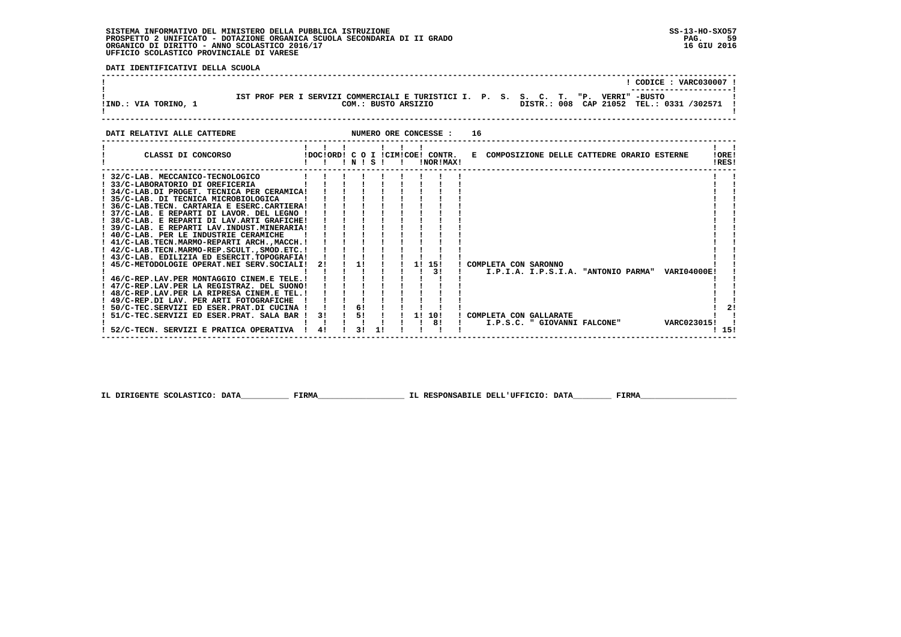**DATI IDENTIFICATIVI DELLA SCUOLA**

| IST PROF PER I SERVIZI COMMERCIALI E TURISTICI I. P. S. S. C. T. "P. VERRI" -BUSTO<br>!IND.: VIA TORINO, 1                                                                                                                                                                                                                                                                                                                                                                                                                                                                                                                                                  |          |               |               |                                             |    |                                                          |  |  |                                              | $!$ CODICE : VARC030007<br>COM.: BUSTO ARSIZIO <b>DISTR.: 008 CAP 21052 TEL.: 0331 /302571 !</b> |                 |
|-------------------------------------------------------------------------------------------------------------------------------------------------------------------------------------------------------------------------------------------------------------------------------------------------------------------------------------------------------------------------------------------------------------------------------------------------------------------------------------------------------------------------------------------------------------------------------------------------------------------------------------------------------------|----------|---------------|---------------|---------------------------------------------|----|----------------------------------------------------------|--|--|----------------------------------------------|--------------------------------------------------------------------------------------------------|-----------------|
| NUMERO ORE CONCESSE :<br>DATI RELATIVI ALLE CATTEDRE                                                                                                                                                                                                                                                                                                                                                                                                                                                                                                                                                                                                        |          |               |               |                                             | 16 |                                                          |  |  |                                              |                                                                                                  |                 |
|                                                                                                                                                                                                                                                                                                                                                                                                                                                                                                                                                                                                                                                             | !!!N!S!! |               |               | !NOR!MAX!                                   |    |                                                          |  |  | E COMPOSIZIONE DELLE CATTEDRE ORARIO ESTERNE |                                                                                                  | ! ORE!<br>IRES! |
| ! 32/C-LAB. MECCANICO-TECNOLOGICO<br>! 33/C-LABORATORIO DI OREFICERIA<br>! 34/C-LAB.DI PROGET. TECNICA PER CERAMICA!<br>! 35/C-LAB. DI TECNICA MICROBIOLOGICA<br>! 36/C-LAB. TECN. CARTARIA E ESERC. CARTIERA!<br>! 37/C-LAB. E REPARTI DI LAVOR. DEL LEGNO !<br>! 38/C-LAB. E REPARTI DI LAV.ARTI GRAFICHE!<br>! 39/C-LAB. E REPARTI LAV. INDUST. MINERARIA!<br>! 40/C-LAB. PER LE INDUSTRIE CERAMICHE<br>! 41/C-LAB.TECN.MARMO-REPARTI ARCH., MACCH. !<br>! 42/C-LAB. TECN. MARMO-REP. SCULT., SMOD. ETC. !<br>! 43/C-LAB. EDILIZIA ED ESERCIT.TOPOGRAFIA!<br>! 45/C-METODOLOGIE OPERAT.NEI SERV.SOCIALI!<br>! 46/C-REP.LAV.PER MONTAGGIO CINEM.E TELE. ! |          | $2!$ $1$ $1!$ |               | $1 \quad 11 \quad 151$<br>$\frac{1}{3}$     |    | ! COMPLETA CON SARONNO                                   |  |  |                                              | I.P.I.A. I.P.S.I.A. "ANTONIO PARMA" VARI04000E!                                                  |                 |
| ! 47/C-REP.LAV.PER LA REGISTRAZ. DEL SUONO!<br>! 48/C-REP.LAV.PER LA RIPRESA CINEM.E TEL. !<br>! 49/C-REP.DI LAV. PER ARTI FOTOGRAFICHE !<br>! 50/C-TEC.SERVIZI ED ESER.PRAT.DI CUCINA ! ! ! 6!<br>51/C-TEC.SERVIZI ED ESER.PRAT. SALA BAR ! 3! ! 5! !<br>52/C-TECN. SERVIZI E PRATICA OPERATIVA ! 4!                                                                                                                                                                                                                                                                                                                                                       |          |               | $3! \quad 1!$ | $1 \quad 1! \quad 10!$<br>$\overline{1}$ 81 |    | ! COMPLETA CON GALLARATE<br>I.P.S.C. " GIOVANNI FALCONE" |  |  |                                              | VARC023015!                                                                                      | 21<br>! 15!     |

 **IL DIRIGENTE SCOLASTICO: DATA\_\_\_\_\_\_\_\_\_\_ FIRMA\_\_\_\_\_\_\_\_\_\_\_\_\_\_\_\_\_\_ IL RESPONSABILE DELL'UFFICIO: DATA\_\_\_\_\_\_\_\_ FIRMA\_\_\_\_\_\_\_\_\_\_\_\_\_\_\_\_\_\_\_\_**

 **------------------------------------------------------------------------------------------------------------------------------------**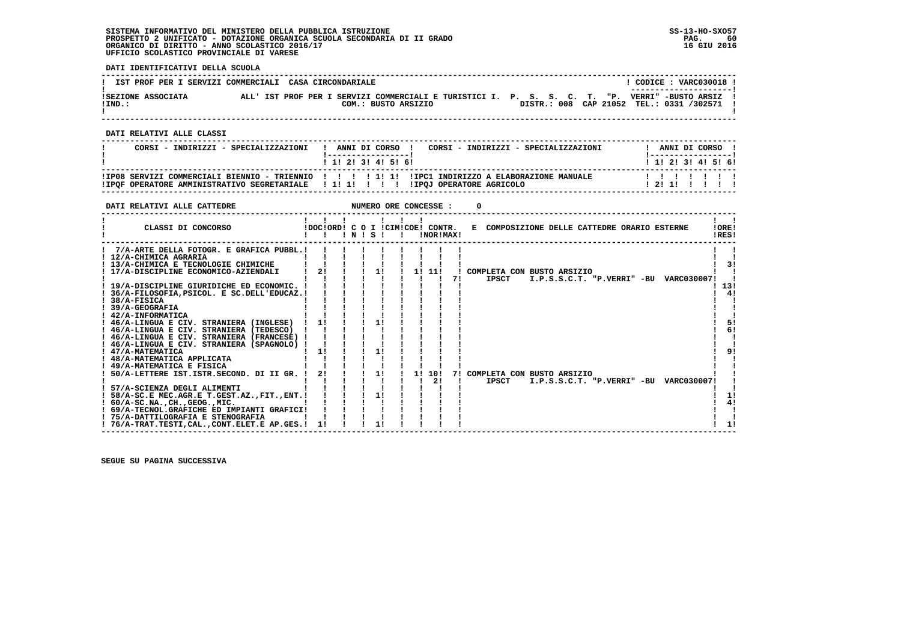**DATI IDENTIFICATIVI DELLA SCUOLA**

| IST PROF PER I SERVIZI COMMERCIALI CASA CIRCONDARIALE |  |  |                                                                                                                        |  |  |  |  | CODICE: VARC030018 !<br>_______________________ |  |
|-------------------------------------------------------|--|--|------------------------------------------------------------------------------------------------------------------------|--|--|--|--|-------------------------------------------------|--|
| ISEZIONE ASSOCIATA<br>!IND.:                          |  |  | ALL' IST PROF PER I SERVIZI COMMERCIALI E TURISTICI I. P. S. S. C. T. "P. VERRI" -BUSTO ARSIZ !<br>COM.: BUSTO ARSIZIO |  |  |  |  | DISTR.: 008 CAP 21052 TEL.: 0331 /302571        |  |

 **------------------------------------------------------------------------------------------------------------------------------------**

 **DATI RELATIVI ALLE CLASSI**

| CORSI - INDIRIZZI - SPECIALIZZAZIONI                                             | ANNI DI CORSO !<br>CORSI - INDIRIZZI - SPECIALIZZAZIONI<br>1 1 1 2 1 3 1 4 1 5 1 6 1              | ANNI DI CORSO !<br>1 1 1 2 1 3 1 4 1 5 1 6 1 |
|----------------------------------------------------------------------------------|---------------------------------------------------------------------------------------------------|----------------------------------------------|
| IPOF OPERATORE AMMINISTRATIVO SEGRETARIALE   1! 1! !     IPOJ OPERATORE AGRICOLO | IIPO8 SERVIZI COMMERCIALI BIENNIO - TRIENNIO         1  1  IIPC1 INDIRIZZO A ELABORAZIONE MANUALE | 1111111<br>1211111                           |

 **------------------------------------------------------------------------------------------------------------------------------------**

| DATI RELATIVI ALLE CATTEDRE                                                                                                                                                                                                                                                                                                                                                  |                                  |  |          |    | NUMERO ORE CONCESSE : |    |                                              |  |                                        |                 |  |
|------------------------------------------------------------------------------------------------------------------------------------------------------------------------------------------------------------------------------------------------------------------------------------------------------------------------------------------------------------------------------|----------------------------------|--|----------|----|-----------------------|----|----------------------------------------------|--|----------------------------------------|-----------------|--|
| CLASSI DI CONCORSO                                                                                                                                                                                                                                                                                                                                                           | !DOC!ORD! C O I !CIM!COE! CONTR. |  | INISI    |    | !NOR!MAX!             |    | E COMPOSIZIONE DELLE CATTEDRE ORARIO ESTERNE |  |                                        | 10RE!<br>!RES!  |  |
| 7/A-ARTE DELLA FOTOGR. E GRAFICA PUBBL.!<br>! 12/A-CHIMICA AGRARIA<br>! 13/A-CHIMICA E TECNOLOGIE CHIMICHE<br>! 17/A-DISCIPLINE ECONOMICO-AZIENDALI<br>! 19/A-DISCIPLINE GIURIDICHE ED ECONOMIC. !<br>36/A-FILOSOFIA.PSICOL. E SC.DELL'EDUCAZ.!                                                                                                                              | 2!                               |  | 1!       |    | 1! 11!                | 71 | ! COMPLETA CON BUSTO ARSIZIO<br>IPSCT        |  | I.P.S.S.C.T. "P.VERRI" -BU VARC030007! | 31<br>13!<br>41 |  |
| $1.38/A-FISICA$<br>! 39/A-GEOGRAFIA<br>! 42/A-INFORMATICA<br>! 46/A-LINGUA E CIV. STRANIERA (INGLESE)<br>! 46/A-LINGUA E CIV. STRANIERA (TEDESCO)<br>! 46/A-LINGUA E CIV. STRANIERA (FRANCESE) !<br>! 46/A-LINGUA E CIV. STRANIERA (SPAGNOLO) !<br>! 47/A-MATEMATICA<br>! 48/A-MATEMATICA APPLICATA<br>! 49/A-MATEMATICA E FISICA<br>50/A-LETTERE IST.ISTR.SECOND. DI II GR. | 1!<br>11<br>2!                   |  | 11<br>1! | 11 | 10!                   |    | 7! COMPLETA CON BUSTO ARSIZIO                |  |                                        | 51<br>6!<br>91  |  |
| ! 57/A-SCIENZA DEGLI ALIMENTI<br>58/A-SC.E MEC.AGR.E T.GEST.AZ., FIT., ENT. !<br>$: 60/A-SC.NA.$ , $CH.$ , $GEOG.$ , $MIC.$<br>! 69/A-TECNOL.GRAFICHE ED IMPIANTI GRAFICI!<br>! 75/A-DATTILOGRAFIA E STENOGRAFIA<br>! 76/A-TRAT.TESTI.CALCONT.ELET.E AP.GES.!                                                                                                                | 1!                               |  | 11       |    | 2!                    |    | <b>IPSCT</b>                                 |  | I.P.S.S.C.T. "P.VERRI" -BU VARC030007! | 4!<br>1!        |  |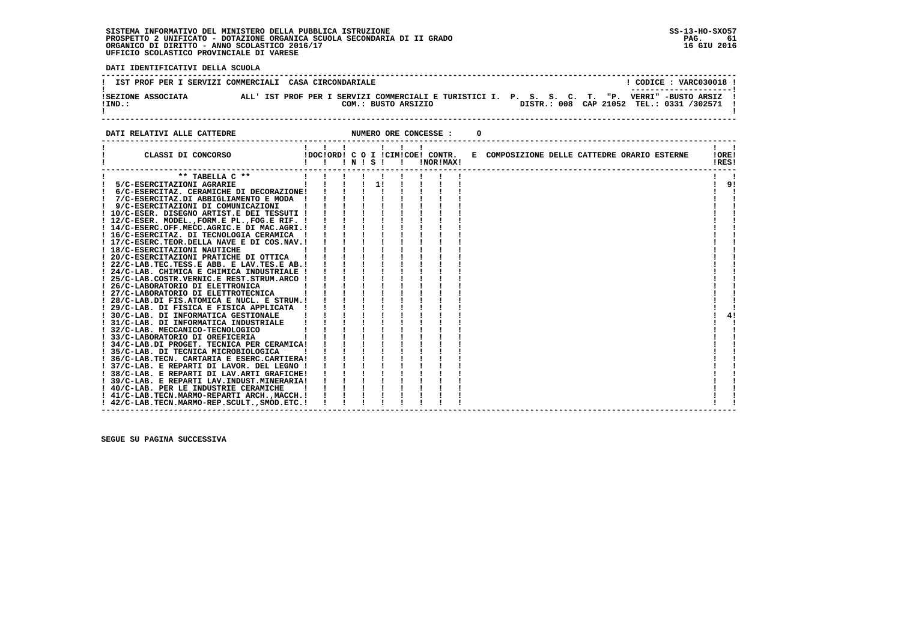**DATI IDENTIFICATIVI DELLA SCUOLA**

| IST PROF PER I SERVIZI COMMERCIALI CASA CIRCONDARIALE |                                                                                                  | CODICE: VARC030018 !<br>_______________________                     |
|-------------------------------------------------------|--------------------------------------------------------------------------------------------------|---------------------------------------------------------------------|
| ISEZIONE ASSOCIATA<br>$!$ IND.:                       | ALL' IST PROF PER I SERVIZI COMMERCIALI E TURISTICI I. P. S. S. C. T. "P.<br>COM.: BUSTO ARSIZIO | VERRI" -BUSTO ARSIZ !<br>DISTR.: 008 CAP 21052 TEL.: 0331 /302571 ! |
|                                                       |                                                                                                  |                                                                     |

**DATI RELATIVI ALLE CATTEDRE CONCESSE : 0** 

| CLASSI DI CONCORSO                                                                               | $\mathbf{1}$ $\mathbf{1}$ |  | INISI I | IDOCIORD! C O I ICIMICOE! CONTR.<br>!NOR!MAX! | E COMPOSIZIONE DELLE CATTEDRE ORARIO ESTERNE | IOREI<br>!RES! |
|--------------------------------------------------------------------------------------------------|---------------------------|--|---------|-----------------------------------------------|----------------------------------------------|----------------|
| ** TABELLA C **                                                                                  |                           |  |         |                                               |                                              |                |
| 5/C-ESERCITAZIONI AGRARIE                                                                        |                           |  | 11      |                                               |                                              | 9!             |
| 6/C-ESERCITAZ. CERAMICHE DI DECORAZIONE!                                                         |                           |  |         |                                               |                                              |                |
| 7/C-ESERCITAZ.DI ABBIGLIAMENTO E MODA !                                                          |                           |  |         |                                               |                                              |                |
| 9/C-ESERCITAZIONI DI COMUNICAZIONI                                                               |                           |  |         |                                               |                                              |                |
| ! 10/C-ESER. DISEGNO ARTIST.E DEI TESSUTI !                                                      |                           |  |         |                                               |                                              |                |
| ! 12/C-ESER. MODEL., FORM.E PL., FOG.E RIF. !                                                    |                           |  |         |                                               |                                              |                |
| ! 14/C-ESERC.OFF.MECC.AGRIC.E DI MAC.AGRI.!                                                      |                           |  |         |                                               |                                              |                |
| ! 16/C-ESERCITAZ. DI TECNOLOGIA CERAMICA                                                         |                           |  |         |                                               |                                              |                |
| ! 17/C-ESERC.TEOR.DELLA NAVE E DI COS.NAV.!                                                      |                           |  |         |                                               |                                              |                |
| ! 18/C-ESERCITAZIONI NAUTICHE                                                                    |                           |  |         |                                               |                                              |                |
| ! 20/C-ESERCITAZIONI PRATICHE DI OTTICA                                                          |                           |  |         |                                               |                                              |                |
| ! 22/C-LAB.TEC.TESS.E ABB. E LAV.TES.E AB.!                                                      |                           |  |         |                                               |                                              |                |
| ! 24/C-LAB. CHIMICA E CHIMICA INDUSTRIALE !                                                      |                           |  |         |                                               |                                              |                |
| ! 25/C-LAB.COSTR.VERNIC.E REST.STRUM.ARCO !                                                      |                           |  |         |                                               |                                              |                |
| ! 26/C-LABORATORIO DI ELETTRONICA                                                                |                           |  |         |                                               |                                              |                |
| ! 27/C-LABORATORIO DI ELETTROTECNICA                                                             |                           |  |         |                                               |                                              |                |
| ! 28/C-LAB.DI FIS.ATOMICA E NUCL. E STRUM.!                                                      |                           |  |         |                                               |                                              |                |
| 29/C-LAB. DI FISICA E FISICA APPLICATA !                                                         |                           |  |         |                                               |                                              |                |
| ! 30/C-LAB. DI INFORMATICA GESTIONALE                                                            |                           |  |         |                                               |                                              | 4!             |
| ! 31/C-LAB. DI INFORMATICA INDUSTRIALE                                                           |                           |  |         |                                               |                                              |                |
| ! 32/C-LAB. MECCANICO-TECNOLOGICO                                                                |                           |  |         |                                               |                                              |                |
| ! 33/C-LABORATORIO DI OREFICERIA                                                                 |                           |  |         |                                               |                                              |                |
| ! 34/C-LAB.DI PROGET. TECNICA PER CERAMICA!                                                      |                           |  |         |                                               |                                              |                |
| ! 35/C-LAB. DI TECNICA MICROBIOLOGICA                                                            |                           |  |         |                                               |                                              |                |
| ! 36/C-LAB.TECN. CARTARIA E ESERC.CARTIERA!                                                      |                           |  |         |                                               |                                              |                |
| ! 37/C-LAB. E REPARTI DI LAVOR. DEL LEGNO !                                                      |                           |  |         |                                               |                                              |                |
| ! 38/C-LAB. E REPARTI DI LAV.ARTI GRAFICHE!                                                      |                           |  |         |                                               |                                              |                |
| 39/C-LAB. E REPARTI LAV. INDUST. MINERARIA!                                                      |                           |  |         |                                               |                                              |                |
| ! 40/C-LAB. PER LE INDUSTRIE CERAMICHE                                                           |                           |  |         |                                               |                                              |                |
| ! 41/C-LAB.TECN.MARMO-REPARTI ARCH.,MACCH.!<br>! 42/C-LAB. TECN. MARMO-REP. SCULT., SMOD. ETC. ! |                           |  |         |                                               |                                              |                |
|                                                                                                  |                           |  |         |                                               |                                              |                |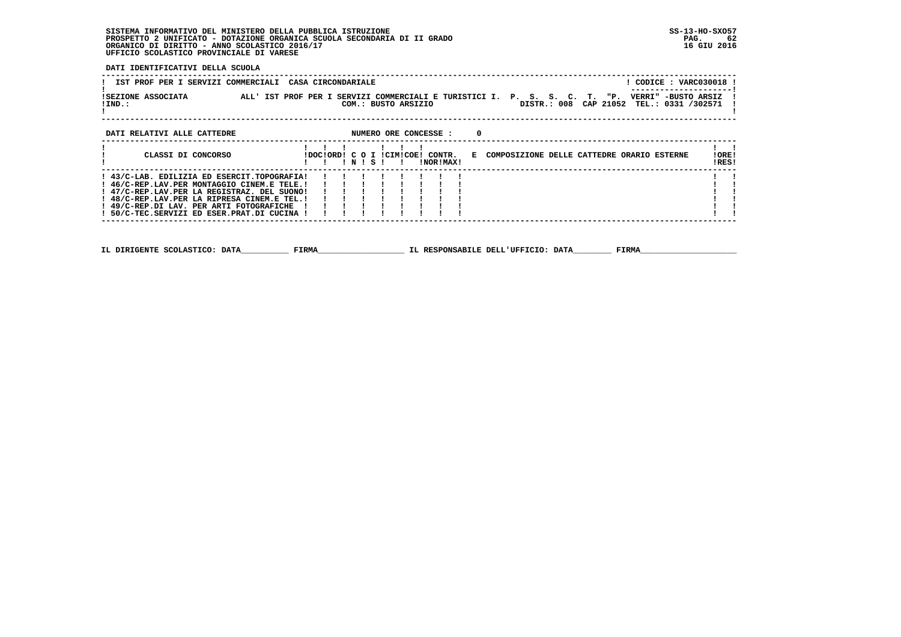**DATI IDENTIFICATIVI DELLA SCUOLA**

| IST PROF PER I SERVIZI COMMERCIALI<br>ISEZIONE ASSOCIATA | CASA CIRCONDARIALE<br>ALL' IST PROF PER I SERVIZI COMMERCIALI E TURISTICI I. P. S. S. C. T.<br>"P.    | ! CODICE : VARC030018 !<br>VERRI" -BUSTO ARSIZ |
|----------------------------------------------------------|-------------------------------------------------------------------------------------------------------|------------------------------------------------|
| $!$ IND.:                                                | DISTR.: 008 CAP 21052 TEL.: 0331 /302571<br>COM.: BUSTO ARSIZIO                                       |                                                |
| DATI RELATIVI ALLE CATTEDRE                              | NUMERO ORE CONCESSE :                                                                                 |                                                |
| CLASSI DI CONCORSO                                       | IDOCIORDI C O I ICIMICOEI CONTR.<br>E COMPOSIZIONE DELLE CATTEDRE ORARIO ESTERNE<br>!NOR!MAX!<br>NISI | !ORE!<br>!RES!                                 |

IRES!  **------------------------------------------------------------------------------------------------------------------------------------** $\sim1$  –  $\sim1$  **! 43/C-LAB. EDILIZIA ED ESERCIT.TOPOGRAFIA! ! ! ! ! ! ! ! ! ! ! ! 46/C-REP.LAV.PER MONTAGGIO CINEM.E TELE.! ! ! ! ! ! ! ! ! ! ! ! 47/C-REP.LAV.PER LA REGISTRAZ. DEL SUONO! ! ! ! ! ! ! ! ! ! ! ! 48/C-REP.LAV.PER LA RIPRESA CINEM.E TEL.! ! ! ! ! ! ! ! ! ! ! ! 49/C-REP.DI LAV. PER ARTI FOTOGRAFICHE ! ! ! ! ! ! ! ! ! ! !** $\frac{1}{2}$   $\frac{1}{2}$ i i  $\mathbf{1}$   $\mathbf{1}$  **! 50/C-TEC.SERVIZI ED ESER.PRAT.DI CUCINA ! ! ! ! ! ! ! ! ! ! !**

 **------------------------------------------------------------------------------------------------------------------------------------**

 **IL DIRIGENTE SCOLASTICO: DATA\_\_\_\_\_\_\_\_\_\_ FIRMA\_\_\_\_\_\_\_\_\_\_\_\_\_\_\_\_\_\_ IL RESPONSABILE DELL'UFFICIO: DATA\_\_\_\_\_\_\_\_ FIRMA\_\_\_\_\_\_\_\_\_\_\_\_\_\_\_\_\_\_\_\_**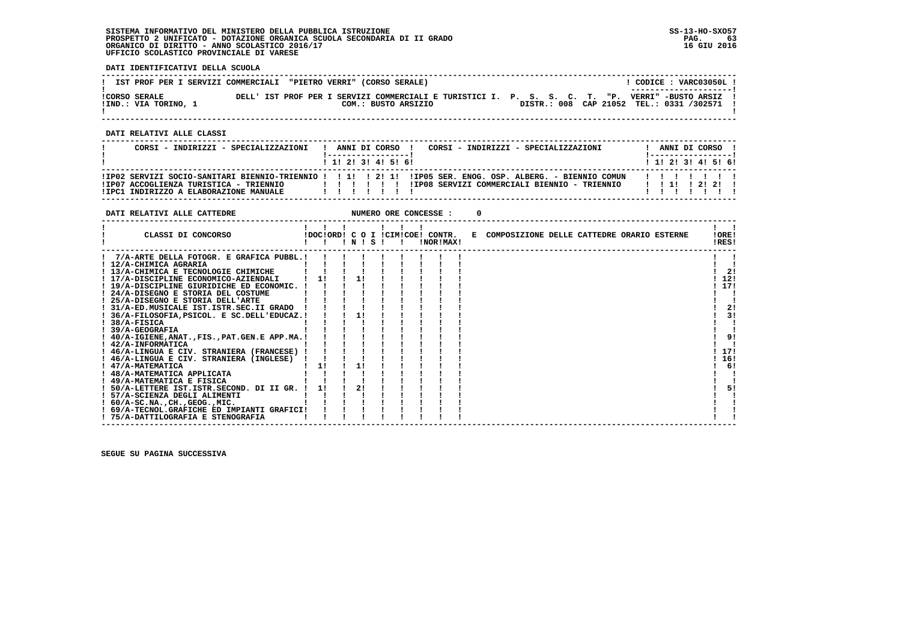**DATI IDENTIFICATIVI DELLA SCUOLA**

| IST PROF PER I SERVIZI COMMERCIALI "PIETRO VERRI" (CORSO SERALE) |  |                     |  | CODICE: VARC03050L!                                                                                                        |
|------------------------------------------------------------------|--|---------------------|--|----------------------------------------------------------------------------------------------------------------------------|
| <b>!CORSO SERALE</b>                                             |  |                     |  | --------------------- <br>DELL' IST PROF PER I SERVIZI COMMERCIALI E TURISTICI I. P. S. S. C. T. "P. VERRI" -BUSTO ARSIZ ! |
| !IND.: VIA TORINO, 1                                             |  | COM.: BUSTO ARSIZIO |  | DISTR.: 008 CAP 21052 TEL.: 0331 /302571 !                                                                                 |

 **------------------------------------------------------------------------------------------------------------------------------------**

 **DATI RELATIVI ALLE CLASSI**

| CORSI - INDIRIZZI - SPECIALIZZAZIONI                                                                                                                                                                |  |  | ANNI DI CORSO !<br>1 1 2 3 3 4 5 6 1 |  |  | CORSI - INDIRIZZI - SPECIALIZZAZIONI         | ANNI DI CORSO<br>1 1 2 2 1 3 1 4 1 5 1 6 1 |  |  |
|-----------------------------------------------------------------------------------------------------------------------------------------------------------------------------------------------------|--|--|--------------------------------------|--|--|----------------------------------------------|--------------------------------------------|--|--|
| IIPO2 SERVIZI SOCIO-SANITARI BIENNIO-TRIENNIO ! ! 1! ! 2! 1! IIPO5 SER. ENOG. OSP. ALBERG. - BIENNIO COMUN<br>IIP07 ACCOGLIENZA TURISTICA - TRIENNIO<br>.<br>IIPC1 INDIRIZZO A ELABORAZIONE MANUALE |  |  |                                      |  |  | !IP08 SERVIZI COMMERCIALI BIENNIO - TRIENNIO | 1 1 1 1 2 1 2 1                            |  |  |

| DATI RELATIVI ALLE CATTEDRE                      |    |       |  | NUMERO ORE CONCESSE : |                                                                               |                |
|--------------------------------------------------|----|-------|--|-----------------------|-------------------------------------------------------------------------------|----------------|
| CLASSI DI CONCORSO                               |    | INISI |  | !NOR!MAX!             | IDOCIORDI C O I ICIMICOEI CONTR. E COMPOSIZIONE DELLE CATTEDRE ORARIO ESTERNE | !ORE!<br>!RES! |
| 7/A-ARTE DELLA FOTOGR. E GRAFICA PUBBL.!         |    |       |  |                       |                                                                               |                |
| ! 12/A-CHIMICA AGRARIA                           |    |       |  |                       |                                                                               |                |
| ! 13/A-CHIMICA E TECNOLOGIE CHIMICHE             |    |       |  |                       |                                                                               | 21             |
| ! 17/A-DISCIPLINE ECONOMICO-AZIENDALI            | 11 |       |  |                       |                                                                               | 12!            |
| ! 19/A-DISCIPLINE GIURIDICHE ED ECONOMIC.        |    |       |  |                       |                                                                               | 17!            |
| ! 24/A-DISEGNO E STORIA DEL COSTUME              |    |       |  |                       |                                                                               |                |
| ! 25/A-DISEGNO E STORIA DELL'ARTE                |    |       |  |                       |                                                                               |                |
| ! 31/A-ED.MUSICALE IST.ISTR.SEC.II GRADO         |    |       |  |                       |                                                                               | 2!             |
| ! 36/A-FILOSOFIA, PSICOL. E SC.DELL'EDUCAZ.!     |    | 11    |  |                       |                                                                               | 31             |
| $1.38/A-FISICA$                                  |    |       |  |                       |                                                                               |                |
| $1.39/A-GEOGRAPHA$                               |    |       |  |                       |                                                                               |                |
| ! 40/A-IGIENE, ANAT., FIS., PAT.GEN.E APP.MA.!   |    |       |  |                       |                                                                               | 9!             |
| ! 42/A-INFORMATICA                               |    |       |  |                       |                                                                               |                |
| ! 46/A-LINGUA E CIV. STRANIERA (FRANCESE) !      |    |       |  |                       |                                                                               | 17!            |
| ! 46/A-LINGUA E CIV. STRANIERA (INGLESE)         |    | 11    |  |                       |                                                                               | 16!            |
| ! 47/A-MATEMATICA<br>! 48/A-MATEMATICA APPLICATA | 11 |       |  |                       |                                                                               | 6!             |
| ! 49/A-MATEMATICA E FISICA                       |    |       |  |                       |                                                                               |                |
| ! 50/A-LETTERE IST.ISTR.SECOND. DI II GR. !      | 11 | 21    |  |                       |                                                                               | 51             |
| ! 57/A-SCIENZA DEGLI ALIMENTI                    |    |       |  |                       |                                                                               |                |
| $: 60/A-SC.NA.$ , $CH.$ , $GEOG.$ , $MIC.$       |    |       |  |                       |                                                                               |                |
| ! 69/A-TECNOL.GRAFICHE ED IMPIANTI GRAFICI!      |    |       |  |                       |                                                                               |                |
| ! 75/A-DATTILOGRAFIA E STENOGRAFIA               |    |       |  |                       |                                                                               |                |
|                                                  |    |       |  |                       |                                                                               |                |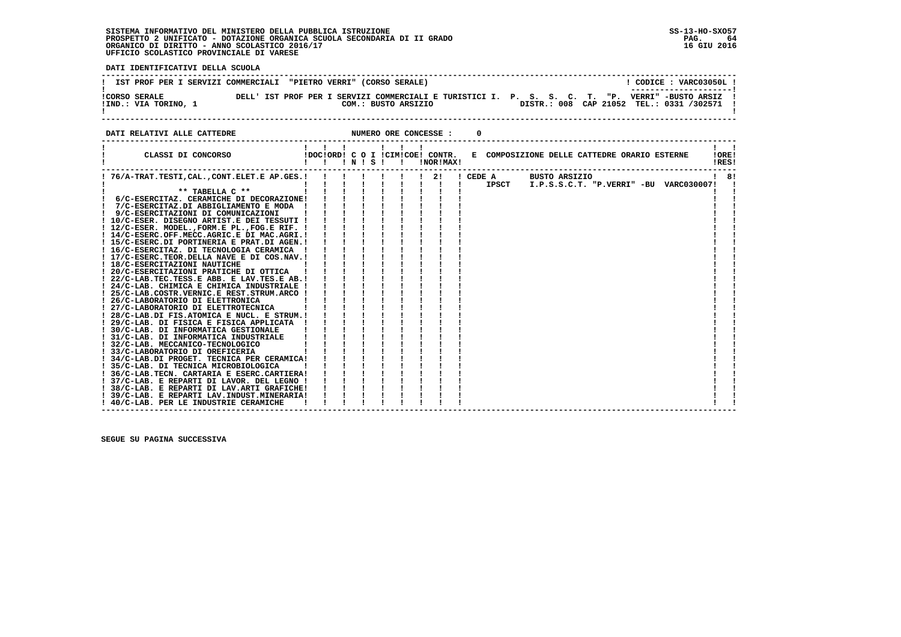**DATI IDENTIFICATIVI DELLA SCUOLA**

|                      | IST PROF PER I SERVIZI COMMERCIALI "PIETRO VERRI" (CORSO SERALE)           | CODICE: VARC03050L!                            |  |
|----------------------|----------------------------------------------------------------------------|------------------------------------------------|--|
| <b>!CORSO SERALE</b> | DELL' IST PROF PER I SERVIZI COMMERCIALI E TURISTICI I. P. S. S. C. T. "P. | ---------------------- <br>VERRI" -BUSTO ARSIZ |  |
| !IND.: VIA TORINO, 1 | COM.: BUSTO ARSIZIO                                                        | DISTR.: 008 CAP 21052 TEL.: 0331 /302571 !     |  |
|                      |                                                                            |                                                |  |

**DATI RELATIVI ALLE CATTEDRE CONCESSE : 0** 

| CLASSI DI CONCORSO<br>!DOC!ORD! C O I !CIM!COE! CONTR.<br>E COMPOSIZIONE DELLE CATTEDRE ORARIO ESTERNE<br>$'$ N $'$ S $'$<br>!NOR!MAX! | IORE!<br>IRES!                            |
|----------------------------------------------------------------------------------------------------------------------------------------|-------------------------------------------|
| ! 76/A-TRAT.TESTI, CAL., CONT.ELET.E AP.GES. !<br>! CEDE A<br>-21<br>BUSTO ARSIZIO                                                     | 8!                                        |
| IPSCT                                                                                                                                  | $I.P.S.S.C.T. "P.VERRI" - BU VARC030007!$ |
| ** TABELLA C **                                                                                                                        |                                           |
| 6/C-ESERCITAZ. CERAMICHE DI DECORAZIONE!                                                                                               |                                           |
| 7/C-ESERCITAZ.DI ABBIGLIAMENTO E MODA                                                                                                  |                                           |
| 9/C-ESERCITAZIONI DI COMUNICAZIONI                                                                                                     |                                           |
| ! 10/C-ESER. DISEGNO ARTIST.E DEI TESSUTI !                                                                                            |                                           |
| ! 12/C-ESER. MODEL., FORM.E PL., FOG.E RIF. !                                                                                          |                                           |
| ! 14/C-ESERC.OFF.MECC.AGRIC.E DI MAC.AGRI.!                                                                                            |                                           |
| ! 15/C-ESERC.DI PORTINERIA E PRAT.DI AGEN.!                                                                                            |                                           |
| ! 16/C-ESERCITAZ. DI TECNOLOGIA CERAMICA                                                                                               |                                           |
| ! 17/C-ESERC.TEOR.DELLA NAVE E DI COS.NAV.!                                                                                            |                                           |
| ! 18/C-ESERCITAZIONI NAUTICHE                                                                                                          |                                           |
| ! 20/C-ESERCITAZIONI PRATICHE DI OTTICA                                                                                                |                                           |
| ! 22/C-LAB.TEC.TESS.E ABB. E LAV.TES.E AB.!                                                                                            |                                           |
| ! 24/C-LAB. CHIMICA E CHIMICA INDUSTRIALE !                                                                                            |                                           |
| ! 25/C-LAB.COSTR.VERNIC.E REST.STRUM.ARCO !                                                                                            |                                           |
| 26/C-LABORATORIO DI ELETTRONICA                                                                                                        |                                           |
| 27/C-LABORATORIO DI ELETTROTECNICA                                                                                                     |                                           |
| ! 28/C-LAB.DI FIS.ATOMICA E NUCL. E STRUM.!                                                                                            |                                           |
| ! 29/C-LAB. DI FISICA E FISICA APPLICATA                                                                                               |                                           |
| ! 30/C-LAB. DI INFORMATICA GESTIONALE                                                                                                  |                                           |
| 31/C-LAB. DI INFORMATICA INDUSTRIALE                                                                                                   |                                           |
| 32/C-LAB. MECCANICO-TECNOLOGICO                                                                                                        |                                           |
| 33/C-LABORATORIO DI OREFICERIA                                                                                                         |                                           |
| ! 34/C-LAB.DI PROGET. TECNICA PER CERAMICA!                                                                                            |                                           |
| ! 35/C-LAB. DI TECNICA MICROBIOLOGICA                                                                                                  |                                           |
| ! 36/C-LAB.TECN. CARTARIA E ESERC.CARTIERA!                                                                                            |                                           |
| ! 37/C-LAB. E REPARTI DI LAVOR. DEL LEGNO !                                                                                            |                                           |
| ! 38/C-LAB. E REPARTI DI LAV.ARTI GRAFICHE!                                                                                            |                                           |
| ! 39/C-LAB. E REPARTI LAV.INDUST.MINERARIA!                                                                                            |                                           |
| ! 40/C-LAB. PER LE INDUSTRIE CERAMICHE                                                                                                 |                                           |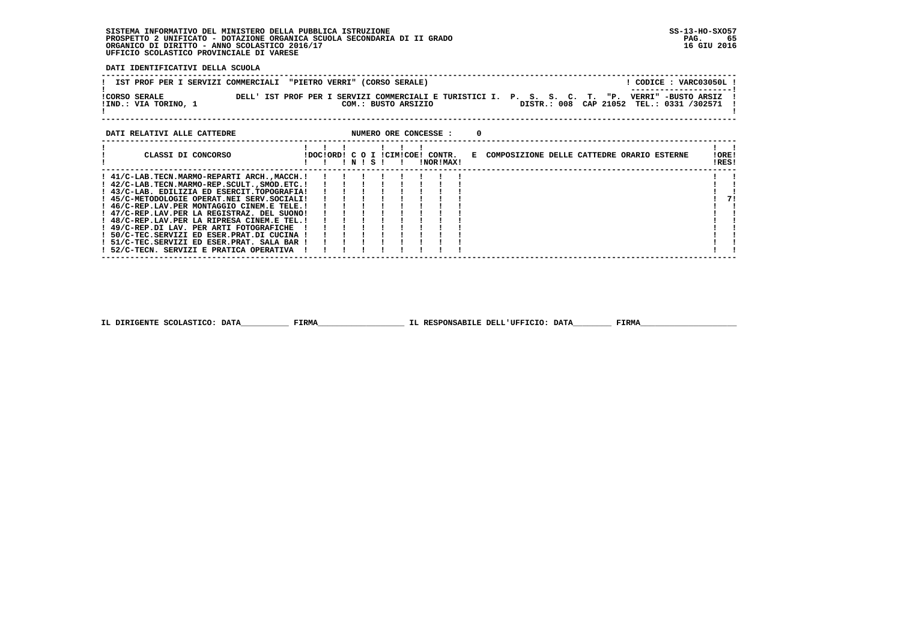**DATI IDENTIFICATIVI DELLA SCUOLA**

| IST PROF PER I SERVIZI COMMERCIALI "PIETRO VERRI" (CORSO SERALE) |                                                                                                   |                                          | CODICE: VARC03050L! |
|------------------------------------------------------------------|---------------------------------------------------------------------------------------------------|------------------------------------------|---------------------|
| <b>!CORSO SERALE</b><br>!IND.: VIA TORINO, 1                     | DELL' IST PROF PER I SERVIZI COMMERCIALI E TURISTICI I. P. S. S. C. T. "P.<br>COM.: BUSTO ARSIZIO | DISTR.: 008 CAP 21052 TEL.: 0331 /302571 | VERRI" -BUSTO ARSIZ |
| DATI RELATIVI ALLE CATTEDRE                                      | NUMERO ORE CONCESSE :                                                                             |                                          |                     |

| CLASSI DI CONCORSO                          |  | N! | s ! | IDOCIORDI C O I ICIMICOEI CONTR. | <b>INORIMAXI</b> |  | E COMPOSIZIONE DELLE CATTEDRE ORARIO ESTERNE | !ORE!<br>IRES! |    |
|---------------------------------------------|--|----|-----|----------------------------------|------------------|--|----------------------------------------------|----------------|----|
| ! 41/C-LAB.TECN.MARMO-REPARTI ARCH.,MACCH.! |  |    |     |                                  |                  |  |                                              |                |    |
| ! 42/C-LAB.TECN.MARMO-REP.SCULTSMOD.ETC.!   |  |    |     |                                  |                  |  |                                              |                |    |
| ! 43/C-LAB. EDILIZIA ED ESERCIT.TOPOGRAFIA! |  |    |     |                                  |                  |  |                                              |                |    |
| ! 45/C-METODOLOGIE OPERAT.NEI SERV.SOCIALI! |  |    |     |                                  |                  |  |                                              |                | 71 |
| ! 46/C-REP.LAV.PER MONTAGGIO CINEM.E TELE.! |  |    |     |                                  |                  |  |                                              |                |    |
| ! 47/C-REP.LAV.PER LA REGISTRAZ. DEL SUONO! |  |    |     |                                  |                  |  |                                              |                |    |
| ! 48/C-REP.LAV.PER LA RIPRESA CINEM.E TEL.! |  |    |     |                                  |                  |  |                                              |                |    |
| ! 49/C-REP.DI LAV. PER ARTI FOTOGRAFICHE    |  |    |     |                                  |                  |  |                                              |                |    |
| ! 50/C-TEC.SERVIZI ED ESER.PRAT.DI CUCINA ! |  |    |     |                                  |                  |  |                                              |                |    |
| ! 51/C-TEC.SERVIZI ED ESER.PRAT. SALA BAR ! |  |    |     |                                  |                  |  |                                              |                |    |
| 52/C-TECN. SERVIZI E PRATICA OPERATIVA      |  |    |     |                                  |                  |  |                                              |                |    |

 **------------------------------------------------------------------------------------------------------------------------------------**

 **IL DIRIGENTE SCOLASTICO: DATA\_\_\_\_\_\_\_\_\_\_ FIRMA\_\_\_\_\_\_\_\_\_\_\_\_\_\_\_\_\_\_ IL RESPONSABILE DELL'UFFICIO: DATA\_\_\_\_\_\_\_\_ FIRMA\_\_\_\_\_\_\_\_\_\_\_\_\_\_\_\_\_\_\_\_**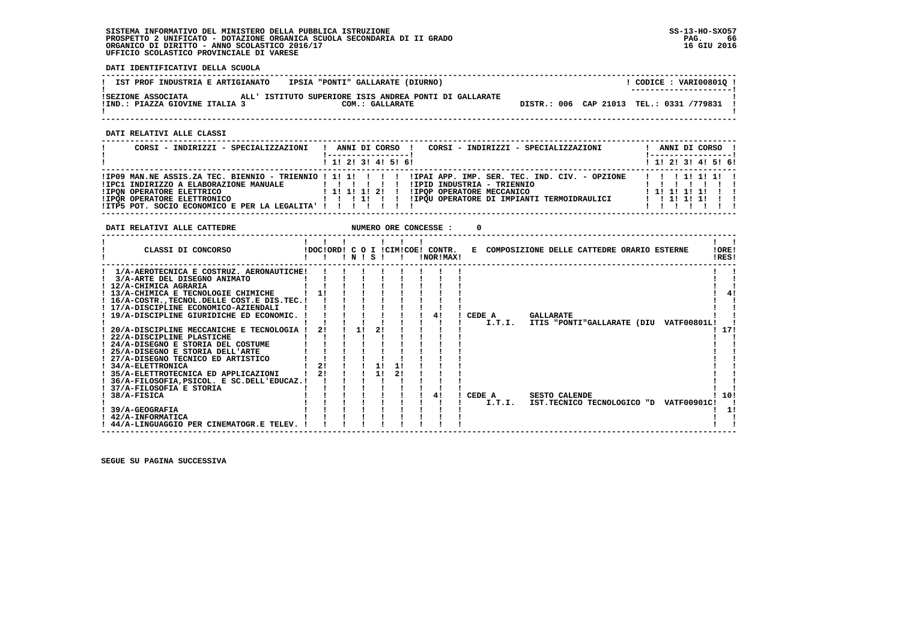**------------------------------------------------------------------------------------------------------------------------------------**! CODICE: VARI00801Q ! **! IST PROF INDUSTRIA E ARTIGIANATO | IPSIA "PONTI" GALLARATE (DIURNO) ! ---------------------! !SEZIONE ASSOCIATA ALL' ISTITUTO SUPERIORE ISIS ANDREA PONTI DI GALLARATE ! !IND.: PIAZZA GIOVINE ITALIA 3 COM.: GALLARATE DISTR.: 006 CAP 21013 TEL.: 0331 /779831 ! ! !** $\mathbf{I}$   **------------------------------------------------------------------------------------------------------------------------------------ DATI RELATIVI ALLE CLASSI**

| CORSI - INDIRIZZI - SPECIALIZZAZIONI                                                                                                                                        | CORSI - INDIRIZZI - SPECIALIZZAZIONI<br>ANNI DI CORSO !                                                                                         | ANNI DI CORSO !<br>!-----------------! |
|-----------------------------------------------------------------------------------------------------------------------------------------------------------------------------|-------------------------------------------------------------------------------------------------------------------------------------------------|----------------------------------------|
|                                                                                                                                                                             | $1$ , 1! 2! 3! 4! 5! 6!                                                                                                                         | $1$ 1! 2! 3! 4! 5! 6!                  |
| !IPC1 INDIRIZZO A ELABORAZIONE MANUALE<br><b>!IPON OPERATORE ELETTRICO</b><br>!IPOR OPERATORE ELETTRONICO<br>! ITP5 POT. SOCIO ECONOMICO E PER LA LEGALITA' ! ! ! ! ! ! ! ! | !IPID INDUSTRIA - TRIENNIO<br>1 1 1 1 1 1 2 1<br>!IPOP OPERATORE MECCANICO<br>! IPOU OPERATORE DI IMPIANTI TERMOIDRAULICI   ! ! ! ! ! ! ! ! ! ! | 1111111<br>1 1 1 1 1 1 1 1 1           |

 **DATI RELATIVI ALLE CATTEDRE NUMERO ORE CONCESSE : 0**

 **DATI IDENTIFICATIVI DELLA SCUOLA**

| CLASSI DI CONCORSO                           |                | N | s  |    |    | IDOCIORDI C O I ICIMICOEI CONTR.<br>!NOR!MAX! | E COMPOSIZIONE DELLE CATTEDRE ORARIO ESTERNE |                      |                            |  |                    | !ORE!<br>!RES! |
|----------------------------------------------|----------------|---|----|----|----|-----------------------------------------------|----------------------------------------------|----------------------|----------------------------|--|--------------------|----------------|
| 1/A-AEROTECNICA E COSTRUZ. AERONAUTICHE!     |                |   |    |    |    |                                               |                                              |                      |                            |  |                    |                |
| 3/A-ARTE DEL DISEGNO ANIMATO                 |                |   |    |    |    |                                               |                                              |                      |                            |  |                    |                |
| ! 12/A-CHIMICA AGRARIA                       |                |   |    |    |    |                                               |                                              |                      |                            |  |                    |                |
| ! 13/A-CHIMICA E TECNOLOGIE CHIMICHE         |                |   |    |    |    |                                               |                                              |                      |                            |  |                    |                |
| ! 16/A-COSTRTECNOL.DELLE COST.E DIS.TEC.!    |                |   |    |    |    |                                               |                                              |                      |                            |  |                    |                |
| ! 17/A-DISCIPLINE ECONOMICO-AZIENDALI        |                |   |    |    |    |                                               |                                              |                      |                            |  |                    |                |
| 19/A-DISCIPLINE GIURIDICHE ED ECONOMIC.      |                |   |    |    |    |                                               | CEDE A                                       | <b>GALLARATE</b>     |                            |  |                    |                |
|                                              |                |   |    |    |    |                                               | I.T.I.                                       |                      | ITIS "PONTI"GALLARATE (DIU |  | <b>VATF00801L!</b> |                |
| 20/A-DISCIPLINE MECCANICHE E TECNOLOGIA      | 21             |   | 11 |    |    |                                               |                                              |                      |                            |  |                    | 17!            |
| ! 22/A-DISCIPLINE PLASTICHE                  |                |   |    |    |    |                                               |                                              |                      |                            |  |                    |                |
| ! 24/A-DISEGNO E STORIA DEL COSTUME          |                |   |    |    |    |                                               |                                              |                      |                            |  |                    |                |
| 25/A-DISEGNO E STORIA DELL'ARTE              |                |   |    |    |    |                                               |                                              |                      |                            |  |                    |                |
| ! 27/A-DISEGNO TECNICO ED ARTISTICO          |                |   |    |    |    |                                               |                                              |                      |                            |  |                    |                |
| ! 34/A-ELETTRONICA                           | 21             |   |    |    |    |                                               |                                              |                      |                            |  |                    |                |
| 35/A-ELETTROTECNICA ED APPLICAZIONI          | 2 <sub>1</sub> |   |    | 11 | 2! |                                               |                                              |                      |                            |  |                    |                |
| ! 36/A-FILOSOFIA, PSICOL. E SC.DELL'EDUCAZ.! |                |   |    |    |    |                                               |                                              |                      |                            |  |                    |                |
| 37/A-FILOSOFIA E STORIA                      |                |   |    |    |    |                                               |                                              |                      |                            |  |                    |                |
| 38/A-FISICA                                  |                |   |    |    |    |                                               | CEDE A                                       | <b>SESTO CALENDE</b> |                            |  |                    | 10!            |
|                                              |                |   |    |    |    |                                               | I.T.I.                                       |                      | IST.TECNICO TECNOLOGICO "D |  | <b>VATF00901C!</b> |                |
| 39/A-GEOGRAFIA                               |                |   |    |    |    |                                               |                                              |                      |                            |  |                    | 11             |
| 42/A-INFORMATICA                             |                |   |    |    |    |                                               |                                              |                      |                            |  |                    |                |
| 44/A-LINGUAGGIO PER CINEMATOGR.E TELEV.      |                |   |    |    |    |                                               |                                              |                      |                            |  |                    |                |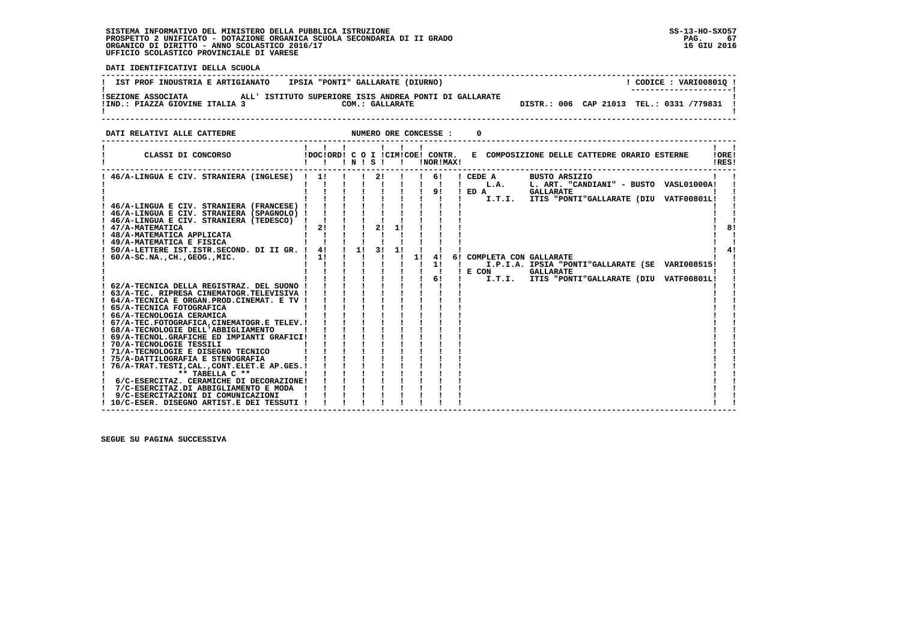j

 **DATI IDENTIFICATIVI DELLA SCUOLA**

| IST PROF INDUSTRIA E ARTIGIANATO   IPSIA "PONTI" GALLARATE (DIURNO)                                                                                                                                                                                                                                                                                                                                                                                                                                                                           |                                                                                                                                                                                                                             |  |    |   | ! CODICE : VARI008010 !                                                                                                                            |          |
|-----------------------------------------------------------------------------------------------------------------------------------------------------------------------------------------------------------------------------------------------------------------------------------------------------------------------------------------------------------------------------------------------------------------------------------------------------------------------------------------------------------------------------------------------|-----------------------------------------------------------------------------------------------------------------------------------------------------------------------------------------------------------------------------|--|----|---|----------------------------------------------------------------------------------------------------------------------------------------------------|----------|
|                                                                                                                                                                                                                                                                                                                                                                                                                                                                                                                                               |                                                                                                                                                                                                                             |  |    |   |                                                                                                                                                    |          |
| DATI RELATIVI ALLE CATTEDRE                                                                                                                                                                                                                                                                                                                                                                                                                                                                                                                   |                                                                                                                                                                                                                             |  |    | 0 |                                                                                                                                                    |          |
|                                                                                                                                                                                                                                                                                                                                                                                                                                                                                                                                               |                                                                                                                                                                                                                             |  |    |   | CLASSI DI CONCORSO             IDOC!ORD! C O I !CIM!COE! CONTR.   E COMPOSIZIONE DELLE CATTEDRE ORARIO ESTERNE 10RE!                               | !RES!    |
| 1 46/A-LINGUA E CIV. STRANIERA (INGLESE)   1        2      6    CEDE A BUSTO ARSIZIO<br>                        L.A. L. ART. "CANDIANI" - BUSTO VASLO1000A!<br>! 50/A-LETTERE IST. ISTR. SECOND. DI II GR. ! 4! ! 1! 3! 1!<br>1 1 1 1 1 1 1 1<br>$: 60/A-SC.NA.$ , CH., GEOG., MIC.<br>! 63/A-TEC. RIPRESA CINEMATOGR.TELEVISIVA !<br><b>Example 1</b><br>The contract of the contract of<br>** TABELLA C **<br>! 6/C-ESERCITAZ. CERAMICHE DI DECORAZIONE!<br>! 7/C-ESERCITAZ.DI ABBIGLIAMENTO E MODA !<br>9/C-ESERCITAZIONI DI COMUNICAZIONI | $\mathbf{i}$ $\mathbf{j}$ $\mathbf{k}$ $\mathbf{k}$ $\mathbf{k}$ $\mathbf{k}$<br>$\begin{array}{ccccccccccccc} & 1 & 1 & 1 & 1 & 1 & 1 \\ & 1 & 1 & 1 & 1 & 1 & 1 \\ \end{array}$<br>$\mathbf{i}$ $\mathbf{j}$ $\mathbf{k}$ |  | 4! |   | 6! COMPLETA CON GALLARATE<br>I.P.I.A. IPSIA "PONTI"GALLARATE (SE VARI008515!<br>! E CON GALLARATE<br>I.T.I. ITIS "PONTI"GALLARATE (DIU VATF00801L! | 81<br>41 |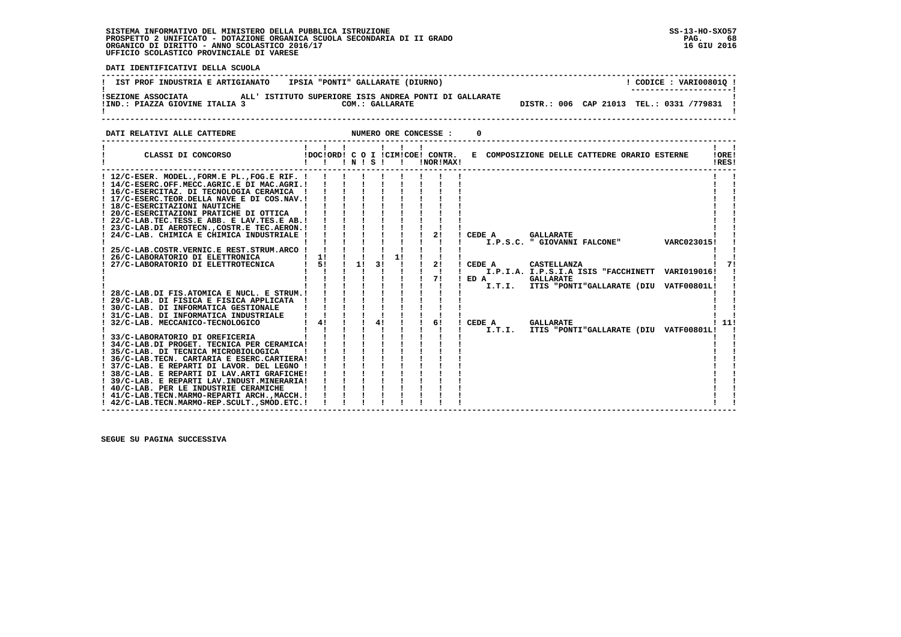$68$ 16 GIU 2016

> - 1 - 1

 **DATI IDENTIFICATIVI DELLA SCUOLA ------------------------------------------------------------------------------------------------------------------------------------**! CODICE: VARI008010 ! **! IST PROF INDUSTRIA E ARTIGIANATO | IPSIA "PONTI" GALLARATE (DIURNO) ! ---------------------! !SEZIONE ASSOCIATA ALL' ISTITUTO SUPERIORE ISIS ANDREA PONTI DI GALLARATE !**DISTR.: 006 CAP 21013 TEL.: 0331 /779831 1  **!IND.: PIAZZA GIOVINE ITALIA 3** COM.: GALLARATE - 1  **! ! ------------------------------------------------------------------------------------------------------------------------------------DATI RELATIVI ALLE CATTEDRE NUMERO ORE CONCESSE : 0 ------------------------------------------------------------------------------------------------------------------------------------ ! ! ! ! ! ! ! ! ! ! CLASSI DI CONCORSO !DOC!ORD! C O I !CIM!COE! CONTR. E COMPOSIZIONE DELLE CATTEDRE ORARIO ESTERNE !ORE! ! ! ! ! N ! S ! ! !NOR!MAX! !RES! ------------------------------------------------------------------------------------------------------------------------------------** $\mathbf{I}$   $\mathbf{I}$  **! 12/C-ESER. MODEL.,FORM.E PL.,FOG.E RIF. ! ! ! ! ! ! ! ! ! ! ! ! 14/C-ESERC.OFF.MECC.AGRIC.E DI MAC.AGRI.! ! ! ! ! ! ! ! ! ! ! ! 16/C-ESERCITAZ. DI TECNOLOGIA CERAMICA ! ! ! ! ! ! ! ! ! ! ! ! 17/C-ESERC.TEOR.DELLA NAVE E DI COS.NAV.! ! ! ! ! ! ! ! ! ! !** $\mathbf{I}$  **! 18/C-ESERCITAZIONI NAUTICHE ! ! ! ! ! ! ! ! ! ! ! ! 20/C-ESERCITAZIONI PRATICHE DI OTTICA ! ! ! ! ! ! ! ! ! ! ! ! 22/C-LAB.TEC.TESS.E ABB. E LAV.TES.E AB.! ! ! ! ! ! ! ! ! ! ! ! 23/C-LAB.DI AEROTECN.,COSTR.E TEC.AERON.! ! ! ! ! ! ! ! ! ! ! ! 24/C-LAB. CHIMICA E CHIMICA INDUSTRIALE ! ! ! ! ! ! ! 2! ! CEDE A GALLARATE ! ! ! ! ! ! ! ! ! ! ! ! I.P.S.C. " GIOVANNI FALCONE" VARC023015! ! ! 25/C-LAB.COSTR.VERNIC.E REST.STRUM.ARCO ! ! ! ! ! ! ! ! ! ! ! ! 26/C-LABORATORIO DI ELETTRONICA ! 1! ! ! ! 1! ! ! ! ! ! ! 27/C-LABORATORIO DI ELETTROTECNICA ! 5! ! 1! 3! ! ! 2! ! CEDE A CASTELLANZA ! 7! ! ! ! ! ! ! ! ! ! ! I.P.I.A. I.P.S.I.A ISIS "FACCHINETT VARI019016! ! ! ! ! ! ! ! ! ! 7! ! ED A GALLARATE ! ! ! ! ! ! ! ! ! ! ! ! I.T.I. ITIS "PONTI"GALLARATE (DIU VATF00801L! ! ! 28/C-LAB.DI FIS.ATOMICA E NUCL. E STRUM.! ! ! ! ! ! ! ! ! ! ! ! 29/C-LAB. DI FISICA E FISICA APPLICATA ! ! ! ! ! ! ! ! ! ! !**71 - 1  **! 30/C-LAB. DI INFORMATICA GESTIONALE ! ! ! ! ! ! ! ! ! ! ! ! 31/C-LAB. DI INFORMATICA INDUSTRIALE ! ! ! ! ! ! ! ! ! ! ! ! 32/C-LAB. MECCANICO-TECNOLOGICO ! 4! ! ! 4! ! ! 6! ! CEDE A GALLARATE ! 11! ! ! ! ! ! ! ! ! ! ! I.T.I. ITIS "PONTI"GALLARATE (DIU VATF00801L! ! ! 33/C-LABORATORIO DI OREFICERIA ! ! ! ! ! ! ! ! ! ! ! ! 34/C-LAB.DI PROGET. TECNICA PER CERAMICA! ! ! ! ! ! ! ! ! ! ! ! 35/C-LAB. DI TECNICA MICROBIOLOGICA ! ! ! ! ! ! ! ! ! ! ! ! 36/C-LAB.TECN. CARTARIA E ESERC.CARTIERA! ! ! ! ! ! ! ! ! ! !**

 **! 37/C-LAB. E REPARTI DI LAVOR. DEL LEGNO ! ! ! ! ! ! ! ! ! ! ! ! 38/C-LAB. E REPARTI DI LAV.ARTI GRAFICHE! ! ! ! ! ! ! ! ! ! ! ! 39/C-LAB. E REPARTI LAV.INDUST.MINERARIA! ! ! ! ! ! ! ! ! ! !**

 **! 40/C-LAB. PER LE INDUSTRIE CERAMICHE ! ! ! ! ! ! ! ! ! ! ! ! 41/C-LAB.TECN.MARMO-REPARTI ARCH.,MACCH.! ! ! ! ! ! ! ! ! ! ! ! 42/C-LAB.TECN.MARMO-REP.SCULT.,SMOD.ETC.! ! ! ! ! ! ! ! ! ! !**

 **------------------------------------------------------------------------------------------------------------------------------------**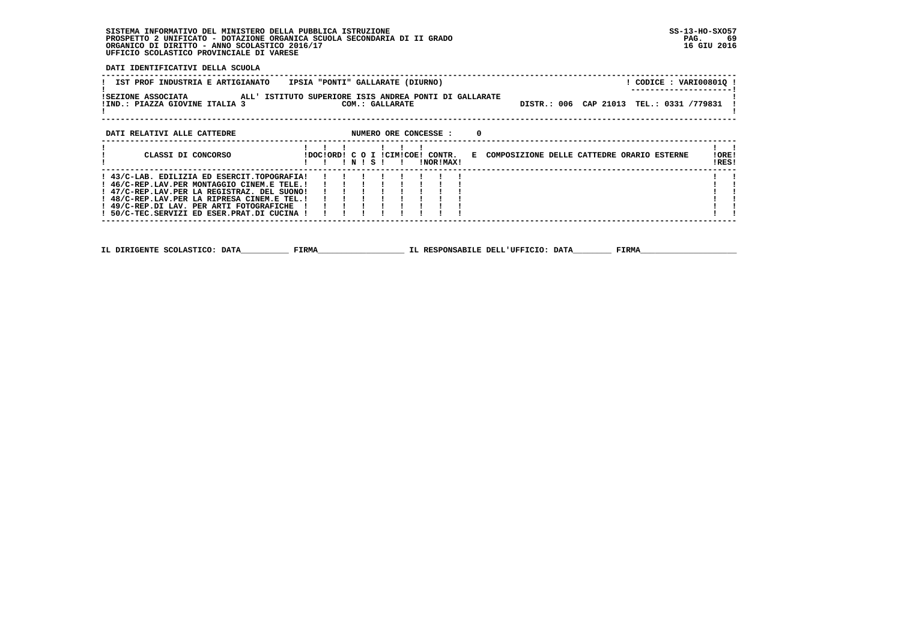**DATI IDENTIFICATIVI DELLA SCUOLA**

| IST PROF INDUSTRIA E ARTIGIANATO    IPSIA "PONTI" GALLARATE (DIURNO)<br>! CODICE : VARI00801Q !                                                                                                                                                        |                                             |
|--------------------------------------------------------------------------------------------------------------------------------------------------------------------------------------------------------------------------------------------------------|---------------------------------------------|
| !SEZIONE ASSOCIATA               ALL' ISTITUTO SUPERIORE ISIS ANDREA PONTI DI GALLARATE<br>DISTR.: 006 CAP 21013 TEL.: 0331 /779831<br>!IND.: PIAZZA GIOVINE ITALIA 3<br>COM.: GALLARATE                                                               |                                             |
| DATI RELATIVI ALLE CATTEDRE <b>ALLE CONSTAND ASSESSE ASSESSE</b> : 0                                                                                                                                                                                   |                                             |
| 111.11<br>CLASSI DI CONCORSO<br>!DOC!ORD! C O I !CIM!COE! CONTR. E COMPOSIZIONE DELLE CATTEDRE ORARIO ESTERNE<br>!!!N!S!!<br>!NOR!MAX!                                                                                                                 | $\mathbf{1}$ $\mathbf{1}$<br>!ORE!<br>!RES! |
| ! 43/C-LAB. EDILIZIA ED ESERCIT.TOPOGRAFIA!<br>! 46/C-REP.LAV.PER MONTAGGIO CINEM.E TELE.!<br>! 47/C-REP.LAV.PER LA REGISTRAZ. DEL SUONO!<br>! 48/C-REP.LAV.PER LA RIPRESA CINEM.E TEL.!<br>! 49/C-REP.DI LAV. PER ARTI FOTOGRAFICHE ! ! ! ! ! ! ! ! ! |                                             |
| IL DIRIGENTE SCOLASTICO: DATA FIRMA<br>IL RESPONSABILE DELL'UFFICIO: DATA FIRMA                                                                                                                                                                        |                                             |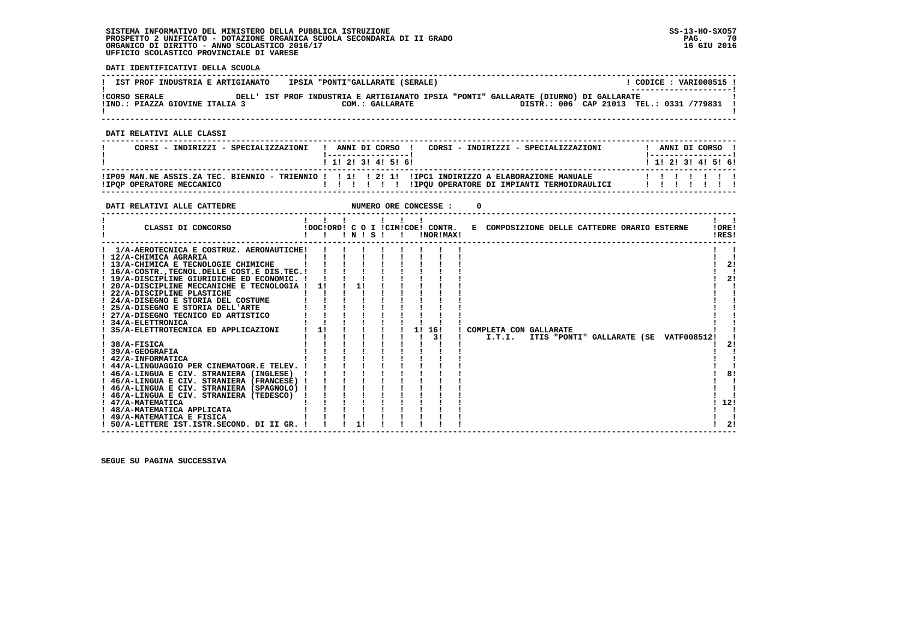$1 - 1$ i 12i  $\frac{1}{1}$  $\mathbf{1}$   $\mathbf{1}$ 

 $\overline{1}$  21

 **DATI IDENTIFICATIVI DELLA SCUOLA**

| IST PROF INDUSTRIA E ARTIGIANATO    IPSIA "PONTI"GALLARATE (SERALE)                                                                                                                                                                                                                                                                                                                                                                                                                                                                                                                                                                                                                                                                                                                                |                                                                                                                                                                                                                                                                                                                                                                                                                                                                                                     | ! CODICE : VARI008515 !                      |
|----------------------------------------------------------------------------------------------------------------------------------------------------------------------------------------------------------------------------------------------------------------------------------------------------------------------------------------------------------------------------------------------------------------------------------------------------------------------------------------------------------------------------------------------------------------------------------------------------------------------------------------------------------------------------------------------------------------------------------------------------------------------------------------------------|-----------------------------------------------------------------------------------------------------------------------------------------------------------------------------------------------------------------------------------------------------------------------------------------------------------------------------------------------------------------------------------------------------------------------------------------------------------------------------------------------------|----------------------------------------------|
| !IND.: PIAZZA GIOVINE ITALIA 3 COM.: GALLARATE                                                                                                                                                                                                                                                                                                                                                                                                                                                                                                                                                                                                                                                                                                                                                     | CORSO SERALE THE DELL' IST PROF INDUSTRIA E ARTIGIANATO IPSIA "PONTI" GALLARATE (DIURNO) DI GALLARATE!<br>DISTR.: 006 CAP 21013 TEL.: 0331 /779831 !<br>--------------------------                                                                                                                                                                                                                                                                                                                  | ---------------                              |
| DATI RELATIVI ALLE CLASSI                                                                                                                                                                                                                                                                                                                                                                                                                                                                                                                                                                                                                                                                                                                                                                          |                                                                                                                                                                                                                                                                                                                                                                                                                                                                                                     |                                              |
|                                                                                                                                                                                                                                                                                                                                                                                                                                                                                                                                                                                                                                                                                                                                                                                                    | ---------------------<br>CORSI - INDIRIZZI - SPECIALIZZAZIONI   ANNI DI CORSO   CORSI - INDIRIZZI - SPECIALIZZAZIONI<br>1 1 2 2 1 3 1 4 1 5 1 6 1                                                                                                                                                                                                                                                                                                                                                   | ! ANNI DI CORSO !<br>! 1! 2! 3! 4! 5! 6!     |
|                                                                                                                                                                                                                                                                                                                                                                                                                                                                                                                                                                                                                                                                                                                                                                                                    |                                                                                                                                                                                                                                                                                                                                                                                                                                                                                                     |                                              |
| DATI RELATIVI ALLE CATTEDRE                                                                                                                                                                                                                                                                                                                                                                                                                                                                                                                                                                                                                                                                                                                                                                        |                                                                                                                                                                                                                                                                                                                                                                                                                                                                                                     |                                              |
|                                                                                                                                                                                                                                                                                                                                                                                                                                                                                                                                                                                                                                                                                                                                                                                                    | $1 \quad 1 \quad 1 \quad 1 \quad 1 \quad 1$<br>CLASSI DI CONCORSO (DOCIORDI C O I ICIMICOE! CONTR. E COMPOSIZIONE DELLE CATTEDRE ORARIO ESTERNE                                                                                                                                                                                                                                                                                                                                                     | $\mathbf{1}$ $\mathbf{1}$<br>! ORE!<br>!RES! |
| 1/A-AEROTECNICA E COSTRUZ. AERONAUTICHE!<br>! 12/A-CHIMICA AGRARIA<br>the contract of the contract of the contract of<br>! 13/A-CHIMICA E TECNOLOGIE CHIMICHE              <br>$! 16/A-COSTR$ , TECNOL. DELLE COST. E DIS. TEC. $! 1 1 1 1$<br>! 19/A-DISCIPLINE GIURIDICHE ED ECONOMIC. ! ! ! ! !<br>! 20/A-DISCIPLINE MECCANICHE E TECNOLOGIA ! 1! ! 1! !<br>! 22/A-DISCIPLINE PLASTICHE<br>! 24/A-DISEGNO E STORIA DEL COSTUME<br>24/A-DISEGNO E SIORIA DELL'ARTE<br>1 25/A-DISEGNO E STORIA DELL'ARTE<br>1 27/A-DISEGNO TECNICO ED ARTISTICO<br>! 34/A-ELETTRONICA<br>$1.38/A-FISICA$<br>! 39/A-GEOGRAFIA<br>! 42/A-INFORMATICA<br>! 44/A-LINGUAGGIO PER CINEMATOGR.E TELEV. ! ! ! ! !<br>! 46/A-LINGUA E CIV. STRANIERA (TEDESCO) ! ! ! !<br>! 47/A-MATEMATICA<br>! 48/A-MATEMATICA APPLICATA | $\mathbf{1}=\mathbf{1}=\mathbf{1}=\mathbf{1}=\mathbf{1}=\mathbf{1}$<br>$\mathbf{1}$ $\mathbf{1}$ $\mathbf{1}$ $\mathbf{1}$ $\mathbf{1}$ $\mathbf{1}$<br>$1 \quad 1 \quad 1 \quad 1$<br>$1 \quad 1 \quad 1 \quad 1 \quad 1$<br>$\mathbf{I}$ $\mathbf{I}$ $\mathbf{I}$ $\mathbf{I}$ $\mathbf{I}$<br>1 35/A-ELETTROTECNICA ED APPLICAZIONI 11 11 11 11 11 161 1 COMPLETA CON GALLARATE<br>$1 \quad 1 \quad 1$<br>$1 \quad 1 \quad 1 \quad 3! \quad 1$<br>I.T.I. ITIS "PONTI" GALLARATE (SE VATF008512! | $\mathbf{I}$<br>2!<br>21<br>21<br>81<br>112! |

 **! 49/A-MATEMATICA E FISICA ! ! ! ! ! ! ! ! ! ! ! ! 50/A-LETTERE IST.ISTR.SECOND. DI II GR. ! ! ! 1! ! ! ! ! ! ! 2!**

 **------------------------------------------------------------------------------------------------------------------------------------**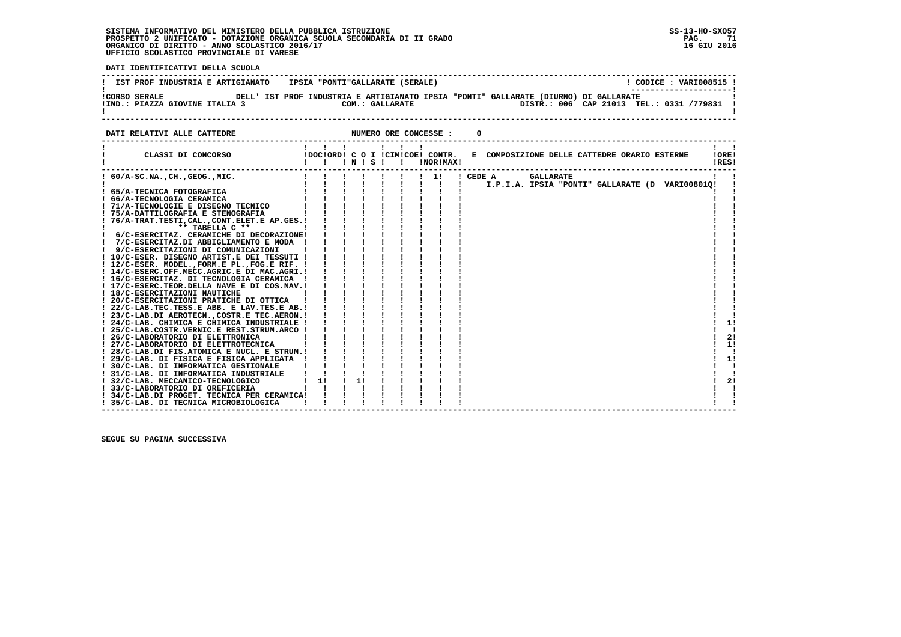**DATI IDENTIFICATIVI DELLA SCUOLA**

| IST PROF INDUSTRIA E ARTIGIANATO    IPSIA "PONTI"GALLARATE (SERALE)                                                                                                                                                                                                                                                                                                                                                                                                                                               |                                                                                                                                                                                                                                                                                                 |                                           |  |                       |                                            | ! CODICE : VARI008515 ! |                      |
|-------------------------------------------------------------------------------------------------------------------------------------------------------------------------------------------------------------------------------------------------------------------------------------------------------------------------------------------------------------------------------------------------------------------------------------------------------------------------------------------------------------------|-------------------------------------------------------------------------------------------------------------------------------------------------------------------------------------------------------------------------------------------------------------------------------------------------|-------------------------------------------|--|-----------------------|--------------------------------------------|-------------------------|----------------------|
| !CORSO SERALE THE DELL' IST PROF INDUSTRIA E ARTIGIANATO IPSIA "PONTI" GALLARATE (DIURNO) DI GALLARATE<br>!IND.: PIAZZA GIOVINE ITALIA 3                                                                                                                                                                                                                                                                                                                                                                          |                                                                                                                                                                                                                                                                                                 |                                           |  | COM.: GALLARATE       | DISTR.: 006 CAP 21013 TEL.: 0331 /779831 ! |                         |                      |
| : ALLE CATTEDRE<br>-----------------------------<br>DATI RELATIVI ALLE CATTEDRE                                                                                                                                                                                                                                                                                                                                                                                                                                   |                                                                                                                                                                                                                                                                                                 |                                           |  | NUMERO ORE CONCESSE : |                                            |                         |                      |
| CLASSI DI CONCORSO             IDOCIORDI C O I ICIMICOE! CONTR.   E COMPOSIZIONE DELLE CATTEDRE ORARIO ESTERNE                                                                                                                                                                                                                                                                                                                                                                                                    |                                                                                                                                                                                                                                                                                                 |                                           |  |                       |                                            |                         | IORE!<br>!RES!       |
| ! 7/C-ESERCITAZ.DI ABBIGLIAMENTO E MODA ! ! ! ! !<br>! 17/C-ESERC. TEOR. DELLA NAVE E DI COS. NAV. !<br>! 18/C-ESERCITAZIONI NAUTICHE<br>! 20/C-ESERCITAZIONI PRATICHE DI OTTICA<br>! 22/C-LAB.TEC.TESS.E ABB. E LAV.TES.E AB.!<br>! 23/C-LAB.DI AEROTECN., COSTR.E TEC.AERON.!<br>! 24/C-LAB. CHIMICA E CHIMICA INDUSTRIALE !<br>! 25/C-LAB.COSTR.VERNIC.E REST.STRUM.ARCO !<br>! 26/C-LABORATORIO DI ELETTRONICA<br>! 27/C-LABORATORIO DI ELETTROTECNICA<br>! 28/C-LAB.DI FIS.ATOMICA E NUCL. E STRUM.! ! ! ! ! | <b>EXERCISE AND SET AND SET AND SET AND SET ASSESSMENT REPAIRING A SET ASSESSMENT REPAIRING A SET ASSESSMENT REPAIRING A SET ASSESSMENT REPAIRING A SET ASSESSMENT REPAIRING A SET ASSESSMENT REPAIRING A SET ASSESSMENT REPAIRI</b><br>$\frac{1}{1}$ $\frac{1}{1}$ $\frac{1}{1}$ $\frac{1}{1}$ | $\frac{1}{1}$ $\frac{1}{1}$ $\frac{1}{1}$ |  |                       |                                            |                         | 1!<br>2!<br>1!<br>-1 |
| ! 29/C-LAB. DI FISICA E FISICA APPLICATA !<br>! 30/C-LAB. DI INFORMATICA GESTIONALE<br>! 31/C-LAB. DI INFORMATICA INDUSTRIALE<br>$\frac{1}{1}$ 11<br>! 32/C-LAB. MECCANICO-TECNOLOGICO<br>! 33/C-LABORATORIO DI OREFICERIA<br>! 34/C-LAB.DI PROGET. TECNICA PER CERAMICA!<br>! 35/C-LAB. DI TECNICA MICROBIOLOGICA<br>$\mathbf{I}$                                                                                                                                                                                | $1 \quad 1 \quad 1 \quad 1$<br>$\mathbf{1}$ and $\mathbf{1}$ and $\mathbf{1}$                                                                                                                                                                                                                   | $\frac{1}{1}$                             |  |                       |                                            |                         | 1!<br>21             |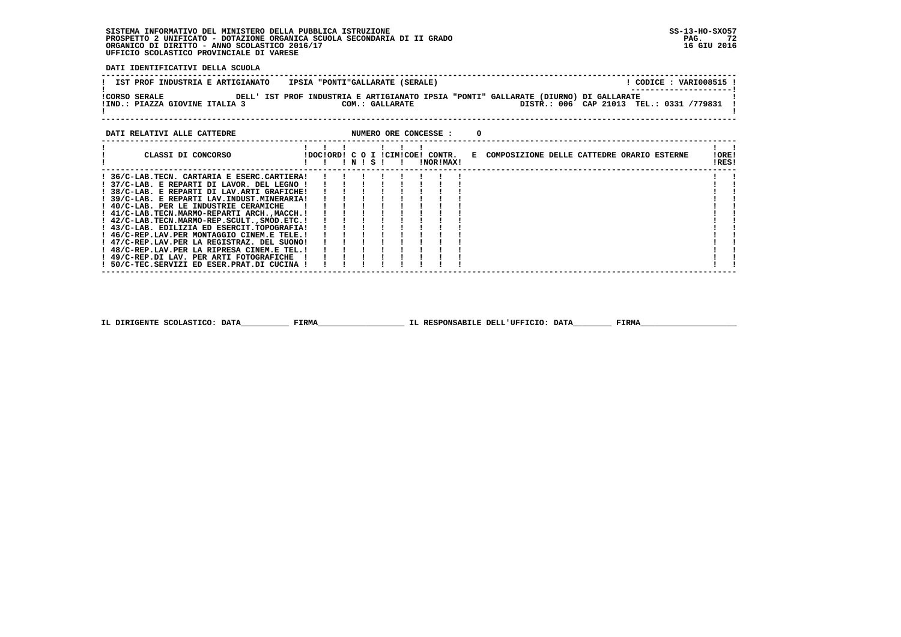**DATI IDENTIFICATIVI DELLA SCUOLA**

| IST PROF INDUSTRIA E ARTIGIANATO   IPSIA "PONTI"GALLARATE (SERALE)                                                                                                                                                                                                                                                                                                                                                                                                                                                                                                                                                                                                         |                             |  |  |                  |  |  |  | ! CODICE : VARI008515 ! |                |
|----------------------------------------------------------------------------------------------------------------------------------------------------------------------------------------------------------------------------------------------------------------------------------------------------------------------------------------------------------------------------------------------------------------------------------------------------------------------------------------------------------------------------------------------------------------------------------------------------------------------------------------------------------------------------|-----------------------------|--|--|------------------|--|--|--|-------------------------|----------------|
| !CORSO SERALE THE DELL' IST PROF INDUSTRIA E ARTIGIANATO IPSIA "PONTI" GALLARATE (DIURNO) DI GALLARATE<br>IND.: PIAZZA GIOVINE ITALIA 3 COM.: GALLARATE DESTR.: 006 CAP 21013 TEL.: 0331 /779831                                                                                                                                                                                                                                                                                                                                                                                                                                                                           |                             |  |  |                  |  |  |  |                         |                |
| DATI RELATIVI ALLE CATTEDRE <b>ALL ASSESS</b> : 0                                                                                                                                                                                                                                                                                                                                                                                                                                                                                                                                                                                                                          |                             |  |  |                  |  |  |  |                         |                |
| CLASSI DI CONCORSO               IDOCIORDI C O I ICIMICOE! CONTR.   E COMPOSIZIONE DELLE CATTEDRE ORARIO ESTERNE                                                                                                                                                                                                                                                                                                                                                                                                                                                                                                                                                           | 1 1 1 1 1 1 1<br>!!!!!!!!!! |  |  | <b>INORIMAXI</b> |  |  |  |                         | !ORE!<br>!RES! |
| ! 36/C-LAB.TECN. CARTARIA E ESERC.CARTIERA!!!!!!!!!<br>! 37/C-LAB. E REPARTI DI LAVOR. DEL LEGNO !!!!!!!!!!<br>1 38/C-LAB. E REPARTI DI LAV.ARTI GRAFICHE!              <br>1 39/C-LAB. E REPARTI LAV.INDUST.MINERARIA!            <br>! 39/C-LAB. E REPARTI LAV.INDUST.MINERARIA!<br>! 40/C-LAB. PER LE INDUSTRIE CERAMICHE<br>! 43/C-LAB. EDILIZIA ED ESERCIT.TOPOGRAFIA!<br>! 46/C-REP.LAV.PER MONTAGGIO CINEM.E TELE.!<br>! 47/C-REP.LAV.PER LA REGISTRAZ. DEL SUONO!<br>! 48/C-REP.LAV.PER LA RIPRESA CINEM.E TEL.!<br>$\frac{1}{2}$ 49/C-REP. DI LAV. PER ARTI FOTOGRAFICHE $\frac{1}{2}$ $\frac{1}{2}$ $\frac{1}{2}$<br>! 50/C-TEC.SERVIZI ED ESER.PRAT.DI CUCINA ! |                             |  |  |                  |  |  |  |                         |                |

 **IL DIRIGENTE SCOLASTICO: DATA\_\_\_\_\_\_\_\_\_\_ FIRMA\_\_\_\_\_\_\_\_\_\_\_\_\_\_\_\_\_\_ IL RESPONSABILE DELL'UFFICIO: DATA\_\_\_\_\_\_\_\_ FIRMA\_\_\_\_\_\_\_\_\_\_\_\_\_\_\_\_\_\_\_\_**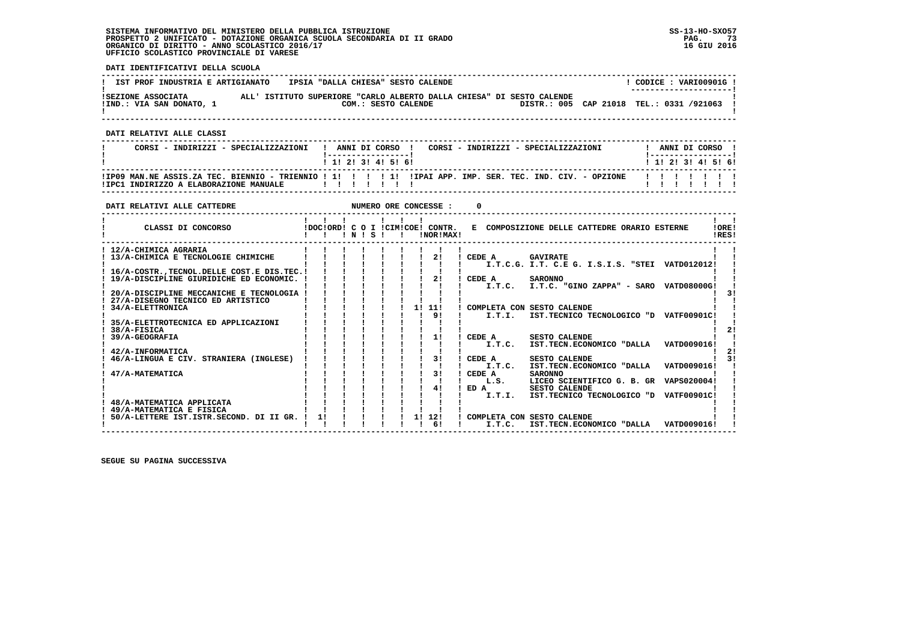## **SISTEMA INFORMATIVO DEL MINISTERO DELLA PUBBLICA ISTRUZIONE SS-13-HO-SXO57 PROSPETTO 2 UNIFICATO - DOTAZIONE ORGANICA SCUOLA SECONDARIA DI II GRADO PAG. 73 ORGANICO DI DIRITTO - ANNO SCOLASTICO 2016/17 16 GIU 2016 UFFICIO SCOLASTICO PROVINCIALE DI VARESE**

 **DATI IDENTIFICATIVI DELLA SCUOLA**

| IST PROF INDUSTRIA E ARTIGIANATO | IPSIA "DALLA CHIESA" SESTO CALENDE |                                                                       | CODICE: VARI00901G!                      |  |
|----------------------------------|------------------------------------|-----------------------------------------------------------------------|------------------------------------------|--|
|                                  |                                    |                                                                       | ---------------------                    |  |
| ISEZIONE ASSOCIATA               |                                    | ALL' ISTITUTO SUPERIORE "CARLO ALBERTO DALLA CHIESA" DI SESTO CALENDE |                                          |  |
| !IND.: VIA SAN DONATO, 1         | COM.: SESTO CALENDE                |                                                                       | DISTR.: 005 CAP 21018 TEL.: 0331 /921063 |  |
|                                  |                                    |                                                                       |                                          |  |

 **------------------------------------------------------------------------------------------------------------------------------------**

 **DATI RELATIVI ALLE CLASSI**

| CORSI - INDIRIZZI - SPECIALIZZAZIONI   | ANNI DI CORSO !<br>CORSI - INDIRIZZI - SPECIALIZZAZIONI                                                    | ANNI DI CORSO             |
|----------------------------------------|------------------------------------------------------------------------------------------------------------|---------------------------|
|                                        | 1 1 1 2 1 3 1 4 1 5 1 6 1                                                                                  | 1 1 1 2 1 3 1 4 1 5 1 6 1 |
| !IPC1 INDIRIZZO A ELABORAZIONE MANUALE | IIP09 MAN.NE ASSIS.ZA TEC. BIENNIO - TRIENNIO ! 1! ! ! ! ! ! IIPAI APP. IMP. SER. TEC. IND. CIV. - OPZIONE | .                         |

 **------------------------------------------------------------------------------------------------------------------------------------**

| CLASSI DI CONCORSO<br>IDOCIORDI C O I ICIMICOEI CONTR.<br>E COMPOSIZIONE DELLE CATTEDRE ORARIO ESTERNE<br>!ORE!<br>$'$ N $'$ S $'$<br>!NOR!MAX!<br>IRES!<br>! 12/A-CHIMICA AGRARIA<br>2!<br>13/A-CHIMICA E TECNOLOGIE CHIMICHE<br>CEDE A<br><b>GAVIRATE</b><br>I.T.C.G. I.T. C.E.G. I.S.I.S. "STEI VATD012012!<br>16/A-COSTR., TECNOL. DELLE COST. E DIS. TEC. !<br>21<br>19/A-DISCIPLINE GIURIDICHE ED ECONOMIC.<br>CEDE A<br><b>SARONNO</b><br>I.T.C. I.T.C. "GINO ZAPPA" - SARO VATD08000G!<br>20/A-DISCIPLINE MECCANICHE E TECNOLOGIA<br>31<br>27/A-DISEGNO TECNICO ED ARTISTICO<br>1! 11!<br>34/A-ELETTRONICA<br>COMPLETA CON SESTO CALENDE<br>91<br>IST.TECNICO TECNOLOGICO "D VATF00901C!<br>I.T.I.<br>35/A-ELETTROTECNICA ED APPLICAZIONI<br>38/A-FISICA<br>11<br>CEDE A<br><b>SESTO CALENDE</b><br>39/A-GEOGRAFIA<br>VATD009016!<br>I.T.C.<br>IST.TECN.ECONOMICO "DALLA<br>42/A-INFORMATICA<br>31<br>46/A-LINGUA E CIV. STRANIERA (INGLESE)<br>CEDE A<br><b>SESTO CALENDE</b><br>VATD009016!<br>I.T.C.<br>IST.TECN.ECONOMICO "DALLA<br>31<br>CEDE A<br>47/A-MATEMATICA<br><b>SARONNO</b><br>LICEO SCIENTIFICO G. B. GR VAPS020004!<br>L.S.<br>41<br><b>SESTO CALENDE</b><br>ED A<br>I.T.I.<br>IST.TECNICO TECNOLOGICO "D<br><b>VATF00901C!</b><br>48/A-MATEMATICA APPLICATA<br>49/A-MATEMATICA E FISICA<br>1! 12!<br>11<br>50/A-LETTERE IST.ISTR.SECOND. DI II GR.<br>COMPLETA CON SESTO CALENDE<br>61<br>VATD009016!<br>I.T.C.<br>IST.TECN.ECONOMICO "DALLA | DATI RELATIVI ALLE CATTEDRE |  |  |  | NUMERO ORE CONCESSE : |  |  |  |  |
|-----------------------------------------------------------------------------------------------------------------------------------------------------------------------------------------------------------------------------------------------------------------------------------------------------------------------------------------------------------------------------------------------------------------------------------------------------------------------------------------------------------------------------------------------------------------------------------------------------------------------------------------------------------------------------------------------------------------------------------------------------------------------------------------------------------------------------------------------------------------------------------------------------------------------------------------------------------------------------------------------------------------------------------------------------------------------------------------------------------------------------------------------------------------------------------------------------------------------------------------------------------------------------------------------------------------------------------------------------------------------------------------------------------------------------------------------------------------------|-----------------------------|--|--|--|-----------------------|--|--|--|--|
|                                                                                                                                                                                                                                                                                                                                                                                                                                                                                                                                                                                                                                                                                                                                                                                                                                                                                                                                                                                                                                                                                                                                                                                                                                                                                                                                                                                                                                                                       |                             |  |  |  |                       |  |  |  |  |
|                                                                                                                                                                                                                                                                                                                                                                                                                                                                                                                                                                                                                                                                                                                                                                                                                                                                                                                                                                                                                                                                                                                                                                                                                                                                                                                                                                                                                                                                       |                             |  |  |  |                       |  |  |  |  |
|                                                                                                                                                                                                                                                                                                                                                                                                                                                                                                                                                                                                                                                                                                                                                                                                                                                                                                                                                                                                                                                                                                                                                                                                                                                                                                                                                                                                                                                                       |                             |  |  |  |                       |  |  |  |  |
|                                                                                                                                                                                                                                                                                                                                                                                                                                                                                                                                                                                                                                                                                                                                                                                                                                                                                                                                                                                                                                                                                                                                                                                                                                                                                                                                                                                                                                                                       |                             |  |  |  |                       |  |  |  |  |
|                                                                                                                                                                                                                                                                                                                                                                                                                                                                                                                                                                                                                                                                                                                                                                                                                                                                                                                                                                                                                                                                                                                                                                                                                                                                                                                                                                                                                                                                       |                             |  |  |  |                       |  |  |  |  |
|                                                                                                                                                                                                                                                                                                                                                                                                                                                                                                                                                                                                                                                                                                                                                                                                                                                                                                                                                                                                                                                                                                                                                                                                                                                                                                                                                                                                                                                                       |                             |  |  |  |                       |  |  |  |  |
|                                                                                                                                                                                                                                                                                                                                                                                                                                                                                                                                                                                                                                                                                                                                                                                                                                                                                                                                                                                                                                                                                                                                                                                                                                                                                                                                                                                                                                                                       |                             |  |  |  |                       |  |  |  |  |
|                                                                                                                                                                                                                                                                                                                                                                                                                                                                                                                                                                                                                                                                                                                                                                                                                                                                                                                                                                                                                                                                                                                                                                                                                                                                                                                                                                                                                                                                       |                             |  |  |  |                       |  |  |  |  |
|                                                                                                                                                                                                                                                                                                                                                                                                                                                                                                                                                                                                                                                                                                                                                                                                                                                                                                                                                                                                                                                                                                                                                                                                                                                                                                                                                                                                                                                                       |                             |  |  |  |                       |  |  |  |  |
|                                                                                                                                                                                                                                                                                                                                                                                                                                                                                                                                                                                                                                                                                                                                                                                                                                                                                                                                                                                                                                                                                                                                                                                                                                                                                                                                                                                                                                                                       |                             |  |  |  |                       |  |  |  |  |
|                                                                                                                                                                                                                                                                                                                                                                                                                                                                                                                                                                                                                                                                                                                                                                                                                                                                                                                                                                                                                                                                                                                                                                                                                                                                                                                                                                                                                                                                       |                             |  |  |  |                       |  |  |  |  |
|                                                                                                                                                                                                                                                                                                                                                                                                                                                                                                                                                                                                                                                                                                                                                                                                                                                                                                                                                                                                                                                                                                                                                                                                                                                                                                                                                                                                                                                                       |                             |  |  |  |                       |  |  |  |  |
|                                                                                                                                                                                                                                                                                                                                                                                                                                                                                                                                                                                                                                                                                                                                                                                                                                                                                                                                                                                                                                                                                                                                                                                                                                                                                                                                                                                                                                                                       |                             |  |  |  |                       |  |  |  |  |
|                                                                                                                                                                                                                                                                                                                                                                                                                                                                                                                                                                                                                                                                                                                                                                                                                                                                                                                                                                                                                                                                                                                                                                                                                                                                                                                                                                                                                                                                       |                             |  |  |  |                       |  |  |  |  |
|                                                                                                                                                                                                                                                                                                                                                                                                                                                                                                                                                                                                                                                                                                                                                                                                                                                                                                                                                                                                                                                                                                                                                                                                                                                                                                                                                                                                                                                                       |                             |  |  |  |                       |  |  |  |  |
|                                                                                                                                                                                                                                                                                                                                                                                                                                                                                                                                                                                                                                                                                                                                                                                                                                                                                                                                                                                                                                                                                                                                                                                                                                                                                                                                                                                                                                                                       |                             |  |  |  |                       |  |  |  |  |
|                                                                                                                                                                                                                                                                                                                                                                                                                                                                                                                                                                                                                                                                                                                                                                                                                                                                                                                                                                                                                                                                                                                                                                                                                                                                                                                                                                                                                                                                       |                             |  |  |  |                       |  |  |  |  |
|                                                                                                                                                                                                                                                                                                                                                                                                                                                                                                                                                                                                                                                                                                                                                                                                                                                                                                                                                                                                                                                                                                                                                                                                                                                                                                                                                                                                                                                                       |                             |  |  |  |                       |  |  |  |  |
|                                                                                                                                                                                                                                                                                                                                                                                                                                                                                                                                                                                                                                                                                                                                                                                                                                                                                                                                                                                                                                                                                                                                                                                                                                                                                                                                                                                                                                                                       |                             |  |  |  |                       |  |  |  |  |
|                                                                                                                                                                                                                                                                                                                                                                                                                                                                                                                                                                                                                                                                                                                                                                                                                                                                                                                                                                                                                                                                                                                                                                                                                                                                                                                                                                                                                                                                       |                             |  |  |  |                       |  |  |  |  |
|                                                                                                                                                                                                                                                                                                                                                                                                                                                                                                                                                                                                                                                                                                                                                                                                                                                                                                                                                                                                                                                                                                                                                                                                                                                                                                                                                                                                                                                                       |                             |  |  |  |                       |  |  |  |  |
|                                                                                                                                                                                                                                                                                                                                                                                                                                                                                                                                                                                                                                                                                                                                                                                                                                                                                                                                                                                                                                                                                                                                                                                                                                                                                                                                                                                                                                                                       |                             |  |  |  |                       |  |  |  |  |
|                                                                                                                                                                                                                                                                                                                                                                                                                                                                                                                                                                                                                                                                                                                                                                                                                                                                                                                                                                                                                                                                                                                                                                                                                                                                                                                                                                                                                                                                       |                             |  |  |  |                       |  |  |  |  |
|                                                                                                                                                                                                                                                                                                                                                                                                                                                                                                                                                                                                                                                                                                                                                                                                                                                                                                                                                                                                                                                                                                                                                                                                                                                                                                                                                                                                                                                                       |                             |  |  |  |                       |  |  |  |  |
|                                                                                                                                                                                                                                                                                                                                                                                                                                                                                                                                                                                                                                                                                                                                                                                                                                                                                                                                                                                                                                                                                                                                                                                                                                                                                                                                                                                                                                                                       |                             |  |  |  |                       |  |  |  |  |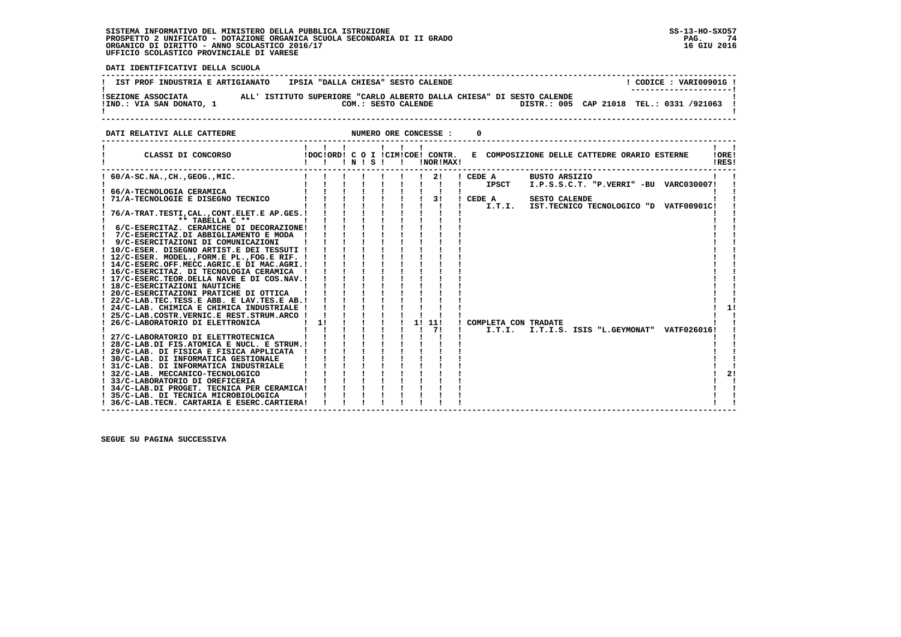#### **SISTEMA INFORMATIVO DEL MINISTERO DELLA PUBBLICA ISTRUZIONE SS-13-HO-SXO57 PROSPETTO 2 UNIFICATO - DOTAZIONE ORGANICA SCUOLA SECONDARIA DI II GRADO PAG. 74**ORGANICO DI DIRITTO - ANNO SCOLASTICO 2016/17  **UFFICIO SCOLASTICO PROVINCIALE DI VARESE**

74 16 GIU 2016

 **DATI IDENTIFICATIVI DELLA SCUOLA**

| IST PROF INDUSTRIA E ARTIGIANATO               | IPSIA "DALLA CHIESA" SESTO CALENDE                                                           | CODICE: VARI00901G<br>---------------------- |
|------------------------------------------------|----------------------------------------------------------------------------------------------|----------------------------------------------|
| ISEZIONE ASSOCIATA<br>!IND.: VIA SAN DONATO, 1 | ALL' ISTITUTO SUPERIORE "CARLO ALBERTO DALLA CHIESA" DI SESTO CALENDE<br>COM.: SESTO CALENDE | DISTR.: 005 CAP 21018 TEL.: 0331 /921063     |

**DATI RELATIVI ALLE CATTEDRE NUMERO ORE CONCESSE : 0 ------------------------------------------------------------------------------------------------------------------------------------ ! ! ! ! ! ! ! ! ! ! CLASSI DI CONCORSO !DOC!ORD! C O I !CIM!COE! CONTR. E COMPOSIZIONE DELLE CATTEDRE ORARIO ESTERNE !ORE! ! ! ! ! N ! S ! ! !NOR!MAX! !RES! ------------------------------------------------------------------------------------------------------------------------------------** $\mathbf{I}$   $\mathbf{I}$  **! 60/A-SC.NA.,CH.,GEOG.,MIC. ! ! ! ! ! ! ! 2! ! CEDE A BUSTO ARSIZIO ! ! ! ! ! ! ! ! ! ! ! ! IPSCT I.P.S.S.C.T. "P.VERRI" -BU VARC030007! ! ! 66/A-TECNOLOGIA CERAMICA ! ! ! ! ! ! ! ! ! ! ! ! 71/A-TECNOLOGIE E DISEGNO TECNICO ! ! ! ! ! ! ! 3! ! CEDE A SESTO CALENDE ! ! ! ! ! ! ! ! ! ! ! ! I.T.I. IST.TECNICO TECNOLOGICO "D VATF00901C! ! ! 76/A-TRAT.TESTI,CAL.,CONT.ELET.E AP.GES.! ! ! ! ! ! ! ! ! ! ! ! \*\* TABELLA C \*\* ! ! ! ! ! ! ! ! ! ! ! ! 6/C-ESERCITAZ. CERAMICHE DI DECORAZIONE! ! ! ! ! ! ! ! ! ! !** $\mathbf{I}$ - 1  **! 7/C-ESERCITAZ.DI ABBIGLIAMENTO E MODA ! ! ! ! ! ! ! ! ! ! ! ! 9/C-ESERCITAZIONI DI COMUNICAZIONI ! ! ! ! ! ! ! ! ! ! ! ! 10/C-ESER. DISEGNO ARTIST.E DEI TESSUTI ! ! ! ! ! ! ! ! ! ! ! ! 12/C-ESER. MODEL.,FORM.E PL.,FOG.E RIF. ! ! ! ! ! ! ! ! ! ! ! ! 14/C-ESERC.OFF.MECC.AGRIC.E DI MAC.AGRI.! ! ! ! ! ! ! ! ! ! ! ! 16/C-ESERCITAZ. DI TECNOLOGIA CERAMICA ! ! ! ! ! ! ! ! ! ! ! ! 17/C-ESERC.TEOR.DELLA NAVE E DI COS.NAV.! ! ! ! ! ! ! ! ! ! ! ! 18/C-ESERCITAZIONI NAUTICHE ! ! ! ! ! ! ! ! ! ! ! ! 20/C-ESERCITAZIONI PRATICHE DI OTTICA ! ! ! ! ! ! ! ! ! ! ! ! 22/C-LAB.TEC.TESS.E ABB. E LAV.TES.E AB.! ! ! ! ! ! ! ! ! ! !**- 1 - 1  $1 \quad 11$  **! 24/C-LAB. CHIMICA E CHIMICA INDUSTRIALE ! ! ! ! ! ! ! ! ! ! 1! ! 25/C-LAB.COSTR.VERNIC.E REST.STRUM.ARCO ! ! ! ! ! ! ! ! ! ! ! ! 26/C-LABORATORIO DI ELETTRONICA ! 1! ! ! ! ! 1! 11! ! COMPLETA CON TRADATE ! ! ! ! ! ! ! ! ! ! 7! ! I.T.I. I.T.I.S. ISIS "L.GEYMONAT" VATF026016! ! ! 27/C-LABORATORIO DI ELETTROTECNICA ! ! ! ! ! ! ! ! ! ! ! ! 28/C-LAB.DI FIS.ATOMICA E NUCL. E STRUM.! ! ! ! ! ! ! ! ! ! ! ! 29/C-LAB. DI FISICA E FISICA APPLICATA ! ! ! ! ! ! ! ! ! ! ! ! 30/C-LAB. DI INFORMATICA GESTIONALE ! ! ! ! ! ! ! ! ! ! ! ! 31/C-LAB. DI INFORMATICA INDUSTRIALE ! ! ! ! ! ! ! ! ! ! ! ! 32/C-LAB. MECCANICO-TECNOLOGICO ! ! ! ! ! ! ! ! ! ! 2! ! 33/C-LABORATORIO DI OREFICERIA ! ! ! ! ! ! ! ! ! ! !** $\blacksquare$  $\blacksquare$  $1 \quad 21$  $\blacksquare$  $\overline{\phantom{a}}$  **! 34/C-LAB.DI PROGET. TECNICA PER CERAMICA! ! ! ! ! ! ! ! ! ! ! ! 35/C-LAB. DI TECNICA MICROBIOLOGICA ! ! ! ! ! ! ! ! ! ! ! ! 36/C-LAB.TECN. CARTARIA E ESERC.CARTIERA! ! ! ! ! ! ! ! ! ! !** $\mathbf{I}$  $\overline{\phantom{a}}$  **------------------------------------------------------------------------------------------------------------------------------------**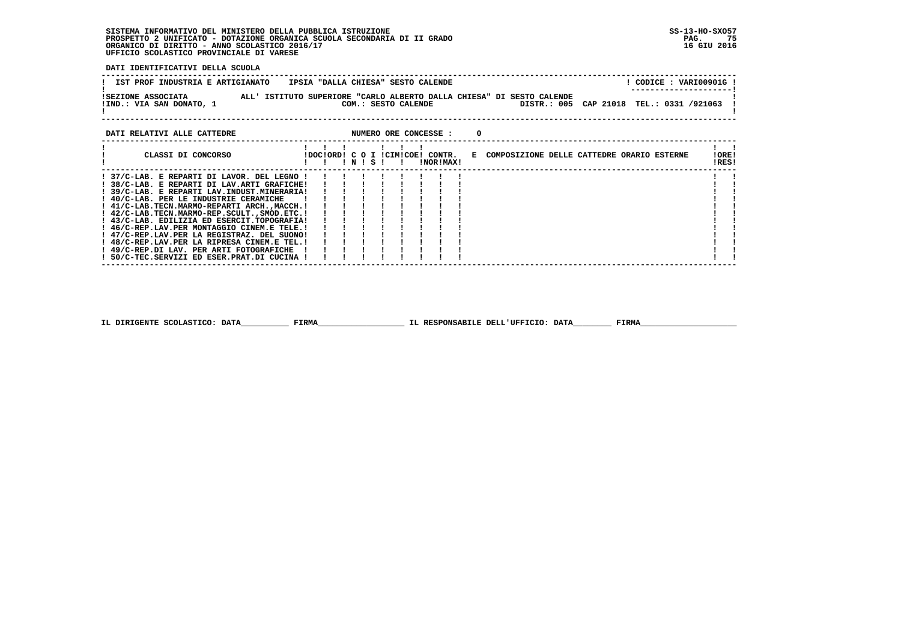# **SISTEMA INFORMATIVO DEL MINISTERO DELLA PUBBLICA ISTRUZIONE SS-13-HO-SXO57**PROSPETTO 2 UNIFICATO - DOTAZIONE ORGANICA SCUOLA SECONDARIA DI II GRADO<br>ORGANICO DI DIRITTO - ANNO SCOLASTICO 2016/17<br>UFFICIO SCOLASTICO PROVINCIALE DI VARESE

 **DATI IDENTIFICATIVI DELLA SCUOLA**

| IST PROF INDUSTRIA E ARTIGIANATO               | IPSIA "DALLA CHIESA" SESTO CALENDE                                                           | CODICE: VARI00901G!<br>--------------------- |
|------------------------------------------------|----------------------------------------------------------------------------------------------|----------------------------------------------|
| ISEZIONE ASSOCIATA<br>!IND.: VIA SAN DONATO, 1 | ALL' ISTITUTO SUPERIORE "CARLO ALBERTO DALLA CHIESA" DI SESTO CALENDE<br>COM.: SESTO CALENDE | DISTR.: 005 CAP 21018 TEL.: 0331 /921063     |
| <b>BIRT BULLWILL JIIN ALMMUDDO</b>             | $\frac{1}{2}$                                                                                |                                              |

| DATI RELATIVI ALLE CATTEDRE                                                                                                                                                                                                                                                                                                                                                                                                                                                     |                                  |           |  |  | NUMERO ORE CONCESSE : |  |                                              |                |  |
|---------------------------------------------------------------------------------------------------------------------------------------------------------------------------------------------------------------------------------------------------------------------------------------------------------------------------------------------------------------------------------------------------------------------------------------------------------------------------------|----------------------------------|-----------|--|--|-----------------------|--|----------------------------------------------|----------------|--|
| CLASSI DI CONCORSO                                                                                                                                                                                                                                                                                                                                                                                                                                                              | !DOC!ORD! C O I !CIM!COE! CONTR. | ! N ! S ! |  |  | INORIMAX!             |  | E COMPOSIZIONE DELLE CATTEDRE ORARIO ESTERNE | !ORE!<br>!RES! |  |
| ! 37/C-LAB. E REPARTI DI LAVOR. DEL LEGNO !<br>! 38/C-LAB. E REPARTI DI LAV.ARTI GRAFICHE!<br>! 39/C-LAB. E REPARTI LAV.INDUST.MINERARIA!<br>! 40/C-LAB. PER LE INDUSTRIE CERAMICHE<br>! 41/C-LAB.TECN.MARMO-REPARTI ARCH.,MACCH.!<br>! 42/C-LAB.TECN.MARMO-REP.SCULT., SMOD.ETC. !<br>! 43/C-LAB. EDILIZIA ED ESERCIT.TOPOGRAFIA!<br>! 46/C-REP.LAV.PER MONTAGGIO CINEM.E TELE.!<br>! 47/C-REP.LAV.PER LA REGISTRAZ. DEL SUONO!<br>! 48/C-REP.LAV.PER LA RIPRESA CINEM.E TEL.! |                                  |           |  |  |                       |  |                                              |                |  |
| ! 49/C-REP.DI LAV. PER ARTI FOTOGRAFICHE<br>! 50/C-TEC.SERVIZI ED ESER.PRAT.DI CUCINA !                                                                                                                                                                                                                                                                                                                                                                                         |                                  |           |  |  |                       |  |                                              |                |  |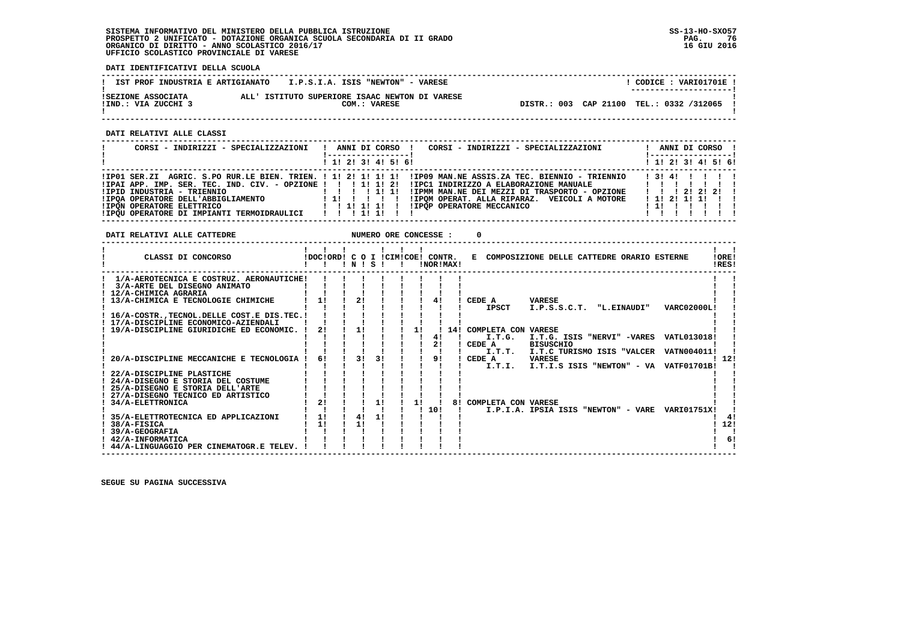## **SISTEMA INFORMATIVO DEL MINISTERO DELLA PUBBLICA ISTRUZIONE SS-13-HO-SXO57 PROSPETTO 2 UNIFICATO - DOTAZIONE ORGANICA SCUOLA SECONDARIA DI II GRADO PAG. 76 ORGANICO DI DIRITTO - ANNO SCOLASTICO 2016/17 16 GIU 2016 UFFICIO SCOLASTICO PROVINCIALE DI VARESE**

 **DATI IDENTIFICATIVI DELLA SCUOLA**

| IST PROF INDUSTRIA E ARTIGIANATO          | I.P.S.I.A. ISIS "NEWTON" - VARESE                              | CODICE: VARI01701E !<br>________________________ |
|-------------------------------------------|----------------------------------------------------------------|--------------------------------------------------|
| ISEZIONE ASSOCIATA<br>!IND.: VIA ZUCCHI 3 | ALL' ISTITUTO SUPERIORE ISAAC NEWTON DI VARESE<br>COM.: VARESE | DISTR.: 003 CAP 21100 TEL.: 0332 /312065         |

 **------------------------------------------------------------------------------------------------------------------------------------**

 **DATI RELATIVI ALLE CLASSI**

| CORSI - INDIRIZZI - SPECIALIZZAZIONI                                                                                                                                   | CORSI - INDIRIZZI - SPECIALIZZAZIONI<br>ANNI DI CORSO !<br>. .<br>! ------------------                                                                                                                                                                          | ANNI DI CORSO !<br><u>! ----------------- !</u>                 |
|------------------------------------------------------------------------------------------------------------------------------------------------------------------------|-----------------------------------------------------------------------------------------------------------------------------------------------------------------------------------------------------------------------------------------------------------------|-----------------------------------------------------------------|
|                                                                                                                                                                        | $1$ , 1! 2! 3! 4! 5! 6!                                                                                                                                                                                                                                         | $1$ 1! 2! 3! 4! 5! 6!                                           |
| !IPID INDUSTRIA - TRIENNIO<br>!IPOA OPERATORE DELL'ABBIGLIAMENTO<br><b>!IPON OPERATORE ELETTRICO</b><br>! IPQU OPERATORE DI IMPIANTI TERMOIDRAULICI   ! ! ! 1! ! ! ! ! | IP01 SER.ZI AGRIC. S.PO RUR.LE BIEN. TRIEN. ! 1! 2! 1! 1! 1! IIP09 MAN.NE ASSIS.ZA TEC. BIENNIO - TRIENNIO<br>!IPMM MAN.NE DEI MEZZI DI TRASPORTO - OPZIONE<br>!IPOM OPERAT. ALLA RIPARAZ. VEICOLI A MOTORE<br>11 11 11 1<br>!!!!!!!!!!!POP OPERATORE MECCANICO | 131411111<br>1 1 1 2 1 2 1 2 1<br>$1$ 1! 2! 1! 1! !!<br>1111111 |

**DATI RELATIVI ALLE CATTEDRE NUMERO ORE CONCESSE : 0** 

| CLASSI DI CONCORSO                                    | IDOCIORD! C O I ICIMICOE! CONTR. | ! N ! | - S |  |    |     | !NOR!MAX! |                     | E COMPOSIZIONE DELLE CATTEDRE ORARIO ESTERNE |                    | !ORE!<br>!RES! |
|-------------------------------------------------------|----------------------------------|-------|-----|--|----|-----|-----------|---------------------|----------------------------------------------|--------------------|----------------|
| 1/A-AEROTECNICA E COSTRUZ. AERONAUTICHE!              |                                  |       |     |  |    |     |           |                     |                                              |                    |                |
| 3/A-ARTE DEL DISEGNO ANIMATO                          |                                  |       |     |  |    |     |           |                     |                                              |                    |                |
| 12/A-CHIMICA AGRARIA                                  |                                  |       |     |  |    |     |           |                     |                                              |                    |                |
| 13/A-CHIMICA E TECNOLOGIE CHIMICHE                    | 1!                               | 21    |     |  |    |     |           | CEDE A              | VARESE                                       |                    |                |
|                                                       |                                  |       |     |  |    |     |           | <b>IPSCT</b>        | I.P.S.S.C.T. "L.EINAUDI"                     | VARC02000L!        |                |
| ! 16/A-COSTR., TECNOL. DELLE COST. E DIS. TEC. !      |                                  |       |     |  |    |     |           |                     |                                              |                    |                |
| ! 17/A-DISCIPLINE ECONOMICO-AZIENDALI                 |                                  |       |     |  |    |     |           |                     |                                              |                    |                |
| 19/A-DISCIPLINE GIURIDICHE ED ECONOMIC.               | 21                               | 11    |     |  | 11 |     | 14!       | COMPLETA CON VARESE |                                              |                    |                |
|                                                       |                                  |       |     |  |    | 41  |           | I.T.G.              | I.T.G. ISIS "NERVI" -VARES                   | VATL013018!        |                |
|                                                       |                                  |       |     |  |    | 21  |           | CEDE A              | <b>BISUSCHIO</b>                             |                    |                |
|                                                       |                                  |       |     |  |    |     |           | I.T.T.              | I.T.C TURISMO ISIS "VALCER                   | <b>VATN004011!</b> |                |
| 20/A-DISCIPLINE MECCANICHE E TECNOLOGIA               | 61                               | 31    | 3!  |  |    | 91  |           | CEDE A              | <b>VARESE</b>                                |                    | -12!           |
|                                                       |                                  |       |     |  |    |     |           | I.T.I.              | I.T.I.S ISIS "NEWTON" - VA VATF01701B!       |                    |                |
| 22/A-DISCIPLINE PLASTICHE                             |                                  |       |     |  |    |     |           |                     |                                              |                    |                |
| 24/A-DISEGNO E STORIA DEL COSTUME                     |                                  |       |     |  |    |     |           |                     |                                              |                    |                |
| 25/A-DISEGNO E STORIA DELL'ARTE                       |                                  |       |     |  |    |     |           |                     |                                              |                    |                |
| 27/A-DISEGNO TECNICO ED ARTISTICO<br>34/A-ELETTRONICA | 2 <sub>1</sub>                   |       | 11  |  | 11 |     | 81        | COMPLETA CON VARESE |                                              |                    |                |
|                                                       |                                  |       |     |  |    | 10! |           |                     | I.P.I.A. IPSIA ISIS "NEWTON" - VARE          | <b>VARI01751X!</b> |                |
| 35/A-ELETTROTECNICA ED APPLICAZIONI                   | 1!                               | 41    | 11  |  |    |     |           |                     |                                              |                    | 4!             |
| 38/A-FISICA                                           | 1!                               | 1!    |     |  |    |     |           |                     |                                              |                    | 12!            |
| 39/A-GEOGRAFIA                                        |                                  |       |     |  |    |     |           |                     |                                              |                    |                |
| ! 42/A-INFORMATICA                                    |                                  |       |     |  |    |     |           |                     |                                              |                    | 61             |
| ! 44/A-LINGUAGGIO PER CINEMATOGR.E TELEV.             |                                  |       |     |  |    |     |           |                     |                                              |                    |                |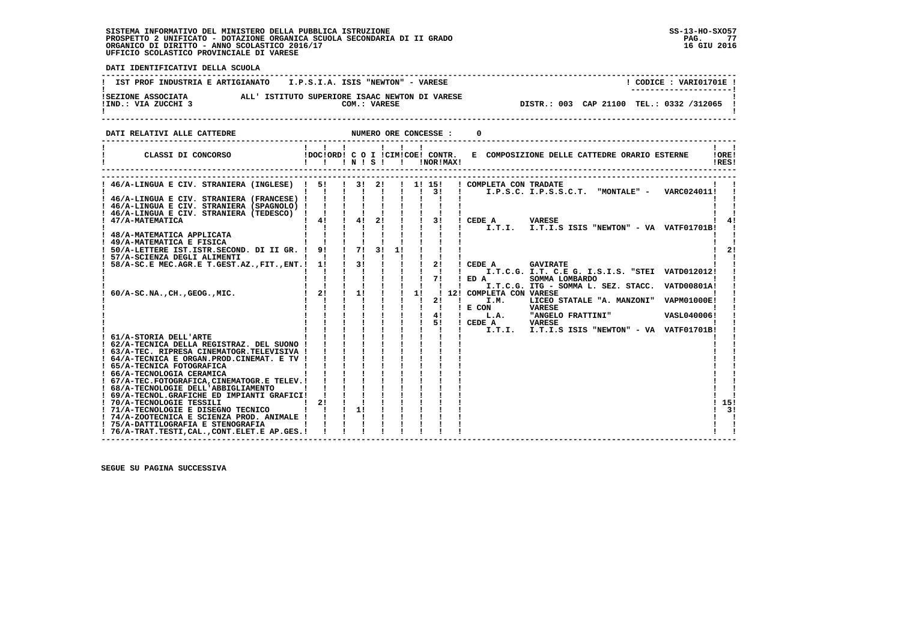# **SISTEMA INFORMATIVO DEL MINISTERO DELLA PUBBLICA ISTRUZIONE SS-13-HO-SXO57**PROSPETTO 2 UNIFICATO - DOTAZIONE ORGANICA SCUOLA SECONDARIA DI II GRADO<br>ORGANICO DI DIRITTO - ANNO SCOLASTICO 2016/17<br>UFFICIO SCOLASTICO PROVINCIALE DI VARESE

j

| DATI IDENTIFICATIVI DELLA SCUOLA                                                                                                                                                                                                                                                                                                                                                                                                                                |                                                                    |                           |                |                                                                     |                                                  |                                                                                                                                                                                                                                                                                                                              |  |  |  |  |  |  |  |  |  |
|-----------------------------------------------------------------------------------------------------------------------------------------------------------------------------------------------------------------------------------------------------------------------------------------------------------------------------------------------------------------------------------------------------------------------------------------------------------------|--------------------------------------------------------------------|---------------------------|----------------|---------------------------------------------------------------------|--------------------------------------------------|------------------------------------------------------------------------------------------------------------------------------------------------------------------------------------------------------------------------------------------------------------------------------------------------------------------------------|--|--|--|--|--|--|--|--|--|
| IST PROF INDUSTRIA E ARTIGIANATO                                                                                                                                                                                                                                                                                                                                                                                                                                | I.P.S.I.A. ISIS "NEWTON" - VARESE                                  |                           |                |                                                                     |                                                  | ! CODICE : VARI01701E !                                                                                                                                                                                                                                                                                                      |  |  |  |  |  |  |  |  |  |
|                                                                                                                                                                                                                                                                                                                                                                                                                                                                 |                                                                    |                           |                |                                                                     |                                                  | DISTR.: 003 CAP 21100 TEL.: 0332 /312065 !                                                                                                                                                                                                                                                                                   |  |  |  |  |  |  |  |  |  |
| DATI RELATIVI ALLE CATTEDRE                                                                                                                                                                                                                                                                                                                                                                                                                                     | NUMERO ORE CONCESSE :                                              |                           |                |                                                                     |                                                  |                                                                                                                                                                                                                                                                                                                              |  |  |  |  |  |  |  |  |  |
|                                                                                                                                                                                                                                                                                                                                                                                                                                                                 |                                                                    |                           |                | $\blacksquare$                                                      |                                                  | $1 - 1$<br>10RE1<br>IRES!                                                                                                                                                                                                                                                                                                    |  |  |  |  |  |  |  |  |  |
| ! 46/A-LINGUA E CIV. STRANIERA (INGLESE) ! 5! ! 3! 2! ! 1! 15!<br>! 46/A-LINGUA E CIV. STRANIERA (FRANCESE) ! ! !                                                                                                                                                                                                                                                                                                                                               |                                                                    |                           |                |                                                                     |                                                  | ! COMPLETA CON TRADATE<br>I.P.S.C. I.P.S.S.C.T. "MONTALE" - VARC024011!                                                                                                                                                                                                                                                      |  |  |  |  |  |  |  |  |  |
| ! 46/A-LINGUA E CIV. STRANIERA (TEDESCO) ! ! ! ! ! ! ! ! !<br>! 47/A-MATEMATICA                                                                                                                                                                                                                                                                                                                                                                                 | $1 \quad 4! \quad 1 \quad 4! \quad 2!$<br>1 1 1 1 1 1 1 1 1 1      |                           |                | $1 \quad 1 \quad 31$<br><b>Contract Contract</b>                    |                                                  | ! CEDE A VARESE<br>I.T.I. I.T.I.S ISIS "NEWTON" - VA VATF01701B!                                                                                                                                                                                                                                                             |  |  |  |  |  |  |  |  |  |
| ! 48/A-MATEMATICA APPLICATA<br>! 49/A-MATEMATICA E FISICA<br>! 50/A-LETTERE IST.ISTR.SECOND. DI II GR. ! 9! ! 7!<br>$\mathbf{I}$ and $\mathbf{I}$ and $\mathbf{I}$ and $\mathbf{I}$ and $\mathbf{I}$<br>! 57/A-SCIENZA DEGLI ALIMENTI                                                                                                                                                                                                                           | $-1$ $-1$ $-1$ $-1$<br>$1$ $1$ $1$ $1$ $1$                         |                           |                |                                                                     |                                                  | 21                                                                                                                                                                                                                                                                                                                           |  |  |  |  |  |  |  |  |  |
| ! 58/A-SC.E MEC.AGR.E T.GEST.AZ., FIT., ENT.! 1! ! 3!                                                                                                                                                                                                                                                                                                                                                                                                           |                                                                    | $1 - 1$                   |                | $1 \quad 1 \quad 71$                                                | $\frac{1}{2}$<br><b>Contract Contract Street</b> | ! CEDE A<br><b>GAVIRATE</b><br>$'$ ED A<br>SOMMA LOMBARDO<br>I.T.C.G. ITG - SOMMA L. SEZ. STACC. VATD00801A!                                                                                                                                                                                                                 |  |  |  |  |  |  |  |  |  |
| $60/A-SC.NA.$ , $CH.$ , $GEOG.$ , $MIC.$                                                                                                                                                                                                                                                                                                                                                                                                                        | $1 \quad 2! \quad 1 \quad 1!$<br>$1 - 1$<br>$1 \quad 1$            | $\mathbf{I}$ $\mathbf{I}$ | 1 1 1 1 1 1 51 | $1 \quad 1 \quad 11$<br>$1 \quad 1 \quad 1$<br>$1 \quad 1 \quad 41$ | 21<br>and the state of                           | ! 12! COMPLETA CON VARESE<br>I.M.<br>LICEO STATALE "A. MANZONI" VAPM01000E!<br>! E COM<br><b>VARESE</b><br>! L.A. "ANGELO FRATTINI" VASL040006!<br>! CEDE A VARESE                                                                                                                                                           |  |  |  |  |  |  |  |  |  |
| ! 61/A-STORIA DELL'ARTE<br>! 62/A-TECNICA DELLA REGISTRAZ. DEL SUONO !<br>! 63/A-TEC. RIPRESA CINEMATOGR.TELEVISIVA !<br>! 64/A-TECNICA E ORGAN.PROD.CINEMAT. E TV !<br>! 65/A-TECNICA FOTOGRAFICA<br>! 66/A-TECNOLOGIA CERAMICA<br>! 67/A-TEC.FOTOGRAFICA, CINEMATOGR.E TELEV.!<br>$\sim$ $\sim$ $\sim$ $\sim$ $\sim$ $\sim$<br>! 68/A-TECNOLOGIE DELL'ABBIGLIAMENTO<br>! 69/A-TECNOL.GRAFICHE ED IMPIANTI GRAFICI!<br>1 21 1 1 1<br>! 70/A-TECNOLOGIE TESSILI | 11111111<br>$\mathbf{1}$ $\mathbf{1}$<br>$\mathbf{1}$ $\mathbf{1}$ | $1 \quad 1 \quad 1$       |                |                                                                     |                                                  | $\frac{1}{1}$ $\frac{1}{1}$ $\frac{1}{1}$ $\frac{1}{1}$ $\frac{1}{1}$ $\frac{1}{1}$ $\frac{1}{1}$ $\frac{1}{1}$ $\frac{1}{1}$ $\frac{1}{1}$ $\frac{1}{1}$ $\frac{1}{1}$ $\frac{1}{1}$ $\frac{1}{1}$ $\frac{1}{1}$ $\frac{1}{1}$ $\frac{1}{1}$ $\frac{1}{1}$ $\frac{1}{1}$ $\frac{1}{1}$ $\frac{1}{1}$ $\frac{1}{1}$<br>! 15! |  |  |  |  |  |  |  |  |  |
| ! 71/A-TECNOLOGIE E DISEGNO TECNICO       1 <br>! 74/A-ZOOTECNICA E SCIENZA PROD. ANIMALE ! ! ! !<br>! 75/A-DATTILOGRAFIA E STENOGRAFIA<br>! 76/A-TRAT.TESTI, CAL., CONT. ELET. E AP. GES. !                                                                                                                                                                                                                                                                    |                                                                    |                           |                |                                                                     |                                                  | 3!                                                                                                                                                                                                                                                                                                                           |  |  |  |  |  |  |  |  |  |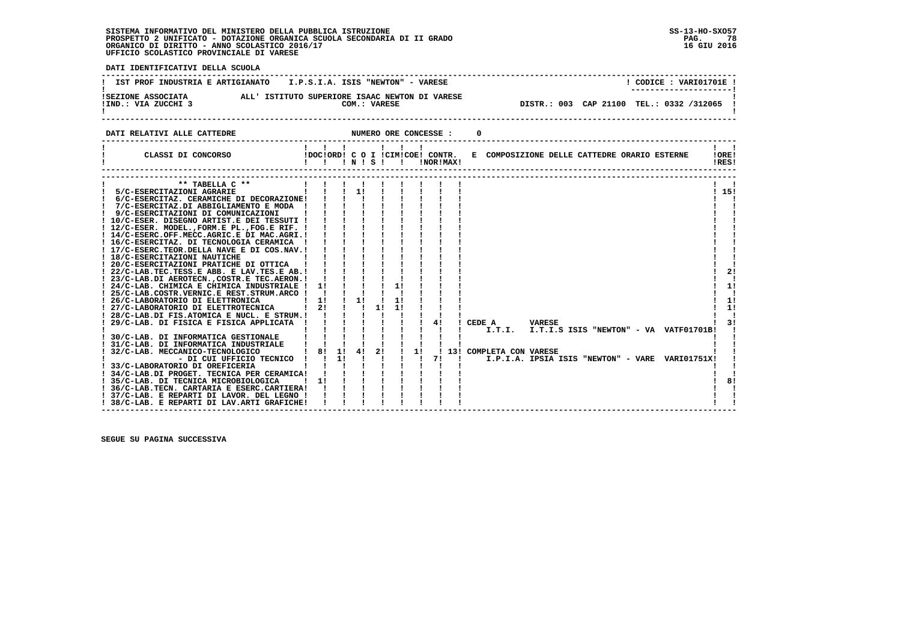# **SISTEMA INFORMATIVO DEL MINISTERO DELLA PUBBLICA ISTRUZIONE SS-13-HO-SXO57**PROSPETTO 2 UNIFICATO - DOTAZIONE ORGANICA SCUOLA SECONDARIA DI II GRADO<br>ORGANICO DI DIRITTO - ANNO SCOLASTICO 2016/17<br>UFFICIO SCOLASTICO PROVINCIALE DI VARESE

֖֧֢ׅ֧֪֧֪֧֪֧֪֧֖֚֚֚֚֚֚֚֚֚֚֚֚֚֚֚֚֚֚֚֚֚֚֚֡֝֝֝֓֓֓֝֬֝֓֝֬֓֓֝֬֝֓֝֬֝֓

| DATI IDENTIFICATIVI DELLA SCUOLA                                                                                                                                                                                                                                                                                                                                                                                                                                                                                                                                                                                                                                                                                                                                                                                                                                                                                                                                                                                                                                                                                                                                                                                                                                                                                                                                                                          |                                                                                                                                                                                                                                                                                                                                                                                                                                                                                                                                                                                                                                                |                                 |                                                       |           |                                                                                                                                                                                                                                              |
|-----------------------------------------------------------------------------------------------------------------------------------------------------------------------------------------------------------------------------------------------------------------------------------------------------------------------------------------------------------------------------------------------------------------------------------------------------------------------------------------------------------------------------------------------------------------------------------------------------------------------------------------------------------------------------------------------------------------------------------------------------------------------------------------------------------------------------------------------------------------------------------------------------------------------------------------------------------------------------------------------------------------------------------------------------------------------------------------------------------------------------------------------------------------------------------------------------------------------------------------------------------------------------------------------------------------------------------------------------------------------------------------------------------|------------------------------------------------------------------------------------------------------------------------------------------------------------------------------------------------------------------------------------------------------------------------------------------------------------------------------------------------------------------------------------------------------------------------------------------------------------------------------------------------------------------------------------------------------------------------------------------------------------------------------------------------|---------------------------------|-------------------------------------------------------|-----------|----------------------------------------------------------------------------------------------------------------------------------------------------------------------------------------------------------------------------------------------|
| IST PROF INDUSTRIA E ARTIGIANATO I.P.S.I.A. ISIS "NEWTON" - VARESE                                                                                                                                                                                                                                                                                                                                                                                                                                                                                                                                                                                                                                                                                                                                                                                                                                                                                                                                                                                                                                                                                                                                                                                                                                                                                                                                        |                                                                                                                                                                                                                                                                                                                                                                                                                                                                                                                                                                                                                                                |                                 |                                                       |           | ! CODICE : VARI01701E !                                                                                                                                                                                                                      |
| SEZIONE ASSOCIATA ALL'ISTITUTO SUPERIORE ISAAC NEWTON DI VARESE IND.: VIA ZUCCHI 3 COM.: VARESE                                                                                                                                                                                                                                                                                                                                                                                                                                                                                                                                                                                                                                                                                                                                                                                                                                                                                                                                                                                                                                                                                                                                                                                                                                                                                                           |                                                                                                                                                                                                                                                                                                                                                                                                                                                                                                                                                                                                                                                |                                 |                                                       |           | DISTR.: 003 CAP 21100 TEL.: 0332 /312065 !<br>------------                                                                                                                                                                                   |
| NUMERO ORE CONCESSE :<br>DATI RELATIVI ALLE CATTEDRE                                                                                                                                                                                                                                                                                                                                                                                                                                                                                                                                                                                                                                                                                                                                                                                                                                                                                                                                                                                                                                                                                                                                                                                                                                                                                                                                                      |                                                                                                                                                                                                                                                                                                                                                                                                                                                                                                                                                                                                                                                |                                 |                                                       |           | 0                                                                                                                                                                                                                                            |
| CLASSI DI CONCORSO                                                                                                                                                                                                                                                                                                                                                                                                                                                                                                                                                                                                                                                                                                                                                                                                                                                                                                                                                                                                                                                                                                                                                                                                                                                                                                                                                                                        | $\mathbf{1}$ $\mathbf{1}$ $\mathbf{1}$<br>!DOC!ORD! C O I !CIM!COE! CONTR.<br>$\blacksquare$ $\blacksquare$ $\blacksquare$ $\blacksquare$ $\blacksquare$ $\blacksquare$ $\blacksquare$ $\blacksquare$ $\blacksquare$                                                                                                                                                                                                                                                                                                                                                                                                                           |                                 | $\mathbf{I}$ $\mathbf{I}$                             | INORIMAXI | $\mathbf{I}$ $\mathbf{I}$<br>E COMPOSIZIONE DELLE CATTEDRE ORARIO ESTERNE<br>!ORE!<br>IRES!                                                                                                                                                  |
| ** TABELLA $C$ **<br>5/C-ESERCITAZIONI AGRARIE<br>! 6/C-ESERCITAZ. CERAMICHE DI DECORAZIONE! ! ! !<br>! 7/C-ESERCITAZ.DI ABBIGLIAMENTO E MODA !<br>! 9/C-ESERCITAZIONI DI COMUNICAZIONI<br>! 10/C-ESER. DISEGNO ARTIST.E DEI TESSUTI !<br>! 12/C-ESER. MODEL., FORM.E PL., FOG.E RIF. !<br>! 14/C-ESERC.OFF.MECC.AGRIC.E DI MAC.AGRI.!<br>! 16/C-ESERCITAZ. DI TECNOLOGIA CERAMICA !<br>! 17/C-ESERC.TEOR.DELLA NAVE E DI COS.NAV.!<br>! 18/C-ESERCITAZIONI NAUTICHE<br>! 20/C-ESERCITAZIONI PRATICHE DI OTTICA<br>! 22/C-LAB.TEC.TESS.E ABB. E LAV.TES.E AB.!<br>! 23/C-LAB.DI AEROTECN., COSTR.E TEC.AERON.!<br>! 24/C-LAB. CHIMICA E CHIMICA INDUSTRIALE !<br>! 25/C-LAB.COSTR.VERNIC.E REST.STRUM.ARCO !<br>$\blacksquare$ $\blacksquare$ $\blacksquare$ $\blacksquare$ $\blacksquare$ $\blacksquare$<br>! 26/C-LABORATORIO DI ELETTRONICA<br>! 27/C-LABORATORIO DI ELETTROTECNICA   2! !! 1!<br>! 28/C-LAB.DI FIS.ATOMICA E NUCL. E STRUM.!!!<br>! 29/C-LAB. DI FISICA E FISICA APPLICATA !<br>! 30/C-LAB. DI INFORMATICA GESTIONALE<br>! 31/C-LAB. DI INFORMATICA INDUSTRIALE<br>! 32/C-LAB. MECCANICO-TECNOLOGICO<br>! 33/C-LABORATORIO DI OREFICERIA<br>! 34/C-LAB.DI PROGET. TECNICA PER CERAMICA!<br>! 35/C-LAB. DI TECNICA MICROBIOLOGICA<br>! 36/C-LAB. TECN. CARTARIA E ESERC. CARTIERA! ! ! !<br>! 37/C-LAB. E REPARTI DI LAVOR. DEL LEGNO !<br>! 38/C-LAB. E REPARTI DI LAV.ARTI GRAFICHE! | $1 \quad 1 \quad 1 \quad 11$<br>$\frac{1}{2}$ $\frac{1}{2}$ $\frac{1}{2}$ $\frac{1}{2}$<br>$\sim$ 1.0 $\sim$ 1.0 $\sim$ 1.0 $\sim$<br>$\sim 1$ , $\sim 1$<br>$\mathbf{1}$ $\mathbf{1}$ $\mathbf{1}$<br>$1 \quad 1 \quad 1$<br>$1 \quad 1 \quad 1$<br>$\frac{1}{2}$ $\frac{1}{2}$ $\frac{1}{2}$<br>$\mathbf{1}$ $\mathbf{1}$ $\mathbf{1}$ $\mathbf{1}$<br>$\frac{1}{2}$ $\frac{1}{2}$ $\frac{1}{2}$<br>$1!$ $1$ $1$<br>$\blacksquare$<br>$\blacksquare$ $\blacksquare$ $\blacksquare$ $\blacksquare$ $\blacksquare$ $\blacksquare$<br>1 1 1 1 1 1<br>$1 \quad 1 \quad 1$<br>11111111<br>$\frac{1}{1}$ $\frac{1}{1}$ $\frac{1}{1}$ $\frac{1}{1}$ | $\blacksquare$<br>$\frac{1}{2}$ | 11<br>11<br>11<br>$1 \quad 1 \quad 1 \quad 1 \quad 1$ | 4!        | $\mathbf{1}$ $\mathbf{1}$<br>115!<br>21<br>11<br>11<br>11<br>! CEDE A VARESE<br>31<br>I.T.I. I.T.I.S ISIS "NEWTON" - VA VATF01701B!<br>! 8! 1! 4! 2! ! 1! ! 13! COMPLETA CON VARESE<br>I.P.I.A. IPSIA ISIS "NEWTON" - VARE VARI01751X!<br>81 |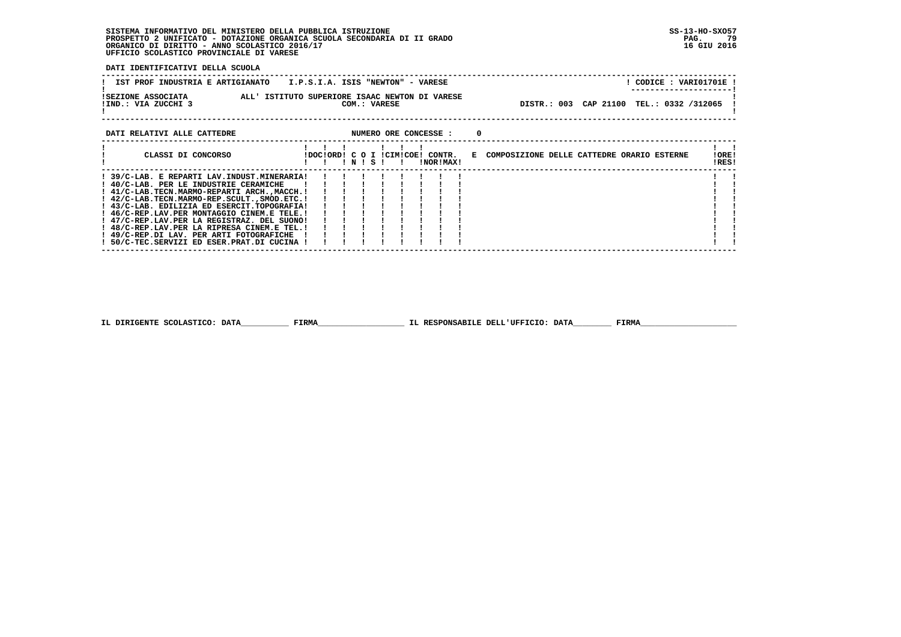## **SISTEMA INFORMATIVO DEL MINISTERO DELLA PUBBLICA ISTRUZIONE SS-13-HO-SXO57 PROSPETTO 2 UNIFICATO - DOTAZIONE ORGANICA SCUOLA SECONDARIA DI II GRADO PAG. 79 ORGANICO DI DIRITTO - ANNO SCOLASTICO 2016/17 16 GIU 2016 UFFICIO SCOLASTICO PROVINCIALE DI VARESE**

 **DATI IDENTIFICATIVI DELLA SCUOLA**

| IST PROF INDUSTRIA E ARTIGIANATO          | I.P.S.I.A. ISIS "NEWTON" - VARESE                              |                                            | CODICE: VARI01701E!<br>---------------------- |
|-------------------------------------------|----------------------------------------------------------------|--------------------------------------------|-----------------------------------------------|
| ISEZIONE ASSOCIATA<br>!IND.: VIA ZUCCHI 3 | ALL' ISTITUTO SUPERIORE ISAAC NEWTON DI VARESE<br>COM.: VARESE | DISTR.: 003 CAP 21100 TEL.: 0332 /312065 ! |                                               |
| DATI RELATIVI ALLE CATTEDRE               | NUMERO ORE CONCESSE :                                          |                                            |                                               |

| CLASSI DI CONCORSO                            |  | N | - S - I | IDOCIORDI C O I ICIMICOE! CONTR. | INORIMAXI | к. | COMPOSIZIONE DELLE CATTEDRE ORARIO ESTERNE | !ORE!<br>IRES! |  |
|-----------------------------------------------|--|---|---------|----------------------------------|-----------|----|--------------------------------------------|----------------|--|
| ! 39/C-LAB. E REPARTI LAV.INDUST.MINERARIA!   |  |   |         |                                  |           |    |                                            |                |  |
| ! 40/C-LAB. PER LE INDUSTRIE CERAMICHE        |  |   |         |                                  |           |    |                                            |                |  |
| ! 41/C-LAB.TECN.MARMO-REPARTI ARCH.,MACCH.!   |  |   |         |                                  |           |    |                                            |                |  |
| ! 42/C-LAB.TECN.MARMO-REP.SCULT., SMOD.ETC. ! |  |   |         |                                  |           |    |                                            |                |  |
| ! 43/C-LAB. EDILIZIA ED ESERCIT.TOPOGRAFIA!   |  |   |         |                                  |           |    |                                            |                |  |
| ! 46/C-REP.LAV.PER MONTAGGIO CINEM.E TELE.!   |  |   |         |                                  |           |    |                                            |                |  |
| ! 47/C-REP.LAV.PER LA REGISTRAZ. DEL SUONO!   |  |   |         |                                  |           |    |                                            |                |  |
| ! 48/C-REP.LAV.PER LA RIPRESA CINEM.E TEL.!   |  |   |         |                                  |           |    |                                            |                |  |
| ! 49/C-REP.DI LAV. PER ARTI FOTOGRAFICHE      |  |   |         |                                  |           |    |                                            |                |  |
| 50/C-TEC.SERVIZI ED ESER.PRAT.DI CUCINA !     |  |   |         |                                  |           |    |                                            |                |  |

 **------------------------------------------------------------------------------------------------------------------------------------**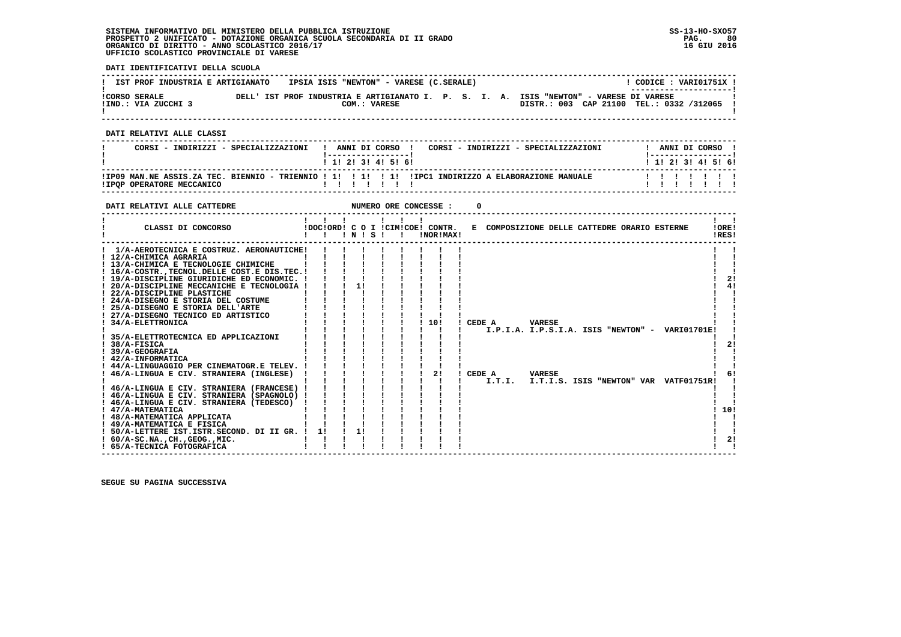## **SISTEMA INFORMATIVO DEL MINISTERO DELLA PUBBLICA ISTRUZIONE SS-13-HO-SXO57 PROSPETTO 2 UNIFICATO - DOTAZIONE ORGANICA SCUOLA SECONDARIA DI II GRADO PAG. 80 ORGANICO DI DIRITTO - ANNO SCOLASTICO 2016/17 16 GIU 2016 UFFICIO SCOLASTICO PROVINCIALE DI VARESE**

 **DATI IDENTIFICATIVI DELLA SCUOLA**

| IST PROF INDUSTRIA E ARTIGIANATO            | IPSIA ISIS "NEWTON" - VARESE (C.SERALE) |              |  | CODICE: VARI01751X !                                                                                                                                         |  |
|---------------------------------------------|-----------------------------------------|--------------|--|--------------------------------------------------------------------------------------------------------------------------------------------------------------|--|
| <b>!CORSO SERALE</b><br>!IND.: VIA ZUCCHI 3 |                                         | COM.: VARESE |  | --------------------- <br>DELL' IST PROF INDUSTRIA E ARTIGIANATO I. P. S. I. A. ISIS "NEWTON" - VARESE DI VARESE<br>DISTR.: 003 CAP 21100 TEL.: 0332 /312065 |  |

 **------------------------------------------------------------------------------------------------------------------------------------**

 **DATI RELATIVI ALLE CLASSI**

| CORSI - INDIRIZZI - SPECIALIZZAZIONI | ANNI DI CORSO !<br>CORSI - INDIRIZZI - SPECIALIZZAZIONI<br>1 1 2 3 3 4 5 6 6                                         | ANNI DI CORSO<br>1 1 1 2 1 3 1 4 1 5 1 6 1 |
|--------------------------------------|----------------------------------------------------------------------------------------------------------------------|--------------------------------------------|
| IIPOP OPERATORE MECCANICO            | IIP09 MAN.NE ASSIS.ZA TEC. BIENNIO - TRIENNIO ! 1! ! 1! ! 1! IIPC1 INDIRIZZO A ELABORAZIONE MANUALE<br>, , , , , , , | 1111111                                    |

 **------------------------------------------------------------------------------------------------------------------------------------**

| DATI RELATIVI ALLE CATTEDRE                                                                                                                                                                                                                                                                                                                                                                                                                                                                                                                                                                                                                                                                                                                                                                                                                                                                                                                                              |    |          |       |  | NUMERO ORE CONCESSE :                         | <sup>0</sup> |                                              |                                |  |                                                                                           |                             |
|--------------------------------------------------------------------------------------------------------------------------------------------------------------------------------------------------------------------------------------------------------------------------------------------------------------------------------------------------------------------------------------------------------------------------------------------------------------------------------------------------------------------------------------------------------------------------------------------------------------------------------------------------------------------------------------------------------------------------------------------------------------------------------------------------------------------------------------------------------------------------------------------------------------------------------------------------------------------------|----|----------|-------|--|-----------------------------------------------|--------------|----------------------------------------------|--------------------------------|--|-------------------------------------------------------------------------------------------|-----------------------------|
| CLASSI DI CONCORSO                                                                                                                                                                                                                                                                                                                                                                                                                                                                                                                                                                                                                                                                                                                                                                                                                                                                                                                                                       |    |          | INISI |  | IDOCIORD! C O I ICIMICOE! CONTR.<br>!NOR!MAX! |              | E COMPOSIZIONE DELLE CATTEDRE ORARIO ESTERNE |                                |  |                                                                                           | !ORE!<br>IRES!              |
| 1/A-AEROTECNICA E COSTRUZ. AERONAUTICHE!<br>! 12/A-CHIMICA AGRARIA<br>! 13/A-CHIMICA E TECNOLOGIE CHIMICHE<br>! 16/A-COSTRTECNOL.DELLE COST.E DIS.TEC.!<br>! 19/A-DISCIPLINE GIURIDICHE ED ECONOMIC.<br>! 20/A-DISCIPLINE MECCANICHE E TECNOLOGIA !<br>! 22/A-DISCIPLINE PLASTICHE<br>! 24/A-DISEGNO E STORIA DEL COSTUME<br>! 25/A-DISEGNO E STORIA DELL'ARTE<br>27/A-DISEGNO TECNICO ED ARTISTICO<br>34/A-ELETTRONICA<br>35/A-ELETTROTECNICA ED APPLICAZIONI<br>$1.38/A-FISICA$<br>39/A-GEOGRAFIA<br>42/A-INFORMATICA<br>44/A-LINGUAGGIO PER CINEMATOGR.E TELEV.<br>46/A-LINGUA E CIV. STRANIERA (INGLESE)<br>! 46/A-LINGUA E CIV. STRANIERA (FRANCESE) !<br>! 46/A-LINGUA E CIV. STRANIERA (SPAGNOLO) !<br>! 46/A-LINGUA E CIV. STRANIERA (TEDESCO)<br><b>47/A-MATEMATICA</b><br>! 48/A-MATEMATICA APPLICATA<br>! 49/A-MATEMATICA E FISICA<br>! 50/A-LETTERE IST.ISTR.SECOND. DI II GR. !<br>$1.60/A-SC.NA.$ , $CH.$ , $GEOG.$ , $MIC.$<br>! 65/A-TECNICA FOTOGRAFICA | 11 | 1!<br>1! |       |  | 10!<br>21                                     |              | CEDE A<br>CEDE A<br>I.T.I.                   | <b>VARESE</b><br><b>VARESE</b> |  | I.P.I.A. I.P.S.I.A. ISIS "NEWTON" - VARI01701E!<br>I.T.I.S. ISIS "NEWTON" VAR VATF01751R! | 21<br>4!<br>21<br>10!<br>2! |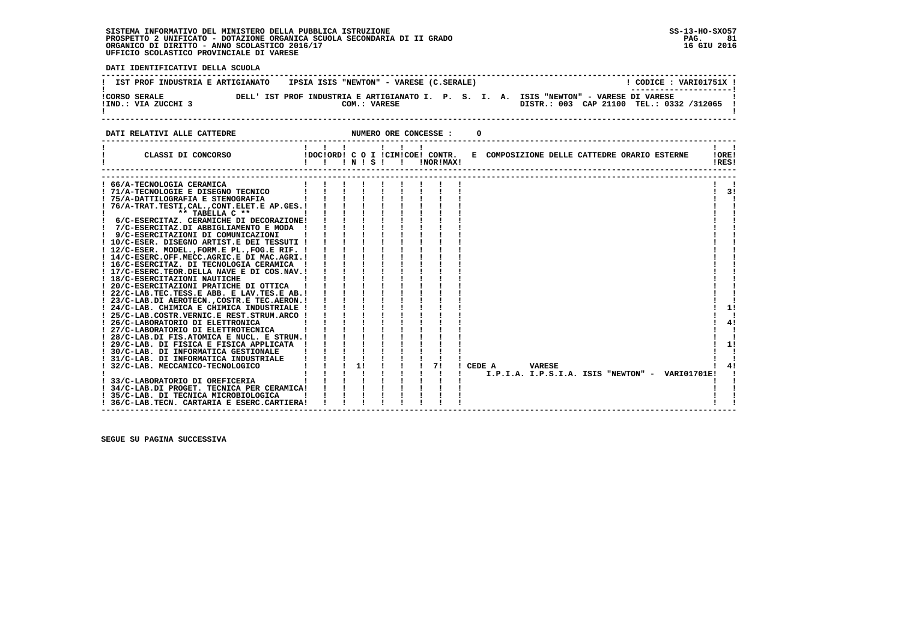#### **SISTEMA INFORMATIVO DEL MINISTERO DELLA PUBBLICA ISTRUZIONE SS-13-HO-SXO57 PROSPETTO 2 UNIFICATO - DOTAZIONE ORGANICA SCUOLA SECONDARIA DI II GRADO PAG. 81**ORGANICO DI DIRITTO - ANNO SCOLASTICO 2016/17  **UFFICIO SCOLASTICO PROVINCIALE DI VARESE**

 **DATI IDENTIFICATIVI DELLA SCUOLA ------------------------------------------------------------------------------------------------------------------------------------**! CODICE: VARI01751X ! **!** IST PROF INDUSTRIA E ARTIGIANATO IPSIA ISIS "NEWTON" - VARESE (C.SERALE)  **! ---------------------! !CORSO SERALE DELL' IST PROF INDUSTRIA E ARTIGIANATO I. P. S. I. A. ISIS "NEWTON" - VARESE DI VARESE ! !IND.: VIA ZUCCHI 3 COM.: VARESE DISTR.: 003 CAP 21100 TEL.: 0332 /312065 !** $\blacksquare$  **! ! ------------------------------------------------------------------------------------------------------------------------------------DATI RELATIVI ALLE CATTEDRE NUMERO ORE CONCESSE : 0 ------------------------------------------------------------------------------------------------------------------------------------** $\mathbf{I}$  and  $\mathbf{I}$  **! ! ! ! ! ! ! ! ! ! CLASSI DI CONCORSO !DOC!ORD! C O I !CIM!COE! CONTR. E COMPOSIZIONE DELLE CATTEDRE ORARIO ESTERNE !ORE! ! ! ! ! N ! S ! ! !NOR!MAX! !RES!**! ORE! IRESI  **------------------------------------------------------------------------------------------------------------------------------------ ------------------------------------------------------------------------------------------------------------------------------------ ! 66/A-TECNOLOGIA CERAMICA ! ! ! ! ! ! ! ! ! ! ! ! 71/A-TECNOLOGIE E DISEGNO TECNICO ! ! ! ! ! ! ! ! ! ! 3! ! 75/A-DATTILOGRAFIA E STENOGRAFIA ! ! ! ! ! ! ! ! ! ! ! ! 76/A-TRAT.TESTI,CAL.,CONT.ELET.E AP.GES.! ! ! ! ! ! ! ! ! ! ! ! \*\* TABELLA C \*\* ! ! ! ! ! ! ! ! ! ! ! ! 6/C-ESERCITAZ. CERAMICHE DI DECORAZIONE! ! ! ! ! ! ! ! ! ! ! ! 7/C-ESERCITAZ.DI ABBIGLIAMENTO E MODA ! ! ! ! ! ! ! ! ! ! !** $\sim$  $\overline{1}$   $\overline{2}$   $\overline{1}$  $\mathbf{I}$ - 1 - 1  **! 9/C-ESERCITAZIONI DI COMUNICAZIONI ! ! ! ! ! ! ! ! ! ! ! ! 10/C-ESER. DISEGNO ARTIST.E DEI TESSUTI ! ! ! ! ! ! ! ! ! ! ! ! 12/C-ESER. MODEL.,FORM.E PL.,FOG.E RIF. ! ! ! ! ! ! ! ! ! ! ! ! 14/C-ESERC.OFF.MECC.AGRIC.E DI MAC.AGRI.! ! ! ! ! ! ! ! ! ! ! ! 16/C-ESERCITAZ. DI TECNOLOGIA CERAMICA ! ! ! ! ! ! ! ! ! ! ! ! 17/C-ESERC.TEOR.DELLA NAVE E DI COS.NAV.! ! ! ! ! ! ! ! ! ! ! ! 18/C-ESERCITAZIONI NAUTICHE ! ! ! ! ! ! ! ! ! ! ! ! 20/C-ESERCITAZIONI PRATICHE DI OTTICA ! ! ! ! ! ! ! ! ! ! ! ! 22/C-LAB.TEC.TESS.E ABB. E LAV.TES.E AB.! ! ! ! ! ! ! ! ! ! ! ! 23/C-LAB.DI AEROTECN.,COSTR.E TEC.AERON.! ! ! ! ! ! ! ! ! ! !** $11$  **! 24/C-LAB. CHIMICA E CHIMICA INDUSTRIALE ! ! ! ! ! ! ! ! ! ! 1! ! 25/C-LAB.COSTR.VERNIC.E REST.STRUM.ARCO ! ! ! ! ! ! ! ! ! ! ! ! 26/C-LABORATORIO DI ELETTRONICA ! ! ! ! ! ! ! ! ! ! 4! ! 27/C-LABORATORIO DI ELETTROTECNICA ! ! ! ! ! ! ! ! ! ! !** $\mathbf{I}$  $4<sub>1</sub>$  $\mathbf{I}$  $\mathbf{I}$   $\mathbf{I}$  **! 28/C-LAB.DI FIS.ATOMICA E NUCL. E STRUM.! ! ! ! ! ! ! ! ! ! !** $\frac{1}{2}$  11  **! 29/C-LAB. DI FISICA E FISICA APPLICATA ! ! ! ! ! ! ! ! ! ! 1! ! 30/C-LAB. DI INFORMATICA GESTIONALE ! ! ! ! ! ! ! ! ! ! !** $\blacksquare$  **! 31/C-LAB. DI INFORMATICA INDUSTRIALE ! ! ! ! ! ! ! ! ! ! ! ! 32/C-LAB. MECCANICO-TECNOLOGICO ! ! ! 1! ! ! ! 7! ! CEDE A VARESE ! 4! ! ! ! ! ! ! ! ! ! ! I.P.I.A. I.P.S.I.A. ISIS "NEWTON" - VARI01701E! ! ! 33/C-LABORATORIO DI OREFICERIA ! ! ! ! ! ! ! ! ! ! !** $\frac{1}{4}$  $\blacksquare$  $\blacksquare$  $\sim$  1  **! 34/C-LAB.DI PROGET. TECNICA PER CERAMICA! ! ! ! ! ! ! ! ! ! !** $\mathbf{I}$  **! 35/C-LAB. DI TECNICA MICROBIOLOGICA ! ! ! ! ! ! ! ! ! ! ! ! 36/C-LAB.TECN. CARTARIA E ESERC.CARTIERA! ! ! ! ! ! ! ! ! ! !** $\mathbf{I}$  **------------------------------------------------------------------------------------------------------------------------------------**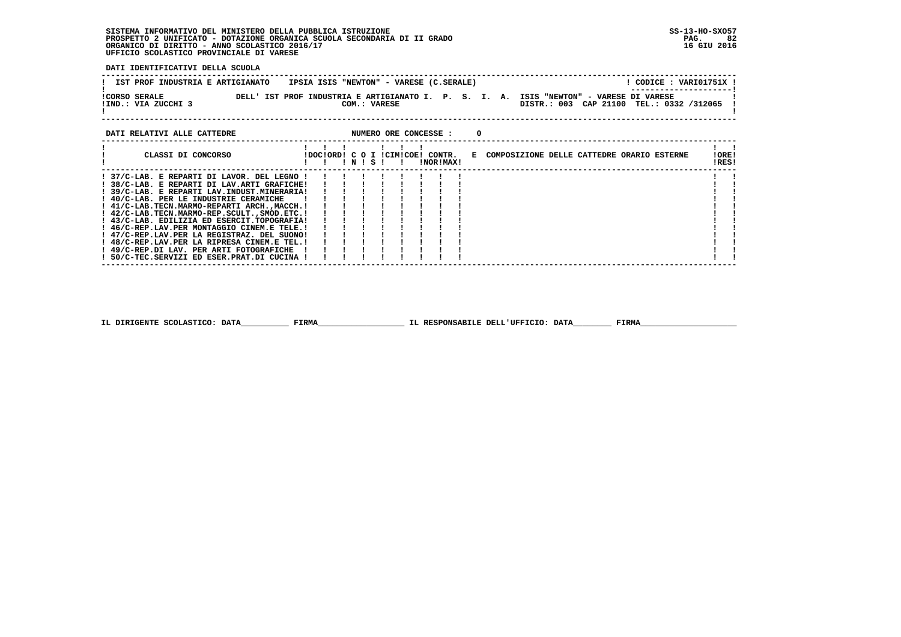# **SISTEMA INFORMATIVO DEL MINISTERO DELLA PUBBLICA ISTRUZIONE SS-13-HO-SXO57**PROSPETTO 2 UNIFICATO - DOTAZIONE ORGANICA SCUOLA SECONDARIA DI II GRADO<br>ORGANICO DI DIRITTO - ANNO SCOLASTICO 2016/17<br>UFFICIO SCOLASTICO PROVINCIALE DI VARESE

 **DATI IDENTIFICATIVI DELLA SCUOLA**

| IST PROF INDUSTRIA E ARTIGIANATO            | IPSIA ISIS "NEWTON" - VARESE (C.SERALE) |  | CODICE: VARI01751X !                                                                                                                                         |  |
|---------------------------------------------|-----------------------------------------|--|--------------------------------------------------------------------------------------------------------------------------------------------------------------|--|
| <b>!CORSO SERALE</b><br>!IND.: VIA ZUCCHI 3 | COM.: VARESE                            |  | ----------------------<br>DELL' IST PROF INDUSTRIA E ARTIGIANATO I. P. S. I. A. ISIS "NEWTON" - VARESE DI VARESE<br>DISTR.: 003 CAP 21100 TEL.: 0332 /312065 |  |
|                                             |                                         |  |                                                                                                                                                              |  |

| DATI RELATIVI ALLE CATTEDRE                   |  |           |  | NUMERO ORE CONCESSE :                         |                                              |  |  |                |  |
|-----------------------------------------------|--|-----------|--|-----------------------------------------------|----------------------------------------------|--|--|----------------|--|
| CLASSI DI CONCORSO                            |  | ! N ! S ! |  | IDOCIORDI C O I ICIMICOEI CONTR.<br>!NOR!MAX! | E COMPOSIZIONE DELLE CATTEDRE ORARIO ESTERNE |  |  | !ORE!<br>!RES! |  |
| ! 37/C-LAB. E REPARTI DI LAVOR. DEL LEGNO !   |  |           |  |                                               |                                              |  |  |                |  |
| ! 38/C-LAB. E REPARTI DI LAV.ARTI GRAFICHE!   |  |           |  |                                               |                                              |  |  |                |  |
| ! 39/C-LAB. E REPARTI LAV. INDUST. MINERARIA! |  |           |  |                                               |                                              |  |  |                |  |
| ! 40/C-LAB. PER LE INDUSTRIE CERAMICHE        |  |           |  |                                               |                                              |  |  |                |  |
| ! 41/C-LAB.TECN.MARMO-REPARTI ARCH.,MACCH.!   |  |           |  |                                               |                                              |  |  |                |  |
| ! 42/C-LAB.TECN.MARMO-REP.SCULT., SMOD.ETC. ! |  |           |  |                                               |                                              |  |  |                |  |
| ! 43/C-LAB. EDILIZIA ED ESERCIT.TOPOGRAFIA!   |  |           |  |                                               |                                              |  |  |                |  |
| ! 46/C-REP.LAV.PER MONTAGGIO CINEM.E TELE.!   |  |           |  |                                               |                                              |  |  |                |  |
| ! 47/C-REP.LAV.PER LA REGISTRAZ. DEL SUONO!   |  |           |  |                                               |                                              |  |  |                |  |
| ! 48/C-REP.LAV.PER LA RIPRESA CINEM.E TEL.!   |  |           |  |                                               |                                              |  |  |                |  |
| ! 49/C-REP.DI LAV. PER ARTI FOTOGRAFICHE      |  |           |  |                                               |                                              |  |  |                |  |
| ! 50/C-TEC.SERVIZI ED ESER.PRAT.DI CUCINA !   |  |           |  |                                               |                                              |  |  |                |  |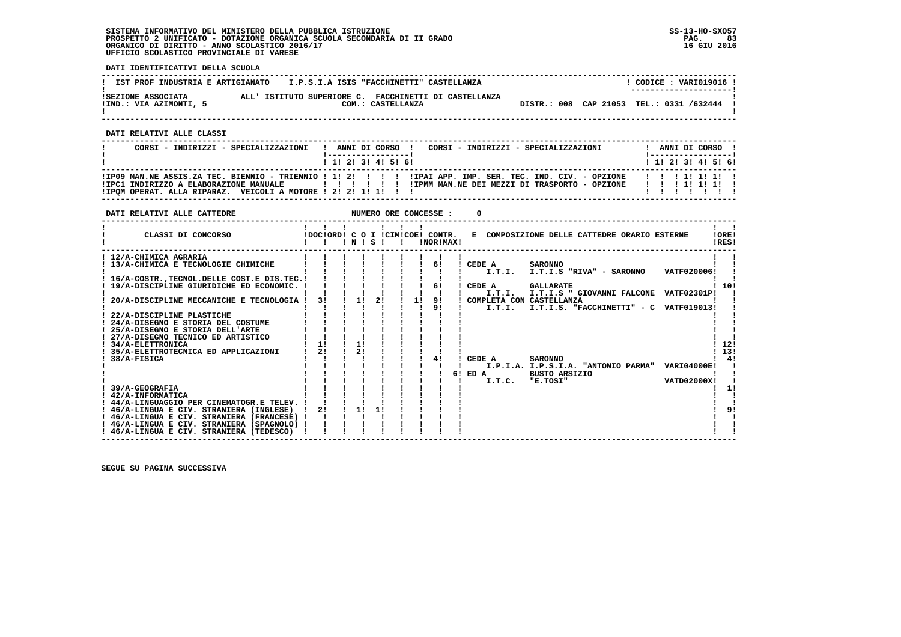### **SISTEMA INFORMATIVO DEL MINISTERO DELLA PUBBLICA ISTRUZIONE SS-13-HO-SXO57 PROSPETTO 2 UNIFICATO - DOTAZIONE ORGANICA SCUOLA SECONDARIA DI II GRADO PAG. 83 ORGANICO DI DIRITTO - ANNO SCOLASTICO 2016/17 16 GIU 2016 UFFICIO SCOLASTICO PROVINCIALE DI VARESE**

 **DATI IDENTIFICATIVI DELLA SCUOLA**

| IST PROF INDUSTRIA E ARTIGIANATO             | I.P.S.I.A ISIS "FACCHINETTI" CASTELLANZA                                   |                                          | CODICE: VARI019016 !<br>------------------ |
|----------------------------------------------|----------------------------------------------------------------------------|------------------------------------------|--------------------------------------------|
| ISEZIONE ASSOCIATA<br>!IND.: VIA AZIMONTI, 5 | ALL' ISTITUTO SUPERIORE C. FACCHINETTI DI CASTELLANZA<br>COM.: CASTELLANZA | DISTR.: 008 CAP 21053 TEL.: 0331 /632444 |                                            |
| DATI RELATIVI ALLE CLASSI                    |                                                                            |                                          |                                            |
| CORSI - INDIRIZZI - SPECIALIZZAZIONI         | ANNI DI CORSO<br>! 1! 2! 3! 4! 5! 6!                                       | CORSI - INDIRIZZI - SPECIALIZZAZIONI     | ANNI DI CORSO<br>$1$ , 1! 2! 3! 4! 5! 6!   |

  **------------------------------------------------------------------------------------------------------------------------------------ !IP09 MAN.NE ASSIS.ZA TEC. BIENNIO - TRIENNIO ! 1! 2! ! ! ! !IPAI APP. IMP. SER. TEC. IND. CIV. - OPZIONE ! ! ! 1! 1! 1! ! !IPC1 INDIRIZZO A ELABORAZIONE MANUALE ! ! ! ! ! ! !IPMM MAN.NE DEI MEZZI DI TRASPORTO - OPZIONE ! ! ! 1! 1! 1! ! !IPQM OPERAT. ALLA RIPARAZ. VEICOLI A MOTORE ! 2! 2! 1! 1! ! ! ! ! ! ! ! ! ! ------------------------------------------------------------------------------------------------------------------------------------**

| DATI RELATIVI ALLE CATTEDRE                    |    |                 |    |    | NUMERO ORE CONCESSE :                           |                          |                                              |                    |                |
|------------------------------------------------|----|-----------------|----|----|-------------------------------------------------|--------------------------|----------------------------------------------|--------------------|----------------|
| CLASSI DI CONCORSO                             |    | $'$ N $'$ S $'$ |    |    | IDOCIORD! C O I ICIMICOE! CONTR.<br>INOR ! MAX! |                          | E COMPOSIZIONE DELLE CATTEDRE ORARIO ESTERNE |                    | 10RE!<br>IRES! |
| ! 12/A-CHIMICA AGRARIA                         |    |                 |    |    |                                                 |                          |                                              |                    |                |
| 13/A-CHIMICA E TECNOLOGIE CHIMICHE             |    |                 |    |    | 61                                              | CEDE A                   | <b>SARONNO</b>                               |                    |                |
|                                                |    |                 |    |    |                                                 | I.T.I.                   | I.T.I.S "RIVA" - SARONNO                     | VATF020006!        |                |
| 16/A-COSTR., TECNOL. DELLE COST. E DIS. TEC. ! |    |                 |    |    |                                                 |                          |                                              |                    |                |
| 19/A-DISCIPLINE GIURIDICHE ED ECONOMIC.        |    |                 |    |    | 61                                              | CEDE A                   | <b>GALLARATE</b>                             |                    | 10!            |
|                                                |    |                 |    |    |                                                 | I.T.T.                   | I.T.I.S " GIOVANNI FALCONE VATF02301P!       |                    |                |
| 20/A-DISCIPLINE MECCANICHE E TECNOLOGIA !      | 31 | 1!              | 21 | 11 | 9!                                              | COMPLETA CON CASTELLANZA |                                              |                    |                |
|                                                |    |                 |    |    | 91                                              | I.T.I.                   | I.T.I.S. "FACCHINETTI" - C VATF019013!       |                    |                |
| 22/A-DISCIPLINE PLASTICHE                      |    |                 |    |    |                                                 |                          |                                              |                    |                |
| 24/A-DISEGNO E STORIA DEL COSTUME              |    |                 |    |    |                                                 |                          |                                              |                    |                |
| 25/A-DISEGNO E STORIA DELL'ARTE                |    |                 |    |    |                                                 |                          |                                              |                    |                |
| 27/A-DISEGNO TECNICO ED ARTISTICO              |    |                 |    |    |                                                 |                          |                                              |                    |                |
| ! 34/A-ELETTRONICA                             | 1! | 11              |    |    |                                                 |                          |                                              |                    | 12!            |
| 35/A-ELETTROTECNICA ED APPLICAZIONI            | 21 | 21              |    |    |                                                 |                          |                                              |                    | 13!            |
| 38/A-FISICA                                    |    |                 |    |    | 41                                              | CEDE A                   | <b>SARONNO</b>                               |                    | 4!             |
|                                                |    |                 |    |    |                                                 |                          | I.P.I.A. I.P.S.I.A. "ANTONIO PARMA"          | <b>VARI04000E!</b> |                |
|                                                |    |                 |    |    |                                                 | 6! ED A                  | <b>BUSTO ARSIZIO</b>                         |                    |                |
|                                                |    |                 |    |    |                                                 | I.T.C.                   | "E.TOSI"                                     | <b>VATD02000X!</b> |                |
| 39/A-GEOGRAFIA                                 |    |                 |    |    |                                                 |                          |                                              |                    | 11             |
| 42/A-INFORMATICA                               |    |                 |    |    |                                                 |                          |                                              |                    |                |
| ! 44/A-LINGUAGGIO PER CINEMATOGR.E TELEV.      |    |                 |    |    |                                                 |                          |                                              |                    |                |
| ! 46/A-LINGUA E CIV. STRANIERA (INGLESE)       | 21 | 11              | 11 |    |                                                 |                          |                                              |                    | ! ۹            |
| ! 46/A-LINGUA E CIV. STRANIERA (FRANCESE) !    |    |                 |    |    |                                                 |                          |                                              |                    |                |
| ! 46/A-LINGUA E CIV. STRANIERA (SPAGNOLO) !    |    |                 |    |    |                                                 |                          |                                              |                    |                |
| ! 46/A-LINGUA E CIV. STRANIERA (TEDESCO)       |    |                 |    |    |                                                 |                          |                                              |                    |                |
|                                                |    |                 |    |    |                                                 |                          |                                              |                    |                |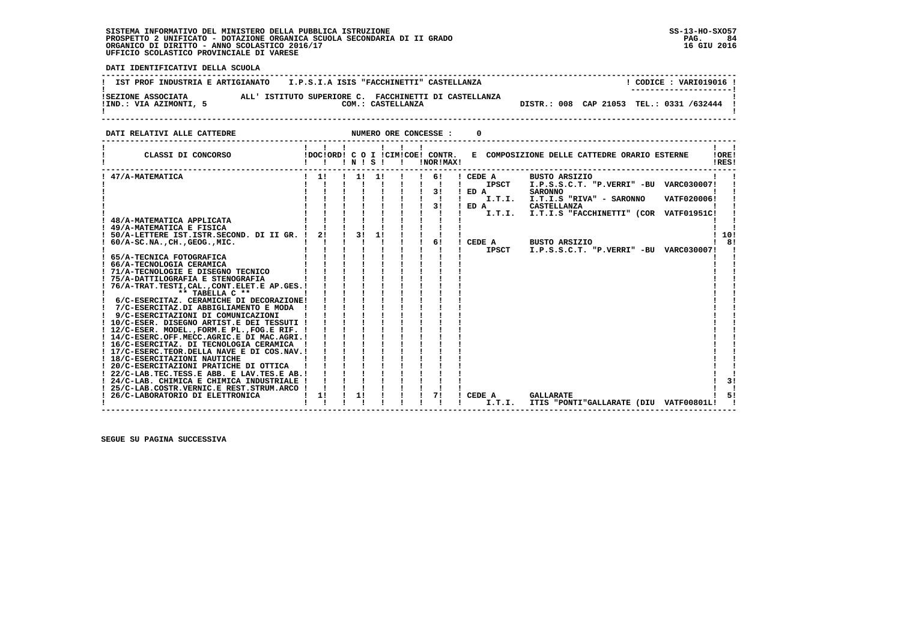### **SISTEMA INFORMATIVO DEL MINISTERO DELLA PUBBLICA ISTRUZIONE SS-13-HO-SXO57 PROSPETTO 2 UNIFICATO - DOTAZIONE ORGANICA SCUOLA SECONDARIA DI II GRADO PAG. 84 ORGANICO DI DIRITTO - ANNO SCOLASTICO 2016/17 16 GIU 2016 UFFICIO SCOLASTICO PROVINCIALE DI VARESE**

:

 **DATI IDENTIFICATIVI DELLA SCUOLA**

| DAII IDENIIFICATIVI DELLA SCUOLA                                                                                                                                                                                                                                                                                                                                                                                                                                                                                                                                                                                                                                                                                                                                                                                                                                                                                             |                                                                                                                                                                                     |                                                                                   |                                                                                                                                                                                                                                                                                                                                                                                      |                                                                                                                                                                                                                                                                                                                                    |
|------------------------------------------------------------------------------------------------------------------------------------------------------------------------------------------------------------------------------------------------------------------------------------------------------------------------------------------------------------------------------------------------------------------------------------------------------------------------------------------------------------------------------------------------------------------------------------------------------------------------------------------------------------------------------------------------------------------------------------------------------------------------------------------------------------------------------------------------------------------------------------------------------------------------------|-------------------------------------------------------------------------------------------------------------------------------------------------------------------------------------|-----------------------------------------------------------------------------------|--------------------------------------------------------------------------------------------------------------------------------------------------------------------------------------------------------------------------------------------------------------------------------------------------------------------------------------------------------------------------------------|------------------------------------------------------------------------------------------------------------------------------------------------------------------------------------------------------------------------------------------------------------------------------------------------------------------------------------|
| IST PROF INDUSTRIA E ARTIGIANATO I.P.S.I.A ISIS "FACCHINETTI" CASTELLANZA                                                                                                                                                                                                                                                                                                                                                                                                                                                                                                                                                                                                                                                                                                                                                                                                                                                    |                                                                                                                                                                                     |                                                                                   |                                                                                                                                                                                                                                                                                                                                                                                      | ! CODICE : VARI019016 !<br>----------------                                                                                                                                                                                                                                                                                        |
|                                                                                                                                                                                                                                                                                                                                                                                                                                                                                                                                                                                                                                                                                                                                                                                                                                                                                                                              |                                                                                                                                                                                     |                                                                                   |                                                                                                                                                                                                                                                                                                                                                                                      | DISTR.: 008 CAP 21053 TEL.: 0331 /632444 !                                                                                                                                                                                                                                                                                         |
| DATI RELATIVI ALLE CATTEDRE                                                                                                                                                                                                                                                                                                                                                                                                                                                                                                                                                                                                                                                                                                                                                                                                                                                                                                  |                                                                                                                                                                                     | NUMERO ORE CONCESSE :                                                             | $\Omega$                                                                                                                                                                                                                                                                                                                                                                             |                                                                                                                                                                                                                                                                                                                                    |
| CLASSI DI CONCORSO                                                                                                                                                                                                                                                                                                                                                                                                                                                                                                                                                                                                                                                                                                                                                                                                                                                                                                           |                                                                                                                                                                                     | $1 \quad 1 \quad 1 \quad 1 \quad 1 \quad 1$<br>!DOC!ORD! C O I !CIM!COE! CONTR.   |                                                                                                                                                                                                                                                                                                                                                                                      | E COMPOSIZIONE DELLE CATTEDRE ORARIO ESTERNE<br>IOREI<br>IRES!                                                                                                                                                                                                                                                                     |
| 47/A-MATEMATICA<br>$: 60/A-SC.NA.$ , $CH.$ , $GEOG.$ , $MIC.$<br>! 65/A-TECNICA FOTOGRAFICA<br>! 66/A-TECNOLOGIA CERAMICA<br>! 71/A-TECNOLOGIE E DISEGNO TECNICO<br>! 75/A-DATTILOGRAFIA E STENOGRAFIA<br>! 76/A-TRAT.TESTI, CAL., CONT.ELET.E AP.GES. !<br>** TABELLA C **<br>! 6/C-ESERCITAZ. CERAMICHE DI DECORAZIONE!<br>7/C-ESERCITAZ.DI ABBIGLIAMENTO E MODA !<br>! 9/C-ESERCITAZIONI DI COMUNICAZIONI<br>! 10/C-ESER. DISEGNO ARTIST.E DEI TESSUTI !<br>! 12/C-ESER. MODEL., FORM.E PL., FOG.E RIF. !<br>! 14/C-ESERC.OFF.MECC.AGRIC.E DI MAC.AGRI.!<br>! 16/C-ESERCITAZ. DI TECNOLOGIA CERAMICA !<br>! 17/C-ESERC.TEOR.DELLA NAVE E DI COS.NAV.!<br>! 18/C-ESERCITAZIONI NAUTICHE<br>! 20/C-ESERCITAZIONI PRATICHE DI OTTICA<br>! 22/C-LAB.TEC.TESS.E ABB. E LAV.TES.E AB.!<br>! 24/C-LAB. CHIMICA E CHIMICA INDUSTRIALE !<br>! 25/C-LAB.COSTR.VERNIC.E REST.STRUM.ARCO ! ! ! !<br>! 26/C-LABORATORIO DI ELETTRONICA | $\frac{1}{2}$<br>$\mathbf{1}$ $\mathbf{1}$ $\mathbf{1}$ $\mathbf{1}$<br>ai i i<br>$\mathbf{1}$ $\mathbf{1}$ $\mathbf{1}$<br>$\mathbf{i}$ $\mathbf{i}$ $\mathbf{j}$<br>$\frac{1}{1}$ | $1 \quad 1 \quad 1 \quad 1 \quad 1 \quad 1$<br>1 1 1 1 1 1 1 6 1<br><u>iiiiii</u> | $\frac{1}{6}$<br>! CEDE A<br>IPSCT<br>$\blacksquare$ $\blacksquare$ $\blacksquare$ $\blacksquare$ $\blacksquare$ $\blacksquare$ $\blacksquare$ $\blacksquare$ $\blacksquare$ $\blacksquare$ $\blacksquare$ $\blacksquare$ $\blacksquare$ $\blacksquare$ $\blacksquare$<br>$\mathbf{1}$ $\mathbf{1}$ $\mathbf{1}$<br>and the control of the state of<br>!!!!!!!!!!!<br>71<br>I CEDE A | <b>BUSTO ARSIZIO</b><br>I.P.S.S.C.T. "P.VERRI" -BU VARC030007!<br><b>SARONNO</b><br>I.T.I. I.T.I.S "RIVA" - SARONNO<br>VATF020006!<br><b>CASTELLANZA</b><br>1101<br>! CEDE A BUSTO ARSIZIO<br>181<br>IPSCT I.P.S.S.C.T. "P.VERRI" -BU VARC030007!<br>31<br><b>GALLARATE</b><br>51<br>I.T.I. ITIS "PONTI"GALLARATE (DIU VATF00801L! |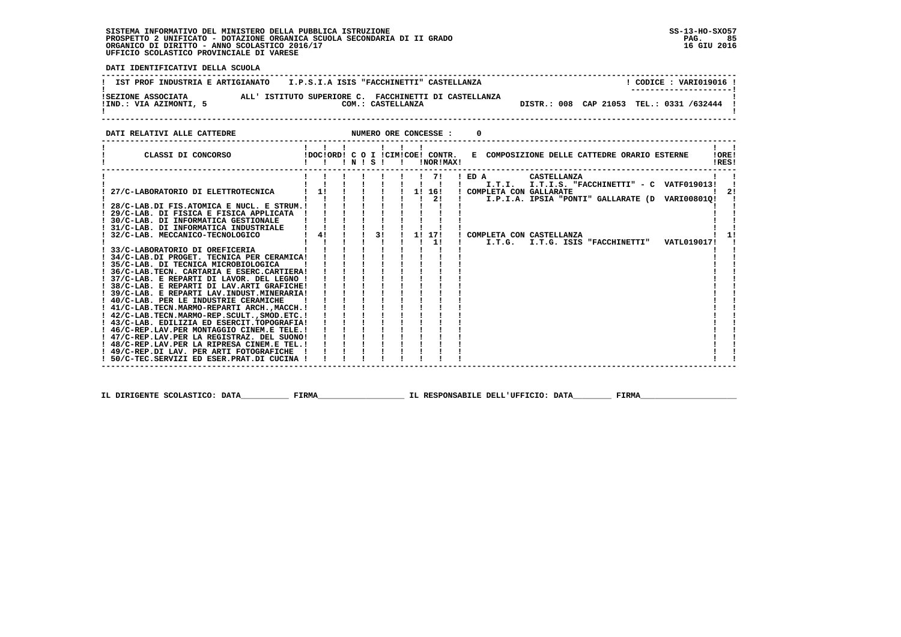## **SISTEMA INFORMATIVO DEL MINISTERO DELLA PUBBLICA ISTRUZIONE SS-13-HO-SXO57 PROSPETTO 2 UNIFICATO - DOTAZIONE ORGANICA SCUOLA SECONDARIA DI II GRADO PAG. 85 ORGANICO DI DIRITTO - ANNO SCOLASTICO 2016/17 16 GIU 2016 UFFICIO SCOLASTICO PROVINCIALE DI VARESE**

i

 **DATI IDENTIFICATIVI DELLA SCUOLA**

| IST PROF INDUSTRIA E ARTIGIANATO             | I.P.S.I.A ISIS "FACCHINETTI" CASTELLANZA                                   | CODICE: VARI019016 !<br>---------------------- |
|----------------------------------------------|----------------------------------------------------------------------------|------------------------------------------------|
| ISEZIONE ASSOCIATA<br>IIND.: VIA AZIMONTI, 5 | ALL' ISTITUTO SUPERIORE C. FACCHINETTI DI CASTELLANZA<br>COM.: CASTELLANZA | DISTR.: 008 CAP 21053 TEL.: 0331 /632444       |

 **DATI RELATIVI ALLE CATTEDRE NUMERO ORE CONCESSE : 0**

| CLASSI DI CONCORSO                                                                           | !DOC!ORD! C O I !CIM!COE! CONTR. | $'$ N $'$ S $'$ |    |    |        | !NOR!MAX! | E COMPOSIZIONE DELLE CATTEDRE ORARIO ESTERNE              | IORE!<br>!RES! |
|----------------------------------------------------------------------------------------------|----------------------------------|-----------------|----|----|--------|-----------|-----------------------------------------------------------|----------------|
|                                                                                              |                                  |                 |    |    | 71     |           | $I$ ED A<br>CASTELLANZA                                   |                |
|                                                                                              |                                  |                 |    |    |        |           | I.T.I. I.T.I.S. "FACCHINETTI" - C VATF019013!             |                |
| 27/C-LABORATORIO DI ELETTROTECNICA                                                           | 11                               |                 |    |    | 1! 16! |           | ! COMPLETA CON GALLARATE                                  |                |
|                                                                                              |                                  |                 |    |    | 2!     |           | I.P.I.A. IPSIA "PONTI" GALLARATE (D VARI008010!           |                |
| ! 28/C-LAB.DI FIS.ATOMICA E NUCL. E STRUM.!                                                  |                                  |                 |    |    |        |           |                                                           |                |
| 29/C-LAB. DI FISICA E FISICA APPLICATA                                                       |                                  |                 |    |    |        |           |                                                           |                |
| ! 30/C-LAB. DI INFORMATICA GESTIONALE                                                        |                                  |                 |    |    |        |           |                                                           |                |
| ! 31/C-LAB. DI INFORMATICA INDUSTRIALE                                                       |                                  |                 |    |    |        |           |                                                           |                |
| 32/C-LAB. MECCANICO-TECNOLOGICO                                                              | 4!                               |                 | 31 | 11 | 17!    |           | ! COMPLETA CON CASTELLANZA                                |                |
|                                                                                              |                                  |                 |    |    | 11     |           | I.T.G.<br>I.T.G. ISIS "FACCHINETTI"<br><b>VATL019017!</b> |                |
| 33/C-LABORATORIO DI OREFICERIA                                                               |                                  |                 |    |    |        |           |                                                           |                |
| ! 34/C-LAB.DI PROGET. TECNICA PER CERAMICA!                                                  |                                  |                 |    |    |        |           |                                                           |                |
| ! 35/C-LAB. DI TECNICA MICROBIOLOGICA                                                        |                                  |                 |    |    |        |           |                                                           |                |
| ! 36/C-LAB.TECN. CARTARIA E ESERC.CARTIERA!<br>! 37/C-LAB. E REPARTI DI LAVOR. DEL LEGNO !   |                                  |                 |    |    |        |           |                                                           |                |
|                                                                                              |                                  |                 |    |    |        |           |                                                           |                |
| ! 38/C-LAB. E REPARTI DI LAV.ARTI GRAFICHE!<br>! 39/C-LAB. E REPARTI LAV. INDUST. MINERARIA! |                                  |                 |    |    |        |           |                                                           |                |
| ! 40/C-LAB. PER LE INDUSTRIE CERAMICHE                                                       |                                  |                 |    |    |        |           |                                                           |                |
| ! 41/C-LAB.TECN.MARMO-REPARTI ARCH.,MACCH.!                                                  |                                  |                 |    |    |        |           |                                                           |                |
| ! 42/C-LAB.TECN.MARMO-REP.SCULT., SMOD.ETC.!                                                 |                                  |                 |    |    |        |           |                                                           |                |
| ! 43/C-LAB. EDILIZIA ED ESERCIT.TOPOGRAFIA!                                                  |                                  |                 |    |    |        |           |                                                           |                |
| ! 46/C-REP.LAV.PER MONTAGGIO CINEM.E TELE.!                                                  |                                  |                 |    |    |        |           |                                                           |                |
| ! 47/C-REP.LAV.PER LA REGISTRAZ. DEL SUONO!                                                  |                                  |                 |    |    |        |           |                                                           |                |
| ! 48/C-REP.LAV.PER LA RIPRESA CINEM.E TEL.!                                                  |                                  |                 |    |    |        |           |                                                           |                |
| ! 49/C-REP.DI LAV. PER ARTI FOTOGRAFICHE                                                     |                                  |                 |    |    |        |           |                                                           |                |
| ! 50/C-TEC.SERVIZI ED ESER.PRAT.DI CUCINA                                                    |                                  |                 |    |    |        |           |                                                           |                |
|                                                                                              |                                  |                 |    |    |        |           |                                                           |                |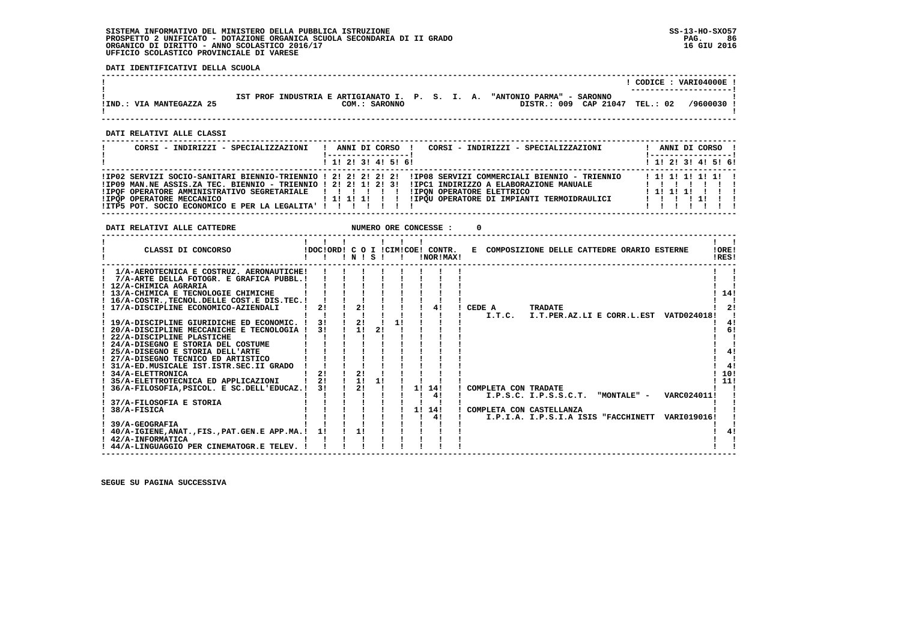### **SISTEMA INFORMATIVO DEL MINISTERO DELLA PUBBLICA ISTRUZIONE SS-13-HO-SXO57 PROSPETTO 2 UNIFICATO - DOTAZIONE ORGANICA SCUOLA SECONDARIA DI II GRADO PAG. 86 ORGANICO DI DIRITTO - ANNO SCOLASTICO 2016/17 16 GIU 2016 UFFICIO SCOLASTICO PROVINCIALE DI VARESE**

 **DATI IDENTIFICATIVI DELLA SCUOLA**

|                          |                                                                                                                           | CODICE: VARI04000E !<br>------------------ |
|--------------------------|---------------------------------------------------------------------------------------------------------------------------|--------------------------------------------|
| !IND.: VIA MANTEGAZZA 25 | "ANTONIO PARMA" - SARONNO<br>IST PROF INDUSTRIA E ARTIGIANATO I. P. S. I. A.<br>CAP 21047<br>DISTR.: 009<br>COM.: SARONNO | TEL.: 02<br>$/9600030$ .                   |

 **------------------------------------------------------------------------------------------------------------------------------------**

 **------------------------------------------------------------------------------------------------------------------------------------**

 **DATI RELATIVI ALLE CLASSI**

| CORSI - INDIRIZZI - SPECIALIZZAZIONI                                                                                                                                                                                      | CORSI - INDIRIZZI - SPECIALIZZAZIONI<br>ANNI DI CORSO !                                                                                                                                                                          | ANNI DI CORSO !                               |
|---------------------------------------------------------------------------------------------------------------------------------------------------------------------------------------------------------------------------|----------------------------------------------------------------------------------------------------------------------------------------------------------------------------------------------------------------------------------|-----------------------------------------------|
|                                                                                                                                                                                                                           | $1$ , 1! 2! 3! 4! 5! 6!                                                                                                                                                                                                          | ! 1! 2! 3! 4! 5! 6!                           |
| !IP09 MAN.NE ASSIS.ZA TEC. BIENNIO - TRIENNIO ! 2! 2! 1! 2! 3!<br>! IPOF OPERATORE AMMINISTRATIVO SEGRETARIALE   ! ! ! ! !<br>!IPOP OPERATORE MECCANICO<br>! ITP5 POT. SOCIO ECONOMICO E PER LA LEGALITA' ! ! ! ! ! ! ! ! | IIPO2 SERVIZI SOCIO-SANITARI BIENNIO-TRIENNIO ! 2! 2! 2! 2! 2! IIPO8 SERVIZI COMMERCIALI BIENNIO - TRIENNIO<br>IIPC1 INDIRIZZO A ELABORAZIONE MANUALE<br>IIPON OPERATORE ELETTRICO<br>IIPOU OPERATORE DI IMPIANTI TERMOIDRAULICI | $1$ 1! 1! 1! 1! 1! 1<br>1 11 11 11<br>1111111 |

 **DATI RELATIVI ALLE CATTEDRE NUMERO ORE CONCESSE : 0**

| CLASSI DI CONCORSO                               |    | !N | s  |    | IDOCIORDI C O I ICIMICOEI CONTR.<br>!NOR!MAX! | E COMPOSIZIONE DELLE CATTEDRE ORARIO ESTERNE<br>!ORE!<br>!RES! |     |
|--------------------------------------------------|----|----|----|----|-----------------------------------------------|----------------------------------------------------------------|-----|
| 1/A-AEROTECNICA E COSTRUZ. AERONAUTICHE!         |    |    |    |    |                                               |                                                                |     |
| 7/A-ARTE DELLA FOTOGR. E GRAFICA PUBBL.!         |    |    |    |    |                                               |                                                                |     |
| ! 12/A-CHIMICA AGRARIA                           |    |    |    |    |                                               |                                                                |     |
| ! 13/A-CHIMICA E TECNOLOGIE CHIMICHE             |    |    |    |    |                                               |                                                                | 14! |
| 16/A-COSTR., TECNOL. DELLE COST. E DIS. TEC. !   |    |    |    |    |                                               |                                                                |     |
| ! 17/A-DISCIPLINE ECONOMICO-AZIENDALI            | 21 | 2! |    |    | 4!                                            | CEDE A<br><b>TRADATE</b>                                       | 21  |
|                                                  |    |    |    |    |                                               | I.T.PER.AZ.LI E CORR.L.EST<br>I.T.C.<br><b>VATD024018!</b>     |     |
| ! 19/A-DISCIPLINE GIURIDICHE ED ECONOMIC.        | 3! | 2! |    |    |                                               |                                                                | 4!  |
| 20/A-DISCIPLINE MECCANICHE E TECNOLOGIA          | 31 | 11 | 2! |    |                                               |                                                                | 6!  |
| ! 22/A-DISCIPLINE PLASTICHE                      |    |    |    |    |                                               |                                                                |     |
| ! 24/A-DISEGNO E STORIA DEL COSTUME              |    |    |    |    |                                               |                                                                |     |
| ! 25/A-DISEGNO E STORIA DELL'ARTE                |    |    |    |    |                                               |                                                                | 4!  |
| 27/A-DISEGNO TECNICO ED ARTISTICO                |    |    |    |    |                                               |                                                                |     |
| 31/A-ED.MUSICALE IST.ISTR.SEC.II GRADO           |    |    |    |    |                                               |                                                                | 41  |
| ! 34/A-ELETTRONICA                               | 21 | 2! |    |    |                                               |                                                                | 10! |
| 35/A-ELETTROTECNICA ED APPLICAZIONI              | 21 | 11 |    |    |                                               | 11!                                                            |     |
| 36/A-FILOSOFIA, PSICOL. E SC.DELL'EDUCAZ.!       | 31 | 21 |    | 11 | 14!                                           | COMPLETA CON TRADATE                                           |     |
|                                                  |    |    |    |    | 4!                                            | I.P.S.C. I.P.S.S.C.T.<br>VARC024011!<br>"MONTALE" -            |     |
| 37/A-FILOSOFIA E STORIA                          |    |    |    |    |                                               |                                                                |     |
| 38/A-FISICA                                      |    |    |    | 11 | 14!                                           | COMPLETA CON CASTELLANZA                                       |     |
|                                                  |    |    |    |    | 41                                            | I.P.I.A. I.P.S.I.A ISIS "FACCHINETT<br>VARI019016!             |     |
| 39/A-GEOGRAFIA                                   |    |    |    |    |                                               |                                                                |     |
| ! 40/A-IGIENE, ANAT., FIS., PAT. GEN. E APP.MA.! | 11 | 11 |    |    |                                               |                                                                | 41  |
| <b>42/A-INFORMATICA</b>                          |    |    |    |    |                                               |                                                                |     |
| ! 44/A-LINGUAGGIO PER CINEMATOGR.E TELEV.        |    |    |    |    |                                               |                                                                |     |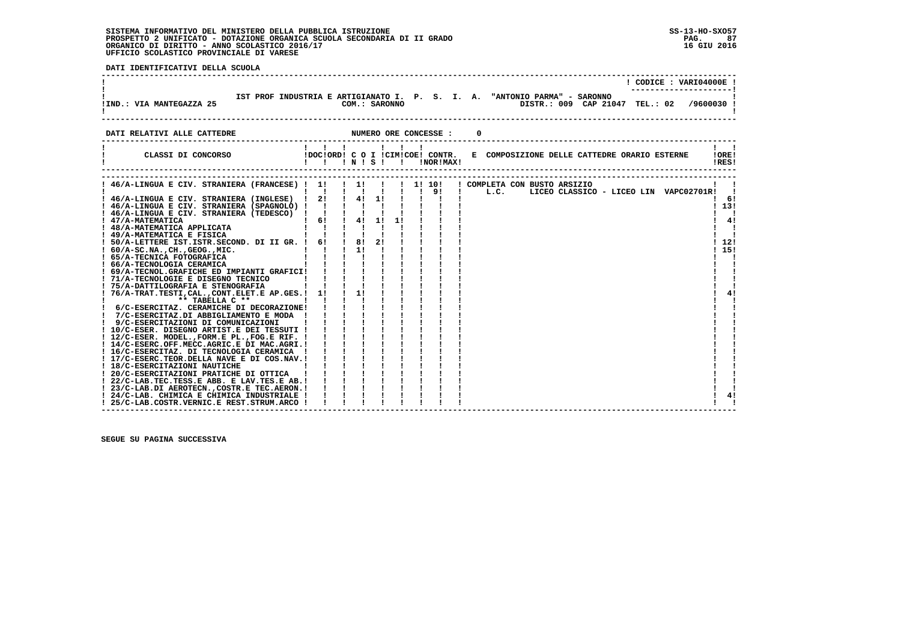### **SISTEMA INFORMATIVO DEL MINISTERO DELLA PUBBLICA ISTRUZIONE SS-13-HO-SXO57 PROSPETTO 2 UNIFICATO - DOTAZIONE ORGANICA SCUOLA SECONDARIA DI II GRADO PAG. 87 ORGANICO DI DIRITTO - ANNO SCOLASTICO 2016/17 16 GIU 2016 UFFICIO SCOLASTICO PROVINCIALE DI VARESE**

 **DATI IDENTIFICATIVI DELLA SCUOLA**

|                          |  |                                                                  |  |  |                                          |                    | CODICE: VARI04000E! |
|--------------------------|--|------------------------------------------------------------------|--|--|------------------------------------------|--------------------|---------------------|
| !IND.: VIA MANTEGAZZA 25 |  | IST PROF INDUSTRIA E ARTIGIANATO I. P. S. I. A.<br>COM.: SARONNO |  |  | "ANTONIO PARMA" - SARONNO<br>DISTR.: 009 | CAP 21047 TEL.: 02 | /9600030 !          |

 **DATI RELATIVI ALLE CATTEDRE NUMERO ORE CONCESSE : 0**

| CLASSI DI CONCORSO                                               |              |                          |     | <b>INISI</b> | -1 | !DOC!ORD! C O I !CIM!COE! CONTR.<br>!NOR!MAX! |                                      |  |  |  | E COMPOSIZIONE DELLE CATTEDRE ORARIO ESTERNE |  | IORE <sub>1</sub><br>!RES! |     |
|------------------------------------------------------------------|--------------|--------------------------|-----|--------------|----|-----------------------------------------------|--------------------------------------|--|--|--|----------------------------------------------|--|----------------------------|-----|
|                                                                  |              |                          |     |              |    |                                               |                                      |  |  |  |                                              |  |                            |     |
| ! 46/A-LINGUA E CIV. STRANIERA (FRANCESE) ! 1! ! 1! !            |              |                          |     |              |    | !!! 10!<br>! 9!                               | ! COMPLETA CON BUSTO ARSIZIO<br>L.C. |  |  |  | LICEO CLASSICO - LICEO LIN VAPC02701R!       |  |                            |     |
| ! 46/A-LINGUA E CIV. STRANIERA (INGLESE) !                       | 2!           | <b>Contract Contract</b> | 4!  | 11           |    |                                               |                                      |  |  |  |                                              |  |                            | -61 |
| ! 46/A-LINGUA E CIV. STRANIERA (SPAGNOLO) !                      | $\mathbf{I}$ |                          |     |              |    |                                               |                                      |  |  |  |                                              |  | 13!                        |     |
| ! 46/A-LINGUA E CIV. STRANIERA (TEDESCO)                         |              |                          |     |              |    |                                               |                                      |  |  |  |                                              |  |                            |     |
| ! 47/A-MATEMATICA                                                | 61           |                          | 4!  | 11           | 11 |                                               |                                      |  |  |  |                                              |  |                            | 4!  |
| ! 48/A-MATEMATICA APPLICATA                                      |              |                          |     |              |    |                                               |                                      |  |  |  |                                              |  |                            |     |
| ! 49/A-MATEMATICA E FISICA                                       |              |                          |     |              |    |                                               |                                      |  |  |  |                                              |  |                            |     |
| ! 50/A-LETTERE IST.ISTR.SECOND. DI II GR. !                      | 61           |                          | 181 | 21           |    |                                               |                                      |  |  |  |                                              |  | 12!                        |     |
| $: 60/A-SC.NA.$ , $CH.$ , $GEOG.$ , $MIC.$                       |              |                          | 11  |              |    |                                               |                                      |  |  |  |                                              |  | 15!                        |     |
| ! 65/A-TECNICA FOTOGRAFICA                                       |              |                          |     |              |    |                                               |                                      |  |  |  |                                              |  |                            |     |
| ! 66/A-TECNOLOGIA CERAMICA                                       |              |                          |     |              |    |                                               |                                      |  |  |  |                                              |  |                            |     |
| ! 69/A-TECNOL.GRAFICHE ED IMPIANTI GRAFICI!                      |              |                          |     |              |    |                                               |                                      |  |  |  |                                              |  |                            |     |
| ! 71/A-TECNOLOGIE E DISEGNO TECNICO                              |              |                          |     |              |    |                                               |                                      |  |  |  |                                              |  |                            |     |
| ! 75/A-DATTILOGRAFIA E STENOGRAFIA                               |              |                          | 11  |              |    |                                               |                                      |  |  |  |                                              |  |                            | 41  |
| 76/A-TRAT.TESTI, CAL., CONT.ELET.E AP.GES.!                      | 11           |                          |     |              |    |                                               |                                      |  |  |  |                                              |  |                            |     |
| $**$ TABELLA $C**$<br>! 6/C-ESERCITAZ. CERAMICHE DI DECORAZIONE! |              |                          |     |              |    |                                               |                                      |  |  |  |                                              |  |                            |     |
| 7/C-ESERCITAZ.DI ABBIGLIAMENTO E MODA                            |              |                          |     |              |    |                                               |                                      |  |  |  |                                              |  |                            |     |
| 9/C-ESERCITAZIONI DI COMUNICAZIONI                               |              |                          |     |              |    |                                               |                                      |  |  |  |                                              |  |                            |     |
| ! 10/C-ESER. DISEGNO ARTIST.E DEI TESSUTI !                      |              |                          |     |              |    |                                               |                                      |  |  |  |                                              |  |                            |     |
| ! 12/C-ESER. MODEL., FORM.E PL., FOG.E RIF. !                    |              |                          |     |              |    |                                               |                                      |  |  |  |                                              |  |                            |     |
| ! 14/C-ESERC.OFF.MECC.AGRIC.E DI MAC.AGRI.!                      |              |                          |     |              |    |                                               |                                      |  |  |  |                                              |  |                            |     |
| ! 16/C-ESERCITAZ. DI TECNOLOGIA CERAMICA                         |              |                          |     |              |    |                                               |                                      |  |  |  |                                              |  |                            |     |
| ! 17/C-ESERC.TEOR.DELLA NAVE E DI COS.NAV.!                      |              |                          |     |              |    |                                               |                                      |  |  |  |                                              |  |                            |     |
| ! 18/C-ESERCITAZIONI NAUTICHE                                    |              |                          |     |              |    |                                               |                                      |  |  |  |                                              |  |                            |     |
| ! 20/C-ESERCITAZIONI PRATICHE DI OTTICA                          |              |                          |     |              |    |                                               |                                      |  |  |  |                                              |  |                            |     |
| ! 22/C-LAB.TEC.TESS.E ABB. E LAV.TES.E AB.!                      |              |                          |     |              |    |                                               |                                      |  |  |  |                                              |  |                            |     |
| ! 23/C-LAB.DI AEROTECNCOSTR.E TEC.AERON.!                        |              |                          |     |              |    |                                               |                                      |  |  |  |                                              |  |                            |     |
| ! 24/C-LAB. CHIMICA E CHIMICA INDUSTRIALE !                      |              |                          |     |              |    |                                               |                                      |  |  |  |                                              |  |                            | 4!  |
| ! 25/C-LAB.COSTR.VERNIC.E REST.STRUM.ARCO !                      |              |                          |     |              |    |                                               |                                      |  |  |  |                                              |  |                            |     |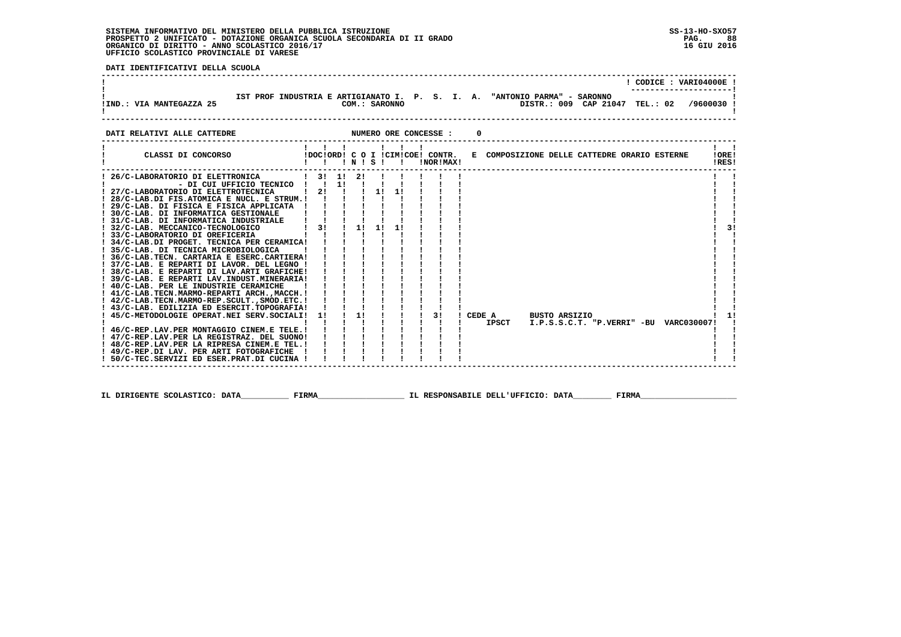### **SISTEMA INFORMATIVO DEL MINISTERO DELLA PUBBLICA ISTRUZIONE SS-13-HO-SXO57 PROSPETTO 2 UNIFICATO - DOTAZIONE ORGANICA SCUOLA SECONDARIA DI II GRADO PAG. 88 ORGANICO DI DIRITTO - ANNO SCOLASTICO 2016/17 16 GIU 2016 UFFICIO SCOLASTICO PROVINCIALE DI VARESE**

 **DATI IDENTIFICATIVI DELLA SCUOLA**

|                             | "ANTONIO PARMA" - SARONNO<br>IST PROF INDUSTRIA E ARTIGIANATO I. P. S. I. A. | CODICE: VARI04000E! |
|-----------------------------|------------------------------------------------------------------------------|---------------------|
| !IND.: VIA MANTEGAZZA 25    | DISTR.: 009 CAP 21047 TEL.: 02<br>COM.: SARONNO                              | /9600030            |
| DATI RELATIVI ALLE CATTEDRE | NUMERO ORE CONCESSE :                                                        |                     |

| CLASSI DI CONCORSO                              |    |          |           | 1 N S 1 1 | !NOR!MAX! | !DOC!ORD! C O I !CIM!COE! CONTR. E COMPOSIZIONE DELLE CATTEDRE ORARIO ESTERNE |                      |  |  |                                        | !ORE!<br>!RES! |    |
|-------------------------------------------------|----|----------|-----------|-----------|-----------|-------------------------------------------------------------------------------|----------------------|--|--|----------------------------------------|----------------|----|
| 26/C-LABORATORIO DI ELETTRONICA                 |    | -21      |           |           |           |                                                                               |                      |  |  |                                        |                |    |
| - DI CUI UFFICIO TECNICO !!!                    |    | $1!$ $1$ |           |           |           |                                                                               |                      |  |  |                                        |                |    |
| ! 27/C-LABORATORIO DI ELETTROTECNICA            | 21 |          | 11        |           |           |                                                                               |                      |  |  |                                        |                |    |
| $!$ 28/C-LAB.DI FIS.ATOMICA E NUCL. E STRUM.!!  |    |          |           |           |           |                                                                               |                      |  |  |                                        |                |    |
| ! 29/C-LAB. DI FISICA E FISICA APPLICATA        |    |          |           |           |           |                                                                               |                      |  |  |                                        |                |    |
| ! 30/C-LAB. DI INFORMATICA GESTIONALE           |    |          |           |           |           |                                                                               |                      |  |  |                                        |                |    |
| ! 31/C-LAB. DI INFORMATICA INDUSTRIALE          |    |          |           |           |           |                                                                               |                      |  |  |                                        |                |    |
| ! 32/C-LAB. MECCANICO-TECNOLOGICO               | 31 | 1!       | <b>11</b> |           |           |                                                                               |                      |  |  |                                        |                | 31 |
| ! 33/C-LABORATORIO DI OREFICERIA                |    |          |           |           |           |                                                                               |                      |  |  |                                        |                |    |
| ! 34/C-LAB.DI PROGET. TECNICA PER CERAMICA!     |    |          |           |           |           |                                                                               |                      |  |  |                                        |                |    |
| ! 35/C-LAB. DI TECNICA MICROBIOLOGICA           |    |          |           |           |           |                                                                               |                      |  |  |                                        |                |    |
| ! 36/C-LAB.TECN. CARTARIA E ESERC.CARTIERA!     |    |          |           |           |           |                                                                               |                      |  |  |                                        |                |    |
| ! 37/C-LAB. E REPARTI DI LAVOR. DEL LEGNO !     |    |          |           |           |           |                                                                               |                      |  |  |                                        |                |    |
| ! 38/C-LAB. E REPARTI DI LAV.ARTI GRAFICHE!     |    |          |           |           |           |                                                                               |                      |  |  |                                        |                |    |
| ! 39/C-LAB. E REPARTI LAV.INDUST.MINERARIA!     |    |          |           |           |           |                                                                               |                      |  |  |                                        |                |    |
| ! 40/C-LAB. PER LE INDUSTRIE CERAMICHE          |    |          |           |           |           |                                                                               |                      |  |  |                                        |                |    |
| ! 41/C-LAB. TECN. MARMO-REPARTI ARCH., MACCH. ! |    |          |           |           |           |                                                                               |                      |  |  |                                        |                |    |
| ! 42/C-LAB.TECN.MARMO-REP.SCULT., SMOD.ETC. !   |    |          |           |           |           |                                                                               |                      |  |  |                                        |                |    |
| ! 43/C-LAB. EDILIZIA ED ESERCIT.TOPOGRAFIA!     |    |          |           |           |           |                                                                               |                      |  |  |                                        |                |    |
| 45/C-METODOLOGIE OPERAT.NEI SERV.SOCIALI!       | 11 | 11       |           |           | 31        | CEDE A                                                                        | <b>BUSTO ARSIZIO</b> |  |  |                                        |                |    |
|                                                 |    |          |           |           |           | IPSCT                                                                         |                      |  |  | I.P.S.S.C.T. "P.VERRI" -BU VARC030007! |                |    |
| ! 46/C-REP.LAV.PER MONTAGGIO CINEM.E TELE.!     |    |          |           |           |           |                                                                               |                      |  |  |                                        |                |    |
| ! 47/C-REP.LAV.PER LA REGISTRAZ. DEL SUONO!     |    |          |           |           |           |                                                                               |                      |  |  |                                        |                |    |
| ! 48/C-REP.LAV.PER LA RIPRESA CINEM.E TEL.!     |    |          |           |           |           |                                                                               |                      |  |  |                                        |                |    |
| ! 49/C-REP.DI LAV. PER ARTI FOTOGRAFICHE        |    |          |           |           |           |                                                                               |                      |  |  |                                        |                |    |
| ! 50/C-TEC.SERVIZI ED ESER.PRAT.DI CUCINA !     |    |          |           |           |           |                                                                               |                      |  |  |                                        |                |    |

 **IL DIRIGENTE SCOLASTICO: DATA\_\_\_\_\_\_\_\_\_\_ FIRMA\_\_\_\_\_\_\_\_\_\_\_\_\_\_\_\_\_\_ IL RESPONSABILE DELL'UFFICIO: DATA\_\_\_\_\_\_\_\_ FIRMA\_\_\_\_\_\_\_\_\_\_\_\_\_\_\_\_\_\_\_\_**

 **------------------------------------------------------------------------------------------------------------------------------------**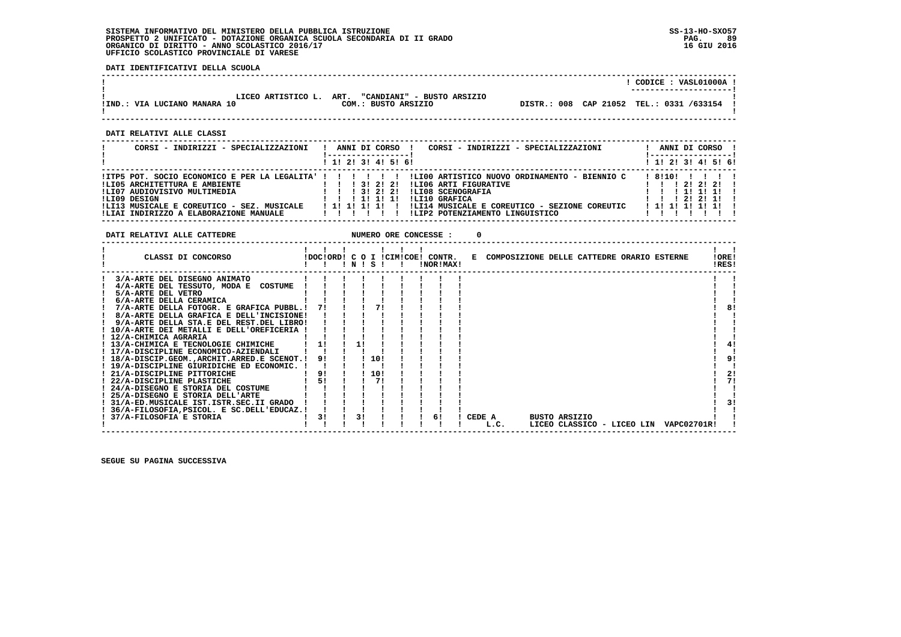### **SISTEMA INFORMATIVO DEL MINISTERO DELLA PUBBLICA ISTRUZIONE SS-13-HO-SXO57 PROSPETTO 2 UNIFICATO - DOTAZIONE ORGANICA SCUOLA SECONDARIA DI II GRADO PAG. 89 ORGANICO DI DIRITTO - ANNO SCOLASTICO 2016/17 16 GIU 2016 UFFICIO SCOLASTICO PROVINCIALE DI VARESE**

 **DATI IDENTIFICATIVI DELLA SCUOLA**

|                              |                            |  | CODICE: VASL01000A !<br>---------------------- |
|------------------------------|----------------------------|--|------------------------------------------------|
| LICEO ARTISTICO L. ART.      | "CANDIANI" - BUSTO ARSIZIO |  |                                                |
| !IND.: VIA LUCIANO MANARA 10 | COM.: BUSTO ARSIZIO        |  | DISTR.: 008 CAP 21052 TEL.: 0331 /633154       |
|                              |                            |  |                                                |

 **------------------------------------------------------------------------------------------------------------------------------------**

 **------------------------------------------------------------------------------------------------------------------------------------**

 **DATI RELATIVI ALLE CLASSI**

| CORSI - INDIRIZZI - SPECIALIZZAZIONI                                                                 |  |  |                                           | ANNI DI CORSO       | ANNI DI CORSO !<br>CORSI - INDIRIZZI - SPECIALIZZAZIONI                                                                                                                                               |
|------------------------------------------------------------------------------------------------------|--|--|-------------------------------------------|---------------------|-------------------------------------------------------------------------------------------------------------------------------------------------------------------------------------------------------|
|                                                                                                      |  |  |                                           | ! 1! 2! 3! 4! 5! 6! | $1 \; 1 \; 2 \; 3 \; 1 \; 4 \; 5 \; 6 \; 6$                                                                                                                                                           |
| 1 1 1 3 1 2 1 2 1<br>!LI05 ARCHITETTURA E AMBIENTE<br>!LI07 AUDIOVISIVO MULTIMEDIA                   |  |  | 1 1 1 3 1 2 1 2 1                         |                     | IITP5 POT. SOCIO ECONOMICO E PER LA LEGALITA' ! ! !! !! ILI00 ARTISTICO NUOVO ORDINAMENTO - BIENNIO C<br>! 8!10!<br>1111<br>ILI06 ARTI FIGURATIVE<br>1 2 1 2 1 2 1<br>!LI08 SCENOGRAFIA<br>1 11 11 11 |
| !LI09 DESIGN<br>!LI13 MUSICALE E COREUTICO - SEZ. MUSICALE<br>!LIAI INDIRIZZO A ELABORAZIONE MANUALE |  |  | 1 1 1 1 1 1 1 1<br>1 11 11 11 11<br>11111 |                     | ILI10 GRAFICA<br>1 2 1 2 1 1 1<br>!LI14 MUSICALE E COREUTICO - SEZIONE COREUTIC<br>1 1 1 1 1 1 1 1 1<br>!LIP2 POTENZIAMENTO LINGUISTICO                                                               |

**DATI RELATIVI ALLE CATTEDRE NUMERO ORE CONCESSE : 0** 

| 3/A-ARTE DEL DISEGNO ANIMATO                                                |            |
|-----------------------------------------------------------------------------|------------|
|                                                                             |            |
| 4/A-ARTE DEL TESSUTO, MODA E COSTUME                                        |            |
| 5/A-ARTE DEL VETRO                                                          |            |
| 6/A-ARTE DELLA CERAMICA                                                     |            |
| 7/A-ARTE DELLA FOTOGR. E GRAFICA PUBBL.!<br>71                              | 8!         |
| 8/A-ARTE DELLA GRAFICA E DELL'INCISIONE!                                    |            |
| 9/A-ARTE DELLA STA.E DEL REST.DEL LIBRO!                                    |            |
| ! 10/A-ARTE DEI METALLI E DELL'OREFICERIA !                                 |            |
| ! 12/A-CHIMICA AGRARIA                                                      |            |
| ! 13/A-CHIMICA E TECNOLOGIE CHIMICHE<br>11                                  |            |
| ! 17/A-DISCIPLINE ECONOMICO-AZIENDALI                                       |            |
| 110!<br>91<br>! 18/A-DISCIP.GEOM.,ARCHIT.ARRED.E SCENOT.!                   | 91         |
| ! 19/A-DISCIPLINE GIURIDICHE ED ECONOMIC.                                   |            |
| 9!<br>110!<br>! 21/A-DISCIPLINE PITTORICHE                                  | 21         |
| 51<br>71<br>! 22/A-DISCIPLINE PLASTICHE                                     |            |
| ! 24/A-DISEGNO E STORIA DEL COSTUME                                         |            |
| ! 25/A-DISEGNO E STORIA DELL'ARTE                                           |            |
| 31/A-ED.MUSICALE IST.ISTR.SEC.II GRADO                                      |            |
| ! 36/A-FILOSOFIA, PSICOL. E SC.DELL'EDUCAZ.!                                |            |
| 3!<br>37/A-FILOSOFIA E STORIA<br>3!<br>6!<br>CEDE A<br><b>BUSTO ARSIZIO</b> |            |
| LICEO CLASSICO - LICEO LIN<br>L.C.                                          | VAPC02701R |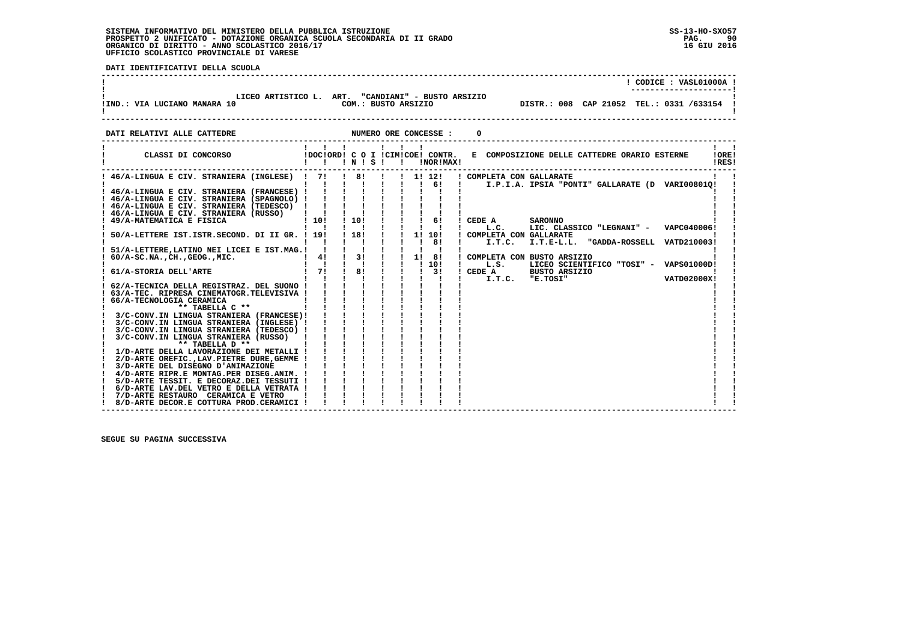#### **SISTEMA INFORMATIVO DEL MINISTERO DELLA PUBBLICA ISTRUZIONE SS-13-HO-SXO57 PROSPETTO 2 UNIFICATO - DOTAZIONE ORGANICA SCUOLA SECONDARIA DI II GRADO PAG. 90**ORGANICO DI DIRITTO - ANNO SCOLASTICO 2016/17  **UFFICIO SCOLASTICO PROVINCIALE DI VARESE**

**PAG.** 90 16 GIU 2016

 $\mathbf{I}$ 

**Contract Contract Contract** 

 $\mathbf{I}$ 

 **DATI IDENTIFICATIVI DELLA SCUOLA ------------------------------------------------------------------------------------------------------------------------------------ ! ! CODICE : VASL01000A ! ! ---------------------!**.<br>**I LICEO ARTISTICO L. ART. "CANDIANI" - BUSTO ARSIZIO**<br>IIND.: VIA LUCIANO MANARA 10  **!IND.: VIA LUCIANO MANARA 10 COM.: BUSTO ARSIZIO DISTR.: 008 CAP 21052 TEL.: 0331 /633154 ! ! ! ------------------------------------------------------------------------------------------------------------------------------------DATI RELATIVI ALLE CATTEDRE NUMERO ORE CONCESSE : 0 ------------------------------------------------------------------------------------------------------------------------------------ ! ! ! ! ! ! ! ! ! ! CLASSI DI CONCORSO !DOC!ORD! C O I !CIM!COE! CONTR. E COMPOSIZIONE DELLE CATTEDRE ORARIO ESTERNE !ORE! ! ! ! ! N ! S ! ! !NOR!MAX! !RES! ------------------------------------------------------------------------------------------------------------------------------------ ! 46/A-LINGUA E CIV. STRANIERA (INGLESE) ! 7! ! 8! ! ! 1! 12! ! COMPLETA CON GALLARATE ! ! ! ! ! ! ! ! ! ! 6! ! I.P.I.A. IPSIA "PONTI" GALLARATE (D VARI00801Q! ! ! 46/A-LINGUA E CIV. STRANIERA (FRANCESE) ! ! ! ! ! ! ! ! ! ! ! ! 46/A-LINGUA E CIV. STRANIERA (SPAGNOLO) ! ! ! ! ! ! ! ! ! ! ! ! 46/A-LINGUA E CIV. STRANIERA (TEDESCO) ! ! ! ! ! ! ! ! ! ! !**

| ! 46/A-LINGUA E CIV. STRANIERA (RUSSO)<br>110!<br>!10!<br>! 49/A-MATEMATICA E FISICA<br>61<br>CEDE A<br><b>SARONNO</b><br>L.C.<br>LIC. CLASSICO "LEGNANI" - VAPC040006!<br>118!<br>50/A-LETTERE IST.ISTR.SECOND. DI II GR. ! 19!<br>1! 10!<br>COMPLETA CON GALLARATE<br>81<br>I.T.E-L.L. "GADDA-ROSSELL VATD210003!<br>I.T.C.<br>51/A-LETTERE, LATINO NEI LICEI E IST.MAG.!<br>3!<br>11<br>- 81<br>$60/A-SC.NA.$ , $CH.$ , $GEOG.$ , $MIC.$<br>4!<br>COMPLETA CON BUSTO ARSIZIO<br>10!<br>L.S.<br>LICEO SCIENTIFICO "TOSI" - VAPS01000D!<br>8!<br>71<br>3!<br>61/A-STORIA DELL'ARTE<br>CEDE A<br><b>BUSTO ARSIZIO</b><br>"E.TOSI"<br><b>VATD02000X!</b><br>I.T.C.<br>62/A-TECNICA DELLA REGISTRAZ. DEL SUONO !<br>! 63/A-TEC. RIPRESA CINEMATOGR.TELEVISIVA !<br>66/A-TECNOLOGIA CERAMICA<br>** TABELLA C **<br>3/C-CONV.IN LINGUA STRANIERA (FRANCESE)!<br>3/C-CONV.IN LINGUA STRANIERA (INGLESE) !<br>3/C-CONV.IN LINGUA STRANIERA (TEDESCO) !<br>3/C-CONV.IN LINGUA STRANIERA (RUSSO)<br>** TABELLA D **<br>1/D-ARTE DELLA LAVORAZIONE DEI METALLI !<br>2/D-ARTE OREFIC., LAV. PIETRE DURE, GEMME<br>3/D-ARTE DEL DISEGNO D'ANIMAZIONE<br>4/D-ARTE RIPR.E MONTAG.PER DISEG.ANIM.<br>5/D-ARTE TESSIT. E DECORAZ.DEI TESSUTI !<br>6/D-ARTE LAV.DEL VETRO E DELLA VETRATA !<br>7/D-ARTE RESTAURO CERAMICA E VETRO | ! 46/A-LINGUA E CIV. STRANIERA (TEDESCO) |  |  |  |  |  |  |
|-------------------------------------------------------------------------------------------------------------------------------------------------------------------------------------------------------------------------------------------------------------------------------------------------------------------------------------------------------------------------------------------------------------------------------------------------------------------------------------------------------------------------------------------------------------------------------------------------------------------------------------------------------------------------------------------------------------------------------------------------------------------------------------------------------------------------------------------------------------------------------------------------------------------------------------------------------------------------------------------------------------------------------------------------------------------------------------------------------------------------------------------------------------------------------------------------------------------------------------------------------------------------------------------------------------------|------------------------------------------|--|--|--|--|--|--|
|                                                                                                                                                                                                                                                                                                                                                                                                                                                                                                                                                                                                                                                                                                                                                                                                                                                                                                                                                                                                                                                                                                                                                                                                                                                                                                                   |                                          |  |  |  |  |  |  |
|                                                                                                                                                                                                                                                                                                                                                                                                                                                                                                                                                                                                                                                                                                                                                                                                                                                                                                                                                                                                                                                                                                                                                                                                                                                                                                                   |                                          |  |  |  |  |  |  |
|                                                                                                                                                                                                                                                                                                                                                                                                                                                                                                                                                                                                                                                                                                                                                                                                                                                                                                                                                                                                                                                                                                                                                                                                                                                                                                                   |                                          |  |  |  |  |  |  |
|                                                                                                                                                                                                                                                                                                                                                                                                                                                                                                                                                                                                                                                                                                                                                                                                                                                                                                                                                                                                                                                                                                                                                                                                                                                                                                                   |                                          |  |  |  |  |  |  |
|                                                                                                                                                                                                                                                                                                                                                                                                                                                                                                                                                                                                                                                                                                                                                                                                                                                                                                                                                                                                                                                                                                                                                                                                                                                                                                                   |                                          |  |  |  |  |  |  |
|                                                                                                                                                                                                                                                                                                                                                                                                                                                                                                                                                                                                                                                                                                                                                                                                                                                                                                                                                                                                                                                                                                                                                                                                                                                                                                                   |                                          |  |  |  |  |  |  |
|                                                                                                                                                                                                                                                                                                                                                                                                                                                                                                                                                                                                                                                                                                                                                                                                                                                                                                                                                                                                                                                                                                                                                                                                                                                                                                                   |                                          |  |  |  |  |  |  |
|                                                                                                                                                                                                                                                                                                                                                                                                                                                                                                                                                                                                                                                                                                                                                                                                                                                                                                                                                                                                                                                                                                                                                                                                                                                                                                                   |                                          |  |  |  |  |  |  |
|                                                                                                                                                                                                                                                                                                                                                                                                                                                                                                                                                                                                                                                                                                                                                                                                                                                                                                                                                                                                                                                                                                                                                                                                                                                                                                                   |                                          |  |  |  |  |  |  |
|                                                                                                                                                                                                                                                                                                                                                                                                                                                                                                                                                                                                                                                                                                                                                                                                                                                                                                                                                                                                                                                                                                                                                                                                                                                                                                                   |                                          |  |  |  |  |  |  |
|                                                                                                                                                                                                                                                                                                                                                                                                                                                                                                                                                                                                                                                                                                                                                                                                                                                                                                                                                                                                                                                                                                                                                                                                                                                                                                                   |                                          |  |  |  |  |  |  |
|                                                                                                                                                                                                                                                                                                                                                                                                                                                                                                                                                                                                                                                                                                                                                                                                                                                                                                                                                                                                                                                                                                                                                                                                                                                                                                                   |                                          |  |  |  |  |  |  |
|                                                                                                                                                                                                                                                                                                                                                                                                                                                                                                                                                                                                                                                                                                                                                                                                                                                                                                                                                                                                                                                                                                                                                                                                                                                                                                                   |                                          |  |  |  |  |  |  |
|                                                                                                                                                                                                                                                                                                                                                                                                                                                                                                                                                                                                                                                                                                                                                                                                                                                                                                                                                                                                                                                                                                                                                                                                                                                                                                                   |                                          |  |  |  |  |  |  |
|                                                                                                                                                                                                                                                                                                                                                                                                                                                                                                                                                                                                                                                                                                                                                                                                                                                                                                                                                                                                                                                                                                                                                                                                                                                                                                                   |                                          |  |  |  |  |  |  |
|                                                                                                                                                                                                                                                                                                                                                                                                                                                                                                                                                                                                                                                                                                                                                                                                                                                                                                                                                                                                                                                                                                                                                                                                                                                                                                                   |                                          |  |  |  |  |  |  |
|                                                                                                                                                                                                                                                                                                                                                                                                                                                                                                                                                                                                                                                                                                                                                                                                                                                                                                                                                                                                                                                                                                                                                                                                                                                                                                                   |                                          |  |  |  |  |  |  |
|                                                                                                                                                                                                                                                                                                                                                                                                                                                                                                                                                                                                                                                                                                                                                                                                                                                                                                                                                                                                                                                                                                                                                                                                                                                                                                                   |                                          |  |  |  |  |  |  |
|                                                                                                                                                                                                                                                                                                                                                                                                                                                                                                                                                                                                                                                                                                                                                                                                                                                                                                                                                                                                                                                                                                                                                                                                                                                                                                                   |                                          |  |  |  |  |  |  |
|                                                                                                                                                                                                                                                                                                                                                                                                                                                                                                                                                                                                                                                                                                                                                                                                                                                                                                                                                                                                                                                                                                                                                                                                                                                                                                                   |                                          |  |  |  |  |  |  |
|                                                                                                                                                                                                                                                                                                                                                                                                                                                                                                                                                                                                                                                                                                                                                                                                                                                                                                                                                                                                                                                                                                                                                                                                                                                                                                                   |                                          |  |  |  |  |  |  |
|                                                                                                                                                                                                                                                                                                                                                                                                                                                                                                                                                                                                                                                                                                                                                                                                                                                                                                                                                                                                                                                                                                                                                                                                                                                                                                                   |                                          |  |  |  |  |  |  |
|                                                                                                                                                                                                                                                                                                                                                                                                                                                                                                                                                                                                                                                                                                                                                                                                                                                                                                                                                                                                                                                                                                                                                                                                                                                                                                                   |                                          |  |  |  |  |  |  |
|                                                                                                                                                                                                                                                                                                                                                                                                                                                                                                                                                                                                                                                                                                                                                                                                                                                                                                                                                                                                                                                                                                                                                                                                                                                                                                                   |                                          |  |  |  |  |  |  |
|                                                                                                                                                                                                                                                                                                                                                                                                                                                                                                                                                                                                                                                                                                                                                                                                                                                                                                                                                                                                                                                                                                                                                                                                                                                                                                                   |                                          |  |  |  |  |  |  |
|                                                                                                                                                                                                                                                                                                                                                                                                                                                                                                                                                                                                                                                                                                                                                                                                                                                                                                                                                                                                                                                                                                                                                                                                                                                                                                                   |                                          |  |  |  |  |  |  |
|                                                                                                                                                                                                                                                                                                                                                                                                                                                                                                                                                                                                                                                                                                                                                                                                                                                                                                                                                                                                                                                                                                                                                                                                                                                                                                                   | 8/D-ARTE DECOR.E COTTURA PROD.CERAMICI   |  |  |  |  |  |  |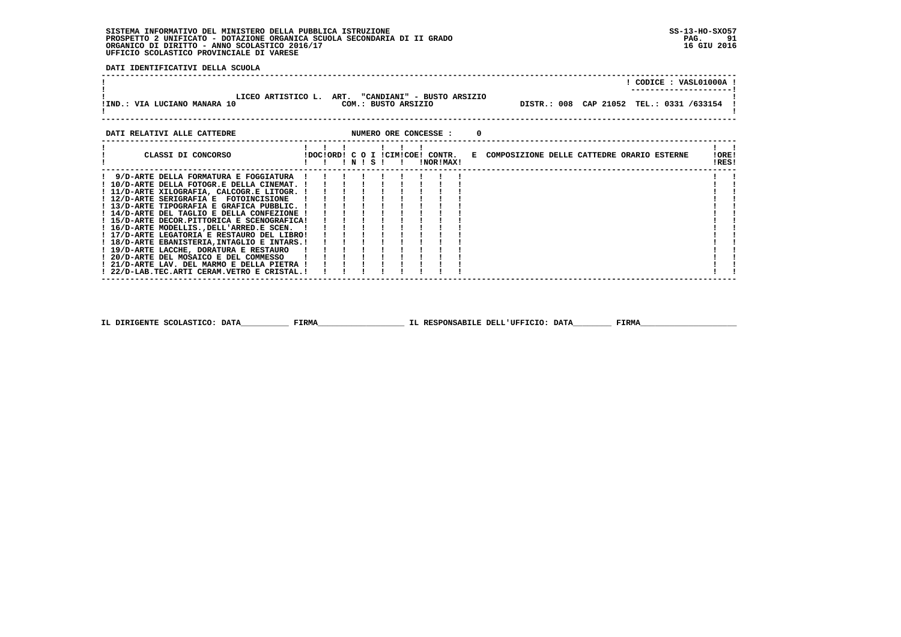## **SISTEMA INFORMATIVO DEL MINISTERO DELLA PUBBLICA ISTRUZIONE SS-13-HO-SXO57 PROSPETTO 2 UNIFICATO - DOTAZIONE ORGANICA SCUOLA SECONDARIA DI II GRADO PAG. 91 ORGANICO DI DIRITTO - ANNO SCOLASTICO 2016/17 16 GIU 2016 UFFICIO SCOLASTICO PROVINCIALE DI VARESE**

 **DATI IDENTIFICATIVI DELLA SCUOLA**

|                                                                                                                                                                                                                                                                                                                                                                                                                                                                                                                                                                                                                                                                                       |  |  |  |  |  | ! CODICE : VASL01000A                                                                                                             |                |
|---------------------------------------------------------------------------------------------------------------------------------------------------------------------------------------------------------------------------------------------------------------------------------------------------------------------------------------------------------------------------------------------------------------------------------------------------------------------------------------------------------------------------------------------------------------------------------------------------------------------------------------------------------------------------------------|--|--|--|--|--|-----------------------------------------------------------------------------------------------------------------------------------|----------------|
| LICEO ARTISTICO L. ART. "CANDIANI" - BUSTO ARSIZIO                                                                                                                                                                                                                                                                                                                                                                                                                                                                                                                                                                                                                                    |  |  |  |  |  | !IND.: VIA LUCIANO MANARA 10                         COM.: BUSTO ARSIZIO                 DISTR.: 008 CAP 21052 TEL.: 0331 /633154 |                |
| DATI RELATIVI ALLE CATTEDRE <b>ALLE CATTEDRE STATE AND ALLE CONCESSE</b> : 0                                                                                                                                                                                                                                                                                                                                                                                                                                                                                                                                                                                                          |  |  |  |  |  |                                                                                                                                   |                |
|                                                                                                                                                                                                                                                                                                                                                                                                                                                                                                                                                                                                                                                                                       |  |  |  |  |  | CLASSI DI CONCORSO                  IDOCIORDI C O I ICIMICOE! CONTR.   E COMPOSIZIONE DELLE CATTEDRE ORARIO ESTERNE               | !ORE!<br>IRES! |
| ! 9/D-ARTE DELLA FORMATURA E FOGGIATURA !!!!!!!!!<br>! 10/D-ARTE DELLA FOTOGR.E DELLA CINEMAT. !!!!!!!!!<br>! 11/D-ARTE XILOGRAFIA, CALCOGR.E LITOGR. !<br>! 14/D-ARTE DEL TAGLIO E DELLA CONFEZIONE !<br>! 15/D-ARTE DECOR.PITTORICA E SCENOGRAFICA!<br>! 16/D-ARTE MODELLIS., DELL'ARRED.E SCEN. !<br>! 17/D-ARTE LEGATORIA E RESTAURO DEL LIBRO!<br>! 18/D-ARTE EBANISTERIA, INTAGLIO E INTARS.!<br>19/D-ARTE LACCHE, DORATURA E RESTAURO (1997) 1997 - 1998<br>19/D-ARTE DEL MOSAICO E DEL COMMESSO (1998) 1998<br>1997 - 1998 - 1999 - 1999 - 1999 - 1999 - 1999 - 1999 - 1999 - 1999 - 1999 - 1999 - 1999 - 1999 - 1999 - 1999 -<br>! 22/D-LAB.TEC.ARTI CERAM.VETRO E CRISTAL.! |  |  |  |  |  |                                                                                                                                   |                |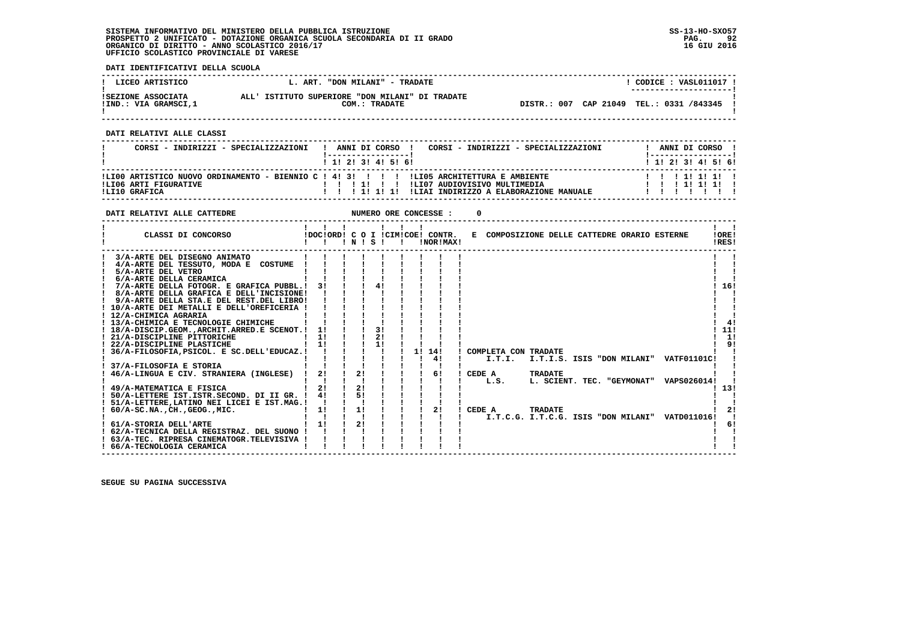## **SISTEMA INFORMATIVO DEL MINISTERO DELLA PUBBLICA ISTRUZIONE SS-13-HO-SXO57 PROSPETTO 2 UNIFICATO - DOTAZIONE ORGANICA SCUOLA SECONDARIA DI II GRADO PAG. 92 ORGANICO DI DIRITTO - ANNO SCOLASTICO 2016/17 16 GIU 2016 UFFICIO SCOLASTICO PROVINCIALE DI VARESE**

 **DATI IDENTIFICATIVI DELLA SCUOLA**

| LICEO ARTISTICO                            | L. ART. "DON MILANI" - TRADATE                                   | CODICE: VASL011017 !<br>---------------------- |
|--------------------------------------------|------------------------------------------------------------------|------------------------------------------------|
| ISEZIONE ASSOCIATA<br>!IND.: VIA GRAMSCI,1 | ALL' ISTITUTO SUPERIORE "DON MILANI" DI TRADATE<br>COM.: TRADATE | DISTR.: 007 CAP 21049 TEL.: 0331 /843345       |

 **------------------------------------------------------------------------------------------------------------------------------------**

 **DATI RELATIVI ALLE CLASSI**

| CORSI - INDIRIZZI - SPECIALIZZAZIONI          | ANNI DI CORSO<br>CORSI - INDIRIZZI - SPECIALIZZAZIONI<br>1 1 1 2 1 3 1 4 1 5 1 6 1                                                                                             | ANNI DI CORSO 1<br>1 1 2 2 1 3 1 4 1 5 1 6 1 |
|-----------------------------------------------|--------------------------------------------------------------------------------------------------------------------------------------------------------------------------------|----------------------------------------------|
| <b>ILIO6 ARTI FIGURATIVE</b><br>ILI10 GRAFICA | ILI00 ARTISTICO NUOVO ORDINAMENTO - BIENNIO C ! 4! 3! ! ! ! ILI05 ARCHITETTURA E AMBIENTE<br>ILI07 AUDIOVISIVO MULTIMEDIA<br>!LIAI INDIRIZZO A ELABORAZIONE MANUALE<br>1111111 | 1 1 1 1 1 1 1 1<br>111111                    |

| DATI RELATIVI ALLE CATTEDRE                                                                                                                                                                                                                                                                                                                                                                                                                                                                                                                                                                                                                       |                                      |                 |                | NUMERO ORE CONCESSE : |                                                                               |                |                                                                                         |                                     |
|---------------------------------------------------------------------------------------------------------------------------------------------------------------------------------------------------------------------------------------------------------------------------------------------------------------------------------------------------------------------------------------------------------------------------------------------------------------------------------------------------------------------------------------------------------------------------------------------------------------------------------------------------|--------------------------------------|-----------------|----------------|-----------------------|-------------------------------------------------------------------------------|----------------|-----------------------------------------------------------------------------------------|-------------------------------------|
| CLASSI DI CONCORSO                                                                                                                                                                                                                                                                                                                                                                                                                                                                                                                                                                                                                                |                                      | $'$ N $'$ S $'$ |                | !NOR!MAX!             | !DOC!ORD! C O I !CIM!COE! CONTR. E COMPOSIZIONE DELLE CATTEDRE ORARIO ESTERNE |                |                                                                                         | !ORE!<br>!RES!                      |
| 3/A-ARTE DEL DISEGNO ANIMATO<br>4/A-ARTE DEL TESSUTO, MODA E COSTUME<br>5/A-ARTE DEL VETRO<br>6/A-ARTE DELLA CERAMICA<br>7/A-ARTE DELLA FOTOGR. E GRAFICA PUBBL.!<br>! 8/A-ARTE DELLA GRAFICA E DELL'INCISIONE!<br>! 9/A-ARTE DELLA STA.E DEL REST.DEL LIBRO!<br>! 10/A-ARTE DEI METALLI E DELL'OREFICERIA !<br>! 12/A-CHIMICA AGRARIA<br>! 13/A-CHIMICA E TECNOLOGIE CHIMICHE<br>! 18/A-DISCIP.GEOM., ARCHIT. ARRED. E SCENOT.! 1!<br>! 21/A-DISCIPLINE PITTORICHE<br>! 22/A-DISCIPLINE PLASTICHE<br>36/A-FILOSOFIA, PSICOL. E SC.DELL'EDUCAZ.!<br>37/A-FILOSOFIA E STORIA<br>46/A-LINGUA E CIV. STRANIERA (INGLESE)<br>49/A-MATEMATICA E FISICA | 31<br>11<br>$1 \quad 11$<br>2!<br>21 | 2!<br>21        | 3!<br>21<br>11 | 1! 14!<br>4!<br>6!    | ! COMPLETA CON TRADATE<br>! CEDE A<br>L.S.                                    | TRADATE        | I.T.I. I.T.I.S. ISIS "DON MILANI" VATF01101C!<br>L. SCIENT. TEC. "GEYMONAT" VAPS026014! | 16!<br>41<br>11!<br>1!<br>91<br>13! |
| ! 50/A-LETTERE IST.ISTR.SECOND. DI II GR. !<br>! 51/A-LETTERE, LATINO NEI LICEI E IST. MAG.!<br>$: 60/A-SC.NA.$ , $CH.$ , $GEOG.$ , $MIC.$                                                                                                                                                                                                                                                                                                                                                                                                                                                                                                        | 4!<br>1!                             | 11              |                | 2!                    | I CEDE A                                                                      | <b>TRADATE</b> | I.T.C.G. I.T.C.G. ISIS "DON MILANI" VATD011016!                                         | 21                                  |
| ! 61/A-STORIA DELL'ARTE<br>! 62/A-TECNICA DELLA REGISTRAZ. DEL SUONO !<br>! 63/A-TEC. RIPRESA CINEMATOGR.TELEVISIVA !<br>! 66/A-TECNOLOGIA CERAMICA                                                                                                                                                                                                                                                                                                                                                                                                                                                                                               | $1 \quad 11$                         | 2!              |                |                       |                                                                               |                |                                                                                         | 6!                                  |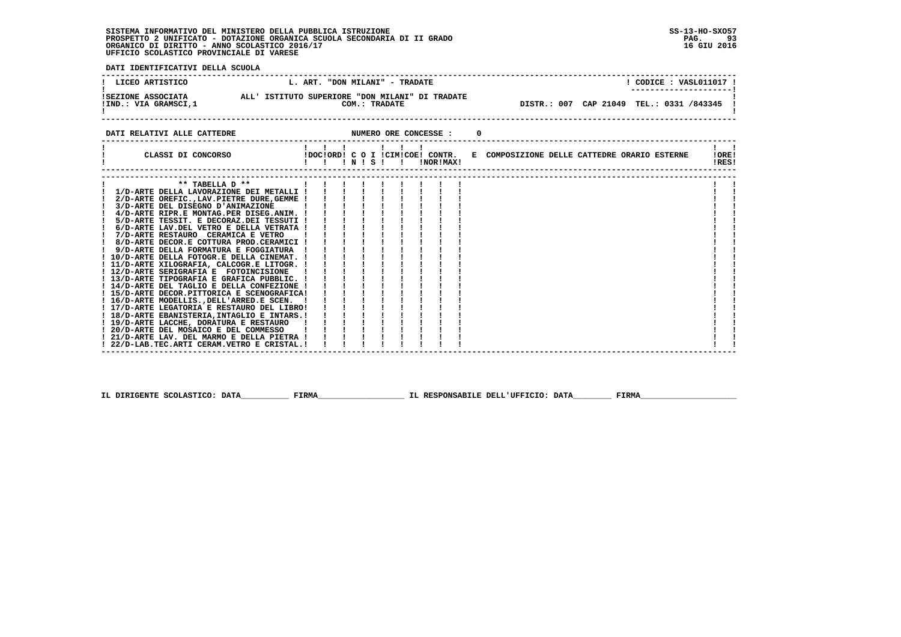**SISTEMA INFORMATIVO DEL MINISTERO DELLA PUBBLICA ISTRUZIONE SS-13-HO-SXO57 PROSPETTO 2 UNIFICATO - DOTAZIONE ORGANICA SCUOLA SECONDARIA DI II GRADO PAG. 93**ORGANICO DI DIRITTO - ANNO SCOLASTICO 2016/17  **UFFICIO SCOLASTICO PROVINCIALE DI VARESE**

 $\blacksquare$  $\blacksquare$ 

 $\blacksquare$ 

 **DATI IDENTIFICATIVI DELLA SCUOLA ------------------------------------------------------------------------------------------------------------------------------------**I CODICE . VASI011017 I ! LICEO ARTISTICO L. ART. "DON MILANI" - TRADATE ! CODICE : VASL011017 !<br>! ISEZIONE ASSOCIATA ALL' ISTITUTO SUPERIORE "DON MILANI" DI TRADATE<br>! \_\_\_\_\_\_\_\_\_\_\_\_\_\_\_\_\_\_\_\_\_\_\_ DISTR.: 007 CAP 21049 TEL.: 0331 /843345 ! - 1  **------------------------------------------------------------------------------------------------------------------------------------DATI RELATIVI ALLE CATTEDRE NUMERO ORE CONCESSE : 0 ------------------------------------------------------------------------------------------------------------------------------------ ! ! ! ! ! ! ! ! ! ! CLASSI DI CONCORSO !DOC!ORD! C O I !CIM!COE! CONTR. E COMPOSIZIONE DELLE CATTEDRE ORARIO ESTERNE !ORE! ! ! ! ! N ! S ! ! !NOR!MAX! !RES! ------------------------------------------------------------------------------------------------------------------------------------ ------------------------------------------------------------------------------------------------------------------------------------** $\mathbf{I}$  **! \*\* TABELLA D \*\* ! ! ! ! ! ! ! ! ! ! !** $\mathbf{I}$  **! 1/D-ARTE DELLA LAVORAZIONE DEI METALLI ! ! ! ! ! ! ! ! ! ! ! ! 2/D-ARTE OREFIC.,LAV.PIETRE DURE,GEMME ! ! ! ! ! ! ! ! ! ! !** $\mathbf{I}$ - 1  **! 3/D-ARTE DEL DISEGNO D'ANIMAZIONE ! ! ! ! ! ! ! ! ! ! ! ! 4/D-ARTE RIPR.E MONTAG.PER DISEG.ANIM. ! ! ! ! ! ! ! ! ! ! ! ! 5/D-ARTE TESSIT. E DECORAZ.DEI TESSUTI ! ! ! ! ! ! ! ! ! ! ! ! 6/D-ARTE LAV.DEL VETRO E DELLA VETRATA ! ! ! ! ! ! ! ! ! ! !**- 1  **! 7/D-ARTE RESTAURO CERAMICA E VETRO ! ! ! ! ! ! ! ! ! ! ! ! 8/D-ARTE DECOR.E COTTURA PROD.CERAMICI ! ! ! ! ! ! ! ! ! ! ! ! 9/D-ARTE DELLA FORMATURA E FOGGIATURA ! ! ! ! ! ! ! ! ! ! ! ! 10/D-ARTE DELLA FOTOGR.E DELLA CINEMAT. ! ! ! ! ! ! ! ! ! ! ! ! 11/D-ARTE XILOGRAFIA, CALCOGR.E LITOGR. ! ! ! ! ! ! ! ! ! ! ! ! 12/D-ARTE SERIGRAFIA E FOTOINCISIONE ! ! ! ! ! ! ! ! ! ! ! ! 13/D-ARTE TIPOGRAFIA E GRAFICA PUBBLIC. ! ! ! ! ! ! ! ! ! ! ! ! 14/D-ARTE DEL TAGLIO E DELLA CONFEZIONE ! ! ! ! ! ! ! ! ! ! ! ! 15/D-ARTE DECOR.PITTORICA E SCENOGRAFICA! ! ! ! ! ! ! ! ! ! ! ! 16/D-ARTE MODELLIS.,DELL'ARRED.E SCEN. ! ! ! ! ! ! ! ! ! ! ! ! 17/D-ARTE LEGATORIA E RESTAURO DEL LIBRO! ! ! ! ! ! ! ! ! ! ! ! 18/D-ARTE EBANISTERIA,INTAGLIO E INTARS.! ! ! ! ! ! ! ! ! ! ! ! 19/D-ARTE LACCHE, DORATURA E RESTAURO ! ! ! ! ! ! ! ! ! ! ! ! 20/D-ARTE DEL MOSAICO E DEL COMMESSO ! ! ! ! ! ! ! ! ! ! !**

 **! 21/D-ARTE LAV. DEL MARMO E DELLA PIETRA ! ! ! ! ! ! ! ! ! ! ! ! 22/D-LAB.TEC.ARTI CERAM.VETRO E CRISTAL.! ! ! ! ! ! ! ! ! ! ! ------------------------------------------------------------------------------------------------------------------------------------**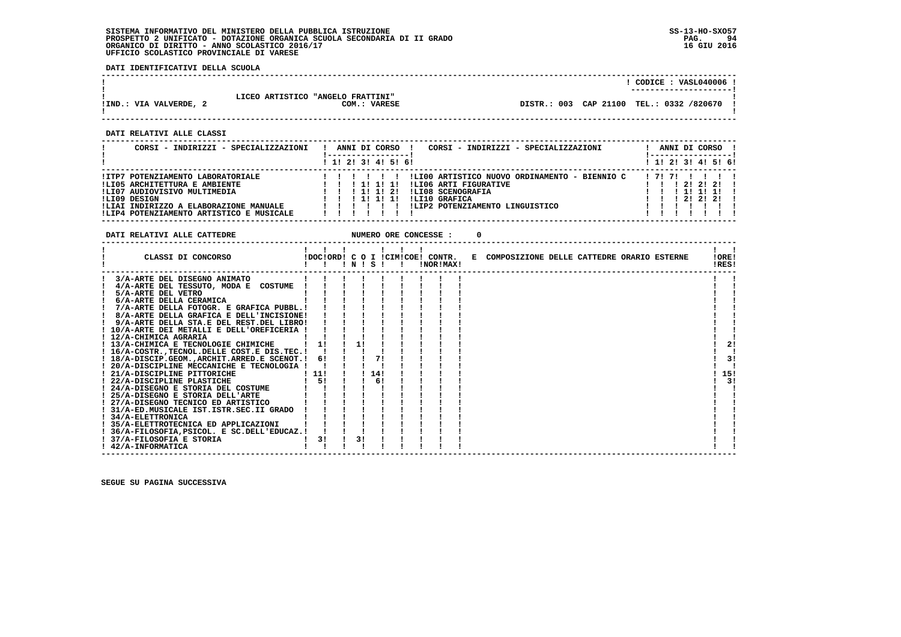**DATI IDENTIFICATIVI DELLA SCUOLA**

|                        |                                   |                       | CODICE: VASL040006 !   |  |
|------------------------|-----------------------------------|-----------------------|------------------------|--|
|                        |                                   |                       | ---------------------- |  |
|                        |                                   |                       |                        |  |
|                        | LICEO ARTISTICO "ANGELO FRATTINI" |                       |                        |  |
| !IND.: VIA VALVERDE, 2 | COM.: VARESE                      | DISTR.: 003 CAP 21100 | TEL.: 0332 /820670     |  |
|                        |                                   |                       |                        |  |
|                        |                                   |                       |                        |  |

 **------------------------------------------------------------------------------------------------------------------------------------**

 **DATI RELATIVI ALLE CLASSI**

| CORSI - INDIRIZZI - SPECIALIZZAZIONI     |  |  |       | ANNI DI CORSO       | CORSI - INDIRIZZI - SPECIALIZZAZIONI<br>!----------------- |               | ANNI DI CORSO ! |
|------------------------------------------|--|--|-------|---------------------|------------------------------------------------------------|---------------|-----------------|
|                                          |  |  |       | ! 1! 2! 3! 4! 5! 6! | $1 \; 1 \; 2 \; 3 \; 1 \; 4 \; 5 \; 6 \; 6$                |               |                 |
| !ITP7 POTENZIAMENTO LABORATORIALE        |  |  |       |                     | !LI00 ARTISTICO NUOVO ORDINAMENTO - BIENNIO C<br>171711    |               |                 |
| !LI05 ARCHITETTURA E AMBIENTE            |  |  |       |                     | !LI06 ARTI FIGURATIVE                                      | 1 2 1 2 1 2 1 |                 |
| !LI07 AUDIOVISIVO MULTIMEDIA             |  |  | 11 21 |                     | !LI08 SCENOGRAFIA                                          | , 11, 11, 11, |                 |
| !LI09 DESIGN                             |  |  |       |                     | ILI10 GRAFICA                                              | 1, 21, 21, 21 |                 |
| !LIAI INDIRIZZO A ELABORAZIONE MANUALE   |  |  |       |                     | !LIP2 POTENZIAMENTO LINGUISTICO                            |               |                 |
| !LIP4 POTENZIAMENTO ARTISTICO E MUSICALE |  |  |       |                     |                                                            |               |                 |

**DATI RELATIVI ALLE CATTEDRE NUMERO ORE CONCESSE : 0** 

| CLASSI DI CONCORSO                                |       |    |    |      | 1 N 1 S 1 1 | !NOR!MAX! |  | IDOCIORDI C O I ICIMICOEI CONTR. E COMPOSIZIONE DELLE CATTEDRE ORARIO ESTERNE |  |  | !ORE!<br>!RES! |
|---------------------------------------------------|-------|----|----|------|-------------|-----------|--|-------------------------------------------------------------------------------|--|--|----------------|
| 3/A-ARTE DEL DISEGNO ANIMATO                      |       |    |    |      |             |           |  |                                                                               |  |  |                |
| 4/A-ARTE DEL TESSUTO, MODA E COSTUME              |       |    |    |      |             |           |  |                                                                               |  |  |                |
| 5/A-ARTE DEL VETRO                                |       |    |    |      |             |           |  |                                                                               |  |  |                |
| 6/A-ARTE DELLA CERAMICA                           |       |    |    |      |             |           |  |                                                                               |  |  |                |
| 7/A-ARTE DELLA FOTOGR. E GRAFICA PUBBL.!          |       |    |    |      |             |           |  |                                                                               |  |  |                |
| 8/A-ARTE DELLA GRAFICA E DELL'INCISIONE!          |       |    |    |      |             |           |  |                                                                               |  |  |                |
| 9/A-ARTE DELLA STA.E DEL REST.DEL LIBRO!          |       |    |    |      |             |           |  |                                                                               |  |  |                |
| 10/A-ARTE DEI METALLI E DELL'OREFICERIA !         |       |    |    |      |             |           |  |                                                                               |  |  |                |
| ! 12/A-CHIMICA AGRARIA                            |       |    |    |      |             |           |  |                                                                               |  |  |                |
| ! 13/A-CHIMICA E TECNOLOGIE CHIMICHE              |       | 1! | 11 |      |             |           |  |                                                                               |  |  | 2!             |
| 16/A-COSTR., TECNOL. DELLE COST. E DIS. TEC. !    |       |    |    |      |             |           |  |                                                                               |  |  |                |
| ! 18/A-DISCIP.GEOM., ARCHIT. ARRED. E SCENOT.! 6! |       |    |    | 71   |             |           |  |                                                                               |  |  | 3!             |
| ! 20/A-DISCIPLINE MECCANICHE E TECNOLOGIA !       |       |    |    |      |             |           |  |                                                                               |  |  |                |
| ! 21/A-DISCIPLINE PITTORICHE                      | ! 11! |    |    | 1141 |             |           |  |                                                                               |  |  | 15!            |
| ! 22/A-DISCIPLINE PLASTICHE                       |       | 51 |    | 6!   |             |           |  |                                                                               |  |  | 31             |
| ! 24/A-DISEGNO E STORIA DEL COSTUME               |       |    |    |      |             |           |  |                                                                               |  |  |                |
| ! 25/A-DISEGNO E STORIA DELL'ARTE                 |       |    |    |      |             |           |  |                                                                               |  |  |                |
| ! 27/A-DISEGNO TECNICO ED ARTISTICO               |       |    |    |      |             |           |  |                                                                               |  |  |                |
| ! 31/A-ED.MUSICALE IST.ISTR.SEC.II GRADO          |       |    |    |      |             |           |  |                                                                               |  |  |                |
| ! 34/A-ELETTRONICA                                |       |    |    |      |             |           |  |                                                                               |  |  |                |
| ! 35/A-ELETTROTECNICA ED APPLICAZIONI             |       |    |    |      |             |           |  |                                                                               |  |  |                |
| ! 36/A-FILOSOFIA, PSICOL. E SC.DELL'EDUCAZ.!      |       |    |    |      |             |           |  |                                                                               |  |  |                |
| ! 37/A-FILOSOFIA E STORIA                         |       | 3! | 3! |      |             |           |  |                                                                               |  |  |                |
| ! 42/A-INFORMATICA                                |       |    |    |      |             |           |  |                                                                               |  |  |                |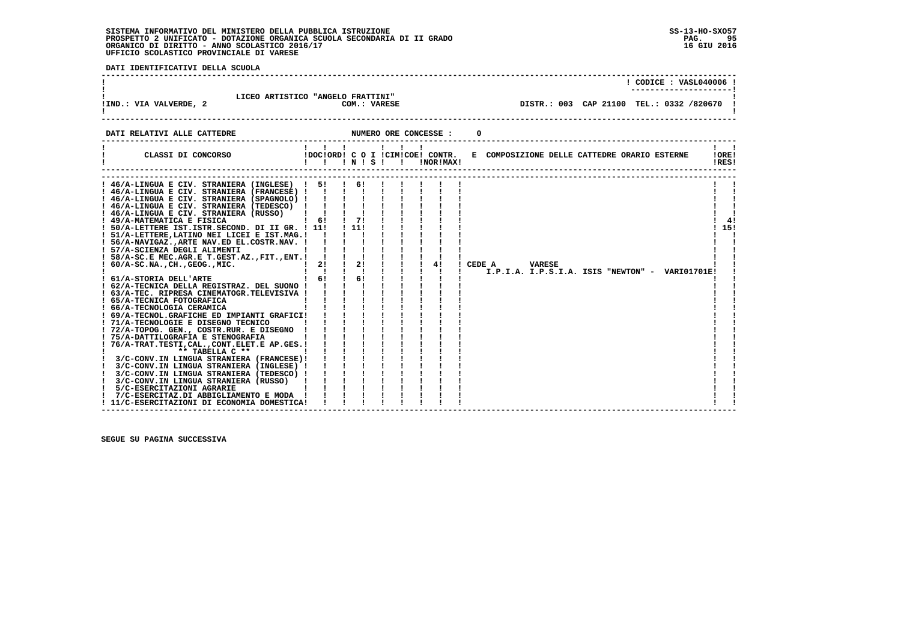#### **SISTEMA INFORMATIVO DEL MINISTERO DELLA PUBBLICA ISTRUZIONE SS-13-HO-SXO57 PROSPETTO 2 UNIFICATO - DOTAZIONE ORGANICA SCUOLA SECONDARIA DI II GRADO PAG. 95**ORGANICO DI DIRITTO - ANNO SCOLASTICO 2016/17  **UFFICIO SCOLASTICO PROVINCIALE DI VARESE**

**PAG.** 95 16 GIU 2016

 **DATI IDENTIFICATIVI DELLA SCUOLA ------------------------------------------------------------------------------------------------------------------------------------ ! ! CODICE : VASL040006 ! ! ---------------------!1** LICEO ARTISTICO "ANGELO FRATTINI"<br> **!IND.:** VIA VALVERDE, 2  **!IND.: VIA VALVERDE, 2 COM.: VARESE DISTR.: 003 CAP 21100 TEL.: 0332 /820670 !**- 1  **! ! ------------------------------------------------------------------------------------------------------------------------------------DATI RELATIVI ALLE CATTEDRE NUMERO ORE CONCESSE : 0 ------------------------------------------------------------------------------------------------------------------------------------ ! ! ! ! ! ! ! ! ! ! CLASSI DI CONCORSO !DOC!ORD! C O I !CIM!COE! CONTR. E COMPOSIZIONE DELLE CATTEDRE ORARIO ESTERNE !ORE! ! ! ! ! N ! S ! ! !NOR!MAX! !RES!** $1 - 1$ **IORE!** IRESI  **------------------------------------------------------------------------------------------------------------------------------------ ------------------------------------------------------------------------------------------------------------------------------------ ! 46/A-LINGUA E CIV. STRANIERA (INGLESE) ! 5! ! 6! ! ! ! ! ! ! !** $\sim$ - 1  **! 46/A-LINGUA E CIV. STRANIERA (FRANCESE) ! ! ! ! ! ! ! ! ! ! ! ! 46/A-LINGUA E CIV. STRANIERA (SPAGNOLO) ! ! ! ! ! ! ! ! ! ! !** $\mathbf{I}$  $\mathbf{I}$  and  $\mathbf{I}$  **! 46/A-LINGUA E CIV. STRANIERA (TEDESCO) ! ! ! ! ! ! ! ! ! ! ! ! 46/A-LINGUA E CIV. STRANIERA (RUSSO) ! ! ! ! ! ! ! ! ! ! ! ! 49/A-MATEMATICA E FISICA ! 6! ! 7! ! ! ! ! ! ! 4! ! 50/A-LETTERE IST.ISTR.SECOND. DI II GR. ! 11! ! 11! ! ! ! ! ! ! 15!**- 1  $41$  $1.151$  $\mathbf{I}$   $\mathbf{I}$  **! 51/A-LETTERE,LATINO NEI LICEI E IST.MAG.! ! ! ! ! ! ! ! ! ! !** $\blacksquare$  **! 56/A-NAVIGAZ.,ARTE NAV.ED EL.COSTR.NAV. ! ! ! ! ! ! ! ! ! ! ! ! 57/A-SCIENZA DEGLI ALIMENTI ! ! ! ! ! ! ! ! ! ! ! ! 58/A-SC.E MEC.AGR.E T.GEST.AZ.,FIT.,ENT.! ! ! ! ! ! ! ! ! ! ! ! 60/A-SC.NA.,CH.,GEOG.,MIC. ! 2! ! 2! ! ! ! 4! ! CEDE A VARESE ! ! ! ! ! ! ! ! ! ! ! ! I.P.I.A. I.P.S.I.A. ISIS "NEWTON" - VARI01701E! ! ! 61/A-STORIA DELL'ARTE ! 6! ! 6! ! ! ! ! ! ! ! ! 62/A-TECNICA DELLA REGISTRAZ. DEL SUONO ! ! ! ! ! ! ! ! ! ! ! ! 63/A-TEC. RIPRESA CINEMATOGR.TELEVISIVA ! ! ! ! ! ! ! ! ! ! ! ! 65/A-TECNICA FOTOGRAFICA ! ! ! ! ! ! ! ! ! ! ! ! 66/A-TECNOLOGIA CERAMICA ! ! ! ! ! ! ! ! ! ! ! ! 69/A-TECNOL.GRAFICHE ED IMPIANTI GRAFICI! ! ! ! ! ! ! ! ! ! ! ! 71/A-TECNOLOGIE E DISEGNO TECNICO ! ! ! ! ! ! ! ! ! ! ! ! 72/A-TOPOG. GEN., COSTR.RUR. E DISEGNO ! ! ! ! ! ! ! ! ! ! ! ! 75/A-DATTILOGRAFIA E STENOGRAFIA ! ! ! ! ! ! ! ! ! ! ! ! 76/A-TRAT.TESTI,CAL.,CONT.ELET.E AP.GES.! ! ! ! ! ! ! ! ! ! ! ! \*\* TABELLA C \*\* ! ! ! ! ! ! ! ! ! ! ! ! 3/C-CONV.IN LINGUA STRANIERA (FRANCESE)! ! ! ! ! ! ! ! ! ! ! ! 3/C-CONV.IN LINGUA STRANIERA (INGLESE) ! ! ! ! ! ! ! ! ! ! ! ! 3/C-CONV.IN LINGUA STRANIERA (TEDESCO) ! ! ! ! ! ! ! ! ! ! ! ! 3/C-CONV.IN LINGUA STRANIERA (RUSSO) ! ! ! ! ! ! ! ! ! ! ! ! 5/C-ESERCITAZIONI AGRARIE ! ! ! ! ! ! ! ! ! ! !** $\mathbf{I}$  **! 7/C-ESERCITAZ.DI ABBIGLIAMENTO E MODA ! ! ! ! ! ! ! ! ! ! ! ! 11/C-ESERCITAZIONI DI ECONOMIA DOMESTICA! ! ! ! ! ! ! ! ! ! !**

 **------------------------------------------------------------------------------------------------------------------------------------**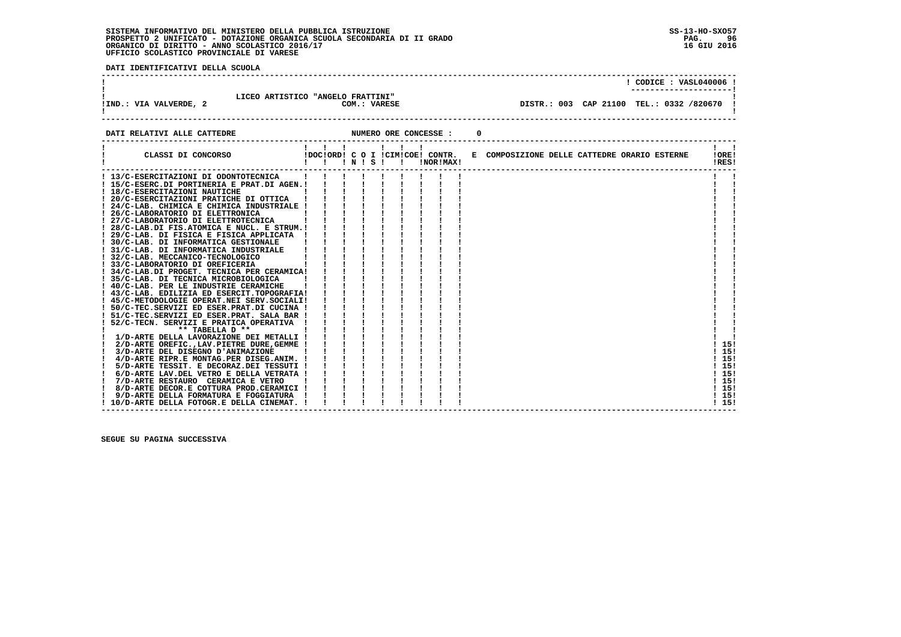# **SISTEMA INFORMATIVO DEL MINISTERO DELLA PUBBLICA ISTRUZIONE SS-13-HO-SXO57**PROSPETTO 2 UNIFICATO - DOTAZIONE ORGANICA SCUOLA SECONDARIA DI II GRADO<br>ORGANICO DI DIRITTO - ANNO SCOLASTICO 2016/17<br>UFFICIO SCOLASTICO PROVINCIALE DI VARESE

 **DATI IDENTIFICATIVI DELLA SCUOLA**

|                             | LICEO ARTISTICO "ANGELO FRATTINI" |                                            | CODICE: VASL040006 ! |
|-----------------------------|-----------------------------------|--------------------------------------------|----------------------|
| !IND.: VIA VALVERDE, 2      | COM.: VARESE                      | DISTR.: 003 CAP 21100 TEL.: 0332 /820670 ! |                      |
| DATI RELATIVI ALLE CATTEDRE | NUMERO ORE CONCESSE :             |                                            |                      |

| CLASSI DI CONCORSO                           | $\mathbf{1}$ $\mathbf{1}$ $\mathbf{1}$<br>$\blacksquare$ $\blacksquare$ $\blacksquare$ $\blacksquare$ $\blacksquare$ $\blacksquare$ $\blacksquare$ $\blacksquare$ $\blacksquare$ $\blacksquare$ |  |  | $\mathbf{I}$ | !NOR!MAX! | !DOC!ORD! C O I !CIM!COE! CONTR. E COMPOSIZIONE DELLE CATTEDRE ORARIO ESTERNE |  |  | !ORE!<br>!RES! |
|----------------------------------------------|-------------------------------------------------------------------------------------------------------------------------------------------------------------------------------------------------|--|--|--------------|-----------|-------------------------------------------------------------------------------|--|--|----------------|
| ! 13/C-ESERCITAZIONI DI ODONTOTECNICA        |                                                                                                                                                                                                 |  |  |              |           |                                                                               |  |  |                |
| ! 15/C-ESERC.DI PORTINERIA E PRAT.DI AGEN.!  |                                                                                                                                                                                                 |  |  |              |           |                                                                               |  |  |                |
| ! 18/C-ESERCITAZIONI NAUTICHE                |                                                                                                                                                                                                 |  |  |              |           |                                                                               |  |  |                |
| ! 20/C-ESERCITAZIONI PRATICHE DI OTTICA      |                                                                                                                                                                                                 |  |  |              |           |                                                                               |  |  |                |
| ! 24/C-LAB. CHIMICA E CHIMICA INDUSTRIALE !  |                                                                                                                                                                                                 |  |  |              |           |                                                                               |  |  |                |
| 26/C-LABORATORIO DI ELETTRONICA              |                                                                                                                                                                                                 |  |  |              |           |                                                                               |  |  |                |
| 27/C-LABORATORIO DI ELETTROTECNICA           |                                                                                                                                                                                                 |  |  |              |           |                                                                               |  |  |                |
| ! 28/C-LAB.DI FIS.ATOMICA E NUCL. E STRUM.!  |                                                                                                                                                                                                 |  |  |              |           |                                                                               |  |  |                |
| ! 29/C-LAB. DI FISICA E FISICA APPLICATA     |                                                                                                                                                                                                 |  |  |              |           |                                                                               |  |  |                |
| ! 30/C-LAB. DI INFORMATICA GESTIONALE        |                                                                                                                                                                                                 |  |  |              |           |                                                                               |  |  |                |
| ! 31/C-LAB. DI INFORMATICA INDUSTRIALE       |                                                                                                                                                                                                 |  |  |              |           |                                                                               |  |  |                |
| ! 32/C-LAB. MECCANICO-TECNOLOGICO            |                                                                                                                                                                                                 |  |  |              |           |                                                                               |  |  |                |
| ! 33/C-LABORATORIO DI OREFICERIA             |                                                                                                                                                                                                 |  |  |              |           |                                                                               |  |  |                |
| ! 34/C-LAB.DI PROGET. TECNICA PER CERAMICA!  |                                                                                                                                                                                                 |  |  |              |           |                                                                               |  |  |                |
| 35/C-LAB. DI TECNICA MICROBIOLOGICA          |                                                                                                                                                                                                 |  |  |              |           |                                                                               |  |  |                |
| ! 40/C-LAB. PER LE INDUSTRIE CERAMICHE       |                                                                                                                                                                                                 |  |  |              |           |                                                                               |  |  |                |
| ! 43/C-LAB. EDILIZIA ED ESERCIT. TOPOGRAFIA! |                                                                                                                                                                                                 |  |  |              |           |                                                                               |  |  |                |
| ! 45/C-METODOLOGIE OPERAT.NEI SERV.SOCIALI!  |                                                                                                                                                                                                 |  |  |              |           |                                                                               |  |  |                |
| ! 50/C-TEC.SERVIZI ED ESER.PRAT.DI CUCINA !  |                                                                                                                                                                                                 |  |  |              |           |                                                                               |  |  |                |
| ! 51/C-TEC.SERVIZI ED ESER.PRAT. SALA BAR !  |                                                                                                                                                                                                 |  |  |              |           |                                                                               |  |  |                |
| 52/C-TECN. SERVIZI E PRATICA OPERATIVA       |                                                                                                                                                                                                 |  |  |              |           |                                                                               |  |  |                |
| ** TABELLA D **                              |                                                                                                                                                                                                 |  |  |              |           |                                                                               |  |  |                |
| 1/D-ARTE DELLA LAVORAZIONE DEI METALLI !     |                                                                                                                                                                                                 |  |  |              |           |                                                                               |  |  |                |
| 2/D-ARTE OREFIC., LAV. PIETRE DURE, GEMME !  |                                                                                                                                                                                                 |  |  |              |           |                                                                               |  |  | 15!            |
| 3/D-ARTE DEL DISEGNO D'ANIMAZIONE            |                                                                                                                                                                                                 |  |  |              |           |                                                                               |  |  | 15!            |
| 4/D-ARTE RIPR.E MONTAG.PER DISEG.ANIM. !     |                                                                                                                                                                                                 |  |  |              |           |                                                                               |  |  | !15!           |
| 5/D-ARTE TESSIT. E DECORAZ.DEI TESSUTI !     |                                                                                                                                                                                                 |  |  |              |           |                                                                               |  |  | ! 15!          |
| 6/D-ARTE LAV.DEL VETRO E DELLA VETRATA !     |                                                                                                                                                                                                 |  |  |              |           |                                                                               |  |  | 115!           |
| 7/D-ARTE RESTAURO CERAMICA E VETRO           |                                                                                                                                                                                                 |  |  |              |           |                                                                               |  |  | 115!           |
| 8/D-ARTE DECOR.E COTTURA PROD.CERAMICI !     |                                                                                                                                                                                                 |  |  |              |           |                                                                               |  |  | 115!           |
| 9/D-ARTE DELLA FORMATURA E FOGGIATURA        |                                                                                                                                                                                                 |  |  |              |           |                                                                               |  |  | 115!           |
| 10/D-ARTE DELLA FOTOGR.E DELLA CINEMAT.      |                                                                                                                                                                                                 |  |  |              |           |                                                                               |  |  | 115!           |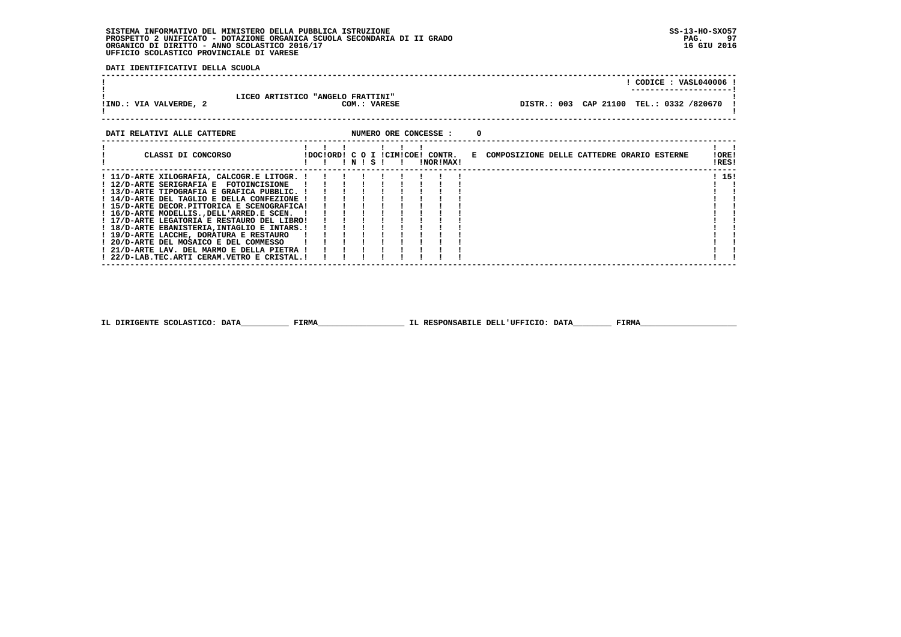## **SISTEMA INFORMATIVO DEL MINISTERO DELLA PUBBLICA ISTRUZIONE SS-13-HO-SXO57 PROSPETTO 2 UNIFICATO - DOTAZIONE ORGANICA SCUOLA SECONDARIA DI II GRADO PAG. 97 ORGANICO DI DIRITTO - ANNO SCOLASTICO 2016/17 16 GIU 2016 UFFICIO SCOLASTICO PROVINCIALE DI VARESE**

 **DATI IDENTIFICATIVI DELLA SCUOLA**

| !IND.: VIA VALVERDE, 2      | LICEO ARTISTICO "ANGELO FRATTINI"<br>COM.: VARESE | CODICE: VASL040006 !<br>DISTR.: 003 CAP 21100 TEL.: 0332 /820670 ! |
|-----------------------------|---------------------------------------------------|--------------------------------------------------------------------|
| DATI RELATIVI ALLE CATTEDRE | NUMERO ORE CONCESSE :                             |                                                                    |

| CLASSI DI CONCORSO                           | IDOCIORDI C O I ICIMICOEI CONTR. |  | ! N ! S ! |  | INORIMAXI |  | E COMPOSIZIONE DELLE CATTEDRE ORARIO ESTERNE | ! ORE!<br>!RES! |  |
|----------------------------------------------|----------------------------------|--|-----------|--|-----------|--|----------------------------------------------|-----------------|--|
| ! 11/D-ARTE XILOGRAFIA, CALCOGR.E LITOGR. !  |                                  |  |           |  |           |  |                                              | ! 15!           |  |
| ! 12/D-ARTE SERIGRAFIA E FOTOINCISIONE       |                                  |  |           |  |           |  |                                              |                 |  |
| ! 13/D-ARTE TIPOGRAFIA E GRAFICA PUBBLIC. !  |                                  |  |           |  |           |  |                                              |                 |  |
| ! 14/D-ARTE DEL TAGLIO E DELLA CONFEZIONE !  |                                  |  |           |  |           |  |                                              |                 |  |
| ! 15/D-ARTE DECOR.PITTORICA E SCENOGRAFICA!  |                                  |  |           |  |           |  |                                              |                 |  |
| ! 16/D-ARTE MODELLISDELL'ARRED.E SCEN.       |                                  |  |           |  |           |  |                                              |                 |  |
| ! 17/D-ARTE LEGATORIA E RESTAURO DEL LIBRO!  |                                  |  |           |  |           |  |                                              |                 |  |
| ! 18/D-ARTE EBANISTERIA, INTAGLIO E INTARS.! |                                  |  |           |  |           |  |                                              |                 |  |
| ! 19/D-ARTE LACCHE, DORATURA E RESTAURO      |                                  |  |           |  |           |  |                                              |                 |  |
| ! 20/D-ARTE DEL MOSAICO E DEL COMMESSO       |                                  |  |           |  |           |  |                                              |                 |  |
| ! 21/D-ARTE LAV. DEL MARMO E DELLA PIETRA !  |                                  |  |           |  |           |  |                                              |                 |  |
| ! 22/D-LAB.TEC.ARTI CERAM.VETRO E CRISTAL.!  |                                  |  |           |  |           |  |                                              |                 |  |

 **IL DIRIGENTE SCOLASTICO: DATA\_\_\_\_\_\_\_\_\_\_ FIRMA\_\_\_\_\_\_\_\_\_\_\_\_\_\_\_\_\_\_ IL RESPONSABILE DELL'UFFICIO: DATA\_\_\_\_\_\_\_\_ FIRMA\_\_\_\_\_\_\_\_\_\_\_\_\_\_\_\_\_\_\_\_**

 **------------------------------------------------------------------------------------------------------------------------------------**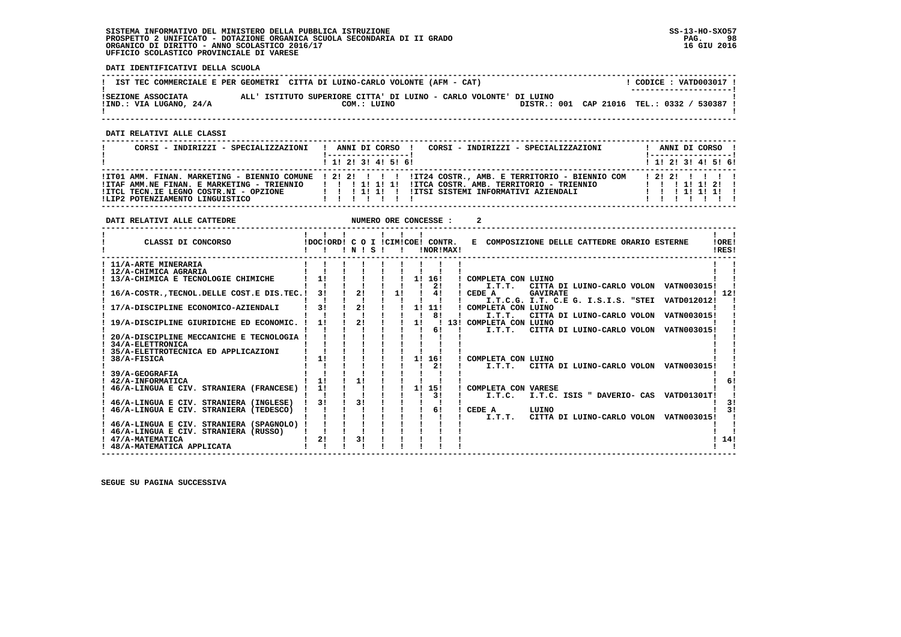## **SISTEMA INFORMATIVO DEL MINISTERO DELLA PUBBLICA ISTRUZIONE SS-13-HO-SXO57 PROSPETTO 2 UNIFICATO - DOTAZIONE ORGANICA SCUOLA SECONDARIA DI II GRADO PAG. 98 ORGANICO DI DIRITTO - ANNO SCOLASTICO 2016/17 16 GIU 2016 UFFICIO SCOLASTICO PROVINCIALE DI VARESE**

**DATI RELATIVI ALLE CATTEDRE NUMERO ORE CONCESSE : 2** 

 **DATI IDENTIFICATIVI DELLA SCUOLA**

|                                               | IST TEC COMMERCIALE E PER GEOMETRI CITTA DI LUINO-CARLO VOLONTE (AFM - CAT)      | CODICE: VATD003017 !<br>---------------------- |
|-----------------------------------------------|----------------------------------------------------------------------------------|------------------------------------------------|
| ISEZIONE ASSOCIATA<br>!IND.: VIA LUGANO, 24/A | ALL' ISTITUTO SUPERIORE CITTA' DI LUINO - CARLO VOLONTE' DI LUINO<br>COM.: LUINO | DISTR.: 001 CAP 21016 TEL.: 0332 / 530387 !    |

 **------------------------------------------------------------------------------------------------------------------------------------**

 **DATI RELATIVI ALLE CLASSI**

| CORSI - INDIRIZZI - SPECIALIZZAZIONI                                                                                    | CORSI - INDIRIZZI - SPECIALIZZAZIONI<br>ANNI DI CORSO !                                                                                                                                                               | ANNI DI CORSO !<br>  ------------------                 |
|-------------------------------------------------------------------------------------------------------------------------|-----------------------------------------------------------------------------------------------------------------------------------------------------------------------------------------------------------------------|---------------------------------------------------------|
|                                                                                                                         | 1 1 2 3 3 4 5 5 6                                                                                                                                                                                                     | $1$ , 1!, 2!, 3!, 4!, 5!, 6!                            |
| !ITAF AMM.NE FINAN. E MARKETING - TRIENNIO<br>IITCL TECN.IE LEGNO COSTR.NI - OPZIONE<br>!LIP2 POTENZIAMENTO LINGUISTICO | !ITO1 AMM. FINAN. MARKETING - BIENNIO COMUNE ! 2! 2! ! ! !!IT24 COSTR., AMB. E TERRITORIO - BIENNIO COM<br>!ITCA COSTR. AMB. TERRITORIO - TRIENNIO<br>1 1 1 1 1 1 1<br>IITSI SISTEMI INFORMATIVI AZIENDALI<br>1111111 | 1 2 1 2 1 1 1 1 1<br>1 1 1 1 1 1 2 1<br>1 1 1 1 1 1 1 1 |

| CLASSI DI CONCORSO                            | IDOCIORD! C O I ICIMICOE! CONTR. | ! N ! | s |    |    | !NOR!MAX! | E COMPOSIZIONE DELLE CATTEDRE ORARIO ESTERNE<br>!ORE!<br>IRES! |  |
|-----------------------------------------------|----------------------------------|-------|---|----|----|-----------|----------------------------------------------------------------|--|
| ! 11/A-ARTE MINERARIA                         |                                  |       |   |    |    |           |                                                                |  |
| ! 12/A-CHIMICA AGRARIA                        |                                  |       |   |    |    |           |                                                                |  |
| ! 13/A-CHIMICA E TECNOLOGIE CHIMICHE          | 11                               |       |   |    | 1! | 16!       | ! COMPLETA CON LUINO                                           |  |
|                                               |                                  |       |   |    |    | 21        | I.T.T.<br>CITTA DI LUINO-CARLO VOLON VATN003015!               |  |
| 16/A-COSTR. TECNOL. DELLE COST. E DIS. TEC. ! | 31                               | 21    |   | 11 |    | 41        | 12!<br>CEDE A<br><b>GAVIRATE</b>                               |  |
|                                               |                                  |       |   |    |    |           | I.T.C.G. I.T. C.E G. I.S.I.S. "STEI<br>VATD012012!             |  |
| 17/A-DISCIPLINE ECONOMICO-AZIENDALI           | 3!                               | 2!    |   |    | 1! | 11!       | COMPLETA CON LUINO                                             |  |
|                                               |                                  |       |   |    |    | 81        | I.T.T.<br>VATN003015!<br>CITTA DI LUINO-CARLO VOLON            |  |
| 19/A-DISCIPLINE GIURIDICHE ED ECONOMIC.       | 11                               | 2!    |   |    | 11 |           | 13! COMPLETA CON LUINO                                         |  |
|                                               |                                  |       |   |    |    | 6!        | I.T.T.<br>CITTA DI LUINO-CARLO VOLON<br>VATN003015!            |  |
| 20/A-DISCIPLINE MECCANICHE E TECNOLOGIA       |                                  |       |   |    |    |           |                                                                |  |
| 34/A-ELETTRONICA                              |                                  |       |   |    |    |           |                                                                |  |
| 35/A-ELETTROTECNICA ED APPLICAZIONI           |                                  |       |   |    |    |           |                                                                |  |
| 38/A-FISICA                                   | 11                               |       |   |    | 11 | 16!       | COMPLETA CON LUINO                                             |  |
|                                               |                                  |       |   |    |    | 21        | CITTA DI LUINO-CARLO VOLON VATN003015!<br>I.T.T.T.             |  |
| 39/A-GEOGRAFIA                                |                                  |       |   |    |    |           |                                                                |  |
| 42/A-INFORMATICA                              | 11                               |       |   |    |    |           |                                                                |  |
| 46/A-LINGUA E CIV. STRANIERA (FRANCESE)       | 1!                               |       |   |    | 11 | 15!       | COMPLETA CON VARESE                                            |  |
|                                               |                                  |       |   |    |    | 31        | I.T.C. ISIS " DAVERIO- CAS<br>I.T.C.<br>VATD01301T!            |  |
| 46/A-LINGUA E CIV. STRANIERA (INGLESE)        | 31                               | 31    |   |    |    |           |                                                                |  |
| 46/A-LINGUA E CIV. STRANIERA (TEDESCO)        |                                  |       |   |    |    | 6!        | LUINO<br>CEDE A                                                |  |
|                                               |                                  |       |   |    |    |           | CITTA DI LUINO-CARLO VOLON<br>VATN003015!<br>I.T.T.            |  |
| 46/A-LINGUA E CIV. STRANIERA (SPAGNOLO)       |                                  |       |   |    |    |           |                                                                |  |
| ! 46/A-LINGUA E CIV. STRANIERA (RUSSO)        |                                  |       |   |    |    |           |                                                                |  |
| 47/A-MATEMATICA                               | 2!                               | 31    |   |    |    |           | 14!                                                            |  |
| ! 48/A-MATEMATICA APPLICATA                   |                                  |       |   |    |    |           |                                                                |  |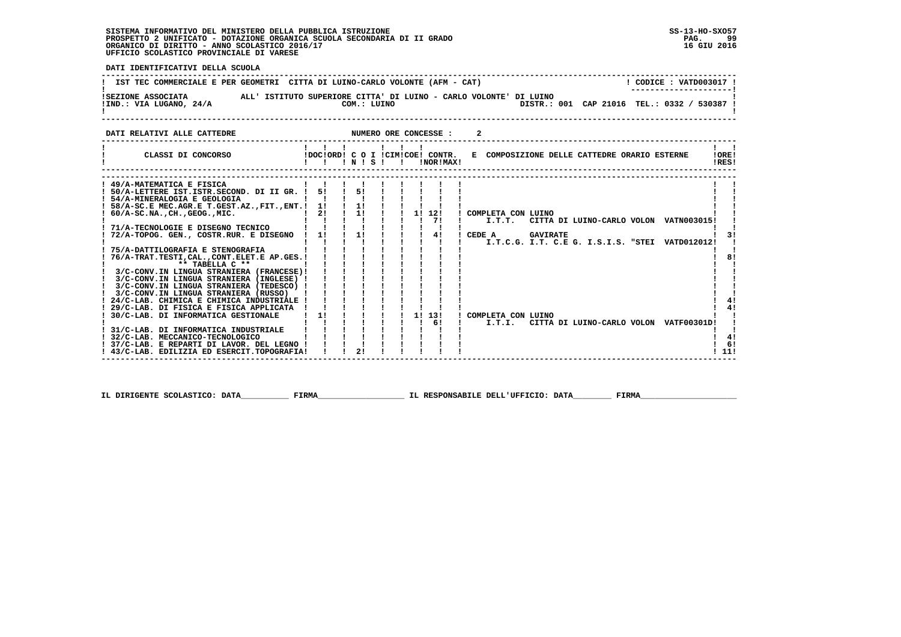#### **SISTEMA INFORMATIVO DEL MINISTERO DELLA PUBBLICA ISTRUZIONE SS-13-HO-SXO57 PROSPETTO 2 UNIFICATO - DOTAZIONE ORGANICA SCUOLA SECONDARIA DI II GRADO PAG. 99**ORGANICO DI DIRITTO - ANNO SCOLASTICO 2016/17  **UFFICIO SCOLASTICO PROVINCIALE DI VARESE**

**PAG.** 99 16 GIU 2016

> $1<sub>61</sub>$ **111**

 **DATI IDENTIFICATIVI DELLA SCUOLA ------------------------------------------------------------------------------------------------------------------------------------**<u> 1 רמגממת 1977 - היא דממי</u> ו **! IST TEC COMMERCIALE E PER GEOMETRI CITTA DI LUINO-CARLO VOLONTE (AFM - CAT) ! ---------------------! !SEZIONE ASSOCIATA ALL' ISTITUTO SUPERIORE CITTA' DI LUINO - CARLO VOLONTE' DI LUINO ! !IND.: VIA LUGANO, 24/A COM.: LUINO DISTR.: 001 CAP 21016 TEL.: 0332 / 530387 !** $\blacksquare$  **! ! ------------------------------------------------------------------------------------------------------------------------------------DATI RELATIVI ALLE CATTEDRE NUMERO ORE CONCESSE : 2 ------------------------------------------------------------------------------------------------------------------------------------ ! ! ! ! ! ! ! ! ! ! CLASSI DI CONCORSO !DOC!ORD! C O I !CIM!COE! CONTR. E COMPOSIZIONE DELLE CATTEDRE ORARIO ESTERNE !ORE! ! ! ! ! N ! S ! ! !NOR!MAX! !RES!** $\mathbf{I}$   $\mathbf{I}$ ! ORE! IRESI  **------------------------------------------------------------------------------------------------------------------------------------ ------------------------------------------------------------------------------------------------------------------------------------** $\mathbf{I}$  and  $\mathbf{I}$  **! 49/A-MATEMATICA E FISICA ! ! ! ! ! ! ! ! ! ! ! ! 50/A-LETTERE IST.ISTR.SECOND. DI II GR. ! 5! ! 5! ! ! ! ! ! ! ! ! 54/A-MINERALOGIA E GEOLOGIA ! ! ! ! ! ! ! ! ! ! ! ! 58/A-SC.E MEC.AGR.E T.GEST.AZ.,FIT.,ENT.! 1! ! 1! ! ! ! ! ! ! ! ! 60/A-SC.NA.,CH.,GEOG.,MIC. ! 2! ! 1! ! ! 1! 12! ! COMPLETA CON LUINO ! ! ! ! ! ! ! ! ! ! 7! ! I.T.T. CITTA DI LUINO-CARLO VOLON VATN003015! ! ! 71/A-TECNOLOGIE E DISEGNO TECNICO ! ! ! ! ! ! ! ! ! ! !** $\blacksquare$  $\blacksquare$  $\mathbf{I}$  and  $\mathbf{I}$ - 1 the contract of the contract of the Contract of  $\frac{1}{3}$  **! 72/A-TOPOG. GEN., COSTR.RUR. E DISEGNO ! 1! ! 1! ! ! ! 4! ! CEDE A GAVIRATE ! 3! ! ! ! ! ! ! ! ! ! ! I.T.C.G. I.T. C.E G. I.S.I.S. "STEI VATD012012! ! ! 75/A-DATTILOGRAFIA E STENOGRAFIA ! ! ! ! ! ! ! ! ! ! ! ! 76/A-TRAT.TESTI,CAL.,CONT.ELET.E AP.GES.! ! ! ! ! ! ! ! ! ! 8!** $8<sub>1</sub>$  $\blacksquare$  **! \*\* TABELLA C \*\* ! ! ! ! ! ! ! ! ! ! ! ! 3/C-CONV.IN LINGUA STRANIERA (FRANCESE)! ! ! ! ! ! ! ! ! ! ! ! 3/C-CONV.IN LINGUA STRANIERA (INGLESE) ! ! ! ! ! ! ! ! ! ! !** $\mathbf{I}$  $\blacksquare$  **! 3/C-CONV.IN LINGUA STRANIERA (TEDESCO) ! ! ! ! ! ! ! ! ! ! ! ! 3/C-CONV.IN LINGUA STRANIERA (RUSSO) ! ! ! ! ! ! ! ! ! ! ! ! 24/C-LAB. CHIMICA E CHIMICA INDUSTRIALE ! ! ! ! ! ! ! ! ! ! 4!** $\mathbf{I}$  $1 \quad 41$  $1 \quad 41$  **! 29/C-LAB. DI FISICA E FISICA APPLICATA ! ! ! ! ! ! ! ! ! ! 4! ! 30/C-LAB. DI INFORMATICA GESTIONALE ! 1! ! ! ! ! 1! 13! ! COMPLETA CON LUINO ! ! ! ! ! ! ! ! ! ! 6! ! I.T.I. CITTA DI LUINO-CARLO VOLON VATF00301D! ! ! 31/C-LAB. DI INFORMATICA INDUSTRIALE ! ! ! ! ! ! ! ! ! ! !** $\mathbf{I}$  $\overline{\phantom{a}}$ i i  $1 \quad 4!$  **! 32/C-LAB. MECCANICO-TECNOLOGICO ! ! ! ! ! ! ! ! ! ! 4! ! 37/C-LAB. E REPARTI DI LAVOR. DEL LEGNO ! ! ! ! ! ! ! ! ! ! 6! ! 43/C-LAB. EDILIZIA ED ESERCIT.TOPOGRAFIA! ! ! 2! ! ! ! ! ! ! 11!**

 **IL DIRIGENTE SCOLASTICO: DATA\_\_\_\_\_\_\_\_\_\_ FIRMA\_\_\_\_\_\_\_\_\_\_\_\_\_\_\_\_\_\_ IL RESPONSABILE DELL'UFFICIO: DATA\_\_\_\_\_\_\_\_ FIRMA\_\_\_\_\_\_\_\_\_\_\_\_\_\_\_\_\_\_\_\_**

 **------------------------------------------------------------------------------------------------------------------------------------**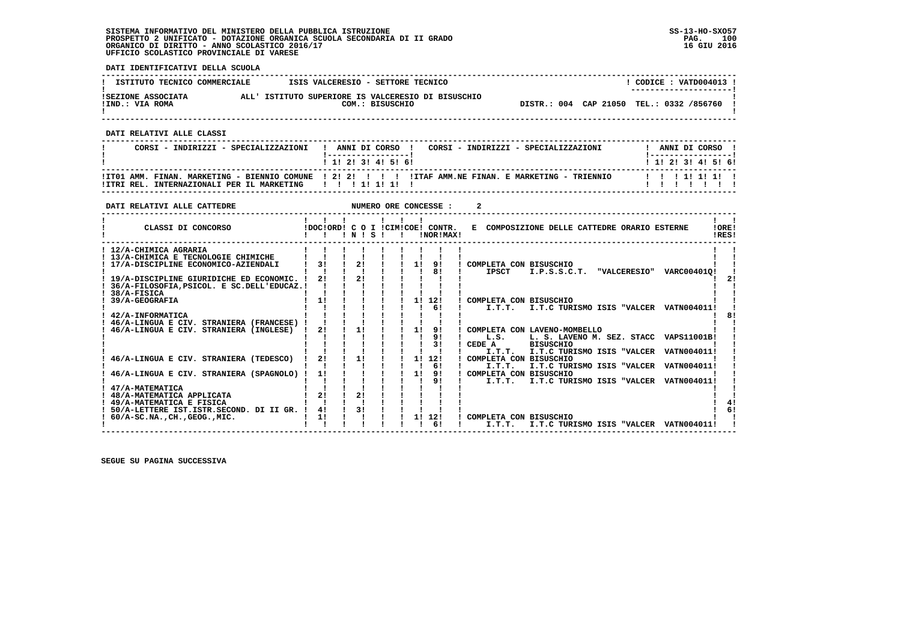### **SISTEMA INFORMATIVO DEL MINISTERO DELLA PUBBLICA ISTRUZIONE SS-13-HO-SXO57 PROSPETTO 2 UNIFICATO - DOTAZIONE ORGANICA SCUOLA SECONDARIA DI II GRADO PAG. 100 ORGANICO DI DIRITTO - ANNO SCOLASTICO 2016/17 16 GIU 2016 UFFICIO SCOLASTICO PROVINCIALE DI VARESE**

 **DATI IDENTIFICATIVI DELLA SCUOLA**

| ISTITUTO TECNICO COMMERCIALE          | ISIS VALCERESIO - SETTORE TECNICO |                                                                       |                                          |  | CODICE: VATD004013 !<br>---------------------- |  |
|---------------------------------------|-----------------------------------|-----------------------------------------------------------------------|------------------------------------------|--|------------------------------------------------|--|
| ISEZIONE ASSOCIATA<br>!IND.: VIA ROMA |                                   | ALL' ISTITUTO SUPERIORE IS VALCERESIO DI BISUSCHIO<br>COM.: BISUSCHIO | DISTR.: 004 CAP 21050 TEL.: 0332 /856760 |  |                                                |  |

 **------------------------------------------------------------------------------------------------------------------------------------**

 **DATI RELATIVI ALLE CLASSI**

| CORSI - INDIRIZZI - SPECIALIZZAZIONI                   | ANNI DI CORSO !<br>CORSI - INDIRIZZI - SPECIALIZZAZIONI<br>1 1 2 3 3 4 5 6 1                          | ANNI DI CORSO<br>1 1 1 2 1 3 1 4 1 5 1 6 1 |
|--------------------------------------------------------|-------------------------------------------------------------------------------------------------------|--------------------------------------------|
| !ITRI REL. INTERNAZIONALI PER IL MARKETING   !!!!!!!!! | ITT01 AMM. FINAN. MARKETING - BIENNIO COMUNE   2! 2! !   !! ITAF AMM.NE FINAN. E MARKETING - TRIENNIO | 11111111                                   |

 **------------------------------------------------------------------------------------------------------------------------------------**

| DATI RELATIVI ALLE CATTEDRE               |    |                |       |  | NUMERO ORE CONCESSE :                         |                                                                    |                |
|-------------------------------------------|----|----------------|-------|--|-----------------------------------------------|--------------------------------------------------------------------|----------------|
| CLASSI DI CONCORSO                        |    |                | INISI |  | IDOCIORD! C O I ICIMICOE! CONTR.<br>!NOR!MAX! | E COMPOSIZIONE DELLE CATTEDRE ORARIO ESTERNE                       | !ORE!<br>IRES! |
| ! 12/A-CHIMICA AGRARIA                    |    |                |       |  |                                               |                                                                    |                |
| ! 13/A-CHIMICA E TECNOLOGIE CHIMICHE      |    |                |       |  |                                               |                                                                    |                |
| 17/A-DISCIPLINE ECONOMICO-AZIENDALI       | 31 | 21             |       |  | 11<br>91                                      | COMPLETA CON BISUSCHIO                                             |                |
|                                           |    |                |       |  | 81                                            | <b>IPSCT</b><br>I.P.S.S.C.T.<br><b>"VALCERESIO"</b><br>VARC004010! |                |
| 19/A-DISCIPLINE GIURIDICHE ED ECONOMIC.   | 21 | 21             |       |  |                                               |                                                                    | 21             |
| 36/A-FILOSOFIA.PSICOL. E SC.DELL'EDUCAZ.! |    |                |       |  |                                               |                                                                    |                |
| 38/A-FISICA                               |    |                |       |  |                                               |                                                                    |                |
| 39/A-GEOGRAFIA                            | 1! |                |       |  | 11<br>12!                                     | COMPLETA CON BISUSCHIO                                             |                |
|                                           |    |                |       |  | 6!                                            | I.T.C TURISMO ISIS "VALCER VATN004011!<br>I.T.T.                   |                |
| 42/A-INFORMATICA                          |    |                |       |  |                                               |                                                                    |                |
| 46/A-LINGUA E CIV. STRANIERA (FRANCESE)   |    |                |       |  |                                               |                                                                    |                |
| 46/A-LINGUA E CIV. STRANIERA (INGLESE)    | 21 | 11             |       |  | 11<br>91                                      | COMPLETA CON LAVENO-MOMBELLO                                       |                |
|                                           |    |                |       |  | 9 <sub>1</sub>                                | L. S. LAVENO M. SEZ. STACC VAPS11001B!<br>L.S.                     |                |
|                                           |    |                |       |  | 31                                            | CEDE A<br><b>BISUSCHIO</b>                                         |                |
|                                           |    |                |       |  |                                               | I.T.C TURISMO ISIS "VALCER<br>VATN004011!<br>I.T.T.                |                |
| 46/A-LINGUA E CIV. STRANIERA (TEDESCO)    | 21 | 11             |       |  | 11<br>12!                                     | COMPLETA CON BISUSCHIO                                             |                |
|                                           |    |                |       |  | 61                                            | VATN004011!<br>I.T.T.<br>I.T.C TURISMO ISIS "VALCER                |                |
| 46/A-LINGUA E CIV. STRANIERA (SPAGNOLO)   | 1! |                |       |  | 11<br>91                                      | ! COMPLETA CON BISUSCHIO                                           |                |
|                                           |    |                |       |  | 91                                            | I.T.C TURISMO ISIS "VALCER VATN004011!<br>I.T.T.                   |                |
| 47/A-MATEMATICA                           |    |                |       |  |                                               |                                                                    |                |
| 48/A-MATEMATICA APPLICATA                 | 21 | 21             |       |  |                                               |                                                                    |                |
| ! 49/A-MATEMATICA E FISICA                |    |                |       |  |                                               |                                                                    |                |
| 50/A-LETTERE IST.ISTR.SECOND. DI II GR.   | 41 | 3 <sub>1</sub> |       |  |                                               |                                                                    |                |
| $60/A-SC.NA.$ , $CH.$ , $GEOG.$ , $MIC.$  | 1! |                |       |  | 1! 12!                                        | COMPLETA CON BISUSCHIO                                             |                |
|                                           |    |                |       |  | 61                                            | I.T.T.<br>I.T.C TURISMO ISIS "VALCER VATN004011!                   |                |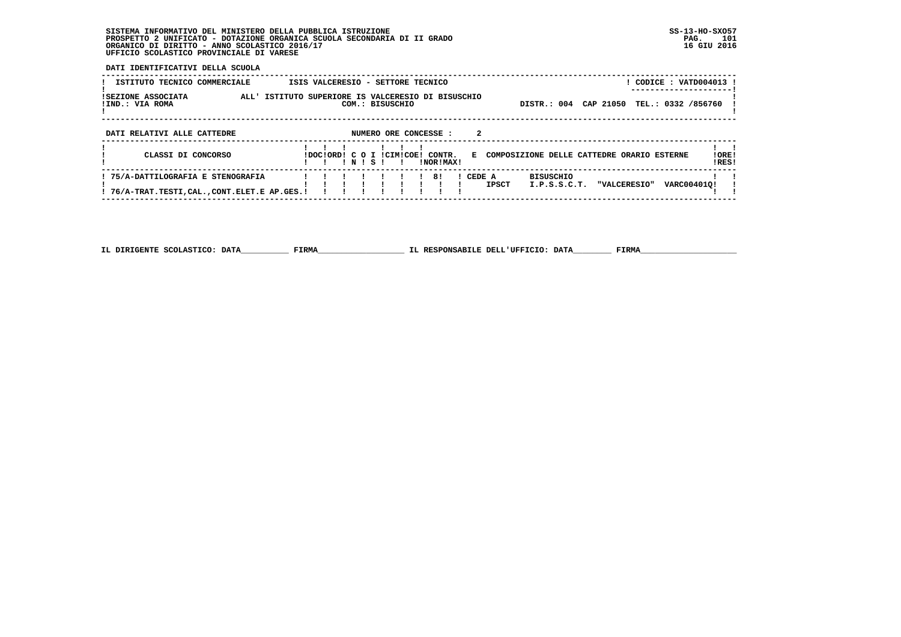## **SISTEMA INFORMATIVO DEL MINISTERO DELLA PUBBLICA ISTRUZIONE SS-13-HO-SXO57 PROSPETTO 2 UNIFICATO - DOTAZIONE ORGANICA SCUOLA SECONDARIA DI II GRADO PAG. 101 ORGANICO DI DIRITTO - ANNO SCOLASTICO 2016/17 16 GIU 2016 UFFICIO SCOLASTICO PROVINCIALE DI VARESE**

 **------------------------------------------------------------------------------------------------------------------------------------**

 **DATI IDENTIFICATIVI DELLA SCUOLA**

| ISTITUTO TECNICO COMMERCIALE                                                      |                                                    | ISIS VALCERESIO - SETTORE TECNICO |      |                       |  |                     |        |              |                                            |           |                     | CODICE: VATD004013 |                  |
|-----------------------------------------------------------------------------------|----------------------------------------------------|-----------------------------------|------|-----------------------|--|---------------------|--------|--------------|--------------------------------------------|-----------|---------------------|--------------------|------------------|
| ISEZIONE ASSOCIATA<br>!IND.: VIA ROMA                                             | ALL' ISTITUTO SUPERIORE IS VALCERESIO DI BISUSCHIO |                                   |      | COM.: BISUSCHIO       |  |                     |        |              | DISTR.: 004                                | CAP 21050 |                     | TEL.: 0332 /856760 |                  |
| DATI RELATIVI ALLE CATTEDRE                                                       |                                                    |                                   |      | NUMERO ORE CONCESSE : |  |                     | 2      |              |                                            |           |                     |                    |                  |
| CLASSI DI CONCORSO                                                                |                                                    | LOCLORD LC O I LCTMICORL          | NISI |                       |  | CONTR.<br>INORIMAX! | E.     |              | COMPOSIZIONE DELLE CATTEDRE ORARIO ESTERNE |           |                     |                    | ! ORE !<br>!RES! |
| ! 75/A-DATTILOGRAFIA E STENOGRAFIA<br>! 76/A-TRAT.TESTI,CAL.,CONT.ELET.E AP.GES.! |                                                    |                                   |      |                       |  | 81                  | CEDE A | <b>IPSCT</b> | <b>BISUSCHIO</b><br>I.P.S.S.C.T.           |           | <b>"VALCERESIO"</b> | VARC004010!        |                  |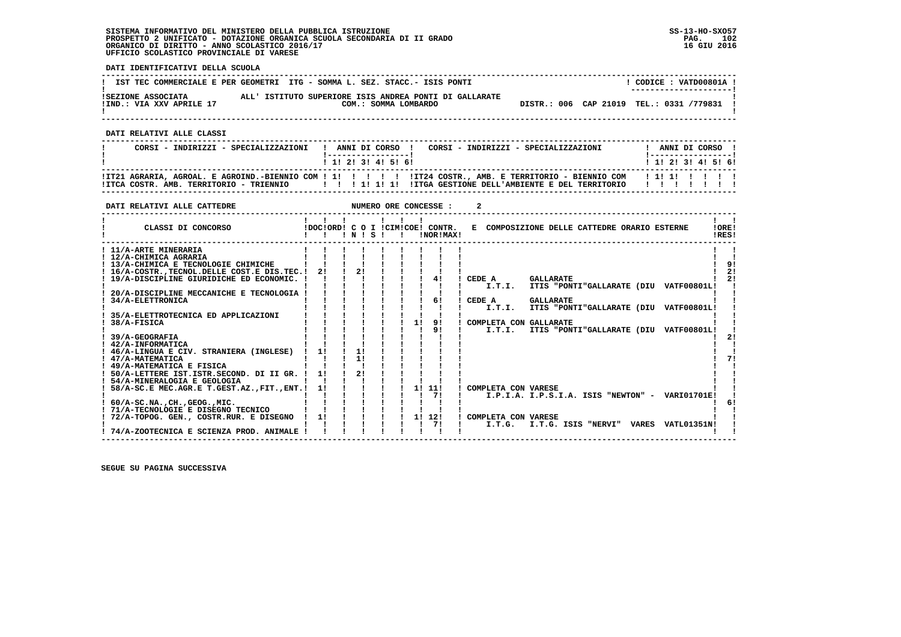## **SISTEMA INFORMATIVO DEL MINISTERO DELLA PUBBLICA ISTRUZIONE SS-13-HO-SXO57 PROSPETTO 2 UNIFICATO - DOTAZIONE ORGANICA SCUOLA SECONDARIA DI II GRADO PAG. 102 ORGANICO DI DIRITTO - ANNO SCOLASTICO 2016/17 16 GIU 2016 UFFICIO SCOLASTICO PROVINCIALE DI VARESE**

 **DATI IDENTIFICATIVI DELLA SCUOLA**

|                                                | IST TEC COMMERCIALE E PER GEOMETRI ITG - SOMMA L. SEZ. STACC.- ISIS PONTI      | CODICE: VATD00801A !<br>--------------------- |
|------------------------------------------------|--------------------------------------------------------------------------------|-----------------------------------------------|
| ISEZIONE ASSOCIATA<br>!IND.: VIA XXV APRILE 17 | ALL' ISTITUTO SUPERIORE ISIS ANDREA PONTI DI GALLARATE<br>COM.: SOMMA LOMBARDO | DISTR.: 006 CAP 21019 TEL.: 0331 /779831      |

 **------------------------------------------------------------------------------------------------------------------------------------**

 **DATI RELATIVI ALLE CLASSI**

| CORSI - INDIRIZZI - SPECIALIZZAZIONI                                                                       | ! ------------------! |  |  | ! ANNI DI CORSO ! CORSI - INDIRIZZI - SPECIALIZZAZIONI |  |  |  | ANNI DI CORSO !<br>! ----------------- ! |
|------------------------------------------------------------------------------------------------------------|-----------------------|--|--|--------------------------------------------------------|--|--|--|------------------------------------------|
|                                                                                                            | 1 1 2 3 3 4 5 6 1     |  |  |                                                        |  |  |  | ! 1! 2! 3! 4! 5! 6!                      |
| ITCA COSTR. AMB. TERRITORIO - TRIENNIO 1994 IIIIIIII IIIIIII IITGA GESTIONE DELL'AMBIENTE E DEL TERRITORIO |                       |  |  |                                                        |  |  |  | .                                        |

 **------------------------------------------------------------------------------------------------------------------------------------**

| DATI RELATIVI ALLE CATTEDRE                      |                                        |    |       |                           |        |    | NUMERO ORE CONCESSE :                            |        |                     |                                              |  |                                                 |                |                      |
|--------------------------------------------------|----------------------------------------|----|-------|---------------------------|--------|----|--------------------------------------------------|--------|---------------------|----------------------------------------------|--|-------------------------------------------------|----------------|----------------------|
| CLASSI DI CONCORSO                               | $\mathbf{1}$ $\mathbf{1}$ $\mathbf{1}$ |    | INISI | $\mathbf{1}$ $\mathbf{1}$ | $\sim$ |    | IDOCIORD! C O I ICIMICOE! CONTR.<br>INOR ! MAX ! |        |                     | E COMPOSIZIONE DELLE CATTEDRE ORARIO ESTERNE |  |                                                 | !ORE!<br>IRES! |                      |
| ! 11/A-ARTE MINERARIA                            |                                        |    |       |                           |        |    |                                                  |        |                     |                                              |  |                                                 |                |                      |
| ! 12/A-CHIMICA AGRARIA                           |                                        |    |       |                           |        |    |                                                  |        |                     |                                              |  |                                                 |                |                      |
| ! 13/A-CHIMICA E TECNOLOGIE CHIMICHE             |                                        |    |       |                           |        |    |                                                  |        |                     |                                              |  |                                                 |                |                      |
| ! 16/A-COSTR., TECNOL. DELLE COST. E DIS. TEC. ! | 21                                     |    | 21    |                           |        |    |                                                  |        |                     |                                              |  |                                                 |                | 2 <sub>1</sub><br>2! |
| ! 19/A-DISCIPLINE GIURIDICHE ED ECONOMIC. !      |                                        |    |       |                           |        |    | 41                                               |        | CEDE A              | <b>GALLARATE</b>                             |  |                                                 |                |                      |
|                                                  |                                        |    |       |                           |        |    |                                                  |        | I.T.I.              |                                              |  | ITIS "PONTI"GALLARATE (DIU VATF00801L!          |                |                      |
| 20/A-DISCIPLINE MECCANICHE E TECNOLOGIA          |                                        |    |       |                           |        |    | 61                                               |        |                     |                                              |  |                                                 |                |                      |
| 34/A-ELETTRONICA                                 |                                        |    |       |                           |        |    |                                                  | CEDE A | I.T.I.              | <b>GALLARATE</b>                             |  | ITIS "PONTI"GALLARATE (DIU VATF00801L!          |                |                      |
| 35/A-ELETTROTECNICA ED APPLICAZIONI              |                                        |    |       |                           |        |    |                                                  |        |                     |                                              |  |                                                 |                |                      |
| 38/A-FISICA                                      |                                        |    |       |                           |        | 1! | 91                                               |        |                     | COMPLETA CON GALLARATE                       |  |                                                 |                |                      |
|                                                  |                                        |    |       |                           |        |    | 9!                                               |        | I.T.I.              |                                              |  | ITIS "PONTI"GALLARATE (DIU VATF00801L!          |                |                      |
| 39/A-GEOGRAFIA                                   |                                        |    |       |                           |        |    |                                                  |        |                     |                                              |  |                                                 |                |                      |
| ! 42/A-INFORMATICA                               |                                        |    |       |                           |        |    |                                                  |        |                     |                                              |  |                                                 |                |                      |
| ! 46/A-LINGUA E CIV. STRANIERA (INGLESE)         | 11                                     | 11 |       |                           |        |    |                                                  |        |                     |                                              |  |                                                 |                |                      |
| ! 47/A-MATEMATICA                                |                                        | 11 |       |                           |        |    |                                                  |        |                     |                                              |  |                                                 |                |                      |
| ! 49/A-MATEMATICA E FISICA                       |                                        |    |       |                           |        |    |                                                  |        |                     |                                              |  |                                                 |                |                      |
| ! 50/A-LETTERE IST.ISTR.SECOND. DI II GR. !      | 1!                                     | 21 |       |                           |        |    |                                                  |        |                     |                                              |  |                                                 |                |                      |
| ! 54/A-MINERALOGIA E GEOLOGIA                    |                                        |    |       |                           |        |    |                                                  |        |                     |                                              |  |                                                 |                |                      |
| 58/A-SC.E MEC.AGR.E T.GEST.AZ., FIT., ENT.!      | 11                                     |    |       |                           |        |    | 1! 11!                                           |        | COMPLETA CON VARESE |                                              |  |                                                 |                |                      |
|                                                  |                                        |    |       |                           |        |    | 71                                               |        |                     |                                              |  | I.P.I.A. I.P.S.I.A. ISIS "NEWTON" - VARI01701E! |                |                      |
| $: 60/A-SC.NA.$ . $CH.$ , $GEOG.$ , $MIC.$       |                                        |    |       |                           |        |    |                                                  |        |                     |                                              |  |                                                 |                |                      |
| ! 71/A-TECNOLOGIE E DISEGNO TECNICO              |                                        |    |       |                           |        |    |                                                  |        |                     |                                              |  |                                                 |                |                      |
| 72/A-TOPOG. GEN., COSTR.RUR. E DISEGNO           | 11                                     |    |       |                           |        |    | 1! 12!                                           |        | COMPLETA CON VARESE |                                              |  |                                                 |                |                      |
|                                                  |                                        |    |       |                           |        |    | 71                                               |        | I.T.G.              |                                              |  | I.T.G. ISIS "NERVI" VARES VATL01351N!           |                |                      |
| ! 74/A-ZOOTECNICA E SCIENZA PROD. ANIMALE !      |                                        |    |       |                           |        |    |                                                  |        |                     |                                              |  |                                                 |                |                      |
|                                                  |                                        |    |       |                           |        |    |                                                  |        |                     |                                              |  |                                                 |                |                      |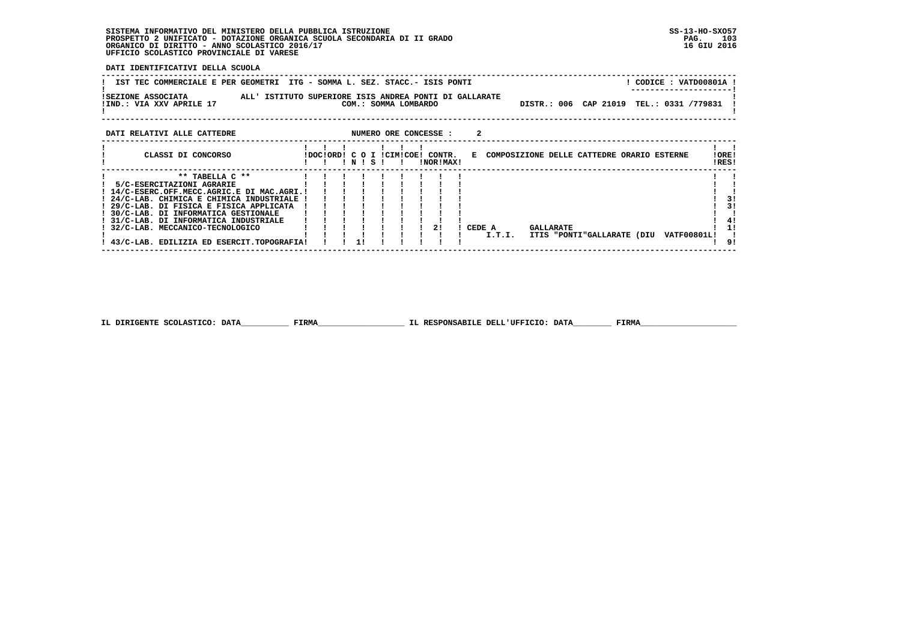#### **SISTEMA INFORMATIVO DEL MINISTERO DELLA PUBBLICA ISTRUZIONE SS-13-HO-SXO57 PROSPETTO 2 UNIFICATO - DOTAZIONE ORGANICA SCUOLA SECONDARIA DI II GRADO** ORGANICO DI DIRITTO - ANNO SCOLASTICO 2016/17  **UFFICIO SCOLASTICO PROVINCIALE DI VARESE**

 **DATI IDENTIFICATIVI DELLA SCUOLA**

| IST TEC COMMERCIALE E PER GEOMETRI ITG - SOMMA L. SEZ. STACC.- ISIS PONTI                                |                                  |       |                       |           |   |  |                                              |  | ! CODICE : VATD00801A ! |                |
|----------------------------------------------------------------------------------------------------------|----------------------------------|-------|-----------------------|-----------|---|--|----------------------------------------------|--|-------------------------|----------------|
| ISEZIONE ASSOCIATA<br>ALL' ISTITUTO SUPERIORE ISIS ANDREA PONTI DI GALLARATE<br>!IND.: VIA XXV APRILE 17 |                                  |       | COM.: SOMMA LOMBARDO  |           |   |  | DISTR.: 006 CAP 21019 TEL.: 0331 /779831     |  |                         |                |
| DATI RELATIVI ALLE CATTEDRE                                                                              |                                  |       | NUMERO ORE CONCESSE : |           | 2 |  |                                              |  |                         |                |
| CLASSI DI CONCORSO                                                                                       | !DOC!ORD! C O I !CIM!COE! CONTR. | INISI |                       | !NOR!MAX! |   |  | E COMPOSIZIONE DELLE CATTEDRE ORARIO ESTERNE |  |                         | !ORE!<br>!RES! |
| $***$ TABELLA $C***$<br>5/C-ESERCITAZIONI AGRARIE                                                        |                                  |       |                       |           |   |  |                                              |  |                         |                |
| ! 14/C-ESERC.OFF.MECC.AGRIC.E DI MAC.AGRI.!                                                              |                                  |       |                       |           |   |  |                                              |  |                         |                |
| ! 24/C-LAB. CHIMICA E CHIMICA INDUSTRIALE                                                                |                                  |       |                       |           |   |  |                                              |  |                         | 3!             |
| $20/7$ -LIND DI FICICI F FICICI ADDITCATA                                                                |                                  |       |                       |           |   |  |                                              |  |                         |                |

! 29/C-LAB. DI FISICA E FISICA APPLICATA | | | | | | | | | |<br>! 30/C-LAB. DI INFORMATICA GESTIONALE | ! ! ! ! ! ! ! |<br>! 31/C-LAB. DI INFORMATICA INDUSTRIALE | ! ! ! ! ! ! ! !<br>! 32/C-LAB. MECCANICO-TECNOLOGICO | ! ! ! ! ! !  $\frac{1}{4}$  $\overline{1}$   $\overline{1}$   **! ! ! ! ! ! ! ! ! ! I.T.I. ITIS "PONTI"GALLARATE (DIU VATF00801L! !** $1 \quad 91$  **! 43/C-LAB. EDILIZIA ED ESERCIT.TOPOGRAFIA! ! ! 1! ! ! ! ! ! ! 9! ------------------------------------------------------------------------------------------------------------------------------------**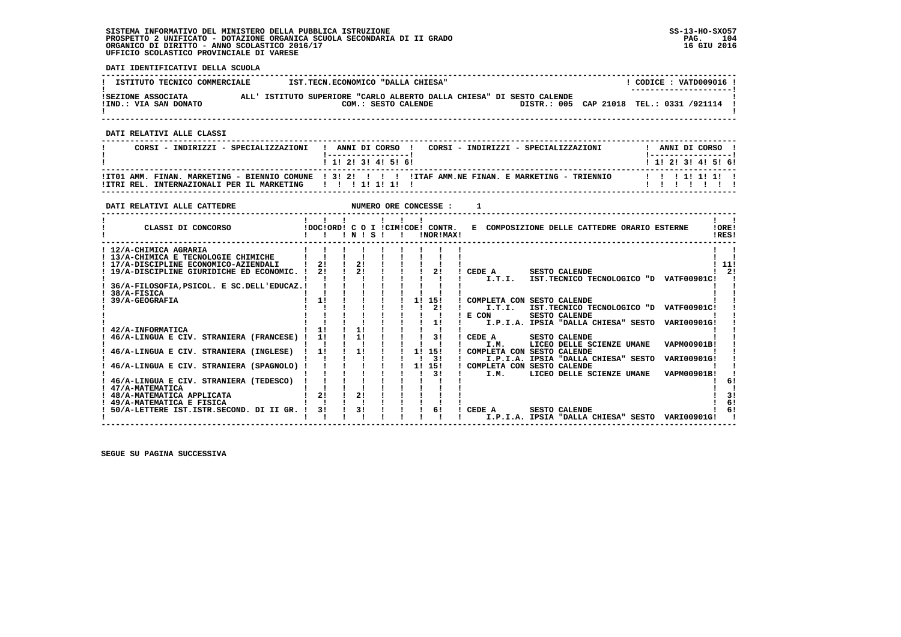## **SISTEMA INFORMATIVO DEL MINISTERO DELLA PUBBLICA ISTRUZIONE SS-13-HO-SXO57 PROSPETTO 2 UNIFICATO - DOTAZIONE ORGANICA SCUOLA SECONDARIA DI II GRADO PAG. 104 ORGANICO DI DIRITTO - ANNO SCOLASTICO 2016/17 16 GIU 2016 UFFICIO SCOLASTICO PROVINCIALE DI VARESE**

 **DATI IDENTIFICATIVI DELLA SCUOLA**

| ISTITUTO TECNICO COMMERCIALE                | IST.TECN.ECONOMICO "DALLA CHIESA"                                                            | CODICE: VATD009016 !                                               |
|---------------------------------------------|----------------------------------------------------------------------------------------------|--------------------------------------------------------------------|
| ISEZIONE ASSOCIATA<br>!IND.: VIA SAN DONATO | ALL' ISTITUTO SUPERIORE "CARLO ALBERTO DALLA CHIESA" DI SESTO CALENDE<br>COM.: SESTO CALENDE | --------------------- <br>DISTR.: 005 CAP 21018 TEL.: 0331 /921114 |

 **------------------------------------------------------------------------------------------------------------------------------------**

 **DATI RELATIVI ALLE CLASSI**

| CORSI - INDIRIZZI - SPECIALIZZAZIONI           | ANNI DI CORSO !<br>CORSI - INDIRIZZI - SPECIALIZZAZIONI                                                             | ANNI DI CORSO     |
|------------------------------------------------|---------------------------------------------------------------------------------------------------------------------|-------------------|
|                                                | 1 1 2 3 3 4 5 6 1                                                                                                   | 1 1 2 3 3 4 5 6 6 |
| INTERNAZIONALI PER II. MARKETING<br>!ITRI REL. | ITTO1 AMM. FINAN. MARKETING - BIENNIO COMUNE 1 31 21 1 1 1 1 1ITAF AMM.NE FINAN. E MARKETING - TRIENNIO<br>11111111 |                   |

 **------------------------------------------------------------------------------------------------------------------------------------**

| DATI RELATIVI ALLE CATTEDRE                                                                                                                                       |          |           | NUMERO ORE CONCESSE :            |                        |                                                                                                                                                                     |                |
|-------------------------------------------------------------------------------------------------------------------------------------------------------------------|----------|-----------|----------------------------------|------------------------|---------------------------------------------------------------------------------------------------------------------------------------------------------------------|----------------|
| CLASSI DI CONCORSO                                                                                                                                                |          | 1 N 1 S 1 | IDOCIORDI C O I ICIMICOEI CONTR. | INOR ! MAX!            | E COMPOSIZIONE DELLE CATTEDRE ORARIO ESTERNE                                                                                                                        | !ORE!<br>IRES! |
| ! 12/A-CHIMICA AGRARIA<br>! 13/A-CHIMICA E TECNOLOGIE CHIMICHE<br>! 17/A-DISCIPLINE ECONOMICO-AZIENDALI<br>19/A-DISCIPLINE GIURIDICHE ED ECONOMIC. !              | 21<br>21 | 21<br>21  |                                  | 21                     | CEDE A<br><b>SESTO CALENDE</b>                                                                                                                                      | 11!<br>2!      |
| 36/A-FILOSOFIA, PSICOL. E SC. DELL'EDUCAZ. !<br>38/A-FISICA<br>39/A-GEOGRAFIA                                                                                     | 11       |           | 11                               | 15!<br>2!              | IST.TECNICO TECNOLOGICO "D VATF00901C!<br>I.T.I.<br>COMPLETA CON SESTO CALENDE<br>I.T.I.<br>IST.TECNICO TECNOLOGICO "D VATF00901C!<br>E CON<br><b>SESTO CALENDE</b> |                |
| 42/A-INFORMATICA<br>46/A-LINGUA E CIV. STRANIERA (FRANCESE)                                                                                                       | 11<br>1! | 11<br>11  |                                  | 1!<br>31               | I.P.I.A. IPSIA "DALLA CHIESA" SESTO<br>VARI00901G!<br>CEDE A<br><b>SESTO CALENDE</b><br>LICEO DELLE SCIENZE UMANE<br><b>VAPM00901B!</b><br>I.M.                     |                |
| 46/A-LINGUA E CIV. STRANIERA (INGLESE)<br>46/A-LINGUA E CIV. STRANIERA (SPAGNOLO)                                                                                 | 11       | 11        | 11<br>1!                         | 15!<br>31<br>15!<br>31 | COMPLETA CON SESTO CALENDE<br>I.P.I.A. IPSIA "DALLA CHIESA" SESTO<br>VARI00901G!<br>COMPLETA CON SESTO CALENDE<br>VAPM00901B!<br>LICEO DELLE SCIENZE UMANE<br>I.M.  |                |
| 46/A-LINGUA E CIV. STRANIERA (TEDESCO)<br>47/A-MATEMATICA<br>48/A-MATEMATICA APPLICATA<br>! 49/A-MATEMATICA E FISICA<br>50/A-LETTERE IST.ISTR.SECOND. DI II GR. ! | 21<br>31 | 21<br>3!  |                                  | 61                     | CEDE A<br><b>SESTO CALENDE</b><br>I.P.I.A. IPSIA "DALLA CHIESA" SESTO<br><b>VARI00901G!</b>                                                                         | 6!<br>6!<br>6! |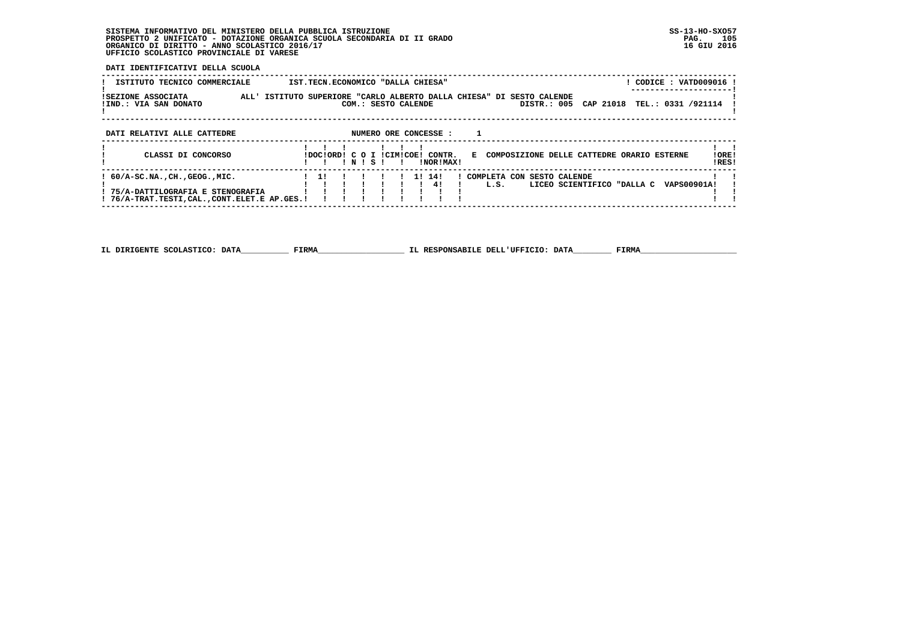## **SISTEMA INFORMATIVO DEL MINISTERO DELLA PUBBLICA ISTRUZIONE SS-13-HO-SXO57 PROSPETTO 2 UNIFICATO - DOTAZIONE ORGANICA SCUOLA SECONDARIA DI II GRADO PAG. 105 ORGANICO DI DIRITTO - ANNO SCOLASTICO 2016/17 16 GIU 2016 UFFICIO SCOLASTICO PROVINCIALE DI VARESE**

 **DATI IDENTIFICATIVI DELLA SCUOLA**

| ISTITUTO TECNICO COMMERCIALE                                                                                      |           | IST.TECN.ECONOMICO "DALLA CHIESA"             |                                                                       |                                              | CODICE: VATD009016                     |
|-------------------------------------------------------------------------------------------------------------------|-----------|-----------------------------------------------|-----------------------------------------------------------------------|----------------------------------------------|----------------------------------------|
| ISEZIONE ASSOCIATA<br>!IND.: VIA SAN DONATO                                                                       |           | COM.: SESTO CALENDE                           | ALL' ISTITUTO SUPERIORE "CARLO ALBERTO DALLA CHIESA" DI SESTO CALENDE | CAP 21018<br>DISTR.: 005                     | TEL.: 0331 /921114                     |
| DATI RELATIVI ALLE CATTEDRE                                                                                       |           | NUMERO ORE CONCESSE :                         |                                                                       |                                              |                                        |
| CLASSI DI CONCORSO                                                                                                | ! N ! S ! | IDOCIORDI C O I ICIMICOEI CONTR.<br>INORIMAXI |                                                                       | E COMPOSIZIONE DELLE CATTEDRE ORARIO ESTERNE | ! ORE!<br>!RES!                        |
| ! 60/A-SC.NA.,CH.,GEOG.,MIC.<br>! 75/A-DATTILOGRAFIA E STENOGRAFIA<br>! 76/A-TRAT.TESTI,CAL.,CONT.ELET.E AP.GES.! |           | 1! 14!<br>41                                  | ! COMPLETA CON<br>L.S.                                                | <b>SESTO CALENDE</b>                         | LICEO SCIENTIFICO "DALLA C VAPS00901A! |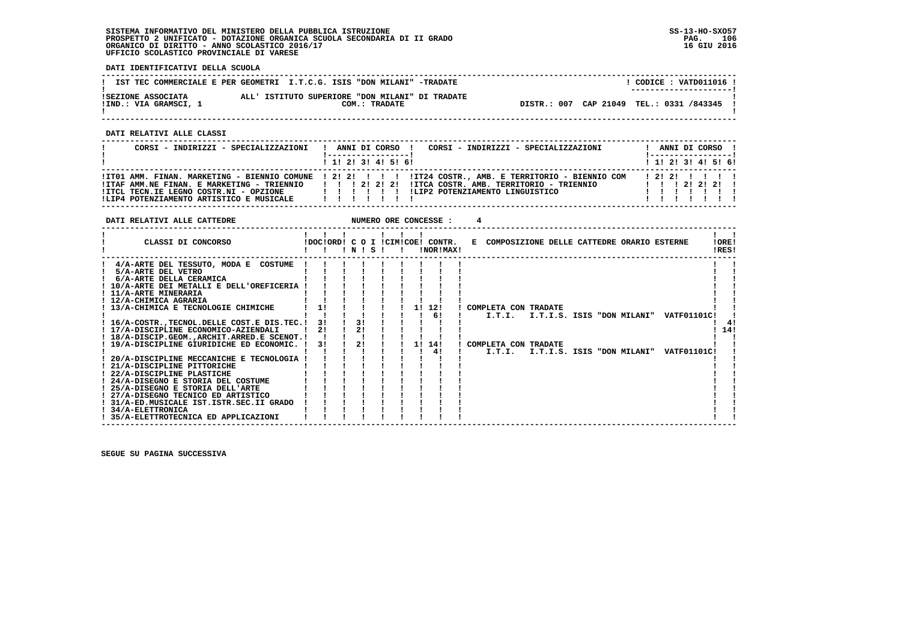## **SISTEMA INFORMATIVO DEL MINISTERO DELLA PUBBLICA ISTRUZIONE SS-13-HO-SXO57 PROSPETTO 2 UNIFICATO - DOTAZIONE ORGANICA SCUOLA SECONDARIA DI II GRADO PAG. 106 ORGANICO DI DIRITTO - ANNO SCOLASTICO 2016/17 16 GIU 2016 UFFICIO SCOLASTICO PROVINCIALE DI VARESE**

 **DATI IDENTIFICATIVI DELLA SCUOLA**

|                                             | IST TEC COMMERCIALE E PER GEOMETRI I.T.C.G. ISIS "DON MILANI" -TRADATE | CODICE: VATD011016 !<br>---------------------- |
|---------------------------------------------|------------------------------------------------------------------------|------------------------------------------------|
| ISEZIONE ASSOCIATA<br>!IND.: VIA GRAMSCI, 1 | ALL' ISTITUTO SUPERIORE "DON MILANI" DI TRADATE<br>COM.: TRADATE       | DISTR.: 007 CAP 21049 TEL.: 0331 /843345 !     |

 **------------------------------------------------------------------------------------------------------------------------------------**

 **DATI RELATIVI ALLE CLASSI**

| CORSI - INDIRIZZI - SPECIALIZZAZIONI                                                                                             | CORSI - INDIRIZZI - SPECIALIZZAZIONI<br>ANNI DI CORSO !                                                                                                                                                              |  | ANNI DI CORSO !                                            |  |
|----------------------------------------------------------------------------------------------------------------------------------|----------------------------------------------------------------------------------------------------------------------------------------------------------------------------------------------------------------------|--|------------------------------------------------------------|--|
|                                                                                                                                  | $1$ , 1! 2! 3! 4! 5! 6!                                                                                                                                                                                              |  | $1$ 1! 2! 3! 4! 5! 6!                                      |  |
| !ITAF AMM.NE FINAN. E MARKETING - TRIENNIO<br>!ITCL TECN.IE LEGNO COSTR.NI - OPZIONE<br>!LIP4 POTENZIAMENTO ARTISTICO E MUSICALE | ITO1 AMM. FINAN. MARKETING - BIENNIO COMUNE   2! 2! ! ! ! IT24 COSTR., AMB. E TERRITORIO - BIENNIO COM<br>IITCA COSTR. AMB. TERRITORIO - TRIENNIO<br>1 1 1 2 1 2 1 2 1<br>ILIP2 POTENZIAMENTO LINGUISTICO<br>1111111 |  | 12121111<br>$1 \quad 1 \quad 1 \quad 21 \quad 21 \quad 21$ |  |

| DATI RELATIVI ALLE CATTEDRE                                                                                                                                                                                                                                                                                                                                                                                                                                                                                                                                                                                                                                                                                                                                        |                      |  |                |  | NUMERO ORE CONCESSE :        |                                                                               |  |                                                                                                |                |
|--------------------------------------------------------------------------------------------------------------------------------------------------------------------------------------------------------------------------------------------------------------------------------------------------------------------------------------------------------------------------------------------------------------------------------------------------------------------------------------------------------------------------------------------------------------------------------------------------------------------------------------------------------------------------------------------------------------------------------------------------------------------|----------------------|--|----------------|--|------------------------------|-------------------------------------------------------------------------------|--|------------------------------------------------------------------------------------------------|----------------|
| CLASSI DI CONCORSO                                                                                                                                                                                                                                                                                                                                                                                                                                                                                                                                                                                                                                                                                                                                                 |                      |  | INISI          |  | !NOR!MAX!                    | !DOC!ORD! C O I !CIM!COE! CONTR. E COMPOSIZIONE DELLE CATTEDRE ORARIO ESTERNE |  |                                                                                                | !ORE!<br>!RES! |
| 4/A-ARTE DEL TESSUTO, MODA E COSTUME<br>5/A-ARTE DEL VETRO<br>6/A-ARTE DELLA CERAMICA<br>! 10/A-ARTE DEI METALLI E DELL'OREFICERIA !<br>! 11/A-ARTE MINERARIA<br>! 12/A-CHIMICA AGRARIA<br>! 13/A-CHIMICA E TECNOLOGIE CHIMICHE<br>! 16/A-COSTR., TECNOL. DELLE COST. E DIS. TEC. !<br>! 17/A-DISCIPLINE ECONOMICO-AZIENDALI<br>! 18/A-DISCIP.GEOMARCHIT.ARRED.E SCENOT.!<br>! 19/A-DISCIPLINE GIURIDICHE ED ECONOMIC. !<br>20/A-DISCIPLINE MECCANICHE E TECNOLOGIA !<br>! 21/A-DISCIPLINE PITTORICHE<br>! 22/A-DISCIPLINE PLASTICHE<br>! 24/A-DISEGNO E STORIA DEL COSTUME<br>! 25/A-DISEGNO E STORIA DELL'ARTE<br>! 27/A-DISEGNO TECNICO ED ARTISTICO<br>! 31/A-ED.MUSICALE IST.ISTR.SEC.II GRADO<br>! 34/A-ELETTRONICA<br>! 35/A-ELETTROTECNICA ED APPLICAZIONI | 11<br>3!<br>2!<br>3! |  | 31<br>2!<br>2! |  | $1 \quad 61$<br>1! 14!<br>41 | 1! 12! ! COMPLETA CON TRADATE<br>! COMPLETA CON TRADATE                       |  | I.T.I. I.T.I.S. ISIS "DON MILANI" VATF01101C!<br>I.T.I. I.T.I.S. ISIS "DON MILANI" VATF01101C! | 14!            |
|                                                                                                                                                                                                                                                                                                                                                                                                                                                                                                                                                                                                                                                                                                                                                                    |                      |  |                |  |                              |                                                                               |  |                                                                                                |                |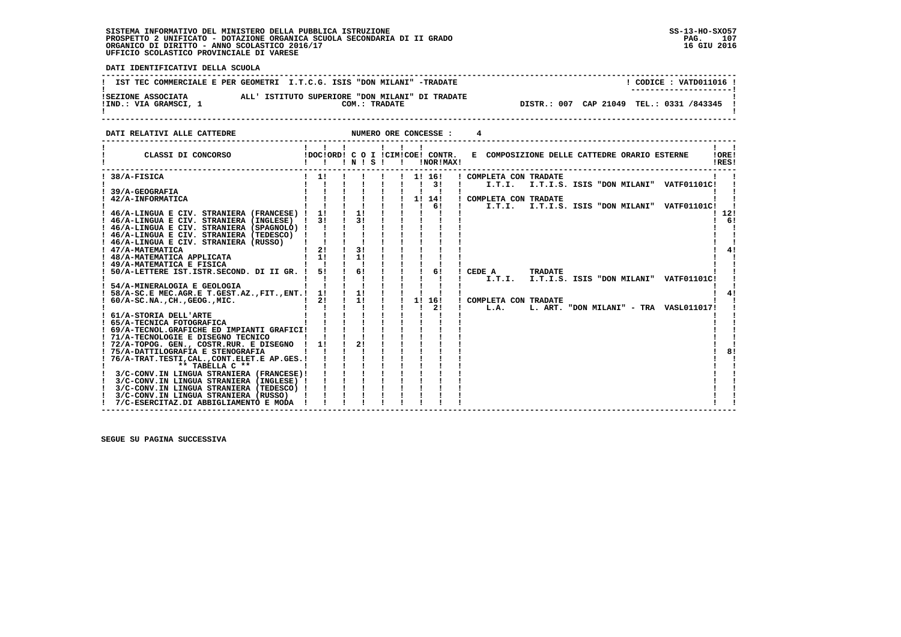# **SISTEMA INFORMATIVO DEL MINISTERO DELLA PUBBLICA ISTRUZIONE SS-13-HO-SXO57**PROSPETTO 2 UNIFICATO - DOTAZIONE ORGANICA SCUOLA SECONDARIA DI II GRADO<br>ORGANICO DI DIRITTO - ANNO SCOLASTICO 2016/17<br>UFFICIO SCOLASTICO PROVINCIALE DI VARESE

j

 **DATI IDENTIFICATIVI DELLA SCUOLA**

|                                             | IST TEC COMMERCIALE E PER GEOMETRI I.T.C.G. ISIS "DON MILANI" -TRADATE | CODICE: VATD011016 !<br>--------------------- |
|---------------------------------------------|------------------------------------------------------------------------|-----------------------------------------------|
| ISEZIONE ASSOCIATA<br>!IND.: VIA GRAMSCI, 1 | ALL' ISTITUTO SUPERIORE "DON MILANI" DI TRADATE<br>COM.: TRADATE       | DISTR.: 007 CAP 21049 TEL.: 0331 /843345 !    |

**DATI RELATIVI ALLE CATTEDRE NUMERO ORE CONCESSE : 4** 

| CLASSI DI CONCORSO                                                            |     | $'$ N $'$ S $'$ |  | !DOC!ORD! C O I !CIM!COE! CONTR.<br>!NOR!MAX! | E COMPOSIZIONE DELLE CATTEDRE ORARIO ESTERNE                               | !ORE!<br>!RES! |
|-------------------------------------------------------------------------------|-----|-----------------|--|-----------------------------------------------|----------------------------------------------------------------------------|----------------|
| 38/A-FISICA                                                                   | 11  |                 |  | 1! 16!<br>31                                  | ! COMPLETA CON TRADATE<br>I.T.I. I.T.I.S. ISIS "DON MILANI"<br>VATF01101C! |                |
| 39/A-GEOGRAFIA                                                                |     |                 |  |                                               |                                                                            |                |
| 42/A-INFORMATICA                                                              |     |                 |  | 1! 14!                                        | ! COMPLETA CON TRADATE                                                     |                |
|                                                                               |     |                 |  | 61                                            | I.T.I. I.T.I.S. ISIS "DON MILANI"<br><b>VATF01101C!</b>                    |                |
| 46/A-LINGUA E CIV. STRANIERA (FRANCESE) !                                     | 11  | 11              |  |                                               |                                                                            | 12!            |
| ! 46/A-LINGUA E CIV. STRANIERA (INGLESE)                                      | 3 I | 31              |  |                                               |                                                                            | 61             |
| ! 46/A-LINGUA E CIV. STRANIERA (SPAGNOLO) !                                   |     |                 |  |                                               |                                                                            |                |
| ! 46/A-LINGUA E CIV. STRANIERA (TEDESCO)                                      |     |                 |  |                                               |                                                                            |                |
| ! 46/A-LINGUA E CIV. STRANIERA (RUSSO)                                        |     |                 |  |                                               |                                                                            |                |
| ! 47/A-MATEMATICA                                                             | 2!  | 3!              |  |                                               |                                                                            | 4!             |
| ! 48/A-MATEMATICA APPLICATA                                                   | 11  | 11              |  |                                               |                                                                            |                |
| ! 49/A-MATEMATICA E FISICA                                                    |     |                 |  |                                               |                                                                            |                |
| 50/A-LETTERE IST.ISTR.SECOND. DI II GR. !                                     | 51  | 61              |  | 61                                            | CEDE A<br><b>TRADATE</b>                                                   |                |
| ! 54/A-MINERALOGIA E GEOLOGIA                                                 |     |                 |  |                                               | I.T.I.<br>I.T.I.S. ISIS "DON MILANI"<br><b>VATF01101C!</b>                 |                |
| 58/A-SC.E MEC.AGR.E T.GEST.AZ., FIT., ENT.!                                   | 11  | 11              |  |                                               |                                                                            | 4!             |
| $60/A-SC.NA.$ , $CH.$ , $GEOG.$ , $MIC.$                                      | 2!  | 11              |  | 1!<br>16!                                     | COMPLETA CON TRADATE                                                       |                |
|                                                                               |     |                 |  | 21                                            | L.A.<br>L. ART. "DON MILANI" - TRA VASL011017!                             |                |
| ! 61/A-STORIA DELL'ARTE                                                       |     |                 |  |                                               |                                                                            |                |
| ! 65/A-TECNICA FOTOGRAFICA                                                    |     |                 |  |                                               |                                                                            |                |
| ! 69/A-TECNOL.GRAFICHE ED IMPIANTI GRAFICI!                                   |     |                 |  |                                               |                                                                            |                |
| ! 71/A-TECNOLOGIE E DISEGNO TECNICO                                           |     |                 |  |                                               |                                                                            |                |
| ! 72/A-TOPOG. GEN., COSTR.RUR. E DISEGNO                                      | 11  | 21              |  |                                               |                                                                            |                |
| ! 75/A-DATTILOGRAFIA E STENOGRAFIA                                            |     |                 |  |                                               |                                                                            | 8!             |
| 76/A-TRAT.TESTI, CAL., CONT.ELET.E AP.GES.!                                   |     |                 |  |                                               |                                                                            |                |
| ** TABELLA C **                                                               |     |                 |  |                                               |                                                                            |                |
| 3/C-CONV.IN LINGUA STRANIERA (FRANCESE)!                                      |     |                 |  |                                               |                                                                            |                |
| 3/C-CONV.IN LINGUA STRANIERA (INGLESE) !                                      |     |                 |  |                                               |                                                                            |                |
| 3/C-CONV.IN LINGUA STRANIERA (TEDESCO) !                                      |     |                 |  |                                               |                                                                            |                |
| 3/C-CONV.IN LINGUA STRANIERA (RUSSO)<br>7/C-ESERCITAZ.DI ABBIGLIAMENTO E MODA |     |                 |  |                                               |                                                                            |                |
|                                                                               |     |                 |  |                                               |                                                                            |                |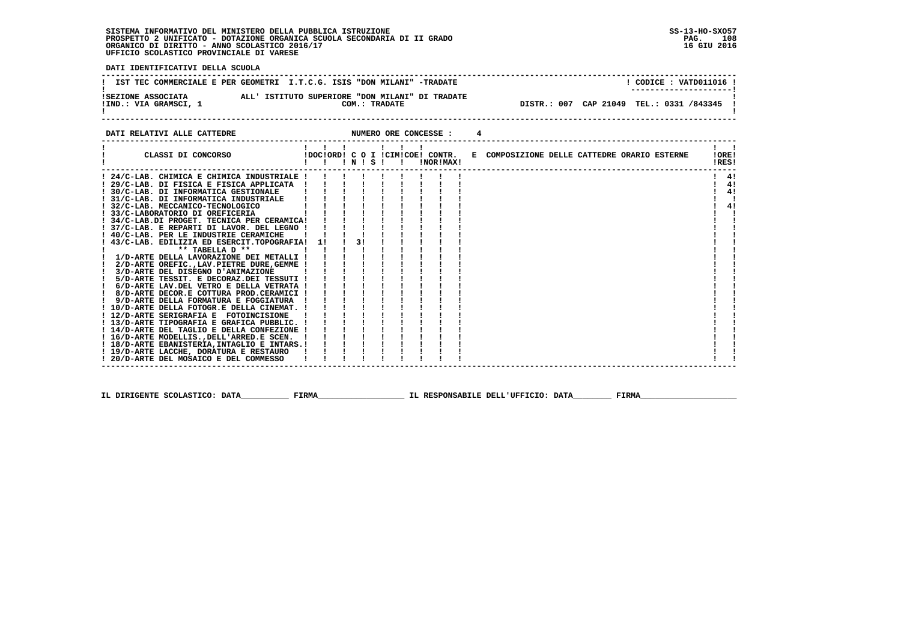#### **SISTEMA INFORMATIVO DEL MINISTERO DELLA PUBBLICA ISTRUZIONE SS-13-HO-SXO57 PROSPETTO 2 UNIFICATO - DOTAZIONE ORGANICA SCUOLA SECONDARIA DI II GRADO PAG. 108**ORGANICO DI DIRITTO - ANNO SCOLASTICO 2016/17  **UFFICIO SCOLASTICO PROVINCIALE DI VARESE**

 **DATI IDENTIFICATIVI DELLA SCUOLA**

**PAG.** 108 16 GIU 2016

- 1

  **------------------------------------------------------------------------------------------------------------------------------------**! CODICE : VATD011016 ! **!** IST TEC COMMERCIALE E PER GEOMETRI I.T.C.G. ISIS "DON MILANI" -TRADATE  **! ---------------------! !SEZIONE ASSOCIATA ALL' ISTITUTO SUPERIORE "DON MILANI" DI TRADATE ! !IND.: VIA GRAMSCI, 1 COM.: TRADATE DISTR.: 007 CAP 21049 TEL.: 0331 /843345 !**DISTR.: 007 CAP 21049 TEL.: 0331 /843345 !  **! ! ------------------------------------------------------------------------------------------------------------------------------------**

#### **DATI RELATIVI ALLE CATTEDRE NUMERO ORE CONCESSE : 4 ------------------------------------------------------------------------------------------------------------------------------------ ! ! ! ! ! ! ! ! ! ! CLASSI DI CONCORSO !DOC!ORD! C O I !CIM!COE! CONTR. E COMPOSIZIONE DELLE CATTEDRE ORARIO ESTERNE !ORE! ! ! ! ! N ! S ! ! !NOR!MAX! !RES! ------------------------------------------------------------------------------------------------------------------------------------** $\mathbf{1}$   $\mathbf{1}$  **! 24/C-LAB. CHIMICA E CHIMICA INDUSTRIALE ! ! ! ! ! ! ! ! ! ! 4!** $1 \quad 41$  **! 29/C-LAB. DI FISICA E FISICA APPLICATA ! ! ! ! ! ! ! ! ! ! 4! ! 30/C-LAB. DI INFORMATICA GESTIONALE ! ! ! ! ! ! ! ! ! ! 4! ! 31/C-LAB. DI INFORMATICA INDUSTRIALE ! ! ! ! ! ! ! ! ! ! !** $\overline{1}$   $\overline{4}$  $\mathbf{I}$  $1 \quad 41$  **! 32/C-LAB. MECCANICO-TECNOLOGICO ! ! ! ! ! ! ! ! ! ! 4! ! 33/C-LABORATORIO DI OREFICERIA ! ! ! ! ! ! ! ! ! ! ! ! 34/C-LAB.DI PROGET. TECNICA PER CERAMICA! ! ! ! ! ! ! ! ! ! ! ! 37/C-LAB. E REPARTI DI LAVOR. DEL LEGNO ! ! ! ! ! ! ! ! ! ! !** $\blacksquare$  $\sim$  **! 40/C-LAB. PER LE INDUSTRIE CERAMICHE ! ! ! ! ! ! ! ! ! ! ! ! 43/C-LAB. EDILIZIA ED ESERCIT.TOPOGRAFIA! 1! ! 3! ! ! ! ! ! ! ! ! \*\* TABELLA D \*\* ! ! ! ! ! ! ! ! ! ! ! ! 1/D-ARTE DELLA LAVORAZIONE DEI METALLI ! ! ! ! ! ! ! ! ! ! ! ! 2/D-ARTE OREFIC.,LAV.PIETRE DURE,GEMME ! ! ! ! ! ! ! ! ! ! ! ! 3/D-ARTE DEL DISEGNO D'ANIMAZIONE ! ! ! ! ! ! ! ! ! ! ! ! 5/D-ARTE TESSIT. E DECORAZ.DEI TESSUTI ! ! ! ! ! ! ! ! ! ! ! ! 6/D-ARTE LAV.DEL VETRO E DELLA VETRATA ! ! ! ! ! ! ! ! ! ! ! ! 8/D-ARTE DECOR.E COTTURA PROD.CERAMICI ! ! ! ! ! ! ! ! ! ! ! ! 9/D-ARTE DELLA FORMATURA E FOGGIATURA ! ! ! ! ! ! ! ! ! ! ! ! 10/D-ARTE DELLA FOTOGR.E DELLA CINEMAT. ! ! ! ! ! ! ! ! ! ! ! ! 12/D-ARTE SERIGRAFIA E FOTOINCISIONE ! ! ! ! ! ! ! ! ! ! ! ! 13/D-ARTE TIPOGRAFIA E GRAFICA PUBBLIC. ! ! ! ! ! ! ! ! ! ! ! ! 14/D-ARTE DEL TAGLIO E DELLA CONFEZIONE ! ! ! ! ! ! ! ! ! ! !** $\mathbf{I}$  **! 16/D-ARTE MODELLIS.,DELL'ARRED.E SCEN. ! ! ! ! ! ! ! ! ! ! !**- 1  **! 18/D-ARTE EBANISTERIA,INTAGLIO E INTARS.! ! ! ! ! ! ! ! ! ! ! ! 19/D-ARTE LACCHE, DORATURA E RESTAURO ! ! ! ! ! ! ! ! ! ! !** $\blacksquare$  **! 20/D-ARTE DEL MOSAICO E DEL COMMESSO ! ! ! ! ! ! ! ! ! ! ! ------------------------------------------------------------------------------------------------------------------------------------**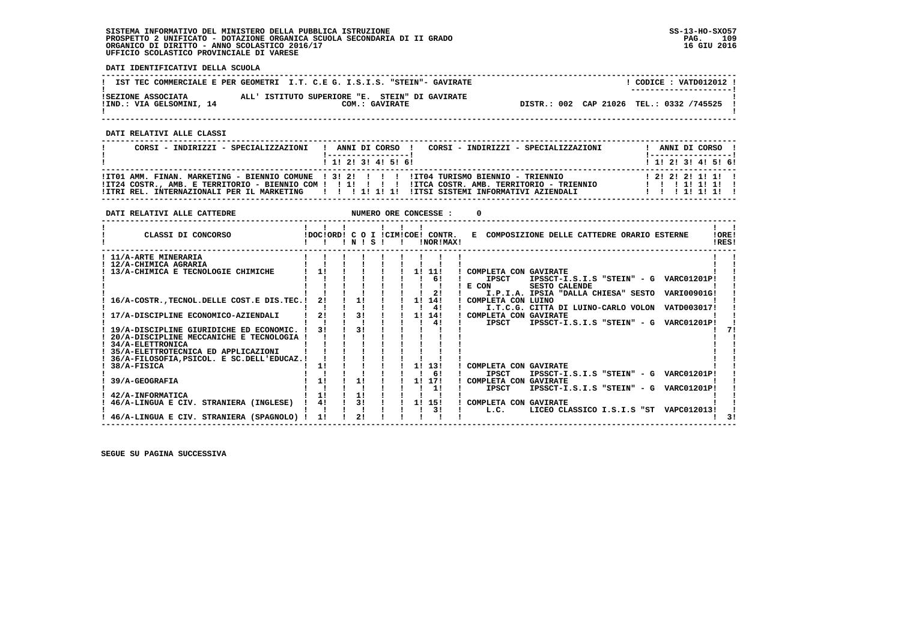**DATI IDENTIFICATIVI DELLA SCUOLA**

|                                                | IST TEC COMMERCIALE E PER GEOMETRI I.T. C.E G. I.S.I.S. "STEIN"- GAVIRATE | CODICE: VATD012012 !<br>--------------------- |
|------------------------------------------------|---------------------------------------------------------------------------|-----------------------------------------------|
| ISEZIONE ASSOCIATA<br>!IND.: VIA GELSOMINI, 14 | ALL' ISTITUTO SUPERIORE "E. STEIN" DI GAVIRATE<br>COM.: GAVIRATE          | DISTR.: 002 CAP 21026 TEL.: 0332 /745525      |
|                                                |                                                                           |                                               |

 **------------------------------------------------------------------------------------------------------------------------------------**

 **DATI RELATIVI ALLE CLASSI**

| CORSI - INDIRIZZI - SPECIALIZZAZIONI                                                                                                                                                             | ! ANNI DI CORSO !<br>------------------ |  |  | CORSI - INDIRIZZI - SPECIALIZZAZIONI | ! ------------------ !                     |  | ANNI DI CORSO ! |  |
|--------------------------------------------------------------------------------------------------------------------------------------------------------------------------------------------------|-----------------------------------------|--|--|--------------------------------------|--------------------------------------------|--|-----------------|--|
|                                                                                                                                                                                                  | ! 1! 2! 3! 4! 5! 6!                     |  |  |                                      | ! 1! 2! 3! 4! 5! 6!                        |  |                 |  |
| !IT01 AMM. FINAN. MARKETING - BIENNIO COMUNE ! 3! 2! ! ! !! !IT04 TURISMO BIENNIO - TRIENNIO<br>ITZ4 COSTR., AMB. E TERRITORIO - BIENNIO COM ! ! !!!!!!!! ITCA COSTR. AMB. TERRITORIO - TRIENNIO |                                         |  |  |                                      | 1 2 1 2 1 2 1 1 1 1 1<br>1 1 1 1 1 1 1 1 1 |  |                 |  |
| ITRI REL. INTERNAZIONALI PER IL MARKETING         1  1  1  ITSI SISTEMI INFORMATIVI AZIENDALI                                                                                                    |                                         |  |  |                                      | 1 1 1 1 1 1 1 1                            |  |                 |  |

| DATI RELATIVI ALLE CATTEDRE                                 |    |    |       |    |  |    | NUMERO ORE CONCESSE :                           |                                                                  |                |
|-------------------------------------------------------------|----|----|-------|----|--|----|-------------------------------------------------|------------------------------------------------------------------|----------------|
| CLASSI DI CONCORSO                                          |    |    | INISI |    |  |    | IDOCIORD! C O I ICIMICOE! CONTR.<br>INOR ! MAX! | E COMPOSIZIONE DELLE CATTEDRE ORARIO ESTERNE                     | !ORE!<br>IRES! |
| ! 11/A-ARTE MINERARIA                                       |    |    |       |    |  |    |                                                 |                                                                  |                |
| ! 12/A-CHIMICA AGRARIA                                      |    |    |       |    |  |    |                                                 |                                                                  |                |
| 13/A-CHIMICA E TECNOLOGIE CHIMICHE                          | 11 |    |       |    |  |    | 1! 11!                                          | COMPLETA CON GAVIRATE                                            |                |
|                                                             |    |    |       |    |  |    | 61                                              | <b>IPSCT</b><br>IPSSCT-I.S.I.S "STEIN" - G VARC01201P!           |                |
|                                                             |    |    |       |    |  |    |                                                 | E CON<br><b>SESTO CALENDE</b>                                    |                |
|                                                             |    |    |       |    |  |    | 21                                              | VARI00901G!<br>I.P.I.A. IPSIA "DALLA CHIESA" SESTO               |                |
| 16/A-COSTR., TECNOL. DELLE COST. E DIS. TEC. !              |    | 2! |       | 11 |  |    | 1! 14!                                          | COMPLETA CON LUINO                                               |                |
|                                                             |    |    |       |    |  |    | 41                                              | I.T.C.G. CITTA DI LUINO-CARLO VOLON VATD003017!                  |                |
| 17/A-DISCIPLINE ECONOMICO-AZIENDALI                         |    | 21 |       | 31 |  | 11 | 14!                                             | COMPLETA CON GAVIRATE                                            |                |
|                                                             |    |    |       |    |  |    | 41                                              | VARC01201P!<br>IPSSCT-I.S.I.S "STEIN" - G<br><b>IPSCT</b>        |                |
| 19/A-DISCIPLINE GIURIDICHE ED ECONOMIC.                     |    | 31 |       |    |  |    |                                                 |                                                                  |                |
| 20/A-DISCIPLINE MECCANICHE E TECNOLOGIA !                   |    |    |       |    |  |    |                                                 |                                                                  |                |
| 34/A-ELETTRONICA                                            |    |    |       |    |  |    |                                                 |                                                                  |                |
| 35/A-ELETTROTECNICA ED APPLICAZIONI                         |    |    |       |    |  |    |                                                 |                                                                  |                |
| 36/A-FILOSOFIA, PSICOL. E SC. DELL'EDUCAZ. !<br>38/A-FISICA |    | 1! |       |    |  |    | 1! 13!                                          | COMPLETA CON GAVIRATE                                            |                |
|                                                             |    |    |       |    |  |    | 61                                              | IPSSCT-I.S.I.S "STEIN" - G VARC01201P!<br><b>IPSCT</b>           |                |
| 39/A-GEOGRAFIA                                              | 11 |    |       | 11 |  |    | 11 171                                          | COMPLETA CON GAVIRATE                                            |                |
|                                                             |    |    |       |    |  |    | 11                                              | <b>VARC01201P!</b><br>IPSSCT-I.S.I.S "STEIN" - G<br><b>IPSCT</b> |                |
| 42/A-INFORMATICA                                            | 1! |    |       | 11 |  |    |                                                 |                                                                  |                |
| 46/A-LINGUA E CIV. STRANIERA (INGLESE)                      |    | 4! |       | 31 |  |    | 1! 15!                                          | COMPLETA CON GAVIRATE                                            |                |
|                                                             |    |    |       |    |  |    | 31                                              | LICEO CLASSICO I.S.I.S "ST VAPC012013!<br>L.C.                   |                |
| 46/A-LINGUA E CIV. STRANIERA (SPAGNOLO)                     | 11 |    |       | 21 |  |    |                                                 |                                                                  |                |
|                                                             |    |    |       |    |  |    |                                                 |                                                                  |                |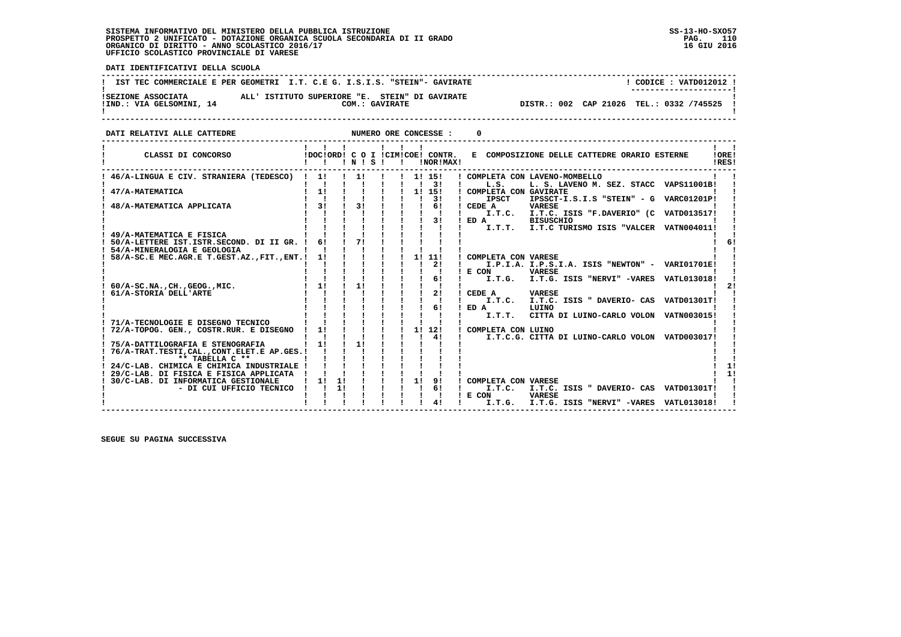**DATI IDENTIFICATIVI DELLA SCUOLA**

|                                                | IST TEC COMMERCIALE E PER GEOMETRI I.T. C.E G. I.S.I.S. "STEIN"- GAVIRATE | CODICE: VATD012012 !<br>---------------------- |
|------------------------------------------------|---------------------------------------------------------------------------|------------------------------------------------|
| ISEZIONE ASSOCIATA<br>!IND.: VIA GELSOMINI, 14 | ALL' ISTITUTO SUPERIORE "E. STEIN" DI GAVIRATE<br>COM.: GAVIRATE          | DISTR.: 002 CAP 21026 TEL.: 0332 /745525       |

**DATI RELATIVI ALLE CATTEDRE CONCESSE : 0** 

| CLASSI DI CONCORSO                                                            |    |    | $!$ N $!$ S $!$ |  |    | IDOCIORD! C O I ICIMICOE! CONTR.<br>!NOR!MAX! | E COMPOSIZIONE DELLE CATTEDRE ORARIO ESTERNE                                                | !ORE!<br>IRES! |
|-------------------------------------------------------------------------------|----|----|-----------------|--|----|-----------------------------------------------|---------------------------------------------------------------------------------------------|----------------|
| ! 46/A-LINGUA E CIV. STRANIERA (TEDESCO)                                      | 11 |    | 11              |  |    | 1! 15!<br>-3 I                                | COMPLETA CON LAVENO-MOMBELLO<br>L.S.<br>L. S. LAVENO M. SEZ. STACC<br>VAPS11001B!           |                |
| 47/A-MATEMATICA                                                               | 1! |    |                 |  |    | 1! 15!                                        | COMPLETA CON GAVIRATE                                                                       |                |
| 48/A-MATEMATICA APPLICATA                                                     | 31 |    | 3 <sub>1</sub>  |  |    | 31<br>61                                      | IPSSCT-I.S.I.S "STEIN" - G<br><b>IPSCT</b><br><b>VARC01201P!</b><br>CEDE A<br><b>VARESE</b> |                |
|                                                                               |    |    |                 |  |    |                                               | I.T.C. I.T.C. ISIS "F.DAVERIO" (C VATD013517!                                               |                |
|                                                                               |    |    |                 |  |    | 31                                            | ED A<br><b>BISUSCHIO</b>                                                                    |                |
|                                                                               |    |    |                 |  |    |                                               | I.T.T.<br>I.T.C TURISMO ISIS "VALCER<br><b>VATN004011!</b>                                  |                |
| 49/A-MATEMATICA E FISICA<br>50/A-LETTERE IST.ISTR.SECOND. DI II GR.           | 61 |    | 71              |  |    |                                               |                                                                                             |                |
| 54/A-MINERALOGIA E GEOLOGIA                                                   |    |    |                 |  |    |                                               |                                                                                             |                |
| 58/A-SC.E MEC.AGR.E T.GEST.AZ., FIT., ENT.!                                   | 1! |    |                 |  | 1! | 11!                                           | COMPLETA CON VARESE                                                                         |                |
|                                                                               |    |    |                 |  |    | 21                                            | I.P.I.A. I.P.S.I.A. ISIS "NEWTON" - VARI01701E!                                             |                |
|                                                                               |    |    |                 |  |    | 61                                            | E CON<br><b>VARESE</b><br>I.T.G. ISIS "NERVI" -VARES<br>I.T.G.<br>VATL013018!               |                |
| 60/A-SC.NA., CH., GEOG., MIC.                                                 | 11 |    | 11              |  |    |                                               |                                                                                             |                |
| 61/A-STORIA DELL'ARTE                                                         |    |    |                 |  |    | 2!                                            | CEDE A<br><b>VARESE</b>                                                                     |                |
|                                                                               |    |    |                 |  |    | 61                                            | I.T.C. ISIS " DAVERIO- CAS<br>VATD01301T!<br>I.T.C.<br>ED A<br>LUINO                        |                |
|                                                                               |    |    |                 |  |    |                                               | I.T.T.<br>CITTA DI LUINO-CARLO VOLON<br>VATN003015!                                         |                |
| 71/A-TECNOLOGIE E DISEGNO TECNICO                                             |    |    |                 |  |    |                                               |                                                                                             |                |
| 72/A-TOPOG. GEN., COSTR.RUR. E DISEGNO                                        | 11 |    |                 |  | 1! | 12!                                           | COMPLETA CON LUINO                                                                          |                |
| 75/A-DATTILOGRAFIA E STENOGRAFIA                                              | 1! |    | 11              |  |    | 4!                                            | I.T.C.G. CITTA DI LUINO-CARLO VOLON VATD003017!                                             |                |
| 76/A-TRAT.TESTI, CAL., CONT.ELET.E AP.GES. !                                  |    |    |                 |  |    |                                               |                                                                                             |                |
| ** TABELLA C **                                                               |    |    |                 |  |    |                                               |                                                                                             |                |
| 24/C-LAB. CHIMICA E CHIMICA INDUSTRIALE                                       |    |    |                 |  |    |                                               |                                                                                             |                |
| 29/C-LAB. DI FISICA E FISICA APPLICATA<br>30/C-LAB. DI INFORMATICA GESTIONALE | 11 | 11 |                 |  | 1! | 9!                                            | COMPLETA CON VARESE                                                                         |                |
| - DI CUI UFFICIO TECNICO                                                      |    | 11 |                 |  |    | 61                                            | I.T.C.<br>I.T.C. ISIS " DAVERIO- CAS<br><b>VATD01301T!</b>                                  |                |
|                                                                               |    |    |                 |  |    |                                               | E CON<br><b>VARESE</b>                                                                      |                |
|                                                                               |    |    |                 |  |    | 4!                                            | I.T.G. ISIS "NERVI" -VARES<br>I.T.G.<br>VATL013018!                                         |                |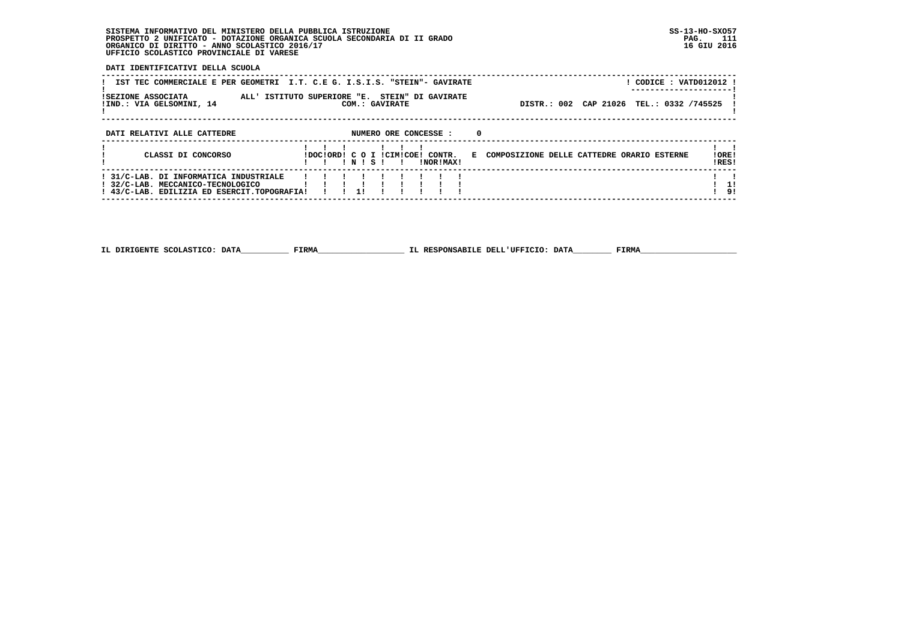**DATI IDENTIFICATIVI DELLA SCUOLA**

| IST TEC COMMERCIALE E PER GEOMETRI I.T. C.E G. I.S.I.S. "STEIN"- GAVIRATE<br><b>ISEZIONE ASSOCIATA</b><br>ALL' ISTITUTO SUPERIORE "E. STEIN" DI GAVIRATE<br>!IND.: VIA GELSOMINI, 14 |  |       | COM.: GAVIRATE |                          |                                                                        |   |                                              | DISTR.: 002 CAP 21026 TEL.: 0332 /745525 |  | ! CODICE : VATD012012 ! |                |
|--------------------------------------------------------------------------------------------------------------------------------------------------------------------------------------|--|-------|----------------|--------------------------|------------------------------------------------------------------------|---|----------------------------------------------|------------------------------------------|--|-------------------------|----------------|
| DATI RELATIVI ALLE CATTEDRE<br>CLASSI DI CONCORSO                                                                                                                                    |  | INISI |                | $\overline{\phantom{a}}$ | NUMERO ORE CONCESSE :<br>IDOCIORDI C O I ICIMICOE! CONTR.<br>INORIMAXI | 0 | E COMPOSIZIONE DELLE CATTEDRE ORARIO ESTERNE |                                          |  |                         | !ORE!<br>IRES! |
| ! 31/C-LAB. DI INFORMATICA INDUSTRIALE<br>! 32/C-LAB. MECCANICO-TECNOLOGICO<br>! 43/C-LAB. EDILIZIA ED ESERCIT.TOPOGRAFIA!                                                           |  | 11    |                |                          |                                                                        |   |                                              |                                          |  |                         | 11<br>! 9!     |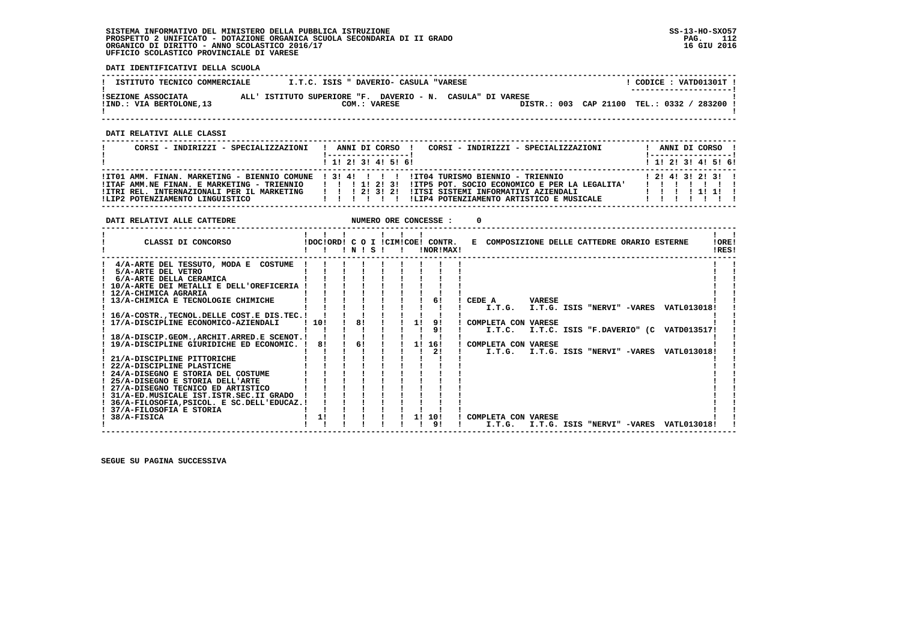**DATI IDENTIFICATIVI DELLA SCUOLA**

| ISTITUTO TECNICO COMMERCIALE                   | I.T.C. ISIS " DAVERIO- CASULA "VARESE                                      | CODICE: VATD01301T !<br>--------------------- |
|------------------------------------------------|----------------------------------------------------------------------------|-----------------------------------------------|
| ISEZIONE ASSOCIATA<br>!IND.: VIA BERTOLONE, 13 | ALL' ISTITUTO SUPERIORE "F. DAVERIO - N. CASULA" DI VARESE<br>COM.: VARESE | DISTR.: 003 CAP 21100 TEL.: 0332 / 283200     |

 **------------------------------------------------------------------------------------------------------------------------------------**

 **DATI RELATIVI ALLE CLASSI**

| CORSI - INDIRIZZI - SPECIALIZZAZIONI                                                         | CORSI - INDIRIZZI - SPECIALIZZAZIONI<br>ANNI DI CORSO !                                                                                                                                                                                                                                          | ANNI DI CORSO 1                                              |
|----------------------------------------------------------------------------------------------|--------------------------------------------------------------------------------------------------------------------------------------------------------------------------------------------------------------------------------------------------------------------------------------------------|--------------------------------------------------------------|
|                                                                                              | 1 1 1 2 1 3 1 4 1 5 1 6 1                                                                                                                                                                                                                                                                        | ! 1! 2! 3! 4! 5! 6!                                          |
| !ITRI REL. INTERNAZIONALI PER IL MARKETING   !!! 2! 3! 2!<br>ILIP2 POTENZIAMENTO LINGUISTICO | ITT01 AMM. FINAN. MARKETING - BIENNIO COMUNE 1 31 41 1 1 1 11T04 TURISMO BIENNIO - TRIENNIO<br>ITTAF AMM.NE FINAN. E MARKETING - TRIENNIO         1  2  3  ITTP5 POT. SOCIO ECONOMICO E PER LA LEGALITA'<br>IITSI SISTEMI INFORMATIVI AZIENDALI<br>!LIP4 POTENZIAMENTO ARTISTICO E MUSICALE<br>. | 1 2 1 4 1 3 1 2 1 3 1 1<br>1111111<br>1 1 1 1 1 1 1 1 1<br>. |

| $\mathbf{I}$ $\mathbf{I}$ $\mathbf{I}$<br>$\blacksquare$<br>!DOC!ORD! C O I !CIM!COE! CONTR. E COMPOSIZIONE DELLE CATTEDRE ORARIO ESTERNE<br>CLASSI DI CONCORSO | !ORE!<br>IRES! |
|-----------------------------------------------------------------------------------------------------------------------------------------------------------------|----------------|
| 1 N 1 S 1 1<br>!NOR!MAX!                                                                                                                                        |                |
| 4/A-ARTE DEL TESSUTO, MODA E COSTUME                                                                                                                            |                |
| 5/A-ARTE DEL VETRO                                                                                                                                              |                |
| ! 6/A-ARTE DELLA CERAMICA                                                                                                                                       |                |
| ! 10/A-ARTE DEI METALLI E DELL'OREFICERIA !                                                                                                                     |                |
| ! 12/A-CHIMICA AGRARIA                                                                                                                                          |                |
| 61<br>! 13/A-CHIMICA E TECNOLOGIE CHIMICHE<br>CEDE A<br>VARESE                                                                                                  |                |
| I.T.G. I.T.G. ISIS "NERVI" -VARES VATL013018!                                                                                                                   |                |
| 16/A-COSTR. TECNOL. DELLE COST. E DIS. TEC. !                                                                                                                   |                |
| 11<br>81<br>91<br>! 17/A-DISCIPLINE ECONOMICO-AZIENDALI<br>! 10!<br>COMPLETA CON VARESE                                                                         |                |
| 91<br>I.T.C. I.T.C. ISIS "F.DAVERIO" (C VATD013517!                                                                                                             |                |
| ! 18/A-DISCIP.GEOM., ARCHIT. ARRED. E SCENOT. !                                                                                                                 |                |
| 61<br>11<br>81<br>16!<br>19/A-DISCIPLINE GIURIDICHE ED ECONOMIC. !<br>! COMPLETA CON VARESE                                                                     |                |
| 21<br>I.T.G. I.T.G. ISIS "NERVI" -VARES VATL013018!                                                                                                             |                |
| ! 21/A-DISCIPLINE PITTORICHE                                                                                                                                    |                |
| ! 22/A-DISCIPLINE PLASTICHE                                                                                                                                     |                |
| ! 24/A-DISEGNO E STORIA DEL COSTUME<br>! 25/A-DISEGNO E STORIA DELL'ARTE                                                                                        |                |
| ! 27/A-DISEGNO TECNICO ED ARTISTICO                                                                                                                             |                |
| ! 31/A-ED.MUSICALE IST.ISTR.SEC.II GRADO                                                                                                                        |                |
| ! 36/A-FILOSOFIA, PSICOL. E SC.DELL'EDUCAZ.!                                                                                                                    |                |
| ! 37/A-FILOSOFIA E STORIA                                                                                                                                       |                |
| 1!<br>1! 10!<br>! 38/A-FISICA<br>! COMPLETA CON VARESE                                                                                                          |                |
| 91<br>I.T.G. I.T.G. ISIS "NERVI" -VARES VATL013018!                                                                                                             |                |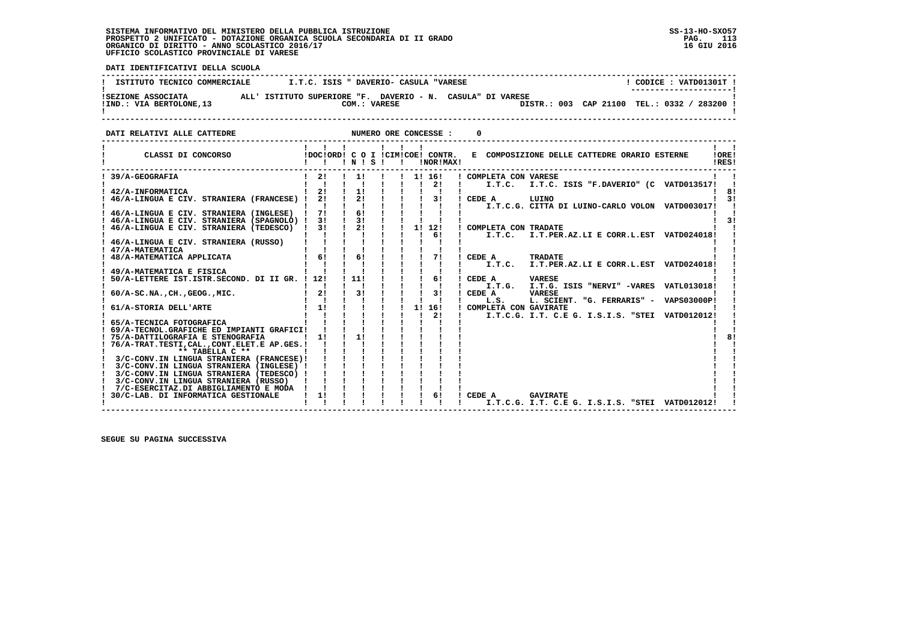**DATI IDENTIFICATIVI DELLA SCUOLA ------------------------------------------------------------------------------------------------------------------------------------** $1$  CODICE : VATD01301T I **! ISTITUTO TECNICO COMMERCIALE**  $I.T.C.$  **ISIS " DAVERIO- CASULA "VARESE ! ---------------------! !SEZIONE ASSOCIATA ALL' ISTITUTO SUPERIORE "F. DAVERIO - N. CASULA" DI VARESE ! !IND.: VIA BERTOLONE,13 COM.: VARESE DISTR.: 003 CAP 21100 TEL.: 0332 / 283200 !**- 1  **! ! ------------------------------------------------------------------------------------------------------------------------------------DATI RELATIVI ALLE CATTEDRE NUMERO ORE CONCESSE : 0 ------------------------------------------------------------------------------------------------------------------------------------** $\mathbf{I}$   $\mathbf{I}$  **! ! ! ! ! ! ! ! ! ! CLASSI DI CONCORSO !DOC!ORD! C O I !CIM!COE! CONTR. E COMPOSIZIONE DELLE CATTEDRE ORARIO ESTERNE !ORE! ! ! ! ! N ! S ! ! !NOR!MAX! !RES!** $I$  OPFI IRES!  **------------------------------------------------------------------------------------------------------------------------------------ ! 39/A-GEOGRAFIA ! 2! ! 1! ! ! 1! 16! ! COMPLETA CON VARESE ! ! ! ! ! ! ! ! ! ! 2! ! I.T.C. I.T.C. ISIS "F.DAVERIO" (C VATD013517! ! ! 42/A-INFORMATICA ! 2! ! 1! ! ! ! ! ! ! 8! ! 46/A-LINGUA E CIV. STRANIERA (FRANCESE) ! 2! ! 2! ! ! ! 3! ! CEDE A LUINO ! 3!**| | | | | | | | | | | | | | I.T.C.G. CITTA DI LUINO-CARLO VOLON VATD003017| |<br>| 1 46/A-LINGUA E CIV. STRANIERA (INGLESE) | 7! ! 6! | ! | ! | ! |<br>| 1 46/A-LINGUA E CIV. STRANIERA (SPAGNOLO) | 3! | 8! | ! | ! | ! |<br>| 1 46/A-  **! ! ! ! ! ! ! ! 6! ! I.T.C. I.T.PER.AZ.LI E CORR.L.EST VATD024018! ! ! 46/A-LINGUA E CIV. STRANIERA (RUSSO) ! ! ! ! ! ! ! ! ! ! ! ! 47/A-MATEMATICA ! ! ! ! ! ! ! ! ! ! ! ! 48/A-MATEMATICA APPLICATA ! 6! ! 6! ! ! ! 7! ! CEDE A TRADATE ! ! ! ! ! ! ! ! ! ! ! ! I.T.C. I.T.PER.AZ.LI E CORR.L.EST VATD024018! ! ! 49/A-MATEMATICA E FISICA ! ! ! ! ! ! ! ! ! ! ! ! 50/A-LETTERE IST.ISTR.SECOND. DI II GR. ! 12! ! 11! ! ! ! 6! ! CEDE A VARESE ! ! ! ! ! ! ! ! ! ! ! ! I.T.G. I.T.G. ISIS "NERVI" -VARES VATL013018! ! ! 60/A-SC.NA.,CH.,GEOG.,MIC. ! 2! ! 3! ! ! ! 3! ! CEDE A VARESE ! ! ! ! ! ! ! ! ! ! ! ! L.S. L. SCIENT. "G. FERRARIS" - VAPS03000P! ! ! 61/A-STORIA DELL'ARTE ! 1! ! ! ! ! 1! 16! ! COMPLETA CON GAVIRATE ! ! ! ! ! ! ! ! ! ! 2! ! I.T.C.G. I.T. C.E G. I.S.I.S. "STEI VATD012012! ! ! 65/A-TECNICA FOTOGRAFICA ! ! ! ! ! ! ! ! ! ! ! ! 69/A-TECNOL.GRAFICHE ED IMPIANTI GRAFICI! ! ! ! ! ! ! ! ! ! !**- 1  $8<sub>1</sub>$  **! 75/A-DATTILOGRAFIA E STENOGRAFIA ! 1! ! 1! ! ! ! ! ! ! 8!**- 1  **! 76/A-TRAT.TESTI,CAL.,CONT.ELET.E AP.GES.! ! ! ! ! ! ! ! ! ! ! ! \*\* TABELLA C \*\* ! ! ! ! ! ! ! ! ! ! ! ! 3/C-CONV.IN LINGUA STRANIERA (FRANCESE)! ! ! ! ! ! ! ! ! ! !**

 **! 3/C-CONV.IN LINGUA STRANIERA (INGLESE) ! ! ! ! ! ! ! ! ! ! ! ! 3/C-CONV.IN LINGUA STRANIERA (TEDESCO) ! ! ! ! ! ! ! ! ! ! ! ! 3/C-CONV.IN LINGUA STRANIERA (RUSSO) ! ! ! ! ! ! ! ! ! ! ! ! 7/C-ESERCITAZ.DI ABBIGLIAMENTO E MODA ! ! ! ! ! ! ! ! ! ! ! ! 30/C-LAB. DI INFORMATICA GESTIONALE ! 1! ! ! ! ! ! 6! ! CEDE A GAVIRATE ! ! ! ! ! ! ! ! ! ! ! ! I.T.C.G. I.T. C.E G. I.S.I.S. "STEI VATD012012! ! ------------------------------------------------------------------------------------------------------------------------------------**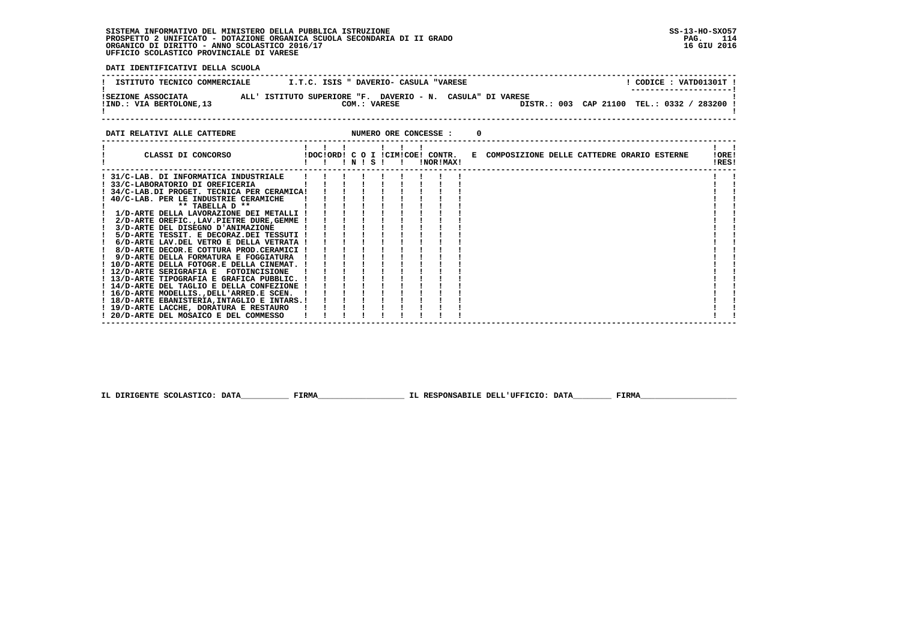**DATI IDENTIFICATIVI DELLA SCUOLA**

| ISTITUTO TECNICO COMMERCIALE | I.T.C. ISIS " DAVERIO- CASULA "VARESE                      | CODICE: VATD01301T !<br>---------------------- |
|------------------------------|------------------------------------------------------------|------------------------------------------------|
| ISEZIONE ASSOCIATA           | ALL' ISTITUTO SUPERIORE "F. DAVERIO - N. CASULA" DI VARESE | DISTR.: 003 CAP 21100 TEL.: 0332 /             |
| !IND.: VIA BERTOLONE, 13     | COM.: VARESE                                               | 283200                                         |

**DATI RELATIVI ALLE CATTEDRE CONCESSE : 0** 

| CLASSI DI CONCORSO                           | !DOC!ORD! C O I !CIM!COE! CONTR. | $'$ N $'$ S $'$ |  |  | !NOR!MAX! | E COMPOSIZIONE DELLE CATTEDRE ORARIO ESTERNE |  |  | !ORE!<br>!RES! |  |
|----------------------------------------------|----------------------------------|-----------------|--|--|-----------|----------------------------------------------|--|--|----------------|--|
| 31/C-LAB. DI INFORMATICA INDUSTRIALE         |                                  |                 |  |  |           |                                              |  |  |                |  |
| 33/C-LABORATORIO DI OREFICERIA               |                                  |                 |  |  |           |                                              |  |  |                |  |
| ! 34/C-LAB.DI PROGET. TECNICA PER CERAMICA!  |                                  |                 |  |  |           |                                              |  |  |                |  |
| 40/C-LAB. PER LE INDUSTRIE CERAMICHE         |                                  |                 |  |  |           |                                              |  |  |                |  |
| ** TABELLA D **                              |                                  |                 |  |  |           |                                              |  |  |                |  |
| 1/D-ARTE DELLA LAVORAZIONE DEI METALLI !     |                                  |                 |  |  |           |                                              |  |  |                |  |
| 2/D-ARTE OREFIC., LAV. PIETRE DURE, GEMME    |                                  |                 |  |  |           |                                              |  |  |                |  |
| 3/D-ARTE DEL DISEGNO D'ANIMAZIONE            |                                  |                 |  |  |           |                                              |  |  |                |  |
| 5/D-ARTE TESSIT. E DECORAZ.DEI TESSUTI !     |                                  |                 |  |  |           |                                              |  |  |                |  |
| 6/D-ARTE LAV.DEL VETRO E DELLA VETRATA !     |                                  |                 |  |  |           |                                              |  |  |                |  |
| 8/D-ARTE DECOR.E COTTURA PROD.CERAMICI !     |                                  |                 |  |  |           |                                              |  |  |                |  |
| 9/D-ARTE DELLA FORMATURA E FOGGIATURA        |                                  |                 |  |  |           |                                              |  |  |                |  |
| 10/D-ARTE DELLA FOTOGR.E DELLA CINEMAT.      |                                  |                 |  |  |           |                                              |  |  |                |  |
| ! 12/D-ARTE SERIGRAFIA E FOTOINCISIONE       |                                  |                 |  |  |           |                                              |  |  |                |  |
| 13/D-ARTE TIPOGRAFIA E GRAFICA PUBBLIC. !    |                                  |                 |  |  |           |                                              |  |  |                |  |
| ! 14/D-ARTE DEL TAGLIO E DELLA CONFEZIONE !  |                                  |                 |  |  |           |                                              |  |  |                |  |
| ! 16/D-ARTE MODELLIS., DELL'ARRED.E SCEN.    |                                  |                 |  |  |           |                                              |  |  |                |  |
| ! 18/D-ARTE EBANISTERIA, INTAGLIO E INTARS.! |                                  |                 |  |  |           |                                              |  |  |                |  |
| ! 19/D-ARTE LACCHE, DORATURA E RESTAURO      |                                  |                 |  |  |           |                                              |  |  |                |  |
| ! 20/D-ARTE DEL MOSAICO E DEL COMMESSO       |                                  |                 |  |  |           |                                              |  |  |                |  |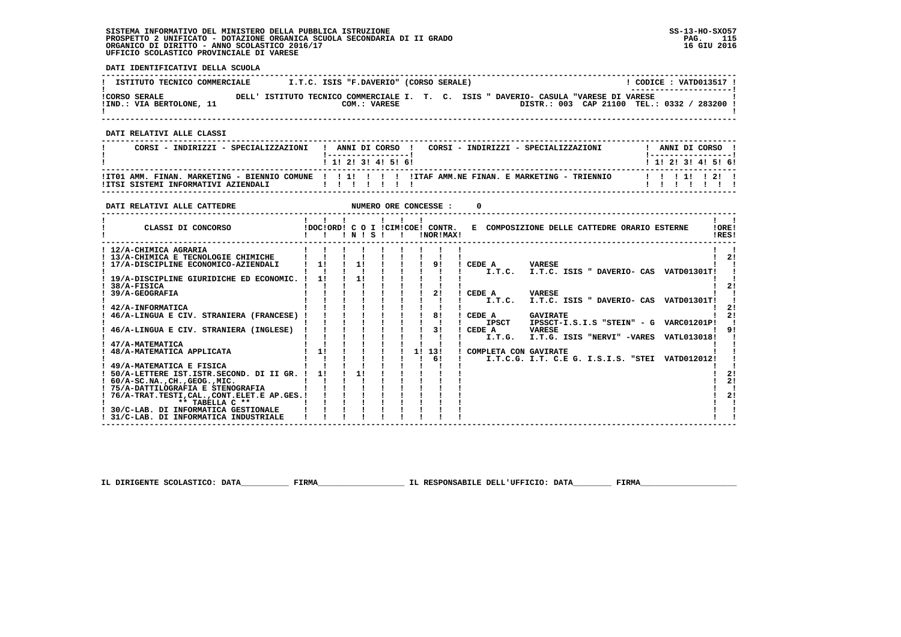**DATI IDENTIFICATIVI DELLA SCUOLA**

| ISTITUTO TECNICO COMMERCIALE                     |  | I.T.C. ISIS "F.DAVERIO" (CORSO SERALE)                                                               |  |  |                                           |  | $\overline{CODICE}: VATD013517:$<br>--------------------- |  |
|--------------------------------------------------|--|------------------------------------------------------------------------------------------------------|--|--|-------------------------------------------|--|-----------------------------------------------------------|--|
| <b>!CORSO SERALE</b><br>!IND.: VIA BERTOLONE, 11 |  | DELL' ISTITUTO TECNICO COMMERCIALE I. T. C. ISIS " DAVERIO- CASULA "VARESE DI VARESE<br>COM.: VARESE |  |  | DISTR.: 003 CAP 21100 TEL.: 0332 / 283200 |  |                                                           |  |

 **------------------------------------------------------------------------------------------------------------------------------------**

 **DATI RELATIVI ALLE CLASSI**

| CORSI - INDIRIZZI - SPECIALIZZAZIONI | ! ANNI DI CORSO !<br>1 1 2 3 3 4 5 6 1 |  |  | CORSI - INDIRIZZI - SPECIALIZZAZIONI                                                                 |  | ANNI DI CORSO !<br>1 1 1 2 1 3 1 4 1 5 1 6 1 |  |  |
|--------------------------------------|----------------------------------------|--|--|------------------------------------------------------------------------------------------------------|--|----------------------------------------------|--|--|
|                                      |                                        |  |  | ITTO1 AMM. FINAN. MARKETING - BIENNIO COMUNE !!!!!!!!!!!!!!!TAF AMM.NE FINAN. E MARKETING - TRIENNIO |  | 1111211                                      |  |  |

 **------------------------------------------------------------------------------------------------------------------------------------**

| DATI RELATIVI ALLE CATTEDRE                                                     |    |    |       |    | NUMERO ORE CONCESSE :                         |        |                       |                 |                                              |                                                 |                |
|---------------------------------------------------------------------------------|----|----|-------|----|-----------------------------------------------|--------|-----------------------|-----------------|----------------------------------------------|-------------------------------------------------|----------------|
| CLASSI DI CONCORSO                                                              |    |    | INISI |    | !DOC!ORD! C O I !CIM!COE! CONTR.<br>!NOR!MAX! |        |                       |                 | E COMPOSIZIONE DELLE CATTEDRE ORARIO ESTERNE |                                                 | IORE!<br>IRES! |
| ! 12/A-CHIMICA AGRARIA<br>! 13/A-CHIMICA E TECNOLOGIE CHIMICHE                  |    |    |       |    |                                               |        |                       |                 |                                              |                                                 | 2!             |
| ! 17/A-DISCIPLINE ECONOMICO-AZIENDALI                                           | 1! | 1! |       |    | 91                                            | CEDE A | I.T.C.                | <b>VARESE</b>   |                                              | I.T.C. ISIS " DAVERIO- CAS VATD01301T!          |                |
| ! 19/A-DISCIPLINE GIURIDICHE ED ECONOMIC.<br>38/A-FISICA                        | 1! |    |       |    |                                               |        |                       |                 |                                              |                                                 |                |
| 39/A-GEOGRAFIA                                                                  |    |    |       |    | 21                                            | CEDE A | I.T.C.                | <b>VARESE</b>   |                                              | I.T.C. ISIS " DAVERIO- CAS VATD01301T!          |                |
| 42/A-INFORMATICA<br>46/A-LINGUA E CIV. STRANIERA (FRANCESE)                     |    |    |       |    | 81                                            | CEDE A |                       | <b>GAVIRATE</b> |                                              |                                                 |                |
| 46/A-LINGUA E CIV. STRANIERA (INGLESE)                                          |    |    |       |    | 31                                            | CEDE A | IPSCT                 | <b>VARESE</b>   |                                              | IPSSCT-I.S.I.S "STEIN" - G VARC01201P!          |                |
| 47/A-MATEMATICA                                                                 |    |    |       |    |                                               |        | I.T.G.                |                 |                                              | I.T.G. ISIS "NERVI" -VARES VATL013018!          |                |
| 48/A-MATEMATICA APPLICATA                                                       | 11 |    |       | 1! | 13!<br>61                                     |        | COMPLETA CON GAVIRATE |                 |                                              | I.T.C.G. I.T. C.E G. I.S.I.S. "STEI VATD012012! |                |
| 49/A-MATEMATICA E FISICA<br>50/A-LETTERE IST.ISTR.SECOND. DI II GR. !           | 1! | 11 |       |    |                                               |        |                       |                 |                                              |                                                 | 21             |
| $60/A-SC$ . NA., $CH.$ , $GEOG.$ , $MIC.$<br>! 75/A-DATTILOGRAFIA E STENOGRAFIA |    |    |       |    |                                               |        |                       |                 |                                              |                                                 | 21             |
| 76/A-TRAT.TESTI, CAL., CONT.ELET.E AP.GES. !<br>** TABELLA C **                 |    |    |       |    |                                               |        |                       |                 |                                              |                                                 | 2!             |
| 30/C-LAB. DI INFORMATICA GESTIONALE<br>! 31/C-LAB. DI INFORMATICA INDUSTRIALE   |    |    |       |    |                                               |        |                       |                 |                                              |                                                 |                |

 **IL DIRIGENTE SCOLASTICO: DATA\_\_\_\_\_\_\_\_\_\_ FIRMA\_\_\_\_\_\_\_\_\_\_\_\_\_\_\_\_\_\_ IL RESPONSABILE DELL'UFFICIO: DATA\_\_\_\_\_\_\_\_ FIRMA\_\_\_\_\_\_\_\_\_\_\_\_\_\_\_\_\_\_\_\_**

 **------------------------------------------------------------------------------------------------------------------------------------**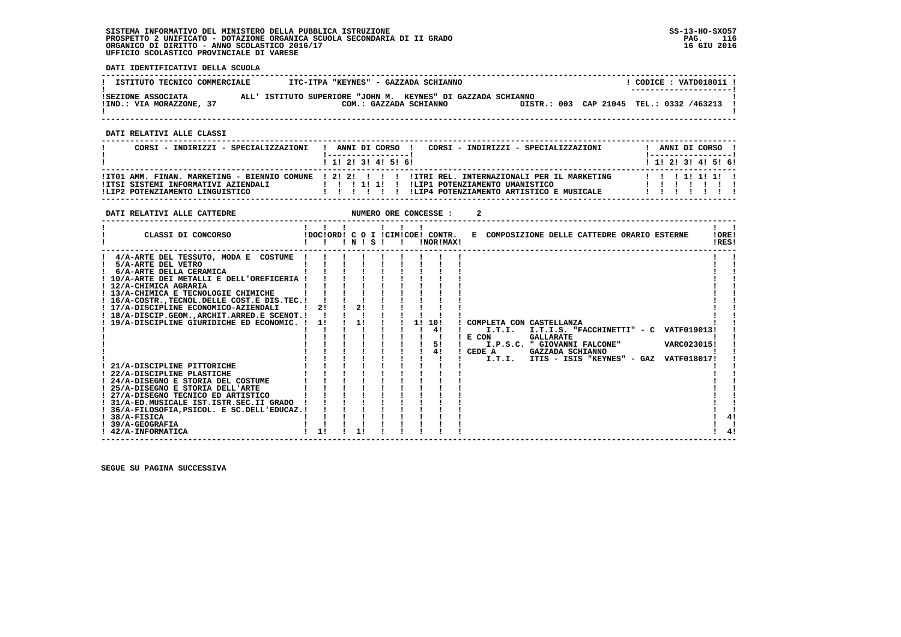**DATI IDENTIFICATIVI DELLA SCUOLA**

| ISTITUTO TECNICO COMMERCIALE                   | ITC-ITPA "KEYNES" - GAZZADA SCHIANNO                                                   |  | CODICE: VATD018011 !<br>--------------------- |
|------------------------------------------------|----------------------------------------------------------------------------------------|--|-----------------------------------------------|
| ISEZIONE ASSOCIATA<br>!IND.: VIA MORAZZONE, 37 | ALL' ISTITUTO SUPERIORE "JOHN M. KEYNES" DI GAZZADA SCHIANNO<br>COM.: GAZZADA SCHIANNO |  | DISTR.: 003 CAP 21045 TEL.: 0332 /463213      |

 **------------------------------------------------------------------------------------------------------------------------------------**

 **DATI RELATIVI ALLE CLASSI**

| CORSI - INDIRIZZI - SPECIALIZZAZIONI                                   | CORSI - INDIRIZZI - SPECIALIZZAZIONI<br>ANNI DI CORSO !                                                                                                                                      | ANNI DI CORSO !           |  |
|------------------------------------------------------------------------|----------------------------------------------------------------------------------------------------------------------------------------------------------------------------------------------|---------------------------|--|
|                                                                        | 1 1 1 2 1 3 1 4 1 5 1 6 1                                                                                                                                                                    | 1 1 1 2 1 3 1 4 1 5 1 6 1 |  |
| IITSI SISTEMI INFORMATIVI AZIENDALI<br>ILIP2 POTENZIAMENTO LINGUISTICO | ITT01 AMM. FINAN. MARKETING - BIENNIO COMUNE   2! 2! !   !! ITRI REL. INTERNAZIONALI PER IL MARKETING<br>!LIP1 POTENZIAMENTO UMANISTICO<br>ILIP4 POTENZIAMENTO ARTISTICO E MUSICALE<br>11111 | 11111111                  |  |

| DATI RELATIVI ALLE CATTEDRE                                                                                                                                                                                                                                                                                                                                                                                                                                                                                                                                                                                                                                                                                                             |                                        |                |             |    | NUMERO ORE CONCESSE :                         |                                                 |                                                                             |  |                                                                                                        |                |
|-----------------------------------------------------------------------------------------------------------------------------------------------------------------------------------------------------------------------------------------------------------------------------------------------------------------------------------------------------------------------------------------------------------------------------------------------------------------------------------------------------------------------------------------------------------------------------------------------------------------------------------------------------------------------------------------------------------------------------------------|----------------------------------------|----------------|-------------|----|-----------------------------------------------|-------------------------------------------------|-----------------------------------------------------------------------------|--|--------------------------------------------------------------------------------------------------------|----------------|
| CLASSI DI CONCORSO                                                                                                                                                                                                                                                                                                                                                                                                                                                                                                                                                                                                                                                                                                                      | $\mathbf{1}$ $\mathbf{1}$ $\mathbf{1}$ |                | 1 N I S I I |    | !DOC!ORD! C O I !CIM!COE! CONTR.<br>!NOR!MAX! |                                                 | E COMPOSIZIONE DELLE CATTEDRE ORARIO ESTERNE                                |  |                                                                                                        | !ORE!<br>!RES! |
| 4/A-ARTE DEL TESSUTO, MODA E COSTUME<br>5/A-ARTE DEL VETRO<br>6/A-ARTE DELLA CERAMICA<br>! 10/A-ARTE DEI METALLI E DELL'OREFICERIA !<br>! 12/A-CHIMICA AGRARIA<br>! 13/A-CHIMICA E TECNOLOGIE CHIMICHE<br>! 16/A-COSTR. TECNOL. DELLE COST. E DIS. TEC. !<br>! 17/A-DISCIPLINE ECONOMICO-AZIENDALI<br>! 18/A-DISCIP.GEOM., ARCHIT. ARRED.E SCENOT.!<br>! 19/A-DISCIPLINE GIURIDICHE ED ECONOMIC. !<br>21/A-DISCIPLINE PITTORICHE<br>! 22/A-DISCIPLINE PLASTICHE<br>24/A-DISEGNO E STORIA DEL COSTUME<br>! 25/A-DISEGNO E STORIA DELL'ARTE<br>! 27/A-DISEGNO TECNICO ED ARTISTICO<br>! 31/A-ED.MUSICALE IST.ISTR.SEC.II GRADO<br>! 36/A-FILOSOFIA, PSICOL. E SC.DELL'EDUCAZ.!<br>$1.38/A-FISICA$<br>39/A-GEOGRAFIA<br>! 42/A-INFORMATICA | 21<br>11<br>11                         | 21<br>1!<br>11 |             | 11 | 10!<br>41<br>5!<br>41                         | ! COMPLETA CON CASTELLANZA<br>I.T.I.<br>! E CON | <b>GALLARATE</b><br>I.P.S.C. " GIOVANNI FALCONE"<br>CEDE A GAZZADA SCHIANNO |  | I.T.I.S. "FACCHINETTI" - C VATF019013!<br>VARC023015!<br>I.T.I. ITIS - ISIS "KEYNES" - GAZ VATF018017! |                |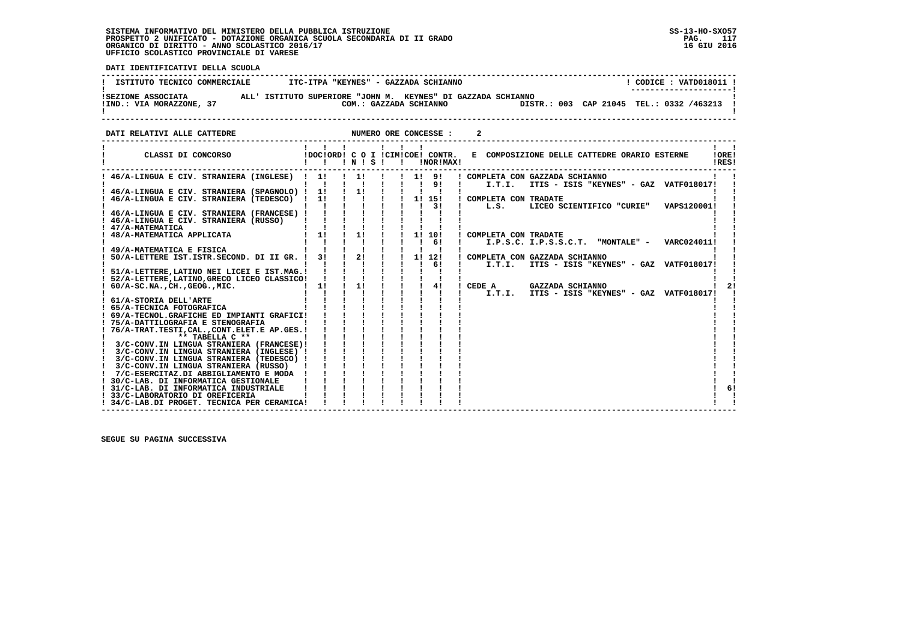j

 **DATI IDENTIFICATIVI DELLA SCUOLA**

| ISTITUTO TECNICO COMMERCIALE                   | ITC-ITPA "KEYNES" - GAZZADA SCHIANNO                                                   | CODICE: VATD018011 !                     |
|------------------------------------------------|----------------------------------------------------------------------------------------|------------------------------------------|
|                                                |                                                                                        | ----------------------                   |
| ISEZIONE ASSOCIATA<br>!IND.: VIA MORAZZONE, 37 | ALL' ISTITUTO SUPERIORE "JOHN M. KEYNES" DI GAZZADA SCHIANNO<br>COM.: GAZZADA SCHIANNO | DISTR.: 003 CAP 21045 TEL.: 0332 /463213 |
|                                                |                                                                                        |                                          |
|                                                |                                                                                        |                                          |

**DATI RELATIVI ALLE CATTEDRE CONCESSE : 2** 

| CLASSI DI CONCORSO                                                            | $\mathbf{1}$ $\mathbf{1}$<br>$\mathbf{1}$ $\mathbf{1}$ | $\blacksquare$ $\blacksquare$ $\blacksquare$ $\blacksquare$ $\blacksquare$ $\blacksquare$ $\blacksquare$ $\blacksquare$ $\blacksquare$ $\blacksquare$ |  | .<br>$\mathbf{I}$                        |              | !NOR!MAX!     |                                 | IDOCIORDI C O I ICIMICOEI CONTR. E COMPOSIZIONE DELLE CATTEDRE ORARIO ESTERNE | . .<br>!ORE!<br>!RES! |
|-------------------------------------------------------------------------------|--------------------------------------------------------|-------------------------------------------------------------------------------------------------------------------------------------------------------|--|------------------------------------------|--------------|---------------|---------------------------------|-------------------------------------------------------------------------------|-----------------------|
| 46/A-LINGUA E CIV. STRANIERA (INGLESE) ! 1!                                   |                                                        | 1!<br>$\blacksquare$                                                                                                                                  |  | 1 1 1 9 1<br>$\frac{1}{1}$ $\frac{1}{9}$ |              |               | I.T.I.                          | ! COMPLETA CON GAZZADA SCHIANNO<br>ITIS - ISIS "KEYNES" - GAZ VATF018017!     |                       |
| ! 46/A-LINGUA E CIV. STRANIERA (SPAGNOLO) ! 1!                                |                                                        | 1!                                                                                                                                                    |  |                                          |              |               |                                 |                                                                               |                       |
| 46/A-LINGUA E CIV. STRANIERA (TEDESCO) ! 1!                                   |                                                        |                                                                                                                                                       |  |                                          |              |               | ! 1! 15! ! COMPLETA CON TRADATE |                                                                               |                       |
| ! 46/A-LINGUA E CIV. STRANIERA (FRANCESE) !                                   |                                                        |                                                                                                                                                       |  |                                          |              | $\frac{1}{3}$ |                                 | L.S. LICEO SCIENTIFICO "CURIE" VAPS120001!                                    |                       |
| ! 46/A-LINGUA E CIV. STRANIERA (RUSSO)                                        |                                                        |                                                                                                                                                       |  |                                          |              |               |                                 |                                                                               |                       |
| ! 47/A-MATEMATICA                                                             |                                                        |                                                                                                                                                       |  |                                          |              |               |                                 |                                                                               |                       |
| 48/A-MATEMATICA APPLICATA                                                     | $1 - 1!$                                               | 1!                                                                                                                                                    |  |                                          |              | 1! 10!        | COMPLETA CON TRADATE            |                                                                               |                       |
|                                                                               |                                                        |                                                                                                                                                       |  |                                          | $1 \quad 61$ |               |                                 | $I.P.S.C. I.P.S.S.C.T.$ "MONTALE" - VARC024011!                               |                       |
| ! 49/A-MATEMATICA E FISICA                                                    | $\blacksquare$                                         | 21                                                                                                                                                    |  |                                          |              | 1! 12!        |                                 |                                                                               |                       |
| 50/A-LETTERE IST. ISTR. SECOND. DI II GR. ! 3!                                |                                                        |                                                                                                                                                       |  |                                          | $\mathbf{I}$ | 61            | I.T.I.                          | ! COMPLETA CON GAZZADA SCHIANNO<br>ITIS - ISIS "KEYNES" - GAZ VATF018017!     |                       |
| 51/A-LETTERE, LATINO NEI LICEI E IST.MAG.!                                    |                                                        |                                                                                                                                                       |  |                                          |              |               |                                 |                                                                               |                       |
| ! 52/A-LETTERE, LATINO, GRECO LICEO CLASSICO!                                 |                                                        |                                                                                                                                                       |  |                                          |              |               |                                 |                                                                               |                       |
| $: 60/A-SC.NA.$ , $CH.$ , $GEOG.$ , $MIC.$                                    | 11                                                     | 1!                                                                                                                                                    |  |                                          |              | 41            | CEDE A                          | GAZZADA SCHIANNO                                                              |                       |
|                                                                               |                                                        |                                                                                                                                                       |  |                                          |              |               |                                 | I.T.I. ITIS - ISIS "KEYNES" - GAZ VATF018017!                                 |                       |
| ! 61/A-STORIA DELL'ARTE                                                       |                                                        |                                                                                                                                                       |  |                                          |              |               |                                 |                                                                               |                       |
| ! 65/A-TECNICA FOTOGRAFICA<br>! 69/A-TECNOL.GRAFICHE ED IMPIANTI GRAFICI!     |                                                        |                                                                                                                                                       |  |                                          |              |               |                                 |                                                                               |                       |
| ! 75/A-DATTILOGRAFIA E STENOGRAFIA                                            |                                                        |                                                                                                                                                       |  |                                          |              |               |                                 |                                                                               |                       |
| ! 76/A-TRAT.TESTI,CAL.,CONT.ELET.E AP.GES.!                                   |                                                        |                                                                                                                                                       |  |                                          |              |               |                                 |                                                                               |                       |
| ** TABELLA C **                                                               |                                                        |                                                                                                                                                       |  |                                          |              |               |                                 |                                                                               |                       |
| 3/C-CONV.IN LINGUA STRANIERA (FRANCESE)!                                      |                                                        |                                                                                                                                                       |  |                                          |              |               |                                 |                                                                               |                       |
| 3/C-CONV.IN LINGUA STRANIERA (INGLESE) !                                      |                                                        |                                                                                                                                                       |  |                                          |              |               |                                 |                                                                               |                       |
| 3/C-CONV.IN LINGUA STRANIERA (TEDESCO) !                                      |                                                        |                                                                                                                                                       |  |                                          |              |               |                                 |                                                                               |                       |
| 3/C-CONV.IN LINGUA STRANIERA (RUSSO)<br>7/C-ESERCITAZ.DI ABBIGLIAMENTO E MODA |                                                        |                                                                                                                                                       |  |                                          |              |               |                                 |                                                                               |                       |
| 30/C-LAB. DI INFORMATICA GESTIONALE                                           |                                                        |                                                                                                                                                       |  |                                          |              |               |                                 |                                                                               |                       |
| 31/C-LAB. DI INFORMATICA INDUSTRIALE                                          |                                                        |                                                                                                                                                       |  |                                          |              |               |                                 |                                                                               | 61                    |
| 33/C-LABORATORIO DI OREFICERIA                                                |                                                        |                                                                                                                                                       |  |                                          |              |               |                                 |                                                                               |                       |
| ! 34/C-LAB.DI PROGET. TECNICA PER CERAMICA!                                   |                                                        |                                                                                                                                                       |  |                                          |              |               |                                 |                                                                               |                       |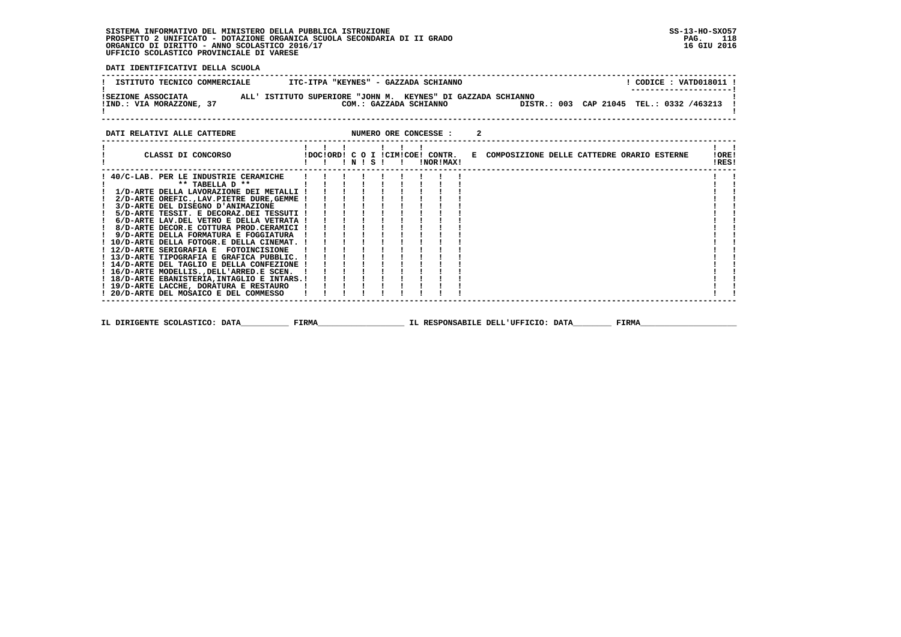**DATI IDENTIFICATIVI DELLA SCUOLA**

| ISTITUTO TECNICO COMMERCIALE                   | ITC-ITPA "KEYNES" - GAZZADA SCHIANNO                                                   |  | CODICE: VATD018011 !<br>---------------------- |  |
|------------------------------------------------|----------------------------------------------------------------------------------------|--|------------------------------------------------|--|
| ISEZIONE ASSOCIATA<br>!IND.: VIA MORAZZONE, 37 | ALL' ISTITUTO SUPERIORE "JOHN M. KEYNES" DI GAZZADA SCHIANNO<br>COM.: GAZZADA SCHIANNO |  | DISTR.: 003 CAP 21045 TEL.: 0332 /463213 !     |  |

#### **DATI RELATIVI ALLE CATTEDRE NUMERO ORE CONCESSE : 2 ------------------------------------------------------------------------------------------------------------------------------------ ! ! ! ! ! ! ! ! ! ! CLASSI DI CONCORSO !DOC!ORD! C O I !CIM!COE! CONTR. E COMPOSIZIONE DELLE CATTEDRE ORARIO ESTERNE !ORE! ! ! ! ! N ! S ! ! !NOR!MAX! !RES! ------------------------------------------------------------------------------------------------------------------------------------** $\mathbf{r}$  and  $\mathbf{r}$  **! 40/C-LAB. PER LE INDUSTRIE CERAMICHE ! ! ! ! ! ! ! ! ! ! ! ! \*\* TABELLA D \*\* ! ! ! ! ! ! ! ! ! ! ! ! 1/D-ARTE DELLA LAVORAZIONE DEI METALLI ! ! ! ! ! ! ! ! ! ! ! ! 2/D-ARTE OREFIC.,LAV.PIETRE DURE,GEMME ! ! ! ! ! ! ! ! ! ! ! ! 3/D-ARTE DEL DISEGNO D'ANIMAZIONE ! ! ! ! ! ! ! ! ! ! ! ! 5/D-ARTE TESSIT. E DECORAZ.DEI TESSUTI ! ! ! ! ! ! ! ! ! ! ! ! 6/D-ARTE LAV.DEL VETRO E DELLA VETRATA ! ! ! ! ! ! ! ! ! ! ! ! 8/D-ARTE DECOR.E COTTURA PROD.CERAMICI ! ! ! ! ! ! ! ! ! ! !** $\blacksquare$  $\mathbf{I}$ - 1  **! 9/D-ARTE DELLA FORMATURA E FOGGIATURA ! ! ! ! ! ! ! ! ! ! ! ! 10/D-ARTE DELLA FOTOGR.E DELLA CINEMAT. ! ! ! ! ! ! ! ! ! ! ! ! 12/D-ARTE SERIGRAFIA E FOTOINCISIONE ! ! ! ! ! ! ! ! ! ! ! ! 13/D-ARTE TIPOGRAFIA E GRAFICA PUBBLIC. ! ! ! ! ! ! ! ! ! ! ! ! 14/D-ARTE DEL TAGLIO E DELLA CONFEZIONE ! ! ! ! ! ! ! ! ! ! ! ! 16/D-ARTE MODELLIS.,DELL'ARRED.E SCEN. ! ! ! ! ! ! ! ! ! ! ! ! 18/D-ARTE EBANISTERIA,INTAGLIO E INTARS.! ! ! ! ! ! ! ! ! ! !**- 1  $\mathbf{I}$  $\blacksquare$  $\overline{\phantom{a}}$  **! 19/D-ARTE LACCHE, DORATURA E RESTAURO ! ! ! ! ! ! ! ! ! ! ! ! 20/D-ARTE DEL MOSAICO E DEL COMMESSO ! ! ! ! ! ! ! ! ! ! !** $\mathbf{I}$  and  $\mathbf{I}$   **------------------------------------------------------------------------------------------------------------------------------------ IL DIRIGENTE SCOLASTICO: DATA\_\_\_\_\_\_\_\_\_\_ FIRMA\_\_\_\_\_\_\_\_\_\_\_\_\_\_\_\_\_\_ IL RESPONSABILE DELL'UFFICIO: DATA\_\_\_\_\_\_\_\_ FIRMA\_\_\_\_\_\_\_\_\_\_\_\_\_\_\_\_\_\_\_\_**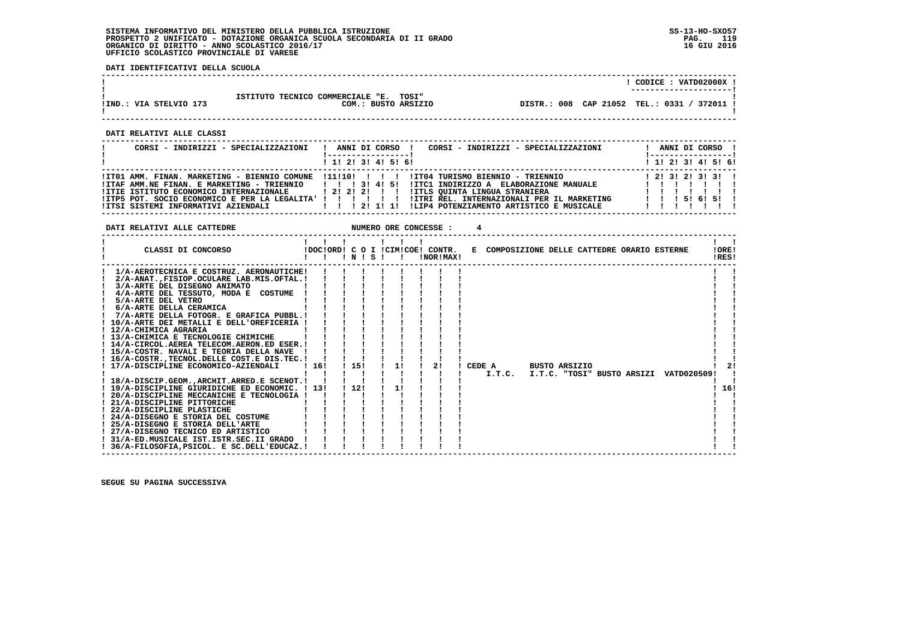**DATI IDENTIFICATIVI DELLA SCUOLA**

|                                                                                                                                                                                                                                                                                                                                                                                                                                                                                                                                                                                                                                                                                                                                                                                                                                                                                                                                                                                                                                                                                                                    |                                                                                                                                                                                                               | $!$ CODICE : VATD02000X $!$ |
|--------------------------------------------------------------------------------------------------------------------------------------------------------------------------------------------------------------------------------------------------------------------------------------------------------------------------------------------------------------------------------------------------------------------------------------------------------------------------------------------------------------------------------------------------------------------------------------------------------------------------------------------------------------------------------------------------------------------------------------------------------------------------------------------------------------------------------------------------------------------------------------------------------------------------------------------------------------------------------------------------------------------------------------------------------------------------------------------------------------------|---------------------------------------------------------------------------------------------------------------------------------------------------------------------------------------------------------------|-----------------------------|
| IIND.: VIA STELVIO 173                                                                                                                                                                                                                                                                                                                                                                                                                                                                                                                                                                                                                                                                                                                                                                                                                                                                                                                                                                                                                                                                                             | ISTITUTO TECNICO COMMERCIALE "E. TOSI"<br>DISTR.: 008 CAP 21052 TEL.: 0331 / 372011 !<br>COM.: BUSTO ARSIZIO                                                                                                  |                             |
| DATI RELATIVI ALLE CLASSI                                                                                                                                                                                                                                                                                                                                                                                                                                                                                                                                                                                                                                                                                                                                                                                                                                                                                                                                                                                                                                                                                          |                                                                                                                                                                                                               |                             |
| CORSI - INDIRIZZI - SPECIALIZZAZIONI                                                                                                                                                                                                                                                                                                                                                                                                                                                                                                                                                                                                                                                                                                                                                                                                                                                                                                                                                                                                                                                                               | ! ANNI DI CORSO ! CORSI - INDIRIZZI - SPECIALIZZAZIONI                                                                                                                                                        | ! ANNI DI CORSO !           |
|                                                                                                                                                                                                                                                                                                                                                                                                                                                                                                                                                                                                                                                                                                                                                                                                                                                                                                                                                                                                                                                                                                                    | 1 1 1 2 1 3 1 4 1 5 1 6 1<br>------------------------------                                                                                                                                                   | ! 1! 2! 3! 4! 5! 6!         |
|                                                                                                                                                                                                                                                                                                                                                                                                                                                                                                                                                                                                                                                                                                                                                                                                                                                                                                                                                                                                                                                                                                                    |                                                                                                                                                                                                               |                             |
| DATI RELATIVI ALLE CATTEDRE                                                                                                                                                                                                                                                                                                                                                                                                                                                                                                                                                                                                                                                                                                                                                                                                                                                                                                                                                                                                                                                                                        | 4                                                                                                                                                                                                             |                             |
| CLASSI DI CONCORSO                                                                                                                                                                                                                                                                                                                                                                                                                                                                                                                                                                                                                                                                                                                                                                                                                                                                                                                                                                                                                                                                                                 | 1 1 1 1 1 1 1<br>IDOCIORD! C O I ICIMICOE! CONTR.<br>E COMPOSIZIONE DELLE CATTEDRE ORARIO ESTERNE                                                                                                             | !ORE!<br>IRES!              |
| 1/A-AEROTECNICA E COSTRUZ. AERONAUTICHE! !! !! !! !!<br>! 2/A-ANAT., FISIOP. OCULARE LAB.MIS. OFTAL. ! ! ! !<br>$\frac{1}{3}$ /A-ARTE DEL DISEGNO ANIMATO $\frac{1}{1}$        <br>$1$ 4/A-ARTE DEL TESSUTO, MODA E COSTUME $1$ $1$ $1$ $1$ $1$ $1$<br>! 10/A-ARTE DEI METALLI E DELL'OREFICERIA ! ! ! !<br>$\mathbf{1}$ and $\mathbf{1}$ and $\mathbf{1}$ and $\mathbf{1}$ and $\mathbf{1}$ and $\mathbf{1}$ and $\mathbf{1}$<br>! 12/A-CHIMICA AGRARIA<br>! 15/A-COSTR. NAVALI E TEORIA DELLA NAVE ! ! ! ! !<br>! 16/A-COSTR., TECNOL. DELLE COST. E DIS. TEC. ! ! ! ! ! ! ! ! !<br>! 17/A-DISCIPLINE ECONOMICO-AZIENDALI   16! ! 15!<br>! 18/A-DISCIP.GEOM., ARCHIT. ARRED. E SCENOT. ! ! ! ! ! ! ! ! ! ! !<br>! 20/A-DISCIPLINE MECCANICHE E TECNOLOGIA ! ! ! ! ! !<br>PARTICULAR PERSONAL PROPERTY OF A PARTICULAR PERSONAL PROPERTY OF A PARTICULAR PROPERTY OF A PARTICULAR PROPERTY OF A PARTICULAR PROPERTY OF A PARTICULAR PROPERTY OF A PARTICULAR PROPERTY OF A PARTICULAR PROPERTY OF A PART<br>! 31/A-ED.MUSICALE IST.ISTR.SEC.II GRADO ! ! ! !<br>! 36/A-FILOSOFIA, PSICOL. E SC. DELL'EDUCAZ.! ! ! | $\mathbf{1}$ $\mathbf{1}$ $\mathbf{1}$<br>. 11 1 21 1 CEDE A BUSTO ARSIZIO<br>1 1 1 1 1 1 1.T.C. I.T.C. "TOSI" BUSTO ARSIZI VATD020509!<br>$\begin{array}{ccccccccccccccccc}\n1 & 1 & 1 & 1 & 1\n\end{array}$ | -21<br>! 16!                |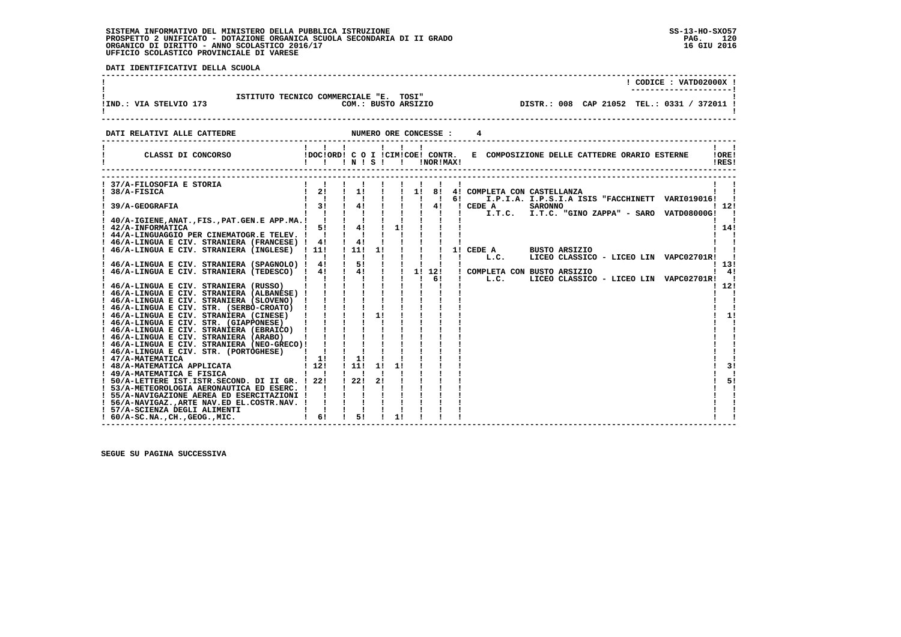**DATI IDENTIFICATIVI DELLA SCUOLA**

|                                                                                                                                                                                                                                                                                                                                                                                                                                                                                                                                                                                                                                                                                                                                                     |                                                                                                                                                                                                                                                                                                                                |                                                                                                                                                   |          |                     |                       | ! CODICE : VATD02000X !                                                                                                                                                                                                                                           |
|-----------------------------------------------------------------------------------------------------------------------------------------------------------------------------------------------------------------------------------------------------------------------------------------------------------------------------------------------------------------------------------------------------------------------------------------------------------------------------------------------------------------------------------------------------------------------------------------------------------------------------------------------------------------------------------------------------------------------------------------------------|--------------------------------------------------------------------------------------------------------------------------------------------------------------------------------------------------------------------------------------------------------------------------------------------------------------------------------|---------------------------------------------------------------------------------------------------------------------------------------------------|----------|---------------------|-----------------------|-------------------------------------------------------------------------------------------------------------------------------------------------------------------------------------------------------------------------------------------------------------------|
| ISTITUTO TECNICO COMMERCIALE "E. TOSI"<br>!IND.: VIA STELVIO 173                                                                                                                                                                                                                                                                                                                                                                                                                                                                                                                                                                                                                                                                                    |                                                                                                                                                                                                                                                                                                                                | COM.: BUSTO ARSIZIO                                                                                                                               |          |                     |                       | DISTR.: 008 CAP 21052 TEL.: 0331 / 372011 !                                                                                                                                                                                                                       |
| DATI RELATIVI ALLE CATTEDRE                                                                                                                                                                                                                                                                                                                                                                                                                                                                                                                                                                                                                                                                                                                         |                                                                                                                                                                                                                                                                                                                                |                                                                                                                                                   |          |                     | NUMERO ORE CONCESSE : | 4                                                                                                                                                                                                                                                                 |
| CLASSI DI CONCORSO                                                                                                                                                                                                                                                                                                                                                                                                                                                                                                                                                                                                                                                                                                                                  | $\mathbf{1}$ $\mathbf{1}$ $\mathbf{1}$<br>!DOC!ORD! C O I !CIM!COE! CONTR.                                                                                                                                                                                                                                                     |                                                                                                                                                   |          | $1 \quad 1 \quad 1$ | !NOR!MAX!             | $\mathbf{1}$ $\mathbf{1}$<br>E COMPOSIZIONE DELLE CATTEDRE ORARIO ESTERNE<br>10RE1<br>IRES!                                                                                                                                                                       |
| ! 37/A-FILOSOFIA E STORIA<br>! 38/A-FISICA<br>39/A-GEOGRAFIA<br>! 44/A-LINGUAGGIO PER CINEMATOGR.E TELEV. ! ! ! !<br>! 46/A-LINGUA E CIV. STRANIERA (FRANCESE) ! 4!<br>! 46/A-LINGUA E CIV. STRANIERA (INGLESE) ! 11!<br>! 46/A-LINGUA E CIV. STRANIERA (SPAGNOLO) ! 4!<br>! 46/A-LINGUA E CIV. STRANIERA (NEO-GRECO)! ! ! !<br>! 46/A-LINGUA E CIV. STR. (PORTOGHESE)<br>! 47/A-MATEMATICA<br>! 48/A-MATEMATICA APPLICATA<br>! 49/A-MATEMATICA E FISICA<br>! 50/A-LETTERE IST. ISTR. SECOND. DI II GR. ! 22!<br>! 53/A-METEOROLOGIA AERONAUTICA ED ESERC. ! ! ! ! !<br>! 55/A-NAVIGAZIONE AEREA ED ESERCITAZIONI !<br>! 56/A-NAVIGAZ., ARTE NAV. ED EL.COSTR.NAV. !<br>! 57/A-SCIENZA DEGLI ALIMENTI<br>$: 60/A-SC.NA.$ , $CH.$ , $GEOG.$ , $MIC.$ | $\mathbf{1}$ $\mathbf{1}$<br>1 1 1 1 1 1 1 1 6!<br>$\mathbf{1}$ $\mathbf{1}$<br>$\mathbf{1}$ $\mathbf{1}$<br>$1 \quad 1!$<br>112!<br>$\mathbf{1}$ $\mathbf{1}$<br>$\mathbf{1}$ $\mathbf{1}$ $\mathbf{1}$<br>$\frac{1}{2}$ $\frac{1}{2}$ $\frac{1}{2}$ $\frac{1}{2}$ $\frac{1}{2}$<br>$\mathbf{1}$ $\mathbf{1}$<br>$1 \quad 61$ | $\frac{1}{4}$<br>111111<br>$\mathbf{1}$ $\mathbf{1}$ $\mathbf{1}$ $\mathbf{1}$<br>$\frac{1}{5!}$<br>$\frac{1}{1}$<br>$\frac{1}{11}$<br>122!<br>51 | 11<br>21 |                     |                       | $1 \quad 21 \quad 1 \quad 1 \quad 1 \quad 1$ $1 \quad 81 \quad 41$ COMPLETA CON CASTELLANZA<br>I.P.I.A. I.P.S.I.A ISIS "FACCHINETT VARI019016!<br>112!<br>$1 \; 14!$<br>1131<br>$1 \quad 41$<br>LICEO CLASSICO - LICEO LIN VAPC02701R!<br>! 12!<br>11<br>31<br>51 |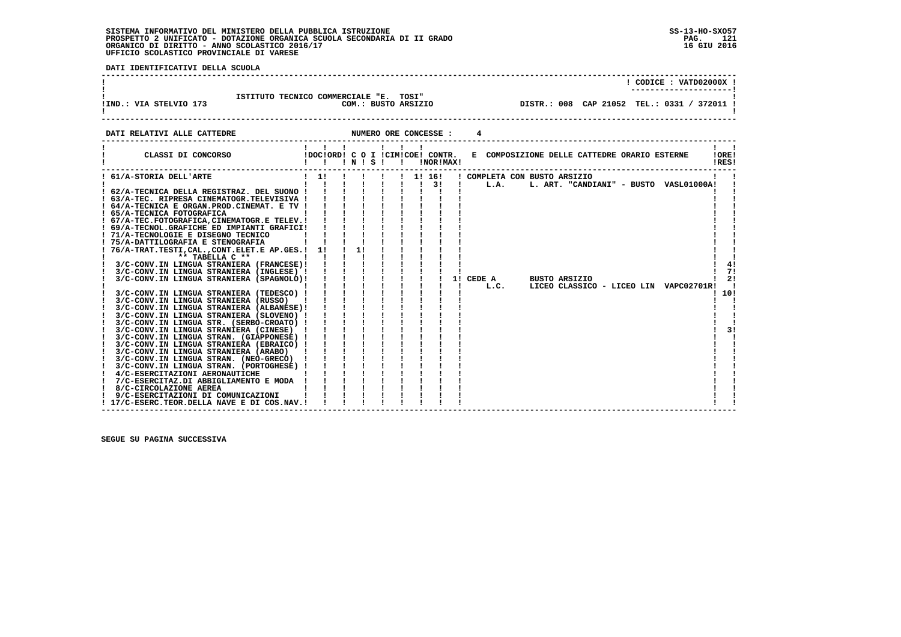j

 **DATI IDENTIFICATIVI DELLA SCUOLA**

| IIND.: VIA STELVIO 173      | ISTITUTO TECNICO COMMERCIALE "E. TOSI"<br>COM.: BUSTO ARSIZIO            |                                              |  | . _ _ _ _ _ _ _ _ _ _ _ _ _ _ _ _ _ _ | CODICE: VATD02000X !<br>DISTR.: 008 CAP 21052 TEL.: 0331 / 372011 ! |
|-----------------------------|--------------------------------------------------------------------------|----------------------------------------------|--|---------------------------------------|---------------------------------------------------------------------|
| DATI RELATIVI ALLE CATTEDRE | NUMERO ORE CONCESSE :                                                    |                                              |  |                                       |                                                                     |
| CLASSI DI CONCORSO          | !DOC!ORD! C O I !CIM!COE! CONTR.<br><b>INOR IMAX!</b><br>$'$ N $'$ S $'$ | E COMPOSIZIONE DELLE CATTEDRE ORARIO ESTERNE |  |                                       | IORE!<br>IRES!                                                      |

|                                             |    |  | .  |  | INURIMAAI |           |                                        | : KLD :            |
|---------------------------------------------|----|--|----|--|-----------|-----------|----------------------------------------|--------------------|
| ! 61/A-STORIA DELL'ARTE                     | 11 |  |    |  | 1! 16!    |           | ! COMPLETA CON BUSTO ARSIZIO           |                    |
|                                             |    |  |    |  | 31        | L.A.      | L. ART. "CANDIANI" - BUSTO VASL01000A! |                    |
| ! 62/A-TECNICA DELLA REGISTRAZ. DEL SUONO ! |    |  |    |  |           |           |                                        |                    |
| ! 63/A-TEC. RIPRESA CINEMATOGR.TELEVISIVA ! |    |  |    |  |           |           |                                        |                    |
| ! 64/A-TECNICA E ORGAN.PROD.CINEMAT. E TV ! |    |  |    |  |           |           |                                        |                    |
| ! 65/A-TECNICA FOTOGRAFICA                  |    |  |    |  |           |           |                                        |                    |
| ! 67/A-TEC.FOTOGRAFICA.CINEMATOGR.E TELEV.! |    |  |    |  |           |           |                                        |                    |
| ! 69/A-TECNOL.GRAFICHE ED IMPIANTI GRAFICI! |    |  |    |  |           |           |                                        |                    |
| ! 71/A-TECNOLOGIE E DISEGNO TECNICO         |    |  |    |  |           |           |                                        |                    |
| ! 75/A-DATTILOGRAFIA E STENOGRAFIA          |    |  |    |  |           |           |                                        |                    |
| 76/A-TRAT.TESTI, CAL., CONT.ELET.E AP.GES.! | 11 |  | 1! |  |           |           |                                        |                    |
| ** TABELLA C **                             |    |  |    |  |           |           |                                        |                    |
| 3/C-CONV.IN LINGUA STRANIERA (FRANCESE)!    |    |  |    |  |           |           |                                        | 4!                 |
| 3/C-CONV.IN LINGUA STRANIERA (INGLESE) !    |    |  |    |  |           |           |                                        | 71                 |
| 3/C-CONV.IN LINGUA STRANIERA (SPAGNOLO)!    |    |  |    |  |           | 1! CEDE A | <b>BUSTO ARSIZIO</b>                   | 2!                 |
|                                             |    |  |    |  |           | L.C.      | LICEO CLASSICO - LICEO LIN             | <b>VAPC02701R!</b> |
| 3/C-CONV.IN LINGUA STRANIERA (TEDESCO) !    |    |  |    |  |           |           |                                        | 10!                |
| 3/C-CONV.IN LINGUA STRANIERA (RUSSO)        |    |  |    |  |           |           |                                        |                    |
| 3/C-CONV.IN LINGUA STRANIERA (ALBANESE)!    |    |  |    |  |           |           |                                        |                    |
| 3/C-CONV.IN LINGUA STRANIERA (SLOVENO) !    |    |  |    |  |           |           |                                        |                    |
| 3/C-CONV.IN LINGUA STR. (SERBO-CROATO) !    |    |  |    |  |           |           |                                        |                    |
| 3/C-CONV.IN LINGUA STRANIERA (CINESE)       |    |  |    |  |           |           |                                        | 31                 |
| 3/C-CONV.IN LINGUA STRAN. (GIAPPONESE) !    |    |  |    |  |           |           |                                        |                    |
| 3/C-CONV.IN LINGUA STRANIERA (EBRAICO) !    |    |  |    |  |           |           |                                        |                    |
| 3/C-CONV.IN LINGUA STRANIERA (ARABO)        |    |  |    |  |           |           |                                        |                    |
| 3/C-CONV.IN LINGUA STRAN. (NEO-GRECO)       |    |  |    |  |           |           |                                        |                    |
| 3/C-CONV.IN LINGUA STRAN. (PORTOGHESE) !    |    |  |    |  |           |           |                                        |                    |
| 4/C-ESERCITAZIONI AERONAUTICHE              |    |  |    |  |           |           |                                        |                    |
| 7/C-ESERCITAZ.DI ABBIGLIAMENTO E MODA       |    |  |    |  |           |           |                                        |                    |
| 8/C-CIRCOLAZIONE AEREA                      |    |  |    |  |           |           |                                        |                    |
| 9/C-ESERCITAZIONI DI COMUNICAZIONI          |    |  |    |  |           |           |                                        |                    |
| 17/C-ESERC.TEOR.DELLA NAVE E DI COS.NAV.!   |    |  |    |  |           |           |                                        |                    |
|                                             |    |  |    |  |           |           |                                        |                    |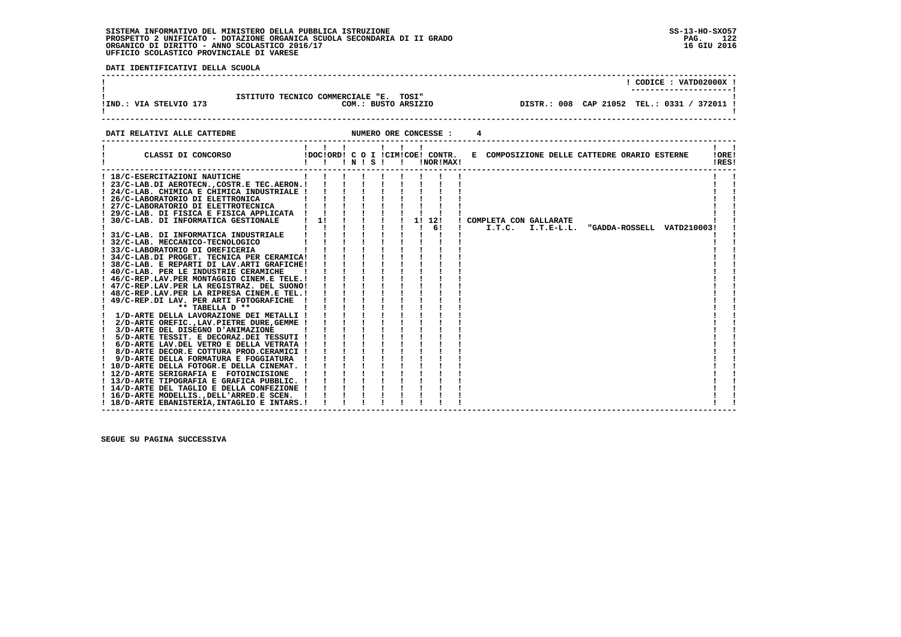$\mathbf{I}$ 

 $\sim$  1.1  $\sim$  1.1

  **------------------------------------------------------------------------------------------------------------------------------------ ! ! CODICE : VATD02000X !**\_\_\_\_\_\_\_\_\_\_\_\_\_\_\_\_\_\_\_\_\_\_\_\_  **! ---------------------! ! ISTITUTO TECNICO COMMERCIALE "E. TOSI" ! !IND.: VIA STELVIO 173 COM.: BUSTO ARSIZIO DISTR.: 008 CAP 21052 TEL.: 0331 / 372011 ! ! ! ------------------------------------------------------------------------------------------------------------------------------------DATI RELATIVI ALLE CATTEDRE NUMERO ORE CONCESSE : 4 ------------------------------------------------------------------------------------------------------------------------------------ ! ! ! ! ! ! ! ! !**

| CLASSI DI CONCORSO                          |              | !!!N!S!! |  |  | IDOCIORD! C O I ICIMICOE! CONTR.<br>!NOR!MAX! |  |        |                        | E COMPOSIZIONE DELLE CATTEDRE ORARIO ESTERNE |                            | !ORE!<br>!RES! |  |
|---------------------------------------------|--------------|----------|--|--|-----------------------------------------------|--|--------|------------------------|----------------------------------------------|----------------------------|----------------|--|
| ! 18/C-ESERCITAZIONI NAUTICHE               |              |          |  |  |                                               |  |        |                        |                                              |                            |                |  |
| ! 23/C-LAB.DI AEROTECNCOSTR.E TEC.AERON.!!  |              |          |  |  |                                               |  |        |                        |                                              |                            |                |  |
| ! 24/C-LAB. CHIMICA E CHIMICA INDUSTRIALE ! |              |          |  |  |                                               |  |        |                        |                                              |                            |                |  |
| ! 26/C-LABORATORIO DI ELETTRONICA           |              |          |  |  |                                               |  |        |                        |                                              |                            |                |  |
| ! 27/C-LABORATORIO DI ELETTROTECNICA        |              |          |  |  |                                               |  |        |                        |                                              |                            |                |  |
| 29/C-LAB. DI FISICA E FISICA APPLICATA !    |              |          |  |  |                                               |  |        |                        |                                              |                            |                |  |
| 30/C-LAB. DI INFORMATICA GESTIONALE         | $1 \quad 1!$ |          |  |  | 1! 12!                                        |  |        | COMPLETA CON GALLARATE |                                              |                            |                |  |
|                                             |              |          |  |  | 61                                            |  | I.T.C. | $I.T.E-L.L.$           |                                              | "GADDA-ROSSELL VATD210003! |                |  |
| 31/C-LAB. DI INFORMATICA INDUSTRIALE        |              |          |  |  |                                               |  |        |                        |                                              |                            |                |  |
| 32/C-LAB. MECCANICO-TECNOLOGICO             |              |          |  |  |                                               |  |        |                        |                                              |                            |                |  |
| 33/C-LABORATORIO DI OREFICERIA              |              |          |  |  |                                               |  |        |                        |                                              |                            |                |  |
| ! 34/C-LAB.DI PROGET. TECNICA PER CERAMICA! |              |          |  |  |                                               |  |        |                        |                                              |                            |                |  |
| ! 38/C-LAB. E REPARTI DI LAV.ARTI GRAFICHE! |              |          |  |  |                                               |  |        |                        |                                              |                            |                |  |
| ! 40/C-LAB. PER LE INDUSTRIE CERAMICHE      |              |          |  |  |                                               |  |        |                        |                                              |                            |                |  |
| ! 46/C-REP.LAV.PER MONTAGGIO CINEM.E TELE.! |              |          |  |  |                                               |  |        |                        |                                              |                            |                |  |
| ! 47/C-REP.LAV.PER LA REGISTRAZ. DEL SUONO! |              |          |  |  |                                               |  |        |                        |                                              |                            |                |  |
| ! 48/C-REP.LAV.PER LA RIPRESA CINEM.E TEL.! |              |          |  |  |                                               |  |        |                        |                                              |                            |                |  |
| 49/C-REP.DI LAV. PER ARTI FOTOGRAFICHE      |              |          |  |  |                                               |  |        |                        |                                              |                            |                |  |
| ** TABELLA D **                             |              |          |  |  |                                               |  |        |                        |                                              |                            |                |  |
| ! 1/D-ARTE DELLA LAVORAZIONE DEI METALLI !  |              |          |  |  |                                               |  |        |                        |                                              |                            |                |  |
| 2/D-ARTE OREFIC., LAV. PIETRE DURE, GEMME ! |              |          |  |  |                                               |  |        |                        |                                              |                            |                |  |
| 3/D-ARTE DEL DISEGNO D'ANIMAZIONE           |              |          |  |  |                                               |  |        |                        |                                              |                            |                |  |
| 5/D-ARTE TESSIT. E DECORAZ.DEI TESSUTI !    |              |          |  |  |                                               |  |        |                        |                                              |                            |                |  |
| 6/D-ARTE LAV.DEL VETRO E DELLA VETRATA !    |              |          |  |  |                                               |  |        |                        |                                              |                            |                |  |
| 8/D-ARTE DECOR.E COTTURA PROD.CERAMICI !    |              |          |  |  |                                               |  |        |                        |                                              |                            |                |  |
| 9/D-ARTE DELLA FORMATURA E FOGGIATURA !     |              |          |  |  |                                               |  |        |                        |                                              |                            |                |  |
| ! 10/D-ARTE DELLA FOTOGR.E DELLA CINEMAT. ! |              |          |  |  |                                               |  |        |                        |                                              |                            |                |  |
| ! 12/D-ARTE SERIGRAFIA E FOTOINCISIONE      |              |          |  |  |                                               |  |        |                        |                                              |                            |                |  |
| ! 13/D-ARTE TIPOGRAFIA E GRAFICA PUBBLIC. ! |              |          |  |  |                                               |  |        |                        |                                              |                            |                |  |
| ! 14/D-ARTE DEL TAGLIO E DELLA CONFEZIONE ! |              |          |  |  |                                               |  |        |                        |                                              |                            |                |  |
| ! 16/D-ARTE MODELLIS., DELL'ARRED.E SCEN. ! |              |          |  |  |                                               |  |        |                        |                                              |                            |                |  |
| 18/D-ARTE EBANISTERIA, INTAGLIO E INTARS.!  |              |          |  |  |                                               |  |        |                        |                                              |                            |                |  |

 **SEGUE SU PAGINA SUCCESSIVA**

 **DATI IDENTIFICATIVI DELLA SCUOLA**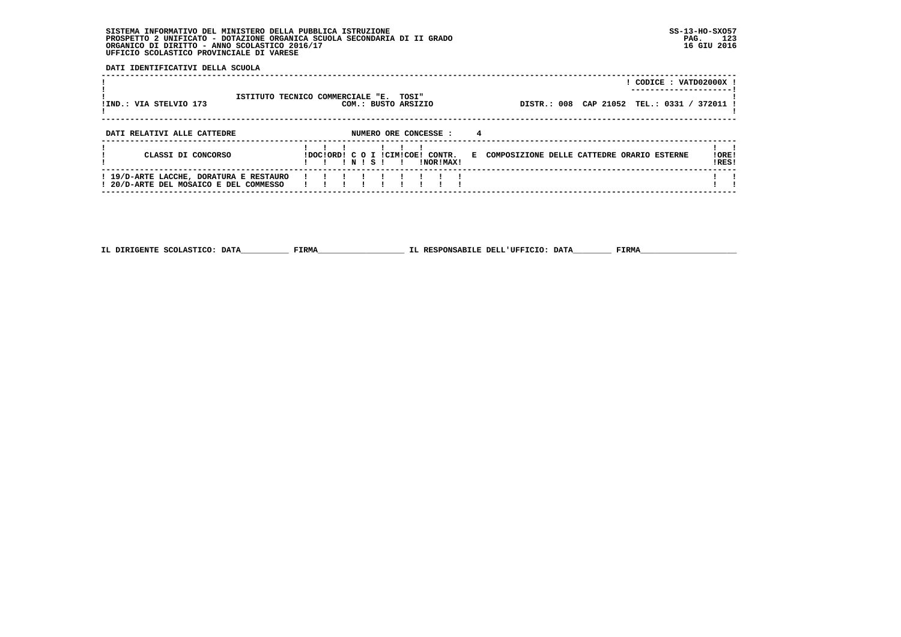**DATI IDENTIFICATIVI DELLA SCUOLA**

| !IND.: VIA STELVIO 173                                                            | ISTITUTO TECNICO COMMERCIALE "E. TOSI" |  | COM.: BUSTO ARSIZIO |                                               |    | CODICE: VATD02000X !<br>DISTR.: 008 CAP 21052<br>TEL.: 0331 / 372011 |                 |
|-----------------------------------------------------------------------------------|----------------------------------------|--|---------------------|-----------------------------------------------|----|----------------------------------------------------------------------|-----------------|
| DATI RELATIVI ALLE CATTEDRE                                                       |                                        |  |                     | NUMERO ORE CONCESSE :                         | 4  |                                                                      |                 |
| CLASSI DI CONCORSO                                                                |                                        |  |                     | IDOCIORDI C O I ICIMICOEI CONTR.<br>INORIMAXI | к. | COMPOSIZIONE DELLE CATTEDRE ORARIO ESTERNE                           | ! ORE!<br>IRES! |
| ! 19/D-ARTE LACCHE, DORATURA E RESTAURO<br>! 20/D-ARTE DEL MOSAICO E DEL COMMESSO |                                        |  |                     |                                               |    |                                                                      |                 |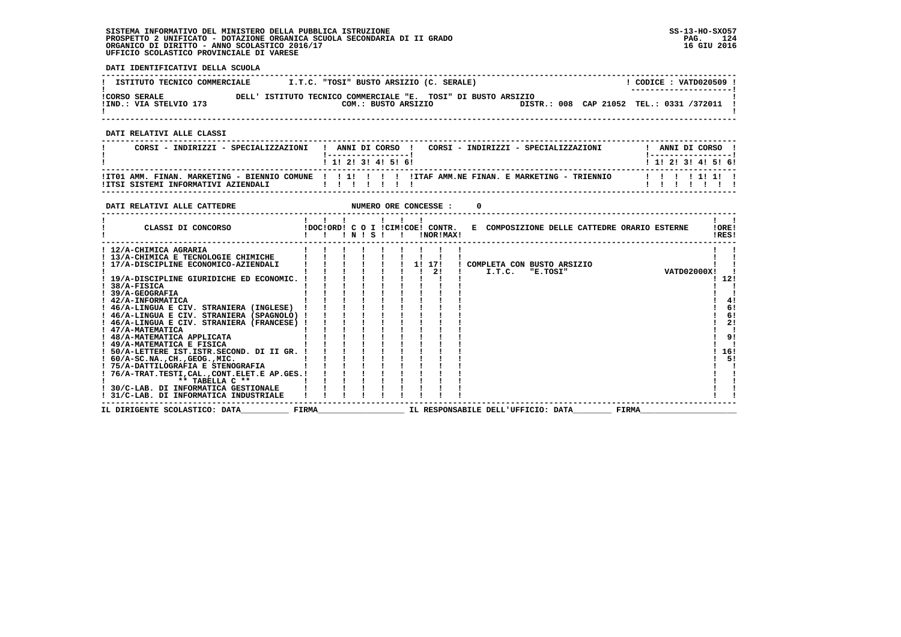**DATI IDENTIFICATIVI DELLA SCUOLA**

| ISTITUTO TECNICO COMMERCIALE                   | I.T.C. "TOSI" BUSTO ARSIZIO (C. SERALE)                                              |  | CODICE: VATD020509 !<br>--------------------- |
|------------------------------------------------|--------------------------------------------------------------------------------------|--|-----------------------------------------------|
| <b>!CORSO SERALE</b><br>IIND.: VIA STELVIO 173 | DELL' ISTITUTO TECNICO COMMERCIALE "E. TOSI" DI BUSTO ARSIZIO<br>COM.: BUSTO ARSIZIO |  | DISTR.: 008 CAP 21052 TEL.: 0331 /372011 !    |

 **------------------------------------------------------------------------------------------------------------------------------------**

 **DATI RELATIVI ALLE CLASSI**

| CORSI - INDIRIZZI - SPECIALIZZAZIONI | ANNI DI CORSO !<br>CORSI - INDIRIZZI - SPECIALIZZAZIONI<br>1 1 2 3 3 4 5 6 1                         | ANNI DI CORSO<br>1 1 1 2 1 3 1 4 1 5 1 6 1 |
|--------------------------------------|------------------------------------------------------------------------------------------------------|--------------------------------------------|
|                                      | ITTO1 AMM. FINAN. MARKETING - BIENNIO COMUNE !!!!!!!!!!!!!!!TAF AMM.NE FINAN. E MARKETING - TRIENNIO | 1111111                                    |

 **------------------------------------------------------------------------------------------------------------------------------------**

| DATI RELATIVI ALLE CATTEDRE                       |              |  |       |  |    | NUMERO ORE CONCESSE :                         |                                    |          |                                              |              |                    |                |
|---------------------------------------------------|--------------|--|-------|--|----|-----------------------------------------------|------------------------------------|----------|----------------------------------------------|--------------|--------------------|----------------|
| CLASSI DI CONCORSO                                |              |  | INISI |  |    | !DOC!ORD! C O I !CIM!COE! CONTR.<br>!NOR!MAX! |                                    |          | E COMPOSIZIONE DELLE CATTEDRE ORARIO ESTERNE |              |                    | !ORE!<br>!RES! |
| ! 12/A-CHIMICA AGRARIA                            |              |  |       |  |    |                                               |                                    |          |                                              |              |                    |                |
| ! 13/A-CHIMICA E TECNOLOGIE CHIMICHE              |              |  |       |  |    |                                               |                                    |          |                                              |              |                    |                |
| ! 17/A-DISCIPLINE ECONOMICO-AZIENDALI             |              |  |       |  | 11 | 171                                           | COMPLETA CON BUSTO ARSIZIO         |          |                                              |              |                    |                |
|                                                   |              |  |       |  |    | 21                                            | I.T.C.                             | "E.TOSI" |                                              |              | <b>VATD02000X!</b> |                |
| ! 19/A-DISCIPLINE GIURIDICHE ED ECONOMIC.         |              |  |       |  |    |                                               |                                    |          |                                              |              |                    | 12!            |
| 38/A-FISICA                                       |              |  |       |  |    |                                               |                                    |          |                                              |              |                    |                |
| 39/A-GEOGRAFIA                                    |              |  |       |  |    |                                               |                                    |          |                                              |              |                    |                |
| ! 42/A-INFORMATICA                                |              |  |       |  |    |                                               |                                    |          |                                              |              |                    | 4!             |
| ! 46/A-LINGUA E CIV. STRANIERA (INGLESE)          |              |  |       |  |    |                                               |                                    |          |                                              |              |                    | 6!             |
| ! 46/A-LINGUA E CIV. STRANIERA (SPAGNOLO)         |              |  |       |  |    |                                               |                                    |          |                                              |              |                    | 6!             |
| ! 46/A-LINGUA E CIV. STRANIERA (FRANCESE)         |              |  |       |  |    |                                               |                                    |          |                                              |              |                    | 2!             |
| ! 47/A-MATEMATICA                                 |              |  |       |  |    |                                               |                                    |          |                                              |              |                    |                |
| ! 48/A-MATEMATICA APPLICATA                       |              |  |       |  |    |                                               |                                    |          |                                              |              |                    | 9!             |
| ! 49/A-MATEMATICA E FISICA                        |              |  |       |  |    |                                               |                                    |          |                                              |              |                    |                |
| ! 50/A-LETTERE IST.ISTR.SECOND. DI II GR.         |              |  |       |  |    |                                               |                                    |          |                                              |              |                    | 16!            |
| $: 60/A-SC.NA.$ , $CH.$ , $GEOG.$ , $MIC.$        |              |  |       |  |    |                                               |                                    |          |                                              |              |                    | 51             |
| ! 75/A-DATTILOGRAFIA E STENOGRAFIA                |              |  |       |  |    |                                               |                                    |          |                                              |              |                    |                |
| ! 76/A-TRAT.TESTI, CAL., CONT. ELET. E AP. GES. ! |              |  |       |  |    |                                               |                                    |          |                                              |              |                    |                |
| $***$ TABELLA $C***$                              |              |  |       |  |    |                                               |                                    |          |                                              |              |                    |                |
| 30/C-LAB. DI INFORMATICA GESTIONALE               |              |  |       |  |    |                                               |                                    |          |                                              |              |                    |                |
| ! 31/C-LAB. DI INFORMATICA INDUSTRIALE            |              |  |       |  |    |                                               |                                    |          |                                              |              |                    |                |
| IL DIRIGENTE SCOLASTICO: DATA                     | <b>FIRMA</b> |  |       |  |    |                                               | IL RESPONSABILE DELL'UFFICIO: DATA |          |                                              | <b>FIRMA</b> |                    |                |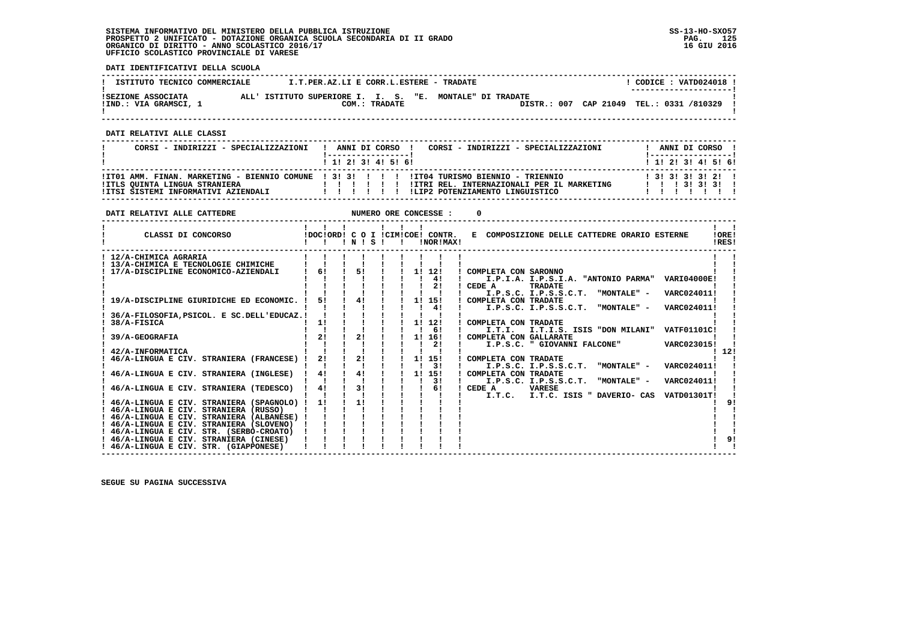**DATI IDENTIFICATIVI DELLA SCUOLA**

| ISTITUTO TECNICO COMMERCIALE                | I.T.PER.AZ.LI E CORR.L.ESTERE - TRADATE                  |               |  |                                          |  | CODICE: VATD024018 !<br>---------------------- |  |
|---------------------------------------------|----------------------------------------------------------|---------------|--|------------------------------------------|--|------------------------------------------------|--|
| ISEZIONE ASSOCIATA<br>!IND.: VIA GRAMSCI, 1 | ALL' ISTITUTO SUPERIORE I. I. S. "E. MONTALE" DI TRADATE | COM.: TRADATE |  | DISTR.: 007 CAP 21049 TEL.: 0331 /810329 |  |                                                |  |

 **------------------------------------------------------------------------------------------------------------------------------------**

 **DATI RELATIVI ALLE CLASSI**

| CORSI - INDIRIZZI - SPECIALIZZAZIONI                                 | CORSI - INDIRIZZI - SPECIALIZZAZIONI<br>ANNI DI CORSO 1                                                                                                                                              | ANNI DI CORSO !<br>! ------------------                                           |
|----------------------------------------------------------------------|------------------------------------------------------------------------------------------------------------------------------------------------------------------------------------------------------|-----------------------------------------------------------------------------------|
|                                                                      | 1 1 2 3 3 4 5 6 1                                                                                                                                                                                    | 1 1 1 2 1 3 1 4 1 5 1 6 1                                                         |
| !ITLS QUINTA LINGUA STRANIERA<br>IITSI SISTEMI INFORMATIVI AZIENDALI | ITT01 AMM, FINAN, MARKETING - BIENNIO COMUNE   3! 3! ! ! !! !IT04 TURISMO BIENNIO - TRIENNIO<br>!ITRI REL. INTERNAZIONALI PER IL MARKETING<br>.<br>!LIP2 POTENZIAMENTO LINGUISTICO<br>$\blacksquare$ | 1 3 1 3 1 3 1 3 1 2 1 1<br>$1 \quad 1 \quad 1 \quad 31 \quad 31 \quad 31 \quad 1$ |

| $\mathbf{1}$ $\mathbf{1}$ $\mathbf{1}$<br>CLASSI DI CONCORSO<br>!DOC!ORD! C O I !CIM!COE! CONTR. E COMPOSIZIONE DELLE CATTEDRE ORARIO ESTERNE<br>!ORE!<br>!NOR!MAX!<br>!RES!<br>$\mathbf{I}$<br>! 12/A-CHIMICA AGRARIA<br>! 13/A-CHIMICA E TECNOLOGIE CHIMICHE<br>51<br>61<br>1! 12!<br>17/A-DISCIPLINE ECONOMICO-AZIENDALI<br>! COMPLETA CON SARONNO<br>4!<br>I.P.I.A. I.P.S.I.A. "ANTONIO PARMA" VARI04000E!<br>2!<br>CEDE A<br><b>TRADATE</b><br>I.P.S.C. I.P.S.S.C.T. "MONTALE" -<br>VARC024011!<br>41<br>51<br>1! 15!<br>19/A-DISCIPLINE GIURIDICHE ED ECONOMIC.<br>! COMPLETA CON TRADATE<br>I.P.S.C. I.P.S.S.C.T. "MONTALE" -<br>41<br>VARC024011! |
|-----------------------------------------------------------------------------------------------------------------------------------------------------------------------------------------------------------------------------------------------------------------------------------------------------------------------------------------------------------------------------------------------------------------------------------------------------------------------------------------------------------------------------------------------------------------------------------------------------------------------------------------------------------|
|                                                                                                                                                                                                                                                                                                                                                                                                                                                                                                                                                                                                                                                           |
|                                                                                                                                                                                                                                                                                                                                                                                                                                                                                                                                                                                                                                                           |
|                                                                                                                                                                                                                                                                                                                                                                                                                                                                                                                                                                                                                                                           |
|                                                                                                                                                                                                                                                                                                                                                                                                                                                                                                                                                                                                                                                           |
|                                                                                                                                                                                                                                                                                                                                                                                                                                                                                                                                                                                                                                                           |
|                                                                                                                                                                                                                                                                                                                                                                                                                                                                                                                                                                                                                                                           |
|                                                                                                                                                                                                                                                                                                                                                                                                                                                                                                                                                                                                                                                           |
|                                                                                                                                                                                                                                                                                                                                                                                                                                                                                                                                                                                                                                                           |
|                                                                                                                                                                                                                                                                                                                                                                                                                                                                                                                                                                                                                                                           |
| 36/A-FILOSOFIA, PSICOL. E SC.DELL'EDUCAZ.!                                                                                                                                                                                                                                                                                                                                                                                                                                                                                                                                                                                                                |
| 38/A-FISICA<br>1!<br>11<br>12!<br>! COMPLETA CON TRADATE                                                                                                                                                                                                                                                                                                                                                                                                                                                                                                                                                                                                  |
| 61<br>I.T.I.S. ISIS "DON MILANI" VATF01101C!<br>I.T.I.                                                                                                                                                                                                                                                                                                                                                                                                                                                                                                                                                                                                    |
| 21<br>21<br>11<br>16!<br>! COMPLETA CON GALLARATE<br>39/A-GEOGRAFIA                                                                                                                                                                                                                                                                                                                                                                                                                                                                                                                                                                                       |
| 21<br>I.P.S.C. " GIOVANNI FALCONE"<br>VARC023015!                                                                                                                                                                                                                                                                                                                                                                                                                                                                                                                                                                                                         |
| -12!<br>42/A-INFORMATICA<br>21                                                                                                                                                                                                                                                                                                                                                                                                                                                                                                                                                                                                                            |
| 46/A-LINGUA E CIV. STRANIERA (FRANCESE) !<br>21<br>1! 15!<br>! COMPLETA CON TRADATE<br>3!<br>I.P.S.C. I.P.S.S.C.T.                                                                                                                                                                                                                                                                                                                                                                                                                                                                                                                                        |
| "MONTALE" -<br>VARC024011!<br>4!<br>4!<br>1! 15!<br>! COMPLETA CON TRADATE                                                                                                                                                                                                                                                                                                                                                                                                                                                                                                                                                                                |
| 46/A-LINGUA E CIV. STRANIERA (INGLESE)<br>3 I<br>I.P.S.C. I.P.S.S.C.T. "MONTALE" -<br>VARC024011!                                                                                                                                                                                                                                                                                                                                                                                                                                                                                                                                                         |
| 4!<br>31<br>46/A-LINGUA E CIV. STRANIERA (TEDESCO)<br>61<br>CEDE A<br><b>VARESE</b>                                                                                                                                                                                                                                                                                                                                                                                                                                                                                                                                                                       |
| I.T.C. I.T.C. ISIS " DAVERIO- CAS<br><b>VATD01301T!</b>                                                                                                                                                                                                                                                                                                                                                                                                                                                                                                                                                                                                   |
| 46/A-LINGUA E CIV. STRANIERA (SPAGNOLO) !<br>11<br>11                                                                                                                                                                                                                                                                                                                                                                                                                                                                                                                                                                                                     |
| ! 46/A-LINGUA E CIV. STRANIERA (RUSSO)                                                                                                                                                                                                                                                                                                                                                                                                                                                                                                                                                                                                                    |
| ! 46/A-LINGUA E CIV. STRANIERA (ALBANESE) !                                                                                                                                                                                                                                                                                                                                                                                                                                                                                                                                                                                                               |
| ! 46/A-LINGUA E CIV. STRANIERA (SLOVENO)                                                                                                                                                                                                                                                                                                                                                                                                                                                                                                                                                                                                                  |
| ! 46/A-LINGUA E CIV. STR. (SERBO-CROATO)                                                                                                                                                                                                                                                                                                                                                                                                                                                                                                                                                                                                                  |
| 9!<br>! 46/A-LINGUA E CIV. STRANIERA (CINESE)                                                                                                                                                                                                                                                                                                                                                                                                                                                                                                                                                                                                             |
| ! 46/A-LINGUA E CIV. STR. (GIAPPONESE)                                                                                                                                                                                                                                                                                                                                                                                                                                                                                                                                                                                                                    |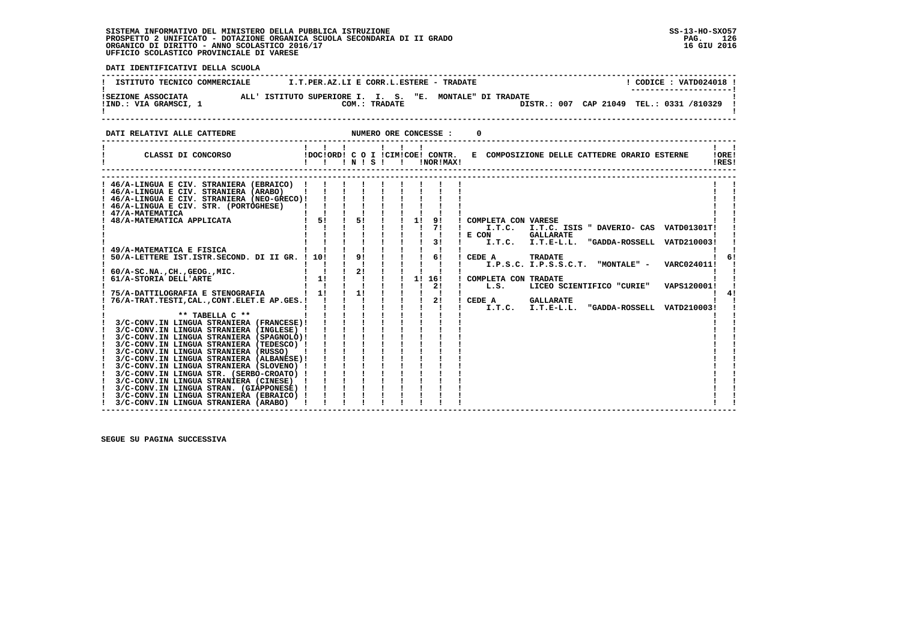**DATI IDENTIFICATIVI DELLA SCUOLA ------------------------------------------------------------------------------------------------------------------------------------**! CODICE : VATD024018 ! **! ISTITUTO TECNICO COMMERCIALE**  $I.T.PER.AZ.LI E CORR.L.ESTERE - TRADATE$  **! ---------------------! !SEZIONE ASSOCIATA ALL' ISTITUTO SUPERIORE I. I. S. "E. MONTALE" DI TRADATE ! !IND.: VIA GRAMSCI, 1 COM.: TRADATE DISTR.: 007 CAP 21049 TEL.: 0331 /810329 !**DISTR.: 007 CAP 21049 TEL.: 0331 /810329 1 - 1  **! ! ------------------------------------------------------------------------------------------------------------------------------------DATI RELATIVI ALLE CATTEDRE NUMERO ORE CONCESSE : 0 ------------------------------------------------------------------------------------------------------------------------------------** $\mathbf{I}$   $\mathbf{I}$  **! ! ! ! ! ! ! ! ! ! CLASSI DI CONCORSO !DOC!ORD! C O I !CIM!COE! CONTR. E COMPOSIZIONE DELLE CATTEDRE ORARIO ESTERNE !ORE! ! ! ! ! N ! S ! ! !NOR!MAX! !RES!IORE!** IRESI  **------------------------------------------------------------------------------------------------------------------------------------ ------------------------------------------------------------------------------------------------------------------------------------ ! 46/A-LINGUA E CIV. STRANIERA (EBRAICO) ! ! ! ! ! ! ! ! ! ! !** $\sim$  1  $\blacksquare$  **! 46/A-LINGUA E CIV. STRANIERA (ARABO) ! ! ! ! ! ! ! ! ! ! ! ! 46/A-LINGUA E CIV. STRANIERA (NEO-GRECO)! ! ! ! ! ! ! ! ! ! !** $\mathbf{I}$   **! 47/A-MATEMATICA ! ! ! ! ! ! ! ! ! ! ! ! 48/A-MATEMATICA APPLICATA ! 5! ! 5! ! ! 1! 9! ! COMPLETA CON VARESE ! ! ! ! ! ! ! ! ! ! 7! ! I.T.C. I.T.C. ISIS " DAVERIO- CAS VATD01301T! ! ! 46/A-LINGUA E CIV. STR. (PORTOGHESE) ! ! ! ! ! ! ! ! ! ! ! ! ! ! ! ! ! ! ! ! ! E CON GALLARATE ! ! ! ! ! ! ! ! ! ! 3! ! I.T.C. I.T.E-L.L. "GADDA-ROSSELL VATD210003! ! ! 49/A-MATEMATICA E FISICA ! ! ! ! ! ! ! ! ! ! !** $\sqrt{1}$  61  **! 50/A-LETTERE IST.ISTR.SECOND. DI II GR. ! 10! ! 9! ! ! ! 6! ! CEDE A TRADATE ! 6! ! ! ! ! ! ! ! ! ! ! I.P.S.C. I.P.S.S.C.T. "MONTALE" - VARC024011! ! ! 60/A-SC.NA.,CH.,GEOG.,MIC. ! ! ! 2! ! ! ! ! ! ! ! ! 61/A-STORIA DELL'ARTE ! 1! ! ! ! ! 1! 16! ! COMPLETA CON TRADATE ! ! ! ! ! ! ! ! ! ! 2! ! L.S. LICEO SCIENTIFICO "CURIE" VAPS120001! ! ! 75/A-DATTILOGRAFIA E STENOGRAFIA ! 1! ! 1! ! ! ! ! ! ! 4! ! 76/A-TRAT.TESTI,CAL.,CONT.ELET.E AP.GES.! ! ! ! ! ! ! 2! ! CEDE A GALLARATE ! ! ! ! ! ! ! ! ! ! ! ! I.T.C. I.T.E-L.L. "GADDA-ROSSELL VATD210003! ! ! \*\* TABELLA C \*\* ! ! ! ! ! ! ! ! ! ! ! ! 3/C-CONV.IN LINGUA STRANIERA (FRANCESE)! ! ! ! ! ! ! ! ! ! ! ! 3/C-CONV.IN LINGUA STRANIERA (INGLESE) ! ! ! ! ! ! ! ! ! ! ! ! 3/C-CONV.IN LINGUA STRANIERA (SPAGNOLO)! ! ! ! ! ! ! ! ! ! !** $\blacksquare$  $\frac{1}{2}$  41  **! 3/C-CONV.IN LINGUA STRANIERA (TEDESCO) ! ! ! ! ! ! ! ! ! ! ! ! 3/C-CONV.IN LINGUA STRANIERA (RUSSO) ! ! ! ! ! ! ! ! ! ! ! ! 3/C-CONV.IN LINGUA STRANIERA (ALBANESE)! ! ! ! ! ! ! ! ! ! ! ! 3/C-CONV.IN LINGUA STRANIERA (SLOVENO) ! ! ! ! ! ! ! ! ! ! ! ! 3/C-CONV.IN LINGUA STR. (SERBO-CROATO) ! ! ! ! ! ! ! ! ! ! ! ! 3/C-CONV.IN LINGUA STRANIERA (CINESE) ! ! ! ! ! ! ! ! ! ! ! ! 3/C-CONV.IN LINGUA STRAN. (GIAPPONESE) ! ! ! ! ! ! ! ! ! ! !** $\mathbf{I}$  **! 3/C-CONV.IN LINGUA STRANIERA (EBRAICO) ! ! ! ! ! ! ! ! ! ! ! ! 3/C-CONV.IN LINGUA STRANIERA (ARABO) ! ! ! ! ! ! ! ! ! ! !**- 1  **------------------------------------------------------------------------------------------------------------------------------------**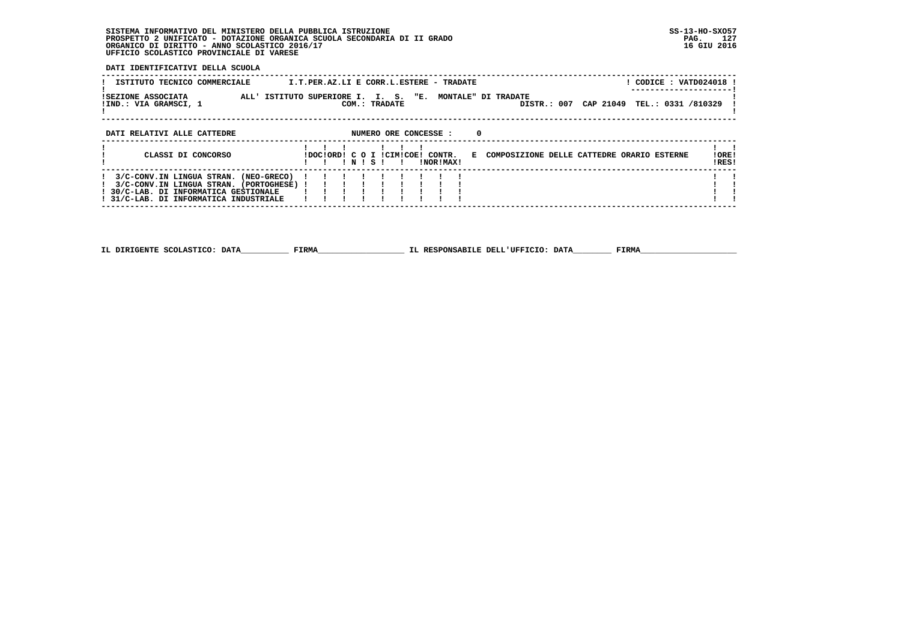**DATI IDENTIFICATIVI DELLA SCUOLA**

| ISTITUTO TECNICO COMMERCIALE                                                                                               | ! CODICE : VATD024018 !<br>I.T.PER.AZ.LI E CORR.L.ESTERE - TRADATE                                                     |                 |
|----------------------------------------------------------------------------------------------------------------------------|------------------------------------------------------------------------------------------------------------------------|-----------------|
| ISEZIONE ASSOCIATA<br>!IND.: VIA GRAMSCI, 1                                                                                | ALL' ISTITUTO SUPERIORE I. I. S. "E. MONTALE" DI TRADATE<br>DISTR.: 007 CAP 21049 TEL.: 0331 /810329<br>COM.: TRADATE  |                 |
| DATI RELATIVI ALLE CATTEDRE                                                                                                | $\Omega$<br>NUMERO ORE CONCESSE :                                                                                      |                 |
| CLASSI DI CONCORSO                                                                                                         | IDOCIORDI C O I ICIMICOEI CONTR.<br>E COMPOSIZIONE DELLE CATTEDRE ORARIO ESTERNE<br>INISI<br>INORIMAXI<br>$\mathbf{r}$ | ! ORE!<br>!RES! |
| 3/C-CONV.IN LINGUA STRAN. (NEO-GRECO)<br>3/C-CONV.IN LINGUA STRAN. (PORTOGHESE) !<br>! 30/C-LAB. DI INFORMATICA GESTIONALE |                                                                                                                        |                 |
| 31/C-LAB. DI INFORMATICA INDUSTRIALE                                                                                       |                                                                                                                        |                 |

 **------------------------------------------------------------------------------------------------------------------------------------**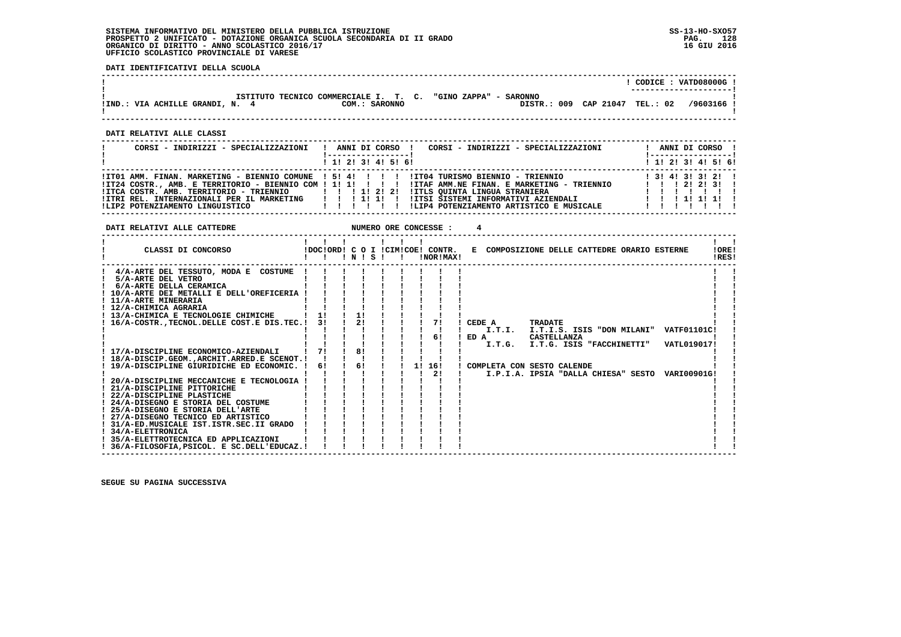**DATI IDENTIFICATIVI DELLA SCUOLA**

|                               |                                                                               |  |             |                    | CODICE: VATD08000G!<br>---------------------- |
|-------------------------------|-------------------------------------------------------------------------------|--|-------------|--------------------|-----------------------------------------------|
| !IND.: VIA ACHILLE GRANDI, N. | ISTITUTO TECNICO COMMERCIALE I. T. C. "GINO ZAPPA" - SARONNO<br>COM.: SARONNO |  | DISTR.: 009 | CAP 21047 TEL.: 02 | /9603166 !                                    |
|                               |                                                                               |  |             |                    |                                               |

 **------------------------------------------------------------------------------------------------------------------------------------**

 **DATI RELATIVI ALLE CLASSI**

| CORSI - INDIRIZZI - SPECIALIZZAZIONI                                                                                                                      | CORSI - INDIRIZZI - SPECIALIZZAZIONI<br>ANNI DI CORSO !<br>: ------------------ <u>!</u>                                                                                                                                                                                                                                             | ANNI DI CORSO !<br>!-----------------                                                       |
|-----------------------------------------------------------------------------------------------------------------------------------------------------------|--------------------------------------------------------------------------------------------------------------------------------------------------------------------------------------------------------------------------------------------------------------------------------------------------------------------------------------|---------------------------------------------------------------------------------------------|
|                                                                                                                                                           | $1$ , 1! 2! 3! 4! 5! 6!                                                                                                                                                                                                                                                                                                              | ! 1! 2! 3! 4! 5! 6!                                                                         |
| $IITCA COSTR. AMB. TERRITORIO - TRIENNIO$ $I I I 2 I 2 I$<br>! ITRI REL. INTERNAZIONALI PER IL MARKETING   ! ! 1! 1! !<br>!LIP2 POTENZIAMENTO LINGUISTICO | ITO1 AMM. FINAN. MARKETING - BIENNIO COMUNE ! 5! 4! ! ! ! ! ITO4 TURISMO BIENNIO - TRIENNIO<br>IT24 COSTR., AMB. E TERRITORIO - BIENNIO COM ! 1! 1! ! ! ! ! !ITAF AMM.NE FINAN. E MARKETING - TRIENNIO<br>!ITLS QUINTA LINGUA STRANIERA<br>!ITSI SISTEMI INFORMATIVI AZIENDALI<br>!LIP4 POTENZIAMENTO ARTISTICO E MUSICALE<br>111111 | 1 3 1 4 1 3 1 3 1 2 1<br>$1 \quad 1 \quad 1 \quad 21 \quad 21 \quad 31 \quad 1$<br>11111111 |

 **DATI RELATIVI ALLE CATTEDRE NUMERO ORE CONCESSE : 4**

| CLASSI DI CONCORSO                                               |    |    | INISI |  |    | !NOR!MAX! | !DOC!ORD! C O I !CIM!COE! CONTR. E COMPOSIZIONE DELLE CATTEDRE ORARIO ESTERNE |                |                                  |                                                 | !ORE!<br>!RES! |  |
|------------------------------------------------------------------|----|----|-------|--|----|-----------|-------------------------------------------------------------------------------|----------------|----------------------------------|-------------------------------------------------|----------------|--|
| 4/A-ARTE DEL TESSUTO, MODA E COSTUME                             |    |    |       |  |    |           |                                                                               |                |                                  |                                                 |                |  |
| 5/A-ARTE DEL VETRO                                               |    |    |       |  |    |           |                                                                               |                |                                  |                                                 |                |  |
| 6/A-ARTE DELLA CERAMICA                                          |    |    |       |  |    |           |                                                                               |                |                                  |                                                 |                |  |
| ! 10/A-ARTE DEI METALLI E DELL'OREFICERIA !                      |    |    |       |  |    |           |                                                                               |                |                                  |                                                 |                |  |
| ! 11/A-ARTE MINERARIA                                            |    |    |       |  |    |           |                                                                               |                |                                  |                                                 |                |  |
| ! 12/A-CHIMICA AGRARIA                                           |    |    |       |  |    |           |                                                                               |                |                                  |                                                 |                |  |
| ! 13/A-CHIMICA E TECNOLOGIE CHIMICHE                             |    |    | 1!    |  |    |           |                                                                               |                |                                  |                                                 |                |  |
| ! 16/A-COSTR., TECNOL. DELLE COST. E DIS. TEC. !                 | 3! |    | 21    |  |    | 71        | CEDE A                                                                        | <b>TRADATE</b> |                                  |                                                 |                |  |
|                                                                  |    |    |       |  |    |           | I.T.I.                                                                        |                |                                  | I.T.I.S. ISIS "DON MILANI" VATF01101C!          |                |  |
|                                                                  |    |    |       |  |    | 6!        | ED A                                                                          | CASTELLANZA    |                                  |                                                 |                |  |
|                                                                  |    |    |       |  |    |           |                                                                               |                | I.T.G. I.T.G. ISIS "FACCHINETTI" | <b>VATL019017!</b>                              |                |  |
| ! 17/A-DISCIPLINE ECONOMICO-AZIENDALI                            | 71 | 81 |       |  |    |           |                                                                               |                |                                  |                                                 |                |  |
| ! 18/A-DISCIP.GEOM. ARCHIT.ARRED.E SCENOT.!                      |    |    |       |  |    |           |                                                                               |                |                                  |                                                 |                |  |
| 19/A-DISCIPLINE GIURIDICHE ED ECONOMIC. !                        | 61 |    | 6!    |  | 11 | 16!       | ! COMPLETA CON SESTO CALENDE                                                  |                |                                  |                                                 |                |  |
|                                                                  |    |    |       |  |    | 2!        |                                                                               |                |                                  | I.P.I.A. IPSIA "DALLA CHIESA" SESTO VARI00901G! |                |  |
| 20/A-DISCIPLINE MECCANICHE E TECNOLOGIA                          |    |    |       |  |    |           |                                                                               |                |                                  |                                                 |                |  |
| ! 21/A-DISCIPLINE PITTORICHE                                     |    |    |       |  |    |           |                                                                               |                |                                  |                                                 |                |  |
| 22/A-DISCIPLINE PLASTICHE<br>! 24/A-DISEGNO E STORIA DEL COSTUME |    |    |       |  |    |           |                                                                               |                |                                  |                                                 |                |  |
| ! 25/A-DISEGNO E STORIA DELL'ARTE                                |    |    |       |  |    |           |                                                                               |                |                                  |                                                 |                |  |
| ! 27/A-DISEGNO TECNICO ED ARTISTICO                              |    |    |       |  |    |           |                                                                               |                |                                  |                                                 |                |  |
| ! 31/A-ED.MUSICALE IST.ISTR.SEC.II GRADO                         |    |    |       |  |    |           |                                                                               |                |                                  |                                                 |                |  |
| ! 34/A-ELETTRONICA                                               |    |    |       |  |    |           |                                                                               |                |                                  |                                                 |                |  |
| ! 35/A-ELETTROTECNICA ED APPLICAZIONI                            |    |    |       |  |    |           |                                                                               |                |                                  |                                                 |                |  |
| ! 36/A-FILOSOFIA, PSICOL. E SC.DELL'EDUCAZ. !                    |    |    |       |  |    |           |                                                                               |                |                                  |                                                 |                |  |
|                                                                  |    |    |       |  |    |           |                                                                               |                |                                  |                                                 |                |  |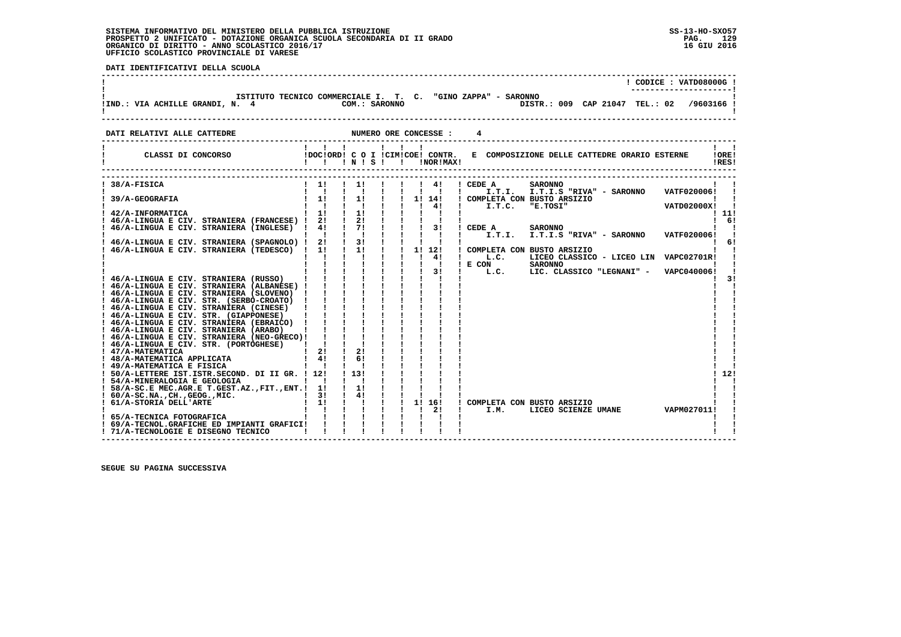:<br>ا

 **DATI IDENTIFICATIVI DELLA SCUOLA**

| !IND.: VIA ACHILLE GRANDI, N. 4 | ISTITUTO TECNICO COMMERCIALE I. T. C. "GINO ZAPPA" - SARONNO<br>COM.: SARONNO |                       | DISTR.: 009 CAP 21047 TEL.: 02 /9603166 ! | CODICE: VATD08000G! |  |
|---------------------------------|-------------------------------------------------------------------------------|-----------------------|-------------------------------------------|---------------------|--|
| DATI RELATIVI ALLE CATTEDRE     |                                                                               | NUMERO ORE CONCESSE : |                                           |                     |  |

| CLASSI DI CONCORSO                                        | !DOC!ORD! C<br>Ι. | $'$ N $'$ S $'$ | O I !CIM!COE! CONTR. |           | !NOR!MAX! |                  | E COMPOSIZIONE DELLE CATTEDRE ORARIO ESTERNE |                    | !ORE!<br>IRES! |
|-----------------------------------------------------------|-------------------|-----------------|----------------------|-----------|-----------|------------------|----------------------------------------------|--------------------|----------------|
| 38/A-FISICA                                               | 11                | 11              |                      | 4!        |           | ! CEDE A         | <b>SARONNO</b>                               |                    |                |
|                                                           | $\mathbf{I}$      |                 |                      |           |           | I.T.I.           | I.T.I.S "RIVA" - SARONNO                     | VATF020006!        |                |
| 39/A-GEOGRAFIA                                            | 1!                | 1!              |                      | 11<br>14! |           |                  | COMPLETA CON BUSTO ARSIZIO                   |                    |                |
|                                                           |                   |                 |                      | 41        |           | I.T.C.           | "E.TOSI"                                     | <b>VATD02000X!</b> |                |
| 42/A-INFORMATICA                                          | 11<br>2!          | 1!<br>21        |                      |           |           |                  |                                              |                    | ! 11!<br>6!    |
| 46/A-LINGUA E CIV. STRANIERA (FRANCESE) !                 | 41                | 71              |                      | 31        |           |                  |                                              |                    |                |
| 46/A-LINGUA E CIV. STRANIERA (INGLESE)                    |                   |                 |                      |           |           | CEDE A<br>I.T.I. | <b>SARONNO</b>                               | VATF020006!        |                |
| 46/A-LINGUA E CIV. STRANIERA (SPAGNOLO) !                 | 21                | 3 <sub>1</sub>  |                      |           |           |                  | I.T.I.S "RIVA" - SARONNO                     |                    | 61             |
| 46/A-LINGUA E CIV. STRANIERA (TEDESCO)                    | 11                | 1!              | 1!                   | 12!       |           |                  | COMPLETA CON BUSTO ARSIZIO                   |                    |                |
|                                                           |                   |                 |                      | 4!        |           | L.C.             | LICEO CLASSICO - LICEO LIN                   | <b>VAPC02701R!</b> |                |
|                                                           |                   |                 |                      |           |           | E CON            | <b>SARONNO</b>                               |                    |                |
|                                                           |                   |                 |                      | 3!        |           | L.C.             | LIC. CLASSICO "LEGNANI" -                    | VAPC040006!        |                |
| 46/A-LINGUA E CIV. STRANIERA (RUSSO)                      |                   |                 |                      |           |           |                  |                                              |                    | 31             |
| ! 46/A-LINGUA E CIV. STRANIERA (ALBANESE) !               |                   |                 |                      |           |           |                  |                                              |                    |                |
| ! 46/A-LINGUA E CIV. STRANIERA (SLOVENO)                  |                   |                 |                      |           |           |                  |                                              |                    |                |
| ! 46/A-LINGUA E CIV. STR. (SERBO-CROATO)                  |                   |                 |                      |           |           |                  |                                              |                    |                |
| ! 46/A-LINGUA E CIV. STRANIERA (CINESE)                   |                   |                 |                      |           |           |                  |                                              |                    |                |
| ! 46/A-LINGUA E CIV. STR. (GIAPPONESE)                    |                   |                 |                      |           |           |                  |                                              |                    |                |
| ! 46/A-LINGUA E CIV. STRANIERA (EBRAICO)                  |                   |                 |                      |           |           |                  |                                              |                    |                |
| ! 46/A-LINGUA E CIV. STRANIERA (ARABO)                    |                   |                 |                      |           |           |                  |                                              |                    |                |
| ! 46/A-LINGUA E CIV. STRANIERA (NEO-GRECO)!               |                   |                 |                      |           |           |                  |                                              |                    |                |
| 46/A-LINGUA E CIV. STR. (PORTOGHESE)                      |                   |                 |                      |           |           |                  |                                              |                    |                |
| ! 47/A-MATEMATICA                                         | 2!                | 2!<br>6!        |                      |           |           |                  |                                              |                    |                |
| ! 48/A-MATEMATICA APPLICATA<br>! 49/A-MATEMATICA E FISICA | 41                |                 |                      |           |           |                  |                                              |                    |                |
| ! 50/A-LETTERE IST.ISTR.SECOND. DI II GR. !               | 12!               | 1, 131          |                      |           |           |                  |                                              |                    | 12!            |
| ! 54/A-MINERALOGIA E GEOLOGIA                             |                   |                 |                      |           |           |                  |                                              |                    |                |
| 58/A-SC.E MEC.AGR.E T.GEST.AZ., FIT., ENT.!               | 1!                | 1!              |                      |           |           |                  |                                              |                    |                |
| $: 60/A-SC.NA.$ , $CH.$ , $GEOG.$ , $MIC.$                | 3!                | 4!              |                      |           |           |                  |                                              |                    |                |
| ! 61/A-STORIA DELL'ARTE                                   | 1!                |                 | 11                   | 16!       |           |                  | COMPLETA CON BUSTO ARSIZIO                   |                    |                |
|                                                           |                   |                 |                      | 2!        |           | I.M.             | LICEO SCIENZE UMANE                          | VAPM027011!        |                |
| 65/A-TECNICA FOTOGRAFICA                                  |                   |                 |                      |           |           |                  |                                              |                    |                |
| 69/A-TECNOL.GRAFICHE ED IMPIANTI GRAFICI!                 |                   |                 |                      |           |           |                  |                                              |                    |                |
| ! 71/A-TECNOLOGIE E DISEGNO TECNICO                       |                   |                 |                      |           |           |                  |                                              |                    |                |

 **------------------------------------------------------------------------------------------------------------------------------------**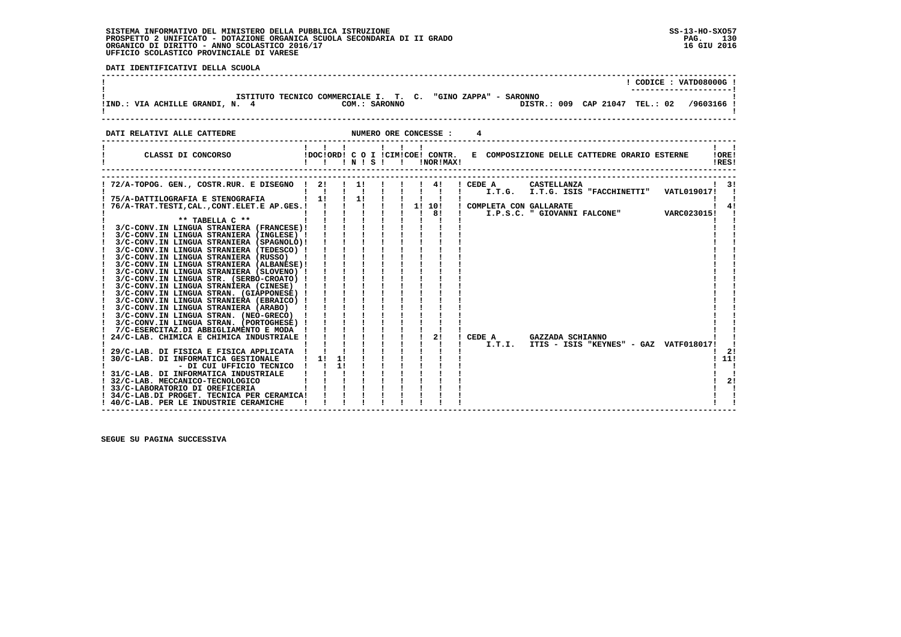PAG. 130 16 GIU 2016

 $\overline{\phantom{a}}$ 

 $\mathbf{I}$  $\blacksquare$  $\blacksquare$  $\mathbf{I}$  $\blacksquare$  $\mathbf{I}$   $\mathbf{I}$ 

 $\blacksquare$  $\blacksquare$  $\frac{1}{2}$  $111$  $1 - 1$  $\mathbf{I}$  $\overline{1}$  21  $1 \quad 1$  $\mathbf{I}$ 

 $\blacksquare$ 

|  | DATI IDENTIFICATIVI DELLA SCUOLA |  |  |
|--|----------------------------------|--|--|
|  |                                  |  |  |

|                                                                                                                                  |                    |  |                              |  |                                  | ! CODICE : VATD08000G !                  |                |
|----------------------------------------------------------------------------------------------------------------------------------|--------------------|--|------------------------------|--|----------------------------------|------------------------------------------|----------------|
| ISTITUTO TECNICO COMMERCIALE I. T. C. "GINO ZAPPA" - SARONNO                                                                     |                    |  |                              |  |                                  |                                          |                |
| DATI RELATIVI ALLE CATTEDRE <b>ALLE CONOUNT ASSESSE : 4</b>                                                                      |                    |  |                              |  |                                  |                                          |                |
| CLASSI DI CONCORSO (DOCIORDI C O I ICIMICOEI CONTR. E COMPOSIZIONE DELLE CATTEDRE ORARIO ESTERNE                                 | 111.11<br>!!!N!S!! |  | !NOR!MAX!                    |  |                                  |                                          | !ORE!<br>!RES! |
|                                                                                                                                  |                    |  |                              |  | I.T.G. I.T.G. ISIS "FACCHINETTI" | VATL019017!                              | - 31           |
|                                                                                                                                  |                    |  | $1 \quad 1 \quad 81 \quad 1$ |  |                                  | I.P.S.C. " GIOVANNI FALCONE" VARC023015! | 41             |
| $***$ TABELLA $C***$<br>$3/C$ -CONV.IN LINGUA STRANIERA (FRANCESE)! ! ! ! ! !<br>3/C-CONV.IN LINGUA STRANIERA (INGLESE) !        |                    |  |                              |  |                                  |                                          |                |
| 3/C-CONV.IN LINGUA STRANIERA (SPAGNOLO)!<br>3/C-CONV.IN LINGUA STRANIERA (TEDESCO) !<br>3/C-CONV.IN LINGUA STRANIERA (RUSSO) !   |                    |  |                              |  |                                  |                                          |                |
| 3/C-CONV.IN LINGUA STRANIERA (ALBANESE)!<br>3/C-CONV.IN LINGUA STRANIERA (SLOVENO) !<br>3/C-CONV.IN LINGUA STR. (SERBO-CROATO) ! |                    |  |                              |  |                                  |                                          |                |

 **! 3/C-CONV.IN LINGUA STRANIERA (CINESE) ! ! ! ! ! ! ! ! ! ! ! ! 3/C-CONV.IN LINGUA STRAN. (GIAPPONESE) ! ! ! ! ! ! ! ! ! ! ! ! 3/C-CONV.IN LINGUA STRANIERA (EBRAICO) ! ! ! ! ! ! ! ! ! ! ! ! 3/C-CONV.IN LINGUA STRANIERA (ARABO) ! ! ! ! ! ! ! ! ! ! ! ! 3/C-CONV.IN LINGUA STRAN. (NEO-GRECO) ! ! ! ! ! ! ! ! ! ! ! ! 3/C-CONV.IN LINGUA STRAN. (PORTOGHESE) ! ! ! ! ! ! ! ! ! ! !**

 **! 7/C-ESERCITAZ.DI ABBIGLIAMENTO E MODA ! ! ! ! ! ! ! ! ! ! ! ! 24/C-LAB. CHIMICA E CHIMICA INDUSTRIALE ! ! ! ! ! ! ! 2! ! CEDE A GAZZADA SCHIANNO ! ! ! ! ! ! ! ! ! ! ! ! I.T.I. ITIS - ISIS "KEYNES" - GAZ VATF018017! ! ! 29/C-LAB. DI FISICA E FISICA APPLICATA ! ! ! ! ! ! ! ! ! ! 2! ! 30/C-LAB. DI INFORMATICA GESTIONALE ! 1! 1! ! ! ! ! ! ! ! 11! ! - DI CUI UFFICIO TECNICO ! ! 1! ! ! ! ! ! ! ! ! ! 31/C-LAB. DI INFORMATICA INDUSTRIALE ! ! ! ! ! ! ! ! ! ! ! ! 32/C-LAB. MECCANICO-TECNOLOGICO ! ! ! ! ! ! ! ! ! ! 2! ! 33/C-LABORATORIO DI OREFICERIA ! ! ! ! ! ! ! ! ! ! !**

 **! 34/C-LAB.DI PROGET. TECNICA PER CERAMICA! ! ! ! ! ! ! ! ! ! ! ! 40/C-LAB. PER LE INDUSTRIE CERAMICHE ! ! ! ! ! ! ! ! ! ! !**

 **------------------------------------------------------------------------------------------------------------------------------------**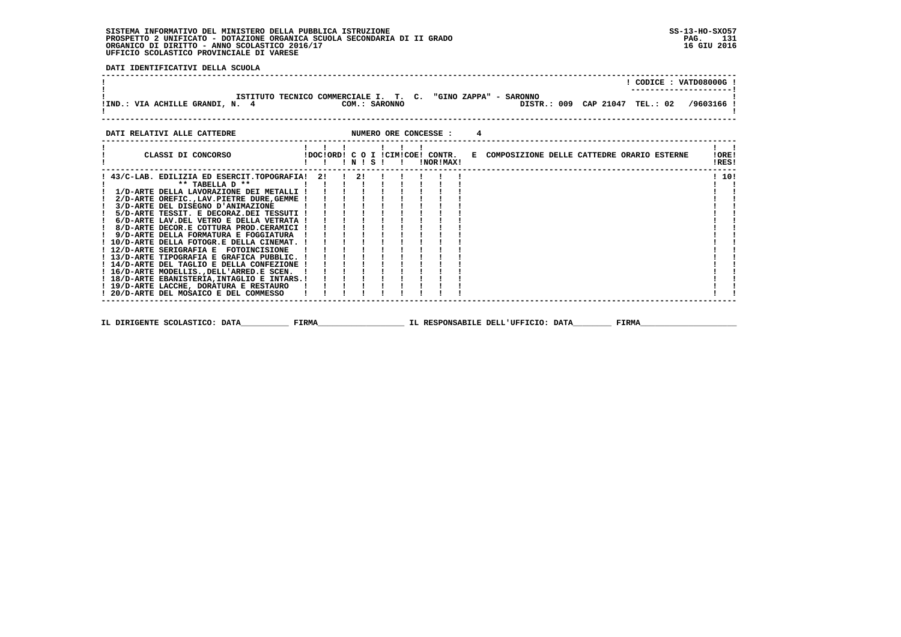$\blacksquare$  $\blacksquare$  $\mathbf{I}$  $\blacksquare$  $\overline{\phantom{a}}$  $\mathbf{I}$  $\blacksquare$  $\blacksquare$ i i

 **DATI IDENTIFICATIVI DELLA SCUOLA**

|                                                                                                                                                                                                                                                                                                                                    |         |  |       |               |                |                                               |                |                                              |  |  | CODICE: VATD08000G!                       |
|------------------------------------------------------------------------------------------------------------------------------------------------------------------------------------------------------------------------------------------------------------------------------------------------------------------------------------|---------|--|-------|---------------|----------------|-----------------------------------------------|----------------|----------------------------------------------|--|--|-------------------------------------------|
| ISTITUTO TECNICO COMMERCIALE I. T. C. "GINO ZAPPA" - SARONNO<br>IND.: VIA ACHILLE GRANDI, N. 4                                                                                                                                                                                                                                     |         |  |       | COM.: SARONNO |                |                                               |                |                                              |  |  | DISTR.: 009 CAP 21047 TEL.: 02 /9603166 ! |
| DATI RELATIVI ALLE CATTEDRE                                                                                                                                                                                                                                                                                                        |         |  |       |               |                | NUMERO ORE CONCESSE :                         | $\overline{4}$ |                                              |  |  |                                           |
| CLASSI DI CONCORSO                                                                                                                                                                                                                                                                                                                 |         |  | INISI |               | $\blacksquare$ | !DOC!ORD! C O I !CIM!COE! CONTR.<br>!NOR!MAX! |                | E COMPOSIZIONE DELLE CATTEDRE ORARIO ESTERNE |  |  | !ORE!<br>!RES!                            |
| ! 43/C-LAB. EDILIZIA ED ESERCIT.TOPOGRAFIA!<br>** TABELLA D **<br>1/D-ARTE DELLA LAVORAZIONE DEI METALLI !<br>2/D-ARTE OREFIC., LAV. PIETRE DURE, GEMME !<br>3/D-ARTE DEL DISEGNO D'ANIMAZIONE<br>5/D-ARTE TESSIT. E DECORAZ.DEI TESSUTI !<br>6/D-ARTE LAV.DEL VETRO E DELLA VETRATA !<br>8/D-ARTE DECOR E COTTURA PROD CERAMICI I | 2!! 2!! |  |       |               |                |                                               |                |                                              |  |  | 110!                                      |

 **! 8/D-ARTE DECOR.E COTTURA PROD.CERAMICI ! ! ! ! ! ! ! ! ! ! ! ! 9/D-ARTE DELLA FORMATURA E FOGGIATURA ! ! ! ! ! ! ! ! ! ! ! ! 10/D-ARTE DELLA FOTOGR.E DELLA CINEMAT. ! ! ! ! ! ! ! ! ! ! ! ! 12/D-ARTE SERIGRAFIA E FOTOINCISIONE ! ! ! ! ! ! ! ! ! ! ! ! 13/D-ARTE TIPOGRAFIA E GRAFICA PUBBLIC. ! ! ! ! ! ! ! ! ! ! ! ! 14/D-ARTE DEL TAGLIO E DELLA CONFEZIONE ! ! ! ! ! ! ! ! ! ! ! ! 16/D-ARTE MODELLIS.,DELL'ARRED.E SCEN. ! ! ! ! ! ! ! ! ! ! ! ! 18/D-ARTE EBANISTERIA,INTAGLIO E INTARS.! ! ! ! ! ! ! ! ! ! ! ! 19/D-ARTE LACCHE, DORATURA E RESTAURO ! ! ! ! ! ! ! ! ! ! ! ! 20/D-ARTE DEL MOSAICO E DEL COMMESSO ! ! ! ! ! ! ! ! ! ! ! ------------------------------------------------------------------------------------------------------------------------------------ IL DIRIGENTE SCOLASTICO: DATA\_\_\_\_\_\_\_\_\_\_ FIRMA\_\_\_\_\_\_\_\_\_\_\_\_\_\_\_\_\_\_ IL RESPONSABILE DELL'UFFICIO: DATA\_\_\_\_\_\_\_\_ FIRMA\_\_\_\_\_\_\_\_\_\_\_\_\_\_\_\_\_\_\_\_**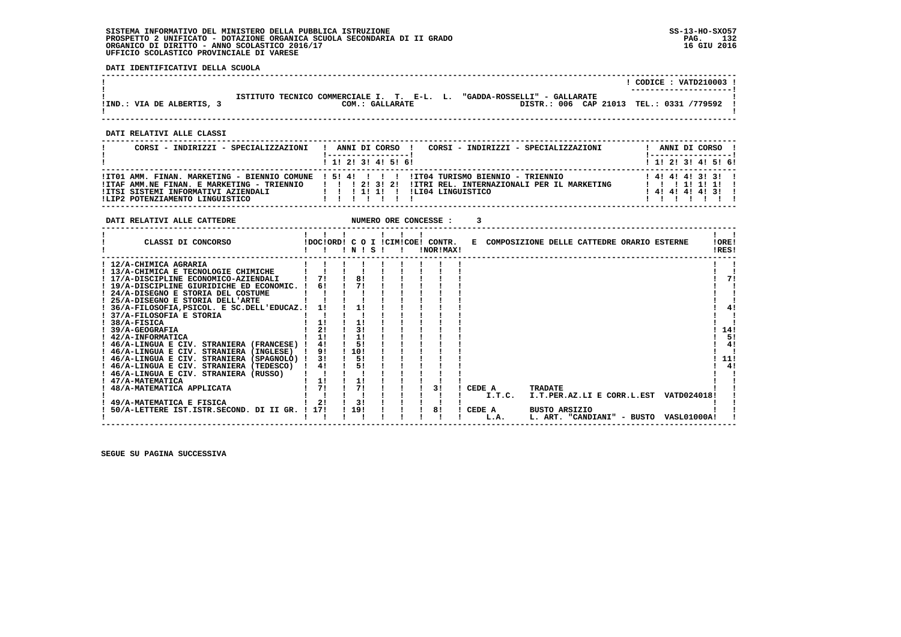**DATI IDENTIFICATIVI DELLA SCUOLA**

|                           |                                                               |                                                                          | CODICE: VATD210003 !<br>---------------------- |
|---------------------------|---------------------------------------------------------------|--------------------------------------------------------------------------|------------------------------------------------|
| !IND.: VIA DE ALBERTIS, 3 | ISTITUTO TECNICO COMMERCIALE I. T. E-L. L.<br>COM.: GALLARATE | "GADDA-ROSSELLI" - GALLARATE<br>DISTR.: 006 CAP 21013 TEL.: 0331 /779592 |                                                |
|                           |                                                               |                                                                          |                                                |

 **------------------------------------------------------------------------------------------------------------------------------------**

 **DATI RELATIVI ALLE CLASSI**

| CORSI - INDIRIZZI - SPECIALIZZAZIONI                                                                                 | CORSI - INDIRIZZI - SPECIALIZZAZIONI<br>ANNI DI CORSO !                                                                                                                                        | ANNI DI CORSO !                                                     |
|----------------------------------------------------------------------------------------------------------------------|------------------------------------------------------------------------------------------------------------------------------------------------------------------------------------------------|---------------------------------------------------------------------|
|                                                                                                                      | 1 1 1 2 1 3 1 4 1 5 1 6 1                                                                                                                                                                      | ! 1! 2! 3! 4! 5! 6!                                                 |
| !ITAF AMM.NE FINAN. E MARKETING - TRIENNIO<br>!ITSI SISTEMI INFORMATIVI AZIENDALI<br>!LIP2 POTENZIAMENTO LINGUISTICO | ITO1 AMM. FINAN. MARKETING - BIENNIO COMUNE ! 5! 4! ! ! ! ! ITO4 TURISMO BIENNIO - TRIENNIO<br>1 1 1 2 1 3 1 2 1<br>IITRI REL. INTERNAZIONALI PER IL MARKETING<br>ILI04 LINGUISTICO<br>1111111 | 1 4 1 4 1 4 1 3 1 3 1<br>1 1 1 1 1 1 1 1 1<br>1 4 1 4 1 4 1 4 1 3 1 |

| DATI RELATIVI ALLE CATTEDRE                     |                |                 | NUMERO ORE CONCESSE : |                                               |        |                                              |                      |                            |  |                                        |                |
|-------------------------------------------------|----------------|-----------------|-----------------------|-----------------------------------------------|--------|----------------------------------------------|----------------------|----------------------------|--|----------------------------------------|----------------|
| CLASSI DI CONCORSO                              |                | INISI           |                       | IDOCIORD! C O I ICIMICOE! CONTR.<br>!NOR!MAX! |        | E COMPOSIZIONE DELLE CATTEDRE ORARIO ESTERNE |                      |                            |  |                                        | !ORE!<br>!RES! |
| ! 12/A-CHIMICA AGRARIA                          |                |                 |                       |                                               |        |                                              |                      |                            |  |                                        |                |
| ! 13/A-CHIMICA E TECNOLOGIE CHIMICHE            |                |                 |                       |                                               |        |                                              |                      |                            |  |                                        |                |
| ! 17/A-DISCIPLINE ECONOMICO-AZIENDALI           | 71             | 81              |                       |                                               |        |                                              |                      |                            |  |                                        | 71             |
| ! 19/A-DISCIPLINE GIURIDICHE ED ECONOMIC. !     | 61             | 71              |                       |                                               |        |                                              |                      |                            |  |                                        |                |
| ! 24/A-DISEGNO E STORIA DEL COSTUME             |                |                 |                       |                                               |        |                                              |                      |                            |  |                                        |                |
| 25/A-DISEGNO E STORIA DELL'ARTE                 |                |                 |                       |                                               |        |                                              |                      |                            |  |                                        |                |
| ! 36/A-FILOSOFIA, PSICOL. E SC.DELL'EDUCAZ.!    | -11            | 1!              |                       |                                               |        |                                              |                      |                            |  |                                        |                |
| ! 37/A-FILOSOFIA E STORIA                       |                |                 |                       |                                               |        |                                              |                      |                            |  |                                        |                |
| $1.38/A-FISICA$                                 | 1!             | 1!              |                       |                                               |        |                                              |                      |                            |  |                                        |                |
| <b>39/A-GEOGRAFIA</b>                           | 2 <sub>1</sub> | 31              |                       |                                               |        |                                              |                      |                            |  |                                        | 14!            |
| ! 42/A-INFORMATICA                              | 11             | 11              |                       |                                               |        |                                              |                      |                            |  |                                        | 5!             |
| ! 46/A-LINGUA E CIV. STRANIERA (FRANCESE) !     | 4!             | 5!              |                       |                                               |        |                                              |                      |                            |  |                                        | 4!             |
| ! 46/A-LINGUA E CIV. STRANIERA (INGLESE)        | 91             | $\frac{1}{201}$ |                       |                                               |        |                                              |                      |                            |  |                                        |                |
| ! 46/A-LINGUA E CIV. STRANIERA (SPAGNOLO) !     | 3!             | 5!              |                       |                                               |        |                                              |                      |                            |  |                                        | 11!            |
| ! 46/A-LINGUA E CIV. STRANIERA (TEDESCO)        | 4!             | 5!              |                       |                                               |        |                                              |                      |                            |  |                                        | 4!             |
| ! 46/A-LINGUA E CIV. STRANIERA (RUSSO)          |                |                 |                       |                                               |        |                                              |                      |                            |  |                                        |                |
| ! 47/A-MATEMATICA                               | 1!             | 11              |                       |                                               |        |                                              |                      |                            |  |                                        |                |
| ! 48/A-MATEMATICA APPLICATA                     | 71             | 71              |                       | 31                                            | CEDE A |                                              | TRADATE              |                            |  |                                        |                |
|                                                 |                |                 |                       |                                               |        | I.T.C.                                       |                      |                            |  | I.T.PER.AZ.LI E CORR.L.EST VATD024018! |                |
| 49/A-MATEMATICA E FISICA                        | 2!             | 3!              |                       |                                               |        |                                              |                      |                            |  |                                        |                |
| 50/A-LETTERE IST. ISTR. SECOND. DI II GR. ! 17! |                | ! 19!           |                       | 81                                            | CEDE A |                                              | <b>BUSTO ARSIZIO</b> |                            |  |                                        |                |
|                                                 |                |                 |                       |                                               |        | L.A.                                         |                      | L. ART. "CANDIANI" - BUSTO |  | VASL01000A!                            |                |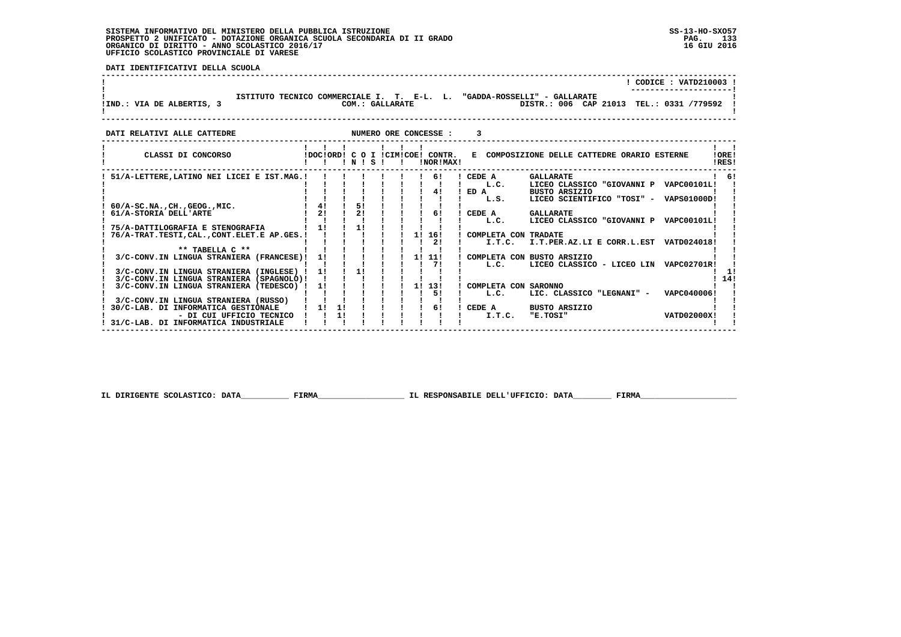**DATI IDENTIFICATIVI DELLA SCUOLA**

|                         |                                                               | CODICE: VATD210003 !                                                     |
|-------------------------|---------------------------------------------------------------|--------------------------------------------------------------------------|
| !IND.: VIA DE ALBERTIS, | ISTITUTO TECNICO COMMERCIALE I. T. E-L. L.<br>COM.: GALLARATE | "GADDA-ROSSELLI" - GALLARATE<br>DISTR.: 006 CAP 21013 TEL.: 0331 /779592 |

| DATI RELATIVI ALLE CATTEDRE                                                        |                      |    |           |  |    | NUMERO ORE CONCESSE :                         |                |                                |                                                                                    |                    |                |
|------------------------------------------------------------------------------------|----------------------|----|-----------|--|----|-----------------------------------------------|----------------|--------------------------------|------------------------------------------------------------------------------------|--------------------|----------------|
| CLASSI DI CONCORSO                                                                 |                      |    | 1 N 1 S 1 |  |    | IDOCIORD! C O I ICIMICOE! CONTR.<br>!NOR!MAX! |                |                                | E COMPOSIZIONE DELLE CATTEDRE ORARIO ESTERNE                                       |                    | !ORE!<br>!RES! |
| 51/A-LETTERE, LATINO NEI LICEI E IST.MAG.!                                         |                      |    |           |  |    | 6!<br>4!                                      | CEDE A<br>ED A | L.C.                           | <b>GALLARATE</b><br>LICEO CLASSICO "GIOVANNI P VAPC00101L!<br><b>BUSTO ARSIZIO</b> |                    | 61             |
| $60/A-SC.NA.$ , $CH.$ , $GEOG.$ , $MIC.$<br>61/A-STORIA DELL'ARTE                  | 4!<br>2 <sub>1</sub> |    | 51<br>21  |  |    | 61                                            | CEDE A         | L.S.                           | LICEO SCIENTIFICO "TOSI" - VAPS01000D!<br><b>GALLARATE</b>                         |                    |                |
| 75/A-DATTILOGRAFIA E STENOGRAFIA                                                   | 11                   |    | 11        |  |    |                                               |                | L.C.                           | LICEO CLASSICO "GIOVANNI P                                                         | <b>VAPC00101L!</b> |                |
| 76/A-TRAT.TESTI, CAL., CONT.ELET.E AP.GES.!<br>** TABELLA C **                     |                      |    |           |  | 11 | 16!<br>21                                     |                | COMPLETA CON TRADATE<br>I.T.C. | I.T.PER.AZ.LI E CORR.L.EST VATD024018!                                             |                    |                |
| 3/C-CONV.IN LINGUA STRANIERA (FRANCESE)!<br>3/C-CONV.IN LINGUA STRANIERA (INGLESE) | 11                   |    | 11        |  | 11 | 11!<br>71                                     |                | L.C.                           | COMPLETA CON BUSTO ARSIZIO<br>LICEO CLASSICO - LICEO LIN VAPC02701R!               |                    |                |
| 3/C-CONV.IN LINGUA STRANIERA (SPAGNOLO)!<br>3/C-CONV.IN LINGUA STRANIERA (TEDESCO) | 11                   |    |           |  | 11 | 13!                                           |                | COMPLETA CON SARONNO           |                                                                                    |                    | 14!            |
| 3/C-CONV.IN LINGUA STRANIERA (RUSSO)<br>30/C-LAB. DI INFORMATICA GESTIONALE        | 11                   | 1! |           |  |    | 51<br>61                                      | CEDE A         | L.C.                           | LIC. CLASSICO "LEGNANI" -<br><b>BUSTO ARSIZIO</b>                                  | VAPC040006!        |                |
| - DI CUI UFFICIO TECNICO<br>31/C-LAB. DI INFORMATICA INDUSTRIALE                   |                      | 1! |           |  |    |                                               |                | I.T.C.                         | "E.TOSI"                                                                           | <b>VATD02000X!</b> |                |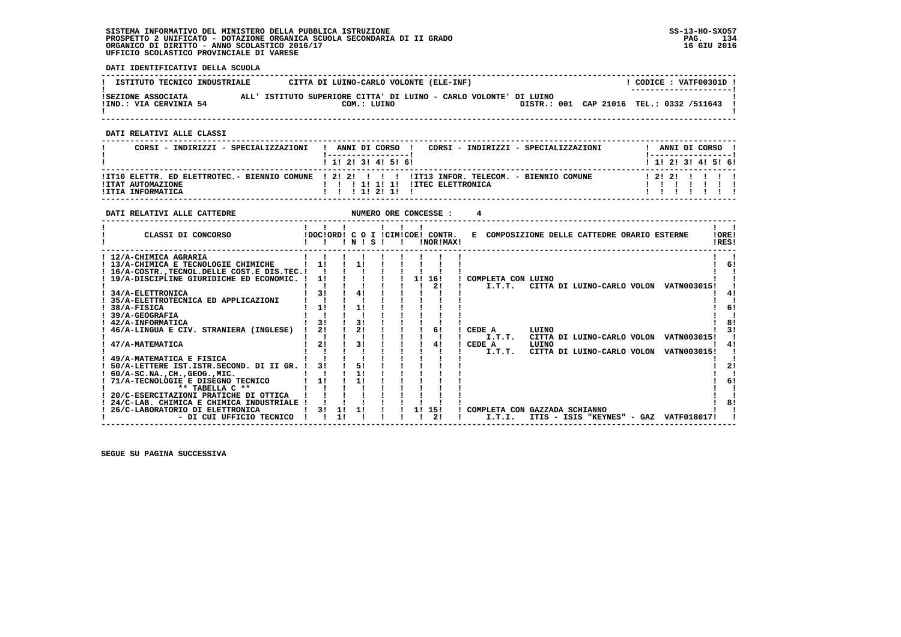**DATI IDENTIFICATIVI DELLA SCUOLA**

| ISTITUTO TECNICO INDUSTRIALE                 | CITTA DI LUINO-CARLO VOLONTE (ELE-INF)                                           | CODICE: VATF00301D !<br>--------------------- |
|----------------------------------------------|----------------------------------------------------------------------------------|-----------------------------------------------|
| ISEZIONE ASSOCIATA<br>!IND.: VIA CERVINIA 54 | ALL' ISTITUTO SUPERIORE CITTA' DI LUINO - CARLO VOLONTE' DI LUINO<br>COM.: LUINO | DISTR.: 001 CAP 21016 TEL.: 0332 /511643      |

 **------------------------------------------------------------------------------------------------------------------------------------**

 **DATI RELATIVI ALLE CLASSI**

| CORSI - INDIRIZZI - SPECIALIZZAZIONI | CORSI - INDIRIZZI - SPECIALIZZAZIONI<br>ANNI DI CORSO !                                                                           |  |  | ANNI DI CORSO !                             |
|--------------------------------------|-----------------------------------------------------------------------------------------------------------------------------------|--|--|---------------------------------------------|
|                                      | ! 1! 2! 3! 4! 5! 6!                                                                                                               |  |  | $1 \; 1 \; 2 \; 3 \; 1 \; 4 \; 5 \; 6 \; 6$ |
| !ITAT AUTOMAZIONE                    | ITI10 ELETTR. ED ELETTROTEC.- BIENNIO COMUNE   2! 2! !   !   ITI3 INFOR. TELECOM. - BIENNIO COMUNE<br>!!!!!!!!!!!!TEC ELETTRONICA |  |  | 12121111                                    |
| !ITIA INFORMATICA                    | $1 \quad 1 \quad 11 \quad 21 \quad 11 \quad 1$                                                                                    |  |  |                                             |

| DATI RELATIVI ALLE CATTEDRE<br>NUMERO ORE CONCESSE :                                                                         |                           |
|------------------------------------------------------------------------------------------------------------------------------|---------------------------|
| CLASSI DI CONCORSO<br>IDOCIORDI C O I ICIMICOE! CONTR.<br>E COMPOSIZIONE DELLE CATTEDRE ORARIO ESTERNE<br>INISI<br>!NOR!MAX! | !ORE!<br>IRES!            |
| ! 12/A-CHIMICA AGRARIA                                                                                                       |                           |
| 11<br>! 13/A-CHIMICA E TECNOLOGIE CHIMICHE<br>11                                                                             | 6!                        |
| ! 16/A-COSTR., TECNOL. DELLE COST. E DIS. TEC. !                                                                             |                           |
| 1!<br>16!<br>! 19/A-DISCIPLINE GIURIDICHE ED ECONOMIC.<br>11<br>COMPLETA CON LUINO                                           |                           |
| 21<br>CITTA DI LUINO-CARLO VOLON VATN003015!<br>I.T.T.                                                                       |                           |
| 31<br>4!<br>34/A-ELETTRONICA                                                                                                 | 41                        |
| 35/A-ELETTROTECNICA ED APPLICAZIONI                                                                                          |                           |
| 11<br>11<br>38/A-FISICA                                                                                                      | 61                        |
| 39/A-GEOGRAFIA                                                                                                               |                           |
| 3!<br>31<br>! 42/A-INFORMATICA                                                                                               | 81                        |
| 21<br>21<br>61<br>LUINO<br>! 46/A-LINGUA E CIV. STRANIERA (INGLESE)<br>CEDE A                                                |                           |
| I.T.T.<br>CITTA DI LUINO-CARLO VOLON                                                                                         | VATN003015!               |
| 31<br>21<br>47/A-MATEMATICA<br>CEDE A<br>41<br>LUINO                                                                         |                           |
| I.T.T.<br>CITTA DI LUINO-CARLO VOLON                                                                                         | VATN003015!               |
| 49/A-MATEMATICA E FISICA                                                                                                     |                           |
| 51<br>31<br>50/A-LETTERE IST.ISTR.SECOND. DI II GR.                                                                          | 21                        |
| 11<br>$60/A-SC.NA.$ , CH., GEOG., MIC.                                                                                       |                           |
| 11<br>11<br>71/A-TECNOLOGIE E DISEGNO TECNICO                                                                                | 61                        |
| ** TABELLA C **                                                                                                              |                           |
| 20/C-ESERCITAZIONI PRATICHE DI OTTICA                                                                                        |                           |
| 24/C-LAB. CHIMICA E CHIMICA INDUSTRIALE                                                                                      |                           |
| 11<br>31<br>11<br>15!<br>26/C-LABORATORIO DI ELETTRONICA<br>11<br>COMPLETA CON GAZZADA SCHIANNO<br>21                        |                           |
| - DI CUI UFFICIO TECNICO<br>I.T.I.<br>ITIS - ISIS "KEYNES"                                                                   | <b>VATF018017!</b><br>GAZ |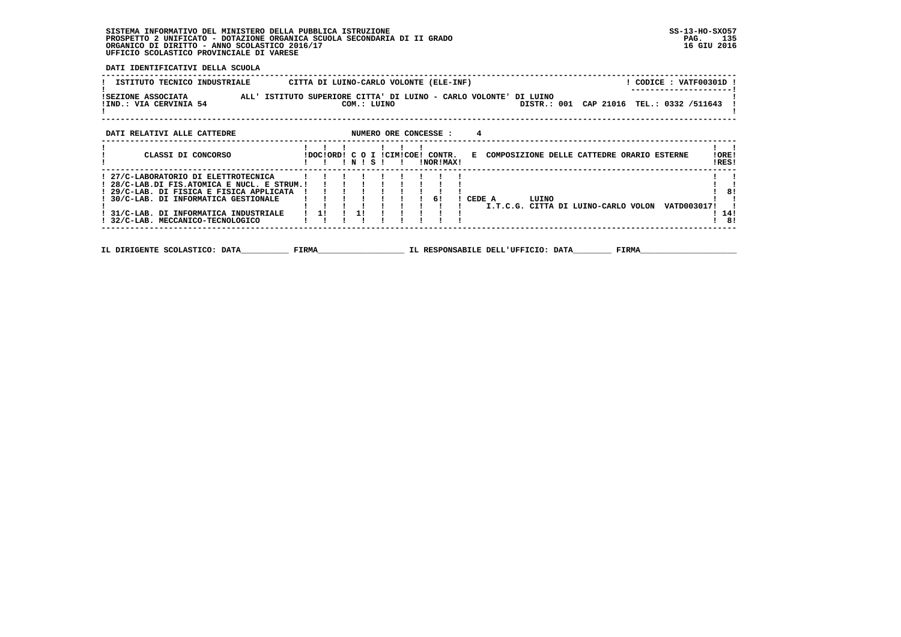**DATI IDENTIFICATIVI DELLA SCUOLA**

| ISTITUTO TECNICO INDUSTRIALE CITTA DI LUINO-CARLO VOLONTE (ELE-INF)                                                                                                                                                                                                                                                                                                                 | ! CODICE : VATF00301D ! |
|-------------------------------------------------------------------------------------------------------------------------------------------------------------------------------------------------------------------------------------------------------------------------------------------------------------------------------------------------------------------------------------|-------------------------|
| ISEZIONE ASSOCIATA                ALL' ISTITUTO SUPERIORE CITTA' DI LUINO - CARLO VOLONTE' DI LUINO!<br>!IND.: VIA CERVINIA 54<br>COM.: LUINO<br>DISTR.: 001 CAP 21016 TEL.: 0332 /511643                                                                                                                                                                                           |                         |
| NUMERO ORE CONCESSE :<br>DATI RELATIVI ALLE CATTEDRE                                                                                                                                                                                                                                                                                                                                |                         |
| CLASSI DI CONCORSO<br>!DOC!ORD! C O I !CIM!COE! CONTR. E COMPOSIZIONE DELLE CATTEDRE ORARIO ESTERNE<br>INISI I<br>!NOR!MAX!                                                                                                                                                                                                                                                         | !ORE!<br>!RES!          |
| ! 27/C-LABORATORIO DI ELETTROTECNICA<br>! 28/C-LAB.DI FIS.ATOMICA E NUCL. E STRUM.!<br>! 29/C-LAB. DI FISICA E FISICA APPLICATA<br>1 1 1 1 1 1 61<br>! 30/C-LAB. DI INFORMATICA GESTIONALE<br>! CEDE A<br>LUINO<br>I.T.C.G. CITTA DI LUINO-CARLO VOLON VATD003017!<br>$\frac{1}{2}$<br>$\frac{1}{1}$<br>! 31/C-LAB. DI INFORMATICA INDUSTRIALE<br>! 32/C-LAB. MECCANICO-TECNOLOGICO | -81<br>14!<br>! 8!      |
| IL DIRIGENTE SCOLASTICO: DATA FIRMA<br>IL RESPONSABILE DELL'UFFICIO: DATA FIRMA                                                                                                                                                                                                                                                                                                     |                         |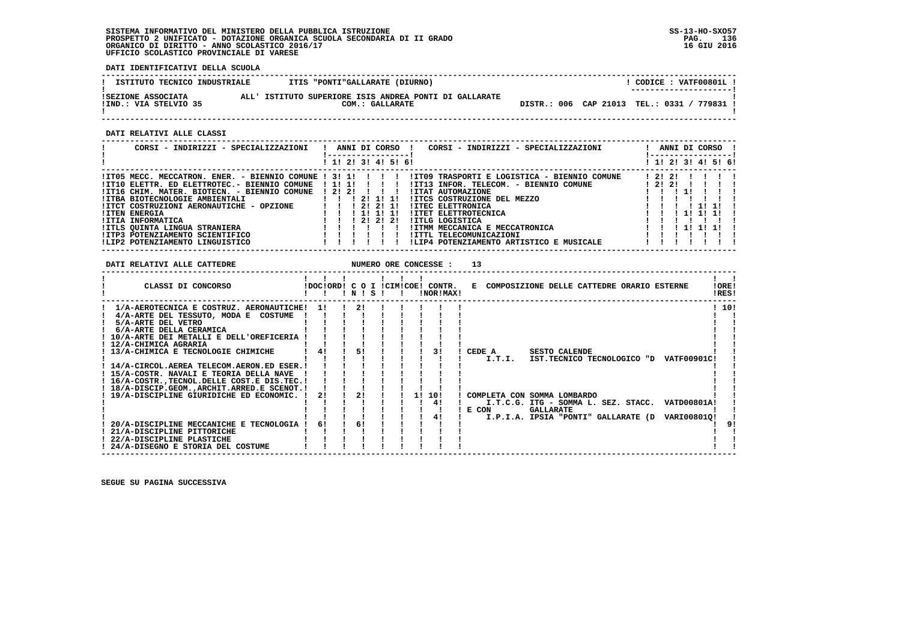**DATI IDENTIFICATIVI DELLA SCUOLA**

| ISTITUTO TECNICO INDUSTRIALE                | ITIS "PONTI"GALLARATE (DIURNO)                                            |  | CODICE: VATF00801L!<br>---------------------- |
|---------------------------------------------|---------------------------------------------------------------------------|--|-----------------------------------------------|
| ISEZIONE ASSOCIATA<br>IIND.: VIA STELVIO 35 | ALL' ISTITUTO SUPERIORE ISIS ANDREA PONTI DI GALLARATE<br>COM.: GALLARATE |  | DISTR.: 006 CAP 21013 TEL.: 0331 / 779831 !   |

 **------------------------------------------------------------------------------------------------------------------------------------**

 **DATI RELATIVI ALLE CLASSI**

| CORSI - INDIRIZZI - SPECIALIZZAZIONI                             |  |  |                     | ANNI DI CORSO ! | CORSI - INDIRIZZI - SPECIALIZZAZIONI         |       |       |              | ANNI DI CORSO !     |  |
|------------------------------------------------------------------|--|--|---------------------|-----------------|----------------------------------------------|-------|-------|--------------|---------------------|--|
|                                                                  |  |  | ! 1! 2! 3! 4! 5! 6! |                 |                                              |       |       |              | ! 1! 2! 3! 4! 5! 6! |  |
| $!I$ TO5 MECC. MECCATRON. ENER. - BIENNIO COMUNE $! 3! 1! 1! 1!$ |  |  |                     |                 | !IT09 TRASPORTI E LOGISTICA - BIENNIO COMUNE |       | 12121 |              |                     |  |
| !IT10 ELETTR. ED ELETTROTEC.- BIENNIO COMUNE ! 1! 1!             |  |  |                     |                 | IIT13 INFOR. TELECOM. - BIENNIO COMUNE       | 12121 |       |              |                     |  |
| !IT16 CHIM. MATER. BIOTECN. - BIENNIO COMUNE ! 2! 2!             |  |  |                     |                 | !ITAT AUTOMAZIONE                            |       |       |              |                     |  |
| !ITBA BIOTECNOLOGIE AMBIENTALI                                   |  |  | 121111              |                 | IITCS COSTRUZIONE DEL MEZZO                  |       |       |              |                     |  |
| !ITCT COSTRUZIONI AERONAUTICHE - OPZIONE                         |  |  | 1 21 21 11          |                 | <b>!ITEC ELETTRONICA</b>                     |       |       | 11111        |                     |  |
| <b>!ITEN ENERGIA</b>                                             |  |  | ! 1! 1! 1!          |                 | <b>!ITET ELETTROTECNICA</b>                  |       |       |              |                     |  |
| !ITIA INFORMATICA                                                |  |  | 1 2 1 2 1 2 1       |                 | IITLG LOGISTICA                              |       |       |              |                     |  |
| !ITLS OUINTA LINGUA STRANIERA                                    |  |  |                     |                 | !ITMM MECCANICA E MECCATRONICA               |       |       | $1$ 1! 1! 1! |                     |  |
| !ITP3 POTENZIAMENTO SCIENTIFICO                                  |  |  |                     |                 | !ITTL TELECOMUNICAZIONI                      |       |       |              |                     |  |
| !LIP2 POTENZIAMENTO LINGUISTICO                                  |  |  |                     |                 | !LIP4 POTENZIAMENTO ARTISTICO E MUSICALE     |       |       |              |                     |  |

| DATI RELATIVI ALLE CATTEDRE                                                                                                                                                                                                                                                                                                                                                                                                                                                                                                                                                |                      |                      |  |     | NUMERO ORE CONCESSE :                         | 13                                                                                                                                                                                                                                                       |                |
|----------------------------------------------------------------------------------------------------------------------------------------------------------------------------------------------------------------------------------------------------------------------------------------------------------------------------------------------------------------------------------------------------------------------------------------------------------------------------------------------------------------------------------------------------------------------------|----------------------|----------------------|--|-----|-----------------------------------------------|----------------------------------------------------------------------------------------------------------------------------------------------------------------------------------------------------------------------------------------------------------|----------------|
| CLASSI DI CONCORSO                                                                                                                                                                                                                                                                                                                                                                                                                                                                                                                                                         |                      | INISI I              |  |     | !DOC!ORD! C O I !CIM!COE! CONTR.<br>INORIMAXI | E COMPOSIZIONE DELLE CATTEDRE ORARIO ESTERNE                                                                                                                                                                                                             | !ORE!<br>!RES! |
| 1/A-AEROTECNICA E COSTRUZ. AERONAUTICHE!<br>4/A-ARTE DEL TESSUTO, MODA E COSTUME<br>5/A-ARTE DEL VETRO<br>6/A-ARTE DELLA CERAMICA<br>! 10/A-ARTE DEI METALLI E DELL'OREFICERIA<br>! 12/A-CHIMICA AGRARIA<br>! 13/A-CHIMICA E TECNOLOGIE CHIMICHE<br>! 14/A-CIRCOL.AEREA TELECOM.AERON.ED ESER.!<br>! 15/A-COSTR. NAVALI E TEORIA DELLA NAVE<br>! 16/A-COSTR., TECNOL. DELLE COST. E DIS. TEC. !<br>! 18/A-DISCIP.GEOM., ARCHIT. ARRED.E SCENOT.!<br>! 19/A-DISCIPLINE GIURIDICHE ED ECONOMIC. !<br>20/A-DISCIPLINE MECCANICHE E TECNOLOGIA<br>! 21/A-DISCIPLINE PITTORICHE | 11<br>41<br>2!<br>61 | 21<br>51<br>2!<br>61 |  | 11. | 31<br>10!<br>41<br>4!                         | ! CEDE A<br><b>SESTO CALENDE</b><br>I.T.I.<br>IST.TECNICO TECNOLOGICO "D VATF00901C!<br>! COMPLETA CON SOMMA LOMBARDO<br>I.T.C.G. ITG - SOMMA L. SEZ. STACC. VATD00801A!<br>E CON<br><b>GALLARATE</b><br>I.P.I.A. IPSIA "PONTI" GALLARATE (D VARI008010! | ! 10!<br>-91   |
| 22/A-DISCIPLINE PLASTICHE<br>! 24/A-DISEGNO E STORIA DEL COSTUME                                                                                                                                                                                                                                                                                                                                                                                                                                                                                                           |                      |                      |  |     |                                               |                                                                                                                                                                                                                                                          |                |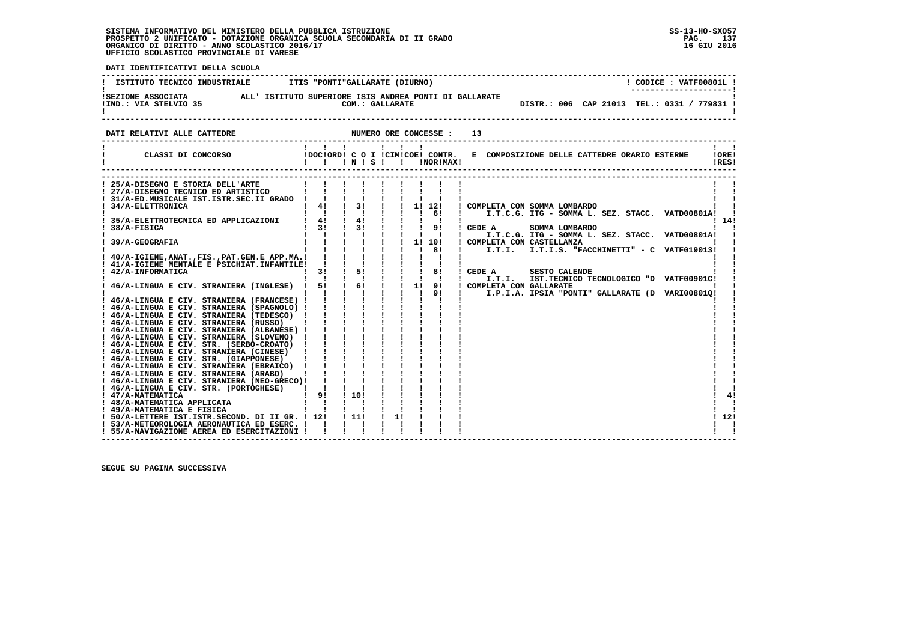**PAC 137** 16 GIU 2016

 **DATI IDENTIFICATIVI DELLA SCUOLA ------------------------------------------------------------------------------------------------------------------------------------**! CODICE: VATF00801L ! **! ISTITUTO TECNICO INDUSTRIALE : ITIS "PONTI"GALLARATE (DIURNO) ! ---------------------! !SEZIONE ASSOCIATA ALL' ISTITUTO SUPERIORE ISIS ANDREA PONTI DI GALLARATE ! !IND.: VIA STELVIO 35 COM.: GALLARATE DISTR.: 006 CAP 21013 TEL.: 0331 / 779831 !** - 1  **! ! ------------------------------------------------------------------------------------------------------------------------------------DATI RELATIVI ALLE CATTEDRE NUMERO ORE CONCESSE : 13 ------------------------------------------------------------------------------------------------------------------------------------** $\mathbf{I}$   $\mathbf{I}$  **! ! ! ! ! ! ! ! ! ! CLASSI DI CONCORSO !DOC!ORD! C O I !CIM!COE! CONTR. E COMPOSIZIONE DELLE CATTEDRE ORARIO ESTERNE !ORE! ! ! ! ! N ! S ! ! !NOR!MAX! !RES!** $100F1$ IRESI  **------------------------------------------------------------------------------------------------------------------------------------ ------------------------------------------------------------------------------------------------------------------------------------** $\mathbf{I}$  and  $\mathbf{I}$ ! 25/A-DISEGNO E STORIA DELL'ARTE | | | | | | | | | | |<br>! 27/A-DISEGNO TECNICO ED ARTISTICO | | | | | | | | | | |<br>! 31/A-EDLETTROALE IST.ISTR.SEC.II GRADO | | | | | | | | | | | | | |<br>! 34/A-ELETTRONICA | | 41 | 31 | | 11 |  $\blacksquare$  $\blacksquare$   **! ! ! ! ! ! ! ! 6! ! I.T.C.G. ITG - SOMMA L. SEZ. STACC. VATD00801A! ! ! 35/A-ELETTROTECNICA ED APPLICAZIONI ! 4! ! 4! ! ! ! ! ! ! 14! ! 38/A-FISICA ! 3! ! 3! ! ! ! 9! ! CEDE A SOMMA LOMBARDO ! ! ! ! ! ! ! ! ! ! ! ! I.T.C.G. ITG - SOMMA L. SEZ. STACC. VATD00801A! ! ! 39/A-GEOGRAFIA ! ! ! ! ! ! 1! 10! ! COMPLETA CON CASTELLANZA ! ! ! ! ! ! ! ! ! ! 8! ! I.T.I. I.T.I.S. "FACCHINETTI" - C VATF019013! ! ! 40/A-IGIENE,ANAT.,FIS.,PAT.GEN.E APP.MA.! ! ! ! ! ! ! ! ! ! ! ! 41/A-IGIENE MENTALE E PSICHIAT.INFANTILE! ! ! ! ! ! ! ! ! ! ! ! 42/A-INFORMATICA ! 3! ! 5! ! ! ! 8! ! CEDE A SESTO CALENDE ! ! ! ! ! ! ! ! ! ! ! ! I.T.I. IST.TECNICO TECNOLOGICO "D VATF00901C! ! ! 46/A-LINGUA E CIV. STRANIERA (INGLESE) ! 5! ! 6! ! ! 1! 9! ! COMPLETA CON GALLARATE ! ! ! ! ! ! ! ! ! ! 9! ! I.P.I.A. IPSIA "PONTI" GALLARATE (D VARI00801Q! ! ! 46/A-LINGUA E CIV. STRANIERA (FRANCESE) ! ! ! ! ! ! ! ! ! ! ! ! 46/A-LINGUA E CIV. STRANIERA (SPAGNOLO) ! ! ! ! ! ! ! ! ! ! ! ! 46/A-LINGUA E CIV. STRANIERA (TEDESCO) ! ! ! ! ! ! ! ! ! ! ! ! 46/A-LINGUA E CIV. STRANIERA (RUSSO) ! ! ! ! ! ! ! ! ! ! ! ! 46/A-LINGUA E CIV. STRANIERA (ALBANESE) ! ! ! ! ! ! ! ! ! ! ! ! 46/A-LINGUA E CIV. STRANIERA (SLOVENO) ! ! ! ! ! ! ! ! ! ! ! ! 46/A-LINGUA E CIV. STR. (SERBO-CROATO) ! ! ! ! ! ! ! ! ! ! ! ! 46/A-LINGUA E CIV. STRANIERA (CINESE) ! ! ! ! ! ! ! ! ! ! ! ! 46/A-LINGUA E CIV. STR. (GIAPPONESE) ! ! ! ! ! ! ! ! ! ! ! ! 46/A-LINGUA E CIV. STRANIERA (EBRAICO) ! ! ! ! ! ! ! ! ! ! ! ! 46/A-LINGUA E CIV. STRANIERA (ARABO) ! ! ! ! ! ! ! ! ! ! ! ! 46/A-LINGUA E CIV. STRANIERA (NEO-GRECO)! ! ! ! ! ! ! ! ! ! ! ! 46/A-LINGUA E CIV. STR. (PORTOGHESE) ! ! ! ! ! ! ! ! ! ! ! ! 47/A-MATEMATICA ! 9! ! 10! ! ! ! ! ! ! 4! ! 48/A-MATEMATICA APPLICATA ! ! ! ! ! ! ! ! ! ! ! ! 49/A-MATEMATICA E FISICA ! ! ! ! ! ! ! ! ! ! !** $41$ - 1  $1, 121$  **! 50/A-LETTERE IST.ISTR.SECOND. DI II GR. ! 12! ! 11! ! 1! ! ! ! ! 12! ! 53/A-METEOROLOGIA AERONAUTICA ED ESERC. ! ! ! ! ! ! ! ! ! ! !** $\overline{\phantom{a}}$  $\mathbf{I}$   $\mathbf{I}$  **! 55/A-NAVIGAZIONE AEREA ED ESERCITAZIONI ! ! ! ! ! ! ! ! ! ! !**

 **------------------------------------------------------------------------------------------------------------------------------------**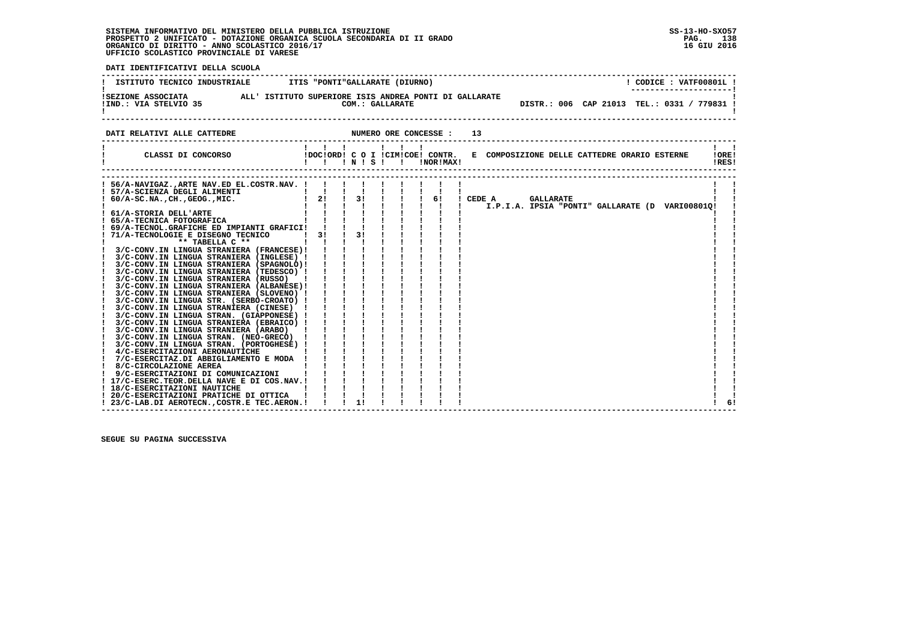**PAG.** 138 16 GIU 2016

 **DATI IDENTIFICATIVI DELLA SCUOLA ------------------------------------------------------------------------------------------------------------------------------------**! CODICE: VATF00801L ! **! ISTITUTO TECNICO INDUSTRIALE : ITIS "PONTI"GALLARATE (DIURNO) ! ---------------------! !SEZIONE ASSOCIATA ALL' ISTITUTO SUPERIORE ISIS ANDREA PONTI DI GALLARATE ! !IND.: VIA STELVIO 35 COM.: GALLARATE DISTR.: 006 CAP 21013 TEL.: 0331 / 779831 ! ! !**- 1  **------------------------------------------------------------------------------------------------------------------------------------DATI RELATIVI ALLE CATTEDRE NUMERO ORE CONCESSE : 13 ------------------------------------------------------------------------------------------------------------------------------------ ! ! ! ! ! ! ! ! ! ! CLASSI DI CONCORSO !DOC!ORD! C O I !CIM!COE! CONTR. E COMPOSIZIONE DELLE CATTEDRE ORARIO ESTERNE !ORE! ! ! ! ! N ! S ! ! !NOR!MAX! !RES! ------------------------------------------------------------------------------------------------------------------------------------ ------------------------------------------------------------------------------------------------------------------------------------** $\mathbf{I}$  and  $\mathbf{I}$  **! 56/A-NAVIGAZ.,ARTE NAV.ED EL.COSTR.NAV. ! ! ! ! ! ! ! ! ! ! ! ! 57/A-SCIENZA DEGLI ALIMENTI ! ! ! ! ! ! ! ! ! ! ! ! 60/A-SC.NA.,CH.,GEOG.,MIC. ! 2! ! 3! ! ! ! 6! ! CEDE A GALLARATE ! ! ! ! ! ! ! ! ! ! ! ! I.P.I.A. IPSIA "PONTI" GALLARATE (D VARI00801Q! ! ! 61/A-STORIA DELL'ARTE ! ! ! ! ! ! ! ! ! ! ! ! 65/A-TECNICA FOTOGRAFICA ! ! ! ! ! ! ! ! ! ! ! ! 69/A-TECNOL.GRAFICHE ED IMPIANTI GRAFICI! ! ! ! ! ! ! ! ! ! ! ! 71/A-TECNOLOGIE E DISEGNO TECNICO ! 3! ! 3! ! ! ! ! ! ! ! ! \*\* TABELLA C \*\* ! ! ! ! ! ! ! ! ! ! ! ! 3/C-CONV.IN LINGUA STRANIERA (FRANCESE)! ! ! ! ! ! ! ! ! ! ! ! 3/C-CONV.IN LINGUA STRANIERA (INGLESE) ! ! ! ! ! ! ! ! ! ! ! ! 3/C-CONV.IN LINGUA STRANIERA (SPAGNOLO)! ! ! ! ! ! ! ! ! ! ! ! 3/C-CONV.IN LINGUA STRANIERA (TEDESCO) ! ! ! ! ! ! ! ! ! ! ! ! 3/C-CONV.IN LINGUA STRANIERA (RUSSO) ! ! ! ! ! ! ! ! ! ! ! ! 3/C-CONV.IN LINGUA STRANIERA (ALBANESE)! ! ! ! ! ! ! ! ! ! ! ! 3/C-CONV.IN LINGUA STRANIERA (SLOVENO) ! ! ! ! ! ! ! ! ! ! ! ! 3/C-CONV.IN LINGUA STR. (SERBO-CROATO) ! ! ! ! ! ! ! ! ! ! ! ! 3/C-CONV.IN LINGUA STRANIERA (CINESE) ! ! ! ! ! ! ! ! ! ! ! ! 3/C-CONV.IN LINGUA STRAN. (GIAPPONESE) ! ! ! ! ! ! ! ! ! ! ! ! 3/C-CONV.IN LINGUA STRANIERA (EBRAICO) ! ! ! ! ! ! ! ! ! ! ! ! 3/C-CONV.IN LINGUA STRANIERA (ARABO) ! ! ! ! ! ! ! ! ! ! ! ! 3/C-CONV.IN LINGUA STRAN. (NEO-GRECO) ! ! ! ! ! ! ! ! ! ! ! ! 3/C-CONV.IN LINGUA STRAN. (PORTOGHESE) ! ! ! ! ! ! ! ! ! ! ! ! 4/C-ESERCITAZIONI AERONAUTICHE ! ! ! ! ! ! ! ! ! ! ! ! 7/C-ESERCITAZ.DI ABBIGLIAMENTO E MODA ! ! ! ! ! ! ! ! ! ! ! ! 8/C-CIRCOLAZIONE AEREA ! ! ! ! ! ! ! ! ! ! ! ! 9/C-ESERCITAZIONI DI COMUNICAZIONI ! ! ! ! ! ! ! ! ! ! ! ! 17/C-ESERC.TEOR.DELLA NAVE E DI COS.NAV.! ! ! ! ! ! ! ! ! ! ! ! 18/C-ESERCITAZIONI NAUTICHE ! ! ! ! ! ! ! ! ! ! ! ! 20/C-ESERCITAZIONI PRATICHE DI OTTICA ! ! ! ! ! ! ! ! ! ! ! ! 23/C-LAB.DI AEROTECN.,COSTR.E TEC.AERON.! ! ! 1! ! ! ! ! ! ! 6!**- 1  $\sqrt{1}$  61  **------------------------------------------------------------------------------------------------------------------------------------**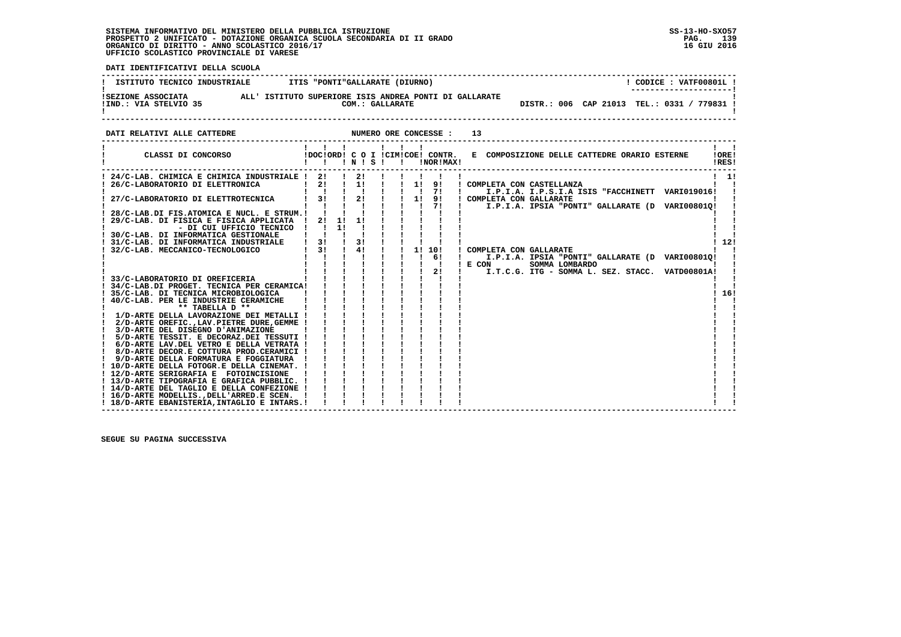:<br>ا

 **DATI IDENTIFICATIVI DELLA SCUOLA**

| ISTITUTO TECNICO INDUSTRIALE TIIS "PONTI"GALLARATE (DIURNO)                                                                      | $!$ CODICE : VATF00801L $!$                                                                                                                                                                                                                                                                                                                                                    |     |
|----------------------------------------------------------------------------------------------------------------------------------|--------------------------------------------------------------------------------------------------------------------------------------------------------------------------------------------------------------------------------------------------------------------------------------------------------------------------------------------------------------------------------|-----|
|                                                                                                                                  | ISEZIONE ASSOCIATA (ALL'ISTITUTO SUPERIORE ISIS ANDREA PONTI DI GALLARATE IND.: VIA STELVIO 35<br>I COM.: GALLARATE<br>DISTR.: 006 CAP 21013 TEL.: 0331 / 779831 !                                                                                                                                                                                                             |     |
| DATI RELATIVI ALLE CATTEDRE                                                                                                      |                                                                                                                                                                                                                                                                                                                                                                                |     |
|                                                                                                                                  | CLASSI DI CONCORSO (DOCIORDI CO I ICIMICOEI CONTR. E COMPOSIZIONE DELLE CATTEDRE ORARIO ESTERNE (OREI<br>IRES!                                                                                                                                                                                                                                                                 |     |
|                                                                                                                                  | ! 24/C-LAB. CHIMICA E CHIMICA INDUSTRIALE ! 2! ! 2! ! ! ! ! ! ! !<br>! 26/C-LABORATORIO DI ELETTRONICA   2! ! 1! ! ! 1! 9! ! COMPLETA CON CASTELLANZA<br>$1 \quad 11$<br>$1 \quad 1 \quad 1 \quad 1 \quad 1 \quad 1 \quad 71 \quad 1 \quad 1.$ P.I.A. I.P.S.I.A ISIS "FACCHINETT VARIO19016!<br>27/C-LABORATORIO DI ELETTROTECNICA   31   21   1   91   COMPLETA CON GALLARATE |     |
| 29/C-LAB. DI FISICA E FISICA APPLICATA   21 11 11        <br>$\mathbf{I}$ and $\mathbf{I}$ are all $\mathbf{I}$ and $\mathbf{I}$ | - DI CUI UFFICIO TECNICO ! ! 1! ! ! ! ! !                                                                                                                                                                                                                                                                                                                                      |     |
|                                                                                                                                  | ! 12!<br>! COMPLETA CON GALLARATE<br>1 1 1 1 1 1 1 6!<br>$\mathbf{I}$<br>I.P.I.A. IPSIA "PONTI" GALLARATE (D VARI00801Q!                                                                                                                                                                                                                                                       |     |
| 33/C-LABORATORIO DI OREFICERIA<br>34/C-LAB.DI PROGET. TECNICA PER CERAMICA! !!!!!!!!!                                            | SOMMA LOMBARDO<br>! E COM<br>I.T.C.G. ITG - SOMMA L. SEZ. STACC. VATD00801A!                                                                                                                                                                                                                                                                                                   |     |
| $\frac{1}{D}$ -ARTE DELLA LAVORAZIONE DEI METALLI ! ! ! ! ! ! !                                                                  |                                                                                                                                                                                                                                                                                                                                                                                | 16! |
|                                                                                                                                  |                                                                                                                                                                                                                                                                                                                                                                                |     |
| $\frac{1}{2}$ 8/D-ARTE DECOR.E COTTURA PROD.CERAMICI ! ! ! ! ! ! !                                                               |                                                                                                                                                                                                                                                                                                                                                                                |     |
| ! 16/D-ARTE MODELLIS., DELL'ARRED.E SCEN. !!!                                                                                    |                                                                                                                                                                                                                                                                                                                                                                                |     |
| ! 18/D-ARTE EBANISTERIA, INTAGLIO E INTARS.!                                                                                     |                                                                                                                                                                                                                                                                                                                                                                                |     |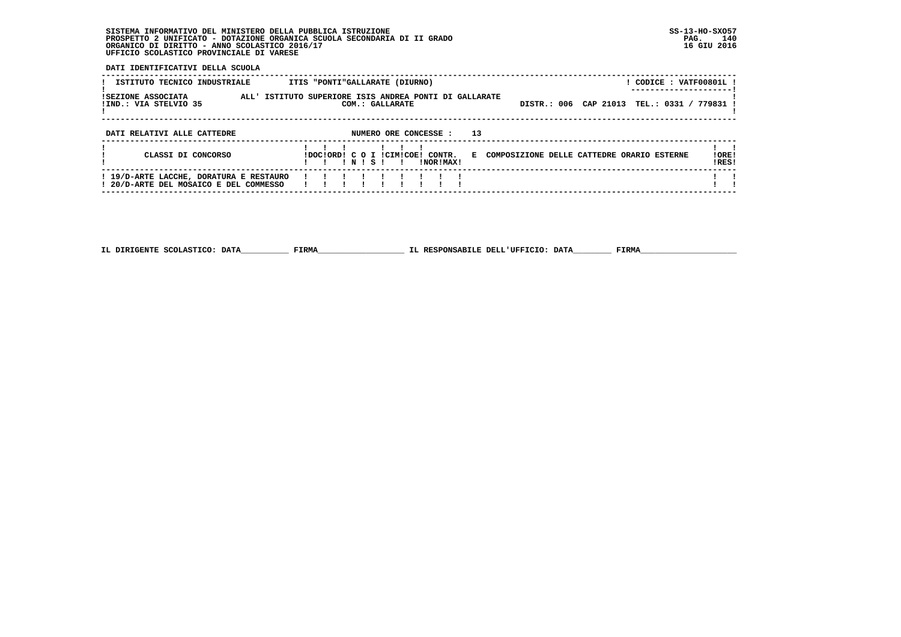**DATI IDENTIFICATIVI DELLA SCUOLA**

| ISTITUTO TECNICO INDUSTRIALE                                                      | ITIS "PONTI"GALLARATE (DIURNO)                                            | ! CODICE : VATF00801L !                                         |
|-----------------------------------------------------------------------------------|---------------------------------------------------------------------------|-----------------------------------------------------------------|
| ISEZIONE ASSOCIATA<br>!IND.: VIA STELVIO 35                                       | ALL' ISTITUTO SUPERIORE ISIS ANDREA PONTI DI GALLARATE<br>COM.: GALLARATE | TEL.: 0331 / 779831 !<br>DISTR.: 006 CAP 21013                  |
| DATI RELATIVI ALLE CATTEDRE                                                       | 13<br>NUMERO ORE CONCESSE :                                               |                                                                 |
| CLASSI DI CONCORSO                                                                | IDOCIORDI C O I ICIMICOE! CONTR.<br>INISI<br>INORIMAXI<br>$\blacksquare$  | ! ORE!<br>E COMPOSIZIONE DELLE CATTEDRE ORARIO ESTERNE<br>IRES! |
| ! 19/D-ARTE LACCHE, DORATURA E RESTAURO<br>! 20/D-ARTE DEL MOSAICO E DEL COMMESSO |                                                                           |                                                                 |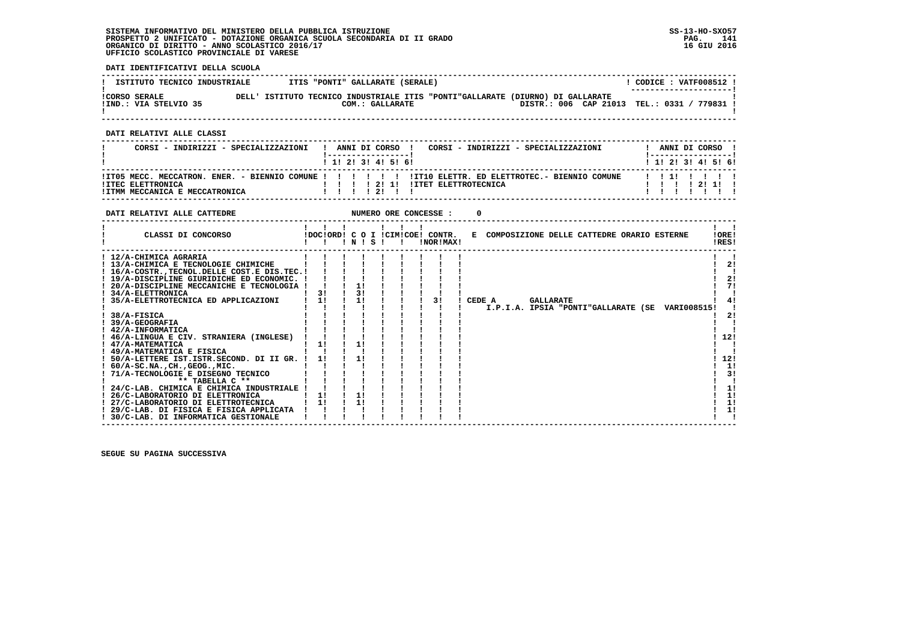**DATI IDENTIFICATIVI DELLA SCUOLA**

| ISTITUTO TECNICO INDUSTRIALE                  |       | ITIS "PONTI" GALLARATE (SERALE) |                                                                                                                         | CODICE: VATF008512 !<br>---------------------- |
|-----------------------------------------------|-------|---------------------------------|-------------------------------------------------------------------------------------------------------------------------|------------------------------------------------|
| <b>!CORSO SERALE</b><br>IIND.: VIA STELVIO 35 | DELL' | COM.: GALLARATE                 | ISTITUTO TECNICO INDUSTRIALE ITIS "PONTI"GALLARATE (DIURNO) DI GALLARATE<br>DISTR.: 006 CAP 21013 TEL.: 0331 / 779831 ! |                                                |

 **------------------------------------------------------------------------------------------------------------------------------------**

 **DATI RELATIVI ALLE CLASSI**

| CORSI - INDIRIZZI - SPECIALIZZAZIONI                | $\mathbf{I}$ |  |  |                   | CORSI - INDIRIZZI - SPECIALIZZAZIONI<br>ANNI DI CORSO ! |  |  |             | ANNI DI CORSO !           |
|-----------------------------------------------------|--------------|--|--|-------------------|---------------------------------------------------------|--|--|-------------|---------------------------|
|                                                     |              |  |  | 1 1 2 3 3 4 5 6 1 |                                                         |  |  |             | 1 1 1 2 1 3 1 4 1 5 1 6 1 |
| !ITEC ELETTRONICA<br>IITMM MECCANICA E MECCATRONICA |              |  |  | 111211            |                                                         |  |  | 1 1 1 12111 | 1111111                   |

| DATI RELATIVI ALLE CATTEDRE                      |    |    |       |  | NUMERO ORE CONCESSE :                         |                                                 |                |
|--------------------------------------------------|----|----|-------|--|-----------------------------------------------|-------------------------------------------------|----------------|
| CLASSI DI CONCORSO                               |    |    | INISI |  | !DOC!ORD! C O I !CIM!COE! CONTR.<br>!NOR!MAX! | E COMPOSIZIONE DELLE CATTEDRE ORARIO ESTERNE    | !ORE!<br>!RES! |
| ! 12/A-CHIMICA AGRARIA                           |    |    |       |  |                                               |                                                 |                |
| ! 13/A-CHIMICA E TECNOLOGIE CHIMICHE             |    |    |       |  |                                               |                                                 | 2!             |
| ! 16/A-COSTR., TECNOL. DELLE COST. E DIS. TEC. ! |    |    |       |  |                                               |                                                 |                |
| ! 19/A-DISCIPLINE GIURIDICHE ED ECONOMIC. !      |    |    |       |  |                                               |                                                 | 2!             |
| 20/A-DISCIPLINE MECCANICHE E TECNOLOGIA !        |    |    |       |  |                                               |                                                 | 71             |
| ! 34/A-ELETTRONICA                               | 3! | 3! |       |  |                                               |                                                 |                |
| 35/A-ELETTROTECNICA ED APPLICAZIONI              | 11 | 11 |       |  | 31                                            | CEDE A<br><b>GALLARATE</b>                      |                |
|                                                  |    |    |       |  |                                               | I.P.I.A. IPSIA "PONTI"GALLARATE (SE VARI008515! |                |
| 38/A-FISICA                                      |    |    |       |  |                                               |                                                 | 21             |
| 39/A-GEOGRAFIA                                   |    |    |       |  |                                               |                                                 |                |
| ! 42/A-INFORMATICA                               |    |    |       |  |                                               |                                                 |                |
| ! 46/A-LINGUA E CIV. STRANIERA (INGLESE)         |    |    |       |  |                                               |                                                 | 12!            |
| ! 47/A-MATEMATICA                                | 11 |    |       |  |                                               |                                                 |                |
| ! 49/A-MATEMATICA E FISICA                       |    |    |       |  |                                               |                                                 |                |
| ! 50/A-LETTERE IST.ISTR.SECOND. DI II GR.        |    |    |       |  |                                               |                                                 | 12!            |
| $: 60/A-SC.NA.$ , $CH.$ , $GEOG.$ , $MIC.$       |    |    |       |  |                                               |                                                 | 1!             |
| 71/A-TECNOLOGIE E DISEGNO TECNICO                |    |    |       |  |                                               |                                                 | 3!             |
| ** TABELLA C **                                  |    |    |       |  |                                               |                                                 |                |
| ! 24/C-LAB. CHIMICA E CHIMICA INDUSTRIALE        |    |    |       |  |                                               |                                                 | 1!             |
| 26/C-LABORATORIO DI ELETTRONICA                  | 1! | 1! |       |  |                                               |                                                 | 1!             |
| ! 27/C-LABORATORIO DI ELETTROTECNICA             | 1! | 11 |       |  |                                               |                                                 | 1!             |
| ! 29/C-LAB. DI FISICA E FISICA APPLICATA         |    |    |       |  |                                               |                                                 | 1!             |
| ! 30/C-LAB. DI INFORMATICA GESTIONALE            |    |    |       |  |                                               |                                                 |                |
|                                                  |    |    |       |  |                                               |                                                 |                |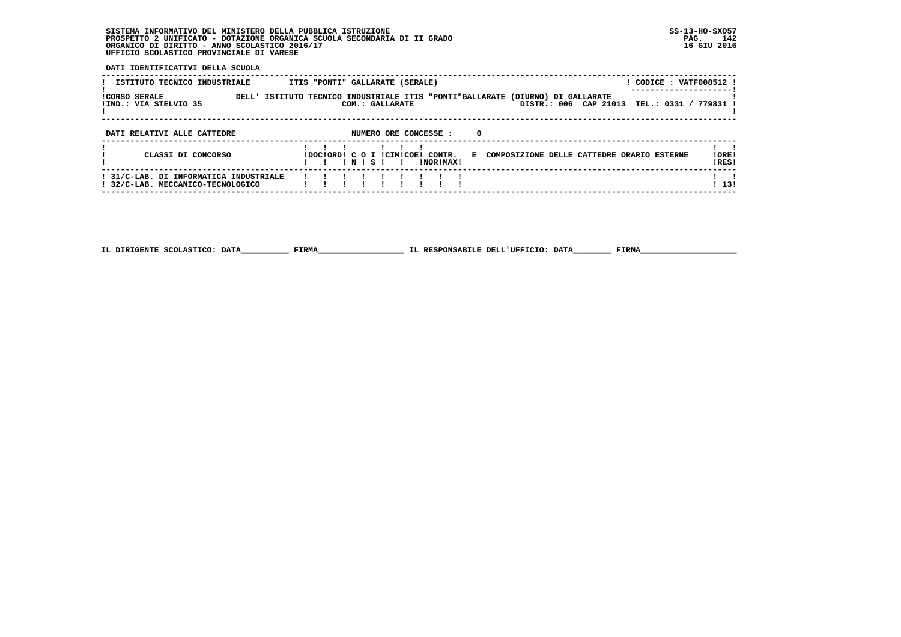**DATI IDENTIFICATIVI DELLA SCUOLA**

| ISTITUTO TECNICO INDUSTRIALE                                                | ITIS "PONTI" GALLARATE (SERALE)                                                                                            | CODICE : VATF008512 ! |
|-----------------------------------------------------------------------------|----------------------------------------------------------------------------------------------------------------------------|-----------------------|
| <b>ICORSO SERALE</b><br>!IND.: VIA STELVIO 35                               | DELL' ISTITUTO TECNICO INDUSTRIALE ITIS "PONTI"GALLARATE (DIURNO) DI GALLARATE<br>DISTR.: 006 CAP 21013<br>COM.: GALLARATE | TEL.: 0331 / 779831 ! |
| DATI RELATIVI ALLE CATTEDRE                                                 | NUMERO ORE CONCESSE :<br>0                                                                                                 |                       |
| CLASSI DI CONCORSO                                                          | IDOCIORDI C O I ICIMICOEI CONTR.<br>E COMPOSIZIONE DELLE CATTEDRE ORARIO ESTERNE<br>INISI<br>INORIMAXI<br>$\mathbf{I}$     | !ORE!<br>IRES!        |
| ! 31/C-LAB. DI INFORMATICA INDUSTRIALE<br>! 32/C-LAB. MECCANICO-TECNOLOGICO |                                                                                                                            | 113!                  |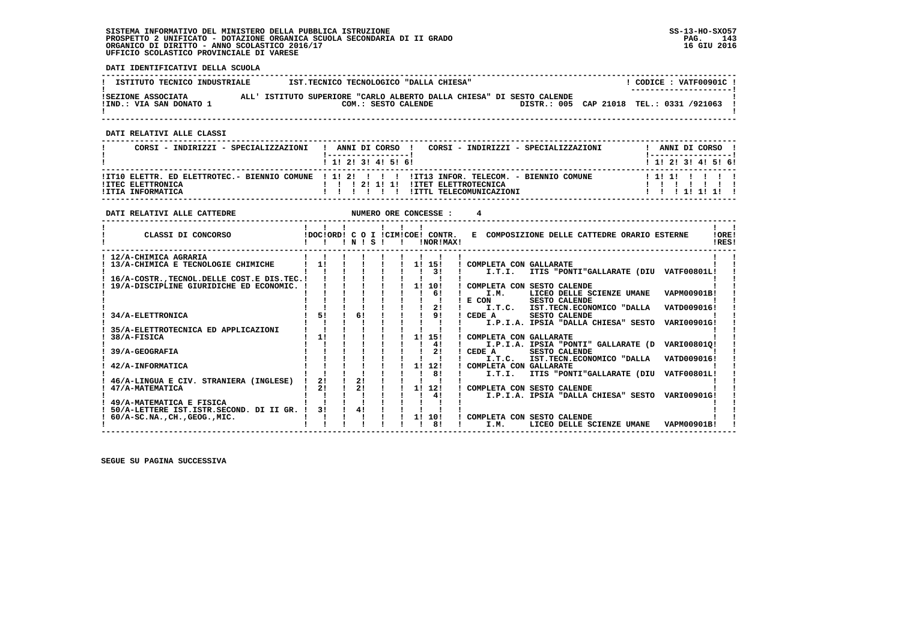**DATI IDENTIFICATIVI DELLA SCUOLA**

| ISTITUTO TECNICO INDUSTRIALE                  | IST.TECNICO TECNOLOGICO "DALLA CHIESA"                                                       |  | CODICE: VATF00901C!<br>--------------------- |
|-----------------------------------------------|----------------------------------------------------------------------------------------------|--|----------------------------------------------|
| ISEZIONE ASSOCIATA<br>!IND.: VIA SAN DONATO 1 | ALL' ISTITUTO SUPERIORE "CARLO ALBERTO DALLA CHIESA" DI SESTO CALENDE<br>COM.: SESTO CALENDE |  | DISTR.: 005 CAP 21018 TEL.: 0331 /921063     |

 **------------------------------------------------------------------------------------------------------------------------------------**

 **DATI RELATIVI ALLE CLASSI**

| CORSI - INDIRIZZI - SPECIALIZZAZIONI   | CORSI - INDIRIZZI - SPECIALIZZAZIONI<br>ANNI DI CORSO !                                                                                                                 | ANNI DI CORSO !     |
|----------------------------------------|-------------------------------------------------------------------------------------------------------------------------------------------------------------------------|---------------------|
|                                        | 1 1 2 3 3 4 5 5 6                                                                                                                                                       | 1 1 2 3 3 4 5 5 6 1 |
| !ITEC ELETTRONICA<br>!ITIA INFORMATICA | ITT10 ELETTR. ED ELETTROTEC.- BIENNIO COMUNE ! 1! 2! ! ! ! ! ITT13 INFOR. TELECOM. - BIENNIO COMUNE<br>121111<br><b>!ITET ELETTROTECNICA</b><br>!ITTL TELECOMUNICAZIONI | 111111111<br>111111 |

| DATI RELATIVI ALLE CATTEDRE                                                               |    |  |       |              | NUMERO ORE CONCESSE :                            |                                                                                                                               |                |
|-------------------------------------------------------------------------------------------|----|--|-------|--------------|--------------------------------------------------|-------------------------------------------------------------------------------------------------------------------------------|----------------|
| CLASSI DI CONCORSO                                                                        |    |  | INISI | $\mathbf{I}$ | !DOC!ORD! C O I !CIM!COE! CONTR.<br>INOR ! MAX ! | E COMPOSIZIONE DELLE CATTEDRE ORARIO ESTERNE                                                                                  | !ORE!<br>IRES! |
| ! 12/A-CHIMICA AGRARIA<br>13/A-CHIMICA E TECNOLOGIE CHIMICHE                              | 1! |  |       |              | 11 151<br>31                                     | COMPLETA CON GALLARATE<br>ITIS "PONTI"GALLARATE (DIU VATF00801L!<br>I.T.I.                                                    |                |
| 16/A-COSTR., TECNOL. DELLE COST. E DIS. TEC. !<br>19/A-DISCIPLINE GIURIDICHE ED ECONOMIC. |    |  |       |              | 11 101                                           | COMPLETA CON SESTO CALENDE                                                                                                    |                |
|                                                                                           |    |  |       |              | 6!<br>2!                                         | VAPM00901B!<br>I.M.<br>LICEO DELLE SCIENZE UMANE<br>E CON<br>SESTO CALENDE<br>I.T.C. IST.TECN.ECONOMICO "DALLA<br>VATD009016! |                |
| 34/A-ELETTRONICA                                                                          | 51 |  | 6!    |              | 91                                               | CEDE A<br><b>SESTO CALENDE</b><br>I.P.I.A. IPSIA "DALLA CHIESA" SESTO<br>VARI00901G!                                          |                |
| 35/A-ELETTROTECNICA ED APPLICAZIONI<br>38/A-FISICA                                        | 11 |  |       |              | 11 151<br>4!                                     | COMPLETA CON GALLARATE<br>I.P.I.A. IPSIA "PONTI" GALLARATE (D<br>VARI00801Q!                                                  |                |
| 39/A-GEOGRAFIA<br>42/A-INFORMATICA                                                        |    |  |       |              | 21<br>1! 12!                                     | CEDE A<br>SESTO CALENDE<br>I.T.C. IST.TECN.ECONOMICO "DALLA<br>VATD009016!<br>COMPLETA CON GALLARATE                          |                |
| 46/A-LINGUA E CIV. STRANIERA (INGLESE)                                                    | 21 |  | 21    |              | 81                                               | ITIS "PONTI"GALLARATE (DIU<br><b>VATF00801L!</b><br>I.T.I.                                                                    |                |
| 47/A-MATEMATICA<br>49/A-MATEMATICA E FISICA                                               | 21 |  | 21    |              | 11 121<br>4!                                     | COMPLETA CON SESTO CALENDE<br>I.P.I.A. IPSIA "DALLA CHIESA" SESTO VARI00901G!                                                 |                |
| 50/A-LETTERE IST.ISTR.SECOND. DI II GR. !<br>$60/A-SC.NA.$ , $CH.$ , $GEOG.$ , $MIC.$     | 31 |  | 4!    |              | 1! 10!<br>81                                     | COMPLETA CON SESTO CALENDE<br>I.M.<br>LICEO DELLE SCIENZE UMANE<br>VAPM00901B!                                                |                |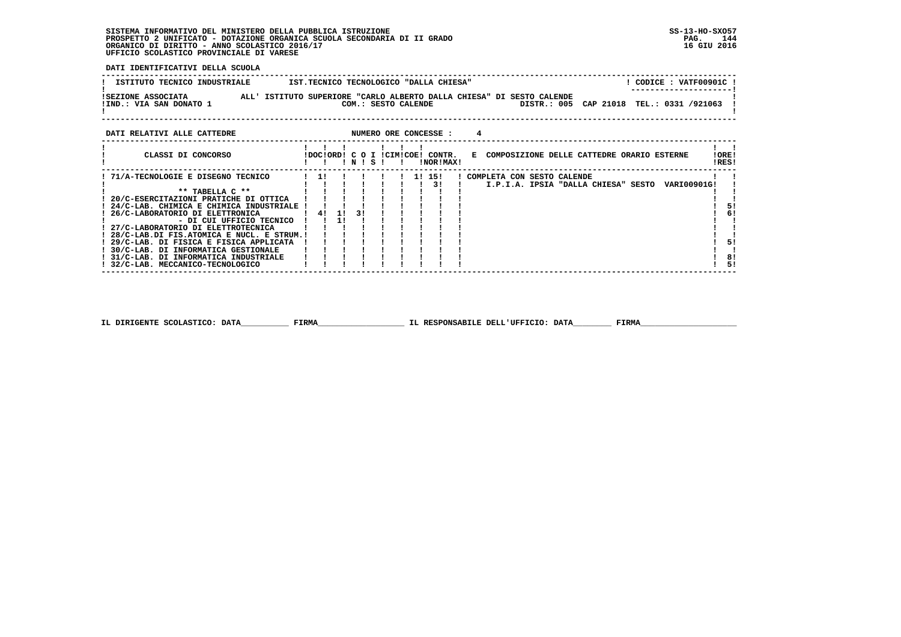**DATI IDENTIFICATIVI DELLA SCUOLA**

| ISTITUTO TECNICO INDUSTRIALE                  | IST.TECNICO TECNOLOGICO "DALLA CHIESA"                                                       | CODICE: VATF00901C<br>---------------------- |
|-----------------------------------------------|----------------------------------------------------------------------------------------------|----------------------------------------------|
| ISEZIONE ASSOCIATA<br>!IND.: VIA SAN DONATO 1 | ALL' ISTITUTO SUPERIORE "CARLO ALBERTO DALLA CHIESA" DI SESTO CALENDE<br>COM.: SESTO CALENDE | DISTR.: 005 CAP 21018 TEL.: 0331 /921063     |

| CLASSI DI CONCORSO<br>!ORE!<br>IDOCIORDI C O I ICIMICOEI CONTR.<br>E COMPOSIZIONE DELLE CATTEDRE ORARIO ESTERNE<br>!RES!<br>INORIMAX!<br>INISI<br>71/A-TECNOLOGIE E DISEGNO TECNICO<br>11 151<br>! COMPLETA CON SESTO CALENDE<br>-11<br>31<br>I.P.I.A. IPSIA "DALLA CHIESA" SESTO VARI00901G!<br>** TABELLA C **<br>20/C-ESERCITAZIONI PRATICHE DI OTTICA<br>24/C-LAB. CHIMICA E CHIMICA INDUSTRIALE !<br>26/C-LABORATORIO DI ELETTRONICA<br>41<br>3 I<br>- 1 ! -<br>- DI CUI UFFICIO TECNICO<br>! 27/C-LABORATORIO DI ELETTROTECNICA<br>! 28/C-LAB.DI FIS.ATOMICA E NUCL. E STRUM.!<br>! 29/C-LAB. DI FISICA E FISICA APPLICATA<br>! 30/C-LAB. DI INFORMATICA GESTIONALE<br>! 31/C-LAB, DI INFORMATICA INDUSTRIALE | DATI RELATIVI ALLE CATTEDRE |  |  |  |  | NUMERO ORE CONCESSE : |  |  |  |  |  |  |    |
|---------------------------------------------------------------------------------------------------------------------------------------------------------------------------------------------------------------------------------------------------------------------------------------------------------------------------------------------------------------------------------------------------------------------------------------------------------------------------------------------------------------------------------------------------------------------------------------------------------------------------------------------------------------------------------------------------------------------|-----------------------------|--|--|--|--|-----------------------|--|--|--|--|--|--|----|
|                                                                                                                                                                                                                                                                                                                                                                                                                                                                                                                                                                                                                                                                                                                     |                             |  |  |  |  |                       |  |  |  |  |  |  |    |
|                                                                                                                                                                                                                                                                                                                                                                                                                                                                                                                                                                                                                                                                                                                     |                             |  |  |  |  |                       |  |  |  |  |  |  |    |
|                                                                                                                                                                                                                                                                                                                                                                                                                                                                                                                                                                                                                                                                                                                     |                             |  |  |  |  |                       |  |  |  |  |  |  |    |
|                                                                                                                                                                                                                                                                                                                                                                                                                                                                                                                                                                                                                                                                                                                     |                             |  |  |  |  |                       |  |  |  |  |  |  |    |
|                                                                                                                                                                                                                                                                                                                                                                                                                                                                                                                                                                                                                                                                                                                     |                             |  |  |  |  |                       |  |  |  |  |  |  |    |
|                                                                                                                                                                                                                                                                                                                                                                                                                                                                                                                                                                                                                                                                                                                     |                             |  |  |  |  |                       |  |  |  |  |  |  | 51 |
|                                                                                                                                                                                                                                                                                                                                                                                                                                                                                                                                                                                                                                                                                                                     |                             |  |  |  |  |                       |  |  |  |  |  |  | 6! |
|                                                                                                                                                                                                                                                                                                                                                                                                                                                                                                                                                                                                                                                                                                                     |                             |  |  |  |  |                       |  |  |  |  |  |  |    |
|                                                                                                                                                                                                                                                                                                                                                                                                                                                                                                                                                                                                                                                                                                                     |                             |  |  |  |  |                       |  |  |  |  |  |  |    |
|                                                                                                                                                                                                                                                                                                                                                                                                                                                                                                                                                                                                                                                                                                                     |                             |  |  |  |  |                       |  |  |  |  |  |  |    |
|                                                                                                                                                                                                                                                                                                                                                                                                                                                                                                                                                                                                                                                                                                                     |                             |  |  |  |  |                       |  |  |  |  |  |  | 51 |
|                                                                                                                                                                                                                                                                                                                                                                                                                                                                                                                                                                                                                                                                                                                     |                             |  |  |  |  |                       |  |  |  |  |  |  |    |
|                                                                                                                                                                                                                                                                                                                                                                                                                                                                                                                                                                                                                                                                                                                     |                             |  |  |  |  |                       |  |  |  |  |  |  | 8! |
| 32/C-LAB. MECCANICO-TECNOLOGICO                                                                                                                                                                                                                                                                                                                                                                                                                                                                                                                                                                                                                                                                                     |                             |  |  |  |  |                       |  |  |  |  |  |  | 51 |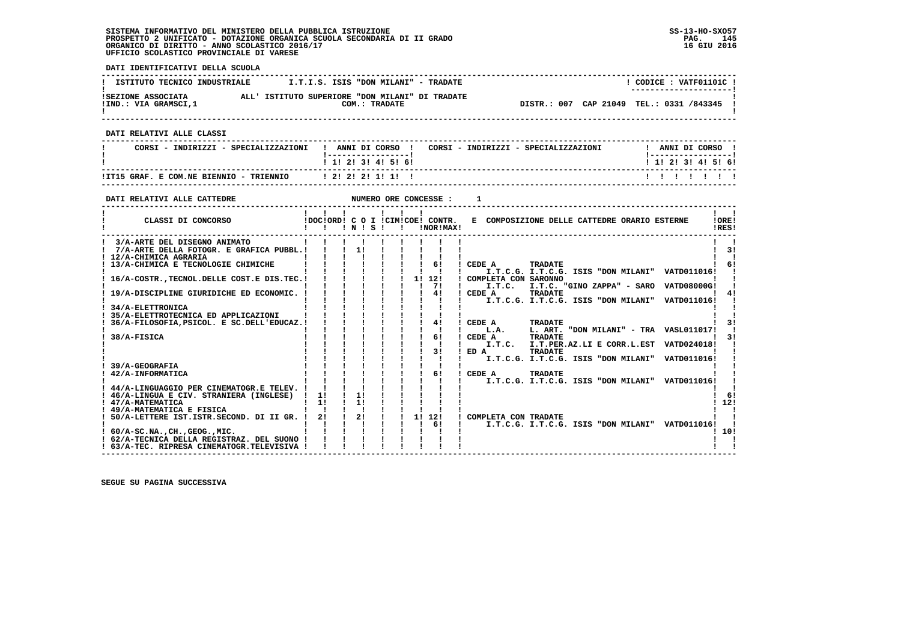**DATI IDENTIFICATIVI DELLA SCUOLA ------------------------------------------------------------------------------------------------------------------------------------** $1$  CODICE : VATE01101C I **I ISTITUTO TECNICO INDUSTRIALE**  $I.T.I.S.$  **ISIS "DON MILANI" - TRADATE ! ---------------------! !SEZIONE ASSOCIATA ALL' ISTITUTO SUPERIORE "DON MILANI" DI TRADATE ! !IND.: VIA GRAMSCI,1 COM.: TRADATE DISTR.: 007 CAP 21049 TEL.: 0331 /843345 !** $\mathbf{I}$  **! ! ------------------------------------------------------------------------------------------------------------------------------------ DATI RELATIVI ALLE CLASSI ------------------------------------------------------------------------------------------------------------------------------------**! ANNI DI CORSO !  **! CORSI - INDIRIZZI - SPECIALIZZAZIONI ! ANNI DI CORSO ! CORSI - INDIRIZZI - SPECIALIZZAZIONI ! ANNI DI CORSO !**\_\_\_\_\_\_\_\_\_\_\_\_\_\_\_\_\_\_\_\_\_\_  **! !-----------------! !-----------------!**1 1 2 3 3 4 5 6  **! ! 1! 2! 3! 4! 5! 6! ! 1! 2! 3! 4! 5! 6! ------------------------------------------------------------------------------------------------------------------------------------ !IT15 GRAF. E COM.NE BIENNIO - TRIENNIO ! 2! 2! 2! 1! 1! ! ! ! ! ! ! ! ! ------------------------------------------------------------------------------------------------------------------------------------DATI RELATIVI ALLE CATTEDRE 1 1 ALLE OPPOSE SE : 1 ------------------------------------------------------------------------------------------------------------------------------------** $\mathbf{I}$   $\mathbf{I}$  **! ! ! ! ! ! ! ! !LORE! ! CLASSI DI CONCORSO !DOC!ORD! C O I !CIM!COE! CONTR. E COMPOSIZIONE DELLE CATTEDRE ORARIO ESTERNE !ORE! ! ! ! ! N ! S ! ! !NOR!MAX! !RES!**IRES!  **------------------------------------------------------------------------------------------------------------------------------------** $\mathbf{I}$   $\mathbf{I}$  **! 3/A-ARTE DEL DISEGNO ANIMATO ! ! ! ! ! ! ! ! ! ! ! ! 7/A-ARTE DELLA FOTOGR. E GRAFICA PUBBL.! ! ! 1! ! ! ! ! ! ! 3! ! 12/A-CHIMICA AGRARIA ! ! ! ! ! ! ! ! ! ! !** $1 - 31$  $\mathbf{I}$  and  $\mathbf{I}$   **! 13/A-CHIMICA E TECNOLOGIE CHIMICHE ! ! ! ! ! ! ! 6! ! CEDE A TRADATE ! 6! ! ! ! ! ! ! ! ! ! ! I.T.C.G. I.T.C.G. ISIS "DON MILANI" VATD011016! ! ! 16/A-COSTR.,TECNOL.DELLE COST.E DIS.TEC.! ! ! ! ! ! 1! 12! ! COMPLETA CON SARONNO ! ! ! ! ! ! ! ! ! ! 7! ! I.T.C. I.T.C. "GINO ZAPPA" - SARO VATD08000G! ! ! 19/A-DISCIPLINE GIURIDICHE ED ECONOMIC. ! ! ! ! ! ! ! 4! ! CEDE A TRADATE ! 4! ! ! ! ! ! ! ! ! ! ! I.T.C.G. I.T.C.G. ISIS "DON MILANI" VATD011016! ! ! 34/A-ELETTRONICA ! ! ! ! ! ! ! ! ! ! ! ! 35/A-ELETTROTECNICA ED APPLICAZIONI ! ! ! ! ! ! ! ! ! ! ! ! 36/A-FILOSOFIA,PSICOL. E SC.DELL'EDUCAZ.! ! ! ! ! ! ! 4! ! CEDE A TRADATE ! 3! ! ! ! ! ! ! ! ! ! ! L.A. L. ART. "DON MILANI" - TRA VASL011017! !** $1 - 31$  **! 38/A-FISICA ! ! ! ! ! ! ! 6! ! CEDE A TRADATE ! 3! ! ! ! ! ! ! ! ! ! ! I.T.C. I.T.PER.AZ.LI E CORR.L.EST VATD024018! ! ! ! ! ! ! ! ! ! 3! ! ED A TRADATE ! ! ! ! ! ! ! ! ! ! ! ! I.T.C.G. I.T.C.G. ISIS "DON MILANI" VATD011016! ! ! 39/A-GEOGRAFIA ! ! ! ! ! ! ! ! ! ! ! ! 42/A-INFORMATICA ! ! ! ! ! ! ! 6! ! CEDE A TRADATE ! ! ! ! ! ! ! ! ! ! ! ! I.T.C.G. I.T.C.G. ISIS "DON MILANI" VATD011016! !**- 1  **! 44/A-LINGUAGGIO PER CINEMATOGR.E TELEV. ! ! ! ! ! ! ! ! ! ! ! ! 46/A-LINGUA E CIV. STRANIERA (INGLESE) ! 1! ! 1! ! ! ! ! ! ! 6! ! 47/A-MATEMATICA ! 1! ! 1! ! ! ! ! ! ! 12!** $1.61$  $1, 121$  $1 \quad 1$  **! 49/A-MATEMATICA E FISICA ! ! ! ! ! ! ! ! ! ! ! ! 50/A-LETTERE IST.ISTR.SECOND. DI II GR. ! 2! ! 2! ! ! 1! 12! ! COMPLETA CON TRADATE ! ! ! ! ! ! ! ! ! ! 6! ! I.T.C.G. I.T.C.G. ISIS "DON MILANI" VATD011016! !**- 1  $\mathbf{I}$ 1 101  **! 60/A-SC.NA.,CH.,GEOG.,MIC. ! ! ! ! ! ! ! ! ! ! 10!** $\mathbf{1}$   $\mathbf{1}$  **! 62/A-TECNICA DELLA REGISTRAZ. DEL SUONO ! ! ! ! ! ! ! ! ! ! !** $\mathbf{I}$  and  $\mathbf{I}$  **! 63/A-TEC. RIPRESA CINEMATOGR.TELEVISIVA ! ! ! ! ! ! ! ! ! ! ! ------------------------------------------------------------------------------------------------------------------------------------**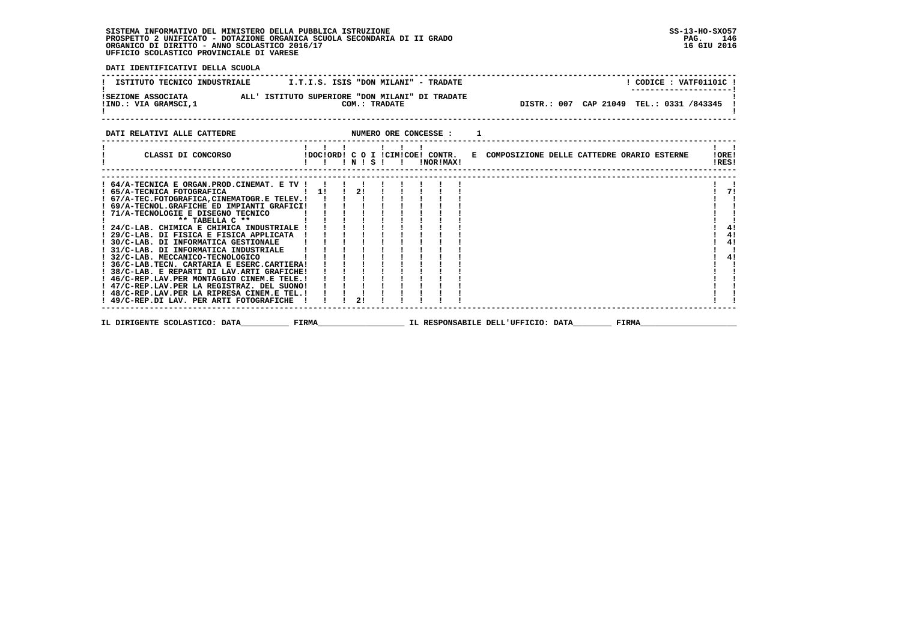**DATI IDENTIFICATIVI DELLA SCUOLA ------------------------------------------------------------------------------------------------------------------------------------** $!$  CODICE : VATF01101C  $!$ **! ISTITUTO TECNICO INDUSTRIALE**  $\qquad$  **I.T.I.S. ISIS "DON MILANI" - TRADATE** ---------------------- **! ---------------------! !SEZIONE ASSOCIATA ALL' ISTITUTO SUPERIORE "DON MILANI" DI TRADATE ! !IND.: VIA GRAMSCI,1 COM.: TRADATE DISTR.: 007 CAP 21049 TEL.: 0331 /843345 !**DISTR.: 007 CAP 21049 TEL.: 0331 /843345 !  $\blacksquare$  **! ! ------------------------------------------------------------------------------------------------------------------------------------DATI RELATIVI ALLE CATTEDRE NUMERO ORE CONCESSE : 1 ------------------------------------------------------------------------------------------------------------------------------------ ! ! ! ! ! ! ! ! ! ! CLASSI DI CONCORSO !DOC!ORD! C O I !CIM!COE! CONTR. E COMPOSIZIONE DELLE CATTEDRE ORARIO ESTERNE !ORE! ! ! ! ! N ! S ! ! !NOR!MAX! !RES! ------------------------------------------------------------------------------------------------------------------------------------ ------------------------------------------------------------------------------------------------------------------------------------ ! 64/A-TECNICA E ORGAN.PROD.CINEMAT. E TV ! ! ! ! ! ! ! ! ! ! ! ! 65/A-TECNICA FOTOGRAFICA ! 1! ! 2! ! ! ! ! ! ! 7! ! 67/A-TEC.FOTOGRAFICA,CINEMATOGR.E TELEV.! ! ! ! ! ! ! ! ! ! ! ! 69/A-TECNOL.GRAFICHE ED IMPIANTI GRAFICI! ! ! ! ! ! ! ! ! ! ! ! 71/A-TECNOLOGIE E DISEGNO TECNICO ! ! ! ! ! ! ! ! ! ! ! ! \*\* TABELLA C \*\* ! ! ! ! ! ! ! ! ! ! ! ! 24/C-LAB. CHIMICA E CHIMICA INDUSTRIALE ! ! ! ! ! ! ! ! ! ! 4!** $\mathbf{I}$  and  $\mathbf{I}$  $171$  $\mathbf{I}$  $\mathbf{I}$  and  $\mathbf{I}$  $\mathbf{I}$  and  $\mathbf{I}$  $\overline{\phantom{a}}$  $\overline{1}$  41  $1 \quad 41$  **! 29/C-LAB. DI FISICA E FISICA APPLICATA ! ! ! ! ! ! ! ! ! ! 4!** $\frac{1}{4}$  **! 30/C-LAB. DI INFORMATICA GESTIONALE ! ! ! ! ! ! ! ! ! ! 4! ! 31/C-LAB. DI INFORMATICA INDUSTRIALE ! ! ! ! ! ! ! ! ! ! ! ! 32/C-LAB. MECCANICO-TECNOLOGICO ! ! ! ! ! ! ! ! ! ! 4! ! 36/C-LAB.TECN. CARTARIA E ESERC.CARTIERA! ! ! ! ! ! ! ! ! ! ! ! 38/C-LAB. E REPARTI DI LAV.ARTI GRAFICHE! ! ! ! ! ! ! ! ! ! ! ! 46/C-REP.LAV.PER MONTAGGIO CINEM.E TELE.! ! ! ! ! ! ! ! ! ! !** $\blacksquare$  $\frac{1}{4}$  $\mathbf{I}$  and  $\mathbf{I}$  $\blacksquare$  $\mathbf{I}$  and  $\mathbf{I}$  $\mathbf{I}$  and  $\mathbf{I}$  **! 47/C-REP.LAV.PER LA REGISTRAZ. DEL SUONO! ! ! ! ! ! ! ! ! ! ! ! 48/C-REP.LAV.PER LA RIPRESA CINEM.E TEL.! ! ! ! ! ! ! ! ! ! ! ! 49/C-REP.DI LAV. PER ARTI FOTOGRAFICHE ! ! ! 2! ! ! ! ! ! ! !** $\mathbf{I}$  $\blacksquare$   **------------------------------------------------------------------------------------------------------------------------------------ IL DIRIGENTE SCOLASTICO: DATA\_\_\_\_\_\_\_\_\_\_ FIRMA\_\_\_\_\_\_\_\_\_\_\_\_\_\_\_\_\_\_ IL RESPONSABILE DELL'UFFICIO: DATA\_\_\_\_\_\_\_\_ FIRMA\_\_\_\_\_\_\_\_\_\_\_\_\_\_\_\_\_\_\_\_**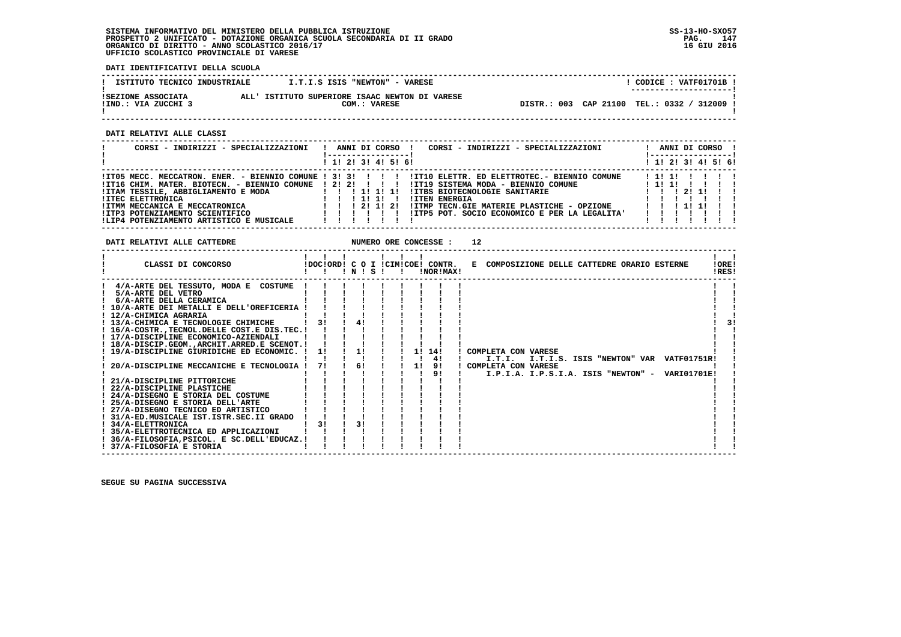**DATI IDENTIFICATIVI DELLA SCUOLA**

| ISTITUTO TECNICO INDUSTRIALE T.T.I.S ISIS "NEWTON" - VARESE                                                                                                                                                                                                                                                                                                                                                                                                                                                                                                                                                                                                                                                                                                                   |                          | .                                           |                                                     |                                                        | $!$ CODICE : VATF01701B $!$                                   |
|-------------------------------------------------------------------------------------------------------------------------------------------------------------------------------------------------------------------------------------------------------------------------------------------------------------------------------------------------------------------------------------------------------------------------------------------------------------------------------------------------------------------------------------------------------------------------------------------------------------------------------------------------------------------------------------------------------------------------------------------------------------------------------|--------------------------|---------------------------------------------|-----------------------------------------------------|--------------------------------------------------------|---------------------------------------------------------------|
| ${\tt ISEZIONE}$ ASSOCIATA ALL' ISTITUTO SUPERIORE ISAAC NEWTON DI VARESE IIND.: VIA ZUCCHI 3 COM.: VARESE                                                                                                                                                                                                                                                                                                                                                                                                                                                                                                                                                                                                                                                                    |                          |                                             |                                                     | DISTR.: 003 CAP 21100 TEL.: 0332 / 312009 !            |                                                               |
| DATI RELATIVI ALLE CLASSI                                                                                                                                                                                                                                                                                                                                                                                                                                                                                                                                                                                                                                                                                                                                                     |                          |                                             | -----------------------                             |                                                        |                                                               |
| CORSI - INDIRIZZI - SPECIALIZZAZIONI                                                                                                                                                                                                                                                                                                                                                                                                                                                                                                                                                                                                                                                                                                                                          |                          | !------------------!<br>1 1! 2! 3! 4! 5! 6! |                                                     | ! ANNI DI CORSO ! CORSI - INDIRIZZI - SPECIALIZZAZIONI | ! ANNI DI CORSO !<br>1-----------------!<br>1 1 2 3 1 4 5 6 1 |
| ! ITO5 MECC. MECCATRON. ENER. - BIENNIO COMUNE ! 3! 3! ! ! ! ! ITIO ELETTR. ED ELETTROTEC.- BIENNIO COMUNE   1! !! !! ! !!                                                                                                                                                                                                                                                                                                                                                                                                                                                                                                                                                                                                                                                    |                          |                                             |                                                     |                                                        |                                                               |
| DATI RELATIVI ALLE CATTEDRE                                                                                                                                                                                                                                                                                                                                                                                                                                                                                                                                                                                                                                                                                                                                                   |                          |                                             |                                                     | 12                                                     |                                                               |
| CLASSI DI CONCORSO (DOCIORDI C O I ICIMICOE! CONTR.                                                                                                                                                                                                                                                                                                                                                                                                                                                                                                                                                                                                                                                                                                                           |                          |                                             |                                                     | E COMPOSIZIONE DELLE CATTEDRE ORARIO ESTERNE ! ORE!    | $\mathbf{I}$ $\mathbf{I}$<br>!RES!                            |
| ! 4/A-ARTE DEL TESSUTO, MODA E COSTUME ! ! !<br>! 10/A-ARTE DEI METALLI E DELL'OREFICERIA ! ! ! ! ! ! ! ! !<br>! 12/A-CHIMICA AGRARIA<br>$!$ 13/A-CHIMICA E TECNOLOGIE CHIMICHE $!$ 1 31 1 41 1 1 1<br>$! 16/A-COSTR$ ., TECNOL. DELLE COST. E DIS. TEC. $!  1  1  1  1  1  1 $<br>! 17/A-DISCIPLINE ECONOMICO-AZIENDALI<br>! 18/A-DISCIP.GEOM., ARCHIT. ARRED. E SCENOT. ! ! ! ! ! ! ! ! ! !<br>! 19/A-DISCIPLINE GIURIDICHE ED ECONOMIC. ! 1! ! 1! ! ! 1! 14! ! COMPLETA CON VARESE<br>$! 31/A$ -ED.MUSICALE IST.ISTR.SEC.II GRADO $! 1 ! 1 !$<br>$1 \t3! \t1 \t3! \t1$<br>! 34/A-ELETTRONICA<br>1 35/A-ELETTROTECNICA ED APPLICAZIONI          <br>! 36/A-FILOSOFIA, PSICOL. E SC. DELL'EDUCAZ.! ! ! !<br>and the contract of the contract of<br>! 37/A-FILOSOFIA E STORIA | <b>Contract Contract</b> |                                             | $\mathbf{1}$ $\mathbf{1}$ $\mathbf{1}$ $\mathbf{1}$ |                                                        | 3!                                                            |

 **------------------------------------------------------------------------------------------------------------------------------------**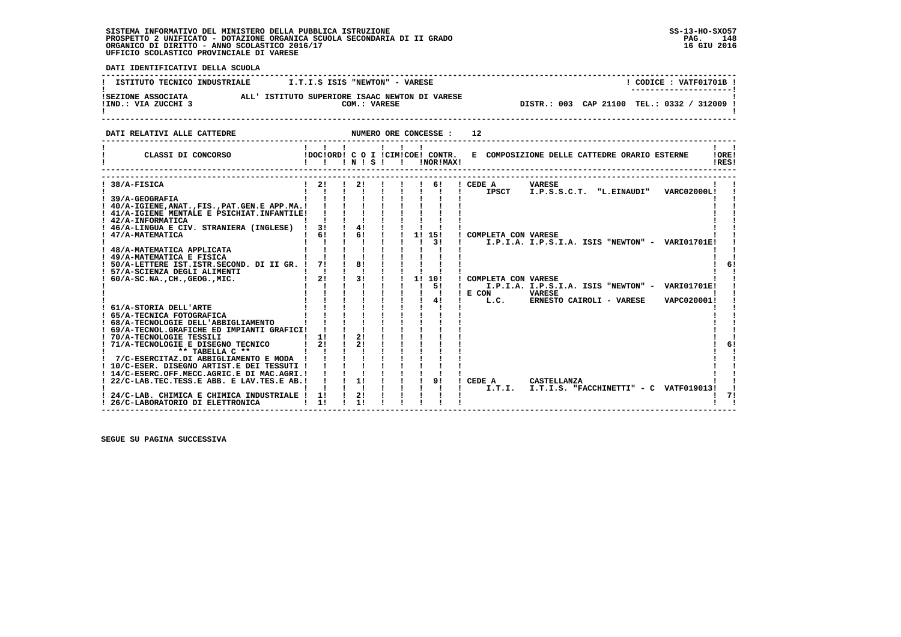**PAC 148** 16 GIU 2016

 **DATI IDENTIFICATIVI DELLA SCUOLA ------------------------------------------------------------------------------------------------------------------------------------**! CODICE: VATF01701B ! **I ISTITUTO TECNICO INDUSTRIALE**  $I.T.I.S$  **ISIS "NEWTON" - VARESE** .<br>!SEZIONE ASSOCIATA<br>!IND.: VIA ZUCCHI 3 ALL' ISTITUTO SUPERIORE ISAAC NEWTON DI VARESE  **!IND.: VIA ZUCCHI 3 COM.: VARESE DISTR.: 003 CAP 21100 TEL.: 0332 / 312009 !**- 1  **! ! ------------------------------------------------------------------------------------------------------------------------------------DATI RELATIVI ALLE CATTEDRE NUMERO ORE CONCESSE : 12 ------------------------------------------------------------------------------------------------------------------------------------ ! ! ! ! ! ! ! ! ! ! CLASSI DI CONCORSO !DOC!ORD! C O I !CIM!COE! CONTR. E COMPOSIZIONE DELLE CATTEDRE ORARIO ESTERNE !ORE! ! ! ! ! N ! S ! ! !NOR!MAX! !RES!** $\mathbf{I}$   $\mathbf{I}$ **IORE!** IRESI . \_ \_ \_ \_ \_ \_ \_ \_ \_ \_ \_ \_ \_ \_  **------------------------------------------------------------------------------------------------------------------------------------ ------------------------------------------------------------------------------------------------------------------------------------ ! 38/A-FISICA ! 2! ! 2! ! ! ! 6! ! CEDE A VARESE ! ! ! ! ! ! ! ! ! ! ! ! IPSCT I.P.S.S.C.T. "L.EINAUDI" VARC02000L! ! ! 39/A-GEOGRAFIA ! ! ! ! ! ! ! ! ! ! !** $\mathbf{I}$  **! 40/A-IGIENE,ANAT.,FIS.,PAT.GEN.E APP.MA.! ! ! ! ! ! ! ! ! ! ! ! 41/A-IGIENE MENTALE E PSICHIAT.INFANTILE! ! ! ! ! ! ! ! ! ! ! ! 42/A-INFORMATICA ! ! ! ! ! ! ! ! ! ! ! ! 46/A-LINGUA E CIV. STRANIERA (INGLESE) ! 3! ! 4! ! ! ! ! ! ! ! ! 47/A-MATEMATICA ! 6! ! 6! ! ! 1! 15! ! COMPLETA CON VARESE ! ! ! ! ! ! ! ! ! ! 3! ! I.P.I.A. I.P.S.I.A. ISIS "NEWTON" - VARI01701E! ! ! 48/A-MATEMATICA APPLICATA ! ! ! ! ! ! ! ! ! ! ! ! 49/A-MATEMATICA E FISICA ! ! ! ! ! ! ! ! ! ! !** $1<sub>61</sub>$  **! 50/A-LETTERE IST.ISTR.SECOND. DI II GR. ! 7! ! 8! ! ! ! ! ! ! 6! ! 57/A-SCIENZA DEGLI ALIMENTI ! ! ! ! ! ! ! ! ! ! ! ! 60/A-SC.NA.,CH.,GEOG.,MIC. ! 2! ! 3! ! ! 1! 10! ! COMPLETA CON VARESE ! !**ا ! ! ! ! ! ! ! ! ! ! 5! ! T.P.I.A. I.P.S.I.A. ISIS "NEWTON" - VARI01701E! !<br>! ! ! ! ! ! ! ! ! ! ! ! E CON VARESE UNRESE VAPC020001! !<br>! ! ! ! ! ! ! ! ! ! !! ! I.C. ERNESTO CAIROLI - VARESE VAPC020001!  **! 61/A-STORIA DELL'ARTE ! ! ! ! ! ! ! ! ! ! ! ! 65/A-TECNICA FOTOGRAFICA ! ! ! ! ! ! ! ! ! ! ! ! 68/A-TECNOLOGIE DELL'ABBIGLIAMENTO ! ! ! ! ! ! ! ! ! ! ! ! 69/A-TECNOL.GRAFICHE ED IMPIANTI GRAFICI! ! ! ! ! ! ! ! ! ! ! ! 70/A-TECNOLOGIE TESSILI ! 1! ! 2! ! ! ! ! ! ! !**6!  **! 71/A-TECNOLOGIE E DISEGNO TECNICO ! 2! ! 2! ! ! ! ! ! ! 6! ! \*\* TABELLA C \*\* ! ! ! ! ! ! ! ! ! ! ! ! 7/C-ESERCITAZ.DI ABBIGLIAMENTO E MODA ! ! ! ! ! ! ! ! ! ! ! ! 10/C-ESER. DISEGNO ARTIST.E DEI TESSUTI ! ! ! ! ! ! ! ! ! ! ! ! 14/C-ESERC.OFF.MECC.AGRIC.E DI MAC.AGRI.! ! ! ! ! ! ! ! ! ! ! ! 22/C-LAB.TEC.TESS.E ABB. E LAV.TES.E AB.! ! ! 1! ! ! ! 9! ! CEDE A CASTELLANZA ! !** $\blacksquare$  **! ! ! ! ! ! ! ! ! ! I.T.I. I.T.I.S. "FACCHINETTI" - C VATF019013! ! ! 24/C-LAB. CHIMICA E CHIMICA INDUSTRIALE ! 1! ! 2! ! ! ! ! ! ! 7! ! 26/C-LABORATORIO DI ELETTRONICA ! 1! ! 1! ! ! ! ! ! ! !**

 **------------------------------------------------------------------------------------------------------------------------------------**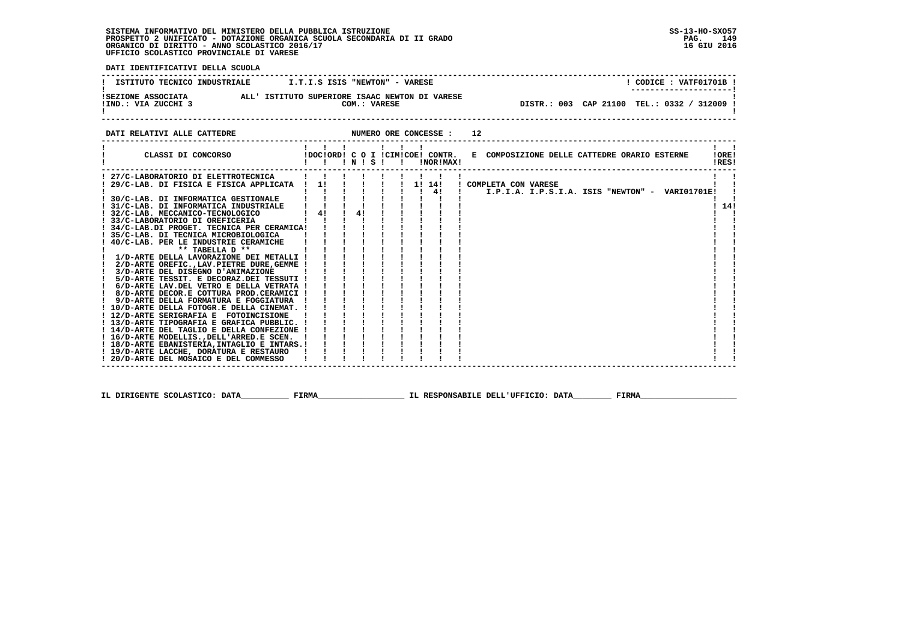**PAG.** 149 16 GIU 2016

 **DATI IDENTIFICATIVI DELLA SCUOLA**

| ISTITUTO TECNICO INDUSTRIALE              | I.T.I.S ISIS "NEWTON" - VARESE                                 | CODICE: VATF01701B !<br>---------------------- |
|-------------------------------------------|----------------------------------------------------------------|------------------------------------------------|
| ISEZIONE ASSOCIATA<br>IIND.: VIA ZUCCHI 3 | ALL' ISTITUTO SUPERIORE ISAAC NEWTON DI VARESE<br>COM.: VARESE | DISTR.: 003 CAP 21100 TEL.: 0332 / 312009 !    |
|                                           |                                                                |                                                |

**DATI RELATIVI ALLE CATTEDRE NUMERO ORE CONCESSE : 12 ------------------------------------------------------------------------------------------------------------------------------------ ! ! ! ! ! ! ! ! ! ! CLASSI DI CONCORSO !DOC!ORD! C O I !CIM!COE! CONTR. E COMPOSIZIONE DELLE CATTEDRE ORARIO ESTERNE !ORE! ! ! ! ! N ! S ! ! !NOR!MAX! !RES!**. \_ \_ \_ \_ \_ \_ .  **------------------------------------------------------------------------------------------------------------------------------------** $\mathbf{I}$  and  $\mathbf{I}$  **! 27/C-LABORATORIO DI ELETTROTECNICA ! ! ! ! ! ! ! ! ! ! ! ! 29/C-LAB. DI FISICA E FISICA APPLICATA ! 1! ! ! ! ! 1! 14! ! COMPLETA CON VARESE ! ! ! ! ! ! ! ! ! ! 4! ! I.P.I.A. I.P.S.I.A. ISIS "NEWTON" - VARI01701E! ! ! 30/C-LAB. DI INFORMATICA GESTIONALE ! ! ! ! ! ! ! ! ! ! !** $\mathbf{I}$  $\mathbf{I}$  $1 \t141$  **! 31/C-LAB. DI INFORMATICA INDUSTRIALE ! ! ! ! ! ! ! ! ! ! 14! ! 32/C-LAB. MECCANICO-TECNOLOGICO ! 4! ! 4! ! ! ! ! ! ! ! ! 33/C-LABORATORIO DI OREFICERIA ! ! ! ! ! ! ! ! ! ! ! ! 34/C-LAB.DI PROGET. TECNICA PER CERAMICA! ! ! ! ! ! ! ! ! ! !** $\mathbf{I}$   $\mathbf{I}$  $\blacksquare$  **! 35/C-LAB. DI TECNICA MICROBIOLOGICA ! ! ! ! ! ! ! ! ! ! ! ! 40/C-LAB. PER LE INDUSTRIE CERAMICHE ! ! ! ! ! ! ! ! ! ! ! ! \*\* TABELLA D \*\* ! ! ! ! ! ! ! ! ! ! ! ! 1/D-ARTE DELLA LAVORAZIONE DEI METALLI ! ! ! ! ! ! ! ! ! ! ! ! 2/D-ARTE OREFIC.,LAV.PIETRE DURE,GEMME ! ! ! ! ! ! ! ! ! ! ! ! 3/D-ARTE DEL DISEGNO D'ANIMAZIONE ! ! ! ! ! ! ! ! ! ! ! ! 5/D-ARTE TESSIT. E DECORAZ.DEI TESSUTI ! ! ! ! ! ! ! ! ! ! ! ! 6/D-ARTE LAV.DEL VETRO E DELLA VETRATA ! ! ! ! ! ! ! ! ! ! ! ! 8/D-ARTE DECOR.E COTTURA PROD.CERAMICI ! ! ! ! ! ! ! ! ! ! ! ! 9/D-ARTE DELLA FORMATURA E FOGGIATURA ! ! ! ! ! ! ! ! ! ! ! ! 10/D-ARTE DELLA FOTOGR.E DELLA CINEMAT. ! ! ! ! ! ! ! ! ! ! ! ! 12/D-ARTE SERIGRAFIA E FOTOINCISIONE ! ! ! ! ! ! ! ! ! ! ! ! 13/D-ARTE TIPOGRAFIA E GRAFICA PUBBLIC. ! ! ! ! ! ! ! ! ! ! ! ! 14/D-ARTE DEL TAGLIO E DELLA CONFEZIONE ! ! ! ! ! ! ! ! ! ! !** $\blacksquare$  $\blacksquare$  **! 16/D-ARTE MODELLIS.,DELL'ARRED.E SCEN. ! ! ! ! ! ! ! ! ! ! !** $\blacksquare$  **! 18/D-ARTE EBANISTERIA,INTAGLIO E INTARS.! ! ! ! ! ! ! ! ! ! ! ! 19/D-ARTE LACCHE, DORATURA E RESTAURO ! ! ! ! ! ! ! ! ! ! !** $\mathbf{I}$  **! 20/D-ARTE DEL MOSAICO E DEL COMMESSO ! ! ! ! ! ! ! ! ! ! ! ------------------------------------------------------------------------------------------------------------------------------------**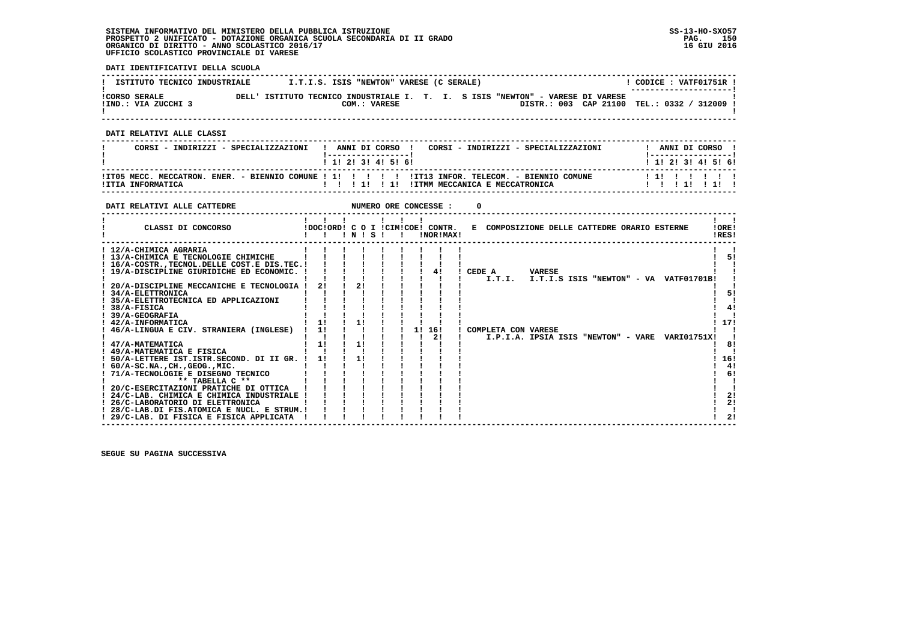**DATI IDENTIFICATIVI DELLA SCUOLA**

| ISTITUTO TECNICO INDUSTRIALE                |                                                                                | I.T.I.S. ISIS "NEWTON" VARESE (C SERALE) |  |  |                                           | CODICE: VATF01751R !<br>--------------------- |  |
|---------------------------------------------|--------------------------------------------------------------------------------|------------------------------------------|--|--|-------------------------------------------|-----------------------------------------------|--|
| <b>!CORSO SERALE</b><br>!IND.: VIA ZUCCHI 3 | DELL' ISTITUTO TECNICO INDUSTRIALE I. T. I. S ISIS "NEWTON" - VARESE DI VARESE | COM.: VARESE                             |  |  | DISTR.: 003 CAP 21100 TEL.: 0332 / 312009 |                                               |  |

 **------------------------------------------------------------------------------------------------------------------------------------**

 **DATI RELATIVI ALLE CLASSI**

| CORSI - INDIRIZZI - SPECIALIZZAZIONI | ANNI DI CORSO !<br>CORSI - INDIRIZZI - SPECIALIZZAZIONI<br>------------------<br>1 1 2 3 3 4 5 6 1                                     | ANNI DI CORSO<br>1 1 1 2 1 3 1 4 1 5 1 6 1 |
|--------------------------------------|----------------------------------------------------------------------------------------------------------------------------------------|--------------------------------------------|
| !ITIA INFORMATICA                    | ITT05 MECC. MECCATRON. ENER. - BIENNIO COMUNE ! 1! ! ! !! !! ITT13 INFOR. TELECOM. - BIENNIO COMUNE!<br>!ITMM MECCANICA E MECCATRONICA | 111 1 1 1 1 1                              |

 **------------------------------------------------------------------------------------------------------------------------------------**

| DATI RELATIVI ALLE CATTEDRE                                                                                                                                                                                                                                                                                                                                                                                                                            |                |              |     |    | NUMERO ORE CONCESSE :                         |        |                     |               |                                              |                                                 |                                          |
|--------------------------------------------------------------------------------------------------------------------------------------------------------------------------------------------------------------------------------------------------------------------------------------------------------------------------------------------------------------------------------------------------------------------------------------------------------|----------------|--------------|-----|----|-----------------------------------------------|--------|---------------------|---------------|----------------------------------------------|-------------------------------------------------|------------------------------------------|
| CLASSI DI CONCORSO                                                                                                                                                                                                                                                                                                                                                                                                                                     |                | $\mathbf{N}$ | - 5 |    | !DOC!ORD! C O I !CIM!COE! CONTR.<br>!NOR!MAX! |        |                     |               | E COMPOSIZIONE DELLE CATTEDRE ORARIO ESTERNE |                                                 | IOREI<br>!RES!                           |
| ! 12/A-CHIMICA AGRARIA<br>! 13/A-CHIMICA E TECNOLOGIE CHIMICHE<br>16/A-COSTR., TECNOL. DELLE COST. E DIS. TEC. !<br>! 19/A-DISCIPLINE GIURIDICHE ED ECONOMIC. !<br>20/A-DISCIPLINE MECCANICHE E TECNOLOGIA !<br>34/A-ELETTRONICA<br>35/A-ELETTROTECNICA ED APPLICAZIONI<br>38/A-FISICA                                                                                                                                                                 | 21             | 21           |     |    | 4!                                            | CEDE A | I.T.I.              | <b>VARESE</b> |                                              | I.T.I.S ISIS "NEWTON" - VA VATF01701B!          | 51<br>51<br>41                           |
| 39/A-GEOGRAFIA<br>! 42/A-INFORMATICA<br>46/A-LINGUA E CIV. STRANIERA (INGLESE)<br>47/A-MATEMATICA<br>! 49/A-MATEMATICA E FISICA<br>50/A-LETTERE IST. ISTR. SECOND. DI II GR.<br>$60/A-SC.NA.$ , $CH.$ , $GEOG.$ , $MIC.$<br>71/A-TECNOLOGIE E DISEGNO TECNICO<br>** TABELLA C **<br>20/C-ESERCITAZIONI PRATICHE DI OTTICA<br>24/C-LAB. CHIMICA E CHIMICA INDUSTRIALE<br>! 26/C-LABORATORIO DI ELETTRONICA<br>28/C-LAB.DI FIS.ATOMICA E NUCL. E STRUM.! | 1!<br>11<br>1! | 11           |     | 11 | 16!<br>2!                                     |        | COMPLETA CON VARESE |               |                                              | I.P.I.A. IPSIA ISIS "NEWTON" - VARE VARI01751X! | 17!<br>8!<br>16!<br>4!<br>6!<br>2!<br>2! |
| ! 29/C-LAB. DI FISICA E FISICA APPLICATA                                                                                                                                                                                                                                                                                                                                                                                                               |                |              |     |    |                                               |        |                     |               |                                              |                                                 | 21                                       |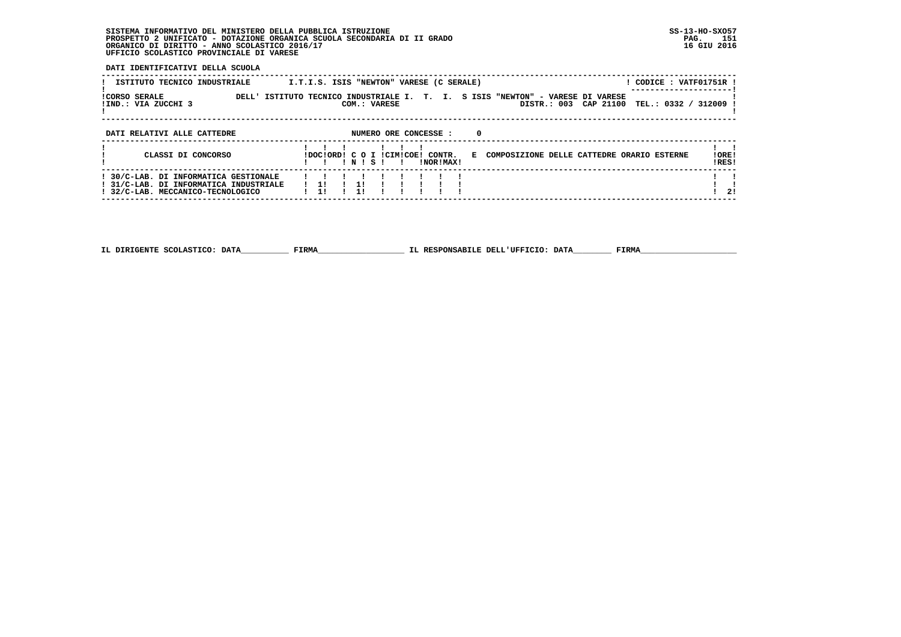**DATI IDENTIFICATIVI DELLA SCUOLA**

| ISTITUTO TECNICO INDUSTRIALE                                                                                         | I.T.I.S. ISIS "NEWTON" VARESE (C SERALE)<br>! CODICE : VATF01751R !                                                                                 |                 |
|----------------------------------------------------------------------------------------------------------------------|-----------------------------------------------------------------------------------------------------------------------------------------------------|-----------------|
| <b>ICORSO SERALE</b><br>!IND.: VIA ZUCCHI 3                                                                          | DELL' ISTITUTO TECNICO INDUSTRIALE I. T. I. S ISIS "NEWTON" - VARESE DI VARESE<br>CAP 21100<br>DISTR.: 003<br>TEL.: 0332 / 312009 !<br>COM.: VARESE |                 |
| DATI RELATIVI ALLE CATTEDRE                                                                                          | NUMERO ORE CONCESSE :<br>0                                                                                                                          |                 |
| CLASSI DI CONCORSO                                                                                                   | IDOCIORDI C O I ICIMICOEI CONTR.<br>E COMPOSIZIONE DELLE CATTEDRE ORARIO ESTERNE<br>NISI<br>INORIMAXI                                               | ! ORE!<br>IRES! |
| ! 30/C-LAB. DI INFORMATICA GESTIONALE<br>! 31/C-LAB. DI INFORMATICA INDUSTRIALE<br>! 32/C-LAB. MECCANICO-TECNOLOGICO | 11                                                                                                                                                  | 21              |

 **------------------------------------------------------------------------------------------------------------------------------------**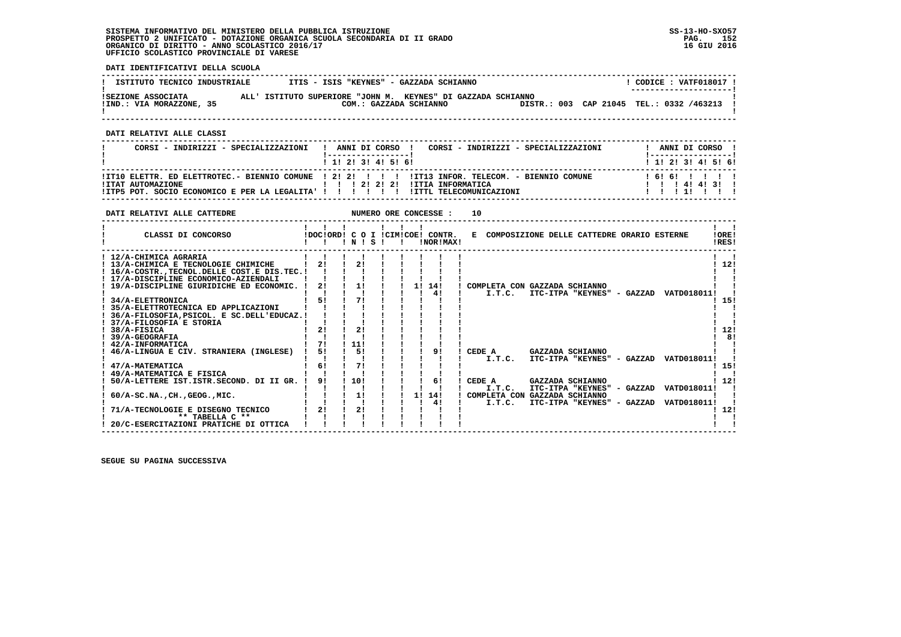**DATI IDENTIFICATIVI DELLA SCUOLA**

| ISTITUTO TECNICO INDUSTRIALE                   | ITIS - ISIS "KEYNES" - GAZZADA SCHIANNO                                                |  | CODICE: VATF018017 !<br>--------------------- |  |
|------------------------------------------------|----------------------------------------------------------------------------------------|--|-----------------------------------------------|--|
| ISEZIONE ASSOCIATA<br>!IND.: VIA MORAZZONE, 35 | ALL' ISTITUTO SUPERIORE "JOHN M. KEYNES" DI GAZZADA SCHIANNO<br>COM.: GAZZADA SCHIANNO |  | DISTR.: 003 CAP 21045 TEL.: 0332 /463213 !    |  |

 **------------------------------------------------------------------------------------------------------------------------------------**

 **DATI RELATIVI ALLE CLASSI**

| CORSI - INDIRIZZI - SPECIALIZZAZIONI                                                                     | CORSI - INDIRIZZI - SPECIALIZZAZIONI<br>! ANNI DI CORSO !                                                                                                             | ANNI DI CORSO !                                                     |
|----------------------------------------------------------------------------------------------------------|-----------------------------------------------------------------------------------------------------------------------------------------------------------------------|---------------------------------------------------------------------|
|                                                                                                          | 1 1 1 2 1 3 1 4 1 5 1 6 1                                                                                                                                             | 1 1 2 3 3 4 5 5 6 1                                                 |
| !ITAT AUTOMAZIONE<br>!ITP5 POT. SOCIO ECONOMICO E PER LA LEGALITA' ! ! ! ! ! ! ! !ITTL TELECOMUNICAZIONI | ITIO ELETTR. ED ELETTROTEC.- BIENNIO COMUNE   2! 2! !       ITI3 INFOR. TELECOM. - BIENNIO COMUNE<br>$1 \quad 1 \quad 21 \quad 21 \quad 21 \quad 11$ TTIA INFORMATICA | 161611111<br>$1 \quad 1 \quad 1 \quad 41 \quad 41 \quad 31 \quad 1$ |

| DATI RELATIVI ALLE CATTEDRE                                                                                                                                                                                                                                                                                                                                                                                                                                                                                                                                                 |                                              |                                                 |    |          | NUMERO ORE CONCESSE :                         | 10     |                                                                                                                  |                                                                                                                                                              |                                                          |                                       |
|-----------------------------------------------------------------------------------------------------------------------------------------------------------------------------------------------------------------------------------------------------------------------------------------------------------------------------------------------------------------------------------------------------------------------------------------------------------------------------------------------------------------------------------------------------------------------------|----------------------------------------------|-------------------------------------------------|----|----------|-----------------------------------------------|--------|------------------------------------------------------------------------------------------------------------------|--------------------------------------------------------------------------------------------------------------------------------------------------------------|----------------------------------------------------------|---------------------------------------|
| CLASSI DI CONCORSO                                                                                                                                                                                                                                                                                                                                                                                                                                                                                                                                                          |                                              | ! N !                                           | S. |          | IDOCIORD! C O I ICIMICOE! CONTR.<br>!NOR!MAX! |        |                                                                                                                  | E COMPOSIZIONE DELLE CATTEDRE ORARIO ESTERNE                                                                                                                 |                                                          | 10RE!<br>!RES!                        |
| ! 12/A-CHIMICA AGRARIA<br>! 13/A-CHIMICA E TECNOLOGIE CHIMICHE<br>16/A-COSTR., TECNOL. DELLE COST. E DIS. TEC. !<br>! 17/A-DISCIPLINE ECONOMICO-AZIENDALI<br>! 19/A-DISCIPLINE GIURIDICHE ED ECONOMIC. !<br>34/A-ELETTRONICA<br>35/A-ELETTROTECNICA ED APPLICAZIONI<br>36/A-FILOSOFIA, PSICOL. E SC.DELL'EDUCAZ.!<br>37/A-FILOSOFIA E STORIA<br>38/A-FISICA<br>39/A-GEOGRAFIA<br>! 42/A-INFORMATICA<br>46/A-LINGUA E CIV. STRANIERA (INGLESE)<br>47/A-MATEMATICA<br>49/A-MATEMATICA E FISICA<br>50/A-LETTERE IST.ISTR.SECOND. DI II GR.<br>$60/A-SC.NA.$ , CH., GEOG., MIC. | 21<br>2!<br>51<br>21<br>71<br>51<br>6!<br>91 | 1!<br>71<br>21<br>111<br>51<br>71<br>110!<br>1! |    | 11<br>11 | 14!<br>41<br>91<br>61<br>14!<br>41            | CEDE A | COMPLETA CON GAZZADA SCHIANNO<br>I.T.C.<br>CEDE A<br>I.T.C.<br>I.T.C.<br>COMPLETA CON GAZZADA SCHIANNO<br>I.T.C. | ITC-ITPA "KEYNES" - GAZZAD<br>GAZZADA SCHIANNO<br>ITC-ITPA "KEYNES" - GAZZAD<br>GAZZADA SCHIANNO<br>ITC-ITPA "KEYNES" - GAZZAD<br>ITC-ITPA "KEYNES" - GAZZAD | VATD018011!<br>VATD018011!<br>VATD018011!<br>VATD018011! | 12!<br>15!<br>12!<br>8!<br>15!<br>12! |
| 71/A-TECNOLOGIE E DISEGNO TECNICO<br>** TABELLA C **<br>20/C-ESERCITAZIONI PRATICHE DI OTTICA                                                                                                                                                                                                                                                                                                                                                                                                                                                                               | 21                                           | 21                                              |    |          |                                               |        |                                                                                                                  |                                                                                                                                                              |                                                          | 12!                                   |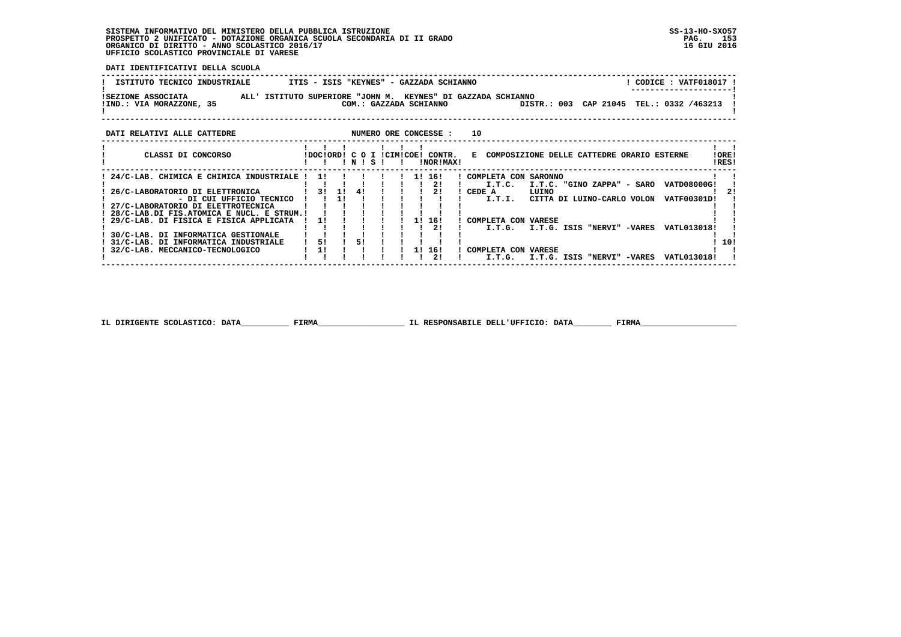j

 **DATI IDENTIFICATIVI DELLA SCUOLA**

| ISTITUTO TECNICO INDUSTRIALE | ITIS - ISIS "KEYNES" - GAZZADA SCHIANNO                      | CODICE : VATF018017 !                    |
|------------------------------|--------------------------------------------------------------|------------------------------------------|
| ISEZIONE ASSOCIATA           | ALL' ISTITUTO SUPERIORE "JOHN M. KEYNES" DI GAZZADA SCHIANNO | ---------------------                    |
| !IND.: VIA MORAZZONE, 35     | COM.: GAZZADA SCHIANNO                                       | DISTR.: 003 CAP 21045 TEL.: 0332 /463213 |
| DATI RELATIVI ALLE CATTEDRE  | NUMERO ORE CONCESSE :<br>10                                  |                                          |

| CLASSI DI CONCORSO                        |     |     |    |       |  |    | IDOCIORDI C O I ICIMICOEI CONTR. | COMPOSIZIONE DELLE CATTEDRE ORARIO ESTERNE<br>Е               | IOREI |
|-------------------------------------------|-----|-----|----|-------|--|----|----------------------------------|---------------------------------------------------------------|-------|
|                                           |     |     |    | INISI |  |    | INORIMAX!                        | IRES!                                                         |       |
| 24/C-LAB. CHIMICA E CHIMICA INDUSTRIALE ! | 11  |     |    |       |  | 11 | 161                              | ! COMPLETA CON SARONNO                                        |       |
|                                           |     |     |    |       |  |    | 21                               | I.T.C.<br>I.T.C. "GINO ZAPPA" - SARO<br>VATD08000G!           |       |
| 26/C-LABORATORIO DI ELETTRONICA           | 31  | 1 L | 41 |       |  |    | 21                               | CEDE A<br>LUINO                                               | 21    |
| - DI CUI UFFICIO TECNICO                  |     |     |    |       |  |    |                                  | I.T.I.<br>CITTA DI LUINO-CARLO VOLON<br>VATF00301D!           |       |
| 27/C-LABORATORIO DI ELETTROTECNICA        |     |     |    |       |  |    |                                  |                                                               |       |
| 28/C-LAB.DI FIS.ATOMICA E NUCL. E STRUM.! |     |     |    |       |  |    |                                  |                                                               |       |
| ! 29/C-LAB. DI FISICA E FISICA APPLICATA  | -11 |     |    |       |  |    | 16!                              | COMPLETA CON VARESE                                           |       |
|                                           |     |     |    |       |  |    | 21                               | VATL013018!<br>I.T.G.<br><b>-VARES</b><br>I.T.G. ISIS "NERVI" |       |
| 30/C-LAB. DI INFORMATICA GESTIONALE       |     |     |    |       |  |    |                                  |                                                               |       |
| 31/C-LAB. DI INFORMATICA INDUSTRIALE      | 51  |     | 51 |       |  |    |                                  |                                                               | 10!   |
| 32/C-LAB. MECCANICO-TECNOLOGICO           |     |     |    |       |  |    | 16!                              | COMPLETA CON<br><b>VARESE</b>                                 |       |
|                                           |     |     |    |       |  |    | 21                               | I.T.G.<br>-VARES<br>VATL013018!<br>I.T.G.<br>ISIS "NERVI"     |       |

 **IL DIRIGENTE SCOLASTICO: DATA\_\_\_\_\_\_\_\_\_\_ FIRMA\_\_\_\_\_\_\_\_\_\_\_\_\_\_\_\_\_\_ IL RESPONSABILE DELL'UFFICIO: DATA\_\_\_\_\_\_\_\_ FIRMA\_\_\_\_\_\_\_\_\_\_\_\_\_\_\_\_\_\_\_\_**

 **------------------------------------------------------------------------------------------------------------------------------------**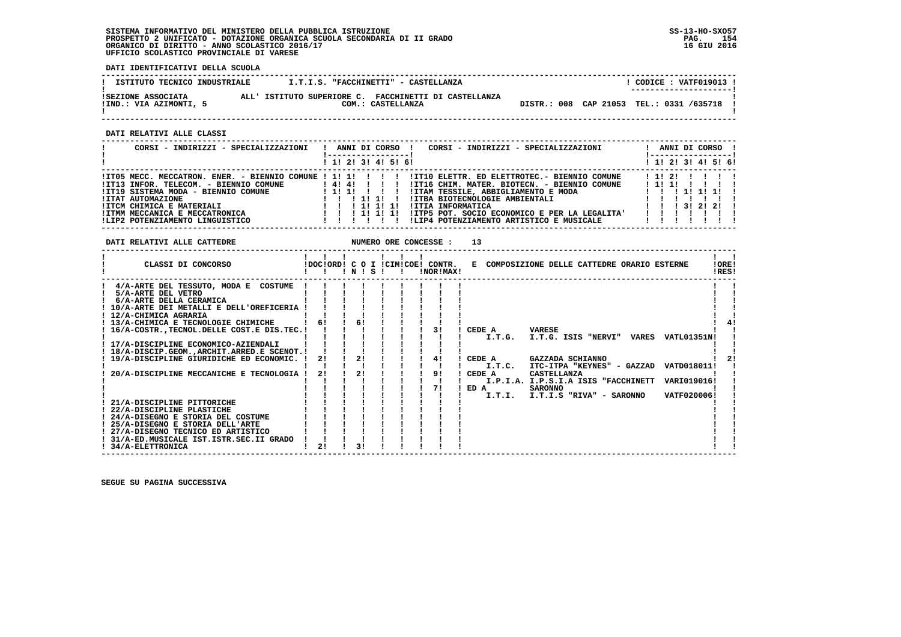**DATI IDENTIFICATIVI DELLA SCUOLA**

| ISTITUTO TECNICO INDUSTRIALE                 | I.T.I.S. "FACCHINETTI" - CASTELLANZA                                       |                                            | CODICE : VATF019013 !<br>--------------------- |
|----------------------------------------------|----------------------------------------------------------------------------|--------------------------------------------|------------------------------------------------|
| ISEZIONE ASSOCIATA<br>IIND.: VIA AZIMONTI, 5 | ALL' ISTITUTO SUPERIORE C. FACCHINETTI DI CASTELLANZA<br>COM.: CASTELLANZA | DISTR.: 008 CAP 21053 TEL.: 0331 /635718 ! |                                                |

 **DATI RELATIVI ALLE CLASSI**

| CORSI - INDIRIZZI - SPECIALIZZAZIONI                                                                                                                                                                                                                                 | ANNI DI CORSO !<br>CORSI - INDIRIZZI - SPECIALIZZAZIONI<br>! 1! 2! 3! 4! 5! 6!                                                                                                                                                                                                                                                | ANNI DI CORSO !<br>-----------------<br>! 1! 2! 3! 4! 5! 6! |
|----------------------------------------------------------------------------------------------------------------------------------------------------------------------------------------------------------------------------------------------------------------------|-------------------------------------------------------------------------------------------------------------------------------------------------------------------------------------------------------------------------------------------------------------------------------------------------------------------------------|-------------------------------------------------------------|
| !IT05 MECC. MECCATRON. ENER. - BIENNIO COMUNE ! 1! 1!<br>!IT13 INFOR. TELECOM. - BIENNIO COMUNE<br>!IT19 SISTEMA MODA - BIENNIO COMUNE<br><b>!ITAT AUTOMAZIONE</b><br>!ITCM CHIMICA E MATERIALI<br>!ITMM MECCANICA E MECCATRONICA<br>!LIP2 POTENZIAMENTO LINGUISTICO | !IT10 ELETTR. ED ELETTROTEC.- BIENNIO COMUNE<br>1414111<br>!IT16 CHIM. MATER. BIOTECN. - BIENNIO COMUNE<br>!ITAM TESSILE, ABBIGLIAMENTO E MODA<br>1111<br>!ITBA BIOTECNOLOGIE AMBIENTALI<br>!ITIA INFORMATICA<br>!ITP5 POT. SOCIO ECONOMICO E PER LA LEGALITA'<br>1 1 1 1 1 1 1 1<br>!LIP4 POTENZIAMENTO ARTISTICO E MUSICALE | $1\;11\;21$<br>1111<br>1 11 11 11<br>1 1 1 3 1 2 1 2 1      |

| DATI RELATIVI ALLE CATTEDRE                                                                                                                                                                                                                                                                                                                                                                                                                                                                                                              |          |          | NUMERO ORE CONCESSE : | 13                                                                      |                                                                                                                                                                                                    |                                           |                |
|------------------------------------------------------------------------------------------------------------------------------------------------------------------------------------------------------------------------------------------------------------------------------------------------------------------------------------------------------------------------------------------------------------------------------------------------------------------------------------------------------------------------------------------|----------|----------|-----------------------|-------------------------------------------------------------------------|----------------------------------------------------------------------------------------------------------------------------------------------------------------------------------------------------|-------------------------------------------|----------------|
| CLASSI DI CONCORSO                                                                                                                                                                                                                                                                                                                                                                                                                                                                                                                       |          | INISI    | !NOR!MAX!             |                                                                         | !DOC!ORD! C O I !CIM!COE! CONTR. E COMPOSIZIONE DELLE CATTEDRE ORARIO ESTERNE                                                                                                                      |                                           | !ORE!<br>IRES! |
| 4/A-ARTE DEL TESSUTO, MODA E COSTUME<br>5/A-ARTE DEL VETRO<br>6/A-ARTE DELLA CERAMICA<br>10/A-ARTE DEI METALLI E DELL'OREFICERIA<br>! 12/A-CHIMICA AGRARIA<br>! 13/A-CHIMICA E TECNOLOGIE CHIMICHE<br>16/A-COSTR., TECNOL. DELLE COST. E DIS. TEC. !<br>! 17/A-DISCIPLINE ECONOMICO-AZIENDALI<br>! 18/A-DISCIP.GEOM.,ARCHIT.ARRED.E SCENOT.!<br>19/A-DISCIPLINE GIURIDICHE ED ECONOMIC. !<br>20/A-DISCIPLINE MECCANICHE E TECNOLOGIA !<br>21/A-DISCIPLINE PITTORICHE<br>22/A-DISCIPLINE PLASTICHE<br>! 24/A-DISEGNO E STORIA DEL COSTUME | 21<br>2! | 21<br>21 | 31<br>41<br>9!<br>71  | CEDE A<br><b>VARESE</b><br>CEDE A<br>I.T.C.<br>CEDE A<br>ED A<br>I.T.I. | I.T.G. I.T.G. ISIS "NERVI" VARES<br>GAZZADA SCHIANNO<br>ITC-ITPA "KEYNES" - GAZZAD<br>CASTELLANZA<br>I.P.I.A. I.P.S.I.A ISIS "FACCHINETT VARI019016!<br><b>SARONNO</b><br>I.T.I.S "RIVA" - SARONNO | VATL01351N!<br>VATD018011!<br>VATF020006! |                |
| ! 25/A-DISEGNO E STORIA DELL'ARTE<br>! 27/A-DISEGNO TECNICO ED ARTISTICO<br>! 31/A-ED.MUSICALE IST.ISTR.SEC.II GRADO<br>! 34/A-ELETTRONICA                                                                                                                                                                                                                                                                                                                                                                                               | 21       | 31       |                       |                                                                         |                                                                                                                                                                                                    |                                           |                |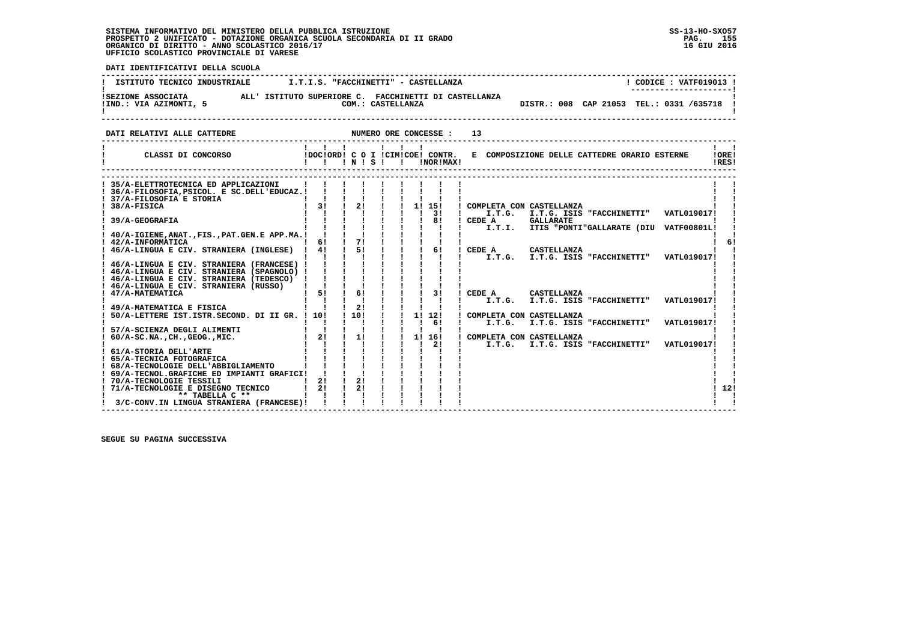**DATI IDENTIFICATIVI DELLA SCUOLA ------------------------------------------------------------------------------------------------------------------------------------**! CODICE : VATF019013 ! **I ISTITUTO TECNICO INDUSTRIALE 1.T.I.S. "FACCHINETTI" - CASTELLANZA ! ---------------------! !SEZIONE ASSOCIATA ALL' ISTITUTO SUPERIORE C. FACCHINETTI DI CASTELLANZA ! !IND.: VIA AZIMONTI, 5 COM.: CASTELLANZA DISTR.: 008 CAP 21053 TEL.: 0331 /635718 !** $\mathbf{I}$  **! ! ------------------------------------------------------------------------------------------------------------------------------------DATI RELATIVI ALLE CATTEDRE NUMERO ORE CONCESSE : 13 ------------------------------------------------------------------------------------------------------------------------------------ ! ! ! ! ! ! ! ! ! ! CLASSI DI CONCORSO !DOC!ORD! C O I !CIM!COE! CONTR. E COMPOSIZIONE DELLE CATTEDRE ORARIO ESTERNE !ORE! ! ! ! ! N ! S ! ! !NOR!MAX! !RES!** $\mathbf{I}$   $\mathbf{I}$ !ORE! IRESI  **------------------------------------------------------------------------------------------------------------------------------------ ------------------------------------------------------------------------------------------------------------------------------------** $\mathbf{I}$  and  $\mathbf{I}$  **! 35/A-ELETTROTECNICA ED APPLICAZIONI ! ! ! ! ! ! ! ! ! ! !** $\blacksquare$  **! 36/A-FILOSOFIA,PSICOL. E SC.DELL'EDUCAZ.! ! ! ! ! ! ! ! ! ! ! ! 37/A-FILOSOFIA E STORIA ! ! ! ! ! ! ! ! ! ! ! ! ! ! ! ! ! ! ! 3! ! I.T.G. I.T.G. ISIS "FACCHINETTI" VATL019017! ! ! 39/A-GEOGRAFIA ! ! ! ! ! ! ! 8! ! CEDE A GALLARATE ! ! ! ! ! ! ! ! ! ! ! ! I.T.I. ITIS "PONTI"GALLARATE (DIU VATF00801L! ! ! 38/A-FISICA ! 3! ! 2! ! ! 1! 15! ! COMPLETA CON CASTELLANZA ! !** $\blacksquare$  **! 40/A-IGIENE,ANAT.,FIS.,PAT.GEN.E APP.MA.! ! ! ! ! ! ! ! ! ! ! ! 42/A-INFORMATICA ! 6! ! 7! ! ! ! ! ! ! 6! ! 46/A-LINGUA E CIV. STRANIERA (INGLESE) ! 4! ! 5! ! ! ! 6! ! CEDE A CASTELLANZA ! ! ! ! ! ! ! ! ! ! ! ! I.T.G. I.T.G. ISIS "FACCHINETTI" VATL019017! !** $1<sub>61</sub>$  **! 46/A-LINGUA E CIV. STRANIERA (FRANCESE) ! ! ! ! ! ! ! ! ! ! ! ! 46/A-LINGUA E CIV. STRANIERA (SPAGNOLO) ! ! ! ! ! ! ! ! ! ! ! ! 46/A-LINGUA E CIV. STRANIERA (TEDESCO) ! ! ! ! ! ! ! ! ! ! ! ! 46/A-LINGUA E CIV. STRANIERA (RUSSO) ! ! ! ! ! ! ! ! ! ! ! ! 47/A-MATEMATICA ! 5! ! 6! ! ! ! 3! ! CEDE A CASTELLANZA ! ! ! ! ! ! ! ! ! ! ! ! I.T.G. I.T.G. ISIS "FACCHINETTI" VATL019017! ! ! 49/A-MATEMATICA E FISICA ! ! ! 2! ! ! ! ! ! ! ! ! 50/A-LETTERE IST.ISTR.SECOND. DI II GR. ! 10! ! 10! ! ! 1! 12! ! COMPLETA CON CASTELLANZA ! ! ! ! ! ! ! ! ! ! 6! ! I.T.G. I.T.G. ISIS "FACCHINETTI" VATL019017! ! ! 57/A-SCIENZA DEGLI ALIMENTI ! ! ! ! ! ! ! ! ! ! ! ! 60/A-SC.NA.,CH.,GEOG.,MIC. ! 2! ! 1! ! ! 1! 16! ! COMPLETA CON CASTELLANZA ! ! ! ! ! ! ! ! ! ! 2! ! I.T.G. I.T.G. ISIS "FACCHINETTI" VATL019017! ! ! 61/A-STORIA DELL'ARTE ! ! ! ! ! ! ! ! ! ! !**| 65/A-TECNICA FOTOGRAFICA | | | | | | | | | |<br>| 68/A-TECNOLOGIE DELL'ABBIGLIAMENTO | | | | | | | | | | |<br>| 69/A-TECNOLOGIE DELL'ABBIGLIAMENTO | | | | | | | | | | |<br>| 70/A-TECNOLOGIE TESSILI INPIANTI GRAFICI | | | | | | | - 1 - 1  $1, 121$  **! 71/A-TECNOLOGIE E DISEGNO TECNICO ! 2! ! 2! ! ! ! ! ! ! 12!** $\mathbf{I}$  **! \*\* TABELLA C \*\* ! ! ! ! ! ! ! ! ! ! ! ! 3/C-CONV.IN LINGUA STRANIERA (FRANCESE)! ! ! ! ! ! ! ! ! ! !** $\mathbf{I}$ 

 **------------------------------------------------------------------------------------------------------------------------------------**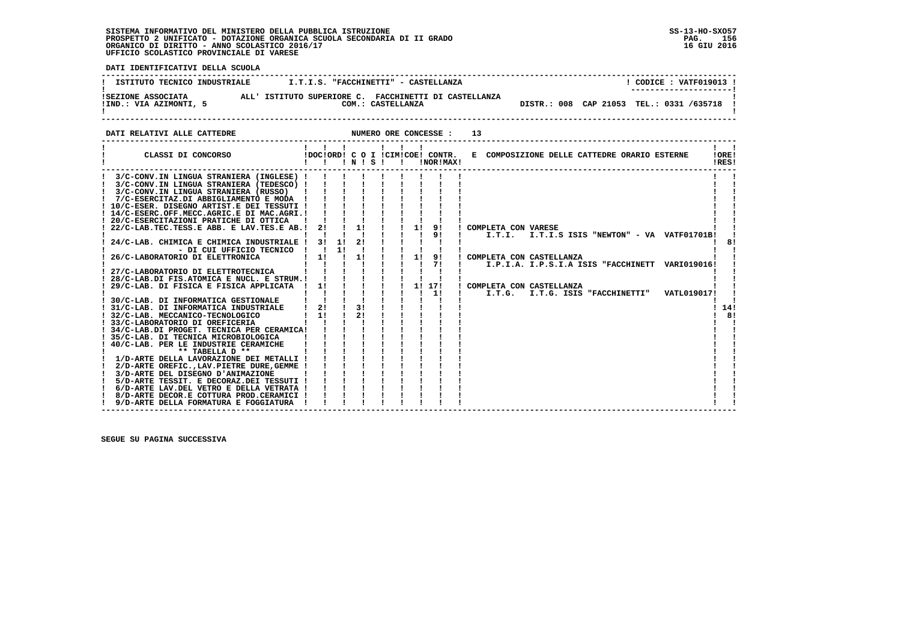**! 6/D-ARTE LAV.DEL VETRO E DELLA VETRATA ! ! ! ! ! ! ! ! ! ! !**

 $\overline{\phantom{a}}$ 

- 1

- 1

 **DATI IDENTIFICATIVI DELLA SCUOLA ------------------------------------------------------------------------------------------------------------------------------------**! CODICE : VATF019013 ! **! ISTITUTO TECNICO INDUSTRIALE**  $II.S.$  **"FACCHINETTI" - CASTELLANZA ! ---------------------! !SEZIONE ASSOCIATA ALL' ISTITUTO SUPERIORE C. FACCHINETTI DI CASTELLANZA ! !IND.: VIA AZIMONTI, 5 COM.: CASTELLANZA DISTR.: 008 CAP 21053 TEL.: 0331 /635718 !**COM.: CASTELLANZA  $\overline{D}$  DISTR.: 008 CAP 21053 TEL.: 0331 /635718 1 - 1  **! ! ------------------------------------------------------------------------------------------------------------------------------------DATI RELATIVI ALLE CATTEDRE NUMERO ORE CONCESSE : 13 ------------------------------------------------------------------------------------------------------------------------------------ ! ! ! ! ! ! ! ! ! ! CLASSI DI CONCORSO !DOC!ORD! C O I !CIM!COE! CONTR. E COMPOSIZIONE DELLE CATTEDRE ORARIO ESTERNE !ORE! ! ! ! ! N ! S ! ! !NOR!MAX! !RES! ------------------------------------------------------------------------------------------------------------------------------------** $\mathbf{I}$   $\mathbf{I}$  **! 3/C-CONV.IN LINGUA STRANIERA (INGLESE) ! ! ! ! ! ! ! ! ! ! ! ! 3/C-CONV.IN LINGUA STRANIERA (TEDESCO) ! ! ! ! ! ! ! ! ! ! ! ! 3/C-CONV.IN LINGUA STRANIERA (RUSSO) ! ! ! ! ! ! ! ! ! ! ! ! 7/C-ESERCITAZ.DI ABBIGLIAMENTO E MODA ! ! ! ! ! ! ! ! ! ! !**- 1  **! 10/C-ESER. DISEGNO ARTIST.E DEI TESSUTI ! ! ! ! ! ! ! ! ! ! ! ! 14/C-ESERC.OFF.MECC.AGRIC.E DI MAC.AGRI.! ! ! ! ! ! ! ! ! ! ! ! 20/C-ESERCITAZIONI PRATICHE DI OTTICA ! ! ! ! ! ! ! ! ! ! ! ! 22/C-LAB.TEC.TESS.E ABB. E LAV.TES.E AB.! 2! ! 1! ! ! 1! 9! ! COMPLETA CON VARESE ! ! ! ! ! ! ! ! ! ! 9! ! I.T.I. I.T.I.S ISIS "NEWTON" - VA VATF01701B! ! ! 24/C-LAB. CHIMICA E CHIMICA INDUSTRIALE ! 3! 1! 2! ! ! ! ! ! ! 8! ! - DI CUI UFFICIO TECNICO ! ! 1! ! ! ! ! ! ! ! ! ! 26/C-LABORATORIO DI ELETTRONICA ! 1! ! 1! ! ! 1! 9! ! COMPLETA CON CASTELLANZA ! ! ! ! ! ! ! ! ! ! 7! ! I.P.I.A. I.P.S.I.A ISIS "FACCHINETT VARI019016! ! ! 27/C-LABORATORIO DI ELETTROTECNICA ! ! ! ! ! ! ! ! ! ! ! ! 28/C-LAB.DI FIS.ATOMICA E NUCL. E STRUM.! ! ! ! ! ! ! ! ! ! ! ! 29/C-LAB. DI FISICA E FISICA APPLICATA ! 1! ! ! ! ! 1! 17! ! COMPLETA CON CASTELLANZA ! ! ! ! ! ! ! ! ! ! 1! ! I.T.G. I.T.G. ISIS "FACCHINETTI" VATL019017! ! ! 30/C-LAB. DI INFORMATICA GESTIONALE ! ! ! ! ! ! ! ! ! ! !** $1, 141$  **! 31/C-LAB. DI INFORMATICA INDUSTRIALE ! 2! ! 3! ! ! ! ! ! ! 14! ! 32/C-LAB. MECCANICO-TECNOLOGICO ! 1! ! 2! ! ! ! ! ! ! 8! ! 33/C-LABORATORIO DI OREFICERIA ! ! ! ! ! ! ! ! ! ! ! ! 34/C-LAB.DI PROGET. TECNICA PER CERAMICA! ! ! ! ! ! ! ! ! ! !** $\overline{1}$   $\overline{8}$   $\overline{1}$ 

 **! 35/C-LAB. DI TECNICA MICROBIOLOGICA ! ! ! ! ! ! ! ! ! ! ! ! 40/C-LAB. PER LE INDUSTRIE CERAMICHE ! ! ! ! ! ! ! ! ! ! ! ! \*\* TABELLA D \*\* ! ! ! ! ! ! ! ! ! ! ! ! 1/D-ARTE DELLA LAVORAZIONE DEI METALLI ! ! ! ! ! ! ! ! ! ! !**

 **! 2/D-ARTE OREFIC.,LAV.PIETRE DURE,GEMME ! ! ! ! ! ! ! ! ! ! ! ! 3/D-ARTE DEL DISEGNO D'ANIMAZIONE ! ! ! ! ! ! ! ! ! ! ! ! 5/D-ARTE TESSIT. E DECORAZ.DEI TESSUTI ! ! ! ! ! ! ! ! ! ! !**

 **! 8/D-ARTE DECOR.E COTTURA PROD.CERAMICI ! ! ! ! ! ! ! ! ! ! ! ! 9/D-ARTE DELLA FORMATURA E FOGGIATURA ! ! ! ! ! ! ! ! ! ! !**

 **------------------------------------------------------------------------------------------------------------------------------------**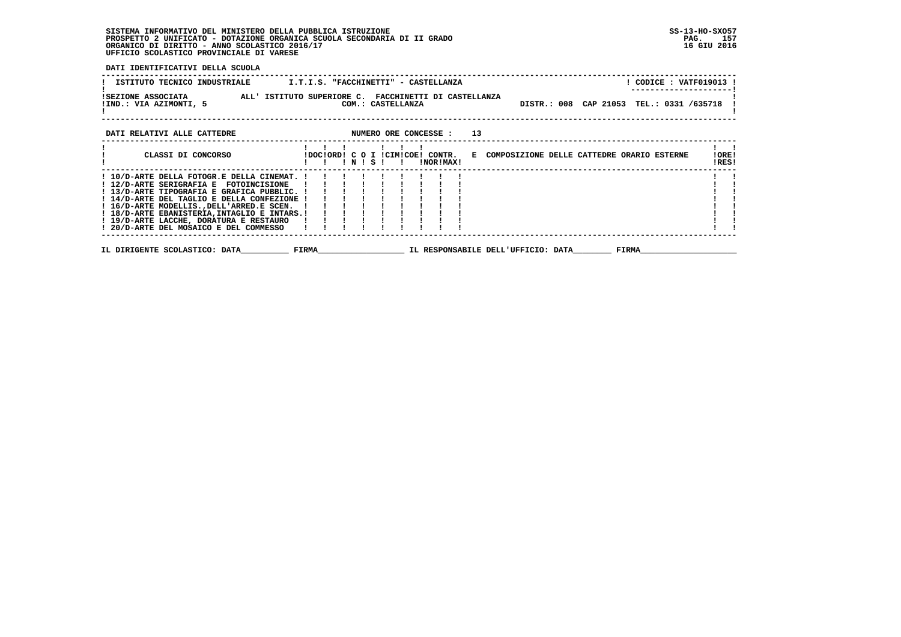**DATI IDENTIFICATIVI DELLA SCUOLA**

| ISTITUTO TECNICO INDUSTRIALE <b>I.T.I.S. "FACCHINETTI" - CASTELLANZA</b>                                                                                                                                                                                  |         |  |  |                  |  |  |  |              | ---------------- | ! CODICE : VATF019013 !                                           |                |
|-----------------------------------------------------------------------------------------------------------------------------------------------------------------------------------------------------------------------------------------------------------|---------|--|--|------------------|--|--|--|--------------|------------------|-------------------------------------------------------------------|----------------|
| ISEZIONE ASSOCIATA ALL' ISTITUTO SUPERIORE C. FACCHINETTI DI CASTELLANZA<br>!IND.: VIA AZIMONTI, 5                                                                                                                                                        |         |  |  |                  |  |  |  |              |                  | COM.: CASTELLANZA <b>DISTR.: 008</b> CAP 21053 TEL.: 0331 /635718 |                |
| DATI RELATIVI ALLE CATTEDRE <b>ALLE CONSTAND ASSESSE</b> : 13                                                                                                                                                                                             |         |  |  |                  |  |  |  |              |                  |                                                                   |                |
| CLASSI DI CONCORSO               IDOCIORDI C O I ICIMICOEI CONTR.   E COMPOSIZIONE DELLE CATTEDRE ORARIO ESTERNE                                                                                                                                          | 111 111 |  |  | <b>!NOR!MAX!</b> |  |  |  |              |                  |                                                                   | IOREI<br>!RES! |
| ! 10/D-ARTE DELLA FOTOGR.E DELLA CINEMAT. ! ! ! ! ! ! ! ! !<br>! 12/D-ARTE SERIGRAFIA E FOTOINCISIONE ! ! ! ! ! ! ! ! ! !<br>! 13/D-ARTE TIPOGRAFIA E GRAFICA PUBBLIC. ! ! ! ! ! ! ! ! ! !<br>! 14/D-ARTE DEL TAGLIO E DELLA CONFEZIONE ! ! ! ! ! ! ! ! ! |         |  |  |                  |  |  |  |              |                  |                                                                   |                |
| IL DIRIGENTE SCOLASTICO: DATA                 FIRMA                         IL RESPONSABILE DELL'UFFICIO: DATA                                                                                                                                            |         |  |  |                  |  |  |  | <b>FIRMA</b> |                  |                                                                   |                |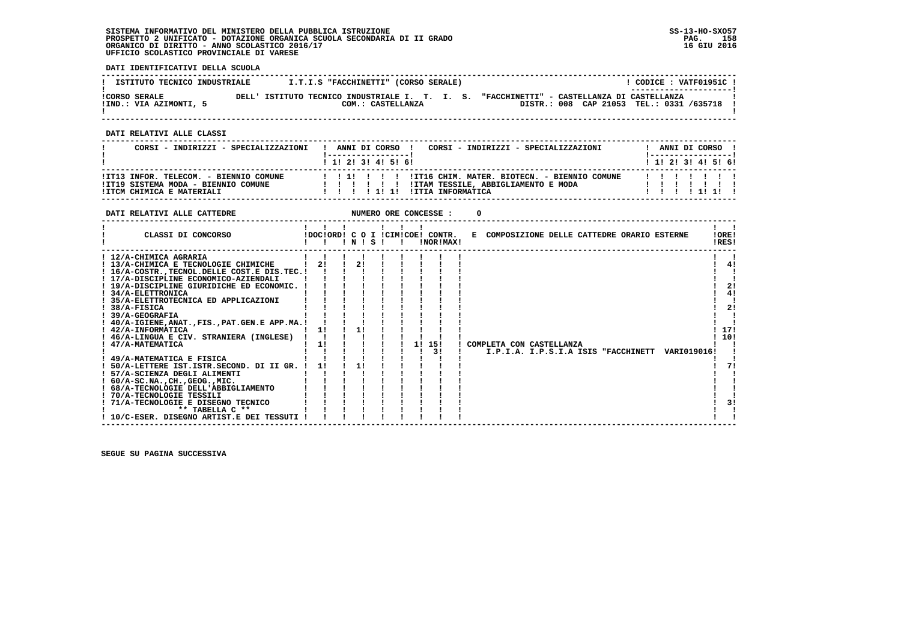**DATI IDENTIFICATIVI DELLA SCUOLA**

| ISTITUTO TECNICO INDUSTRIALE | I.T.I.S "FACCHINETTI" (CORSO SERALE)           | CODICE: VATF01951C !<br>---------------------- |
|------------------------------|------------------------------------------------|------------------------------------------------|
| <b>!CORSO SERALE</b>         | DELL' ISTITUTO TECNICO INDUSTRIALE I. T. I. S. | "FACCHINETTI" - CASTELLANZA DI CASTELLANZA     |
| !IND.: VIA AZIMONTI, 5       | COM.: CASTELLANZA                              | DISTR.: 008 CAP 21053 TEL.: 0331 /635718       |

 **------------------------------------------------------------------------------------------------------------------------------------**

 **DATI RELATIVI ALLE CLASSI**

| CORSI - INDIRIZZI - SPECIALIZZAZIONI                                                                       | CORSI - INDIRIZZI - SPECIALIZZAZIONI<br>ANNI DI CORSO !<br>1 1 1 2 1 3 1 4 1 5 1 6 1                                         | ANNI DI CORSO !<br>1 __________________<br>1 1 2 3 3 4 5 6 1 |
|------------------------------------------------------------------------------------------------------------|------------------------------------------------------------------------------------------------------------------------------|--------------------------------------------------------------|
| !IT13 INFOR, TELECOM, - BIENNIO COMUNE<br>!IT19 SISTEMA MODA - BIENNIO COMUNE<br>!ITCM CHIMICA E MATERIALI | !! !!! !!!!IT16 CHIM. MATER. BIOTECN. - BIENNIO COMUNE<br>!ITAM TESSILE, ABBIGLIAMENTO E MODA<br>111111<br>!ITIA INFORMATICA | .                                                            |

| DATI RELATIVI ALLE CATTEDRE                                                                                                                                                                                                                                                                                                                                                                                                                                                                                                                                                                                                                                                                                                                                                |                |  |                |  |    | NUMERO ORE CONCESSE :                         |                                              |  |  |                                                 |                                          |
|----------------------------------------------------------------------------------------------------------------------------------------------------------------------------------------------------------------------------------------------------------------------------------------------------------------------------------------------------------------------------------------------------------------------------------------------------------------------------------------------------------------------------------------------------------------------------------------------------------------------------------------------------------------------------------------------------------------------------------------------------------------------------|----------------|--|----------------|--|----|-----------------------------------------------|----------------------------------------------|--|--|-------------------------------------------------|------------------------------------------|
| CLASSI DI CONCORSO                                                                                                                                                                                                                                                                                                                                                                                                                                                                                                                                                                                                                                                                                                                                                         |                |  | INISI          |  |    | !DOC!ORD! C O I !CIM!COE! CONTR.<br>!NOR!MAX! | E COMPOSIZIONE DELLE CATTEDRE ORARIO ESTERNE |  |  |                                                 | !ORE!<br>!RES!                           |
| ! 12/A-CHIMICA AGRARIA<br>! 13/A-CHIMICA E TECNOLOGIE CHIMICHE<br>! 16/A-COSTRTECNOL.DELLE COST.E DIS.TEC.!<br>! 17/A-DISCIPLINE ECONOMICO-AZIENDALI<br>! 19/A-DISCIPLINE GIURIDICHE ED ECONOMIC. !<br>! 34/A-ELETTRONICA<br>! 35/A-ELETTROTECNICA ED APPLICAZIONI<br>$!$ 38/A-FISICA<br>! 39/A-GEOGRAFIA<br>! 40/A-IGIENE, ANAT., FIS., PAT. GEN. E APP.MA.!<br>! 42/A-INFORMATICA<br>46/A-LINGUA E CIV. STRANIERA (INGLESE)<br>47/A-MATEMATICA<br>! 49/A-MATEMATICA E FISICA<br>! 50/A-LETTERE IST.ISTR.SECOND. DI II GR.<br>! 57/A-SCIENZA DEGLI ALIMENTI<br>$1.60/A-SC.NA.$ , CH., GEOG., MIC.<br>! 68/A-TECNOLOGIE DELL'ABBIGLIAMENTO<br>! 70/A-TECNOLOGIE TESSILI<br>71/A-TECNOLOGIE E DISEGNO TECNICO<br>** TABELLA C **<br>10/C-ESER. DISEGNO ARTIST.E DEI TESSUTI | 11<br>1!<br>11 |  | 2!<br>1!<br>11 |  | 11 | 15!<br>31                                     | ! COMPLETA CON CASTELLANZA                   |  |  | I.P.I.A. I.P.S.I.A ISIS "FACCHINETT VARI019016! | 4!<br>2!<br>4!<br>2!<br>17!<br>10!<br>31 |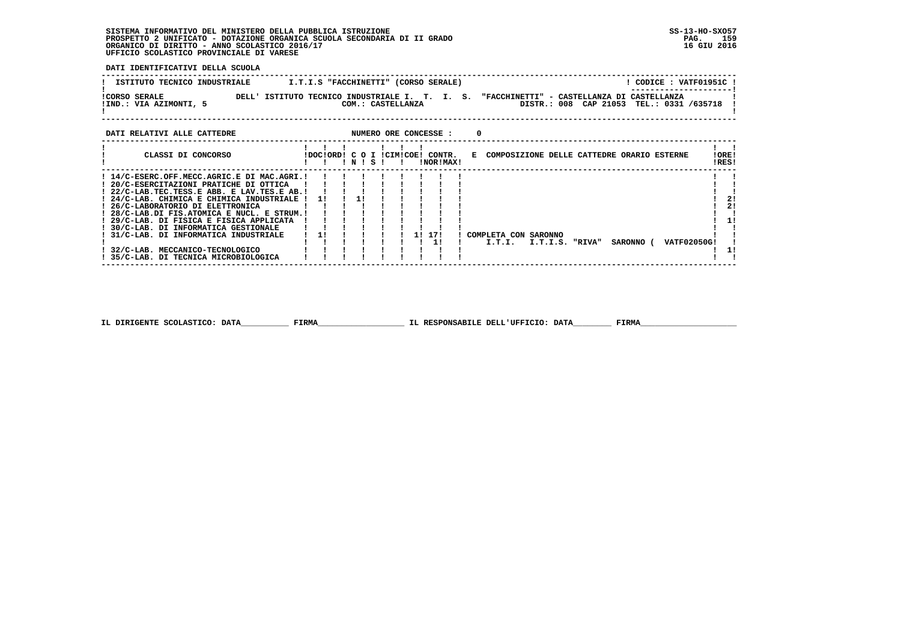**DATI IDENTIFICATIVI DELLA SCUOLA**

| ISTITUTO TECNICO INDUSTRIALE                   | I.T.I.S "FACCHINETTI" (CORSO SERALE)                                | CODICE: VATF01951C                                                                                               |
|------------------------------------------------|---------------------------------------------------------------------|------------------------------------------------------------------------------------------------------------------|
| <b>!CORSO SERALE</b><br>!IND.: VIA AZIMONTI, 5 | DELL' ISTITUTO TECNICO INDUSTRIALE I. T. I. S.<br>COM.: CASTELLANZA | ----------------------<br>"FACCHINETTI" - CASTELLANZA DI CASTELLANZA<br>DISTR.: 008 CAP 21053 TEL.: 0331 /635718 |
|                                                |                                                                     |                                                                                                                  |

| DATI RELATIVI ALLE CATTEDRE                                                                                                                                                                                                                                                                                                                                                                                                                                                     |           |      |  |    | NUMERO ORE CONCESSE :                         |  |                                              |                 |  |           |                    |                |
|---------------------------------------------------------------------------------------------------------------------------------------------------------------------------------------------------------------------------------------------------------------------------------------------------------------------------------------------------------------------------------------------------------------------------------------------------------------------------------|-----------|------|--|----|-----------------------------------------------|--|----------------------------------------------|-----------------|--|-----------|--------------------|----------------|
| CLASSI DI CONCORSO                                                                                                                                                                                                                                                                                                                                                                                                                                                              |           | NISI |  |    | IDOCIORDI C O I ICIMICOEI CONTR.<br>INORIMAXI |  | E COMPOSIZIONE DELLE CATTEDRE ORARIO ESTERNE |                 |  |           |                    | !ORE!<br>!RES! |
| ! 14/C-ESERC.OFF.MECC.AGRIC.E DI MAC.AGRI.!<br>! 20/C-ESERCITAZIONI PRATICHE DI OTTICA<br>! 22/C-LAB.TEC.TESS.E ABB. E LAV.TES.E AB.!<br>! 24/C-LAB. CHIMICA E CHIMICA INDUSTRIALE !<br>! 26/C-LABORATORIO DI ELETTRONICA<br>! 28/C-LAB.DI FIS.ATOMICA E NUCL. E STRUM.!<br>! 29/C-LAB. DI FISICA E FISICA APPLICATA<br>! 30/C-LAB, DI INFORMATICA GESTIONALE<br>31/C-LAB, DI INFORMATICA INDUSTRIALE<br>32/C-LAB. MECCANICO-TECNOLOGICO<br>35/C-LAB. DI TECNICA MICROBIOLOGICA | <b>11</b> |      |  | 11 | 171                                           |  | COMPLETA CON SARONNO<br>I.T.I.               | I.T.I.S. "RIVA" |  | SARONNO ( | <b>VATF02050G!</b> | 21<br>21       |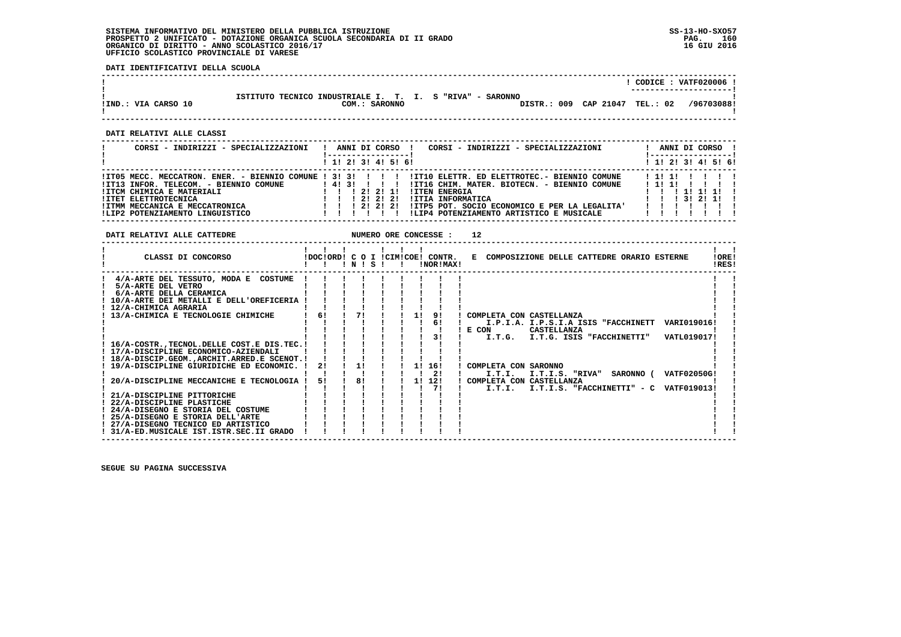**DATI IDENTIFICATIVI DELLA SCUOLA**

|                     |                                                          | CODICE: VATF020006 !   |
|---------------------|----------------------------------------------------------|------------------------|
|                     |                                                          | ---------------------- |
|                     |                                                          |                        |
|                     | ISTITUTO TECNICO INDUSTRIALE I. T. I. S "RIVA" - SARONNO |                        |
| !IND.: VIA CARSO 10 | DISTR.: 009 CAP 21047 TEL.: 02<br>COM.: SARONNO          | /96703088!             |
|                     |                                                          |                        |
|                     |                                                          |                        |

 **------------------------------------------------------------------------------------------------------------------------------------**

 **DATI RELATIVI ALLE CLASSI**

| CORSI - INDIRIZZI - SPECIALIZZAZIONI                                                                    |                   |  |               | ANNI DI CORSO       | CORSI - INDIRIZZI - SPECIALIZZAZIONI                                                         |  |               |                   | ANNI DI CORSO !<br><u>!----------------- </u> |
|---------------------------------------------------------------------------------------------------------|-------------------|--|---------------|---------------------|----------------------------------------------------------------------------------------------|--|---------------|-------------------|-----------------------------------------------|
|                                                                                                         |                   |  |               | 1 1! 2! 3! 4! 5! 6! |                                                                                              |  |               |                   | ! 1! 2! 3! 4! 5! 6!                           |
| !IT05 MECC. MECCATRON. ENER. - BIENNIO COMUNE ! 3! 3! ! ! ! !<br>!IT13 INFOR. TELECOM. - BIENNIO COMUNE |                   |  | 14131 111     |                     | !IT10 ELETTR. ED ELETTROTEC.- BIENNIO COMUNE<br>!IT16 CHIM. MATER. BIOTECN. - BIENNIO COMUNE |  | 11111<br>1111 |                   |                                               |
| !ITCM CHIMICA E MATERIALI                                                                               |                   |  |               | 1 21 21 11          | <b>!ITEN ENERGIA</b>                                                                         |  |               | 111111            |                                               |
| !ITET ELETTROTECNICA                                                                                    |                   |  | 1 2 1 2 1 2 1 |                     | !ITIA INFORMATICA                                                                            |  |               | 1 1 1 3 1 2 1 1 1 |                                               |
| !ITMM MECCANICA E MECCATRONICA                                                                          | 1 1 1 2 1 2 1 2 1 |  |               |                     | !ITP5 POT. SOCIO ECONOMICO E PER LA LEGALITA'                                                |  |               |                   |                                               |
| !LIP2 POTENZIAMENTO LINGUISTICO                                                                         |                   |  |               |                     | !LIP4 POTENZIAMENTO ARTISTICO E MUSICALE                                                     |  |               |                   |                                               |

**DATI RELATIVI ALLE CATTEDRE NUMERO ORE CONCESSE : 12** 

| CLASSI DI CONCORSO                             |    | NI |    | s |  |           | !DOC!ORD! C O I !CIM!COE! CONTR.<br><b>INORIMAXI</b> | E COMPOSIZIONE DELLE CATTEDRE ORARIO ESTERNE                 | !ORE!<br>!RES! |
|------------------------------------------------|----|----|----|---|--|-----------|------------------------------------------------------|--------------------------------------------------------------|----------------|
| 4/A-ARTE DEL TESSUTO, MODA E COSTUME           |    |    |    |   |  |           |                                                      |                                                              |                |
| 5/A-ARTE DEL VETRO                             |    |    |    |   |  |           |                                                      |                                                              |                |
| 6/A-ARTE DELLA CERAMICA                        |    |    |    |   |  |           |                                                      |                                                              |                |
| 10/A-ARTE DEI METALLI E DELL'OREFICERIA        |    |    |    |   |  |           |                                                      |                                                              |                |
| ! 12/A-CHIMICA AGRARIA                         |    |    |    |   |  |           |                                                      |                                                              |                |
| 13/A-CHIMICA E TECNOLOGIE CHIMICHE             | 6! |    | 71 |   |  | 11        | 91                                                   | ! COMPLETA CON CASTELLANZA                                   |                |
|                                                |    |    |    |   |  |           | 6!                                                   | I.P.I.A. I.P.S.I.A ISIS "FACCHINETT<br>VARI019016!           |                |
|                                                |    |    |    |   |  |           |                                                      | ! E CON<br>CASTELLANZA                                       |                |
|                                                |    |    |    |   |  |           | 31                                                   | VATL019017!<br>I.T.G. I.T.G. ISIS "FACCHINETTI"              |                |
| 16/A-COSTR., TECNOL. DELLE COST. E DIS. TEC. ! |    |    |    |   |  |           |                                                      |                                                              |                |
| ! 17/A-DISCIPLINE ECONOMICO-AZIENDALI          |    |    |    |   |  |           |                                                      |                                                              |                |
| ! 18/A-DISCIP.GEOM.,ARCHIT.ARRED.E SCENOT.!    |    |    |    |   |  |           |                                                      |                                                              |                |
| 19/A-DISCIPLINE GIURIDICHE ED ECONOMIC.        | 21 |    | 11 |   |  | 11        | 16!                                                  | ! COMPLETA CON SARONNO                                       |                |
|                                                |    |    |    |   |  |           | 2!                                                   | SARONNO (<br><b>VATF02050G!</b><br>I.T.I.<br>I.T.I.S. "RIVA" |                |
| 20/A-DISCIPLINE MECCANICHE E TECNOLOGIA !      | 51 |    | 81 |   |  | <b>11</b> | 12!                                                  | COMPLETA CON CASTELLANZA                                     |                |
|                                                |    |    |    |   |  |           | 71                                                   | I.T.I.S. "FACCHINETTI" - C<br>VATF019013!<br>I.T.I.          |                |
| 21/A-DISCIPLINE PITTORICHE                     |    |    |    |   |  |           |                                                      |                                                              |                |
| 22/A-DISCIPLINE PLASTICHE                      |    |    |    |   |  |           |                                                      |                                                              |                |
| ! 24/A-DISEGNO E STORIA DEL COSTUME            |    |    |    |   |  |           |                                                      |                                                              |                |
| ! 25/A-DISEGNO E STORIA DELL'ARTE              |    |    |    |   |  |           |                                                      |                                                              |                |
| ! 27/A-DISEGNO TECNICO ED ARTISTICO            |    |    |    |   |  |           |                                                      |                                                              |                |
| ! 31/A-ED.MUSICALE IST.ISTR.SEC.II GRADO       |    |    |    |   |  |           |                                                      |                                                              |                |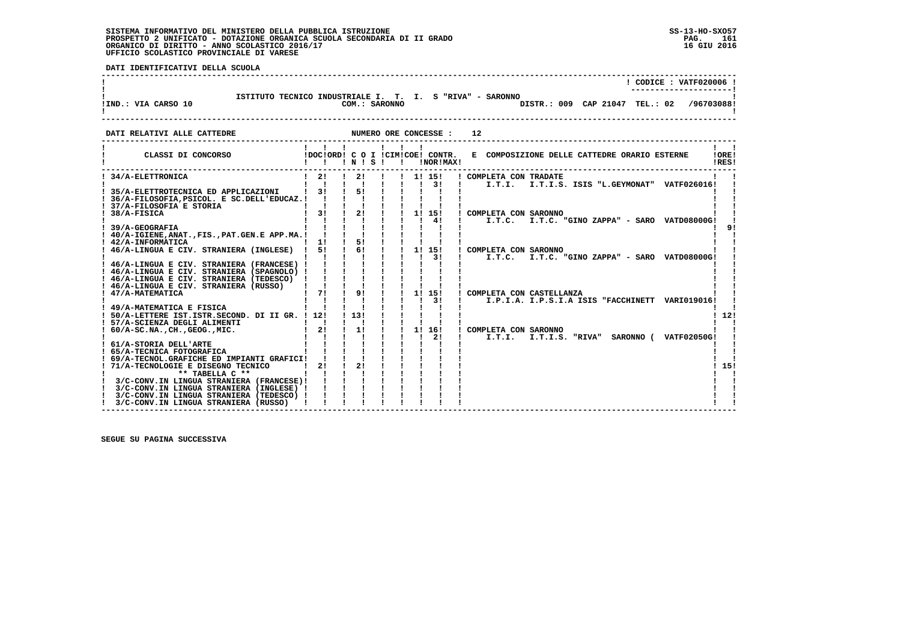j

 **DATI IDENTIFICATIVI DELLA SCUOLA**

|                     |                                                                                                             | CODICE: VATF020006 ! |
|---------------------|-------------------------------------------------------------------------------------------------------------|----------------------|
| !IND.: VIA CARSO 10 | ISTITUTO TECNICO INDUSTRIALE I. T. I. S "RIVA" - SARONNO<br>DISTR.: 009 CAP 21047 TEL.: 02<br>COM.: SARONNO | /96703088!           |

**DATI RELATIVI ALLE CATTEDRE NUMERO ORE CONCESSE : 12** 

| CLASSI DI CONCORSO                                                                   | IDOCIORD! C O I ICIMICOE! CONTR. | $'$ N $'$ S $'$ |  |    |        | !NOR!MAX! | E COMPOSIZIONE DELLE CATTEDRE ORARIO ESTERNE<br>!RES!        | !ORE! |
|--------------------------------------------------------------------------------------|----------------------------------|-----------------|--|----|--------|-----------|--------------------------------------------------------------|-------|
| 34/A-ELETTRONICA                                                                     | 21                               | 2!              |  |    | 1! 15! |           | ! COMPLETA CON TRADATE                                       |       |
| 35/A-ELETTROTECNICA ED APPLICAZIONI                                                  | 31                               | 51              |  |    |        | 3!        | I.T.I.S. ISIS "L.GEYMONAT" VATF026016!<br>I.T.I.             |       |
| 36/A-FILOSOFIA, PSICOL. E SC. DELL'EDUCAZ. !                                         |                                  |                 |  |    |        |           |                                                              |       |
| 37/A-FILOSOFIA E STORIA                                                              |                                  |                 |  |    |        |           |                                                              |       |
| 38/A-FISICA                                                                          | 31                               | 2!              |  | 11 |        | 15!       | COMPLETA CON SARONNO                                         |       |
|                                                                                      |                                  |                 |  |    |        | 41        | I.T.C.<br>I.T.C. "GINO ZAPPA" - SARO VATD08000G!             |       |
| 39/A-GEOGRAFIA                                                                       |                                  |                 |  |    |        |           |                                                              |       |
| 40/A-IGIENE, ANAT., FIS., PAT. GEN.E APP.MA.!                                        |                                  |                 |  |    |        |           |                                                              |       |
| 42/A-INFORMATICA                                                                     | 11                               | 51              |  |    |        |           |                                                              |       |
| 46/A-LINGUA E CIV. STRANIERA (INGLESE)                                               | 51                               | 61              |  | 1! |        | 15!       | COMPLETA CON SARONNO                                         |       |
|                                                                                      |                                  |                 |  |    |        | 31        | I.T.C. "GINO ZAPPA" - SARO VATD08000G!<br>I.T.C.             |       |
| 46/A-LINGUA E CIV. STRANIERA (FRANCESE)                                              |                                  |                 |  |    |        |           |                                                              |       |
| 46/A-LINGUA E CIV. STRANIERA (SPAGNOLO)                                              |                                  |                 |  |    |        |           |                                                              |       |
| 46/A-LINGUA E CIV. STRANIERA (TEDESCO)<br>46/A-LINGUA E CIV. STRANIERA (RUSSO)       |                                  |                 |  |    |        |           |                                                              |       |
| 47/A-MATEMATICA                                                                      | 71                               | 9 <sub>1</sub>  |  | 1! |        | 15!       | COMPLETA CON CASTELLANZA                                     |       |
|                                                                                      |                                  |                 |  |    |        | 31        | I.P.I.A. I.P.S.I.A ISIS "FACCHINETT VARI019016!              |       |
| 49/A-MATEMATICA E FISICA                                                             |                                  |                 |  |    |        |           |                                                              |       |
| 50/A-LETTERE IST.ISTR.SECOND. DI II GR. !                                            | 12!                              | 113!            |  |    |        |           |                                                              | 12!   |
| 57/A-SCIENZA DEGLI ALIMENTI                                                          |                                  |                 |  |    |        |           |                                                              |       |
| $60/A-SC.NA.$ , CH., GEOG., MIC.                                                     | 21                               | 1!              |  | 1! |        | 16!       | COMPLETA CON SARONNO                                         |       |
|                                                                                      |                                  |                 |  |    |        | 21        | I.T.I.<br>I.T.I.S. "RIVA"<br>SARONNO (<br><b>VATF02050G!</b> |       |
| 61/A-STORIA DELL'ARTE                                                                |                                  |                 |  |    |        |           |                                                              |       |
| 65/A-TECNICA FOTOGRAFICA                                                             |                                  |                 |  |    |        |           |                                                              |       |
| 69/A-TECNOL.GRAFICHE ED IMPIANTI GRAFICI!                                            |                                  |                 |  |    |        |           |                                                              |       |
| 71/A-TECNOLOGIE E DISEGNO TECNICO                                                    | 2!                               | 2!              |  |    |        |           |                                                              | 15!   |
| ** TABELLA C **                                                                      |                                  |                 |  |    |        |           |                                                              |       |
| 3/C-CONV.IN LINGUA STRANIERA (FRANCESE)!<br>3/C-CONV.IN LINGUA STRANIERA (INGLESE) ! |                                  |                 |  |    |        |           |                                                              |       |
| 3/C-CONV.IN LINGUA STRANIERA (TEDESCO) !                                             |                                  |                 |  |    |        |           |                                                              |       |
| 3/C-CONV.IN LINGUA STRANIERA (RUSSO)                                                 |                                  |                 |  |    |        |           |                                                              |       |
|                                                                                      |                                  |                 |  |    |        |           |                                                              |       |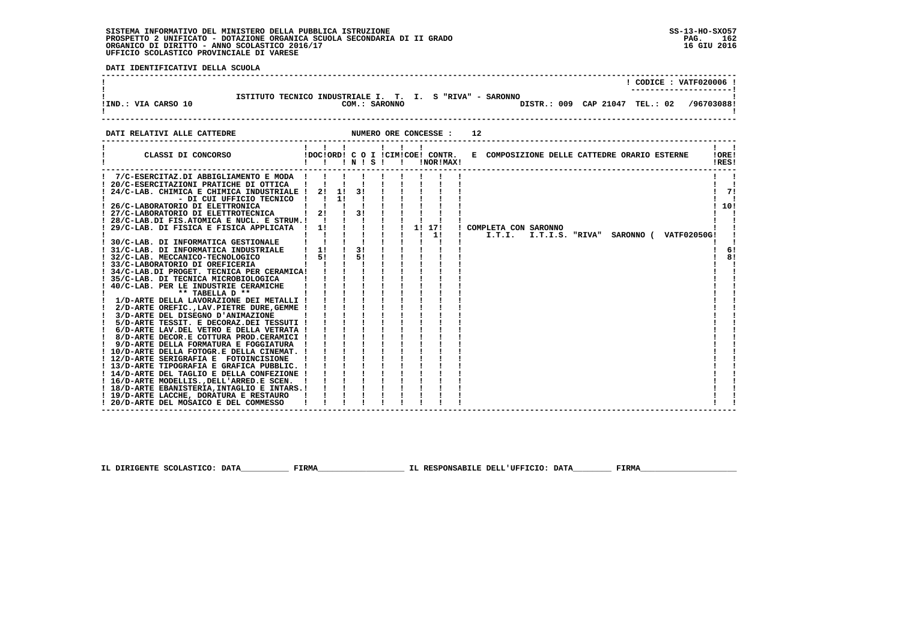**! 18/D-ARTE EBANISTERIA,INTAGLIO E INTARS.! ! ! ! ! ! ! ! ! ! !**

PAG. 162 16 GIU 2016

 $\mathbf{I}$ 

- 1

 **DATI IDENTIFICATIVI DELLA SCUOLA ------------------------------------------------------------------------------------------------------------------------------------ ! ! CODICE : VATF020006 !**\_\_\_\_\_\_\_\_\_\_\_\_\_\_\_\_\_\_\_\_\_\_\_\_  **! ---------------------! ! ISTITUTO TECNICO INDUSTRIALE I. T. I. S "RIVA" - SARONNO ! !IND.: VIA CARSO 10 COM.: SARONNO DISTR.: 009 CAP 21047 TEL.: 02 /96703088!**DISTR.: 009 CAP 21047 TEL.: 02 /96703088!  $\mathbf{I}$  **! ! ------------------------------------------------------------------------------------------------------------------------------------DATI RELATIVI ALLE CATTEDRE NUMERO ORE CONCESSE : 12 ------------------------------------------------------------------------------------------------------------------------------------ ! ! ! ! ! ! ! ! ! ! CLASSI DI CONCORSO !DOC!ORD! C O I !CIM!COE! CONTR. E COMPOSIZIONE DELLE CATTEDRE ORARIO ESTERNE !ORE! ! ! ! ! N ! S ! ! !NOR!MAX! !RES! ------------------------------------------------------------------------------------------------------------------------------------** $\mathbf{r}$  and  $\mathbf{r}$  **! 7/C-ESERCITAZ.DI ABBIGLIAMENTO E MODA ! ! ! ! ! ! ! ! ! ! ! ! 20/C-ESERCITAZIONI PRATICHE DI OTTICA ! ! ! ! ! ! ! ! ! ! ! ! 24/C-LAB. CHIMICA E CHIMICA INDUSTRIALE ! 2! 1! 3! ! ! ! ! ! ! 7! ! - DI CUI UFFICIO TECNICO ! ! 1! ! ! ! ! ! ! ! ! ! 26/C-LABORATORIO DI ELETTRONICA ! ! ! ! ! ! ! ! ! ! 10! ! 27/C-LABORATORIO DI ELETTROTECNICA ! 2! ! 3! ! ! ! ! ! ! ! ! 28/C-LAB.DI FIS.ATOMICA E NUCL. E STRUM.! ! ! ! ! ! ! ! ! ! !** $171$  $\mathbf{I}$  $1.101$  $\frac{1}{2}$   $\frac{1}{2}$   **! 29/C-LAB. DI FISICA E FISICA APPLICATA ! 1! ! ! ! ! 1! 17! ! COMPLETA CON SARONNO ! ! ! ! ! ! ! ! ! ! 1! ! I.T.I. I.T.I.S. "RIVA" SARONNO ( VATF02050G! ! ! 30/C-LAB. DI INFORMATICA GESTIONALE ! ! ! ! ! ! ! ! ! ! ! ! 31/C-LAB. DI INFORMATICA INDUSTRIALE ! 1! ! 3! ! ! ! ! ! ! 6! ! 32/C-LAB. MECCANICO-TECNOLOGICO ! 5! ! 5! ! ! ! ! ! ! 8! ! 33/C-LABORATORIO DI OREFICERIA ! ! ! ! ! ! ! ! ! ! ! ! 34/C-LAB.DI PROGET. TECNICA PER CERAMICA! ! ! ! ! ! ! ! ! ! ! ! 35/C-LAB. DI TECNICA MICROBIOLOGICA ! ! ! ! ! ! ! ! ! ! ! ! 40/C-LAB. PER LE INDUSTRIE CERAMICHE ! ! ! ! ! ! ! ! ! ! ! ! \*\* TABELLA D \*\* ! ! ! ! ! ! ! ! ! ! ! ! 1/D-ARTE DELLA LAVORAZIONE DEI METALLI ! ! ! ! ! ! ! ! ! ! ! ! 2/D-ARTE OREFIC.,LAV.PIETRE DURE,GEMME ! ! ! ! ! ! ! ! ! ! ! ! 3/D-ARTE DEL DISEGNO D'ANIMAZIONE ! ! ! ! ! ! ! ! ! ! ! ! 5/D-ARTE TESSIT. E DECORAZ.DEI TESSUTI ! ! ! ! ! ! ! ! ! ! ! ! 6/D-ARTE LAV.DEL VETRO E DELLA VETRATA ! ! ! ! ! ! ! ! ! ! ! ! 8/D-ARTE DECOR.E COTTURA PROD.CERAMICI ! ! ! ! ! ! ! ! ! ! ! ! 9/D-ARTE DELLA FORMATURA E FOGGIATURA ! ! ! ! ! ! ! ! ! ! ! ! 10/D-ARTE DELLA FOTOGR.E DELLA CINEMAT. ! ! ! ! ! ! ! ! ! ! ! ! 12/D-ARTE SERIGRAFIA E FOTOINCISIONE ! ! ! ! ! ! ! ! ! ! ! ! 13/D-ARTE TIPOGRAFIA E GRAFICA PUBBLIC. ! ! ! ! ! ! ! ! ! ! ! ! 14/D-ARTE DEL TAGLIO E DELLA CONFEZIONE ! ! ! ! ! ! ! ! ! ! ! ! 16/D-ARTE MODELLIS.,DELL'ARRED.E SCEN. ! ! ! ! ! ! ! ! ! ! !**

 **IL DIRIGENTE SCOLASTICO: DATA\_\_\_\_\_\_\_\_\_\_ FIRMA\_\_\_\_\_\_\_\_\_\_\_\_\_\_\_\_\_\_ IL RESPONSABILE DELL'UFFICIO: DATA\_\_\_\_\_\_\_\_ FIRMA\_\_\_\_\_\_\_\_\_\_\_\_\_\_\_\_\_\_\_\_**

 **! 19/D-ARTE LACCHE, DORATURA E RESTAURO ! ! ! ! ! ! ! ! ! ! ! ! 20/D-ARTE DEL MOSAICO E DEL COMMESSO ! ! ! ! ! ! ! ! ! ! !**

 **------------------------------------------------------------------------------------------------------------------------------------**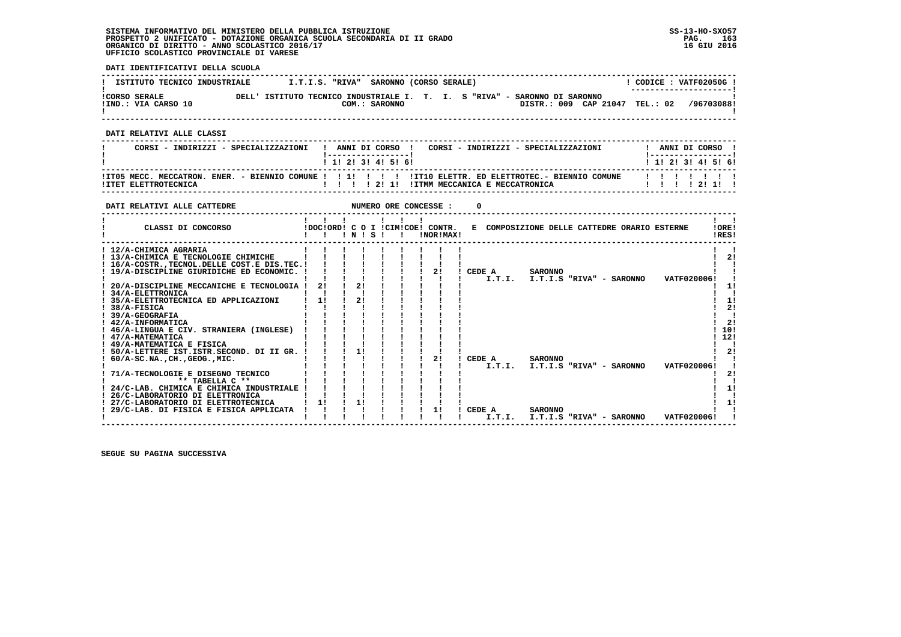**DATI IDENTIFICATIVI DELLA SCUOLA**

| ISTITUTO TECNICO INDUSTRIALE                |       | I.T.I.S. "RIVA" SARONNO (CORSO SERALE) |               |  |                                                                     |                                | CODICE: VATF02050G!<br>--------------------- |
|---------------------------------------------|-------|----------------------------------------|---------------|--|---------------------------------------------------------------------|--------------------------------|----------------------------------------------|
| <b>!CORSO SERALE</b><br>!IND.: VIA CARSO 10 | DELL' |                                        | COM.: SARONNO |  | ISTITUTO TECNICO INDUSTRIALE I. T. I. S "RIVA" - SARONNO DI SARONNO | DISTR.: 009 CAP 21047 TEL.: 02 | /96703088!                                   |

 **------------------------------------------------------------------------------------------------------------------------------------**

 **DATI RELATIVI ALLE CLASSI**

| CORSI - INDIRIZZI - SPECIALIZZAZIONI | ANNI DI CORSO !<br>CORSI - INDIRIZZI - SPECIALIZZAZIONI<br>------------------ | ANNI DI CORSO             |
|--------------------------------------|-------------------------------------------------------------------------------|---------------------------|
|                                      | 1 1 2 3 3 4 5 6 1                                                             | 1 1 1 2 1 3 1 4 1 5 1 6 1 |
| ITTET ELETTROTECNICA                 |                                                                               | .<br>1 1 1 1 2 1 1 1      |

 **------------------------------------------------------------------------------------------------------------------------------------**

| DATI RELATIVI ALLE CATTEDRE                                                                                      |    |         | NUMERO ORE CONCESSE :                         |                  |                                              |                   |
|------------------------------------------------------------------------------------------------------------------|----|---------|-----------------------------------------------|------------------|----------------------------------------------|-------------------|
| CLASSI DI CONCORSO                                                                                               |    | ! N ! S | !DOC!ORD! C O I !CIM!COE! CONTR.<br>!NOR!MAX! |                  | E COMPOSIZIONE DELLE CATTEDRE ORARIO ESTERNE | !ORE!<br>!RES!    |
| ! 12/A-CHIMICA AGRARIA<br>! 13/A-CHIMICA E TECNOLOGIE CHIMICHE<br>16/A-COSTR., TECNOL. DELLE COST. E DIS. TEC. ! |    |         |                                               |                  |                                              | 21                |
| ! 19/A-DISCIPLINE GIURIDICHE ED ECONOMIC.                                                                        |    |         | 2!                                            | CEDE A<br>I.T.I. | <b>SARONNO</b><br>I.T.I.S "RIVA" - SARONNO   | VATF020006!       |
| 20/A-DISCIPLINE MECCANICHE E TECNOLOGIA<br>34/A-ELETTRONICA                                                      | 21 | 2!      |                                               |                  |                                              | 11                |
| 35/A-ELETTROTECNICA ED APPLICAZIONI<br>38/A-FISICA                                                               | 11 | 21      |                                               |                  |                                              | 11<br>21          |
| 39/A-GEOGRAFIA<br>! 42/A-INFORMATICA<br>46/A-LINGUA E CIV. STRANIERA (INGLESE)                                   |    |         |                                               |                  |                                              | 2!<br>10!         |
| ! 47/A-MATEMATICA<br>! 49/A-MATEMATICA E FISICA                                                                  |    |         |                                               |                  |                                              | 12!               |
| 50/A-LETTERE IST.ISTR.SECOND. DI II GR.<br>$60/A-SC.NA.$ , $CH.$ , $GEOG.$ , $MIC.$                              |    | 11      | 2!                                            | CEDE A           | <b>SARONNO</b>                               | 2!                |
| 71/A-TECNOLOGIE E DISEGNO TECNICO                                                                                |    |         |                                               | I.T.I.           | I.T.I.S "RIVA" - SARONNO                     | VATF020006!<br>21 |
| ** TABELLA C **<br>24/C-LAB. CHIMICA E CHIMICA INDUSTRIALE                                                       |    |         |                                               |                  |                                              | 1!                |
| 26/C-LABORATORIO DI ELETTRONICA<br>27/C-LABORATORIO DI ELETTROTECNICA                                            | 11 | 1!      |                                               |                  |                                              | 11                |
| 29/C-LAB. DI FISICA E FISICA APPLICATA                                                                           |    |         | 11                                            | CEDE A<br>I.T.I. | <b>SARONNO</b><br>I.T.I.S "RIVA" - SARONNO   | VATF020006!       |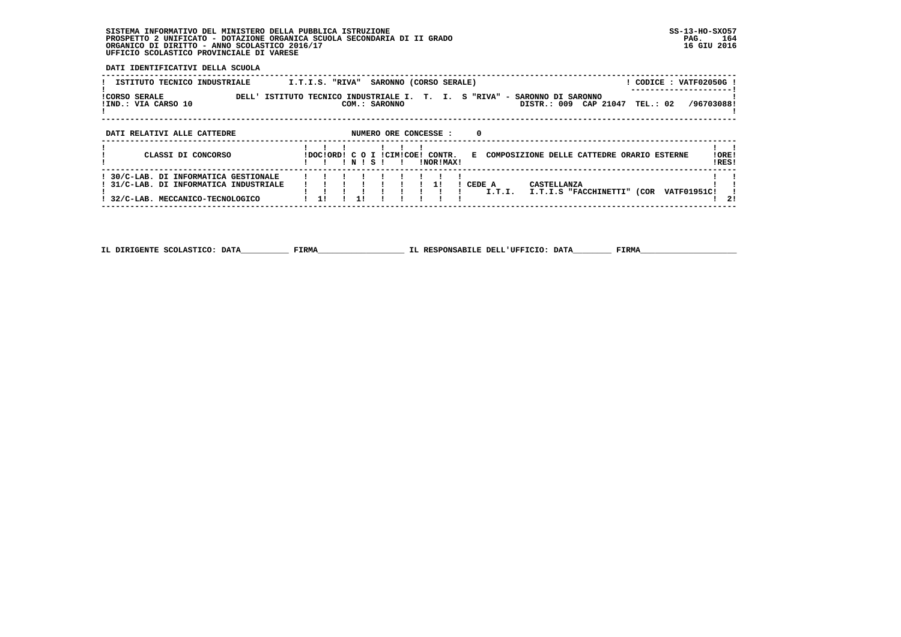**DATI IDENTIFICATIVI DELLA SCUOLA**

| ISTITUTO TECNICO INDUSTRIALE                         | CODICE: VATF02050G!<br>SARONNO (CORSO SERALE)<br>I.T.I.S. "RIVA"                                                                              |                |
|------------------------------------------------------|-----------------------------------------------------------------------------------------------------------------------------------------------|----------------|
| <b>!CORSO SERALE</b><br>DELL'<br>!IND.: VIA CARSO 10 | T. I. S "RIVA" - SARONNO DI SARONNO<br>TECNICO INDUSTRIALE I.<br>ISTITUTO<br>/96703088!<br>DISTR.: 009 CAP 21047<br>TEL.: 02<br>COM.: SARONNO |                |
| DATI RELATIVI ALLE CATTEDRE                          | NUMERO ORE CONCESSE :<br>0                                                                                                                    |                |
| CLASSI DI CONCORSO                                   | E COMPOSIZIONE DELLE CATTEDRE ORARIO ESTERNE<br>IDOCIORD! C O I ICIMICOE! CONTR.<br>NISI<br>INORIMAXI                                         | !ORE!<br>!RES! |

  **------------------------------------------------------------------------------------------------------------------------------------ ! 30/C-LAB. DI INFORMATICA GESTIONALE ! ! ! ! ! ! ! ! ! ! ! ! 31/C-LAB. DI INFORMATICA INDUSTRIALE ! ! ! ! ! ! ! 1! ! CEDE A CASTELLANZA ! ! ! ! ! ! ! ! ! ! ! ! I.T.I. I.T.I.S "FACCHINETTI" (COR VATF01951C! ! ! 32/C-LAB. MECCANICO-TECNOLOGICO ! 1! ! 1! ! ! ! ! ! ! 2! ------------------------------------------------------------------------------------------------------------------------------------**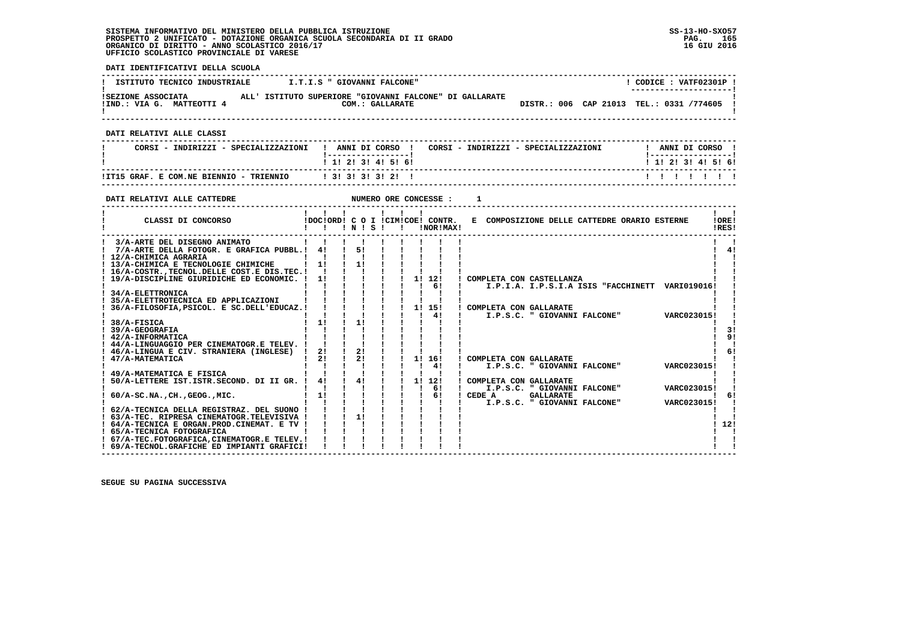**DATI IDENTIFICATIVI DELLA SCUOLA ------------------------------------------------------------------------------------------------------------------------------------** $1$  CODICE :  $V\text{ATF02301P}$  1 **I ISTITUTO TECNICO INDUSTRIALE : I.T.I.S " GIOVANNI FALCONE" ! ---------------------! !SEZIONE ASSOCIATA ALL' ISTITUTO SUPERIORE "GIOVANNI FALCONE" DI GALLARATE ! !IND.: VIA G. MATTEOTTI 4 COM.: GALLARATE DISTR.: 006 CAP 21013 TEL.: 0331 /774605 !** $\mathbf{I}$  **! ! ------------------------------------------------------------------------------------------------------------------------------------ DATI RELATIVI ALLE CLASSI ------------------------------------------------------------------------------------------------------------------------------------**! ANNI DI CORSO !  **! CORSI - INDIRIZZI - SPECIALIZZAZIONI ! ANNI DI CORSO ! CORSI - INDIRIZZI - SPECIALIZZAZIONI ! ANNI DI CORSO !**\_\_\_\_\_\_\_\_\_\_\_\_\_\_\_\_\_\_\_\_\_\_  **! !-----------------! !-----------------!**1 1 2 3 3 4 5 6  **! ! 1! 2! 3! 4! 5! 6! ! 1! 2! 3! 4! 5! 6! ------------------------------------------------------------------------------------------------------------------------------------ !IT15 GRAF. E COM.NE BIENNIO - TRIENNIO ! 3! 3! 3! 3! 2! ! ! ! ! ! ! ! ! ------------------------------------------------------------------------------------------------------------------------------------ DATI RELATIVI ALLE CATTEDRE NUMERO ORE CONCESSE : 1 ------------------------------------------------------------------------------------------------------------------------------------** $\mathbf{I}$   $\mathbf{I}$  **! ! ! ! ! ! ! ! !LORE! ! CLASSI DI CONCORSO !DOC!ORD! C O I !CIM!COE! CONTR. E COMPOSIZIONE DELLE CATTEDRE ORARIO ESTERNE !ORE! ! ! ! ! N ! S ! ! !NOR!MAX! !RES!**IRES!  **------------------------------------------------------------------------------------------------------------------------------------ ! 3/A-ARTE DEL DISEGNO ANIMATO ! ! ! ! ! ! ! ! ! ! ! ! 7/A-ARTE DELLA FOTOGR. E GRAFICA PUBBL.! 4! ! 5! ! ! ! ! ! ! 4! ! 12/A-CHIMICA AGRARIA ! ! ! ! ! ! ! ! ! ! ! ! 13/A-CHIMICA E TECNOLOGIE CHIMICHE ! 1! ! 1! ! ! ! ! ! ! ! ! 16/A-COSTR.,TECNOL.DELLE COST.E DIS.TEC.! ! ! ! ! ! ! ! ! ! ! ! 19/A-DISCIPLINE GIURIDICHE ED ECONOMIC. ! 1! ! ! ! ! 1! 12! ! COMPLETA CON CASTELLANZA ! !** $\mathbf{I}$  $4<sub>1</sub>$  $\mathbf{I}$  and  $\mathbf{I}$  $\mathbf{I}$ - 1  **! ! ! ! ! ! ! ! 6! ! I.P.I.A. I.P.S.I.A ISIS "FACCHINETT VARI019016! ! ! 34/A-ELETTRONICA ! ! ! ! ! ! ! ! ! ! ! ! 35/A-ELETTROTECNICA ED APPLICAZIONI ! ! ! ! ! ! ! ! ! ! ! ! 36/A-FILOSOFIA,PSICOL. E SC.DELL'EDUCAZ.! ! ! ! ! ! 1! 15! ! COMPLETA CON GALLARATE ! ! ! ! ! ! ! ! ! ! 4! ! I.P.S.C. " GIOVANNI FALCONE" VARC023015! ! ! 38/A-FISICA ! 1! ! 1! ! ! ! ! ! ! ! ! 39/A-GEOGRAFIA ! ! ! ! ! ! ! ! ! ! 3!**- 1  $31$  $1 \overline{91}$  **! 42/A-INFORMATICA ! ! ! ! ! ! ! ! ! ! 9!** $\mathbf{I}$  **! 44/A-LINGUAGGIO PER CINEMATOGR.E TELEV. ! ! ! ! ! ! ! ! ! ! ! ! 46/A-LINGUA E CIV. STRANIERA (INGLESE) ! 2! ! 2! ! ! ! ! ! ! 6!**6!  $\mathbf{I}$  **! 47/A-MATEMATICA ! 2! ! 2! ! ! 1! 16! ! COMPLETA CON GALLARATE ! !1 ! ! ! ! ! ! 4! ! I.P.S.C. " GIOVANNI FALCONE"** - 1  **! 49/A-MATEMATICA E FISICA ! ! ! ! ! ! ! ! ! ! ! ! 50/A-LETTERE IST.ISTR.SECOND. DI II GR. ! 4! ! 4! ! ! 1! 12! ! COMPLETA CON GALLARATE ! !** $\blacksquare$  **! ! ! ! ! ! ! ! 6! ! I.P.S.C. " GIOVANNI FALCONE" VARC023015! ! ! 60/A-SC.NA.,CH.,GEOG.,MIC. ! 1! ! ! ! ! ! 6! ! CEDE A GALLARATE ! 6! ! ! ! ! ! ! ! ! ! ! I.P.S.C. " GIOVANNI FALCONE" VARC023015! !** $\sqrt{1}$  61  $\blacksquare$  $\mathbf{I}$  **! 62/A-TECNICA DELLA REGISTRAZ. DEL SUONO ! ! ! ! ! ! ! ! ! ! ! ! 63/A-TEC. RIPRESA CINEMATOGR.TELEVISIVA ! ! ! 1! ! ! ! ! ! ! ! ! 64/A-TECNICA E ORGAN.PROD.CINEMAT. E TV ! ! ! ! ! ! ! ! ! ! 12!**- 1  $1, 121$  $\mathbf{I}$   $\mathbf{I}$  **! 65/A-TECNICA FOTOGRAFICA ! ! ! ! ! ! ! ! ! ! !**- 1  **! 67/A-TEC.FOTOGRAFICA,CINEMATOGR.E TELEV.! ! ! ! ! ! ! ! ! ! !** $\mathbf{I}$  and  $\mathbf{I}$  **! 69/A-TECNOL.GRAFICHE ED IMPIANTI GRAFICI! ! ! ! ! ! ! ! ! ! ! ------------------------------------------------------------------------------------------------------------------------------------**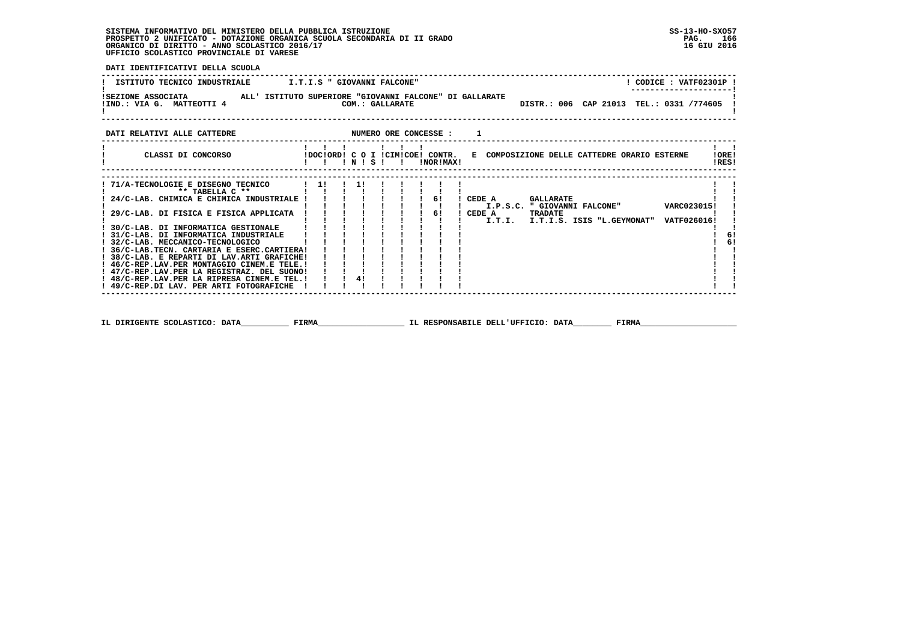**DATI IDENTIFICATIVI DELLA SCUOLA**

| ISTITUTO TECNICO INDUSTRIALE T.T.I.S " GIOVANNI FALCONE"                                                                                                                                                                                                                                                                                                                                                                                                                                                         |                                             |                                                   | ! CODICE : VATF02301P !                                                                                         |                                             |
|------------------------------------------------------------------------------------------------------------------------------------------------------------------------------------------------------------------------------------------------------------------------------------------------------------------------------------------------------------------------------------------------------------------------------------------------------------------------------------------------------------------|---------------------------------------------|---------------------------------------------------|-----------------------------------------------------------------------------------------------------------------|---------------------------------------------|
| !SEZIONE ASSOCIATA                 ALL' ISTITUTO SUPERIORE "GIOVANNI FALCONE" DI GALLARATE<br>IND.: VIA G. MATTEOTTI 4 COM.: GALLARATE DISTR.: 006 CAP 21013 TEL.: 0331 /774605 1                                                                                                                                                                                                                                                                                                                                |                                             |                                                   |                                                                                                                 |                                             |
|                                                                                                                                                                                                                                                                                                                                                                                                                                                                                                                  |                                             |                                                   |                                                                                                                 |                                             |
| CLASSI DI CONCORSO             IDOC!ORD! C O I !CIM!COE! CONTR.   E COMPOSIZIONE DELLE CATTEDRE ORARIO ESTERNE                                                                                                                                                                                                                                                                                                                                                                                                   | $1 \quad 1 \quad 1 \quad 1 \quad 1 \quad 1$ |                                                   |                                                                                                                 | $\mathbf{1}$ $\mathbf{1}$<br>IOREI<br>!RES! |
| $! 71/A-TECNOLOGIE E DISEGNO TECNICO$ $! 1! 1! 1!$<br>** TABELLA C **<br>! 24/C-LAB. CHIMICA E CHIMICA INDUSTRIALE ! ! !<br>29/C-LAB. DI FISICA E FISICA APPLICATA $\begin{array}{cccc} 1 & 1 & 1 & 1 \end{array}$<br>! 36/C-LAB. TECN. CARTARIA E ESERC. CARTIERA!<br>! 38/C-LAB. E REPARTI DI LAV.ARTI GRAFICHE!<br>! 46/C-REP.LAV.PER MONTAGGIO CINEM.E TELE. !<br>! 47/C-REP.LAV.PER LA REGISTRAZ. DEL SUONO!<br>! 48/C-REP.LAV.PER LA RIPRESA CINEM.E TEL.!<br>! 49/C-REP.DI LAV. PER ARTI FOTOGRAFICHE ! ! | 1 1 1 1 1 1 1 1<br>4!                       | ! ! 6! ! CEDE A GALLARATE<br>$1 \quad 1 \quad 61$ | ! I.P.S.C. " GIOVANNI FALCONE" VARC023015!<br>! CEDE A TRADATE<br>I.T.I. I.T.I.S. ISIS "L.GEYMONAT" VATF026016! | 6!<br>6!                                    |
|                                                                                                                                                                                                                                                                                                                                                                                                                                                                                                                  |                                             |                                                   |                                                                                                                 |                                             |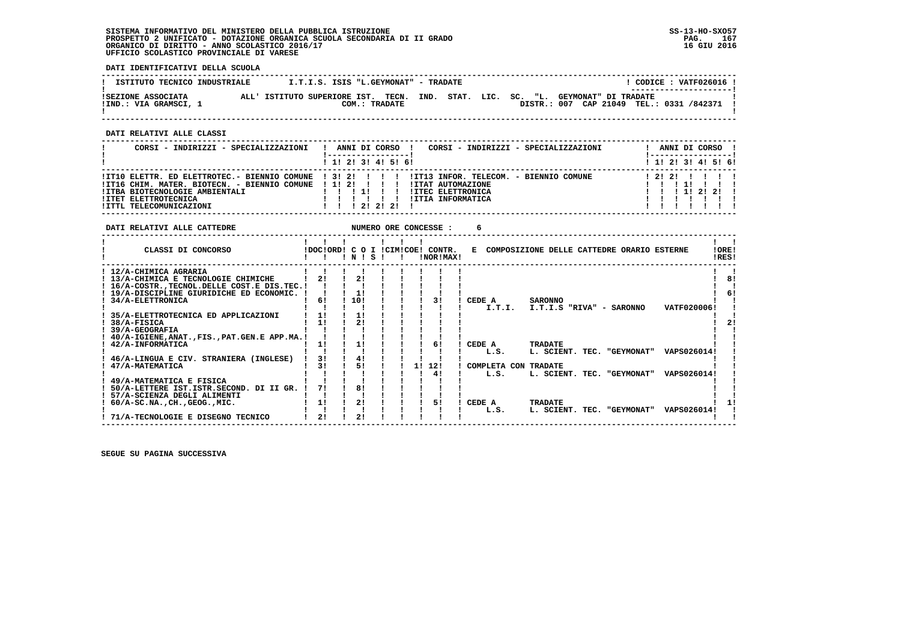**DATI IDENTIFICATIVI DELLA SCUOLA**

| ISTITUTO TECNICO INDUSTRIALE                | I.T.I.S. ISIS "L.GEYMONAT" - TRADATE                       |               |  |  |                      | CODICE: VATF026016 !                                               |  |
|---------------------------------------------|------------------------------------------------------------|---------------|--|--|----------------------|--------------------------------------------------------------------|--|
| ISEZIONE ASSOCIATA<br>!IND.: VIA GRAMSCI, 1 | ALL' ISTITUTO SUPERIORE IST. TECN. IND. STAT. LIC. SC. "L. | COM.: TRADATE |  |  | GEYMONAT" DI TRADATE | ----------------------<br>DISTR.: 007 CAP 21049 TEL.: 0331 /842371 |  |

 **------------------------------------------------------------------------------------------------------------------------------------**

 **DATI RELATIVI ALLE CLASSI**

| CORSI - INDIRIZZI - SPECIALIZZAZIONI                                                                                                                               | CORSI - INDIRIZZI - SPECIALIZZAZIONI<br>ANNI DI CORSO !                                                                                                                   | ANNI DI CORSO !<br>! ------------------ |
|--------------------------------------------------------------------------------------------------------------------------------------------------------------------|---------------------------------------------------------------------------------------------------------------------------------------------------------------------------|-----------------------------------------|
|                                                                                                                                                                    | 1 1! 2! 3! 4! 5! 6!                                                                                                                                                       | $1$ 1! 2! 3! 4! 5! 6!                   |
| !IT16 CHIM. MATER. BIOTECN. - BIENNIO COMUNE ! 1! 2! ! ! !! !ITAT AUTOMAZIONE<br>!ITBA BIOTECNOLOGIE AMBIENTALI<br>!ITET ELETTROTECNICA<br>!ITTL TELECOMUNICAZIONI | IIT10 ELETTR. ED ELETTROTEC.- BIENNIO COMUNE   3! 2!         IIT13 INFOR. TELECOM. - BIENNIO COMUNE<br><b>!ITEC ELETTRONICA</b><br>!ITIA INFORMATICA<br>1 1 1 2 1 2 1 2 1 | 12121<br>1 1 1 1 2 1 2 1                |

| DATI RELATIVI ALLE CATTEDRE                    |    |       |  |    | NUMERO ORE CONCESSE :                         | 6                                                              |    |
|------------------------------------------------|----|-------|--|----|-----------------------------------------------|----------------------------------------------------------------|----|
| CLASSI DI CONCORSO                             |    | INISI |  |    | IDOCIORD! C O I ICIMICOE! CONTR.<br>INORIMAX! | !ORE!<br>E COMPOSIZIONE DELLE CATTEDRE ORARIO ESTERNE<br>!RES! |    |
| ! 12/A-CHIMICA AGRARIA                         |    |       |  |    |                                               |                                                                |    |
| ! 13/A-CHIMICA E TECNOLOGIE CHIMICHE           | 21 | 2!    |  |    |                                               |                                                                | 81 |
| ! 16/A-COSTRTECNOL.DELLE COST.E DIS.TEC.!      |    |       |  |    |                                               |                                                                |    |
| ! 19/A-DISCIPLINE GIURIDICHE ED ECONOMIC.      |    | 11    |  |    |                                               |                                                                | 6! |
| ! 34/A-ELETTRONICA                             | 61 | 10!   |  |    | 31                                            | CEDE A<br><b>SARONNO</b>                                       |    |
|                                                |    |       |  |    |                                               | I.T.I.<br>I.T.I.S "RIVA" - SARONNO<br>VATF020006!              |    |
| 35/A-ELETTROTECNICA ED APPLICAZIONI            | 11 | 11    |  |    |                                               |                                                                |    |
| 38/A-FISICA                                    | 11 | 21    |  |    |                                               |                                                                |    |
| <b>39/A-GEOGRAFIA</b>                          |    |       |  |    |                                               |                                                                |    |
| 40/A-IGIENE, ANAT., FIS., PAT. GEN. E APP.MA.! |    |       |  |    |                                               |                                                                |    |
| 42/A-INFORMATICA                               | 11 | 1!    |  |    | 61                                            | CEDE A<br><b>TRADATE</b>                                       |    |
|                                                |    |       |  |    |                                               | L. SCIENT. TEC. "GEYMONAT"<br>VAPS026014!<br>L.S.              |    |
| 46/A-LINGUA E CIV. STRANIERA (INGLESE)         | 31 | 41    |  |    |                                               |                                                                |    |
| 47/A-MATEMATICA                                | 31 | 51    |  | 11 | 12!                                           | COMPLETA CON TRADATE                                           |    |
|                                                |    |       |  |    | 41                                            | L. SCIENT. TEC. "GEYMONAT"<br>VAPS026014!<br>L.S.              |    |
| 49/A-MATEMATICA E FISICA                       |    |       |  |    |                                               |                                                                |    |
| 50/A-LETTERE IST.ISTR.SECOND. DI II GR.        | 71 | 81    |  |    |                                               |                                                                |    |
| 57/A-SCIENZA DEGLI ALIMENTI                    |    |       |  |    |                                               |                                                                |    |
| $60/A-SC.NA.$ , $CH.$ , $GEOG.$ , $MIC.$       | 1! | 2!    |  |    | 51                                            | CEDE A<br><b>TRADATE</b>                                       |    |
|                                                |    |       |  |    |                                               | L.S.<br>L. SCIENT. TEC. "GEYMONAT"<br>VAPS026014!              |    |
| 71/A-TECNOLOGIE E DISEGNO TECNICO              | 21 | 21    |  |    |                                               |                                                                |    |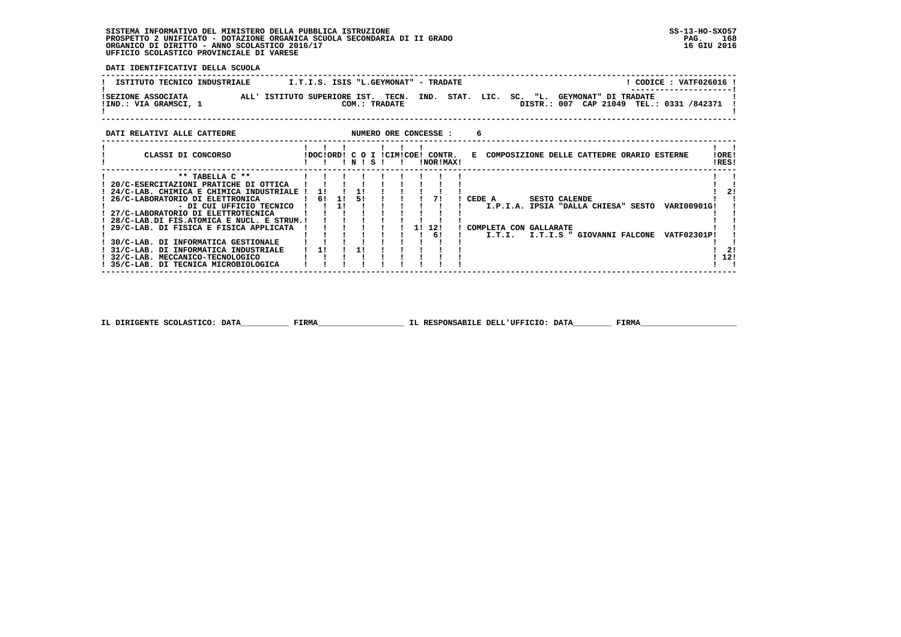**DATI IDENTIFICATIVI DELLA SCUOLA**

| ISTITUTO TECNICO INDUSTRIALE                | I.T.I.S. ISIS "L.GEYMONAT" - TRADATE                                |  |            |                      | CODICE: VATF026016 !<br>---------------------- |  |
|---------------------------------------------|---------------------------------------------------------------------|--|------------|----------------------|------------------------------------------------|--|
| ISEZIONE ASSOCIATA<br>!IND.: VIA GRAMSCI, 1 | ALL' ISTITUTO SUPERIORE IST. TECN. IND. STAT. LIC.<br>COM.: TRADATE |  | "L.<br>SC. | GEYMONAT" DI TRADATE | DISTR.: 007 CAP 21049 TEL.: 0331 /842371       |  |

### **DATI RELATIVI ALLE CATTEDRE CONCESSE : 6**

| CLASSI DI CONCORSO                        | IDOCIORDI C O I ICIMICOEI |    | ! N ! S ! |  |  | CONTR.<br>INORIMAXI | E COMPOSIZIONE DELLE CATTEDRE ORARIO ESTERNE              | !ORE!<br>IRES! |  |
|-------------------------------------------|---------------------------|----|-----------|--|--|---------------------|-----------------------------------------------------------|----------------|--|
| ** TABELLA C **                           |                           |    |           |  |  |                     |                                                           |                |  |
| 20/C-ESERCITAZIONI PRATICHE DI OTTICA     |                           |    |           |  |  |                     |                                                           |                |  |
| 24/C-LAB. CHIMICA E CHIMICA INDUSTRIALE ! | <b>11</b>                 |    |           |  |  |                     |                                                           | 21             |  |
| 26/C-LABORATORIO DI ELETTRONICA           | 61                        | 11 | 51        |  |  |                     | CEDE A<br><b>SESTO CALENDE</b>                            |                |  |
| - DI CUI UFFICIO TECNICO                  |                           | 11 |           |  |  |                     | <b>VARI00901G!</b><br>I.P.I.A. IPSIA "DALLA CHIESA" SESTO |                |  |
| ! 27/C-LABORATORIO DI ELETTROTECNICA      |                           |    |           |  |  |                     |                                                           |                |  |
| 28/C-LAB.DI FIS.ATOMICA E NUCL. E STRUM.! |                           |    |           |  |  |                     |                                                           |                |  |
| 29/C-LAB. DI FISICA E FISICA APPLICATA    |                           |    |           |  |  | 1! 12!              | COMPLETA CON GALLARATE                                    |                |  |
|                                           |                           |    |           |  |  | 61                  | I.T.I. I.T.I.S " GIOVANNI FALCONE<br><b>VATF02301P!</b>   |                |  |
| 30/C-LAB. DI INFORMATICA GESTIONALE       |                           |    |           |  |  |                     |                                                           |                |  |
| 31/C-LAB. DI INFORMATICA INDUSTRIALE      |                           |    |           |  |  |                     |                                                           | 21             |  |
| ! 32/C-LAB. MECCANICO-TECNOLOGICO         |                           |    |           |  |  |                     |                                                           | 12!            |  |
| 35/C-LAB. DI TECNICA MICROBIOLOGICA       |                           |    |           |  |  |                     |                                                           |                |  |
|                                           |                           |    |           |  |  |                     |                                                           |                |  |

 **IL DIRIGENTE SCOLASTICO: DATA\_\_\_\_\_\_\_\_\_\_ FIRMA\_\_\_\_\_\_\_\_\_\_\_\_\_\_\_\_\_\_ IL RESPONSABILE DELL'UFFICIO: DATA\_\_\_\_\_\_\_\_ FIRMA\_\_\_\_\_\_\_\_\_\_\_\_\_\_\_\_\_\_\_\_**

 **------------------------------------------------------------------------------------------------------------------------------------**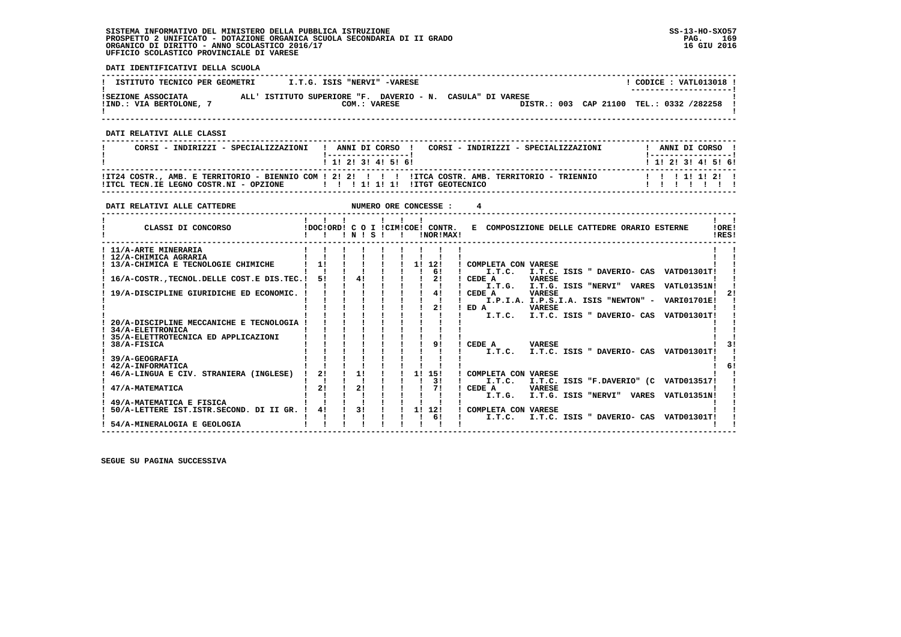**DATI IDENTIFICATIVI DELLA SCUOLA**

| ISTITUTO TECNICO PER GEOMETRI               | I.T.G. ISIS "NERVI" -VARESE                                                |  | CODICE: VATL013018 !<br>--------------------- |
|---------------------------------------------|----------------------------------------------------------------------------|--|-----------------------------------------------|
| ISEZIONE ASSOCIATA<br>!IND.: VIA BERTOLONE, | ALL' ISTITUTO SUPERIORE "F. DAVERIO - N. CASULA" DI VARESE<br>COM.: VARESE |  | DISTR.: 003 CAP 21100 TEL.: 0332 /282258      |

 **------------------------------------------------------------------------------------------------------------------------------------**

 **DATI RELATIVI ALLE CLASSI**

| CORSI - INDIRIZZI - SPECIALIZZAZIONI                                  | CORSI - INDIRIZZI - SPECIALIZZAZIONI<br>! ANNI DI CORSO !                                                             | ANNI DI CORSO !                                                 |
|-----------------------------------------------------------------------|-----------------------------------------------------------------------------------------------------------------------|-----------------------------------------------------------------|
| !ITCL TECN.IE LEGNO COSTR.NI - OPZIONE   !!! 1! 1! 1! ITGT GEOTECNICO | 1 1 2 3 3 4 5 6 1<br>ITZ4 COSTR., AMB. E TERRITORIO - BIENNIO COM ! 2! 2! ! !! ITCA COSTR. AMB. TERRITORIO - TRIENNIO | 1 1 1 2 1 3 1 4 1 5 1 6 1<br>1 1 1 1 1 1 2 1<br>, , , , , , , , |

 **------------------------------------------------------------------------------------------------------------------------------------**

| DATI RELATIVI ALLE CATTEDRE                   |    |           |  |    | NUMERO ORE CONCESSE :                         |        |                     |               |                                              |                                                 |                 |
|-----------------------------------------------|----|-----------|--|----|-----------------------------------------------|--------|---------------------|---------------|----------------------------------------------|-------------------------------------------------|-----------------|
| CLASSI DI CONCORSO                            |    | 1 N 1 S 1 |  |    | IDOCIORDI C O I ICIMICOEI CONTR.<br>!NOR!MAX! |        |                     |               | E COMPOSIZIONE DELLE CATTEDRE ORARIO ESTERNE |                                                 | ! ORE!<br>IRES! |
| ! 11/A-ARTE MINERARIA                         |    |           |  |    |                                               |        |                     |               |                                              |                                                 |                 |
| ! 12/A-CHIMICA AGRARIA                        |    |           |  |    |                                               |        |                     |               |                                              |                                                 |                 |
| 13/A-CHIMICA E TECNOLOGIE CHIMICHE            | 11 |           |  | 1! | 12!                                           |        | COMPLETA CON VARESE |               |                                              |                                                 |                 |
|                                               |    |           |  |    | 61                                            |        | I.T.C.              |               |                                              | I.T.C. ISIS " DAVERIO- CAS VATD01301T!          |                 |
| 16/A-COSTR. TECNOL. DELLE COST. E DIS. TEC. ! | 51 | 4!        |  |    | 2!                                            | CEDE A |                     | <b>VARESE</b> |                                              |                                                 |                 |
|                                               |    |           |  |    |                                               |        | I.T.G.              |               |                                              | I.T.G. ISIS "NERVI" VARES VATL01351N!           |                 |
| 19/A-DISCIPLINE GIURIDICHE ED ECONOMIC.       |    |           |  |    | 41                                            | CEDE A |                     | <b>VARESE</b> |                                              |                                                 |                 |
|                                               |    |           |  |    |                                               |        |                     |               |                                              | I.P.I.A. I.P.S.I.A. ISIS "NEWTON" - VARI01701E! |                 |
|                                               |    |           |  |    | 2!                                            | ED A   |                     | <b>VARESE</b> |                                              |                                                 |                 |
|                                               |    |           |  |    |                                               |        | I.T.C.              |               | I.T.C. ISIS " DAVERIO- CAS                   | <b>VATD01301T!</b>                              |                 |
| 20/A-DISCIPLINE MECCANICHE E TECNOLOGIA       |    |           |  |    |                                               |        |                     |               |                                              |                                                 |                 |
| <b>34/A-ELETTRONICA</b>                       |    |           |  |    |                                               |        |                     |               |                                              |                                                 |                 |
| 35/A-ELETTROTECNICA ED APPLICAZIONI           |    |           |  |    |                                               |        |                     |               |                                              |                                                 |                 |
| 38/A-FISICA                                   |    |           |  |    | 91                                            | CEDE A |                     | <b>VARESE</b> |                                              |                                                 |                 |
|                                               |    |           |  |    |                                               |        | I.T.C.              |               |                                              | I.T.C. ISIS " DAVERIO- CAS VATD01301T!          |                 |
| 39/A-GEOGRAFIA                                |    |           |  |    |                                               |        |                     |               |                                              |                                                 |                 |
| 42/A-INFORMATICA                              |    |           |  |    |                                               |        |                     |               |                                              |                                                 |                 |
| 46/A-LINGUA E CIV. STRANIERA (INGLESE)        | 21 | 11        |  | 11 | 151                                           |        | COMPLETA CON VARESE |               |                                              |                                                 |                 |
|                                               |    |           |  |    | 31                                            |        | I.T.C.              |               |                                              | I.T.C. ISIS "F.DAVERIO" (C VATD013517!          |                 |
| 47/A-MATEMATICA                               | 21 | 21        |  |    |                                               | CEDE A |                     | <b>VARESE</b> |                                              |                                                 |                 |
|                                               |    |           |  |    |                                               |        | I.T.G.              |               |                                              | I.T.G. ISIS "NERVI" VARES VATL01351N!           |                 |
| 49/A-MATEMATICA E FISICA                      |    |           |  |    |                                               |        |                     |               |                                              |                                                 |                 |
| 50/A-LETTERE IST.ISTR.SECOND. DI II GR.       | 41 | 31        |  | 1! | 12!                                           |        | COMPLETA CON VARESE |               |                                              |                                                 |                 |
|                                               |    |           |  |    | 61                                            |        | I.T.C.              |               |                                              | I.T.C. ISIS " DAVERIO- CAS VATD01301T!          |                 |
| 54/A-MINERALOGIA E GEOLOGIA                   |    |           |  |    |                                               |        |                     |               |                                              |                                                 |                 |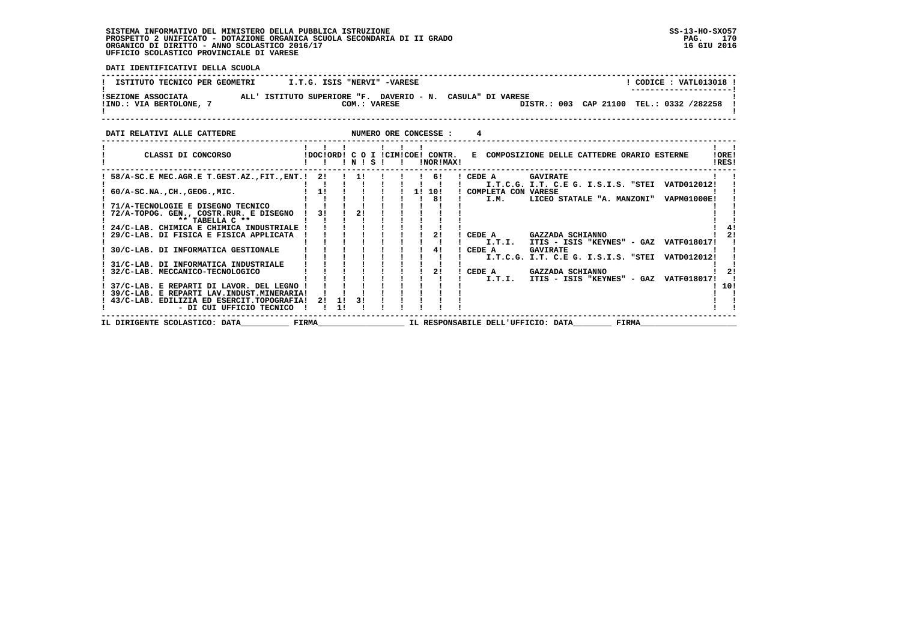**DATI IDENTIFICATIVI DELLA SCUOLA**

| ISTITUTO TECNICO PER GEOMETRI | I.T.G. ISIS "NERVI" -VARESE                                | $CODE: VATL013018$ !                       |  |
|-------------------------------|------------------------------------------------------------|--------------------------------------------|--|
| ISEZIONE ASSOCIATA            | ALL' ISTITUTO SUPERIORE "F. DAVERIO - N. CASULA" DI VARESE | ---------------------                      |  |
| !IND.: VIA BERTOLONE,         | COM.: VARESE                                               | DISTR.: 003 CAP 21100 TEL.: 0332 /282258 ! |  |

| DATI RELATIVI ALLE CATTEDRE                 |       |    |           |      |  |    | NUMERO ORE CONCESSE :                         |        |                       |                                                        |       |                    |                |
|---------------------------------------------|-------|----|-----------|------|--|----|-----------------------------------------------|--------|-----------------------|--------------------------------------------------------|-------|--------------------|----------------|
| CLASSI DI CONCORSO                          |       |    |           | INIS |  |    | IDOCIORDI C O I ICIMICOEI CONTR.<br>!NOR!MAX! |        |                       | E COMPOSIZIONE DELLE CATTEDRE ORARIO ESTERNE           |       |                    | !ORE!<br>!RES! |
| 58/A-SC.E MEC.AGR.E T.GEST.AZ., FIT., ENT.! |       | 21 |           |      |  |    | $1 \quad 61$                                  | CEDE A |                       | <b>GAVIRATE</b><br>I.T.C.G. I.T. C.E G. I.S.I.S. "STEI |       | <b>VATD012012!</b> |                |
| $60/A-SC.NA.$ , CH., GEOG., MIC.            |       |    |           |      |  | 11 | 10!                                           |        | ! COMPLETA CON VARESE |                                                        |       |                    |                |
|                                             |       |    |           |      |  |    | 81                                            |        | I.M.                  | LICEO STATALE "A. MANZONI"                             |       | <b>VAPM01000E!</b> |                |
| 71/A-TECNOLOGIE E DISEGNO TECNICO           |       |    |           |      |  |    |                                               |        |                       |                                                        |       |                    |                |
| 72/A-TOPOG. GEN., COSTR.RUR. E DISEGNO      |       | 31 |           | 21   |  |    |                                               |        |                       |                                                        |       |                    |                |
| $***$ TABELLA $C***$                        |       |    |           |      |  |    |                                               |        |                       |                                                        |       |                    |                |
| ! 24/C-LAB. CHIMICA E CHIMICA INDUSTRIALE   |       |    |           |      |  |    |                                               |        |                       |                                                        |       |                    |                |
| 29/C-LAB. DI FISICA E FISICA APPLICATA      |       |    |           |      |  |    |                                               | CEDE A |                       | GAZZADA SCHIANNO                                       |       |                    |                |
|                                             |       |    |           |      |  |    |                                               |        | I.T.I.                | ITIS - ISIS "KEYNES" - GAZ                             |       | <b>VATF018017!</b> |                |
| 30/C-LAB. DI INFORMATICA GESTIONALE         |       |    |           |      |  |    | 41                                            | CEDE A |                       | <b>GAVIRATE</b>                                        |       |                    |                |
|                                             |       |    |           |      |  |    |                                               |        |                       | I.T.C.G. I.T. C.E G. I.S.I.S. "STEI                    |       | <b>VATD012012!</b> |                |
| 31/C-LAB. DI INFORMATICA INDUSTRIALE        |       |    |           |      |  |    |                                               |        |                       |                                                        |       |                    |                |
| 32/C-LAB. MECCANICO-TECNOLOGICO             |       |    |           |      |  |    | 21                                            | CEDE A |                       | <b>GAZZADA SCHIANNO</b>                                |       |                    |                |
|                                             |       |    |           |      |  |    |                                               |        | I.T.I.                | ITIS - ISIS "KEYNES" - GAZ                             |       | <b>VATF018017!</b> |                |
| 37/C-LAB. E REPARTI DI LAVOR. DEL LEGNO     |       |    |           |      |  |    |                                               |        |                       |                                                        |       |                    | 10!            |
| 39/C-LAB. E REPARTI LAV. INDUST. MINERARIA! |       |    |           |      |  |    |                                               |        |                       |                                                        |       |                    |                |
| 43/C-LAB. EDILIZIA ED ESERCIT.TOPOGRAFIA!   |       | 21 | <b>1!</b> | 31   |  |    |                                               |        |                       |                                                        |       |                    |                |
| - DI CUI UFFICIO TECNICO                    |       |    | 11        |      |  |    |                                               |        |                       |                                                        |       |                    |                |
| IL DIRIGENTE SCOLASTICO: DATA               | FIRMA |    |           |      |  |    |                                               |        |                       | IL RESPONSABILE DELL'UFFICIO: DATA                     | FIRMA |                    |                |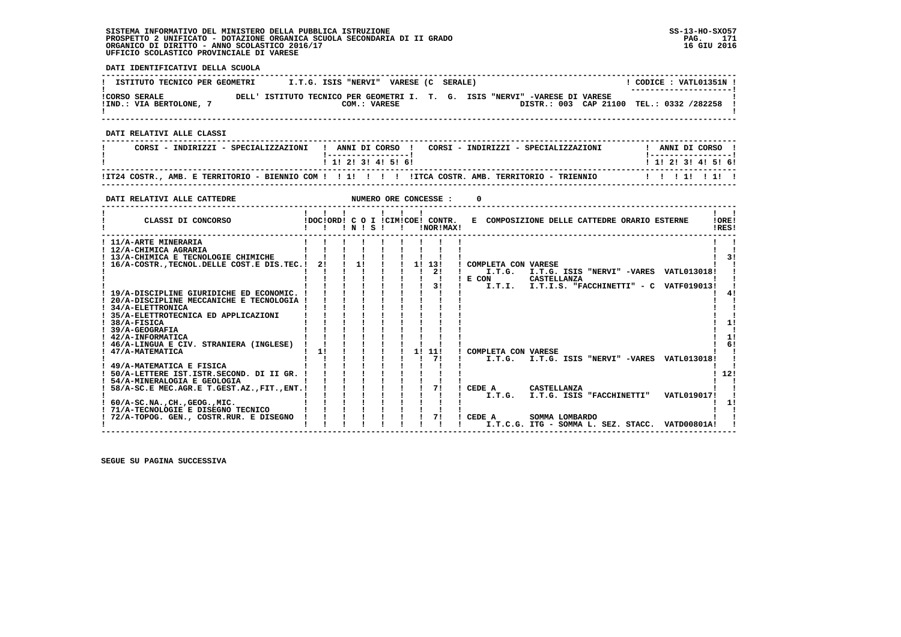**DATI IDENTIFICATIVI DELLA SCUOLA**

| ISTITUTO TECNICO PER GEOMETRI                   | VARESE (C SERALE)<br>I.T.G. ISIS "NERVI"                                                    | CODICE: VATL01351N !<br>--------------------- |
|-------------------------------------------------|---------------------------------------------------------------------------------------------|-----------------------------------------------|
| <b>!CORSO SERALE</b><br>!IND.: VIA BERTOLONE, 7 | DELL' ISTITUTO TECNICO PER GEOMETRI I. T. G. ISIS "NERVI" -VARESE DI VARESE<br>COM.: VARESE | DISTR.: 003 CAP 21100 TEL.: 0332 /282258 !    |
| DATT RELATIVI ALLE CLASSI                       |                                                                                             |                                               |

  **------------------------------------------------------------------------------------------------------------------------------------ ! CORSI - INDIRIZZI - SPECIALIZZAZIONI ! ANNI DI CORSO ! CORSI - INDIRIZZI - SPECIALIZZAZIONI ! ANNI DI CORSO ! ! !-----------------! !-----------------!**1 1 1 2 1 3 1 4 1 5 1 6 1  **! ! 1! 2! 3! 4! 5! 6! ! 1! 2! 3! 4! 5! 6! ------------------------------------------------------------------------------------------------------------------------------------ !IT24 COSTR., AMB. E TERRITORIO - BIENNIO COM ! ! 1! ! ! ! !ITCA COSTR. AMB. TERRITORIO - TRIENNIO ! ! ! 1! ! 1! ! ------------------------------------------------------------------------------------------------------------------------------------DATI RELATIVI ALLE CATTEDRE NUMERO ORE CONCESSE : 0 ------------------------------------------------------------------------------------------------------------------------------------** $\mathbf{I}$   $\mathbf{I}$ **1**  *<b>1 <b>1 <b>1 <b>1 <b>1 <b>1 <b>1 <b>1 <b>1* **1**  *<b>1* **1** *1* **1 LORE!** CLASSI DI CONCORSO **8** | DOC!ORD! C O I !CIM!COE! CONTR. E COMPOSIZIONE DELLE CATTEDRE ORARIO ESTERNE IRES! **2 CLASSI DI CONCORSO 1 1 1 1 N ! S ! 1 INORIMAX! ------------------------------------------------------------------------------------------------------------------------------------** $\mathbf{I}$   $\mathbf{I}$  **! 11/A-ARTE MINERARIA ! ! ! ! ! ! ! ! ! ! ! ! 12/A-CHIMICA AGRARIA ! ! ! ! ! ! ! ! ! ! !** $\blacksquare$  $1 \quad 31$  **! 13/A-CHIMICA E TECNOLOGIE CHIMICHE ! ! ! ! ! ! ! ! ! ! 3! ! 16/A-COSTR.,TECNOL.DELLE COST.E DIS.TEC.! 2! ! 1! ! ! 1! 13! ! COMPLETA CON VARESE ! ! ! ! ! ! ! ! ! ! 2! ! I.T.G. I.T.G. ISIS "NERVI" -VARES VATL013018! ! ! ! ! ! ! ! ! ! ! ! E CON CASTELLANZA ! ! ! ! ! ! ! ! ! ! 3! ! I.T.I. I.T.I.S. "FACCHINETTI" - C VATF019013! ! ! 19/A-DISCIPLINE GIURIDICHE ED ECONOMIC. ! ! ! ! ! ! ! ! ! ! 4! ! 20/A-DISCIPLINE MECCANICHE E TECNOLOGIA ! ! ! ! ! ! ! ! ! ! !** $\mathbf{I}$  **! 34/A-ELETTRONICA ! ! ! ! ! ! ! ! ! ! ! ! 35/A-ELETTROTECNICA ED APPLICAZIONI ! ! ! ! ! ! ! ! ! ! ! ! 38/A-FISICA ! ! ! ! ! ! ! ! ! ! 1!** $\overline{\phantom{a}}$  $1 \quad 1!$  $\mathbf{I}$  and  $\mathbf{I}$  **! 39/A-GEOGRAFIA ! ! ! ! ! ! ! ! ! ! !** $1 - 11$  **! 42/A-INFORMATICA ! ! ! ! ! ! ! ! ! ! 1! ! 46/A-LINGUA E CIV. STRANIERA (INGLESE) ! ! ! ! ! ! ! ! ! ! 6! ! 47/A-MATEMATICA ! 1! ! ! ! ! 1! 11! ! COMPLETA CON VARESE ! ! ! ! ! ! ! ! ! ! 7! ! I.T.G. I.T.G. ISIS "NERVI" -VARES VATL013018! ! ! 49/A-MATEMATICA E FISICA ! ! ! ! ! ! ! ! ! ! !** $1<sub>61</sub>$  $\blacksquare$  $\blacksquare$  $1, 121$  **! 50/A-LETTERE IST.ISTR.SECOND. DI II GR. ! ! ! ! ! ! ! ! ! ! 12!** $\mathbf{I}$  and  $\mathbf{I}$  **! 54/A-MINERALOGIA E GEOLOGIA ! ! ! ! ! ! ! ! ! ! ! ! 58/A-SC.E MEC.AGR.E T.GEST.AZ.,FIT.,ENT.! ! ! ! ! ! ! 7! ! CEDE A CASTELLANZA ! ! ! ! ! ! ! ! ! ! ! ! I.T.G. I.T.G. ISIS "FACCHINETTI" VATL019017! ! ! 60/A-SC.NA.,CH.,GEOG.,MIC. ! ! ! ! ! ! ! ! ! ! 1!**- 1  $\blacksquare$  $\mathbf{I}$  and  $\mathbf{I}$  **! 71/A-TECNOLOGIE E DISEGNO TECNICO ! ! ! ! ! ! ! ! ! ! ! ! 72/A-TOPOG. GEN., COSTR.RUR. E DISEGNO ! ! ! ! ! ! ! 7! ! CEDE A SOMMA LOMBARDO ! ! ! ! ! ! ! ! ! ! ! ! I.T.C.G. ITG - SOMMA L. SEZ. STACC. VATD00801A! !**

 **------------------------------------------------------------------------------------------------------------------------------------**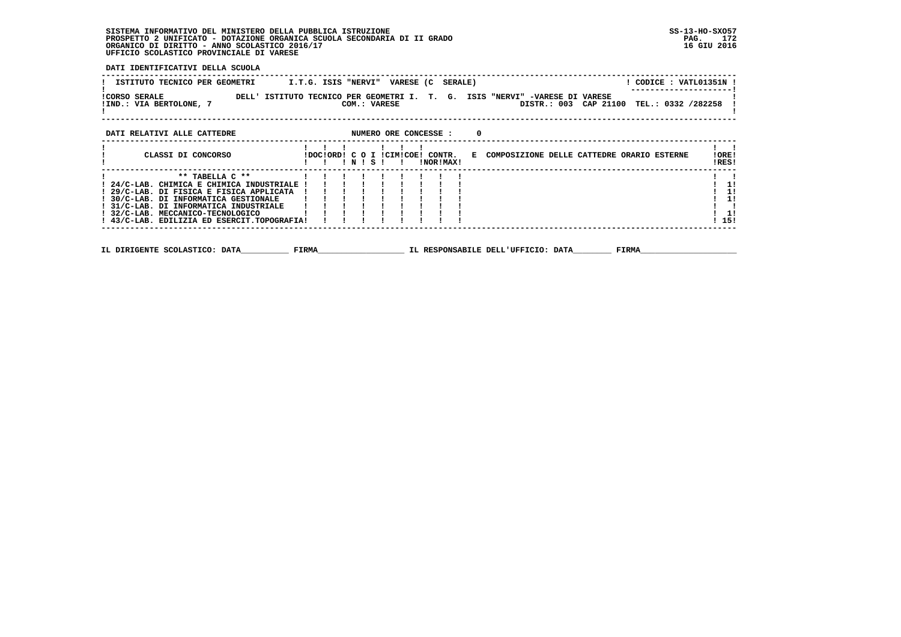**DATI IDENTIFICATIVI DELLA SCUOLA**

| ISTITUTO TECNICO PER GEOMETRI                            | VARESE (C<br>CODICE : VATL01351N !<br>I.T.G. ISIS "NERVI"<br>SERALE)                                                                       |                 |
|----------------------------------------------------------|--------------------------------------------------------------------------------------------------------------------------------------------|-----------------|
| <b>!CORSO SERALE</b><br>DELL'<br>!IND.: VIA BERTOLONE, 7 | ISTITUTO TECNICO PER GEOMETRI I. T. G.<br>ISIS "NERVI" -VARESE DI VARESE<br>CAP 21100<br>TEL.: 0332 /282258<br>DISTR.: 003<br>COM.: VARESE |                 |
| DATI RELATIVI ALLE CATTEDRE                              | NUMERO ORE CONCESSE :<br>0                                                                                                                 |                 |
| CLASSI DI CONCORSO                                       | IDOCIORD! C O I ICIMICOE!<br>COMPOSIZIONE DELLE CATTEDRE ORARIO ESTERNE<br>CONTR.<br>E.<br>INORIMAXI<br>NIS                                | ! ORE!<br>IRES! |

| $***$ TARELLA $C**$                                    |  |  |  |  |  |              |    |
|--------------------------------------------------------|--|--|--|--|--|--------------|----|
| ! 24/C-LAB. CHIMICA E CHIMICA INDUSTRIALE !!!          |  |  |  |  |  |              | 1! |
| ! 29/C-LAB. DI FISICA E FISICA APPLICATA               |  |  |  |  |  | ! 1!         |    |
| ! 30/C-LAB. DI INFORMATICA GESTIONALE   !!             |  |  |  |  |  | !!!          |    |
| ! 31/C-LAB. DI INFORMATICA INDUSTRIALE                 |  |  |  |  |  |              |    |
| ! 32/C-LAB. MECCANICO-TECNOLOGICO                      |  |  |  |  |  | $1 \quad 11$ |    |
| $\pm$ 43/C-LAB. EDILIZIA ED ESERCIT.TOPOGRAFIA! !!!!!! |  |  |  |  |  | ! 15!        |    |
|                                                        |  |  |  |  |  |              |    |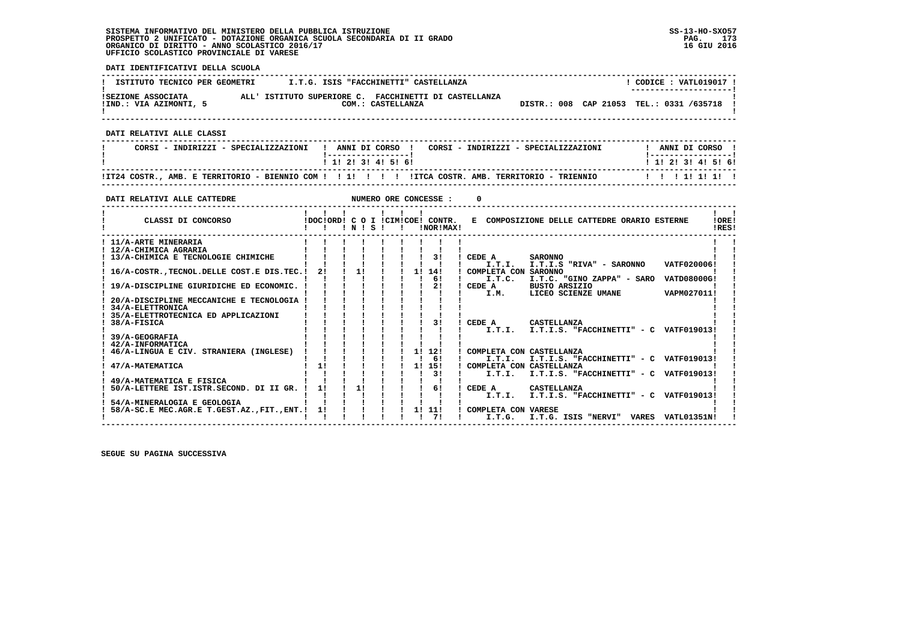$\mathbf{I}$ 

 **DATI IDENTIFICATIVI DELLA SCUOLA ------------------------------------------------------------------------------------------------------------------------------------**! CODICE : VATL019017 ! **! ISTITUTO TECNICO PER GEOMETRI 1.T.G. ISIS "FACCHINETTI" CASTELLANZA** ----------------------- **! ---------------------! !SEZIONE ASSOCIATA ALL' ISTITUTO SUPERIORE C. FACCHINETTI DI CASTELLANZA ! !IND.: VIA AZIMONTI, 5 COM.: CASTELLANZA DISTR.: 008 CAP 21053 TEL.: 0331 /635718 ! ! ! ------------------------------------------------------------------------------------------------------------------------------------ DATI RELATIVI ALLE CLASSI ------------------------------------------------------------------------------------------------------------------------------------ ! CORSI - INDIRIZZI - SPECIALIZZAZIONI ! ANNI DI CORSO ! CORSI - INDIRIZZI - SPECIALIZZAZIONI ! ANNI DI CORSO ! ! !-----------------! !-----------------!**1 1 2 2 1 3 1 4 1 5 1 6 1  **! ! 1! 2! 3! 4! 5! 6! ! 1! 2! 3! 4! 5! 6! ------------------------------------------------------------------------------------------------------------------------------------ !IT24 COSTR., AMB. E TERRITORIO - BIENNIO COM ! ! 1! ! ! ! !ITCA COSTR. AMB. TERRITORIO - TRIENNIO ! ! ! 1! 1! 1! ! ------------------------------------------------------------------------------------------------------------------------------------**

| DATI RELATIVI ALLE CATTEDRE                    |    |      |  | NUMERO ORE CONCESSE :                            |        |                      |                          |                                              |       |                                          |                |
|------------------------------------------------|----|------|--|--------------------------------------------------|--------|----------------------|--------------------------|----------------------------------------------|-------|------------------------------------------|----------------|
| CLASSI DI CONCORSO                             |    | INIS |  | IDOCIORDI C O I ICIMICOEI CONTR.<br>INOR ! MAX ! |        |                      |                          | E COMPOSIZIONE DELLE CATTEDRE ORARIO ESTERNE |       |                                          | !ORE!<br>IRES! |
| ! 11/A-ARTE MINERARIA                          |    |      |  |                                                  |        |                      |                          |                                              |       |                                          |                |
| ! 12/A-CHIMICA AGRARIA                         |    |      |  |                                                  |        |                      |                          |                                              |       |                                          |                |
| 13/A-CHIMICA E TECNOLOGIE CHIMICHE             |    |      |  | 31                                               | CEDE A |                      | <b>SARONNO</b>           |                                              |       |                                          |                |
|                                                |    |      |  |                                                  |        | I.T.I.               |                          | I.T.I.S "RIVA" - SARONNO                     |       | VATF020006!                              |                |
| 16/A-COSTR., TECNOL. DELLE COST. E DIS. TEC. ! | 2! | 11   |  | 11<br>14!                                        |        | COMPLETA CON SARONNO |                          |                                              |       |                                          |                |
|                                                |    |      |  | 61                                               |        | I.T.C.               |                          |                                              |       | I.T.C. "GINO ZAPPA" - SARO VATD08000G!   |                |
| 19/A-DISCIPLINE GIURIDICHE ED ECONOMIC.        |    |      |  | 21                                               |        | CEDE A               | <b>BUSTO ARSIZIO</b>     |                                              |       |                                          |                |
|                                                |    |      |  |                                                  |        | I.M.                 |                          | LICEO SCIENZE UMANE                          |       | VAPM027011!                              |                |
| 20/A-DISCIPLINE MECCANICHE E TECNOLOGIA        |    |      |  |                                                  |        |                      |                          |                                              |       |                                          |                |
| 34/A-ELETTRONICA                               |    |      |  |                                                  |        |                      |                          |                                              |       |                                          |                |
| 35/A-ELETTROTECNICA ED APPLICAZIONI            |    |      |  |                                                  |        |                      |                          |                                              |       |                                          |                |
| 38/A-FISICA                                    |    |      |  | 31                                               | CEDE A |                      | CASTELLANZA              |                                              |       |                                          |                |
|                                                |    |      |  |                                                  |        | I.T.T.               |                          |                                              |       | I.T.I.S. "FACCHINETTI" - C VATF019013!   |                |
| 39/A-GEOGRAFIA                                 |    |      |  |                                                  |        |                      |                          |                                              |       |                                          |                |
| 42/A-INFORMATICA                               |    |      |  |                                                  |        |                      |                          |                                              |       |                                          |                |
| 46/A-LINGUA E CIV. STRANIERA (INGLESE)         |    |      |  | 1! 12!                                           |        |                      | COMPLETA CON CASTELLANZA |                                              |       |                                          |                |
|                                                |    |      |  | 61                                               |        | I.T.I.               |                          |                                              |       | I.T.I.S. "FACCHINETTI" - C VATF019013!   |                |
| 47/A-MATEMATICA                                | 11 |      |  | 1! 15!                                           |        |                      | COMPLETA CON CASTELLANZA |                                              |       |                                          |                |
|                                                |    |      |  | 3!                                               |        | I.T.I.               |                          |                                              |       | I.T.I.S. "FACCHINETTI" - C VATF019013!   |                |
| 49/A-MATEMATICA E FISICA                       |    |      |  |                                                  |        |                      |                          |                                              |       |                                          |                |
| 50/A-LETTERE IST.ISTR.SECOND. DI II GR.        | 11 | 11   |  | 61                                               | CEDE A |                      | CASTELLANZA              |                                              |       |                                          |                |
|                                                |    |      |  |                                                  |        | I.T.I.               |                          |                                              |       | $I.T.I.S.$ "FACCHINETTI" - C VATF019013! |                |
| 54/A-MINERALOGIA E GEOLOGIA                    |    |      |  |                                                  |        |                      |                          |                                              |       |                                          |                |
| 58/A-SC.E MEC.AGR.E T.GEST.AZ., FIT., ENT.!    | 11 |      |  | 1! 11!                                           |        | COMPLETA CON VARESE  |                          |                                              |       |                                          |                |
|                                                |    |      |  | 71                                               |        | I.T.G.               |                          | I.T.G. ISIS "NERVI"                          | VARES | <b>VATL01351N!</b>                       |                |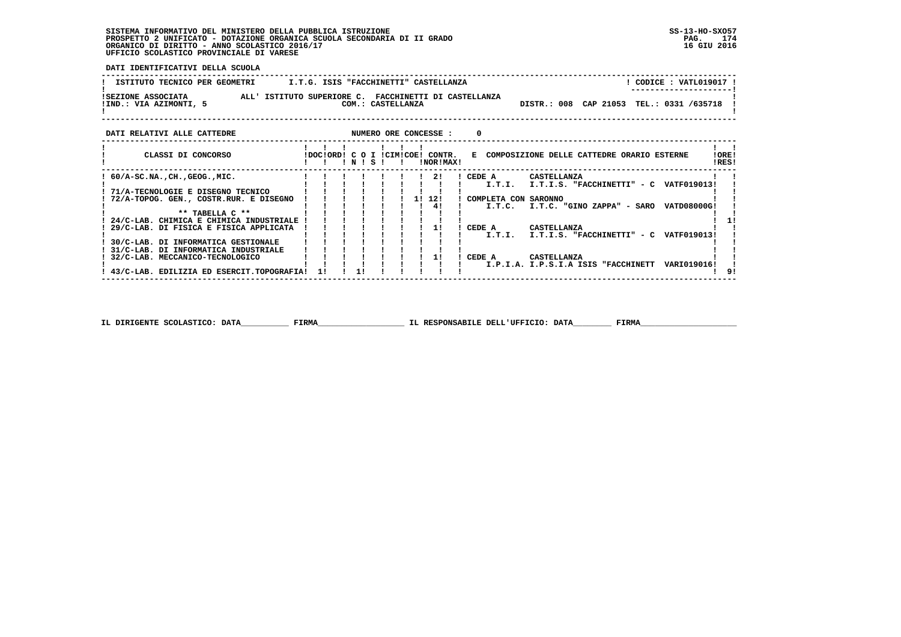**DATI IDENTIFICATIVI DELLA SCUOLA**

| ISTITUTO TECNICO PER GEOMETRI                | I.T.G. ISIS "FACCHINETTI" CASTELLANZA                                                              | ! CODICE : VATL019017 !<br>--------------------- |
|----------------------------------------------|----------------------------------------------------------------------------------------------------|--------------------------------------------------|
| ISEZIONE ASSOCIATA<br>!IND.: VIA AZIMONTI, 5 | ALL' ISTITUTO SUPERIORE C. FACCHINETTI DI CASTELLANZA<br>COM.: CASTELLANZA                         | TEL.: 0331 /635718<br>DISTR.: 008 CAP 21053      |
| DATI RELATIVI ALLE CATTEDRE                  | NUMERO ORE CONCESSE :<br>0                                                                         |                                                  |
| CLASSI DI CONCORSO                           | IDOCIORDI C O I ICIMICOEI CONTR. E COMPOSIZIONE DELLE CATTEDRE ORARIO ESTERNE<br>NISI<br>INORIMAXI | !ORE!<br>IRES!                                   |

| $60/A-SC.NA.$ , $CH.$ , $GEOG.$ , $MIC.$  |  |  |  | 21     | CEDE A               | CASTELLANZA                                        |  |
|-------------------------------------------|--|--|--|--------|----------------------|----------------------------------------------------|--|
|                                           |  |  |  |        | I.T.T.               | $I.T.I.S.$ "FACCHINETTI" - C VATF019013!           |  |
| 71/A-TECNOLOGIE E DISEGNO TECNICO         |  |  |  |        |                      |                                                    |  |
| 72/A-TOPOG. GEN., COSTR.RUR. E DISEGNO    |  |  |  | 11 121 | COMPLETA CON SARONNO |                                                    |  |
|                                           |  |  |  | 41     | I.T.C.               | VATD08000G!<br>I.T.C. "GINO ZAPPA" - SARO          |  |
| ** TABELLA C **                           |  |  |  |        |                      |                                                    |  |
| 24/C-LAB. CHIMICA E CHIMICA INDUSTRIALE   |  |  |  |        |                      |                                                    |  |
| 29/C-LAB. DI FISICA E FISICA APPLICATA    |  |  |  |        | CEDE A               | CASTELLANZA                                        |  |
|                                           |  |  |  |        | I.T.T.               | I.T.I.S. "FACCHINETTI" - C<br><b>VATF019013!</b>   |  |
| 30/C-LAB. DI INFORMATICA GESTIONALE       |  |  |  |        |                      |                                                    |  |
| 31/C-LAB, DI INFORMATICA INDUSTRIALE      |  |  |  |        |                      |                                                    |  |
| 32/C-LAB. MECCANICO-TECNOLOGICO           |  |  |  |        | CEDE A               | CASTELLANZA                                        |  |
|                                           |  |  |  |        |                      | I.P.I.A. I.P.S.I.A ISIS "FACCHINETT<br>VARI019016! |  |
| 43/C-LAB. EDILIZIA ED ESERCIT.TOPOGRAFIA! |  |  |  |        |                      |                                                    |  |

 **IL DIRIGENTE SCOLASTICO: DATA\_\_\_\_\_\_\_\_\_\_ FIRMA\_\_\_\_\_\_\_\_\_\_\_\_\_\_\_\_\_\_ IL RESPONSABILE DELL'UFFICIO: DATA\_\_\_\_\_\_\_\_ FIRMA\_\_\_\_\_\_\_\_\_\_\_\_\_\_\_\_\_\_\_\_**

 **------------------------------------------------------------------------------------------------------------------------------------**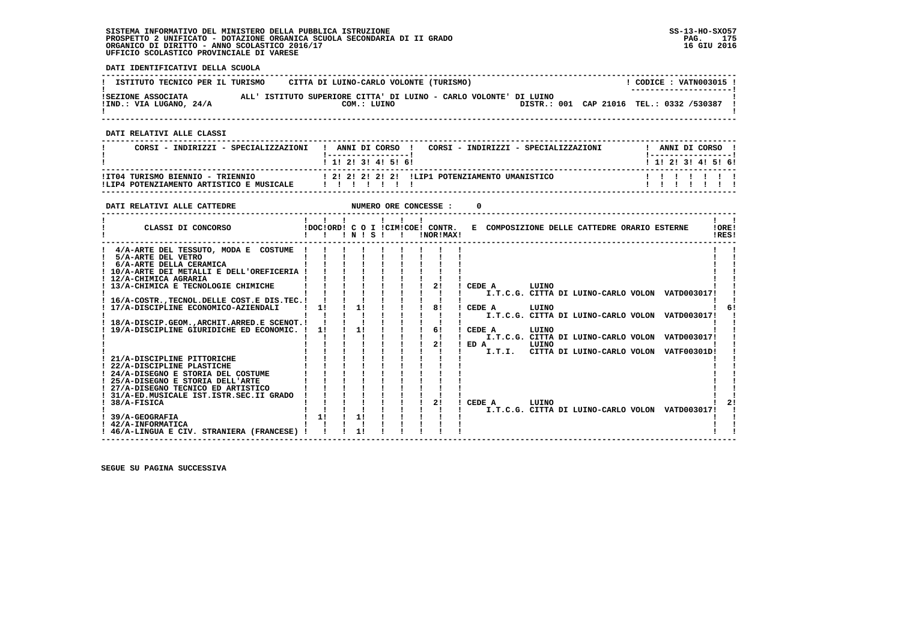**DATI IDENTIFICATIVI DELLA SCUOLA**

| ISTITUTO TECNICO PER IL TURISMO               | CITTA DI LUINO-CARLO VOLONTE (TURISMO)                                           |  | CODICE: VATN003015 !<br>--------------------- |
|-----------------------------------------------|----------------------------------------------------------------------------------|--|-----------------------------------------------|
| ISEZIONE ASSOCIATA<br>!IND.: VIA LUGANO, 24/A | ALL' ISTITUTO SUPERIORE CITTA' DI LUINO - CARLO VOLONTE' DI LUINO<br>COM.: LUINO |  | DISTR.: 001 CAP 21016 TEL.: 0332 /530387      |

 **------------------------------------------------------------------------------------------------------------------------------------**

 **DATI RELATIVI ALLE CLASSI**

| CORSI - INDIRIZZI - SPECIALIZZAZIONI                                         | ANNI DI CORSO<br>CORSI - INDIRIZZI - SPECIALIZZAZIONI<br>1 1 2 3 3 4 5 6 1 |   |  | ANNI DI CORSO<br>1 1 1 2 1 3 1 4 1 5 1 6 1 |  |
|------------------------------------------------------------------------------|----------------------------------------------------------------------------|---|--|--------------------------------------------|--|
| !IT04 TURISMO BIENNIO - TRIENNIO<br>!LIP4 POTENZIAMENTO ARTISTICO E MUSICALE | 1 21 21 21 21 21 ILIP1 POTENZIAMENTO UMANISTICO<br>, , , , , , , ,         | . |  |                                            |  |

 **------------------------------------------------------------------------------------------------------------------------------------**

| DATI RELATIVI ALLE CATTEDRE                                                                                                                                |    |           |  | NUMERO ORE CONCESSE :                           |      |                  |                                              |  |                                                                                                  |                |
|------------------------------------------------------------------------------------------------------------------------------------------------------------|----|-----------|--|-------------------------------------------------|------|------------------|----------------------------------------------|--|--------------------------------------------------------------------------------------------------|----------------|
| CLASSI DI CONCORSO                                                                                                                                         |    | 1 N 1 S 1 |  | !DOC!ORD! C O I !CIM!COE! CONTR.<br>INOR ! MAX! |      |                  | E COMPOSIZIONE DELLE CATTEDRE ORARIO ESTERNE |  |                                                                                                  | !ORE!<br>IRES! |
| 4/A-ARTE DEL TESSUTO, MODA E COSTUME<br>5/A-ARTE DEL VETRO<br>6/A-ARTE DELLA CERAMICA<br>10/A-ARTE DEI METALLI E DELL'OREFICERIA<br>! 12/A-CHIMICA AGRARIA |    |           |  |                                                 |      |                  |                                              |  |                                                                                                  |                |
| 13/A-CHIMICA E TECNOLOGIE CHIMICHE<br>16/A-COSTR., TECNOL. DELLE COST. E DIS. TEC. !<br>17/A-DISCIPLINE ECONOMICO-AZIENDALI                                | 11 | 11        |  | 21<br>81                                        |      | CEDE A<br>CEDE A | LUINO<br>LUINO                               |  | I.T.C.G. CITTA DI LUINO-CARLO VOLON VATD003017!                                                  |                |
| 18/A-DISCIP.GEOM. ARCHIT.ARRED.E SCENOT. !<br>19/A-DISCIPLINE GIURIDICHE ED ECONOMIC. !                                                                    | 11 | 11        |  | 61                                              |      | CEDE A           | LUINO                                        |  | I.T.C.G. CITTA DI LUINO-CARLO VOLON VATD003017!                                                  |                |
| 21/A-DISCIPLINE PITTORICHE                                                                                                                                 |    |           |  | 21                                              | ED A |                  | LUINO                                        |  | I.T.C.G. CITTA DI LUINO-CARLO VOLON VATD003017!<br>I.T.I. CITTA DI LUINO-CARLO VOLON VATF00301D! |                |
| 22/A-DISCIPLINE PLASTICHE<br>! 24/A-DISEGNO E STORIA DEL COSTUME<br>! 25/A-DISEGNO E STORIA DELL'ARTE                                                      |    |           |  |                                                 |      |                  |                                              |  |                                                                                                  |                |
| 27/A-DISEGNO TECNICO ED ARTISTICO<br>31/A-ED.MUSICALE IST.ISTR.SEC.II GRADO<br>38/A-FISICA                                                                 |    |           |  | 21                                              |      | CEDE A           | LUINO                                        |  | I.T.C.G. CITTA DI LUINO-CARLO VOLON VATD003017!                                                  |                |
| 39/A-GEOGRAFIA<br>$1.42/A-INFORMATIC A$<br>46/A-LINGUA E CIV. STRANIERA (FRANCESE)                                                                         | 11 | 1!<br>1!  |  |                                                 |      |                  |                                              |  |                                                                                                  |                |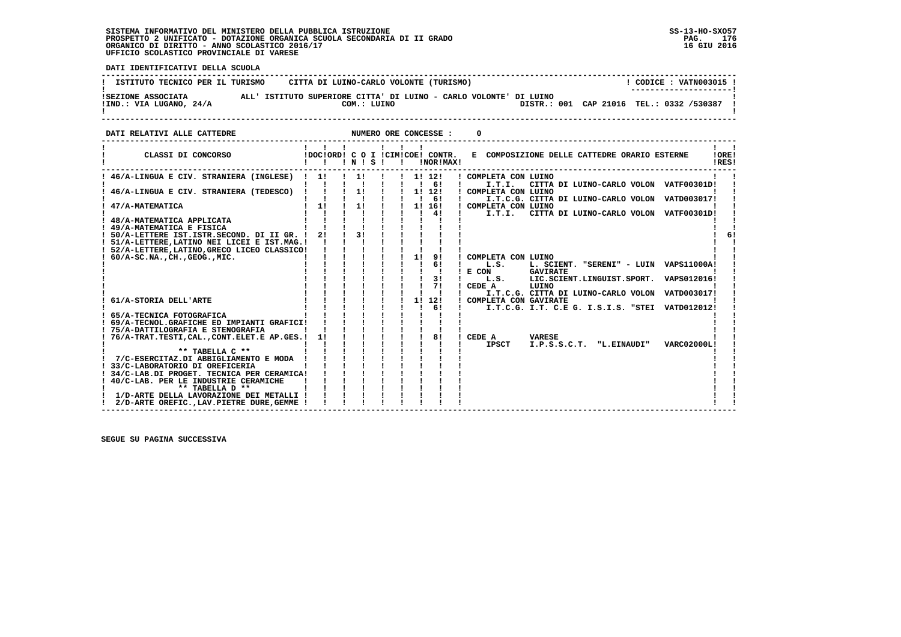֖֖֖֧֧֢ׅ֪֪֪֪֪֪֪֪֪֦֚֚֚֚֚֚֚֚֚֚֚֚֚֚֚֚֚֚֚֚֡֝֓֝֓֓֓֞֝֝֓

 **DATI IDENTIFICATIVI DELLA SCUOLA**

| ISTITUTO TECNICO PER IL TURISMO               | CITTA DI LUINO-CARLO VOLONTE (TURISMO)                                           | CODICE: VATN003015 !<br>---------------------- |
|-----------------------------------------------|----------------------------------------------------------------------------------|------------------------------------------------|
| ISEZIONE ASSOCIATA<br>!IND.: VIA LUGANO, 24/A | ALL' ISTITUTO SUPERIORE CITTA' DI LUINO - CARLO VOLONTE' DI LUINO<br>COM.: LUINO | DISTR.: 001 CAP 21016 TEL.: 0332 /530387       |

**DATI RELATIVI ALLE CATTEDRE CONCESSE : 0** 

| CLASSI DI CONCORSO                                                                          | $\blacksquare$<br>!DOC!ORD! C O I !CIM!COE! CONTR. | $'$ N $'$ S $'$ |                | $\mathbf{I}$ $\mathbf{I}$ $\mathbf{I}$ |    | !NOR!MAX!                                 | E COMPOSIZIONE DELLE CATTEDRE ORARIO ESTERNE<br>!ORE!<br>IRES!             |  |
|---------------------------------------------------------------------------------------------|----------------------------------------------------|-----------------|----------------|----------------------------------------|----|-------------------------------------------|----------------------------------------------------------------------------|--|
| ! 46/A-LINGUA E CIV. STRANIERA (INGLESE)                                                    | 11                                                 | $\frac{1}{2}$   | $\blacksquare$ |                                        |    | $1 \quad 11 \quad 121$<br>1 <sub>61</sub> | ! COMPLETA CON LUINO<br>I.T.I.<br>CITTA DI LUINO-CARLO VOLON VATF00301D!   |  |
| 46/A-LINGUA E CIV. STRANIERA (TEDESCO)                                                      |                                                    | 1!              |                |                                        |    | 1! 12!                                    | ! COMPLETA CON LUINO                                                       |  |
|                                                                                             | 1!                                                 | 1!              |                |                                        |    | $1 \quad 61$                              | I.T.C.G. CITTA DI LUINO-CARLO VOLON VATD003017!                            |  |
| 47/A-MATEMATICA                                                                             |                                                    |                 |                |                                        |    | 1! 16!<br>4!                              | ! COMPLETA CON LUINO<br>I.T.I.<br>CITTA DI LUINO-CARLO VOLON VATF00301D!   |  |
| 48/A-MATEMATICA APPLICATA                                                                   |                                                    |                 |                |                                        |    |                                           |                                                                            |  |
| 49/A-MATEMATICA E FISICA                                                                    |                                                    | 31              |                |                                        |    |                                           |                                                                            |  |
| ! 50/A-LETTERE IST.ISTR.SECOND. DI II GR. !<br>! 51/A-LETTERE, LATINO NEI LICEI E IST.MAG.! | 2!                                                 |                 |                |                                        |    |                                           |                                                                            |  |
| 52/A-LETTERE, LATINO, GRECO LICEO CLASSICO!                                                 |                                                    |                 |                |                                        |    |                                           |                                                                            |  |
| $60/A-SC.NA.$ , $CH.$ , $GEOG.$ , $MIC.$                                                    |                                                    |                 |                |                                        | 11 | 9!                                        | COMPLETA CON LUINO                                                         |  |
|                                                                                             |                                                    |                 |                |                                        |    | 61                                        | L. SCIENT. "SERENI" - LUIN VAPS11000A!<br>L.S.<br>E CON<br><b>GAVIRATE</b> |  |
|                                                                                             |                                                    |                 |                |                                        |    | 31                                        | L.S.<br>LIC.SCIENT.LINGUIST.SPORT. VAPS012016!                             |  |
|                                                                                             |                                                    |                 |                |                                        |    | 71                                        | CEDE A<br>LUINO                                                            |  |
| 61/A-STORIA DELL'ARTE                                                                       |                                                    |                 |                |                                        | 11 | 12!                                       | I.T.C.G. CITTA DI LUINO-CARLO VOLON VATD003017!<br>! COMPLETA CON GAVIRATE |  |
|                                                                                             |                                                    |                 |                |                                        |    | 61                                        | I.T.C.G. I.T. C.E G. I.S.I.S. "STEI VATD012012!                            |  |
| 65/A-TECNICA FOTOGRAFICA                                                                    |                                                    |                 |                |                                        |    |                                           |                                                                            |  |
| 69/A-TECNOL.GRAFICHE ED IMPIANTI GRAFICI!<br>75/A-DATTILOGRAFIA E STENOGRAFIA               |                                                    |                 |                |                                        |    |                                           |                                                                            |  |
| 76/A-TRAT.TESTI.CALCONT.ELET.E AP.GES.!                                                     | -11                                                |                 |                |                                        |    | 81                                        | CEDE A<br><b>VARESE</b>                                                    |  |
|                                                                                             |                                                    |                 |                |                                        |    |                                           | <b>VARC02000L!</b><br><b>IPSCT</b><br>I.P.S.S.C.T. "L.EINAUDI"             |  |
| ** TABELLA C **                                                                             |                                                    |                 |                |                                        |    |                                           |                                                                            |  |
| 7/C-ESERCITAZ.DI ABBIGLIAMENTO E MODA<br>33/C-LABORATORIO DI OREFICERIA                     |                                                    |                 |                |                                        |    |                                           |                                                                            |  |
| 34/C-LAB.DI PROGET. TECNICA PER CERAMICA!                                                   |                                                    |                 |                |                                        |    |                                           |                                                                            |  |
| 40/C-LAB. PER LE INDUSTRIE CERAMICHE                                                        |                                                    |                 |                |                                        |    |                                           |                                                                            |  |
| ** TABELLA D **<br>1/D-ARTE DELLA LAVORAZIONE DEI METALLI                                   |                                                    |                 |                |                                        |    |                                           |                                                                            |  |
| 2/D-ARTE OREFIC., LAV. PIETRE DURE, GEMME                                                   |                                                    |                 |                |                                        |    |                                           |                                                                            |  |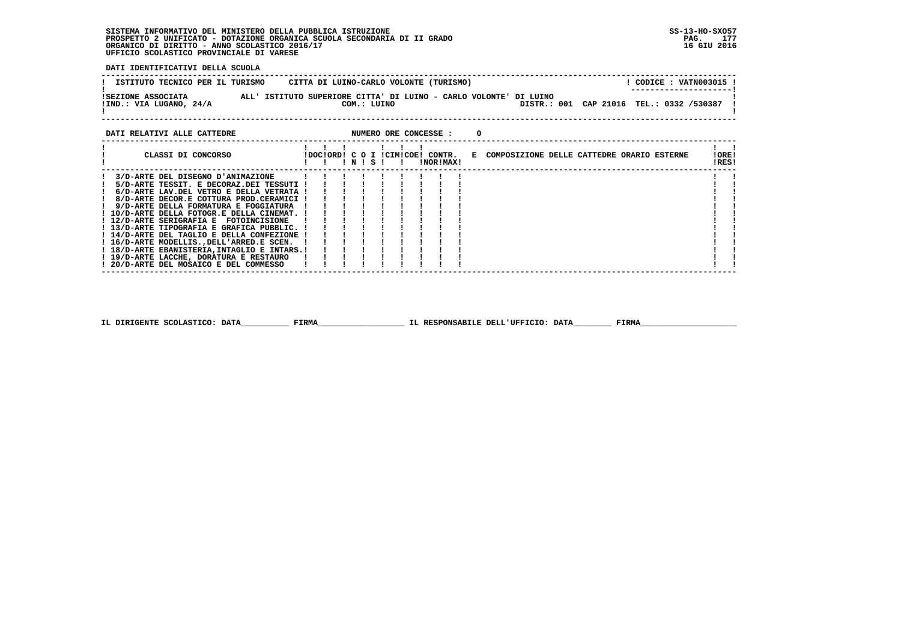**DATI IDENTIFICATIVI DELLA SCUOLA**

| ISTITUTO TECNICO PER IL TURISMO               | CITTA DI LUINO-CARLO VOLONTE (TURISMO)                                           | CODICE: VATN003015 !<br>---------------------- |
|-----------------------------------------------|----------------------------------------------------------------------------------|------------------------------------------------|
| ISEZIONE ASSOCIATA<br>!IND.: VIA LUGANO, 24/A | ALL' ISTITUTO SUPERIORE CITTA' DI LUINO - CARLO VOLONTE' DI LUINO<br>COM.: LUINO | DISTR.: 001 CAP 21016 TEL.: 0332 /530387 !     |

### **DATI RELATIVI ALLE CATTEDRE CONCESSE : 0**

| CLASSI DI CONCORSO                          |  |  |           |  | !DOC!ORD! C O I !CIM!COE! CONTR. |  | E COMPOSIZIONE DELLE CATTEDRE ORARIO ESTERNE | !ORE! |  |
|---------------------------------------------|--|--|-----------|--|----------------------------------|--|----------------------------------------------|-------|--|
|                                             |  |  | ! N ! S ! |  | INORIMAXI                        |  |                                              | !RES! |  |
|                                             |  |  |           |  |                                  |  |                                              |       |  |
| 3/D-ARTE DEL DISEGNO D'ANIMAZIONE           |  |  |           |  |                                  |  |                                              |       |  |
| 5/D-ARTE TESSIT. E DECORAZ.DEI TESSUTI !    |  |  |           |  |                                  |  |                                              |       |  |
| 6/D-ARTE LAV.DEL VETRO E DELLA VETRATA !    |  |  |           |  |                                  |  |                                              |       |  |
| 8/D-ARTE DECOR.E COTTURA PROD.CERAMICI !    |  |  |           |  |                                  |  |                                              |       |  |
| 9/D-ARTE DELLA FORMATURA E FOGGIATURA       |  |  |           |  |                                  |  |                                              |       |  |
| ! 10/D-ARTE DELLA FOTOGR.E DELLA CINEMAT. ! |  |  |           |  |                                  |  |                                              |       |  |
| ! 12/D-ARTE SERIGRAFIA E FOTOINCISIONE      |  |  |           |  |                                  |  |                                              |       |  |
| ! 13/D-ARTE TIPOGRAFIA E GRAFICA PUBBLIC. ! |  |  |           |  |                                  |  |                                              |       |  |
| ! 14/D-ARTE DEL TAGLIO E DELLA CONFEZIONE ! |  |  |           |  |                                  |  |                                              |       |  |
| ! 16/D-ARTE MODELLISDELL'ARRED.E SCEN.      |  |  |           |  |                                  |  |                                              |       |  |
| ! 18/D-ARTE EBANISTERIA.INTAGLIO E INTARS.! |  |  |           |  |                                  |  |                                              |       |  |
| ! 19/D-ARTE LACCHE, DORATURA E RESTAURO     |  |  |           |  |                                  |  |                                              |       |  |
| ! 20/D-ARTE DEL MOSAICO E DEL COMMESSO      |  |  |           |  |                                  |  |                                              |       |  |
|                                             |  |  |           |  |                                  |  |                                              |       |  |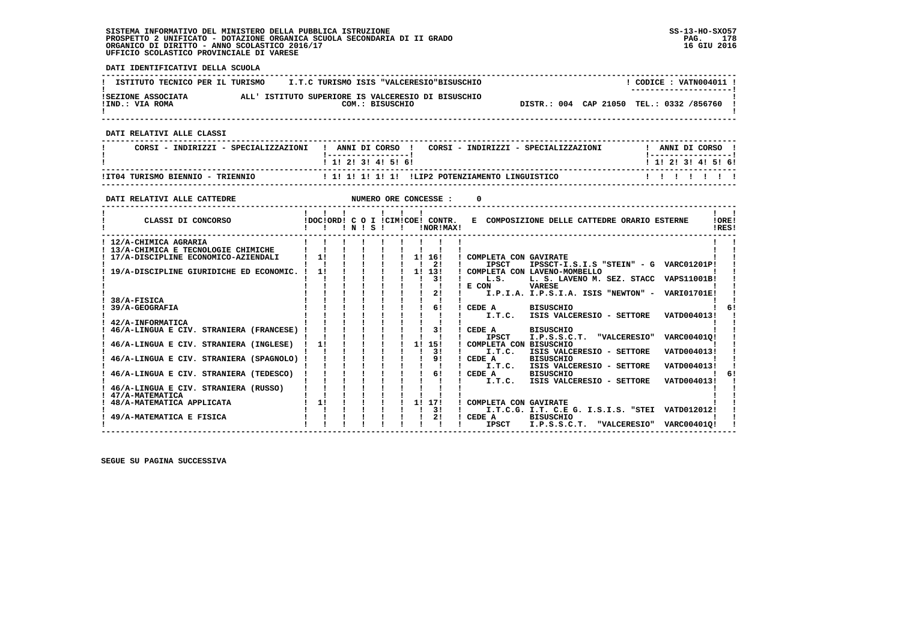**DATI IDENTIFICATIVI DELLA SCUOLA ------------------------------------------------------------------------------------------------------------------------------------** $1$  CODICE : VATN004011 I **I ISTITUTO TECNICO PER IL TURISMO : I.T.C TURISMO ISIS "VALCERESIO"BISUSCHIO ! ---------------------! !SEZIONE ASSOCIATA ALL' ISTITUTO SUPERIORE IS VALCERESIO DI BISUSCHIO ! !IND.: VIA ROMA COM.: BISUSCHIO DISTR.: 004 CAP 21050 TEL.: 0332 /856760 !** $\mathbf{I}$  **! ! ------------------------------------------------------------------------------------------------------------------------------------ DATI RELATIVI ALLE CLASSI ------------------------------------------------------------------------------------------------------------------------------------**I ANNI DI CORSO I  **! CORSI - INDIRIZZI - SPECIALIZZAZIONI ! ANNI DI CORSO ! CORSI - INDIRIZZI - SPECIALIZZAZIONI ! ANNI DI CORSO !**\_\_\_\_\_\_\_\_\_\_\_\_\_\_\_\_\_\_\_\_  **! !-----------------! !-----------------!**1 1 1 2 1 3 1 4 1 5 1 6 1  **! ! 1! 2! 3! 4! 5! 6! ! 1! 2! 3! 4! 5! 6! ------------------------------------------------------------------------------------------------------------------------------------** $11111111$  **!IT04 TURISMO BIENNIO - TRIENNIO ! 1! 1! 1! 1! 1! !LIP2 POTENZIAMENTO LINGUISTICO ! ! ! ! ! ! ! ------------------------------------------------------------------------------------------------------------------------------------DATI RELATIVI ALLE CATTEDRE NUMERO ORE CONCESSE : 0 ------------------------------------------------------------------------------------------------------------------------------------** $\mathbf{I}$   $\mathbf{I}$  **! ! ! ! ! ! ! ! !LORE! ! CLASSI DI CONCORSO !DOC!ORD! C O I !CIM!COE! CONTR. E COMPOSIZIONE DELLE CATTEDRE ORARIO ESTERNE !ORE! ! ! ! ! N ! S ! ! !NOR!MAX! !RES!IDFSI ------------------------------------------------------------------------------------------------------------------------------------** $\mathbf{I}$  **! 12/A-CHIMICA AGRARIA ! ! ! ! ! ! ! ! ! ! ! ! 13/A-CHIMICA E TECNOLOGIE CHIMICHE ! ! ! ! ! ! ! ! ! ! ! ! 17/A-DISCIPLINE ECONOMICO-AZIENDALI ! 1! ! ! ! ! 1! 16! ! COMPLETA CON GAVIRATE ! ! ! ! ! ! ! ! ! ! 2! ! IPSCT IPSSCT-I.S.I.S "STEIN" - G VARC01201P! ! ! 19/A-DISCIPLINE GIURIDICHE ED ECONOMIC. ! 1! ! ! ! ! 1! 13! ! COMPLETA CON LAVENO-MOMBELLO ! ! ! ! ! ! ! ! ! ! 3! ! L.S. L. S. LAVENO M. SEZ. STACC VAPS11001B! ! ! ! ! ! ! ! ! ! ! ! E CON VARESE ! ! ! ! ! ! ! ! ! ! 2! ! I.P.I.A. I.P.S.I.A. ISIS "NEWTON" - VARI01701E! ! ! 38/A-FISICA ! ! ! ! ! ! ! ! ! ! !61 ! 39/A-GEOGRAFIA ! ! ! ! ! ! ! 6! ! CEDE A BISUSCHIO ! 6! ! ! ! ! ! ! ! ! ! ! I.T.C. ISIS VALCERESIO - SETTORE VATD004013! ! ! 42/A-INFORMATICA ! ! ! ! ! ! ! ! ! ! ! ! 46/A-LINGUA E CIV. STRANIERA (FRANCESE) ! ! ! ! ! ! ! 3! ! CEDE A BISUSCHIO ! ! ! ! ! ! ! ! ! ! ! ! IPSCT I.P.S.S.C.T. "VALCERESIO" VARC00401Q! ! ! 46/A-LINGUA E CIV. STRANIERA (INGLESE) ! 1! ! ! ! ! 1! 15! ! COMPLETA CON BISUSCHIO ! ! ! ! ! ! ! ! ! ! 3! ! I.T.C. ISIS VALCERESIO - SETTORE VATD004013! ! ! 46/A-LINGUA E CIV. STRANIERA (SPAGNOLO) ! ! ! ! ! ! ! 9! ! CEDE A BISUSCHIO ! ! ! ! ! ! ! ! ! ! ! ! I.T.C. ISIS VALCERESIO - SETTORE VATD004013! ! ! 46/A-LINGUA E CIV. STRANIERA (TEDESCO) ! ! ! ! ! ! ! 6! ! CEDE A BISUSCHIO ! 6! ! ! ! ! ! ! ! ! ! ! I.T.C. ISIS VALCERESIO - SETTORE VATD004013! !**6! - 1  **! 46/A-LINGUA E CIV. STRANIERA (RUSSO) ! ! ! ! ! ! ! ! ! ! ! ! 47/A-MATEMATICA ! ! ! ! ! ! ! ! ! ! ! ! 48/A-MATEMATICA APPLICATA ! 1! ! ! ! ! 1! 17! ! COMPLETA CON GAVIRATE ! ! ! ! ! ! ! ! ! ! 3! ! I.T.C.G. I.T. C.E G. I.S.I.S. "STEI VATD012012! ! ! 49/A-MATEMATICA E FISICA ! ! ! ! ! ! ! 2! ! CEDE A BISUSCHIO ! ! ! ! ! ! ! ! ! ! ! ! IPSCT I.P.S.S.C.T. "VALCERESIO" VARC00401Q! !** $\mathbf{I}$ 

 **------------------------------------------------------------------------------------------------------------------------------------**